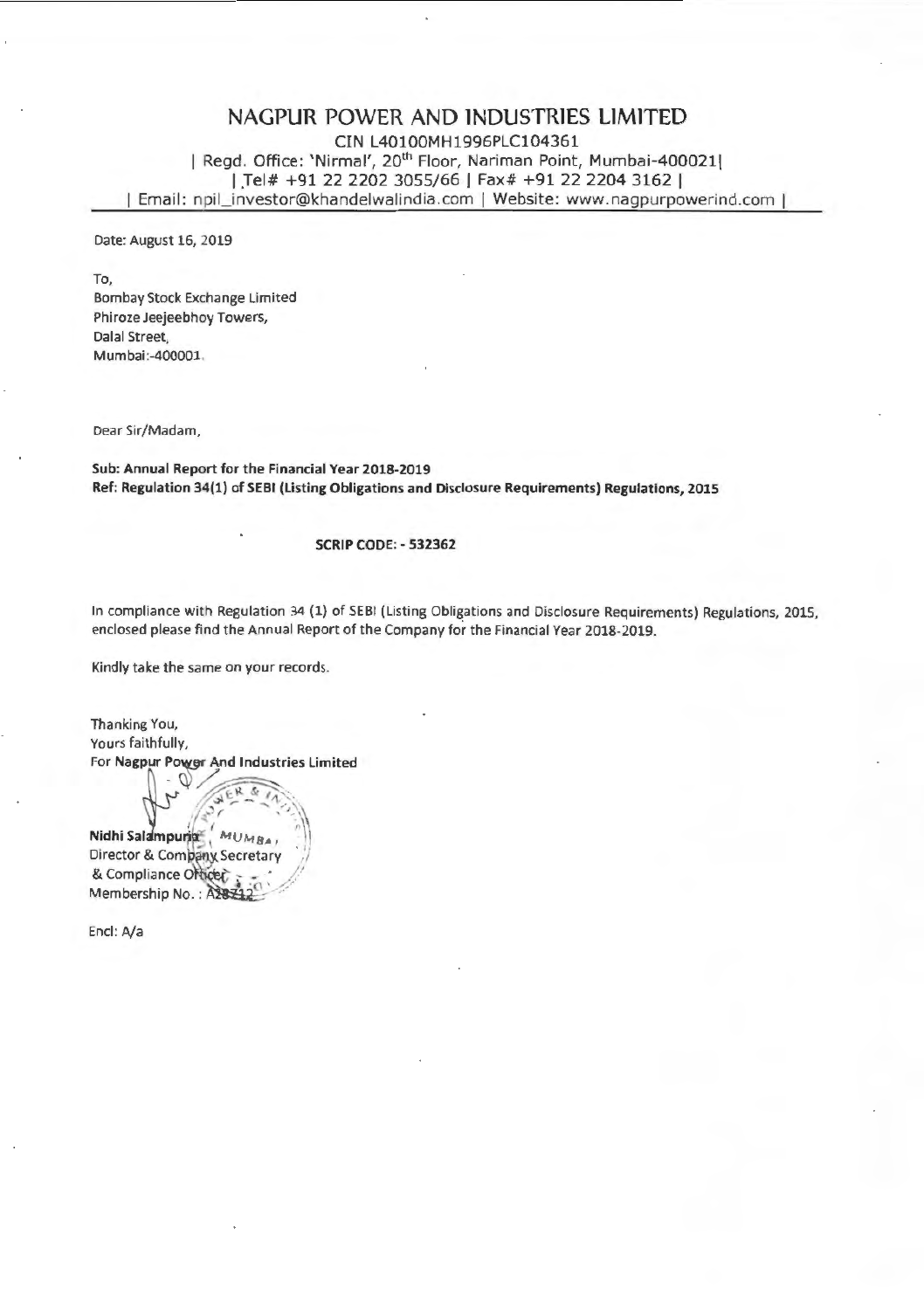### NAGPUR POWER AND lNDUSTRlES LlMlTED

CIN L40100MH1996PLC104361 1 Regd. Office: 'Nirmal', 20<sup>th</sup> Floor, Nariman Point, Mumbai-400021| I.Tel# +91 22 2202 3055/66 I Fax# +91 22 2204 3162 I | Email: npil\_investor@khandelwalindia.com | Website: www.nagpurpowerind.com |

Date: August 16, 2019

To, Bombay Stock Exchange limited Phiroze Jeejeebhoy Towers, Dalal Street, Mumbai:-400001

Dear Sir/Madam,

Sub: Annual Report for the Financial Year 2018-2019 Ref: Regulation 34(1) of SEBI (Listing Obligations and Disclosure Requirements) Regulations, 2015

#### SCRIP CODE:- 532362

In compliance with Regulation 34 (1) of SEBI (listing Obligations and Disclosure Requirements) Regulations, 2015, enclosed please find the Annual Report of the Company for the Financial Year 2018-2019.

Kindly take the same on your records.

Thanking You, Yours faithfully, For Nagpur Power And Industries Limited

d  $\sqrt{2\pi E_{\rm K} \alpha}$  ,  $\sqrt{2\pi E_{\rm K}}$  $\mathcal{L}$ ,  $\mathcal{L}$ Nidhi Salampurja  $^*$ ,  $^{14}$ UMBA,

Director & Company Secretary & Compliance Officer  $\sum_{i=1}^n$ Membership No.: A2823

End: *Na*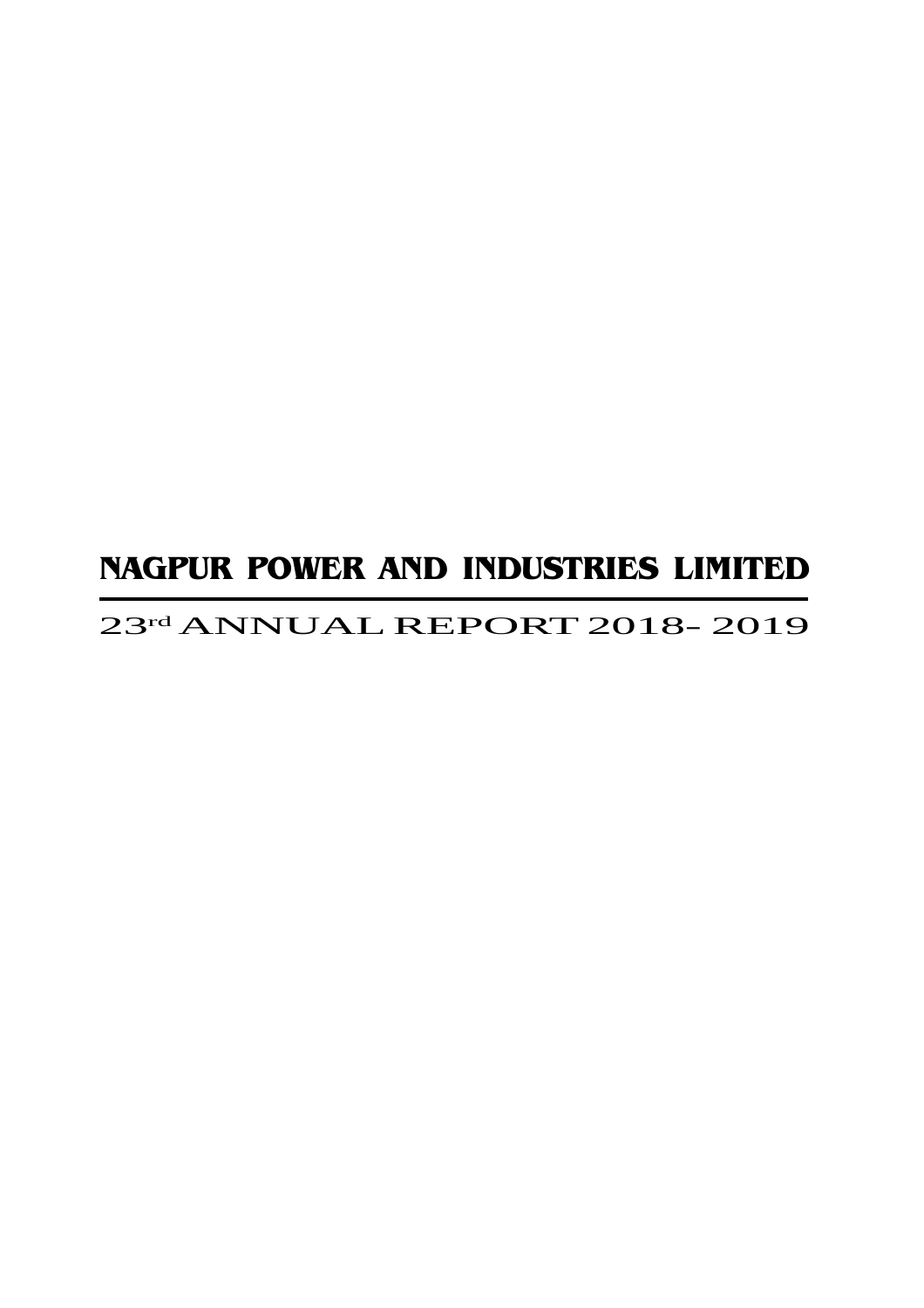# 23rd ANNUAL REPORT 2018- 2019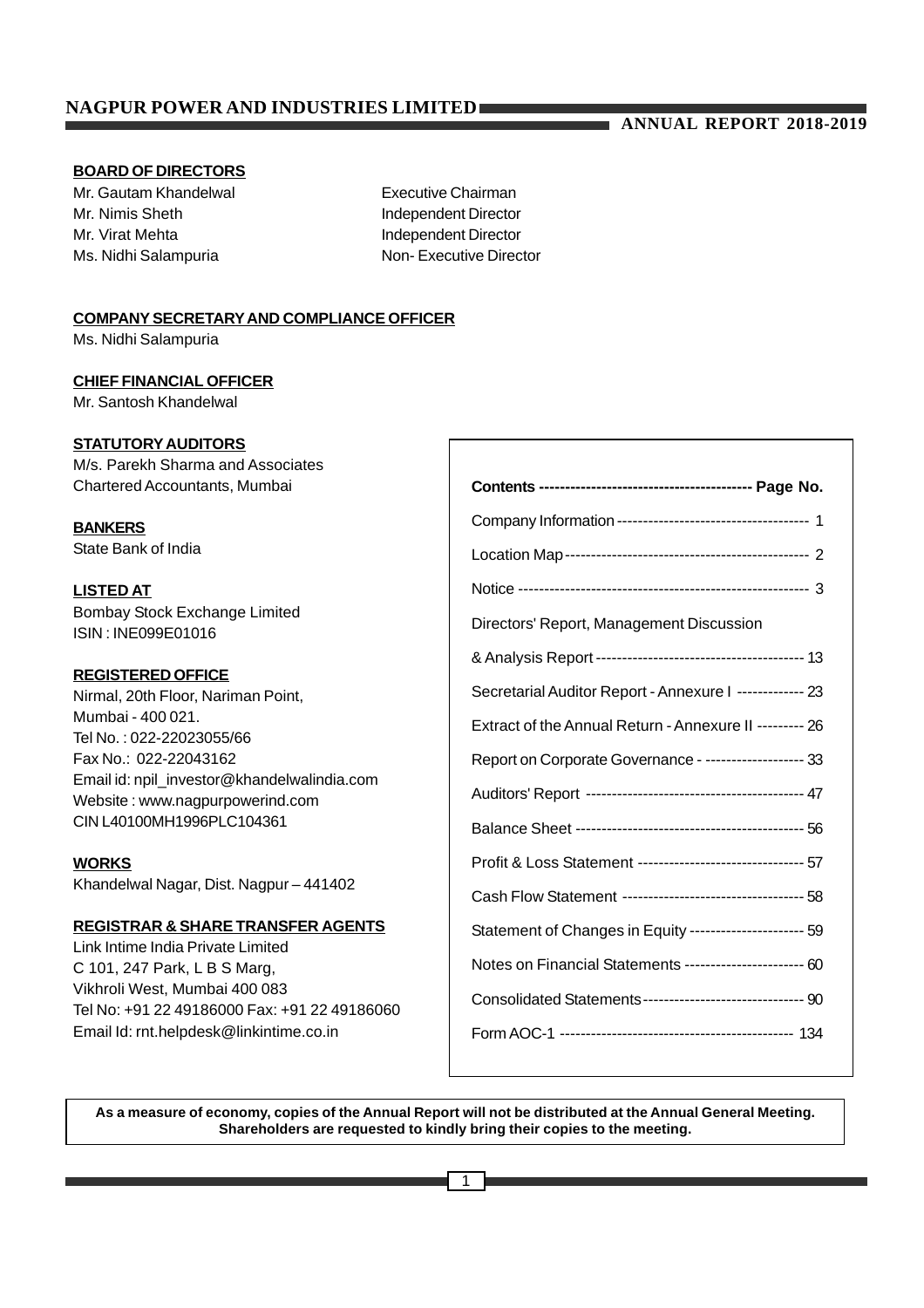### **BOARD OF DIRECTORS**

Mr. Gautam Khandelwal **Executive Chairman** Mr. Nimis Sheth Independent Director Mr. Virat Mehta **Independent Director** Ms. Nidhi Salampuria Non- Executive Director

## **COMPANY SECRETARYAND COMPLIANCE OFFICER**

Ms. Nidhi Salampuria

### **CHIEF FINANCIAL OFFICER**

Mr. Santosh Khandelwal

#### **STATUTORYAUDITORS**

M/s. Parekh Sharma and Associates Chartered Accountants, Mumbai

**BANKERS** State Bank of India

#### **LISTED AT**

Bombay Stock Exchange Limited ISIN : INE099E01016

#### **REGISTERED OFFICE**

Nirmal, 20th Floor, Nariman Point, Mumbai - 400 021. Tel No. : 022-22023055/66 Fax No.: 022-22043162 Email id: npil\_investor@khandelwalindia.com Website : www.nagpurpowerind.com CIN L40100MH1996PLC104361

#### **WORKS**

Khandelwal Nagar, Dist. Nagpur – 441402

#### **REGISTRAR & SHARE TRANSFER AGENTS**

Link Intime India Private Limited C 101, 247 Park, L B S Marg, Vikhroli West, Mumbai 400 083 Tel No: +91 22 49186000 Fax: +91 22 49186060 Email Id: rnt.helpdesk@linkintime.co.in

| Directors' Report, Management Discussion                   |
|------------------------------------------------------------|
|                                                            |
| Secretarial Auditor Report - Annexure I ------------- 23   |
| Extract of the Annual Return - Annexure II --------- 26    |
| Report on Corporate Governance - ------------------- 33    |
|                                                            |
|                                                            |
| Profit & Loss Statement ------------------------------- 57 |
| Cash Flow Statement ---------------------------------- 58  |
| Statement of Changes in Equity ---------------------- 59   |
| Notes on Financial Statements ----------------------- 60   |
| Consolidated Statements------------------------------- 90  |
|                                                            |

**As a measure of economy, copies of the Annual Report will not be distributed at the Annual General Meeting. Shareholders are requested to kindly bring their copies to the meeting.**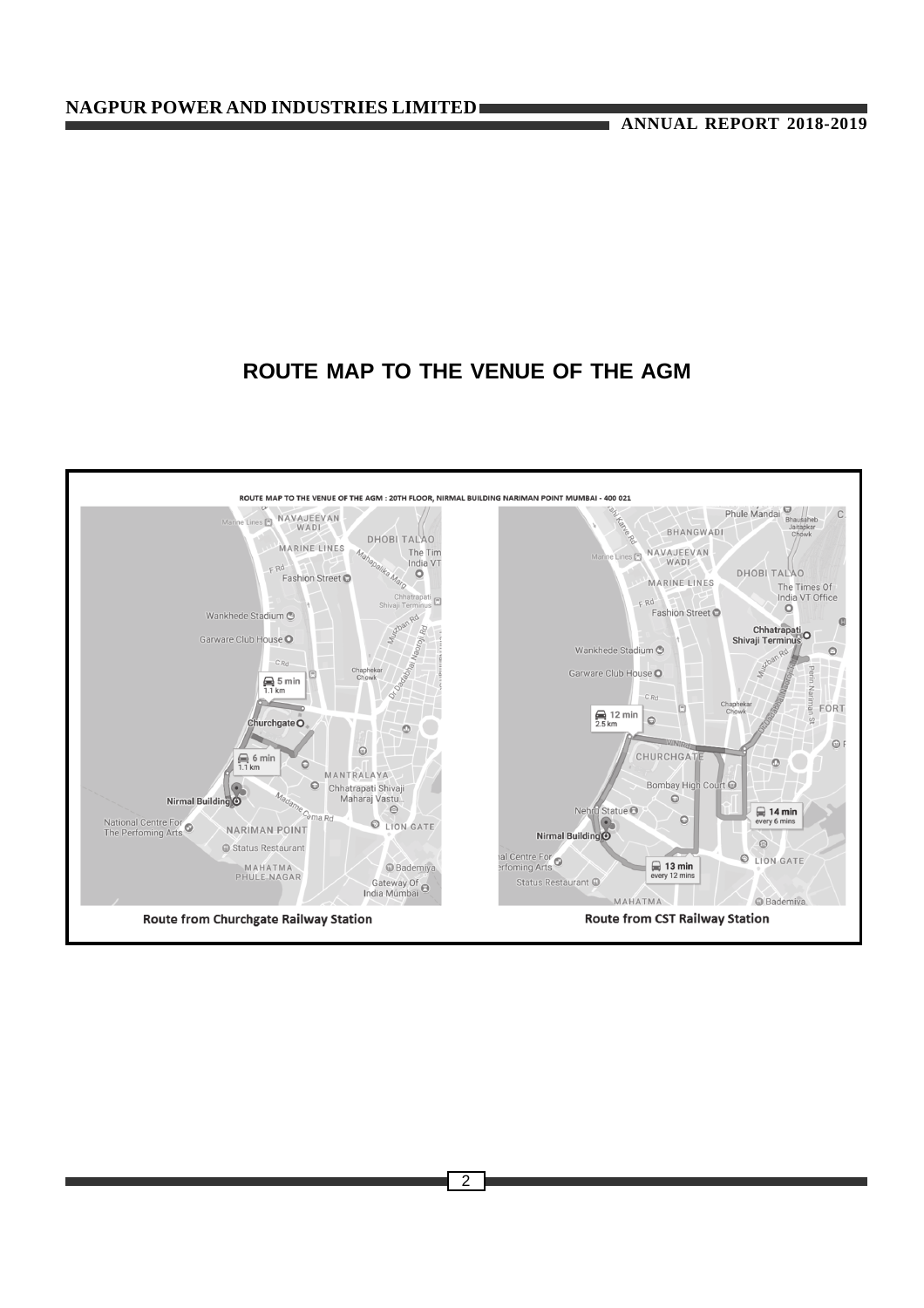#### **ANNUAL REPORT 2018-2019**

### **ROUTE MAP TO THE VENUE OF THE AGM**

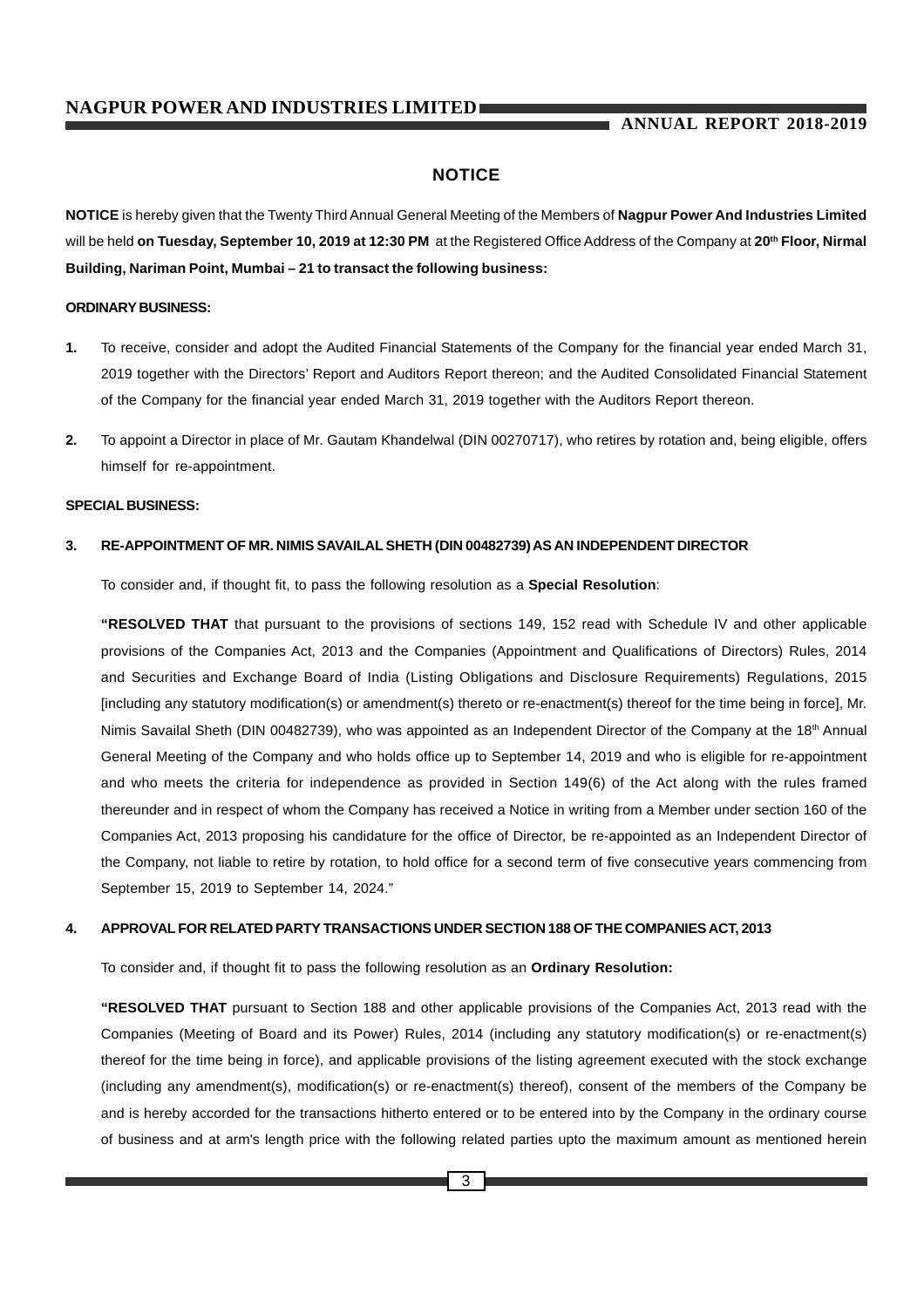#### **NOTICE**

**NOTICE** is hereby given that the Twenty Third Annual General Meeting of the Members of **Nagpur Power And Industries Limited** will be held **on Tuesday, September 10, 2019 at 12:30 PM** at the Registered Office Address of the Company at **20th Floor, Nirmal Building, Nariman Point, Mumbai – 21 to transact the following business:**

#### **ORDINARY BUSINESS:**

- **1.** To receive, consider and adopt the Audited Financial Statements of the Company for the financial year ended March 31, 2019 together with the Directors' Report and Auditors Report thereon; and the Audited Consolidated Financial Statement of the Company for the financial year ended March 31, 2019 together with the Auditors Report thereon.
- **2.** To appoint a Director in place of Mr. Gautam Khandelwal (DIN 00270717), who retires by rotation and, being eligible, offers himself for re-appointment.

#### **SPECIAL BUSINESS:**

#### **3. RE-APPOINTMENT OF MR. NIMIS SAVAILAL SHETH (DIN 00482739) AS AN INDEPENDENT DIRECTOR**

To consider and, if thought fit, to pass the following resolution as a **Special Resolution**:

**"RESOLVED THAT** that pursuant to the provisions of sections 149, 152 read with Schedule IV and other applicable provisions of the Companies Act, 2013 and the Companies (Appointment and Qualifications of Directors) Rules, 2014 and Securities and Exchange Board of India (Listing Obligations and Disclosure Requirements) Regulations, 2015 [including any statutory modification(s) or amendment(s) thereto or re-enactment(s) thereof for the time being in force], Mr. Nimis Savailal Sheth (DIN 00482739), who was appointed as an Independent Director of the Company at the 18<sup>th</sup> Annual General Meeting of the Company and who holds office up to September 14, 2019 and who is eligible for re-appointment and who meets the criteria for independence as provided in Section 149(6) of the Act along with the rules framed thereunder and in respect of whom the Company has received a Notice in writing from a Member under section 160 of the Companies Act, 2013 proposing his candidature for the office of Director, be re-appointed as an Independent Director of the Company, not liable to retire by rotation, to hold office for a second term of five consecutive years commencing from September 15, 2019 to September 14, 2024."

#### **4. APPROVAL FOR RELATED PARTY TRANSACTIONS UNDER SECTION 188 OF THE COMPANIES ACT, 2013**

To consider and, if thought fit to pass the following resolution as an **Ordinary Resolution:**

**"RESOLVED THAT** pursuant to Section 188 and other applicable provisions of the Companies Act, 2013 read with the Companies (Meeting of Board and its Power) Rules, 2014 (including any statutory modification(s) or re-enactment(s) thereof for the time being in force), and applicable provisions of the listing agreement executed with the stock exchange (including any amendment(s), modification(s) or re-enactment(s) thereof), consent of the members of the Company be and is hereby accorded for the transactions hitherto entered or to be entered into by the Company in the ordinary course of business and at arm's length price with the following related parties upto the maximum amount as mentioned herein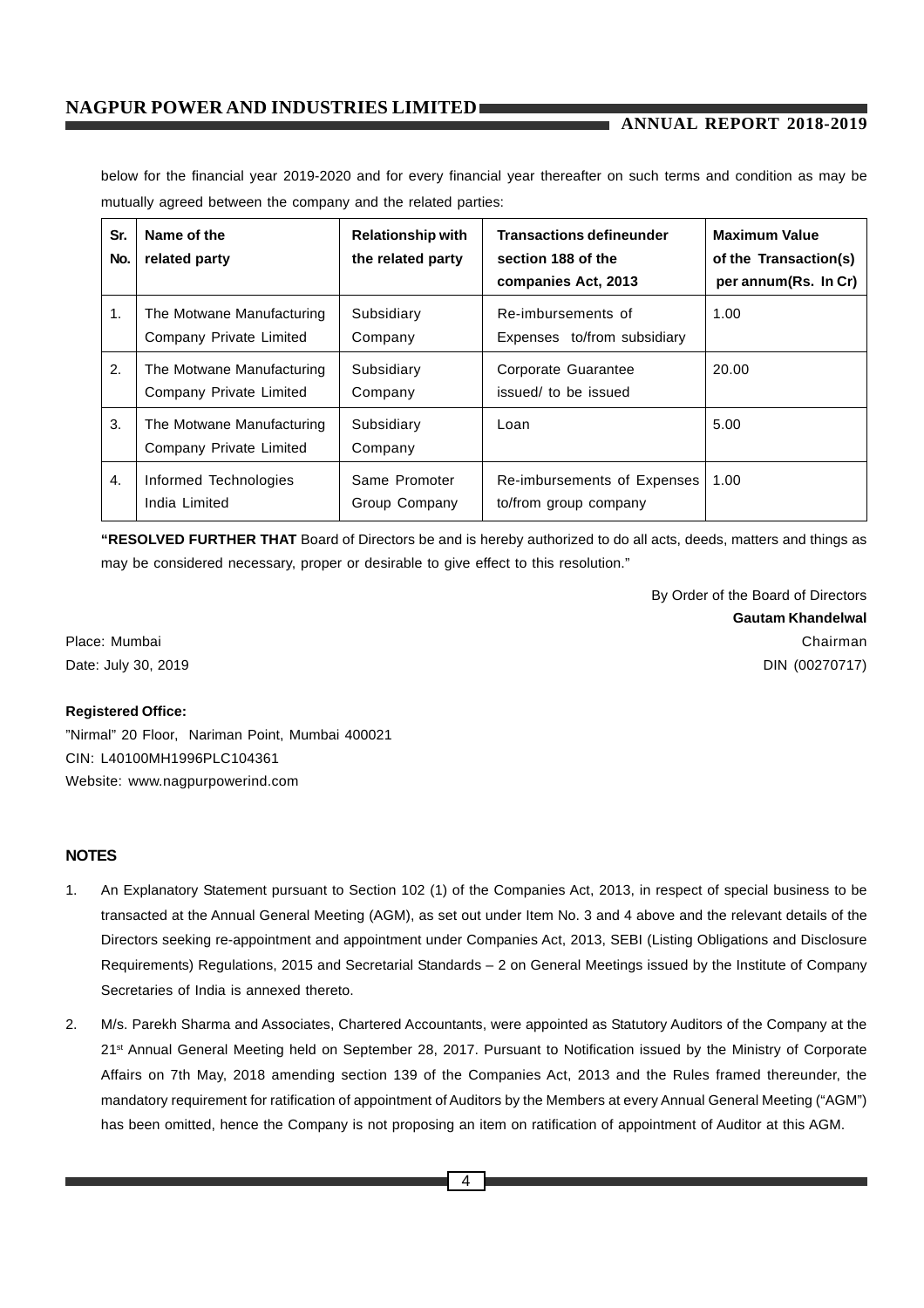#### **ANNUAL REPORT 2018-2019**

below for the financial year 2019-2020 and for every financial year thereafter on such terms and condition as may be mutually agreed between the company and the related parties:

| Sr.<br>No. | Name of the<br>related party                         | <b>Relationship with</b><br>the related party | <b>Transactions defineunder</b><br>section 188 of the<br>companies Act, 2013 | <b>Maximum Value</b><br>of the Transaction(s)<br>per annum(Rs. In Cr) |
|------------|------------------------------------------------------|-----------------------------------------------|------------------------------------------------------------------------------|-----------------------------------------------------------------------|
| 1.         | The Motwane Manufacturing<br>Company Private Limited | Subsidiary<br>Company                         | Re-imbursements of<br>Expenses to/from subsidiary                            | 1.00                                                                  |
| 2.         | The Motwane Manufacturing<br>Company Private Limited | Subsidiary<br>Company                         | Corporate Guarantee<br>issued/ to be issued                                  | 20.00                                                                 |
| 3.         | The Motwane Manufacturing<br>Company Private Limited | Subsidiary<br>Company                         | Loan                                                                         | 5.00                                                                  |
| 4.         | Informed Technologies<br>India Limited               | Same Promoter<br>Group Company                | Re-imbursements of Expenses<br>to/from group company                         | 1.00                                                                  |

**"RESOLVED FURTHER THAT** Board of Directors be and is hereby authorized to do all acts, deeds, matters and things as may be considered necessary, proper or desirable to give effect to this resolution."

By Order of the Board of Directors **Gautam Khandelwal** Place: Mumbai Chairman

Date: July 30, 2019 DIN (00270717)

#### **Registered Office:**

"Nirmal" 20 Floor, Nariman Point, Mumbai 400021 CIN: L40100MH1996PLC104361 Website: www.nagpurpowerind.com

#### **NOTES**

- 1. An Explanatory Statement pursuant to Section 102 (1) of the Companies Act, 2013, in respect of special business to be transacted at the Annual General Meeting (AGM), as set out under Item No. 3 and 4 above and the relevant details of the Directors seeking re-appointment and appointment under Companies Act, 2013, SEBI (Listing Obligations and Disclosure Requirements) Regulations, 2015 and Secretarial Standards – 2 on General Meetings issued by the Institute of Company Secretaries of India is annexed thereto.
- 2. M/s. Parekh Sharma and Associates, Chartered Accountants, were appointed as Statutory Auditors of the Company at the 21<sup>st</sup> Annual General Meeting held on September 28, 2017. Pursuant to Notification issued by the Ministry of Corporate Affairs on 7th May, 2018 amending section 139 of the Companies Act, 2013 and the Rules framed thereunder, the mandatory requirement for ratification of appointment of Auditors by the Members at every Annual General Meeting ("AGM") has been omitted, hence the Company is not proposing an item on ratification of appointment of Auditor at this AGM.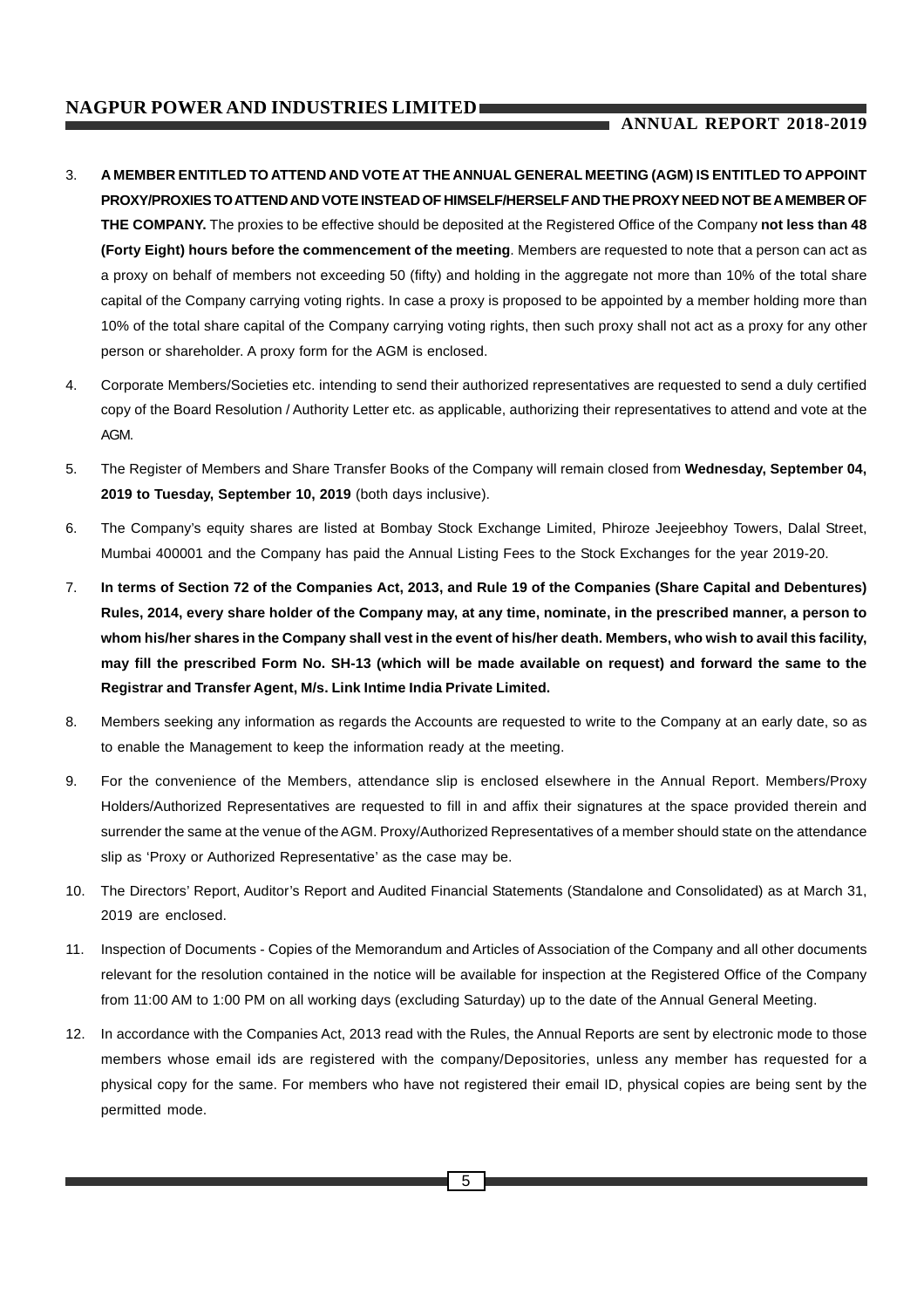#### **ANNUAL REPORT 2018-2019**

- 3. **A MEMBER ENTITLED TO ATTEND AND VOTE AT THE ANNUAL GENERAL MEETING (AGM) IS ENTITLED TO APPOINT PROXY/PROXIES TO ATTEND AND VOTE INSTEAD OF HIMSELF/HERSELF AND THE PROXY NEED NOT BE A MEMBER OF THE COMPANY.** The proxies to be effective should be deposited at the Registered Office of the Company **not less than 48 (Forty Eight) hours before the commencement of the meeting**. Members are requested to note that a person can act as a proxy on behalf of members not exceeding 50 (fifty) and holding in the aggregate not more than 10% of the total share capital of the Company carrying voting rights. In case a proxy is proposed to be appointed by a member holding more than 10% of the total share capital of the Company carrying voting rights, then such proxy shall not act as a proxy for any other person or shareholder. A proxy form for the AGM is enclosed.
- 4. Corporate Members/Societies etc. intending to send their authorized representatives are requested to send a duly certified copy of the Board Resolution / Authority Letter etc. as applicable, authorizing their representatives to attend and vote at the AGM.
- 5. The Register of Members and Share Transfer Books of the Company will remain closed from **Wednesday, September 04, 2019 to Tuesday, September 10, 2019** (both days inclusive).
- 6. The Company's equity shares are listed at Bombay Stock Exchange Limited, Phiroze Jeejeebhoy Towers, Dalal Street, Mumbai 400001 and the Company has paid the Annual Listing Fees to the Stock Exchanges for the year 2019-20.
- 7. **In terms of Section 72 of the Companies Act, 2013, and Rule 19 of the Companies (Share Capital and Debentures) Rules, 2014, every share holder of the Company may, at any time, nominate, in the prescribed manner, a person to whom his/her shares in the Company shall vest in the event of his/her death. Members, who wish to avail this facility, may fill the prescribed Form No. SH-13 (which will be made available on request) and forward the same to the Registrar and Transfer Agent, M/s. Link Intime India Private Limited.**
- 8. Members seeking any information as regards the Accounts are requested to write to the Company at an early date, so as to enable the Management to keep the information ready at the meeting.
- 9. For the convenience of the Members, attendance slip is enclosed elsewhere in the Annual Report. Members/Proxy Holders/Authorized Representatives are requested to fill in and affix their signatures at the space provided therein and surrender the same at the venue of the AGM. Proxy/Authorized Representatives of a member should state on the attendance slip as 'Proxy or Authorized Representative' as the case may be.
- 10. The Directors' Report, Auditor's Report and Audited Financial Statements (Standalone and Consolidated) as at March 31, 2019 are enclosed.
- 11. Inspection of Documents Copies of the Memorandum and Articles of Association of the Company and all other documents relevant for the resolution contained in the notice will be available for inspection at the Registered Office of the Company from 11:00 AM to 1:00 PM on all working days (excluding Saturday) up to the date of the Annual General Meeting.
- 12. In accordance with the Companies Act, 2013 read with the Rules, the Annual Reports are sent by electronic mode to those members whose email ids are registered with the company/Depositories, unless any member has requested for a physical copy for the same. For members who have not registered their email ID, physical copies are being sent by the permitted mode.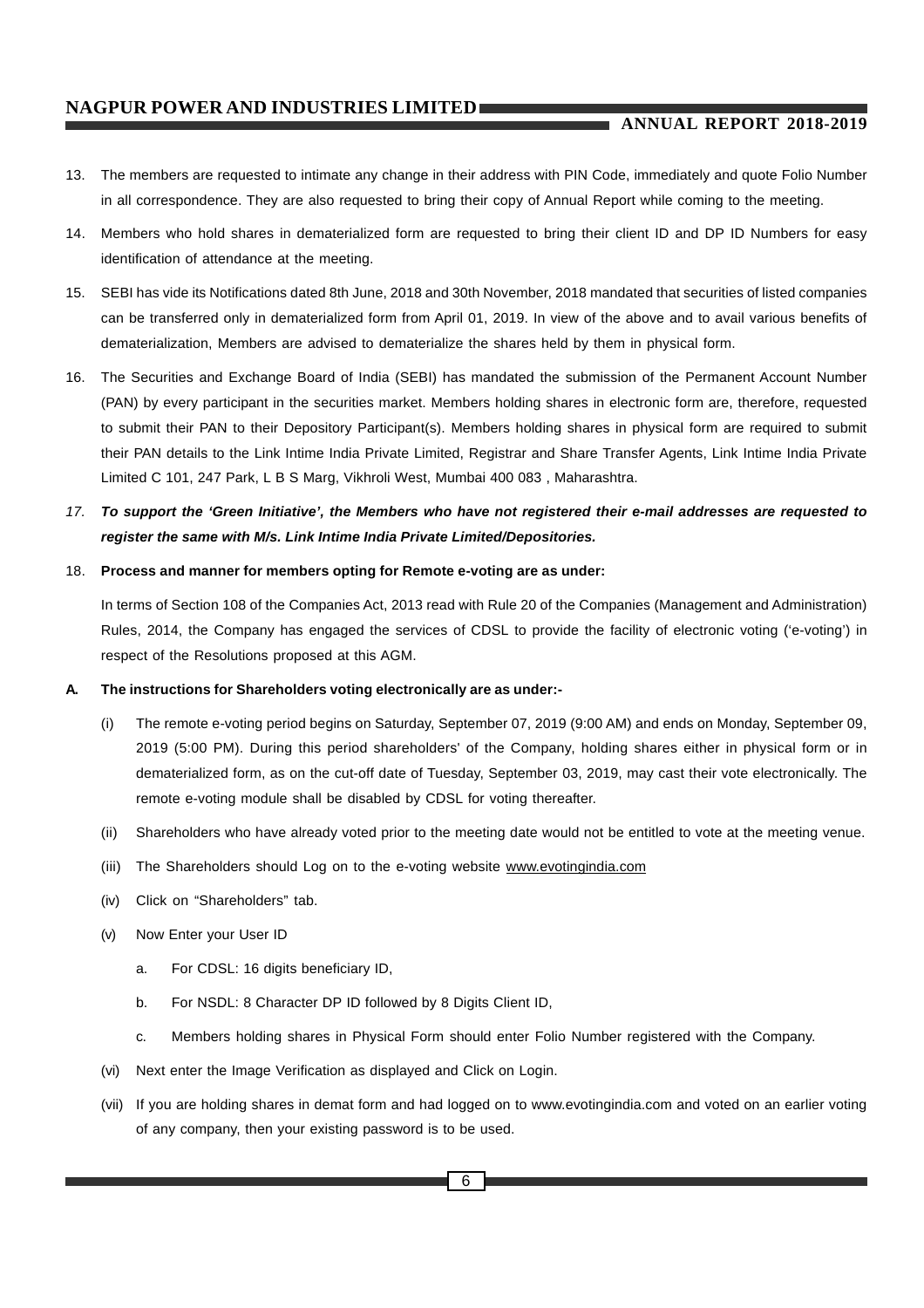#### **ANNUAL REPORT 2018-2019**

- 13. The members are requested to intimate any change in their address with PIN Code, immediately and quote Folio Number in all correspondence. They are also requested to bring their copy of Annual Report while coming to the meeting.
- 14. Members who hold shares in dematerialized form are requested to bring their client ID and DP ID Numbers for easy identification of attendance at the meeting.
- 15. SEBI has vide its Notifications dated 8th June, 2018 and 30th November, 2018 mandated that securities of listed companies can be transferred only in dematerialized form from April 01, 2019. In view of the above and to avail various benefits of dematerialization, Members are advised to dematerialize the shares held by them in physical form.
- 16. The Securities and Exchange Board of India (SEBI) has mandated the submission of the Permanent Account Number (PAN) by every participant in the securities market. Members holding shares in electronic form are, therefore, requested to submit their PAN to their Depository Participant(s). Members holding shares in physical form are required to submit their PAN details to the Link Intime India Private Limited, Registrar and Share Transfer Agents, Link Intime India Private Limited C 101, 247 Park, L B S Marg, Vikhroli West, Mumbai 400 083 , Maharashtra.
- *17. To support the 'Green Initiative', the Members who have not registered their e-mail addresses are requested to register the same with M/s. Link Intime India Private Limited/Depositories.*
- 18. **Process and manner for members opting for Remote e-voting are as under:**

In terms of Section 108 of the Companies Act, 2013 read with Rule 20 of the Companies (Management and Administration) Rules, 2014, the Company has engaged the services of CDSL to provide the facility of electronic voting ('e-voting') in respect of the Resolutions proposed at this AGM.

#### **A. The instructions for Shareholders voting electronically are as under:-**

- (i) The remote e-voting period begins on Saturday, September 07, 2019 (9:00 AM) and ends on Monday, September 09, 2019 (5:00 PM). During this period shareholders' of the Company, holding shares either in physical form or in dematerialized form, as on the cut-off date of Tuesday, September 03, 2019, may cast their vote electronically. The remote e-voting module shall be disabled by CDSL for voting thereafter.
- (ii) Shareholders who have already voted prior to the meeting date would not be entitled to vote at the meeting venue.
- (iii) The Shareholders should Log on to the e-voting website www.evotingindia.com
- (iv) Click on "Shareholders" tab.
- (v) Now Enter your User ID
	- a. For CDSL: 16 digits beneficiary ID,
	- b. For NSDL: 8 Character DP ID followed by 8 Digits Client ID,
	- c. Members holding shares in Physical Form should enter Folio Number registered with the Company.
- (vi) Next enter the Image Verification as displayed and Click on Login.
- (vii) If you are holding shares in demat form and had logged on to www.evotingindia.com and voted on an earlier voting of any company, then your existing password is to be used.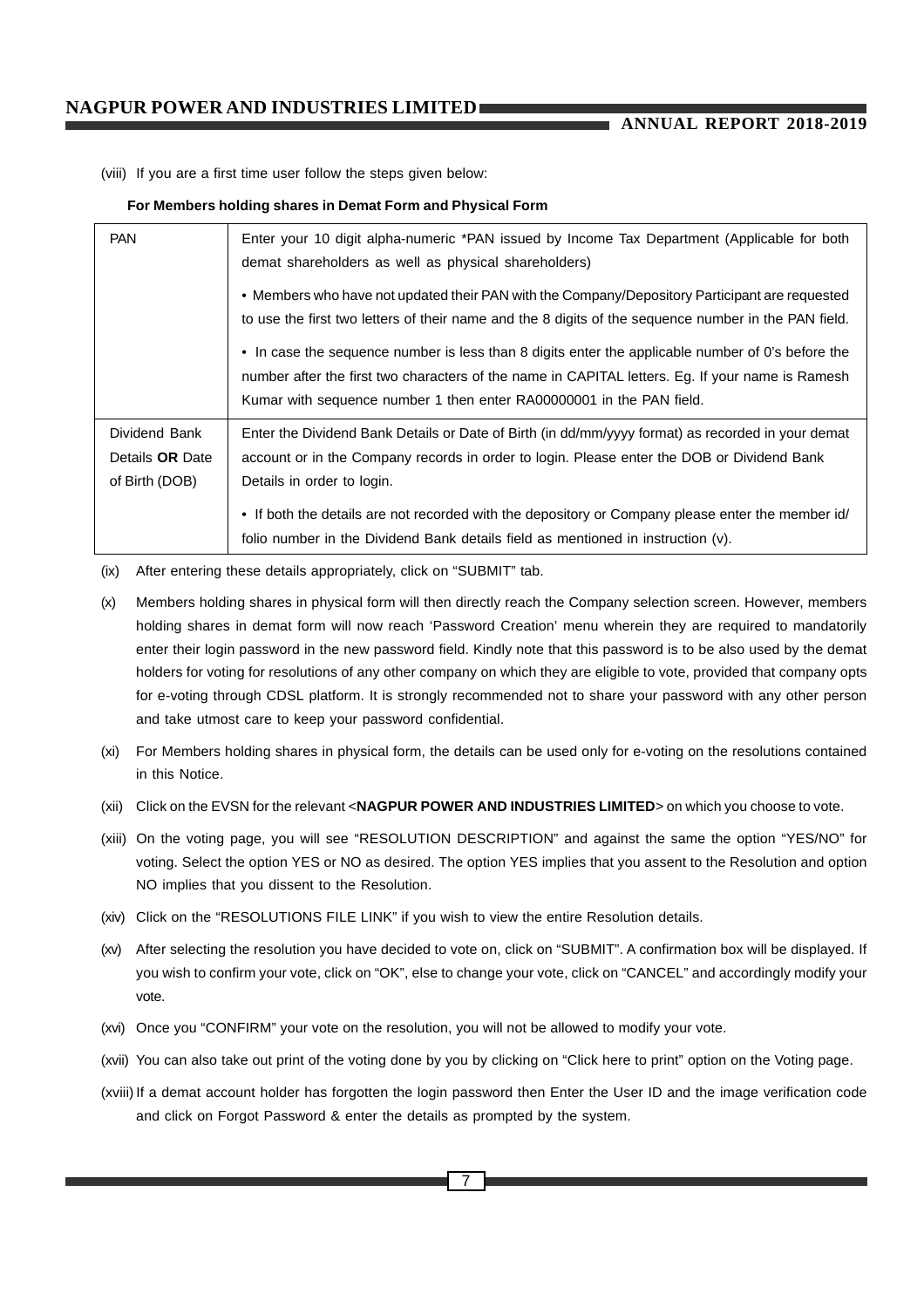(viii) If you are a first time user follow the steps given below:

#### **For Members holding shares in Demat Form and Physical Form**

| <b>PAN</b>                                         | Enter your 10 digit alpha-numeric *PAN issued by Income Tax Department (Applicable for both<br>demat shareholders as well as physical shareholders)                                                                                                                           |
|----------------------------------------------------|-------------------------------------------------------------------------------------------------------------------------------------------------------------------------------------------------------------------------------------------------------------------------------|
|                                                    | • Members who have not updated their PAN with the Company/Depository Participant are requested<br>to use the first two letters of their name and the 8 digits of the sequence number in the PAN field.                                                                        |
|                                                    | • In case the sequence number is less than 8 digits enter the applicable number of 0's before the<br>number after the first two characters of the name in CAPITAL letters. Eg. If your name is Ramesh<br>Kumar with sequence number 1 then enter RA00000001 in the PAN field. |
| Dividend Bank<br>Details OR Date<br>of Birth (DOB) | Enter the Dividend Bank Details or Date of Birth (in dd/mm/yyyy format) as recorded in your demat<br>account or in the Company records in order to login. Please enter the DOB or Dividend Bank<br>Details in order to login.                                                 |
|                                                    | • If both the details are not recorded with the depository or Company please enter the member id/<br>folio number in the Dividend Bank details field as mentioned in instruction (v).                                                                                         |

(ix) After entering these details appropriately, click on "SUBMIT" tab.

- (x) Members holding shares in physical form will then directly reach the Company selection screen. However, members holding shares in demat form will now reach 'Password Creation' menu wherein they are required to mandatorily enter their login password in the new password field. Kindly note that this password is to be also used by the demat holders for voting for resolutions of any other company on which they are eligible to vote, provided that company opts for e-voting through CDSL platform. It is strongly recommended not to share your password with any other person and take utmost care to keep your password confidential.
- (xi) For Members holding shares in physical form, the details can be used only for e-voting on the resolutions contained in this Notice.
- (xii) Click on the EVSN for the relevant <**NAGPUR POWER AND INDUSTRIES LIMITED**> on which you choose to vote.
- (xiii) On the voting page, you will see "RESOLUTION DESCRIPTION" and against the same the option "YES/NO" for voting. Select the option YES or NO as desired. The option YES implies that you assent to the Resolution and option NO implies that you dissent to the Resolution.
- (xiv) Click on the "RESOLUTIONS FILE LINK" if you wish to view the entire Resolution details.
- (xv) After selecting the resolution you have decided to vote on, click on "SUBMIT". A confirmation box will be displayed. If you wish to confirm your vote, click on "OK", else to change your vote, click on "CANCEL" and accordingly modify your vote.
- (xvi) Once you "CONFIRM" your vote on the resolution, you will not be allowed to modify your vote.
- (xvii) You can also take out print of the voting done by you by clicking on "Click here to print" option on the Voting page.
- (xviii) If a demat account holder has forgotten the login password then Enter the User ID and the image verification code and click on Forgot Password & enter the details as prompted by the system.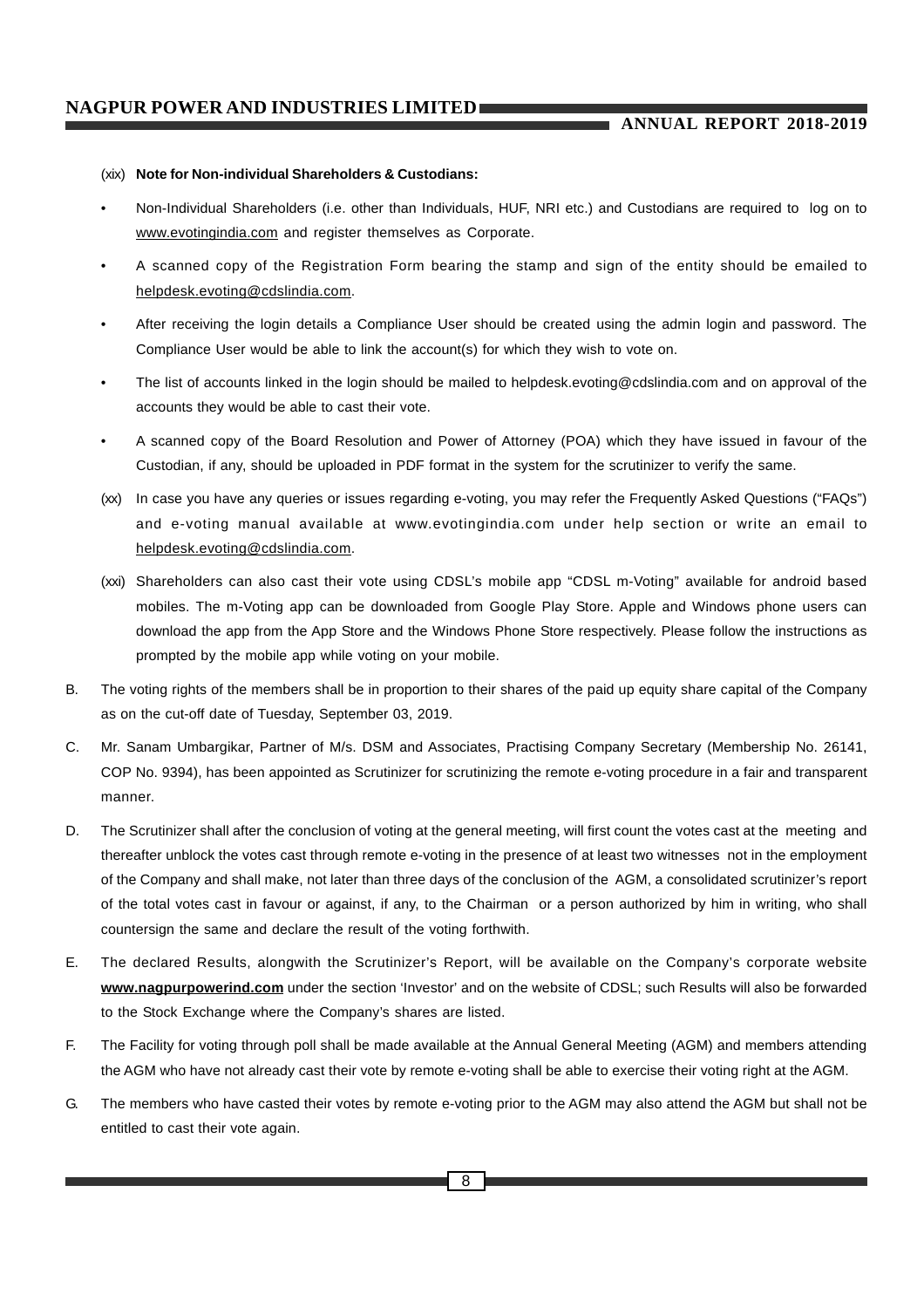#### (xix) **Note for Non-individual Shareholders & Custodians:**

- Non-Individual Shareholders (i.e. other than Individuals, HUF, NRI etc.) and Custodians are required to log on to www.evotingindia.com and register themselves as Corporate.
- A scanned copy of the Registration Form bearing the stamp and sign of the entity should be emailed to helpdesk.evoting@cdslindia.com.
- After receiving the login details a Compliance User should be created using the admin login and password. The Compliance User would be able to link the account(s) for which they wish to vote on.
- The list of accounts linked in the login should be mailed to helpdesk.evoting@cdslindia.com and on approval of the accounts they would be able to cast their vote.
- A scanned copy of the Board Resolution and Power of Attorney (POA) which they have issued in favour of the Custodian, if any, should be uploaded in PDF format in the system for the scrutinizer to verify the same.
- (xx) In case you have any queries or issues regarding e-voting, you may refer the Frequently Asked Questions ("FAQs") and e-voting manual available at www.evotingindia.com under help section or write an email to helpdesk.evoting@cdslindia.com.
- (xxi) Shareholders can also cast their vote using CDSL's mobile app "CDSL m-Voting" available for android based mobiles. The m-Voting app can be downloaded from Google Play Store. Apple and Windows phone users can download the app from the App Store and the Windows Phone Store respectively. Please follow the instructions as prompted by the mobile app while voting on your mobile.
- B. The voting rights of the members shall be in proportion to their shares of the paid up equity share capital of the Company as on the cut-off date of Tuesday, September 03, 2019.
- C. Mr. Sanam Umbargikar, Partner of M/s. DSM and Associates, Practising Company Secretary (Membership No. 26141, COP No. 9394), has been appointed as Scrutinizer for scrutinizing the remote e-voting procedure in a fair and transparent manner.
- D. The Scrutinizer shall after the conclusion of voting at the general meeting, will first count the votes cast at the meeting and thereafter unblock the votes cast through remote e-voting in the presence of at least two witnesses not in the employment of the Company and shall make, not later than three days of the conclusion of the AGM, a consolidated scrutinizer's report of the total votes cast in favour or against, if any, to the Chairman or a person authorized by him in writing, who shall countersign the same and declare the result of the voting forthwith.
- E. The declared Results, alongwith the Scrutinizer's Report, will be available on the Company's corporate website **www.nagpurpowerind.com** under the section 'Investor' and on the website of CDSL; such Results will also be forwarded to the Stock Exchange where the Company's shares are listed.
- F. The Facility for voting through poll shall be made available at the Annual General Meeting (AGM) and members attending the AGM who have not already cast their vote by remote e-voting shall be able to exercise their voting right at the AGM.
- G. The members who have casted their votes by remote e-voting prior to the AGM may also attend the AGM but shall not be entitled to cast their vote again.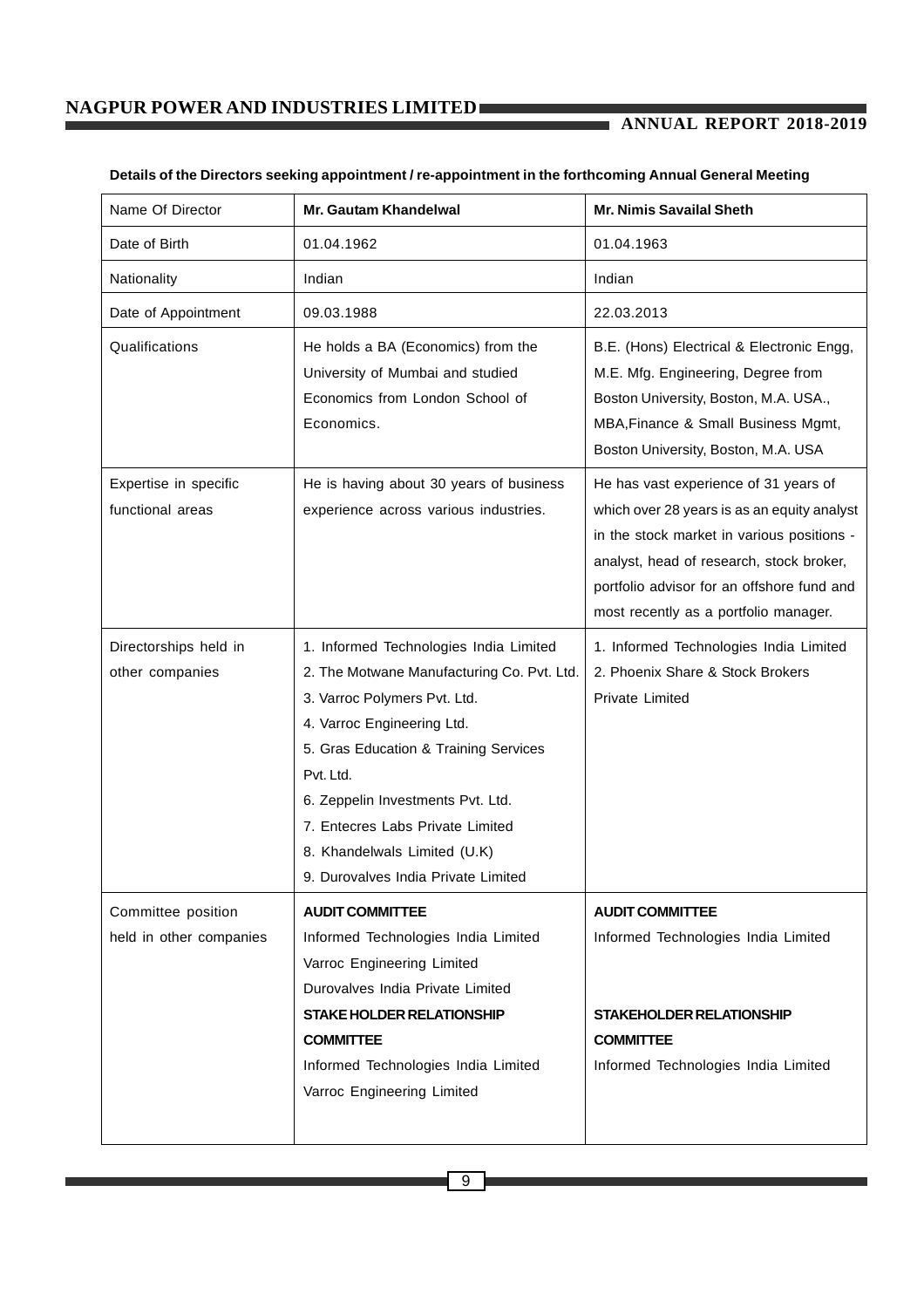### **ANNUAL REPORT 2018-2019**

| Name Of Director                              | Mr. Gautam Khandelwal                                                                                                                                                                                                                                                                                                                                    | <b>Mr. Nimis Savailal Sheth</b>                                                                                                                                                                                                                                       |
|-----------------------------------------------|----------------------------------------------------------------------------------------------------------------------------------------------------------------------------------------------------------------------------------------------------------------------------------------------------------------------------------------------------------|-----------------------------------------------------------------------------------------------------------------------------------------------------------------------------------------------------------------------------------------------------------------------|
| Date of Birth                                 | 01.04.1962                                                                                                                                                                                                                                                                                                                                               | 01.04.1963                                                                                                                                                                                                                                                            |
| Nationality                                   | Indian                                                                                                                                                                                                                                                                                                                                                   | Indian                                                                                                                                                                                                                                                                |
| Date of Appointment                           | 09.03.1988                                                                                                                                                                                                                                                                                                                                               | 22.03.2013                                                                                                                                                                                                                                                            |
| Qualifications                                | He holds a BA (Economics) from the<br>University of Mumbai and studied<br>Economics from London School of<br>Economics.                                                                                                                                                                                                                                  | B.E. (Hons) Electrical & Electronic Engg,<br>M.E. Mfg. Engineering, Degree from<br>Boston University, Boston, M.A. USA.,<br>MBA, Finance & Small Business Mgmt,<br>Boston University, Boston, M.A. USA                                                                |
| Expertise in specific<br>functional areas     | He is having about 30 years of business<br>experience across various industries.                                                                                                                                                                                                                                                                         | He has vast experience of 31 years of<br>which over 28 years is as an equity analyst<br>in the stock market in various positions -<br>analyst, head of research, stock broker,<br>portfolio advisor for an offshore fund and<br>most recently as a portfolio manager. |
| Directorships held in<br>other companies      | 1. Informed Technologies India Limited<br>2. The Motwane Manufacturing Co. Pvt. Ltd.<br>3. Varroc Polymers Pvt. Ltd.<br>4. Varroc Engineering Ltd.<br>5. Gras Education & Training Services<br>Pvt. Ltd.<br>6. Zeppelin Investments Pvt. Ltd.<br>7. Entecres Labs Private Limited<br>8. Khandelwals Limited (U.K)<br>9. Durovalves India Private Limited | 1. Informed Technologies India Limited<br>2. Phoenix Share & Stock Brokers<br><b>Private Limited</b>                                                                                                                                                                  |
| Committee position<br>held in other companies | <b>AUDIT COMMITTEE</b><br>Informed Technologies India Limited<br>Varroc Engineering Limited<br>Durovalves India Private Limited<br><b>STAKE HOLDER RELATIONSHIP</b><br><b>COMMITTEE</b><br>Informed Technologies India Limited<br>Varroc Engineering Limited                                                                                             | <b>AUDIT COMMITTEE</b><br>Informed Technologies India Limited<br><b>STAKEHOLDER RELATIONSHIP</b><br><b>COMMITTEE</b><br>Informed Technologies India Limited                                                                                                           |

### **Details of the Directors seeking appointment / re-appointment in the forthcoming Annual General Meeting**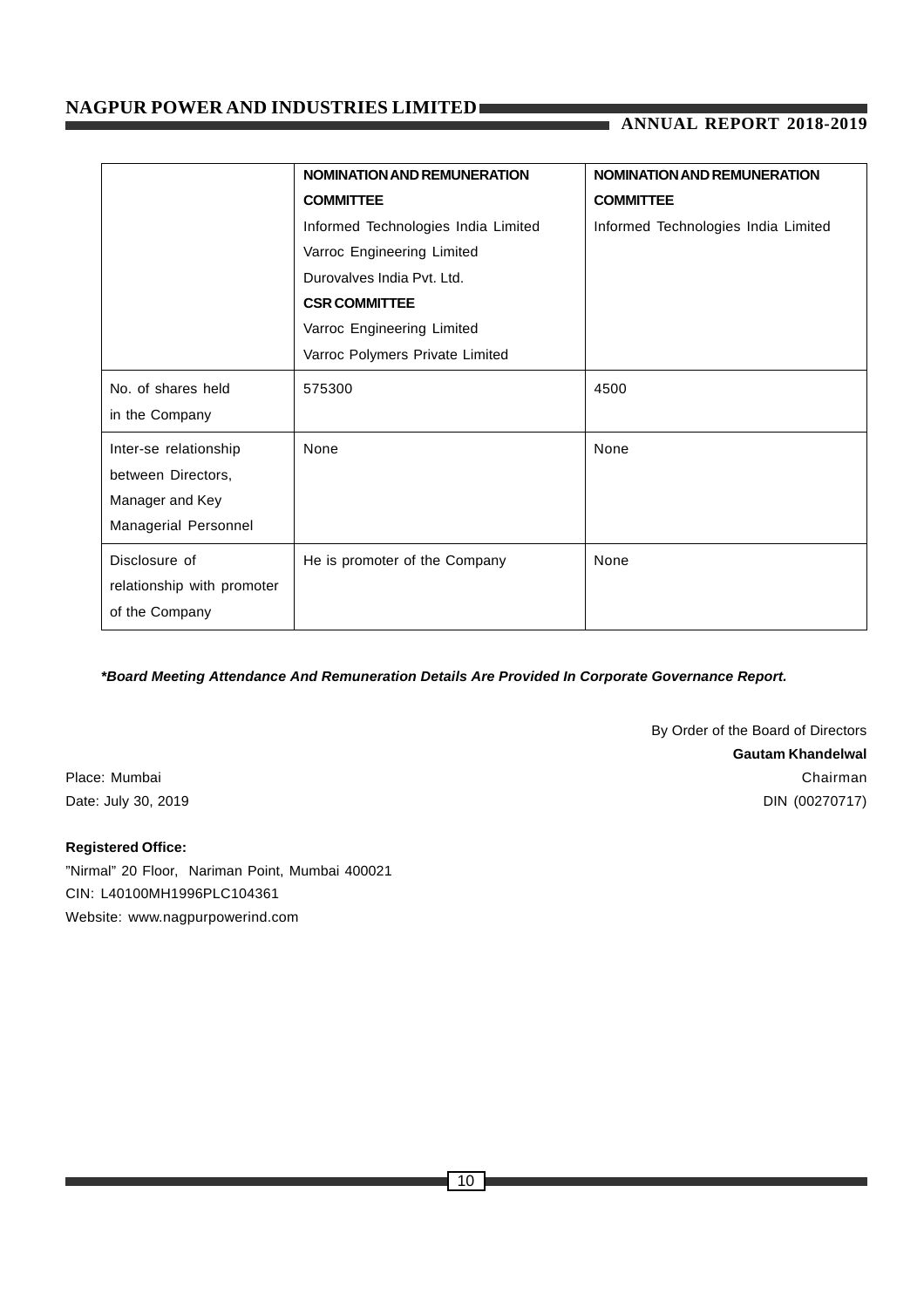### **ANNUAL REPORT 2018-2019**

|                            | <b>NOMINATION AND REMUNERATION</b>  | <b>NOMINATION AND REMUNERATION</b>  |
|----------------------------|-------------------------------------|-------------------------------------|
|                            | <b>COMMITTEE</b>                    | <b>COMMITTEE</b>                    |
|                            | Informed Technologies India Limited | Informed Technologies India Limited |
|                            | Varroc Engineering Limited          |                                     |
|                            | Durovalves India Pvt. Ltd.          |                                     |
|                            | <b>CSR COMMITTEE</b>                |                                     |
|                            | Varroc Engineering Limited          |                                     |
|                            | Varroc Polymers Private Limited     |                                     |
| No. of shares held         | 575300                              | 4500                                |
| in the Company             |                                     |                                     |
| Inter-se relationship      | None                                | None                                |
| between Directors,         |                                     |                                     |
| Manager and Key            |                                     |                                     |
| Managerial Personnel       |                                     |                                     |
| Disclosure of              | He is promoter of the Company       | None                                |
| relationship with promoter |                                     |                                     |
| of the Company             |                                     |                                     |

*\*Board Meeting Attendance And Remuneration Details Are Provided In Corporate Governance Report.*

By Order of the Board of Directors **Gautam Khandelwal** Place: Mumbai Chairman Date: July 30, 2019 **DIN** (00270717)

### **Registered Office:**

"Nirmal" 20 Floor, Nariman Point, Mumbai 400021 CIN: L40100MH1996PLC104361 Website: www.nagpurpowerind.com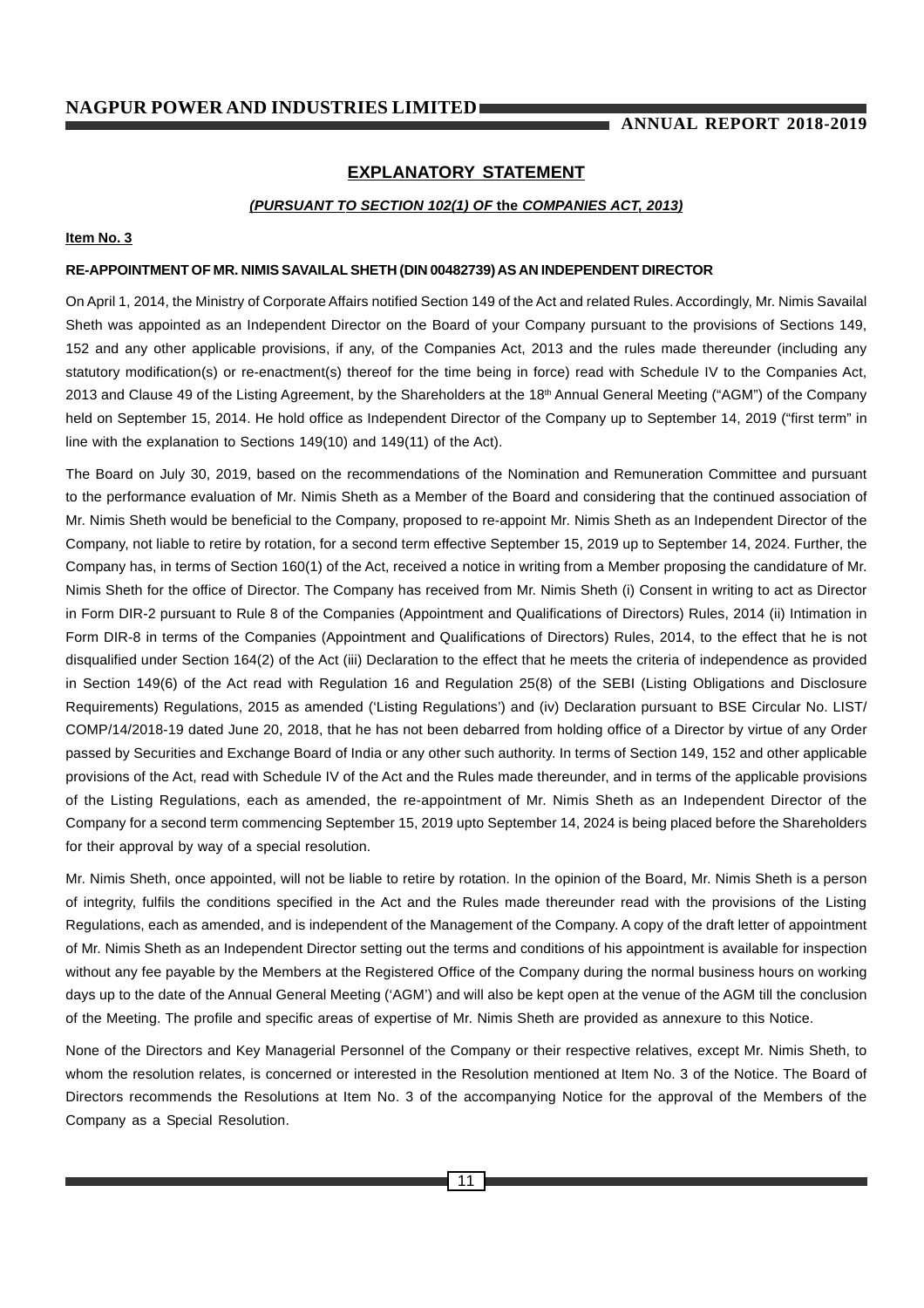#### **EXPLANATORY STATEMENT**

#### *(PURSUANT TO SECTION 102(1) OF* **the** *COMPANIES ACT, 2013)*

#### **Item No. 3**

#### **RE-APPOINTMENT OF MR. NIMIS SAVAILAL SHETH (DIN 00482739) AS AN INDEPENDENT DIRECTOR**

On April 1, 2014, the Ministry of Corporate Affairs notified Section 149 of the Act and related Rules. Accordingly, Mr. Nimis Savailal Sheth was appointed as an Independent Director on the Board of your Company pursuant to the provisions of Sections 149, 152 and any other applicable provisions, if any, of the Companies Act, 2013 and the rules made thereunder (including any statutory modification(s) or re-enactment(s) thereof for the time being in force) read with Schedule IV to the Companies Act, 2013 and Clause 49 of the Listing Agreement, by the Shareholders at the 18<sup>th</sup> Annual General Meeting ("AGM") of the Company held on September 15, 2014. He hold office as Independent Director of the Company up to September 14, 2019 ("first term" in line with the explanation to Sections 149(10) and 149(11) of the Act).

The Board on July 30, 2019, based on the recommendations of the Nomination and Remuneration Committee and pursuant to the performance evaluation of Mr. Nimis Sheth as a Member of the Board and considering that the continued association of Mr. Nimis Sheth would be beneficial to the Company, proposed to re-appoint Mr. Nimis Sheth as an Independent Director of the Company, not liable to retire by rotation, for a second term effective September 15, 2019 up to September 14, 2024. Further, the Company has, in terms of Section 160(1) of the Act, received a notice in writing from a Member proposing the candidature of Mr. Nimis Sheth for the office of Director. The Company has received from Mr. Nimis Sheth (i) Consent in writing to act as Director in Form DIR-2 pursuant to Rule 8 of the Companies (Appointment and Qualifications of Directors) Rules, 2014 (ii) Intimation in Form DIR-8 in terms of the Companies (Appointment and Qualifications of Directors) Rules, 2014, to the effect that he is not disqualified under Section 164(2) of the Act (iii) Declaration to the effect that he meets the criteria of independence as provided in Section 149(6) of the Act read with Regulation 16 and Regulation 25(8) of the SEBI (Listing Obligations and Disclosure Requirements) Regulations, 2015 as amended ('Listing Regulations') and (iv) Declaration pursuant to BSE Circular No. LIST/ COMP/14/2018-19 dated June 20, 2018, that he has not been debarred from holding office of a Director by virtue of any Order passed by Securities and Exchange Board of India or any other such authority. In terms of Section 149, 152 and other applicable provisions of the Act, read with Schedule IV of the Act and the Rules made thereunder, and in terms of the applicable provisions of the Listing Regulations, each as amended, the re-appointment of Mr. Nimis Sheth as an Independent Director of the Company for a second term commencing September 15, 2019 upto September 14, 2024 is being placed before the Shareholders for their approval by way of a special resolution.

Mr. Nimis Sheth, once appointed, will not be liable to retire by rotation. In the opinion of the Board, Mr. Nimis Sheth is a person of integrity, fulfils the conditions specified in the Act and the Rules made thereunder read with the provisions of the Listing Regulations, each as amended, and is independent of the Management of the Company. A copy of the draft letter of appointment of Mr. Nimis Sheth as an Independent Director setting out the terms and conditions of his appointment is available for inspection without any fee payable by the Members at the Registered Office of the Company during the normal business hours on working days up to the date of the Annual General Meeting ('AGM') and will also be kept open at the venue of the AGM till the conclusion of the Meeting. The profile and specific areas of expertise of Mr. Nimis Sheth are provided as annexure to this Notice.

None of the Directors and Key Managerial Personnel of the Company or their respective relatives, except Mr. Nimis Sheth, to whom the resolution relates, is concerned or interested in the Resolution mentioned at Item No. 3 of the Notice. The Board of Directors recommends the Resolutions at Item No. 3 of the accompanying Notice for the approval of the Members of the Company as a Special Resolution.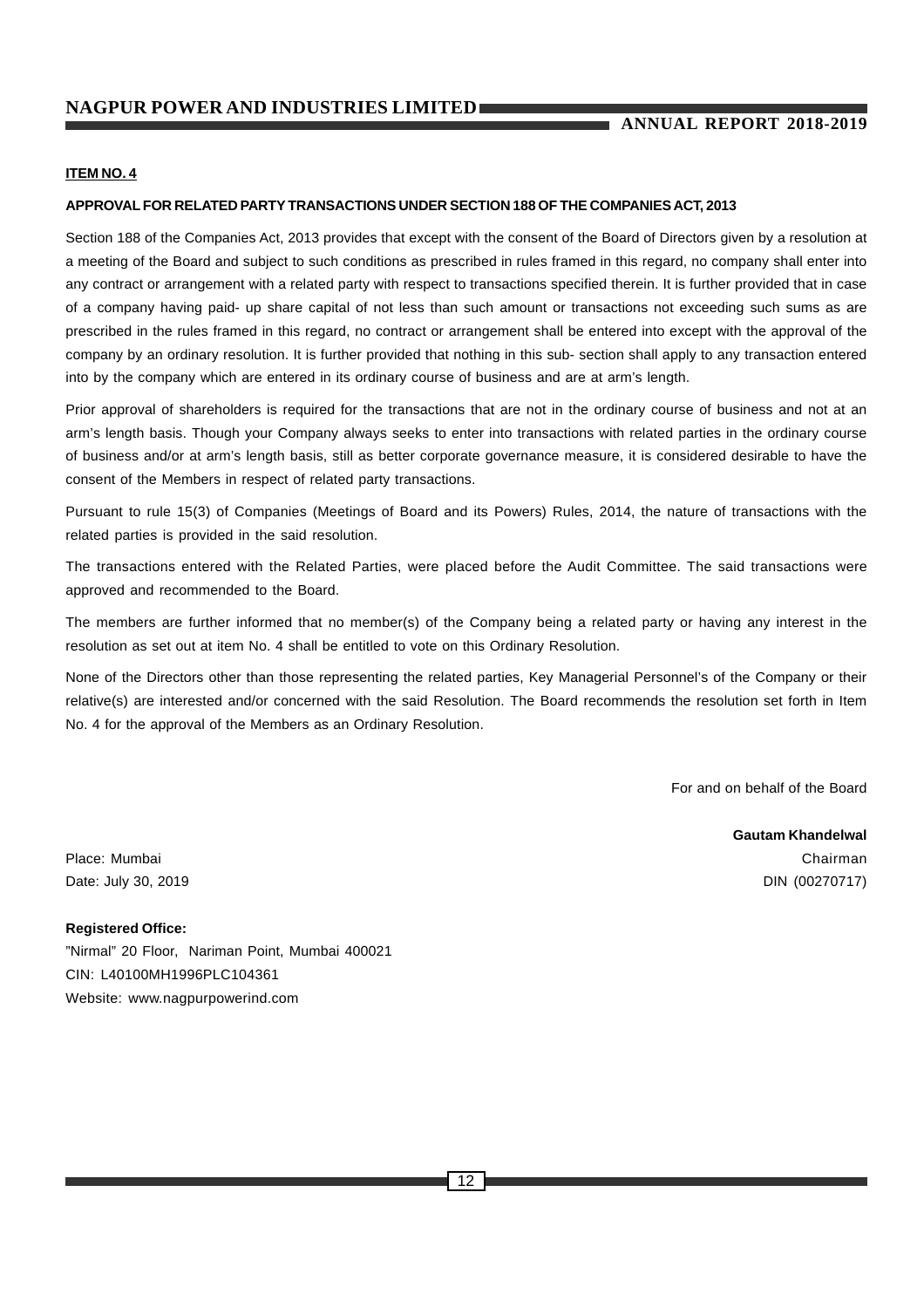#### **ITEM NO. 4**

#### **APPROVAL FOR RELATED PARTY TRANSACTIONS UNDER SECTION 188 OF THE COMPANIES ACT, 2013**

Section 188 of the Companies Act, 2013 provides that except with the consent of the Board of Directors given by a resolution at a meeting of the Board and subject to such conditions as prescribed in rules framed in this regard, no company shall enter into any contract or arrangement with a related party with respect to transactions specified therein. It is further provided that in case of a company having paid- up share capital of not less than such amount or transactions not exceeding such sums as are prescribed in the rules framed in this regard, no contract or arrangement shall be entered into except with the approval of the company by an ordinary resolution. It is further provided that nothing in this sub- section shall apply to any transaction entered into by the company which are entered in its ordinary course of business and are at arm's length.

Prior approval of shareholders is required for the transactions that are not in the ordinary course of business and not at an arm's length basis. Though your Company always seeks to enter into transactions with related parties in the ordinary course of business and/or at arm's length basis, still as better corporate governance measure, it is considered desirable to have the consent of the Members in respect of related party transactions.

Pursuant to rule 15(3) of Companies (Meetings of Board and its Powers) Rules, 2014, the nature of transactions with the related parties is provided in the said resolution.

The transactions entered with the Related Parties, were placed before the Audit Committee. The said transactions were approved and recommended to the Board.

The members are further informed that no member(s) of the Company being a related party or having any interest in the resolution as set out at item No. 4 shall be entitled to vote on this Ordinary Resolution.

None of the Directors other than those representing the related parties, Key Managerial Personnel's of the Company or their relative(s) are interested and/or concerned with the said Resolution. The Board recommends the resolution set forth in Item No. 4 for the approval of the Members as an Ordinary Resolution.

For and on behalf of the Board

**Gautam Khandelwal** Place: Mumbai Chairman Date: July 30, 2019 DIN (00270717)

**Registered Office:** "Nirmal" 20 Floor, Nariman Point, Mumbai 400021 CIN: L40100MH1996PLC104361 Website: www.nagpurpowerind.com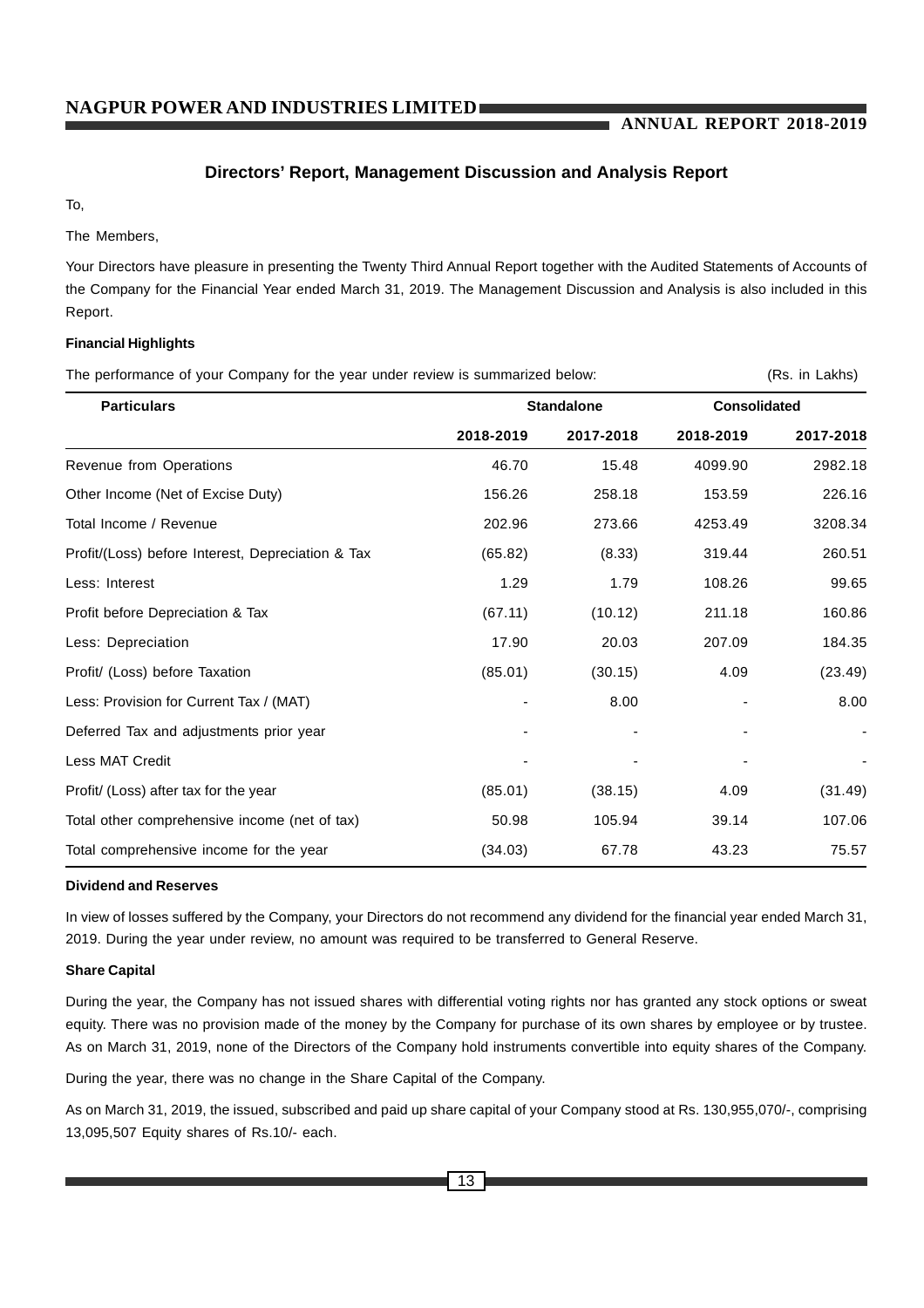### **Directors' Report, Management Discussion and Analysis Report**

To,

The Members,

Your Directors have pleasure in presenting the Twenty Third Annual Report together with the Audited Statements of Accounts of the Company for the Financial Year ended March 31, 2019. The Management Discussion and Analysis is also included in this Report.

#### **Financial Highlights**

| The performance of your Company for the year under review is summarized below:<br>(Rs. in Lakhs) |                   |           |                     |           |
|--------------------------------------------------------------------------------------------------|-------------------|-----------|---------------------|-----------|
| <b>Particulars</b>                                                                               | <b>Standalone</b> |           | <b>Consolidated</b> |           |
|                                                                                                  | 2018-2019         | 2017-2018 | 2018-2019           | 2017-2018 |
| Revenue from Operations                                                                          | 46.70             | 15.48     | 4099.90             | 2982.18   |
| Other Income (Net of Excise Duty)                                                                | 156.26            | 258.18    | 153.59              | 226.16    |
| Total Income / Revenue                                                                           | 202.96            | 273.66    | 4253.49             | 3208.34   |
| Profit/(Loss) before Interest, Depreciation & Tax                                                | (65.82)           | (8.33)    | 319.44              | 260.51    |
| Less: Interest                                                                                   | 1.29              | 1.79      | 108.26              | 99.65     |
| Profit before Depreciation & Tax                                                                 | (67.11)           | (10.12)   | 211.18              | 160.86    |
| Less: Depreciation                                                                               | 17.90             | 20.03     | 207.09              | 184.35    |
| Profit/ (Loss) before Taxation                                                                   | (85.01)           | (30.15)   | 4.09                | (23.49)   |
| Less: Provision for Current Tax / (MAT)                                                          |                   | 8.00      |                     | 8.00      |
| Deferred Tax and adjustments prior year                                                          |                   |           |                     |           |
| Less MAT Credit                                                                                  |                   |           |                     |           |
| Profit/ (Loss) after tax for the year                                                            | (85.01)           | (38.15)   | 4.09                | (31.49)   |
| Total other comprehensive income (net of tax)                                                    | 50.98             | 105.94    | 39.14               | 107.06    |
| Total comprehensive income for the year                                                          | (34.03)           | 67.78     | 43.23               | 75.57     |

#### **Dividend and Reserves**

In view of losses suffered by the Company, your Directors do not recommend any dividend for the financial year ended March 31, 2019. During the year under review, no amount was required to be transferred to General Reserve.

#### **Share Capital**

During the year, the Company has not issued shares with differential voting rights nor has granted any stock options or sweat equity. There was no provision made of the money by the Company for purchase of its own shares by employee or by trustee. As on March 31, 2019, none of the Directors of the Company hold instruments convertible into equity shares of the Company.

During the year, there was no change in the Share Capital of the Company.

As on March 31, 2019, the issued, subscribed and paid up share capital of your Company stood at Rs. 130,955,070/-, comprising 13,095,507 Equity shares of Rs.10/- each.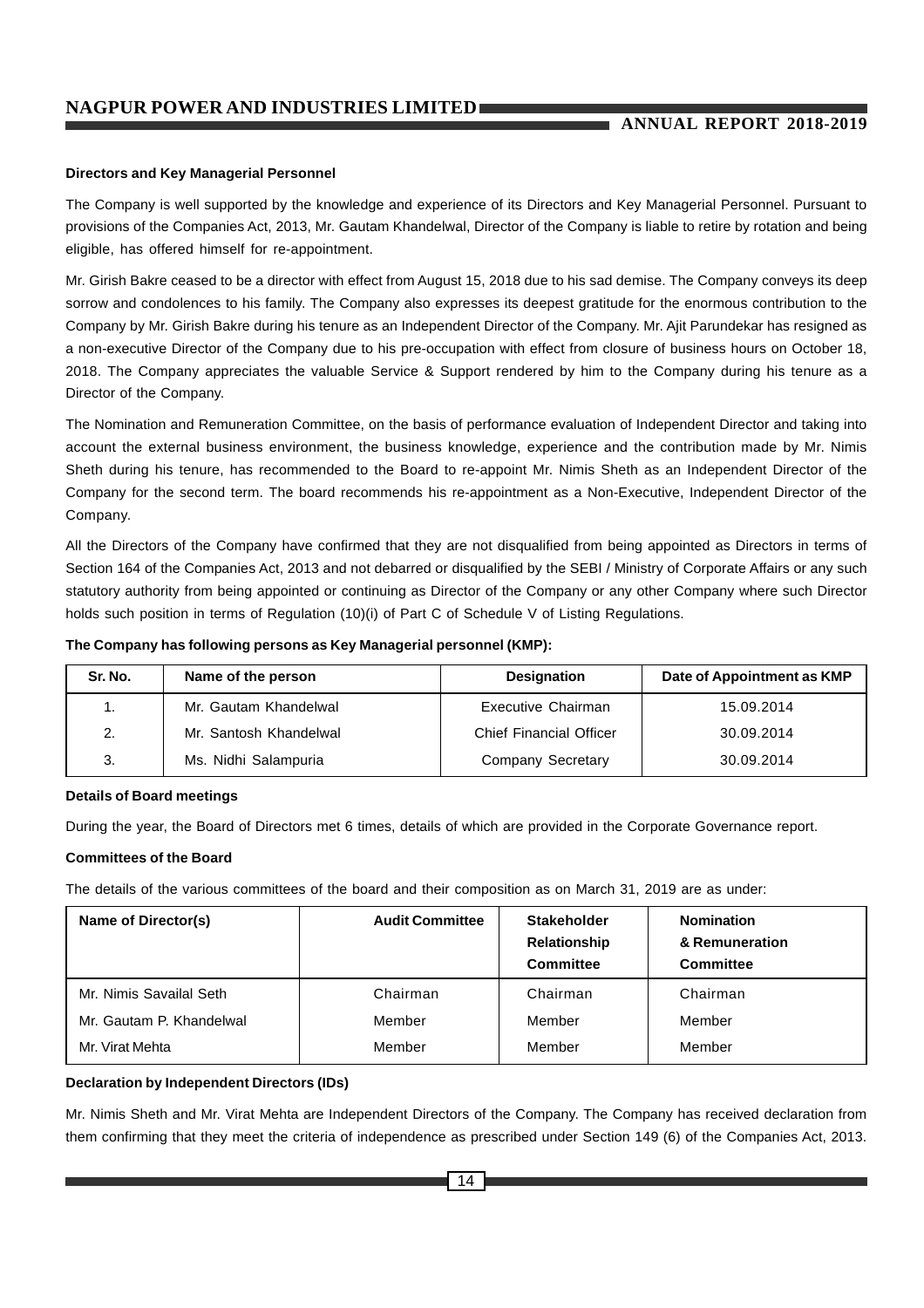#### **ANNUAL REPORT 2018-2019**

#### **Directors and Key Managerial Personnel**

The Company is well supported by the knowledge and experience of its Directors and Key Managerial Personnel. Pursuant to provisions of the Companies Act, 2013, Mr. Gautam Khandelwal, Director of the Company is liable to retire by rotation and being eligible, has offered himself for re-appointment.

Mr. Girish Bakre ceased to be a director with effect from August 15, 2018 due to his sad demise. The Company conveys its deep sorrow and condolences to his family. The Company also expresses its deepest gratitude for the enormous contribution to the Company by Mr. Girish Bakre during his tenure as an Independent Director of the Company. Mr. Ajit Parundekar has resigned as a non-executive Director of the Company due to his pre-occupation with effect from closure of business hours on October 18, 2018. The Company appreciates the valuable Service & Support rendered by him to the Company during his tenure as a Director of the Company.

The Nomination and Remuneration Committee, on the basis of performance evaluation of Independent Director and taking into account the external business environment, the business knowledge, experience and the contribution made by Mr. Nimis Sheth during his tenure, has recommended to the Board to re-appoint Mr. Nimis Sheth as an Independent Director of the Company for the second term. The board recommends his re-appointment as a Non-Executive, Independent Director of the Company.

All the Directors of the Company have confirmed that they are not disqualified from being appointed as Directors in terms of Section 164 of the Companies Act, 2013 and not debarred or disqualified by the SEBI / Ministry of Corporate Affairs or any such statutory authority from being appointed or continuing as Director of the Company or any other Company where such Director holds such position in terms of Regulation (10)(i) of Part C of Schedule V of Listing Regulations.

#### **The Company has following persons as Key Managerial personnel (KMP):**

| Sr. No. | Name of the person     | <b>Designation</b>             | Date of Appointment as KMP |
|---------|------------------------|--------------------------------|----------------------------|
| 1.      | Mr. Gautam Khandelwal  | Executive Chairman             | 15.09.2014                 |
| 2.      | Mr. Santosh Khandelwal | <b>Chief Financial Officer</b> | 30.09.2014                 |
| 3.      | Ms. Nidhi Salampuria   | Company Secretary              | 30.09.2014                 |

#### **Details of Board meetings**

During the year, the Board of Directors met 6 times, details of which are provided in the Corporate Governance report.

#### **Committees of the Board**

The details of the various committees of the board and their composition as on March 31, 2019 are as under:

| Name of Director(s)      | <b>Audit Committee</b> | <b>Stakeholder</b><br>Relationship<br><b>Committee</b> | <b>Nomination</b><br>& Remuneration<br><b>Committee</b> |
|--------------------------|------------------------|--------------------------------------------------------|---------------------------------------------------------|
| Mr. Nimis Savailal Seth  | Chairman               | Chairman                                               | Chairman                                                |
| Mr. Gautam P. Khandelwal | Member                 | Member                                                 | Member                                                  |
| Mr. Virat Mehta          | Member                 | Member                                                 | Member                                                  |

#### **Declaration by Independent Directors (IDs)**

Mr. Nimis Sheth and Mr. Virat Mehta are Independent Directors of the Company. The Company has received declaration from them confirming that they meet the criteria of independence as prescribed under Section 149 (6) of the Companies Act, 2013.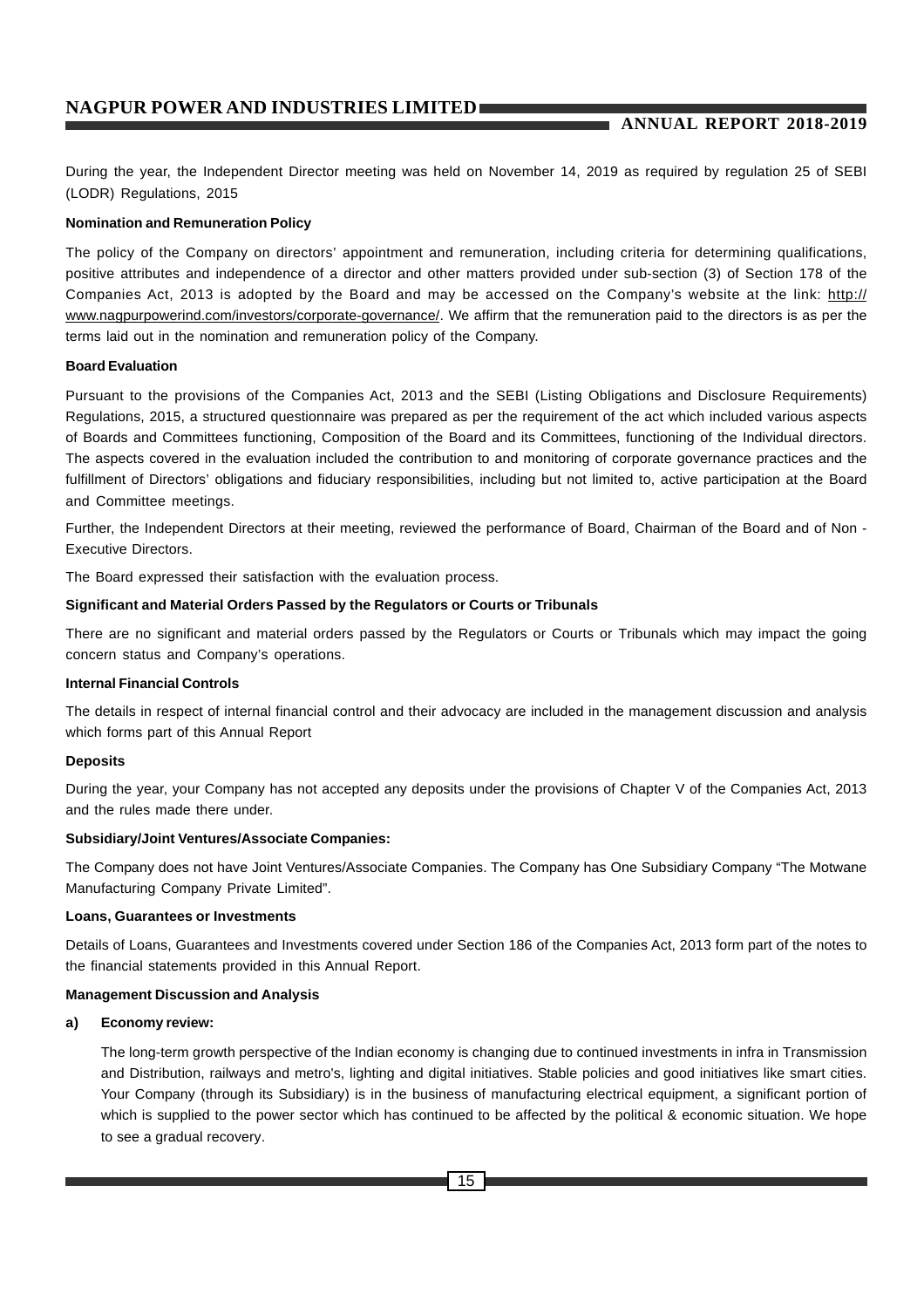#### **ANNUAL REPORT 2018-2019**

During the year, the Independent Director meeting was held on November 14, 2019 as required by regulation 25 of SEBI (LODR) Regulations, 2015

#### **Nomination and Remuneration Policy**

The policy of the Company on directors' appointment and remuneration, including criteria for determining qualifications, positive attributes and independence of a director and other matters provided under sub-section (3) of Section 178 of the Companies Act, 2013 is adopted by the Board and may be accessed on the Company's website at the link: http:// www.nagpurpowerind.com/investors/corporate-governance/. We affirm that the remuneration paid to the directors is as per the terms laid out in the nomination and remuneration policy of the Company.

#### **Board Evaluation**

Pursuant to the provisions of the Companies Act, 2013 and the SEBI (Listing Obligations and Disclosure Requirements) Regulations, 2015, a structured questionnaire was prepared as per the requirement of the act which included various aspects of Boards and Committees functioning, Composition of the Board and its Committees, functioning of the Individual directors. The aspects covered in the evaluation included the contribution to and monitoring of corporate governance practices and the fulfillment of Directors' obligations and fiduciary responsibilities, including but not limited to, active participation at the Board and Committee meetings.

Further, the Independent Directors at their meeting, reviewed the performance of Board, Chairman of the Board and of Non - Executive Directors.

The Board expressed their satisfaction with the evaluation process.

#### **Significant and Material Orders Passed by the Regulators or Courts or Tribunals**

There are no significant and material orders passed by the Regulators or Courts or Tribunals which may impact the going concern status and Company's operations.

#### **Internal Financial Controls**

The details in respect of internal financial control and their advocacy are included in the management discussion and analysis which forms part of this Annual Report

#### **Deposits**

During the year, your Company has not accepted any deposits under the provisions of Chapter V of the Companies Act, 2013 and the rules made there under.

#### **Subsidiary/Joint Ventures/Associate Companies:**

The Company does not have Joint Ventures/Associate Companies. The Company has One Subsidiary Company "The Motwane Manufacturing Company Private Limited".

#### **Loans, Guarantees or Investments**

Details of Loans, Guarantees and Investments covered under Section 186 of the Companies Act, 2013 form part of the notes to the financial statements provided in this Annual Report.

#### **Management Discussion and Analysis**

#### **a) Economy review:**

The long-term growth perspective of the Indian economy is changing due to continued investments in infra in Transmission and Distribution, railways and metro's, lighting and digital initiatives. Stable policies and good initiatives like smart cities. Your Company (through its Subsidiary) is in the business of manufacturing electrical equipment, a significant portion of which is supplied to the power sector which has continued to be affected by the political & economic situation. We hope to see a gradual recovery.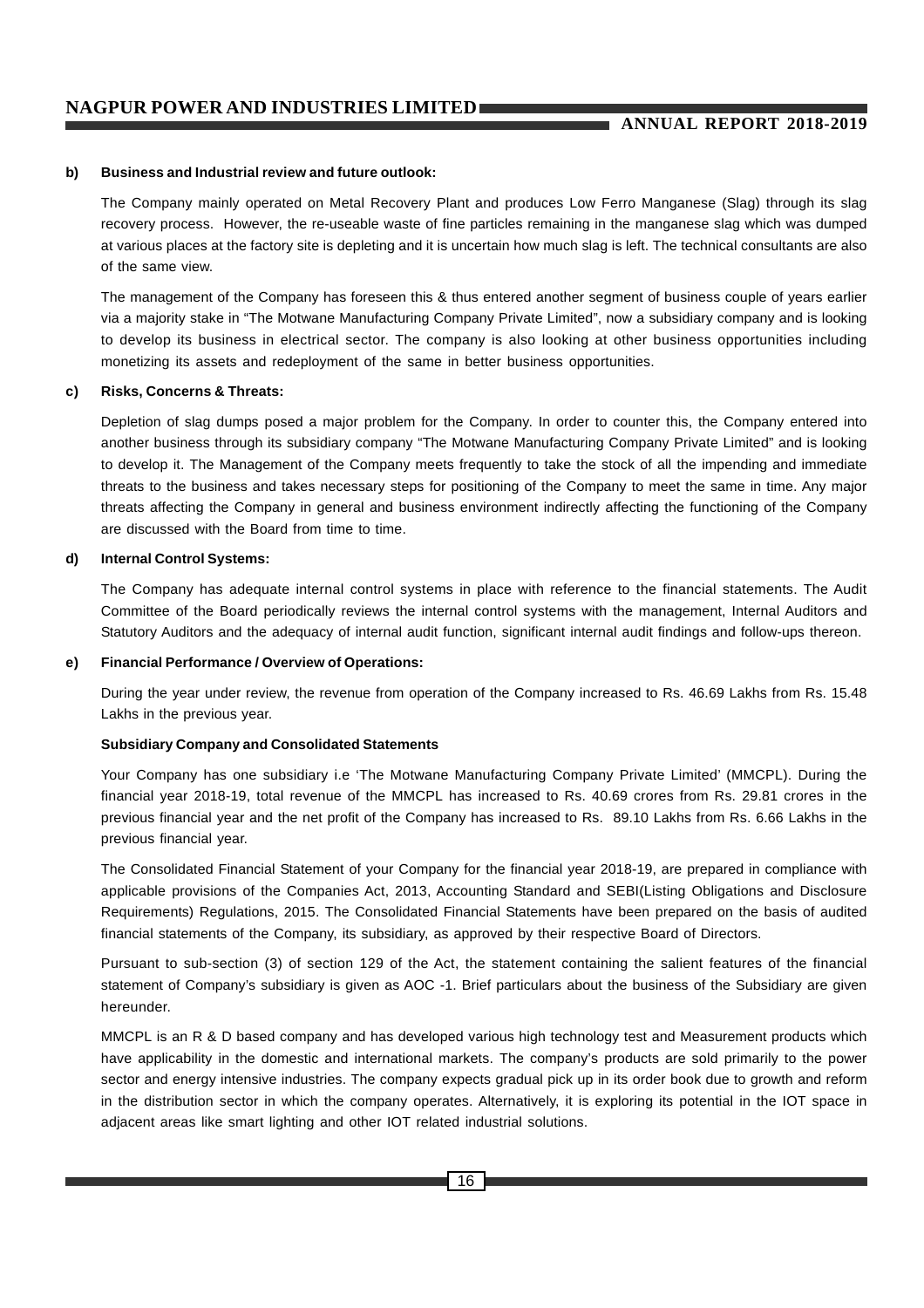#### **b) Business and Industrial review and future outlook:**

The Company mainly operated on Metal Recovery Plant and produces Low Ferro Manganese (Slag) through its slag recovery process. However, the re-useable waste of fine particles remaining in the manganese slag which was dumped at various places at the factory site is depleting and it is uncertain how much slag is left. The technical consultants are also of the same view.

The management of the Company has foreseen this & thus entered another segment of business couple of years earlier via a majority stake in "The Motwane Manufacturing Company Private Limited", now a subsidiary company and is looking to develop its business in electrical sector. The company is also looking at other business opportunities including monetizing its assets and redeployment of the same in better business opportunities.

#### **c) Risks, Concerns & Threats:**

Depletion of slag dumps posed a major problem for the Company. In order to counter this, the Company entered into another business through its subsidiary company "The Motwane Manufacturing Company Private Limited" and is looking to develop it. The Management of the Company meets frequently to take the stock of all the impending and immediate threats to the business and takes necessary steps for positioning of the Company to meet the same in time. Any major threats affecting the Company in general and business environment indirectly affecting the functioning of the Company are discussed with the Board from time to time.

#### **d) Internal Control Systems:**

The Company has adequate internal control systems in place with reference to the financial statements. The Audit Committee of the Board periodically reviews the internal control systems with the management, Internal Auditors and Statutory Auditors and the adequacy of internal audit function, significant internal audit findings and follow-ups thereon.

#### **e) Financial Performance / Overview of Operations:**

During the year under review, the revenue from operation of the Company increased to Rs. 46.69 Lakhs from Rs. 15.48 Lakhs in the previous year.

#### **Subsidiary Company and Consolidated Statements**

Your Company has one subsidiary i.e 'The Motwane Manufacturing Company Private Limited' (MMCPL). During the financial year 2018-19, total revenue of the MMCPL has increased to Rs. 40.69 crores from Rs. 29.81 crores in the previous financial year and the net profit of the Company has increased to Rs. 89.10 Lakhs from Rs. 6.66 Lakhs in the previous financial year.

The Consolidated Financial Statement of your Company for the financial year 2018-19, are prepared in compliance with applicable provisions of the Companies Act, 2013, Accounting Standard and SEBI(Listing Obligations and Disclosure Requirements) Regulations, 2015. The Consolidated Financial Statements have been prepared on the basis of audited financial statements of the Company, its subsidiary, as approved by their respective Board of Directors.

Pursuant to sub-section (3) of section 129 of the Act, the statement containing the salient features of the financial statement of Company's subsidiary is given as AOC -1. Brief particulars about the business of the Subsidiary are given hereunder.

MMCPL is an R & D based company and has developed various high technology test and Measurement products which have applicability in the domestic and international markets. The company's products are sold primarily to the power sector and energy intensive industries. The company expects gradual pick up in its order book due to growth and reform in the distribution sector in which the company operates. Alternatively, it is exploring its potential in the IOT space in adjacent areas like smart lighting and other IOT related industrial solutions.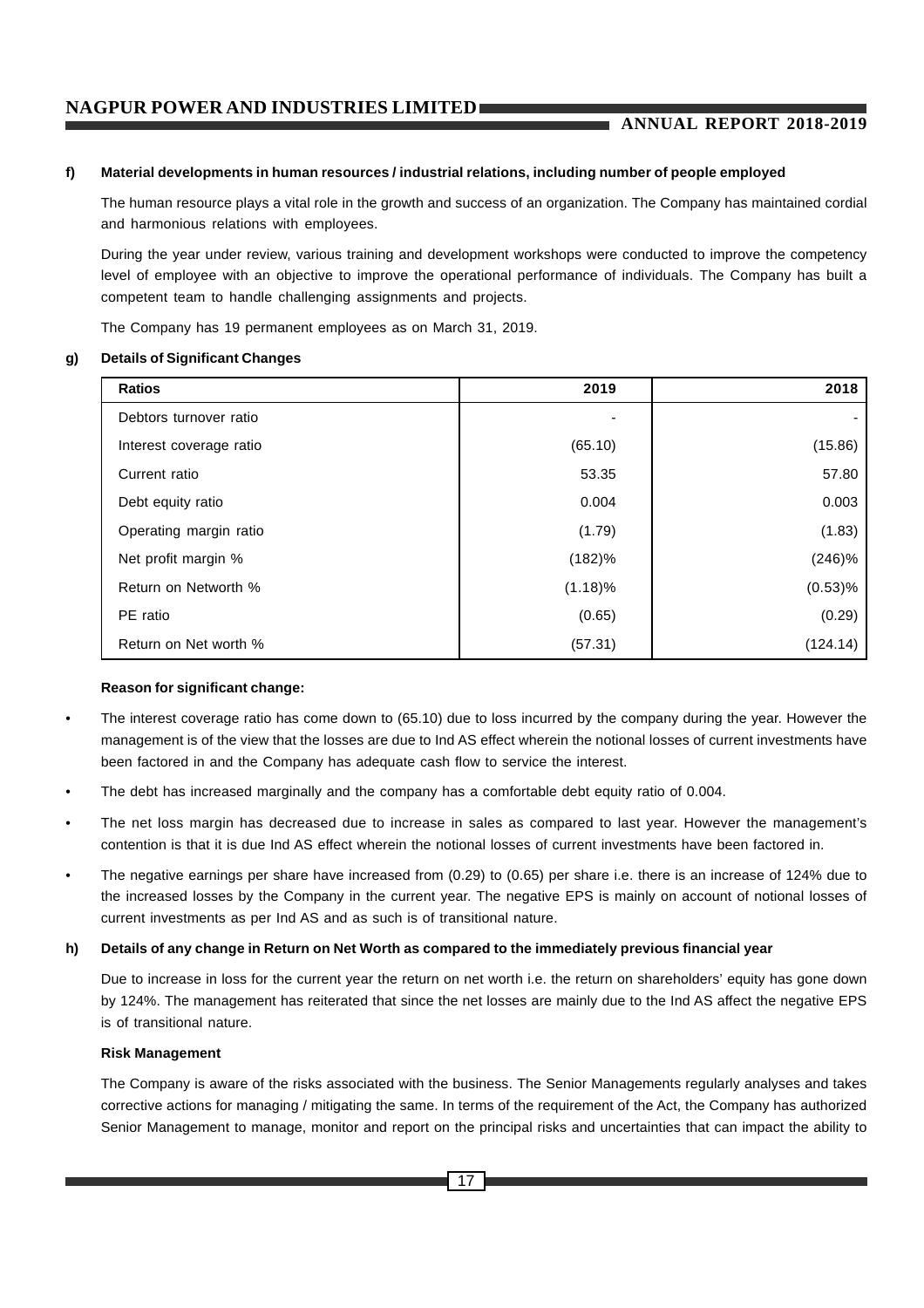#### **f) Material developments in human resources / industrial relations, including number of people employed**

The human resource plays a vital role in the growth and success of an organization. The Company has maintained cordial and harmonious relations with employees.

During the year under review, various training and development workshops were conducted to improve the competency level of employee with an objective to improve the operational performance of individuals. The Company has built a competent team to handle challenging assignments and projects.

The Company has 19 permanent employees as on March 31, 2019.

#### **g) Details of Significant Changes**

| <b>Ratios</b>           | 2019       | 2018      |
|-------------------------|------------|-----------|
| Debtors turnover ratio  |            |           |
| Interest coverage ratio | (65.10)    | (15.86)   |
| Current ratio           | 53.35      | 57.80     |
| Debt equity ratio       | 0.004      | 0.003     |
| Operating margin ratio  | (1.79)     | (1.83)    |
| Net profit margin %     | (182)%     | $(246)\%$ |
| Return on Networth %    | $(1.18)\%$ | (0.53)%   |
| PE ratio                | (0.65)     | (0.29)    |
| Return on Net worth %   | (57.31)    | (124.14)  |

#### **Reason for significant change:**

- The interest coverage ratio has come down to (65.10) due to loss incurred by the company during the year. However the management is of the view that the losses are due to Ind AS effect wherein the notional losses of current investments have been factored in and the Company has adequate cash flow to service the interest.
- The debt has increased marginally and the company has a comfortable debt equity ratio of 0.004.
- The net loss margin has decreased due to increase in sales as compared to last year. However the management's contention is that it is due Ind AS effect wherein the notional losses of current investments have been factored in.
- The negative earnings per share have increased from (0.29) to (0.65) per share i.e. there is an increase of 124% due to the increased losses by the Company in the current year. The negative EPS is mainly on account of notional losses of current investments as per Ind AS and as such is of transitional nature.

#### **h) Details of any change in Return on Net Worth as compared to the immediately previous financial year**

Due to increase in loss for the current year the return on net worth i.e. the return on shareholders' equity has gone down by 124%. The management has reiterated that since the net losses are mainly due to the Ind AS affect the negative EPS is of transitional nature.

#### **Risk Management**

The Company is aware of the risks associated with the business. The Senior Managements regularly analyses and takes corrective actions for managing / mitigating the same. In terms of the requirement of the Act, the Company has authorized Senior Management to manage, monitor and report on the principal risks and uncertainties that can impact the ability to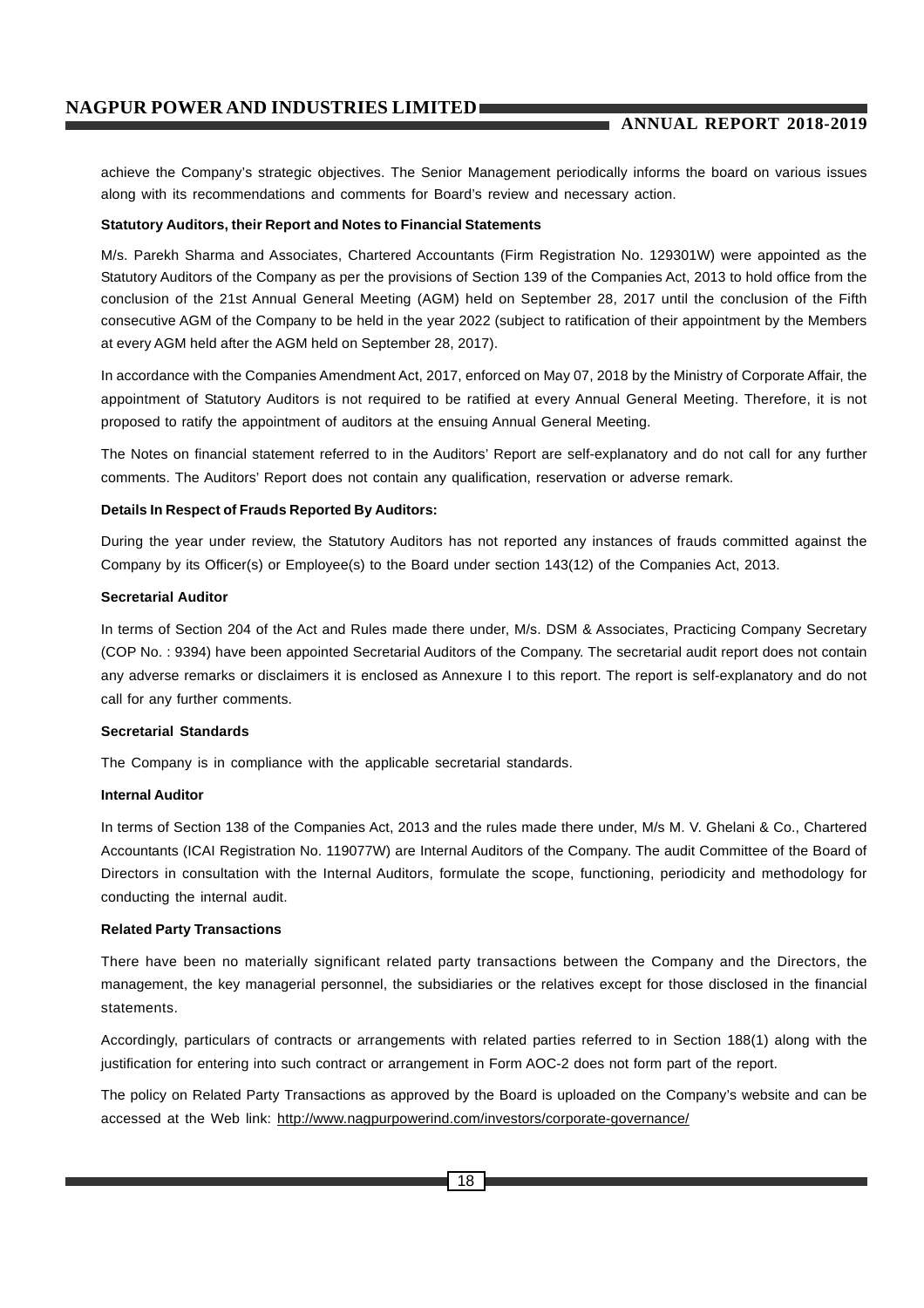#### **ANNUAL REPORT 2018-2019**

achieve the Company's strategic objectives. The Senior Management periodically informs the board on various issues along with its recommendations and comments for Board's review and necessary action.

#### **Statutory Auditors, their Report and Notes to Financial Statements**

M/s. Parekh Sharma and Associates, Chartered Accountants (Firm Registration No. 129301W) were appointed as the Statutory Auditors of the Company as per the provisions of Section 139 of the Companies Act, 2013 to hold office from the conclusion of the 21st Annual General Meeting (AGM) held on September 28, 2017 until the conclusion of the Fifth consecutive AGM of the Company to be held in the year 2022 (subject to ratification of their appointment by the Members at every AGM held after the AGM held on September 28, 2017).

In accordance with the Companies Amendment Act, 2017, enforced on May 07, 2018 by the Ministry of Corporate Affair, the appointment of Statutory Auditors is not required to be ratified at every Annual General Meeting. Therefore, it is not proposed to ratify the appointment of auditors at the ensuing Annual General Meeting.

The Notes on financial statement referred to in the Auditors' Report are self-explanatory and do not call for any further comments. The Auditors' Report does not contain any qualification, reservation or adverse remark.

#### **Details In Respect of Frauds Reported By Auditors:**

During the year under review, the Statutory Auditors has not reported any instances of frauds committed against the Company by its Officer(s) or Employee(s) to the Board under section 143(12) of the Companies Act, 2013.

#### **Secretarial Auditor**

In terms of Section 204 of the Act and Rules made there under, M/s. DSM & Associates, Practicing Company Secretary (COP No. : 9394) have been appointed Secretarial Auditors of the Company. The secretarial audit report does not contain any adverse remarks or disclaimers it is enclosed as Annexure I to this report. The report is self-explanatory and do not call for any further comments.

#### **Secretarial Standards**

The Company is in compliance with the applicable secretarial standards.

#### **Internal Auditor**

In terms of Section 138 of the Companies Act, 2013 and the rules made there under, M/s M. V. Ghelani & Co., Chartered Accountants (ICAI Registration No. 119077W) are Internal Auditors of the Company. The audit Committee of the Board of Directors in consultation with the Internal Auditors, formulate the scope, functioning, periodicity and methodology for conducting the internal audit.

#### **Related Party Transactions**

There have been no materially significant related party transactions between the Company and the Directors, the management, the key managerial personnel, the subsidiaries or the relatives except for those disclosed in the financial statements.

Accordingly, particulars of contracts or arrangements with related parties referred to in Section 188(1) along with the justification for entering into such contract or arrangement in Form AOC-2 does not form part of the report.

The policy on Related Party Transactions as approved by the Board is uploaded on the Company's website and can be accessed at the Web link: http://www.nagpurpowerind.com/investors/corporate-governance/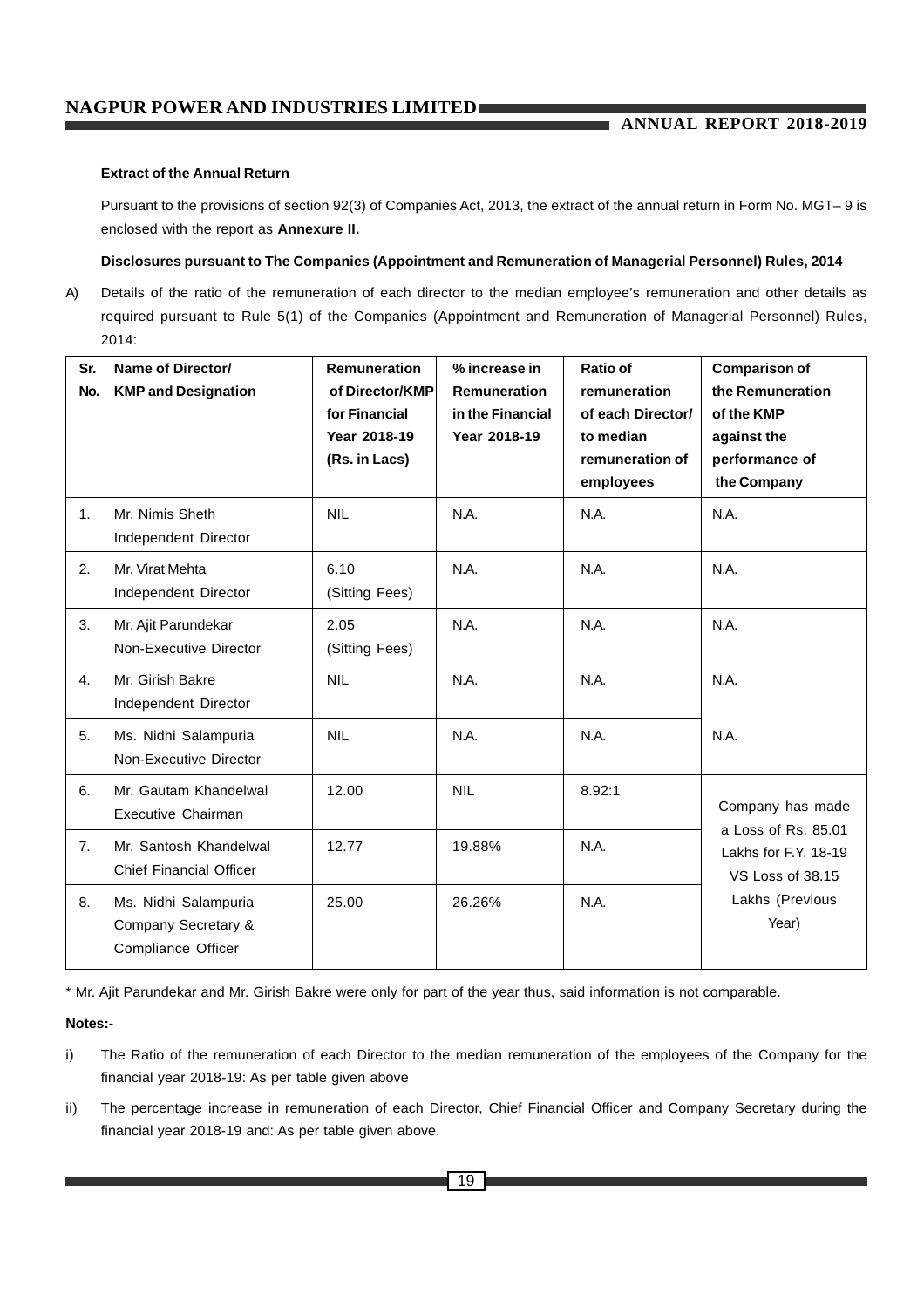#### **Extract of the Annual Return**

Pursuant to the provisions of section 92(3) of Companies Act, 2013, the extract of the annual return in Form No. MGT– 9 is enclosed with the report as **Annexure II.**

#### **Disclosures pursuant to The Companies (Appointment and Remuneration of Managerial Personnel) Rules, 2014**

A) Details of the ratio of the remuneration of each director to the median employee's remuneration and other details as required pursuant to Rule 5(1) of the Companies (Appointment and Remuneration of Managerial Personnel) Rules, 2014:

| Sr.<br>No.     | Name of Director/<br><b>KMP and Designation</b>                   | <b>Remuneration</b><br>of Director/KMP<br>for Financial<br>Year 2018-19<br>(Rs. in Lacs) | % increase in<br><b>Remuneration</b><br>in the Financial<br>Year 2018-19 | Ratio of<br>remuneration<br>of each Director/<br>to median<br>remuneration of<br>employees | <b>Comparison of</b><br>the Remuneration<br>of the KMP<br>against the<br>performance of<br>the Company |
|----------------|-------------------------------------------------------------------|------------------------------------------------------------------------------------------|--------------------------------------------------------------------------|--------------------------------------------------------------------------------------------|--------------------------------------------------------------------------------------------------------|
| 1 <sub>1</sub> | Mr. Nimis Sheth<br>Independent Director                           | <b>NIL</b>                                                                               | N.A.                                                                     | N.A.                                                                                       | N.A.                                                                                                   |
| 2.             | Mr. Virat Mehta<br>Independent Director                           | 6.10<br>(Sitting Fees)                                                                   | N.A.                                                                     | N.A.                                                                                       | N.A.                                                                                                   |
| 3.             | Mr. Ajit Parundekar<br>Non-Executive Director                     | 2.05<br>(Sitting Fees)                                                                   | N.A.                                                                     | N.A.                                                                                       | N.A.                                                                                                   |
| 4.             | Mr. Girish Bakre<br>Independent Director                          | <b>NIL</b>                                                                               | N.A.                                                                     | N.A.                                                                                       | N.A.                                                                                                   |
| 5.             | Ms. Nidhi Salampuria<br>Non-Executive Director                    | <b>NIL</b>                                                                               | N.A.                                                                     | N.A.                                                                                       | N.A.                                                                                                   |
| 6.             | Mr. Gautam Khandelwal<br>Executive Chairman                       | 12.00                                                                                    | <b>NIL</b>                                                               | 8.92:1                                                                                     | Company has made                                                                                       |
| 7.             | Mr. Santosh Khandelwal<br><b>Chief Financial Officer</b>          | 12.77                                                                                    | 19.88%                                                                   | N.A.                                                                                       | a Loss of Rs. 85.01<br>Lakhs for F.Y. 18-19<br>VS Loss of 38.15                                        |
| 8.             | Ms. Nidhi Salampuria<br>Company Secretary &<br>Compliance Officer | 25.00                                                                                    | 26.26%                                                                   | N.A.                                                                                       | Lakhs (Previous<br>Year)                                                                               |

\* Mr. Ajit Parundekar and Mr. Girish Bakre were only for part of the year thus, said information is not comparable.

#### **Notes:-**

- i) The Ratio of the remuneration of each Director to the median remuneration of the employees of the Company for the financial year 2018-19: As per table given above
- ii) The percentage increase in remuneration of each Director, Chief Financial Officer and Company Secretary during the financial year 2018-19 and: As per table given above.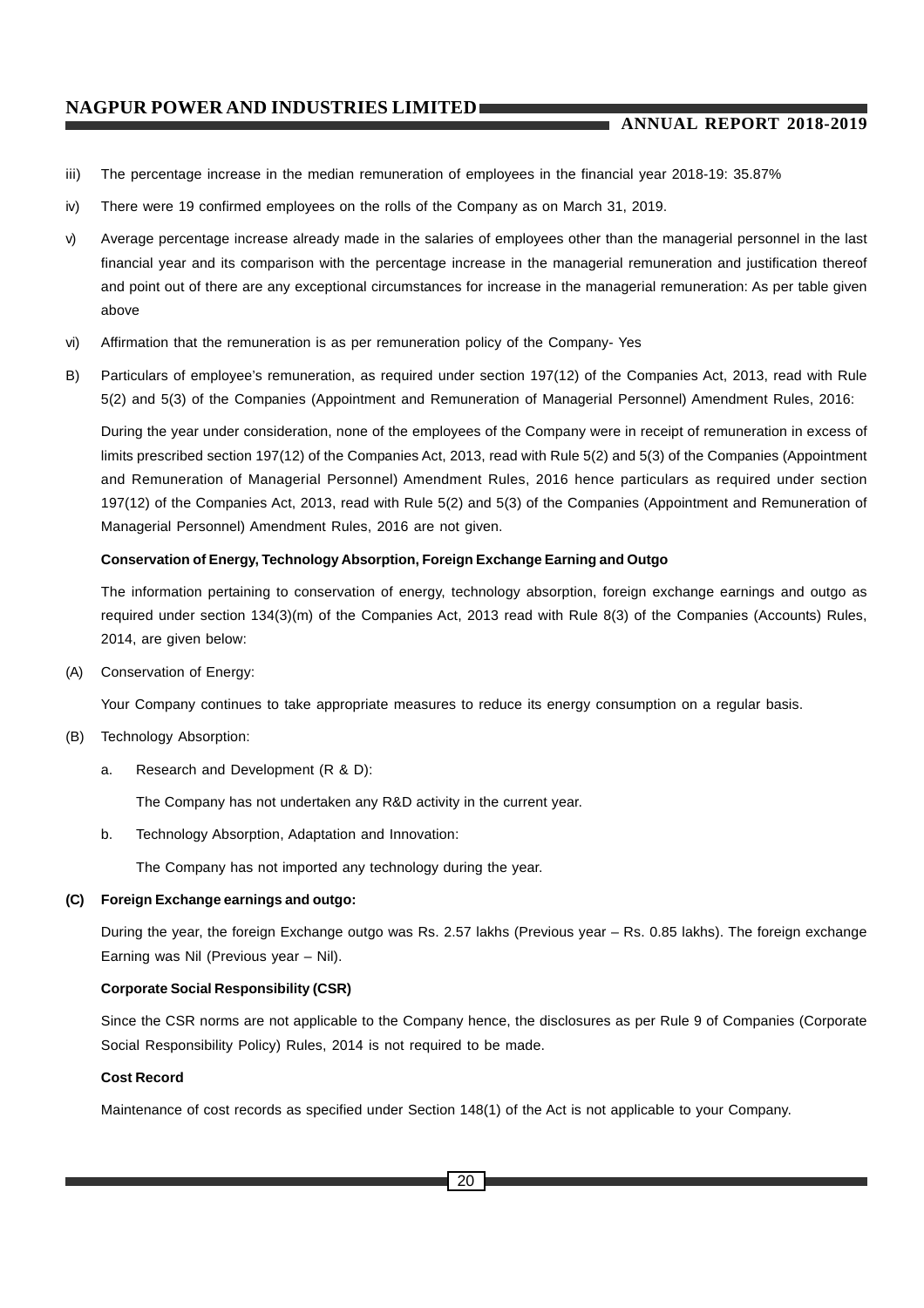#### **ANNUAL REPORT 2018-2019**

- iii) The percentage increase in the median remuneration of employees in the financial year 2018-19: 35.87%
- iv) There were 19 confirmed employees on the rolls of the Company as on March 31, 2019.
- v) Average percentage increase already made in the salaries of employees other than the managerial personnel in the last financial year and its comparison with the percentage increase in the managerial remuneration and justification thereof and point out of there are any exceptional circumstances for increase in the managerial remuneration: As per table given above
- vi) Affirmation that the remuneration is as per remuneration policy of the Company- Yes
- B) Particulars of employee's remuneration, as required under section 197(12) of the Companies Act, 2013, read with Rule 5(2) and 5(3) of the Companies (Appointment and Remuneration of Managerial Personnel) Amendment Rules, 2016:

During the year under consideration, none of the employees of the Company were in receipt of remuneration in excess of limits prescribed section 197(12) of the Companies Act, 2013, read with Rule 5(2) and 5(3) of the Companies (Appointment and Remuneration of Managerial Personnel) Amendment Rules, 2016 hence particulars as required under section 197(12) of the Companies Act, 2013, read with Rule 5(2) and 5(3) of the Companies (Appointment and Remuneration of Managerial Personnel) Amendment Rules, 2016 are not given.

#### **Conservation of Energy, Technology Absorption, Foreign Exchange Earning and Outgo**

The information pertaining to conservation of energy, technology absorption, foreign exchange earnings and outgo as required under section 134(3)(m) of the Companies Act, 2013 read with Rule 8(3) of the Companies (Accounts) Rules, 2014, are given below:

(A) Conservation of Energy:

Your Company continues to take appropriate measures to reduce its energy consumption on a regular basis.

- (B) Technology Absorption:
	- a. Research and Development (R & D):

The Company has not undertaken any R&D activity in the current year.

b. Technology Absorption, Adaptation and Innovation:

The Company has not imported any technology during the year.

#### **(C) Foreign Exchange earnings and outgo:**

During the year, the foreign Exchange outgo was Rs. 2.57 lakhs (Previous year – Rs. 0.85 lakhs). The foreign exchange Earning was Nil (Previous year – Nil).

#### **Corporate Social Responsibility (CSR)**

Since the CSR norms are not applicable to the Company hence, the disclosures as per Rule 9 of Companies (Corporate Social Responsibility Policy) Rules, 2014 is not required to be made.

#### **Cost Record**

Maintenance of cost records as specified under Section 148(1) of the Act is not applicable to your Company.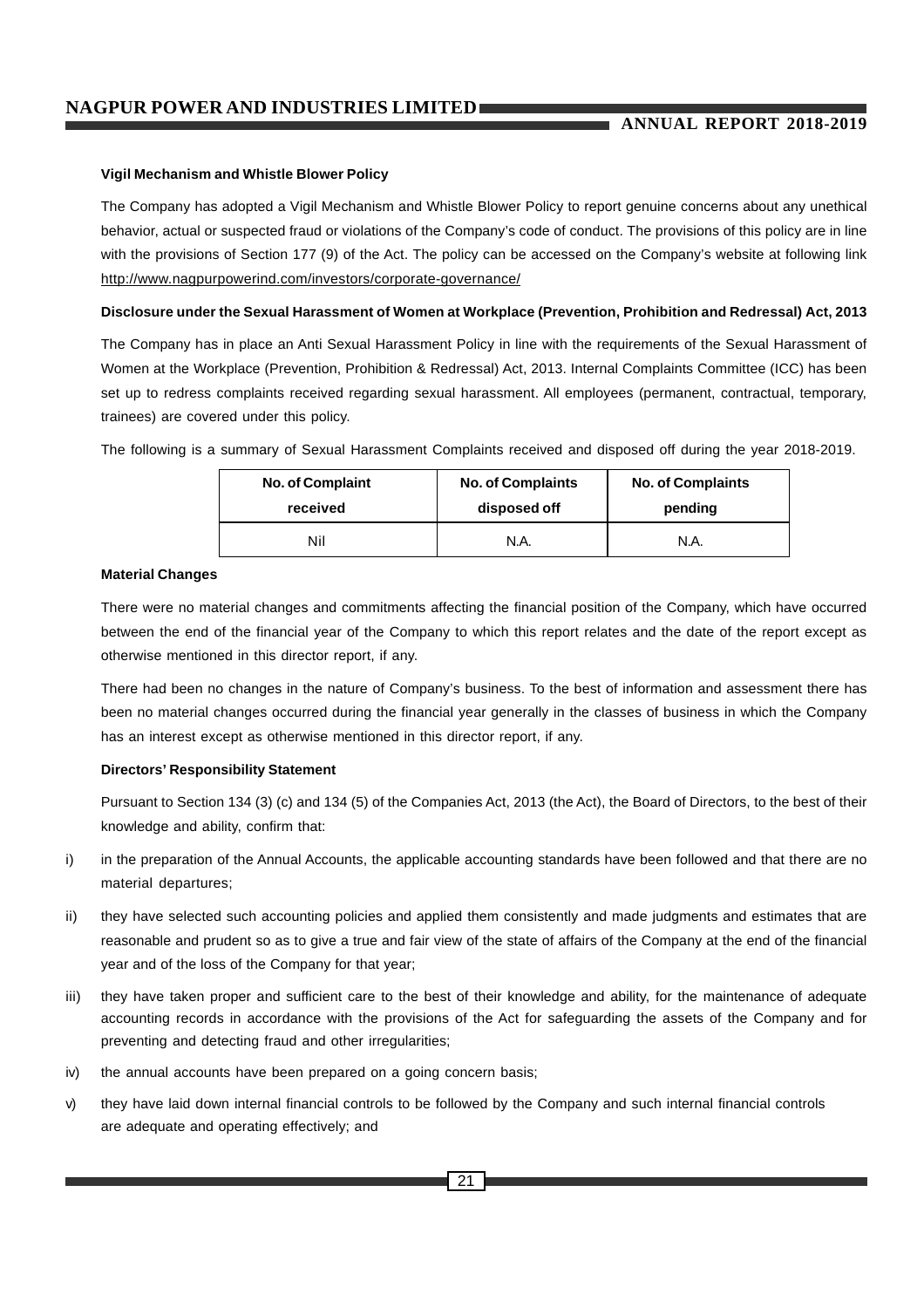#### **ANNUAL REPORT 2018-2019**

#### **Vigil Mechanism and Whistle Blower Policy**

The Company has adopted a Vigil Mechanism and Whistle Blower Policy to report genuine concerns about any unethical behavior, actual or suspected fraud or violations of the Company's code of conduct. The provisions of this policy are in line with the provisions of Section 177 (9) of the Act. The policy can be accessed on the Company's website at following link http://www.nagpurpowerind.com/investors/corporate-governance/

#### **Disclosure under the Sexual Harassment of Women at Workplace (Prevention, Prohibition and Redressal) Act, 2013**

The Company has in place an Anti Sexual Harassment Policy in line with the requirements of the Sexual Harassment of Women at the Workplace (Prevention, Prohibition & Redressal) Act, 2013. Internal Complaints Committee (ICC) has been set up to redress complaints received regarding sexual harassment. All employees (permanent, contractual, temporary, trainees) are covered under this policy.

The following is a summary of Sexual Harassment Complaints received and disposed off during the year 2018-2019.

| <b>No. of Complaint</b> | <b>No. of Complaints</b> | <b>No. of Complaints</b> |
|-------------------------|--------------------------|--------------------------|
| received                | disposed off             | pending                  |
| Nil                     | N.A.                     | N.A.                     |

#### **Material Changes**

There were no material changes and commitments affecting the financial position of the Company, which have occurred between the end of the financial year of the Company to which this report relates and the date of the report except as otherwise mentioned in this director report, if any.

There had been no changes in the nature of Company's business. To the best of information and assessment there has been no material changes occurred during the financial year generally in the classes of business in which the Company has an interest except as otherwise mentioned in this director report, if any.

#### **Directors' Responsibility Statement**

Pursuant to Section 134 (3) (c) and 134 (5) of the Companies Act, 2013 (the Act), the Board of Directors, to the best of their knowledge and ability, confirm that:

- i) in the preparation of the Annual Accounts, the applicable accounting standards have been followed and that there are no material departures;
- ii) they have selected such accounting policies and applied them consistently and made judgments and estimates that are reasonable and prudent so as to give a true and fair view of the state of affairs of the Company at the end of the financial year and of the loss of the Company for that year;
- iii) they have taken proper and sufficient care to the best of their knowledge and ability, for the maintenance of adequate accounting records in accordance with the provisions of the Act for safeguarding the assets of the Company and for preventing and detecting fraud and other irregularities;
- iv) the annual accounts have been prepared on a going concern basis;
- v) they have laid down internal financial controls to be followed by the Company and such internal financial controls are adequate and operating effectively; and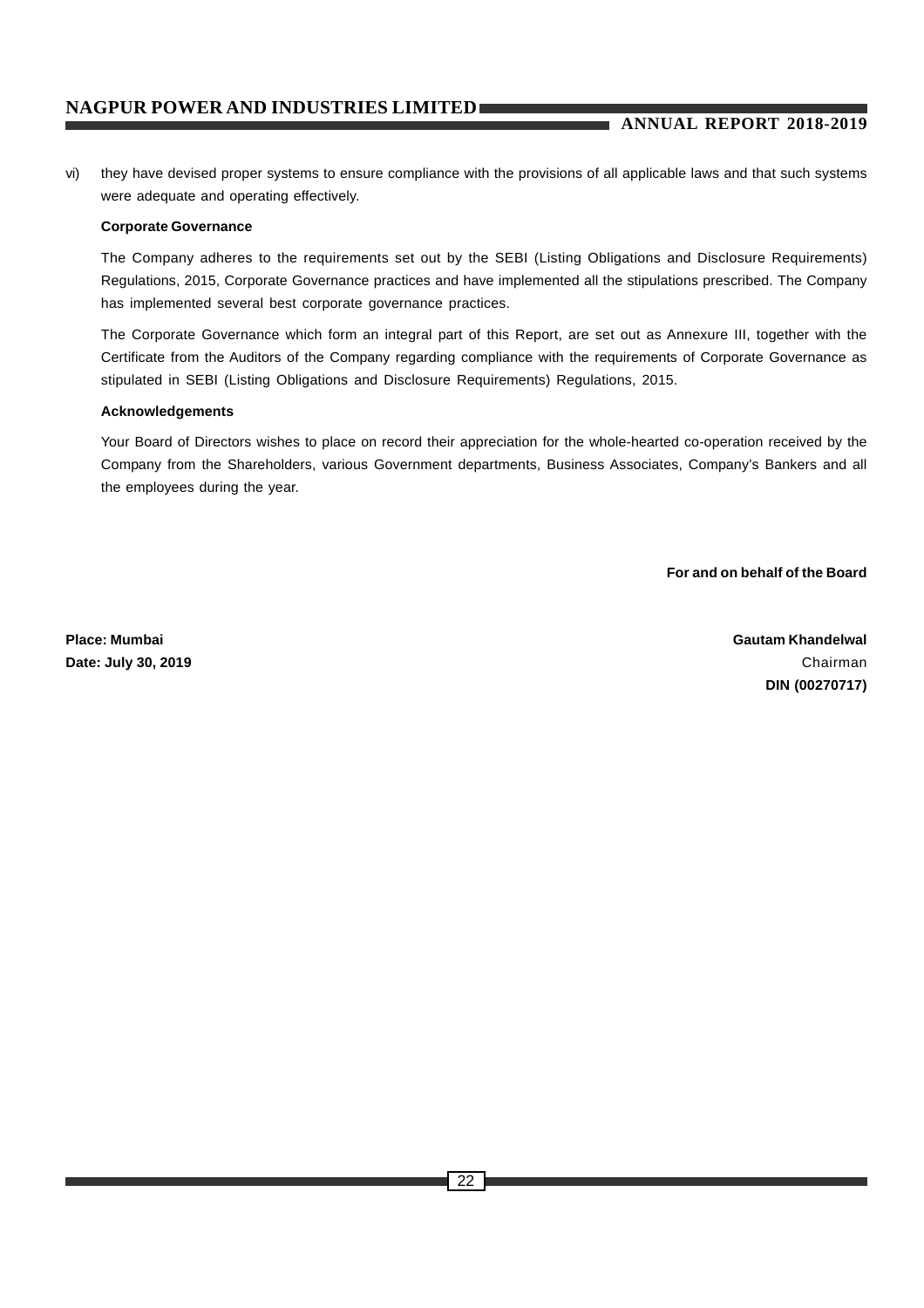#### **ANNUAL REPORT 2018-2019**

vi) they have devised proper systems to ensure compliance with the provisions of all applicable laws and that such systems were adequate and operating effectively.

#### **Corporate Governance**

The Company adheres to the requirements set out by the SEBI (Listing Obligations and Disclosure Requirements) Regulations, 2015, Corporate Governance practices and have implemented all the stipulations prescribed. The Company has implemented several best corporate governance practices.

The Corporate Governance which form an integral part of this Report, are set out as Annexure III, together with the Certificate from the Auditors of the Company regarding compliance with the requirements of Corporate Governance as stipulated in SEBI (Listing Obligations and Disclosure Requirements) Regulations, 2015.

#### **Acknowledgements**

Your Board of Directors wishes to place on record their appreciation for the whole-hearted co-operation received by the Company from the Shareholders, various Government departments, Business Associates, Company's Bankers and all the employees during the year.

**For and on behalf of the Board**

**Place: Mumbai Gautam Khandelwal Date: July 30, 2019** Chairman Chairman Chairman Chairman Chairman Chairman Chairman Chairman Chairman Chairman **DIN (00270717)**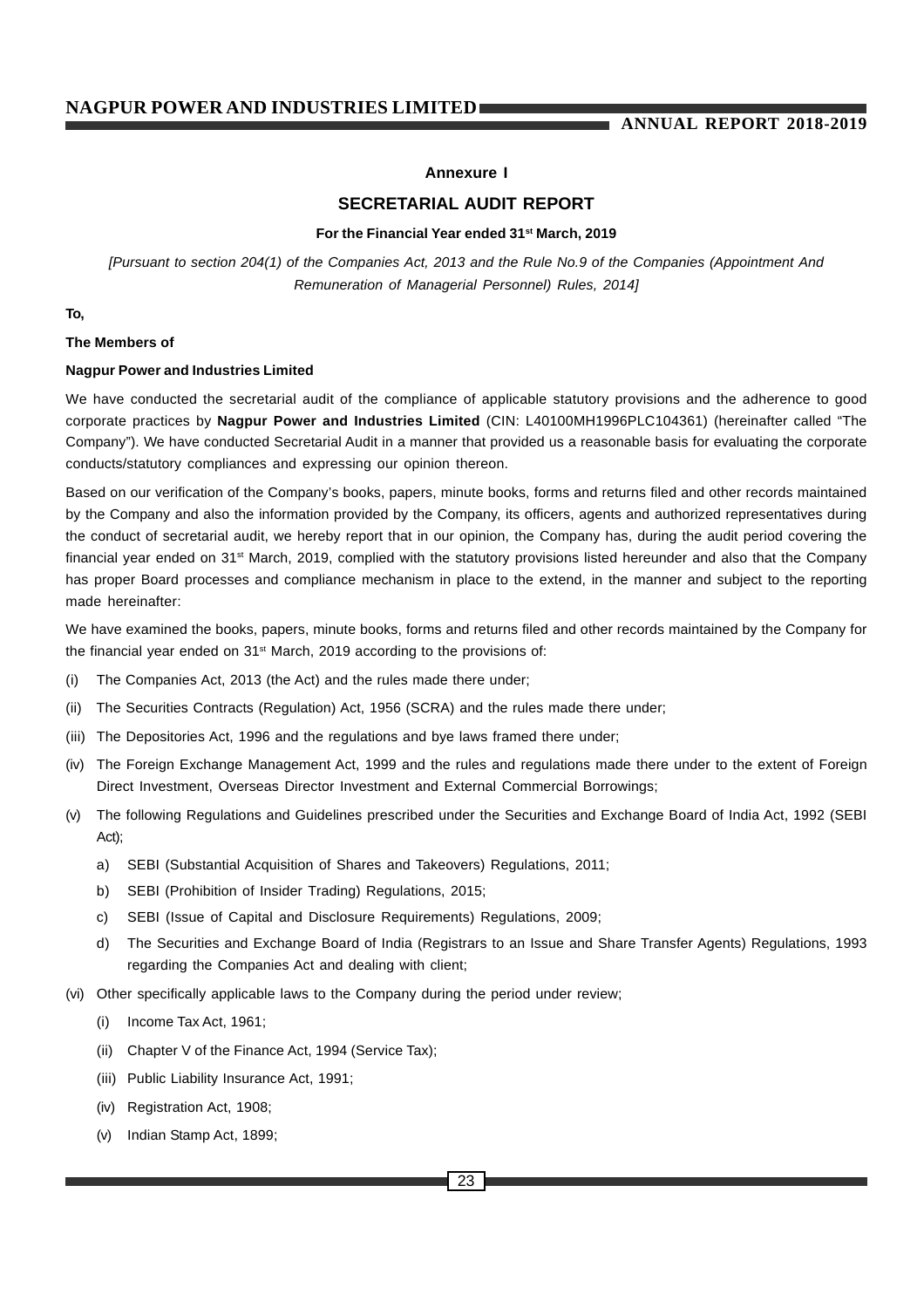#### **Annexure I**

#### **SECRETARIAL AUDIT REPORT**

#### **For the Financial Year ended 31st March, 2019**

*[Pursuant to section 204(1) of the Companies Act, 2013 and the Rule No.9 of the Companies (Appointment And Remuneration of Managerial Personnel) Rules, 2014]*

#### **To,**

#### **The Members of**

#### **Nagpur Power and Industries Limited**

We have conducted the secretarial audit of the compliance of applicable statutory provisions and the adherence to good corporate practices by **Nagpur Power and Industries Limited** (CIN: L40100MH1996PLC104361) (hereinafter called "The Company"). We have conducted Secretarial Audit in a manner that provided us a reasonable basis for evaluating the corporate conducts/statutory compliances and expressing our opinion thereon.

Based on our verification of the Company's books, papers, minute books, forms and returns filed and other records maintained by the Company and also the information provided by the Company, its officers, agents and authorized representatives during the conduct of secretarial audit, we hereby report that in our opinion, the Company has, during the audit period covering the financial year ended on 31st March, 2019, complied with the statutory provisions listed hereunder and also that the Company has proper Board processes and compliance mechanism in place to the extend, in the manner and subject to the reporting made hereinafter:

We have examined the books, papers, minute books, forms and returns filed and other records maintained by the Company for the financial year ended on 31<sup>st</sup> March, 2019 according to the provisions of:

- (i) The Companies Act, 2013 (the Act) and the rules made there under;
- (ii) The Securities Contracts (Regulation) Act, 1956 (SCRA) and the rules made there under;
- (iii) The Depositories Act, 1996 and the regulations and bye laws framed there under;
- (iv) The Foreign Exchange Management Act, 1999 and the rules and regulations made there under to the extent of Foreign Direct Investment, Overseas Director Investment and External Commercial Borrowings;
- (v) The following Regulations and Guidelines prescribed under the Securities and Exchange Board of India Act, 1992 (SEBI Act);
	- a) SEBI (Substantial Acquisition of Shares and Takeovers) Regulations, 2011;
	- b) SEBI (Prohibition of Insider Trading) Regulations, 2015;
	- c) SEBI (Issue of Capital and Disclosure Requirements) Regulations, 2009;
	- d) The Securities and Exchange Board of India (Registrars to an Issue and Share Transfer Agents) Regulations, 1993 regarding the Companies Act and dealing with client;
- (vi) Other specifically applicable laws to the Company during the period under review;
	- (i) Income Tax Act, 1961;
	- (ii) Chapter V of the Finance Act, 1994 (Service Tax);
	- (iii) Public Liability Insurance Act, 1991;
	- (iv) Registration Act, 1908;
	- (v) Indian Stamp Act, 1899;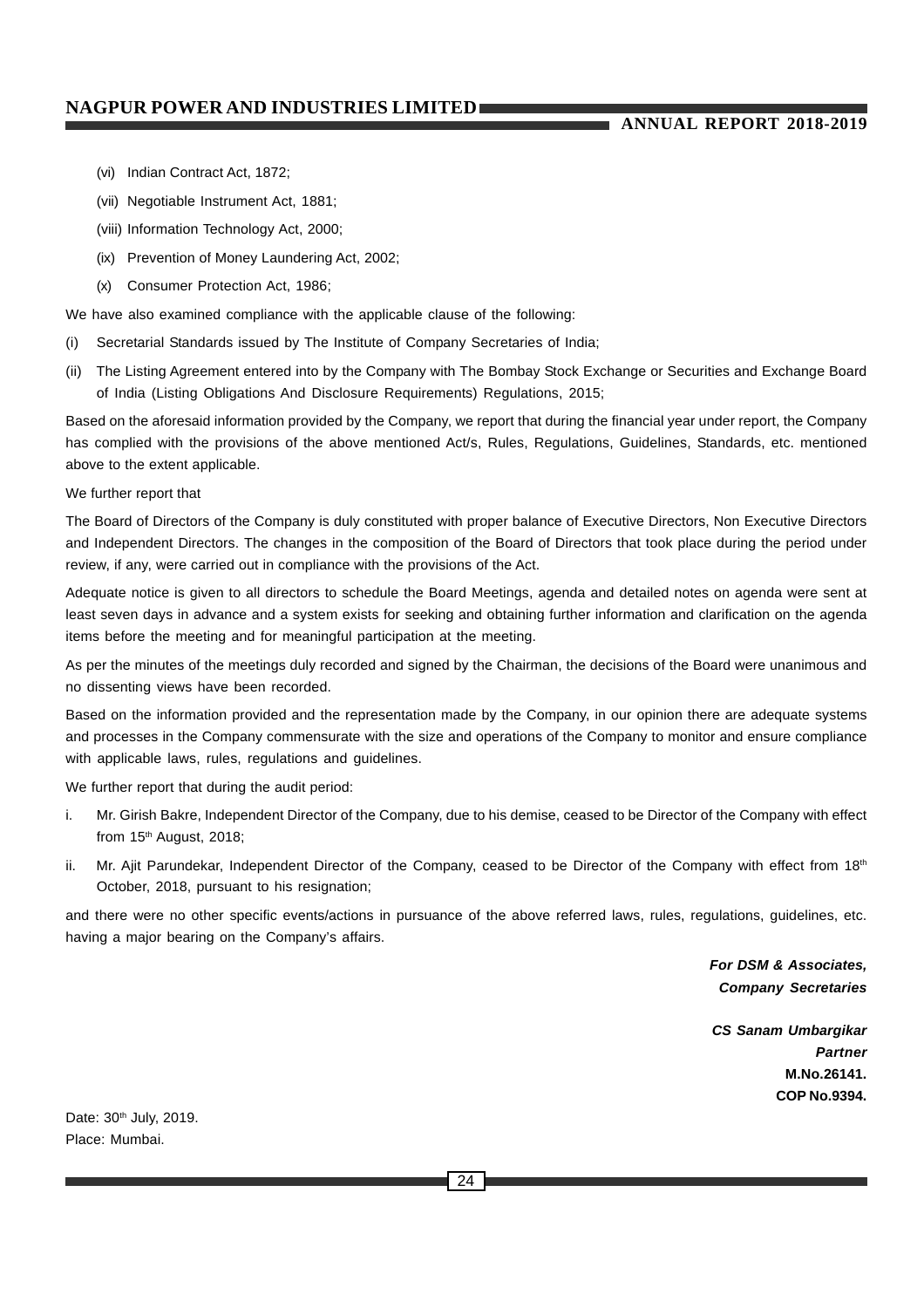- (vi) Indian Contract Act, 1872;
- (vii) Negotiable Instrument Act, 1881;
- (viii) Information Technology Act, 2000;
- (ix) Prevention of Money Laundering Act, 2002;
- (x) Consumer Protection Act, 1986;

We have also examined compliance with the applicable clause of the following:

- (i) Secretarial Standards issued by The Institute of Company Secretaries of India;
- (ii) The Listing Agreement entered into by the Company with The Bombay Stock Exchange or Securities and Exchange Board of India (Listing Obligations And Disclosure Requirements) Regulations, 2015;

Based on the aforesaid information provided by the Company, we report that during the financial year under report, the Company has complied with the provisions of the above mentioned Act/s, Rules, Regulations, Guidelines, Standards, etc. mentioned above to the extent applicable.

#### We further report that

The Board of Directors of the Company is duly constituted with proper balance of Executive Directors, Non Executive Directors and Independent Directors. The changes in the composition of the Board of Directors that took place during the period under review, if any, were carried out in compliance with the provisions of the Act.

Adequate notice is given to all directors to schedule the Board Meetings, agenda and detailed notes on agenda were sent at least seven days in advance and a system exists for seeking and obtaining further information and clarification on the agenda items before the meeting and for meaningful participation at the meeting.

As per the minutes of the meetings duly recorded and signed by the Chairman, the decisions of the Board were unanimous and no dissenting views have been recorded.

Based on the information provided and the representation made by the Company, in our opinion there are adequate systems and processes in the Company commensurate with the size and operations of the Company to monitor and ensure compliance with applicable laws, rules, regulations and guidelines.

We further report that during the audit period:

- i. Mr. Girish Bakre, Independent Director of the Company, due to his demise, ceased to be Director of the Company with effect from 15th August, 2018;
- ii. Mr. Ajit Parundekar, Independent Director of the Company, ceased to be Director of the Company with effect from 18<sup>th</sup> October, 2018, pursuant to his resignation;

and there were no other specific events/actions in pursuance of the above referred laws, rules, regulations, guidelines, etc. having a major bearing on the Company's affairs.

> *For DSM & Associates, Company Secretaries*

*CS Sanam Umbargikar Partner* **M.No.26141. COP No.9394.**

Date: 30<sup>th</sup> July, 2019. Place: Mumbai.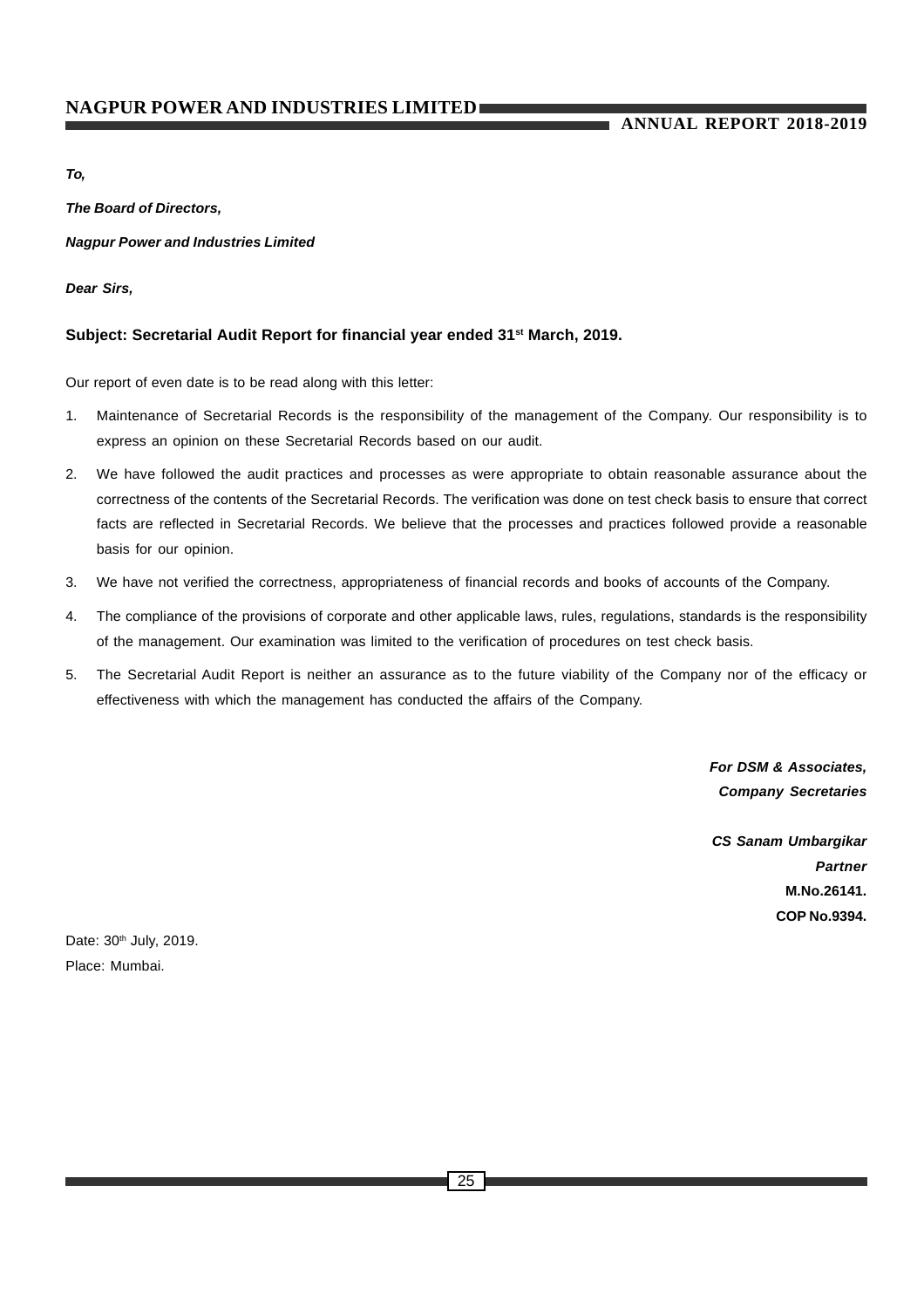*To,*

*The Board of Directors,*

*Nagpur Power and Industries Limited*

*Dear Sirs,*

### **Subject: Secretarial Audit Report for financial year ended 31st March, 2019.**

Our report of even date is to be read along with this letter:

- 1. Maintenance of Secretarial Records is the responsibility of the management of the Company. Our responsibility is to express an opinion on these Secretarial Records based on our audit.
- 2. We have followed the audit practices and processes as were appropriate to obtain reasonable assurance about the correctness of the contents of the Secretarial Records. The verification was done on test check basis to ensure that correct facts are reflected in Secretarial Records. We believe that the processes and practices followed provide a reasonable basis for our opinion.
- 3. We have not verified the correctness, appropriateness of financial records and books of accounts of the Company.
- 4. The compliance of the provisions of corporate and other applicable laws, rules, regulations, standards is the responsibility of the management. Our examination was limited to the verification of procedures on test check basis.
- 5. The Secretarial Audit Report is neither an assurance as to the future viability of the Company nor of the efficacy or effectiveness with which the management has conducted the affairs of the Company.

*For DSM & Associates, Company Secretaries*

*CS Sanam Umbargikar Partner* **M.No.26141. COP No.9394.**

Date: 30<sup>th</sup> July, 2019. Place: Mumbai.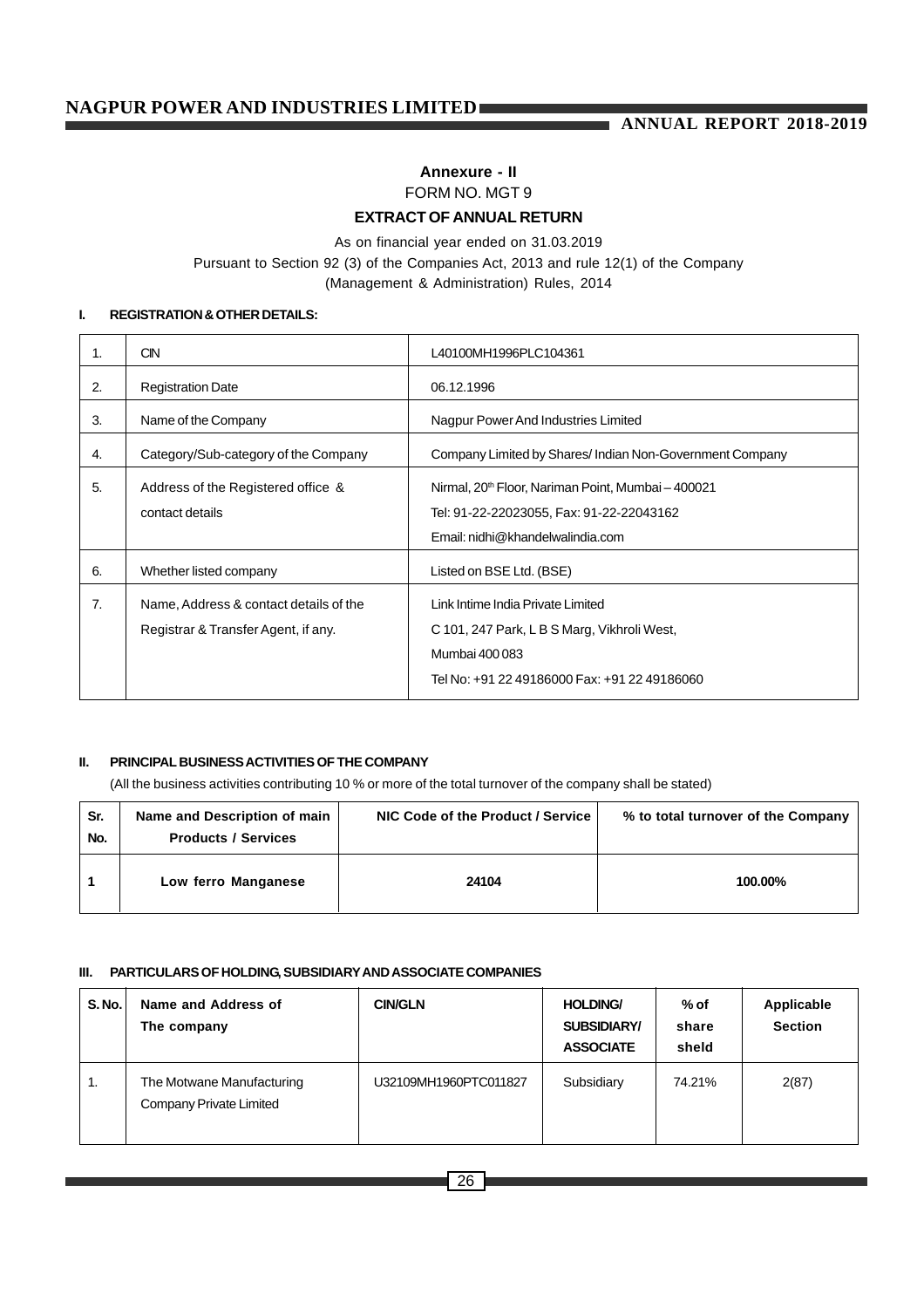#### **Annexure - II** FORM NO. MGT 9

### **EXTRACT OF ANNUAL RETURN**

### As on financial year ended on 31.03.2019 Pursuant to Section 92 (3) of the Companies Act, 2013 and rule 12(1) of the Company (Management & Administration) Rules, 2014

#### **I. REGISTRATION & OTHER DETAILS:**

| 1. | <b>CIN</b>                                                                    | L40100MH1996PLC104361                                                                                                                              |
|----|-------------------------------------------------------------------------------|----------------------------------------------------------------------------------------------------------------------------------------------------|
| 2. | <b>Registration Date</b>                                                      | 06.12.1996                                                                                                                                         |
| 3. | Name of the Company                                                           | Nagpur Power And Industries Limited                                                                                                                |
| 4. | Category/Sub-category of the Company                                          | Company Limited by Shares/Indian Non-Government Company                                                                                            |
| 5. | Address of the Registered office &<br>contact details                         | Nirmal, 20 <sup>th</sup> Floor, Nariman Point, Mumbai - 400021<br>Tel: 91-22-22023055, Fax: 91-22-22043162<br>Email: nidhi@khandelwalindia.com     |
| 6. | Whether listed company                                                        | Listed on BSE Ltd. (BSE)                                                                                                                           |
| 7. | Name, Address & contact details of the<br>Registrar & Transfer Agent, if any. | Link Intime India Private Limited<br>C 101, 247 Park, L B S Marg, Vikhroli West,<br>Mumbai 400 083<br>Tel No: +91 22 49186000 Fax: +91 22 49186060 |

#### **II. PRINCIPAL BUSINESS ACTIVITIES OF THE COMPANY**

(All the business activities contributing 10 % or more of the total turnover of the company shall be stated)

| Sr.<br>No. | Name and Description of main<br><b>Products / Services</b> | NIC Code of the Product / Service | % to total turnover of the Company |
|------------|------------------------------------------------------------|-----------------------------------|------------------------------------|
|            | Low ferro Manganese                                        | 24104                             | 100.00%                            |

#### **III. PARTICULARS OF HOLDING, SUBSIDIARY AND ASSOCIATE COMPANIES**

| S. No. | Name and Address of<br>The company                   | <b>CIN/GLN</b>        | <b>HOLDING/</b><br><b>SUBSIDIARY/</b><br><b>ASSOCIATE</b> | % of<br>share<br>sheld | Applicable<br><b>Section</b> |
|--------|------------------------------------------------------|-----------------------|-----------------------------------------------------------|------------------------|------------------------------|
| 1.     | The Motwane Manufacturing<br>Company Private Limited | U32109MH1960PTC011827 | Subsidiary                                                | 74.21%                 | 2(87)                        |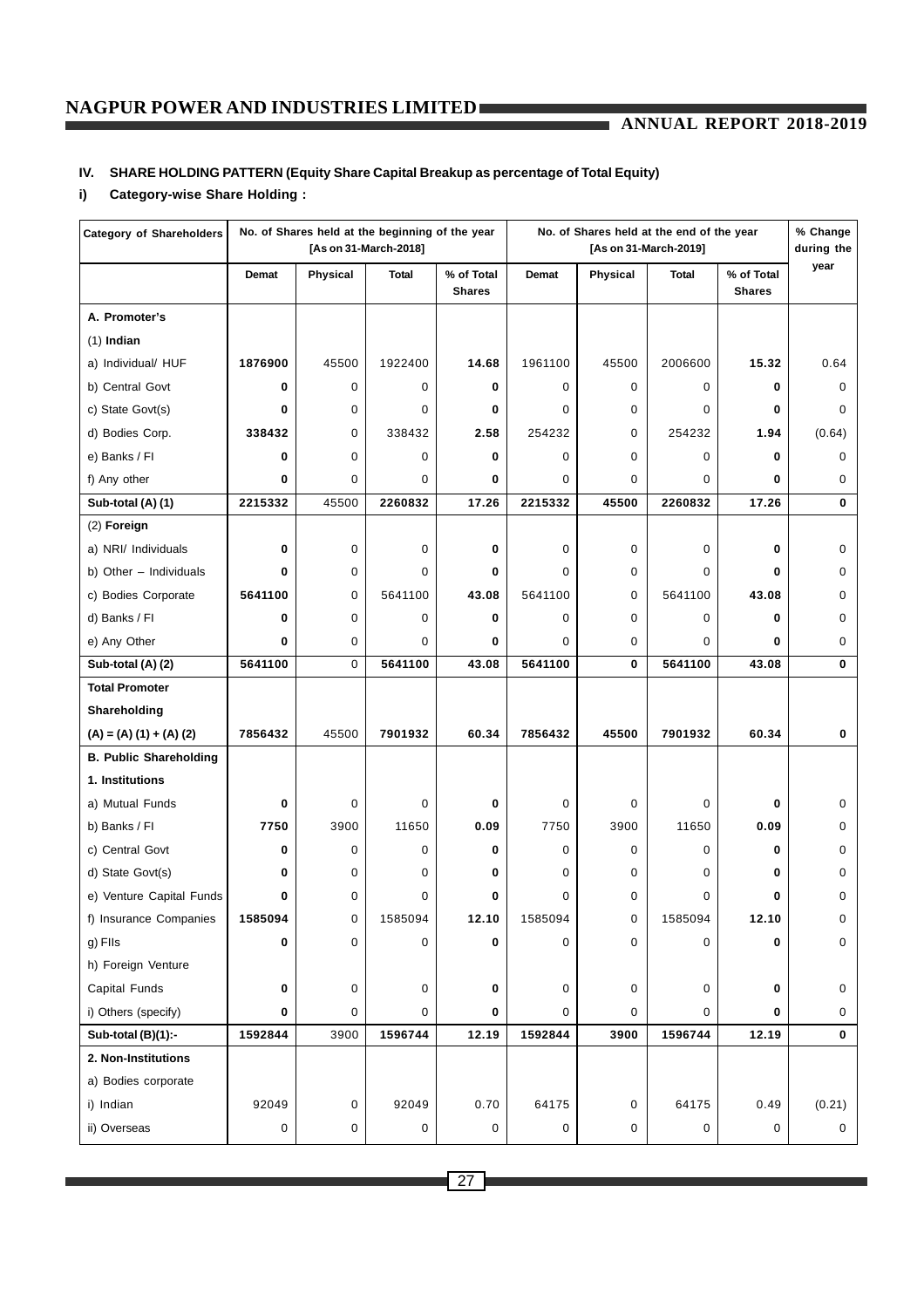### **ANNUAL REPORT 2018-2019**

#### **IV. SHARE HOLDING PATTERN (Equity Share Capital Breakup as percentage of Total Equity)**

### **i) Category-wise Share Holding :**

| <b>Category of Shareholders</b> |         | No. of Shares held at the beginning of the year<br>[As on 31-March-2018] |             |                             | No. of Shares held at the end of the year<br>[As on 31-March-2019] |          |         |                             |        |  |  | % Change<br>during the |
|---------------------------------|---------|--------------------------------------------------------------------------|-------------|-----------------------------|--------------------------------------------------------------------|----------|---------|-----------------------------|--------|--|--|------------------------|
|                                 | Demat   | Physical                                                                 | Total       | % of Total<br><b>Shares</b> | <b>Demat</b>                                                       | Physical | Total   | % of Total<br><b>Shares</b> | year   |  |  |                        |
| A. Promoter's                   |         |                                                                          |             |                             |                                                                    |          |         |                             |        |  |  |                        |
| $(1)$ Indian                    |         |                                                                          |             |                             |                                                                    |          |         |                             |        |  |  |                        |
| a) Individual/ HUF              | 1876900 | 45500                                                                    | 1922400     | 14.68                       | 1961100                                                            | 45500    | 2006600 | 15.32                       | 0.64   |  |  |                        |
| b) Central Govt                 | 0       | 0                                                                        | 0           | 0                           | 0                                                                  | 0        | 0       | 0                           | 0      |  |  |                        |
| c) State Govt(s)                | 0       | 0                                                                        | 0           | 0                           | 0                                                                  | 0        | 0       | 0                           | 0      |  |  |                        |
| d) Bodies Corp.                 | 338432  | 0                                                                        | 338432      | 2.58                        | 254232                                                             | 0        | 254232  | 1.94                        | (0.64) |  |  |                        |
| e) Banks / Fl                   | 0       | 0                                                                        | $\mathbf 0$ | 0                           | $\mathbf 0$                                                        | 0        | 0       | 0                           | 0      |  |  |                        |
| f) Any other                    | 0       | 0                                                                        | 0           | 0                           | 0                                                                  | 0        | 0       | 0                           | 0      |  |  |                        |
| Sub-total (A) (1)               | 2215332 | 45500                                                                    | 2260832     | 17.26                       | 2215332                                                            | 45500    | 2260832 | 17.26                       | 0      |  |  |                        |
| $(2)$ Foreign                   |         |                                                                          |             |                             |                                                                    |          |         |                             |        |  |  |                        |
| a) NRI/ Individuals             | 0       | 0                                                                        | 0           | 0                           | 0                                                                  | 0        | 0       | 0                           | 0      |  |  |                        |
| b) Other - Individuals          | 0       | 0                                                                        | 0           | 0                           | $\mathbf 0$                                                        | 0        | 0       | 0                           | 0      |  |  |                        |
| c) Bodies Corporate             | 5641100 | 0                                                                        | 5641100     | 43.08                       | 5641100                                                            | 0        | 5641100 | 43.08                       | 0      |  |  |                        |
| d) Banks / Fl                   | 0       | 0                                                                        | 0           | 0                           | $\mathbf 0$                                                        | 0        | 0       | 0                           | 0      |  |  |                        |
| e) Any Other                    | 0       | 0                                                                        | 0           | 0                           | 0                                                                  | 0        | 0       | 0                           | 0      |  |  |                        |
| Sub-total (A) (2)               | 5641100 | 0                                                                        | 5641100     | 43.08                       | 5641100                                                            | 0        | 5641100 | 43.08                       | 0      |  |  |                        |
| <b>Total Promoter</b>           |         |                                                                          |             |                             |                                                                    |          |         |                             |        |  |  |                        |
| Shareholding                    |         |                                                                          |             |                             |                                                                    |          |         |                             |        |  |  |                        |
| $(A) = (A) (1) + (A) (2)$       | 7856432 | 45500                                                                    | 7901932     | 60.34                       | 7856432                                                            | 45500    | 7901932 | 60.34                       | 0      |  |  |                        |
| <b>B. Public Shareholding</b>   |         |                                                                          |             |                             |                                                                    |          |         |                             |        |  |  |                        |
| 1. Institutions                 |         |                                                                          |             |                             |                                                                    |          |         |                             |        |  |  |                        |
| a) Mutual Funds                 | 0       | 0                                                                        | 0           | 0                           | 0                                                                  | 0        | 0       | 0                           | 0      |  |  |                        |
| b) Banks / FI                   | 7750    | 3900                                                                     | 11650       | 0.09                        | 7750                                                               | 3900     | 11650   | 0.09                        | 0      |  |  |                        |
| c) Central Govt                 | 0       | 0                                                                        | $\mathbf 0$ | 0                           | 0                                                                  | 0        | 0       | 0                           | 0      |  |  |                        |
| d) State Govt(s)                | 0       | 0                                                                        | 0           | 0                           | 0                                                                  | 0        | 0       | 0                           | 0      |  |  |                        |
| e) Venture Capital Funds        | 0       | 0                                                                        | $\mathbf 0$ | 0                           | $\mathbf 0$                                                        | 0        | 0       | 0                           | 0      |  |  |                        |
| f) Insurance Companies          | 1585094 | 0                                                                        | 1585094     | 12.10                       | 1585094                                                            | 0        | 1585094 | 12.10                       | 0      |  |  |                        |
| g) Fils                         | 0       | 0                                                                        | 0           | 0                           | 0                                                                  | 0        | 0       | 0                           | 0      |  |  |                        |
| h) Foreign Venture              |         |                                                                          |             |                             |                                                                    |          |         |                             |        |  |  |                        |
| Capital Funds                   | 0       | 0                                                                        | 0           | 0                           | 0                                                                  | 0        | 0       | 0                           | 0      |  |  |                        |
| i) Others (specify)             | 0       | 0                                                                        | 0           | 0                           | 0                                                                  | 0        | 0       | 0                           | 0      |  |  |                        |
| Sub-total $(B)(1)$ :-           | 1592844 | 3900                                                                     | 1596744     | 12.19                       | 1592844                                                            | 3900     | 1596744 | 12.19                       | 0      |  |  |                        |
| 2. Non-Institutions             |         |                                                                          |             |                             |                                                                    |          |         |                             |        |  |  |                        |
| a) Bodies corporate             |         |                                                                          |             |                             |                                                                    |          |         |                             |        |  |  |                        |
| i) Indian                       | 92049   | 0                                                                        | 92049       | 0.70                        | 64175                                                              | 0        | 64175   | 0.49                        | (0.21) |  |  |                        |
| ii) Overseas                    | 0       | 0                                                                        | 0           | 0                           | 0                                                                  | 0        | 0       | 0                           | 0      |  |  |                        |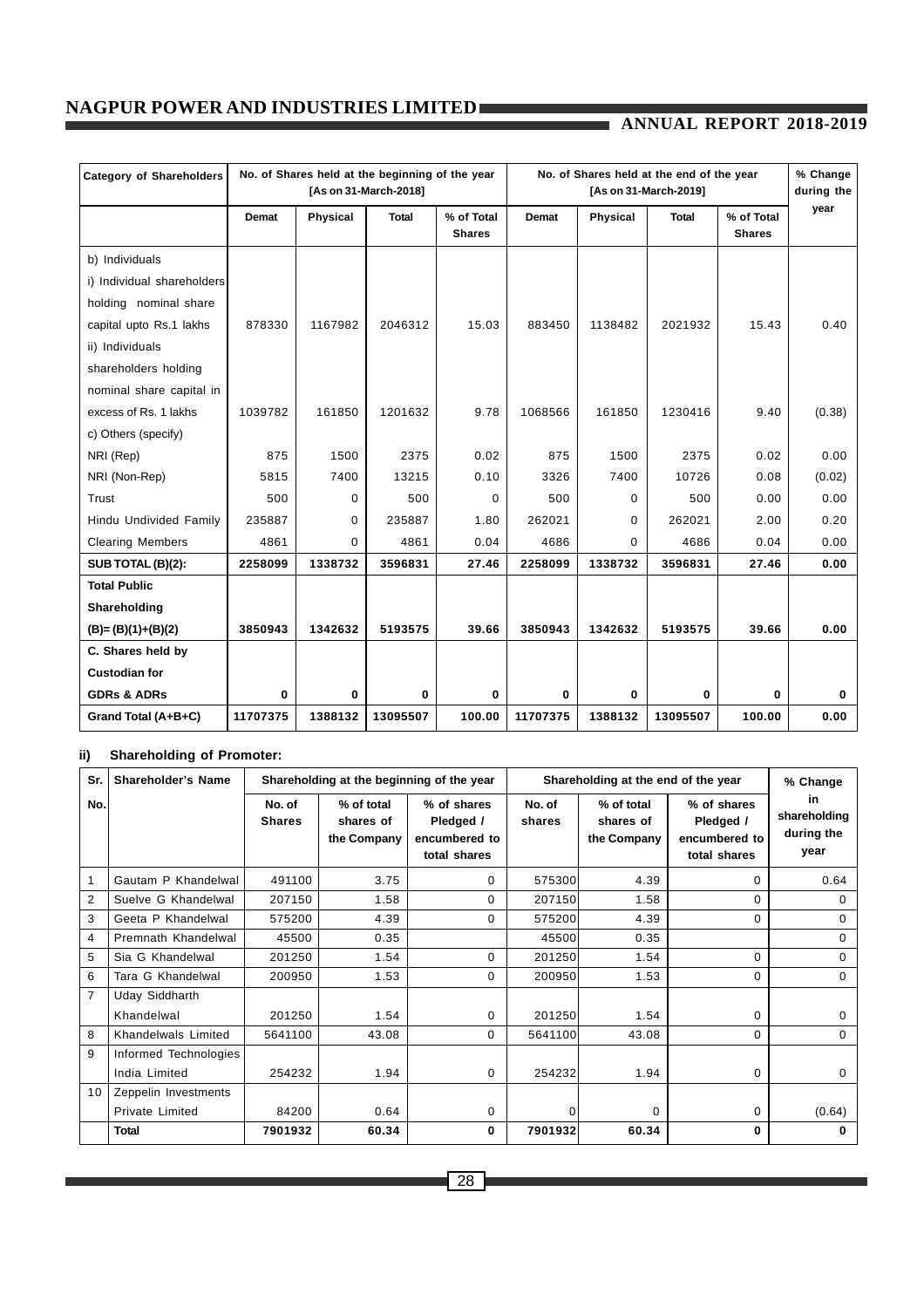### **ANNUAL REPORT 2018-2019**

| <b>Category of Shareholders</b> | No. of Shares held at the beginning of the year<br>[As on 31-March-2018] |          |              |                             | No. of Shares held at the end of the year<br>[As on 31-March-2019] |          |              |                             | % Change<br>during the |
|---------------------------------|--------------------------------------------------------------------------|----------|--------------|-----------------------------|--------------------------------------------------------------------|----------|--------------|-----------------------------|------------------------|
|                                 | Demat                                                                    | Physical | <b>Total</b> | % of Total<br><b>Shares</b> | Demat                                                              | Physical | <b>Total</b> | % of Total<br><b>Shares</b> | year                   |
| b) Individuals                  |                                                                          |          |              |                             |                                                                    |          |              |                             |                        |
| i) Individual shareholders      |                                                                          |          |              |                             |                                                                    |          |              |                             |                        |
| holding nominal share           |                                                                          |          |              |                             |                                                                    |          |              |                             |                        |
| capital upto Rs.1 lakhs         | 878330                                                                   | 1167982  | 2046312      | 15.03                       | 883450                                                             | 1138482  | 2021932      | 15.43                       | 0.40                   |
| ii) Individuals                 |                                                                          |          |              |                             |                                                                    |          |              |                             |                        |
| shareholders holding            |                                                                          |          |              |                             |                                                                    |          |              |                             |                        |
| nominal share capital in        |                                                                          |          |              |                             |                                                                    |          |              |                             |                        |
| excess of Rs. 1 lakhs           | 1039782                                                                  | 161850   | 1201632      | 9.78                        | 1068566                                                            | 161850   | 1230416      | 9.40                        | (0.38)                 |
| c) Others (specify)             |                                                                          |          |              |                             |                                                                    |          |              |                             |                        |
| NRI (Rep)                       | 875                                                                      | 1500     | 2375         | 0.02                        | 875                                                                | 1500     | 2375         | 0.02                        | 0.00                   |
| NRI (Non-Rep)                   | 5815                                                                     | 7400     | 13215        | 0.10                        | 3326                                                               | 7400     | 10726        | 0.08                        | (0.02)                 |
| Trust                           | 500                                                                      | 0        | 500          | $\Omega$                    | 500                                                                | 0        | 500          | 0.00                        | 0.00                   |
| Hindu Undivided Family          | 235887                                                                   | 0        | 235887       | 1.80                        | 262021                                                             | 0        | 262021       | 2.00                        | 0.20                   |
| <b>Clearing Members</b>         | 4861                                                                     | 0        | 4861         | 0.04                        | 4686                                                               | $\Omega$ | 4686         | 0.04                        | 0.00                   |
| SUB TOTAL (B)(2):               | 2258099                                                                  | 1338732  | 3596831      | 27.46                       | 2258099                                                            | 1338732  | 3596831      | 27.46                       | 0.00                   |
| <b>Total Public</b>             |                                                                          |          |              |                             |                                                                    |          |              |                             |                        |
| Shareholding                    |                                                                          |          |              |                             |                                                                    |          |              |                             |                        |
| $(B)=(B)(1)+(B)(2)$             | 3850943                                                                  | 1342632  | 5193575      | 39.66                       | 3850943                                                            | 1342632  | 5193575      | 39.66                       | 0.00                   |
| C. Shares held by               |                                                                          |          |              |                             |                                                                    |          |              |                             |                        |
| <b>Custodian for</b>            |                                                                          |          |              |                             |                                                                    |          |              |                             |                        |
| <b>GDRs &amp; ADRs</b>          | 0                                                                        | 0        | 0            | 0                           | 0                                                                  | 0        | 0            | 0                           | 0                      |
| Grand Total (A+B+C)             | 11707375                                                                 | 1388132  | 13095507     | 100.00                      | 11707375                                                           | 1388132  | 13095507     | 100.00                      | 0.00                   |

#### **ii) Shareholding of Promoter:**

| Sr.            | Shareholder's Name     |                         |                                        | Shareholding at the beginning of the year                 |                  | Shareholding at the end of the year    | % Change                                                  |                                          |
|----------------|------------------------|-------------------------|----------------------------------------|-----------------------------------------------------------|------------------|----------------------------------------|-----------------------------------------------------------|------------------------------------------|
| No.            |                        | No. of<br><b>Shares</b> | % of total<br>shares of<br>the Company | % of shares<br>Pledged /<br>encumbered to<br>total shares | No. of<br>shares | % of total<br>shares of<br>the Company | % of shares<br>Pledged /<br>encumbered to<br>total shares | in<br>shareholding<br>during the<br>year |
| $\mathbf{1}$   | Gautam P Khandelwal    | 491100                  | 3.75                                   | $\Omega$                                                  | 575300           | 4.39                                   | 0                                                         | 0.64                                     |
| 2              | Suelve G Khandelwal    | 207150                  | 1.58                                   | $\Omega$                                                  | 207150           | 1.58                                   | 0                                                         | 0                                        |
| 3              | Geeta P Khandelwal     | 575200                  | 4.39                                   | $\Omega$                                                  | 575200           | 4.39                                   | 0                                                         | $\Omega$                                 |
| 4              | Premnath Khandelwal    | 45500                   | 0.35                                   |                                                           | 45500            | 0.35                                   |                                                           | 0                                        |
| 5              | Sia G Khandelwal       | 201250                  | 1.54                                   | 0                                                         | 201250           | 1.54                                   | $\Omega$                                                  | 0                                        |
| 6              | Tara G Khandelwal      | 200950                  | 1.53                                   | 0                                                         | 200950           | 1.53                                   | 0                                                         | $\Omega$                                 |
| $\overline{7}$ | Uday Siddharth         |                         |                                        |                                                           |                  |                                        |                                                           |                                          |
|                | Khandelwal             | 201250                  | 1.54                                   | $\Omega$                                                  | 201250           | 1.54                                   | 0                                                         | 0                                        |
| 8              | Khandelwals Limited    | 5641100                 | 43.08                                  | 0                                                         | 5641100          | 43.08                                  | 0                                                         | 0                                        |
| 9              | Informed Technologies  |                         |                                        |                                                           |                  |                                        |                                                           |                                          |
|                | India Limited          | 254232                  | 1.94                                   | $\Omega$                                                  | 254232           | 1.94                                   | 0                                                         | $\Omega$                                 |
| 10             | Zeppelin Investments   |                         |                                        |                                                           |                  |                                        |                                                           |                                          |
|                | <b>Private Limited</b> | 84200                   | 0.64                                   | $\Omega$                                                  | $\Omega$         | $\Omega$                               | 0                                                         | (0.64)                                   |
|                | <b>Total</b>           | 7901932                 | 60.34                                  | 0                                                         | 7901932          | 60.34                                  | 0                                                         | 0                                        |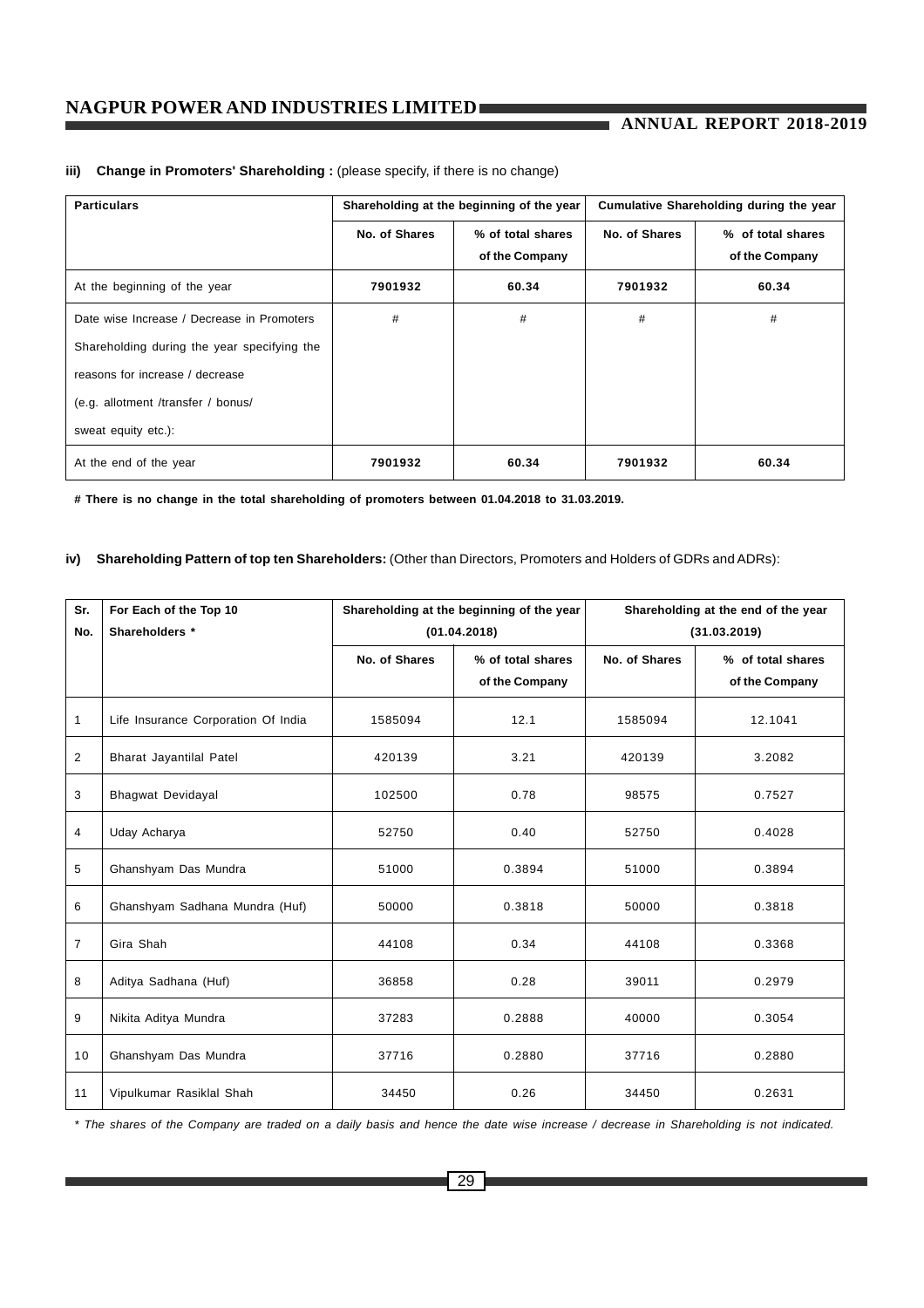| <b>Particulars</b>                          | Shareholding at the beginning of the year |                                     |               | Cumulative Shareholding during the year |
|---------------------------------------------|-------------------------------------------|-------------------------------------|---------------|-----------------------------------------|
|                                             | No. of Shares                             | % of total shares<br>of the Company | No. of Shares | % of total shares<br>of the Company     |
| At the beginning of the year                | 7901932                                   | 60.34                               | 7901932       | 60.34                                   |
| Date wise Increase / Decrease in Promoters  | #                                         | #                                   | #             | #                                       |
| Shareholding during the year specifying the |                                           |                                     |               |                                         |
| reasons for increase / decrease             |                                           |                                     |               |                                         |
| (e.g. allotment /transfer / bonus/          |                                           |                                     |               |                                         |
| sweat equity etc.):                         |                                           |                                     |               |                                         |
| At the end of the year                      | 7901932                                   | 60.34                               | 7901932       | 60.34                                   |

#### **iii) Change in Promoters' Shareholding :** (please specify, if there is no change)

**# There is no change in the total shareholding of promoters between 01.04.2018 to 31.03.2019.**

#### **iv) Shareholding Pattern of top ten Shareholders:** (Other than Directors, Promoters and Holders of GDRs and ADRs):

| Sr.            | For Each of the Top 10              | Shareholding at the beginning of the year |                   |               | Shareholding at the end of the year |
|----------------|-------------------------------------|-------------------------------------------|-------------------|---------------|-------------------------------------|
| No.            | Shareholders *                      |                                           | (01.04.2018)      |               | (31.03.2019)                        |
|                |                                     | No. of Shares                             | % of total shares | No. of Shares | % of total shares                   |
|                |                                     |                                           | of the Company    |               | of the Company                      |
| 1              | Life Insurance Corporation Of India | 1585094                                   | 12.1              | 1585094       | 12.1041                             |
| $\overline{2}$ | <b>Bharat Jayantilal Patel</b>      | 420139                                    | 3.21              | 420139        | 3.2082                              |
| 3              | <b>Bhagwat Devidayal</b>            | 102500                                    | 0.78              | 98575         | 0.7527                              |
| 4              | Uday Acharya                        | 52750                                     | 0.40              | 52750         | 0.4028                              |
| 5              | Ghanshyam Das Mundra                | 51000                                     | 0.3894            | 51000         | 0.3894                              |
| 6              | Ghanshyam Sadhana Mundra (Huf)      | 50000                                     | 0.3818            | 50000         | 0.3818                              |
| $\overline{7}$ | Gira Shah                           | 44108                                     | 0.34              | 44108         | 0.3368                              |
| 8              | Aditya Sadhana (Huf)                | 36858                                     | 0.28              | 39011         | 0.2979                              |
| 9              | Nikita Aditya Mundra                | 37283                                     | 0.2888            | 40000         | 0.3054                              |
| 10             | Ghanshyam Das Mundra                | 37716                                     | 0.2880            | 37716         | 0.2880                              |
| 11             | Vipulkumar Rasiklal Shah            | 34450                                     | 0.26              | 34450         | 0.2631                              |

*\* The shares of the Company are traded on a daily basis and hence the date wise increase / decrease in Shareholding is not indicated.*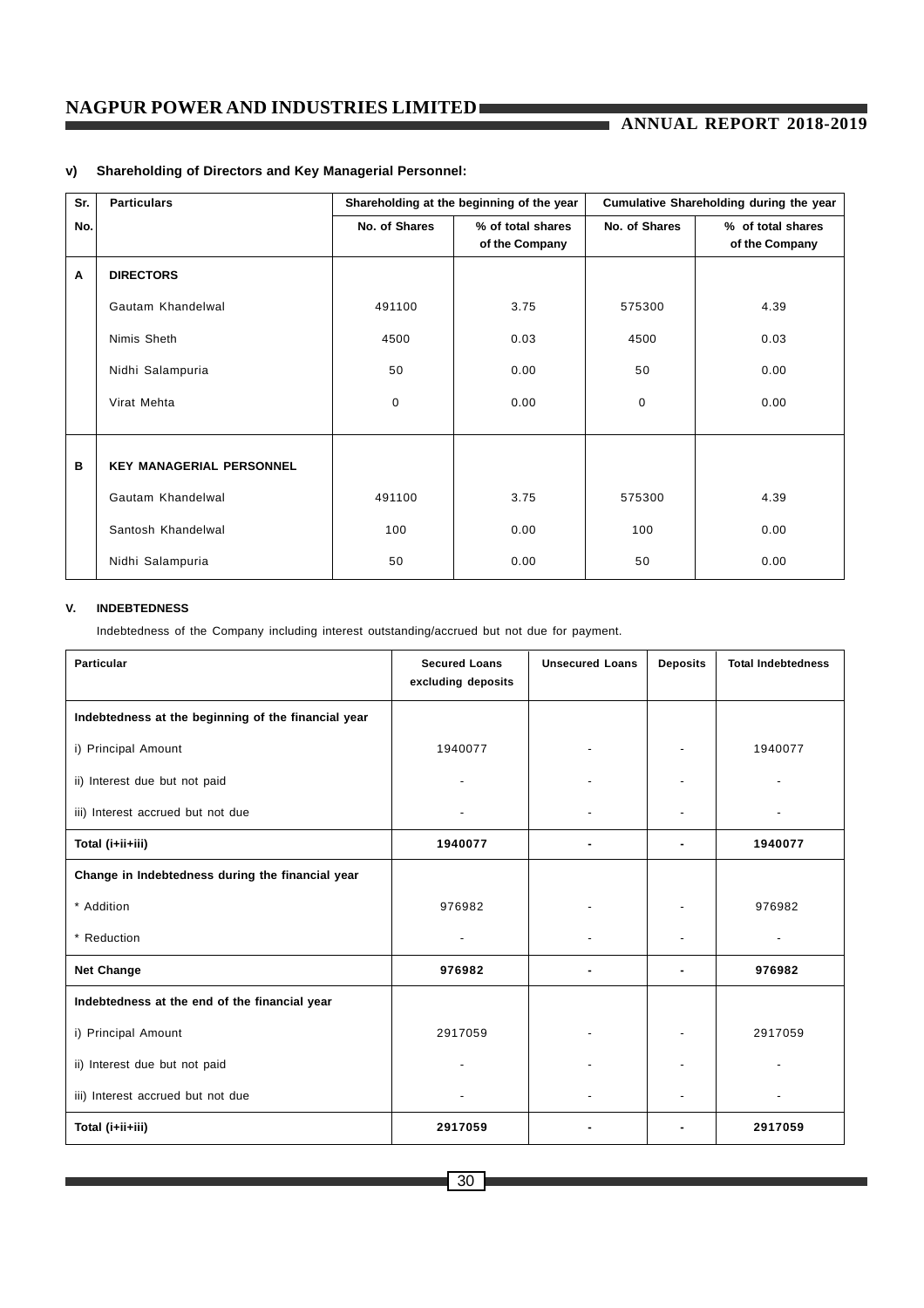| Sr. | <b>Particulars</b>              | Shareholding at the beginning of the year |                                     |               | Cumulative Shareholding during the year |
|-----|---------------------------------|-------------------------------------------|-------------------------------------|---------------|-----------------------------------------|
| No. |                                 | No. of Shares                             | % of total shares<br>of the Company | No. of Shares | % of total shares<br>of the Company     |
| A   | <b>DIRECTORS</b>                |                                           |                                     |               |                                         |
|     | Gautam Khandelwal               | 491100                                    | 3.75                                | 575300        | 4.39                                    |
|     | Nimis Sheth                     | 4500                                      | 0.03                                | 4500          | 0.03                                    |
|     | Nidhi Salampuria                | 50                                        | 0.00                                | 50            | 0.00                                    |
|     | Virat Mehta                     | 0                                         | 0.00                                | 0             | 0.00                                    |
|     |                                 |                                           |                                     |               |                                         |
| в   | <b>KEY MANAGERIAL PERSONNEL</b> |                                           |                                     |               |                                         |
|     | Gautam Khandelwal               | 491100                                    | 3.75                                | 575300        | 4.39                                    |
|     | Santosh Khandelwal              | 100                                       | 0.00                                | 100           | 0.00                                    |
|     | Nidhi Salampuria                | 50                                        | 0.00                                | 50            | 0.00                                    |

#### **v) Shareholding of Directors and Key Managerial Personnel:**

#### **V. INDEBTEDNESS**

Indebtedness of the Company including interest outstanding/accrued but not due for payment.

| <b>Particular</b>                                   | <b>Secured Loans</b><br>excluding deposits | <b>Unsecured Loans</b> | <b>Deposits</b> | <b>Total Indebtedness</b> |
|-----------------------------------------------------|--------------------------------------------|------------------------|-----------------|---------------------------|
| Indebtedness at the beginning of the financial year |                                            |                        |                 |                           |
| i) Principal Amount                                 | 1940077                                    |                        |                 | 1940077                   |
| ii) Interest due but not paid                       |                                            |                        |                 |                           |
| iii) Interest accrued but not due                   |                                            |                        |                 |                           |
| Total (i+ii+iii)                                    | 1940077                                    |                        | $\blacksquare$  | 1940077                   |
| Change in Indebtedness during the financial year    |                                            |                        |                 |                           |
| * Addition                                          | 976982                                     |                        |                 | 976982                    |
| * Reduction                                         |                                            |                        |                 |                           |
| <b>Net Change</b>                                   | 976982                                     |                        | $\blacksquare$  | 976982                    |
| Indebtedness at the end of the financial year       |                                            |                        |                 |                           |
| i) Principal Amount                                 | 2917059                                    |                        |                 | 2917059                   |
| ii) Interest due but not paid                       |                                            |                        |                 |                           |
| iii) Interest accrued but not due                   |                                            |                        |                 |                           |
| Total (i+ii+iii)                                    | 2917059                                    |                        |                 | 2917059                   |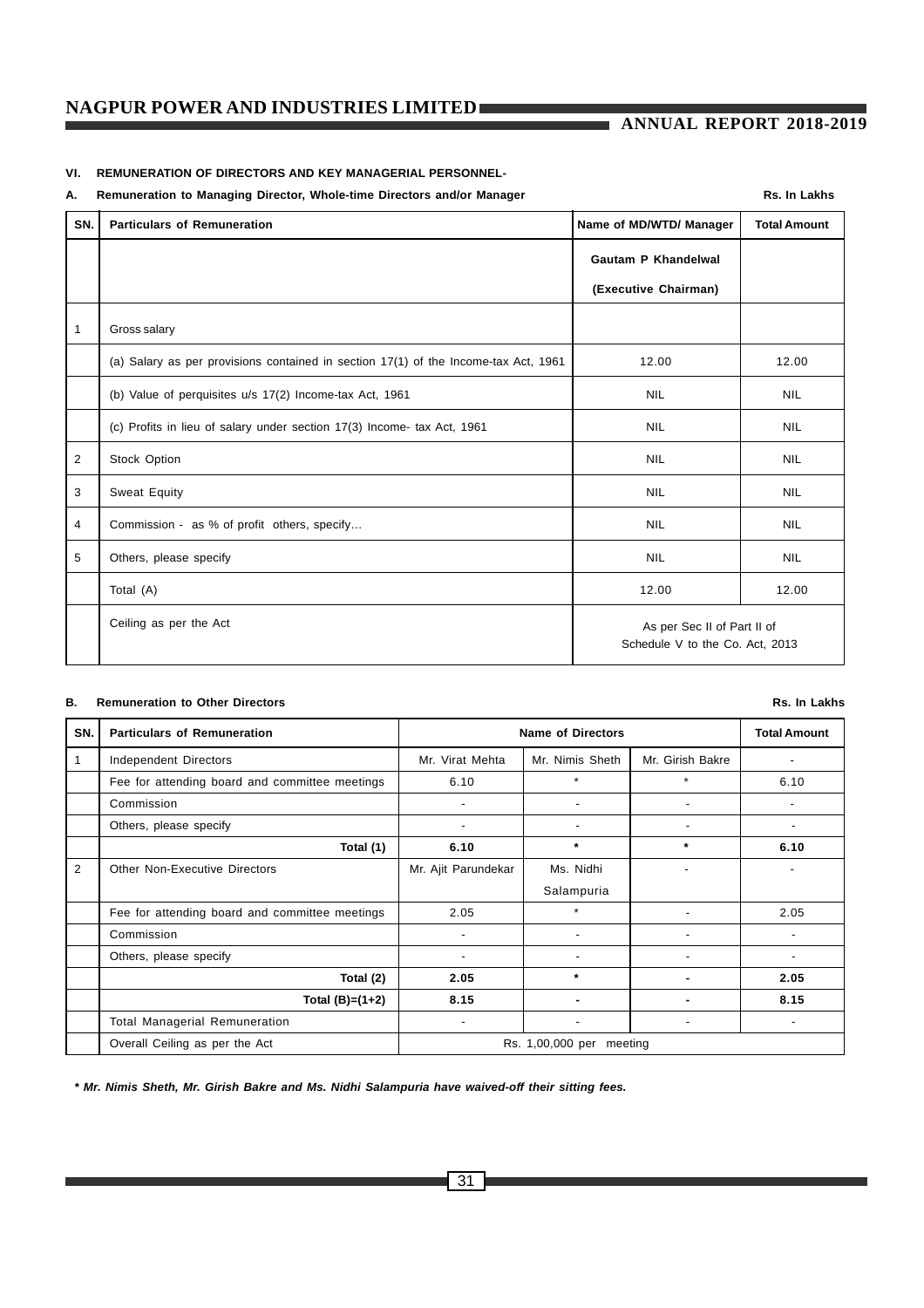#### **VI. REMUNERATION OF DIRECTORS AND KEY MANAGERIAL PERSONNEL-**

A. Remuneration to Managing Director, Whole-time Directors and/or Manager **Remuneration 1986** Rs. In Lakhs

| SN.            | <b>Particulars of Remuneration</b>                                                  | Name of MD/WTD/ Manager                                        | <b>Total Amount</b> |
|----------------|-------------------------------------------------------------------------------------|----------------------------------------------------------------|---------------------|
|                |                                                                                     | Gautam P Khandelwal                                            |                     |
|                |                                                                                     | (Executive Chairman)                                           |                     |
| 1              | Gross salary                                                                        |                                                                |                     |
|                | (a) Salary as per provisions contained in section 17(1) of the Income-tax Act, 1961 | 12.00                                                          | 12.00               |
|                | (b) Value of perquisites u/s 17(2) Income-tax Act, 1961                             | <b>NIL</b>                                                     | <b>NIL</b>          |
|                | (c) Profits in lieu of salary under section 17(3) Income- tax Act, 1961             | <b>NIL</b>                                                     | <b>NIL</b>          |
| $\overline{2}$ | Stock Option                                                                        | <b>NIL</b>                                                     | <b>NIL</b>          |
| 3              | <b>Sweat Equity</b>                                                                 | <b>NIL</b>                                                     | <b>NIL</b>          |
| 4              | Commission - as % of profit others, specify                                         | <b>NIL</b>                                                     | <b>NIL</b>          |
| 5              | Others, please specify                                                              | <b>NIL</b>                                                     | <b>NIL</b>          |
|                | Total (A)                                                                           | 12.00                                                          | 12.00               |
|                | Ceiling as per the Act                                                              | As per Sec II of Part II of<br>Schedule V to the Co. Act, 2013 |                     |

#### **B. Remuneration to Other Directors Rs. In Lakhs**

| SN. | <b>Particulars of Remuneration</b>             |                          | <b>Name of Directors</b> |                  |                |  |  |
|-----|------------------------------------------------|--------------------------|--------------------------|------------------|----------------|--|--|
|     | Independent Directors                          | Mr. Virat Mehta          | Mr. Nimis Sheth          | Mr. Girish Bakre |                |  |  |
|     | Fee for attending board and committee meetings | 6.10                     | $\star$                  | $\star$          | 6.10           |  |  |
|     | Commission                                     | $\overline{\phantom{a}}$ | ٠                        |                  |                |  |  |
|     | Others, please specify                         | $\overline{\phantom{a}}$ | ٠                        |                  | -              |  |  |
|     | Total (1)                                      | 6.10                     | $\star$                  | $\star$          | 6.10           |  |  |
| 2   | Other Non-Executive Directors                  | Mr. Ajit Parundekar      | Ms. Nidhi                | ٠                |                |  |  |
|     |                                                |                          | Salampuria               |                  |                |  |  |
|     | Fee for attending board and committee meetings | 2.05                     | $\star$                  |                  | 2.05           |  |  |
|     | Commission                                     | $\blacksquare$           | ٠                        |                  |                |  |  |
|     | Others, please specify                         | $\overline{\phantom{a}}$ | ٠                        |                  | $\blacksquare$ |  |  |
|     | Total (2)                                      | 2.05                     | $\star$                  |                  | 2.05           |  |  |
|     | Total $(B)=(1+2)$                              | 8.15                     |                          |                  | 8.15           |  |  |
|     | <b>Total Managerial Remuneration</b>           | $\overline{\phantom{a}}$ | ٠                        |                  | -              |  |  |
|     | Overall Ceiling as per the Act                 |                          | Rs. 1,00,000 per meeting |                  |                |  |  |

*\* Mr. Nimis Sheth, Mr. Girish Bakre and Ms. Nidhi Salampuria have waived-off their sitting fees.*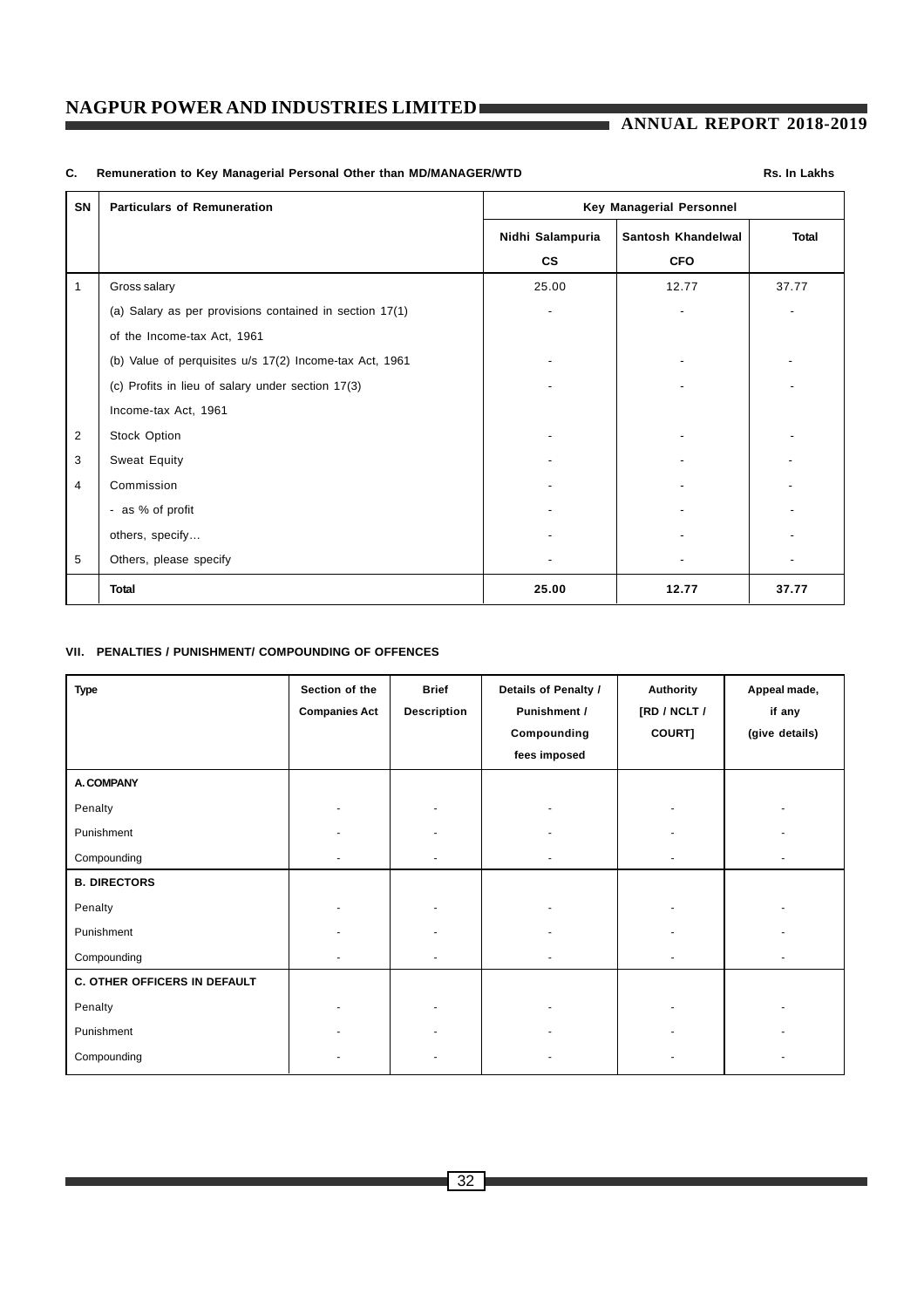#### C. Remuneration to Key Managerial Personal Other than MD/MANAGER/WTD **Remuneration of the United States** Rs. In Lakhs

| SN | <b>Particulars of Remuneration</b>                      | Key Managerial Personnel |                    |              |  |  |
|----|---------------------------------------------------------|--------------------------|--------------------|--------------|--|--|
|    |                                                         | Nidhi Salampuria         | Santosh Khandelwal | <b>Total</b> |  |  |
|    |                                                         | $\mathsf{cs}$            | <b>CFO</b>         |              |  |  |
| 1  | Gross salary                                            | 25.00                    | 12.77              | 37.77        |  |  |
|    | (a) Salary as per provisions contained in section 17(1) | $\overline{\phantom{0}}$ |                    |              |  |  |
|    | of the Income-tax Act, 1961                             |                          |                    |              |  |  |
|    | (b) Value of perquisites u/s 17(2) Income-tax Act, 1961 |                          |                    |              |  |  |
|    | (c) Profits in lieu of salary under section 17(3)       |                          |                    |              |  |  |
|    | Income-tax Act, 1961                                    |                          |                    |              |  |  |
| 2  | Stock Option                                            |                          |                    |              |  |  |
| 3  | Sweat Equity                                            |                          |                    |              |  |  |
| 4  | Commission                                              |                          |                    |              |  |  |
|    | - as % of profit                                        |                          |                    |              |  |  |
|    | others, specify                                         |                          |                    |              |  |  |
| 5  | Others, please specify                                  |                          |                    |              |  |  |
|    | <b>Total</b>                                            | 25.00                    | 12.77              | 37.77        |  |  |

#### **VII. PENALTIES / PUNISHMENT/ COMPOUNDING OF OFFENCES**

| <b>Type</b>                  | Section of the<br><b>Companies Act</b> | <b>Brief</b><br><b>Description</b> | Details of Penalty /<br>Punishment /<br>Compounding<br>fees imposed | Authority<br>[RD / NCLT /<br>COURT] | Appeal made,<br>if any<br>(give details) |
|------------------------------|----------------------------------------|------------------------------------|---------------------------------------------------------------------|-------------------------------------|------------------------------------------|
| A. COMPANY                   |                                        |                                    |                                                                     |                                     |                                          |
| Penalty                      |                                        |                                    |                                                                     |                                     |                                          |
| Punishment                   |                                        |                                    |                                                                     |                                     |                                          |
| Compounding                  |                                        | ٠                                  | ٠                                                                   |                                     |                                          |
| <b>B. DIRECTORS</b>          |                                        |                                    |                                                                     |                                     |                                          |
| Penalty                      |                                        |                                    |                                                                     |                                     |                                          |
| Punishment                   |                                        |                                    |                                                                     |                                     |                                          |
| Compounding                  |                                        |                                    |                                                                     |                                     |                                          |
| C. OTHER OFFICERS IN DEFAULT |                                        |                                    |                                                                     |                                     |                                          |
| Penalty                      |                                        |                                    |                                                                     |                                     |                                          |
| Punishment                   |                                        |                                    |                                                                     |                                     |                                          |
| Compounding                  |                                        |                                    |                                                                     |                                     |                                          |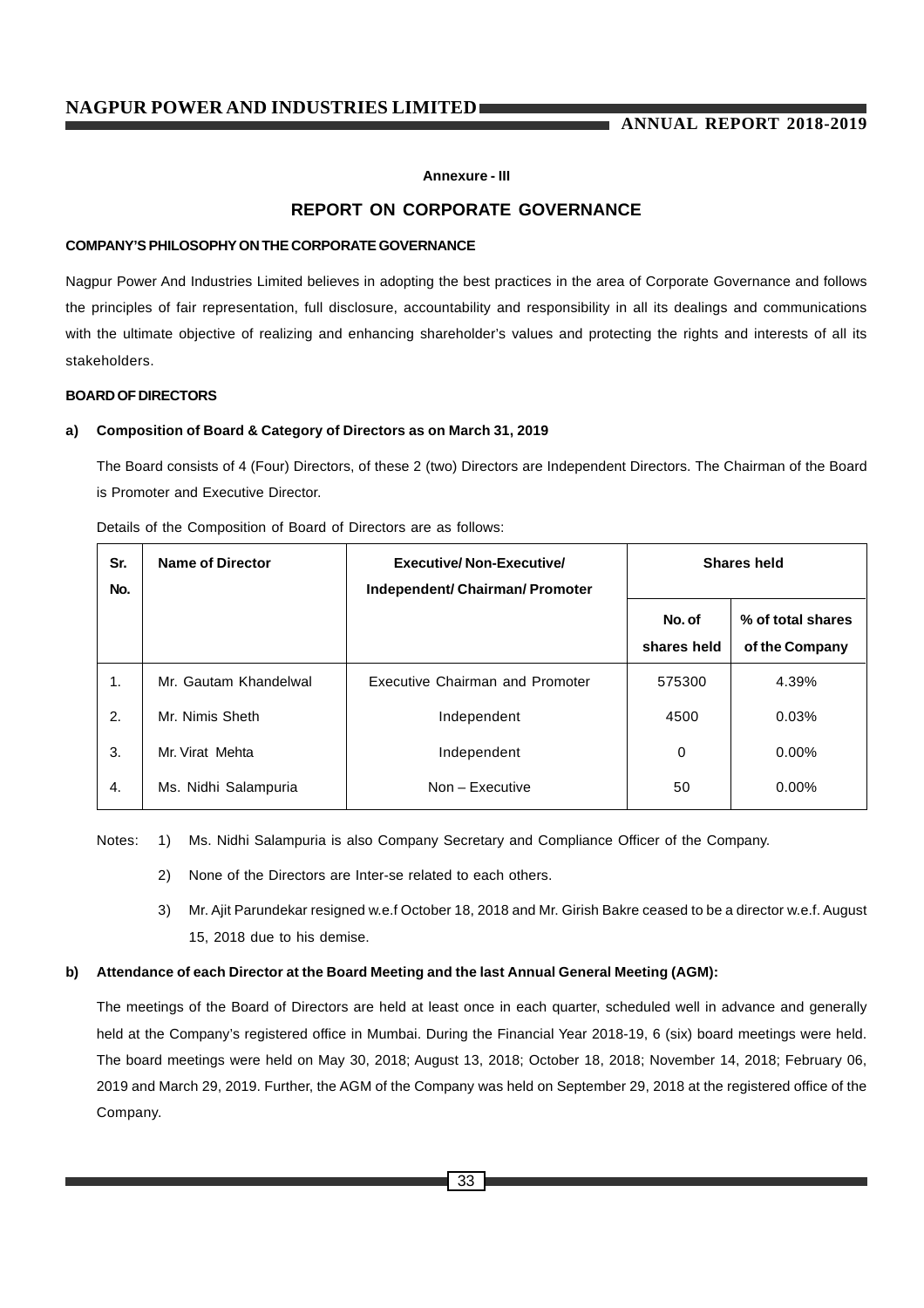#### **Annexure - III**

#### **REPORT ON CORPORATE GOVERNANCE**

#### **COMPANY'S PHILOSOPHY ON THE CORPORATE GOVERNANCE**

Nagpur Power And Industries Limited believes in adopting the best practices in the area of Corporate Governance and follows the principles of fair representation, full disclosure, accountability and responsibility in all its dealings and communications with the ultimate objective of realizing and enhancing shareholder's values and protecting the rights and interests of all its stakeholders.

#### **BOARD OF DIRECTORS**

#### **a) Composition of Board & Category of Directors as on March 31, 2019**

The Board consists of 4 (Four) Directors, of these 2 (two) Directors are Independent Directors. The Chairman of the Board is Promoter and Executive Director.

Details of the Composition of Board of Directors are as follows:

| Sr.<br>No. | <b>Name of Director</b> | <b>Executive/Non-Executive/</b><br>Independent/ Chairman/ Promoter | <b>Shares held</b>    |                                     |
|------------|-------------------------|--------------------------------------------------------------------|-----------------------|-------------------------------------|
|            |                         |                                                                    | No. of<br>shares held | % of total shares<br>of the Company |
| 1.         | Mr. Gautam Khandelwal   | Executive Chairman and Promoter                                    | 575300                | 4.39%                               |
| 2.         | Mr. Nimis Sheth         | Independent                                                        | 4500                  | 0.03%                               |
| 3.         | Mr. Virat Mehta         | Independent                                                        | 0                     | $0.00\%$                            |
| 4.         | Ms. Nidhi Salampuria    | Non - Executive                                                    | 50                    | $0.00\%$                            |

Notes: 1) Ms. Nidhi Salampuria is also Company Secretary and Compliance Officer of the Company.

- 2) None of the Directors are Inter-se related to each others.
- 3) Mr. Ajit Parundekar resigned w.e.f October 18, 2018 and Mr. Girish Bakre ceased to be a director w.e.f. August 15, 2018 due to his demise.

#### **b) Attendance of each Director at the Board Meeting and the last Annual General Meeting (AGM):**

The meetings of the Board of Directors are held at least once in each quarter, scheduled well in advance and generally held at the Company's registered office in Mumbai. During the Financial Year 2018-19, 6 (six) board meetings were held. The board meetings were held on May 30, 2018; August 13, 2018; October 18, 2018; November 14, 2018; February 06, 2019 and March 29, 2019. Further, the AGM of the Company was held on September 29, 2018 at the registered office of the Company.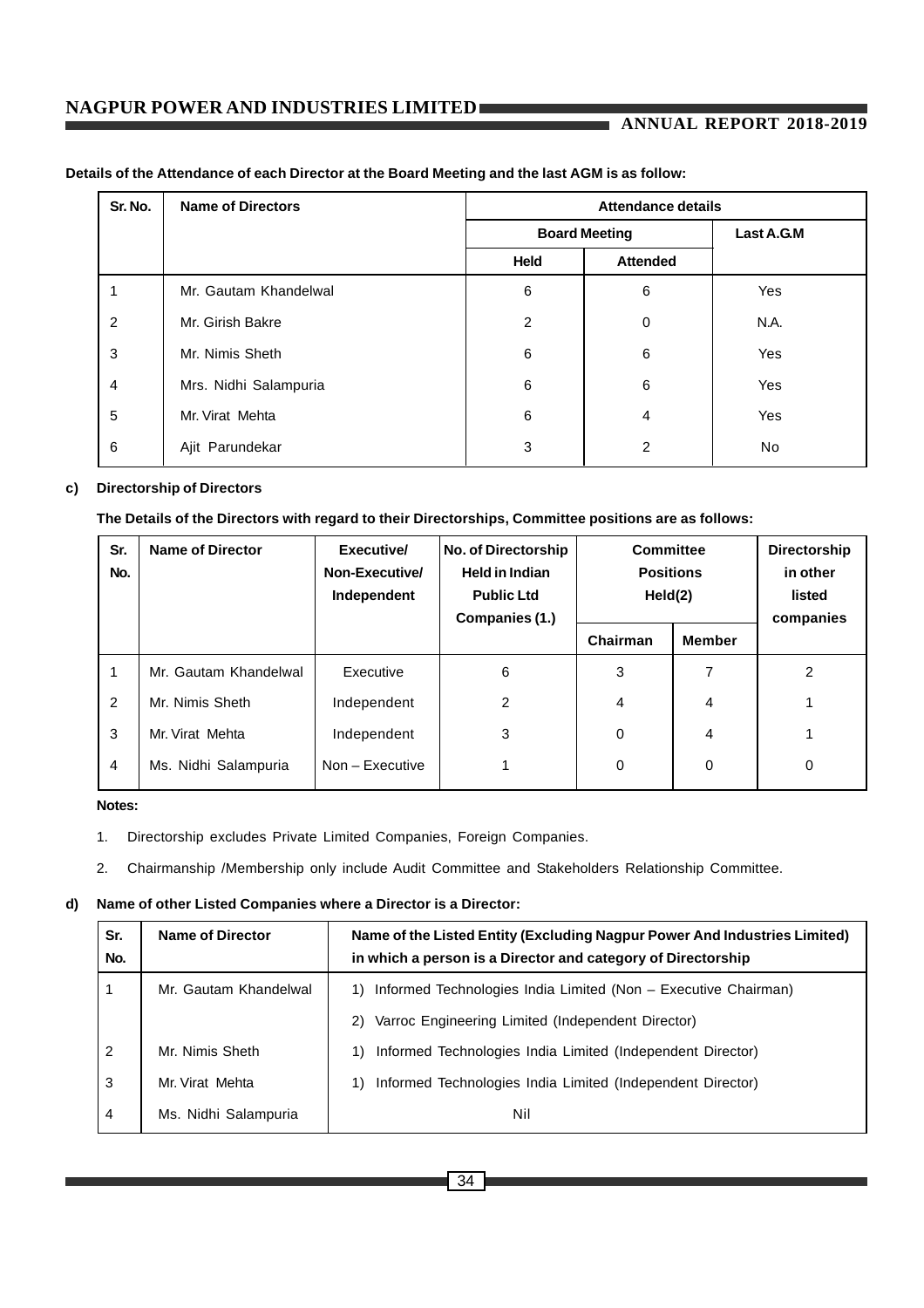| Sr. No. | <b>Name of Directors</b> | Attendance details   |                 |            |
|---------|--------------------------|----------------------|-----------------|------------|
|         |                          | <b>Board Meeting</b> |                 | Last A.G.M |
|         |                          | Held                 | <b>Attended</b> |            |
|         | Mr. Gautam Khandelwal    | 6                    | 6               | Yes        |
| 2       | Mr. Girish Bakre         | 2                    | 0               | N.A.       |
| 3       | Mr. Nimis Sheth          | 6                    | 6               | Yes        |
| 4       | Mrs. Nidhi Salampuria    | 6                    | 6               | <b>Yes</b> |
| 5       | Mr. Virat Mehta          | 6                    | 4               | Yes        |
| 6       | Ajit Parundekar          | 3                    | 2               | No         |

#### **Details of the Attendance of each Director at the Board Meeting and the last AGM is as follow:**

#### **c) Directorship of Directors**

#### **The Details of the Directors with regard to their Directorships, Committee positions are as follows:**

| Sr.<br>No.     | <b>Name of Director</b> | Executive/<br>Non-Executive/<br>Independent | No. of Directorship<br><b>Held in Indian</b><br><b>Public Ltd</b><br>Companies (1.) | <b>Committee</b><br><b>Positions</b><br>Held(2) |               | <b>Directorship</b><br>in other<br>listed<br>companies |
|----------------|-------------------------|---------------------------------------------|-------------------------------------------------------------------------------------|-------------------------------------------------|---------------|--------------------------------------------------------|
|                |                         |                                             |                                                                                     | Chairman                                        | <b>Member</b> |                                                        |
|                | Mr. Gautam Khandelwal   | Executive                                   | 6                                                                                   | 3                                               |               | $\overline{2}$                                         |
| 2              | Mr. Nimis Sheth         | Independent                                 | 2                                                                                   | 4                                               | 4             |                                                        |
| 3              | Mr. Virat Mehta         | Independent                                 | 3                                                                                   | 0                                               | 4             |                                                        |
| $\overline{4}$ | Ms. Nidhi Salampuria    | Non - Executive                             | 1                                                                                   | 0                                               | $\mathbf 0$   | 0                                                      |

#### **Notes:**

- 1. Directorship excludes Private Limited Companies, Foreign Companies.
- 2. Chairmanship /Membership only include Audit Committee and Stakeholders Relationship Committee.

#### **d) Name of other Listed Companies where a Director is a Director:**

| Sr.<br>No.     | <b>Name of Director</b> | Name of the Listed Entity (Excluding Nagpur Power And Industries Limited)<br>in which a person is a Director and category of Directorship |  |
|----------------|-------------------------|-------------------------------------------------------------------------------------------------------------------------------------------|--|
|                | Mr. Gautam Khandelwal   | Informed Technologies India Limited (Non – Executive Chairman)<br>1)                                                                      |  |
|                |                         | 2) Varroc Engineering Limited (Independent Director)                                                                                      |  |
| $\overline{2}$ | Mr. Nimis Sheth         | Informed Technologies India Limited (Independent Director)<br>1)                                                                          |  |
| 3              | Mr. Virat Mehta         | Informed Technologies India Limited (Independent Director)<br>1)                                                                          |  |
| 4              | Ms. Nidhi Salampuria    | Nil                                                                                                                                       |  |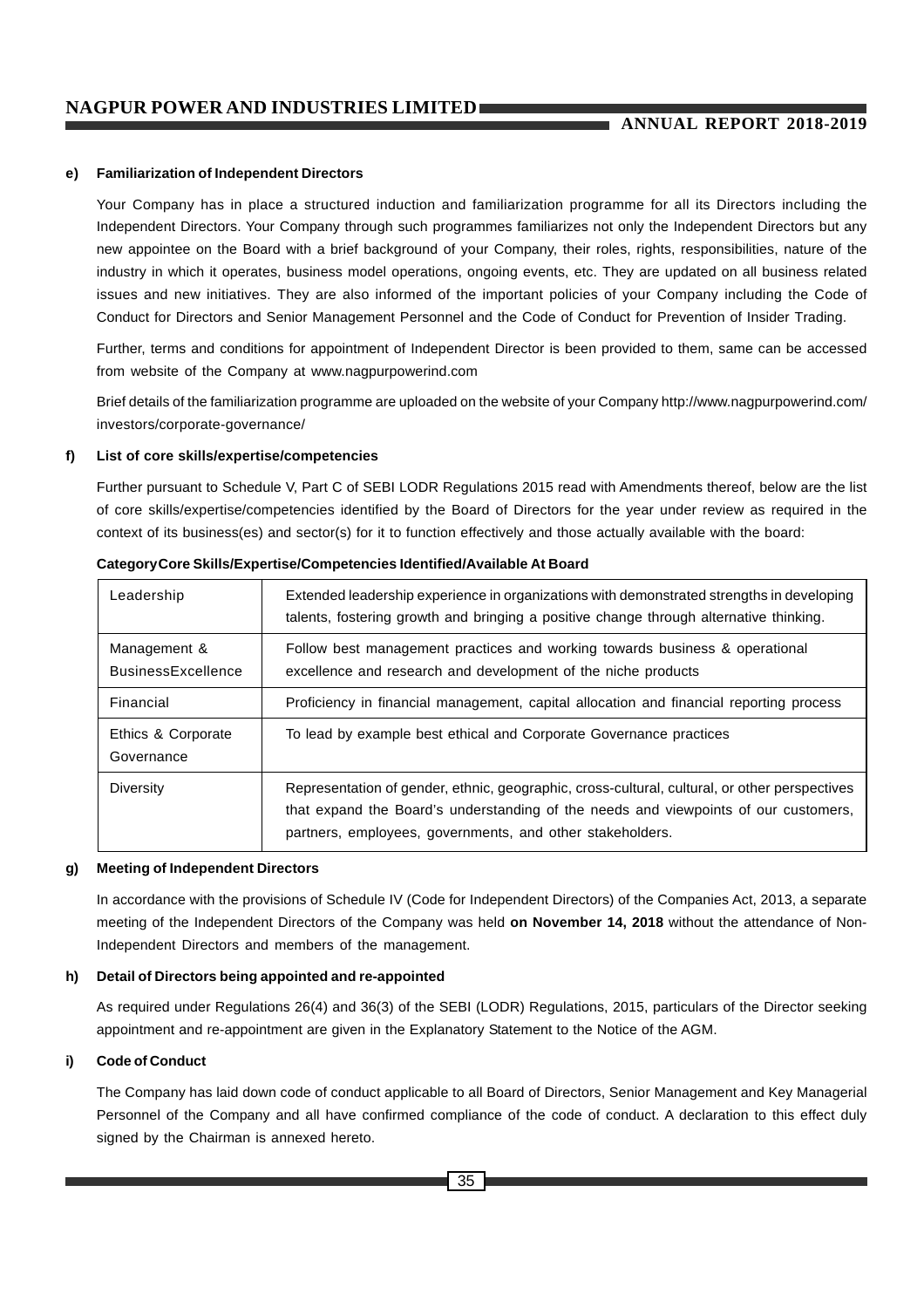# **ANNUAL REPORT 2018-2019**

# **e) Familiarization of Independent Directors**

Your Company has in place a structured induction and familiarization programme for all its Directors including the Independent Directors. Your Company through such programmes familiarizes not only the Independent Directors but any new appointee on the Board with a brief background of your Company, their roles, rights, responsibilities, nature of the industry in which it operates, business model operations, ongoing events, etc. They are updated on all business related issues and new initiatives. They are also informed of the important policies of your Company including the Code of Conduct for Directors and Senior Management Personnel and the Code of Conduct for Prevention of Insider Trading.

Further, terms and conditions for appointment of Independent Director is been provided to them, same can be accessed from website of the Company at www.nagpurpowerind.com

Brief details of the familiarization programme are uploaded on the website of your Company http://www.nagpurpowerind.com/ investors/corporate-governance/

# **f) List of core skills/expertise/competencies**

Further pursuant to Schedule V, Part C of SEBI LODR Regulations 2015 read with Amendments thereof, below are the list of core skills/expertise/competencies identified by the Board of Directors for the year under review as required in the context of its business(es) and sector(s) for it to function effectively and those actually available with the board:

| Leadership                                | Extended leadership experience in organizations with demonstrated strengths in developing<br>talents, fostering growth and bringing a positive change through alternative thinking.                                                               |
|-------------------------------------------|---------------------------------------------------------------------------------------------------------------------------------------------------------------------------------------------------------------------------------------------------|
| Management &<br><b>BusinessExcellence</b> | Follow best management practices and working towards business & operational<br>excellence and research and development of the niche products                                                                                                      |
| Financial                                 | Proficiency in financial management, capital allocation and financial reporting process                                                                                                                                                           |
| Ethics & Corporate<br>Governance          | To lead by example best ethical and Corporate Governance practices                                                                                                                                                                                |
| <b>Diversity</b>                          | Representation of gender, ethnic, geographic, cross-cultural, cultural, or other perspectives<br>that expand the Board's understanding of the needs and viewpoints of our customers,<br>partners, employees, governments, and other stakeholders. |

**CategoryCore Skills/Expertise/Competencies Identified/Available At Board**

## **g) Meeting of Independent Directors**

In accordance with the provisions of Schedule IV (Code for Independent Directors) of the Companies Act, 2013, a separate meeting of the Independent Directors of the Company was held **on November 14, 2018** without the attendance of Non-Independent Directors and members of the management.

# **h) Detail of Directors being appointed and re-appointed**

As required under Regulations 26(4) and 36(3) of the SEBI (LODR) Regulations, 2015, particulars of the Director seeking appointment and re-appointment are given in the Explanatory Statement to the Notice of the AGM.

# **i) Code of Conduct**

The Company has laid down code of conduct applicable to all Board of Directors, Senior Management and Key Managerial Personnel of the Company and all have confirmed compliance of the code of conduct. A declaration to this effect duly signed by the Chairman is annexed hereto.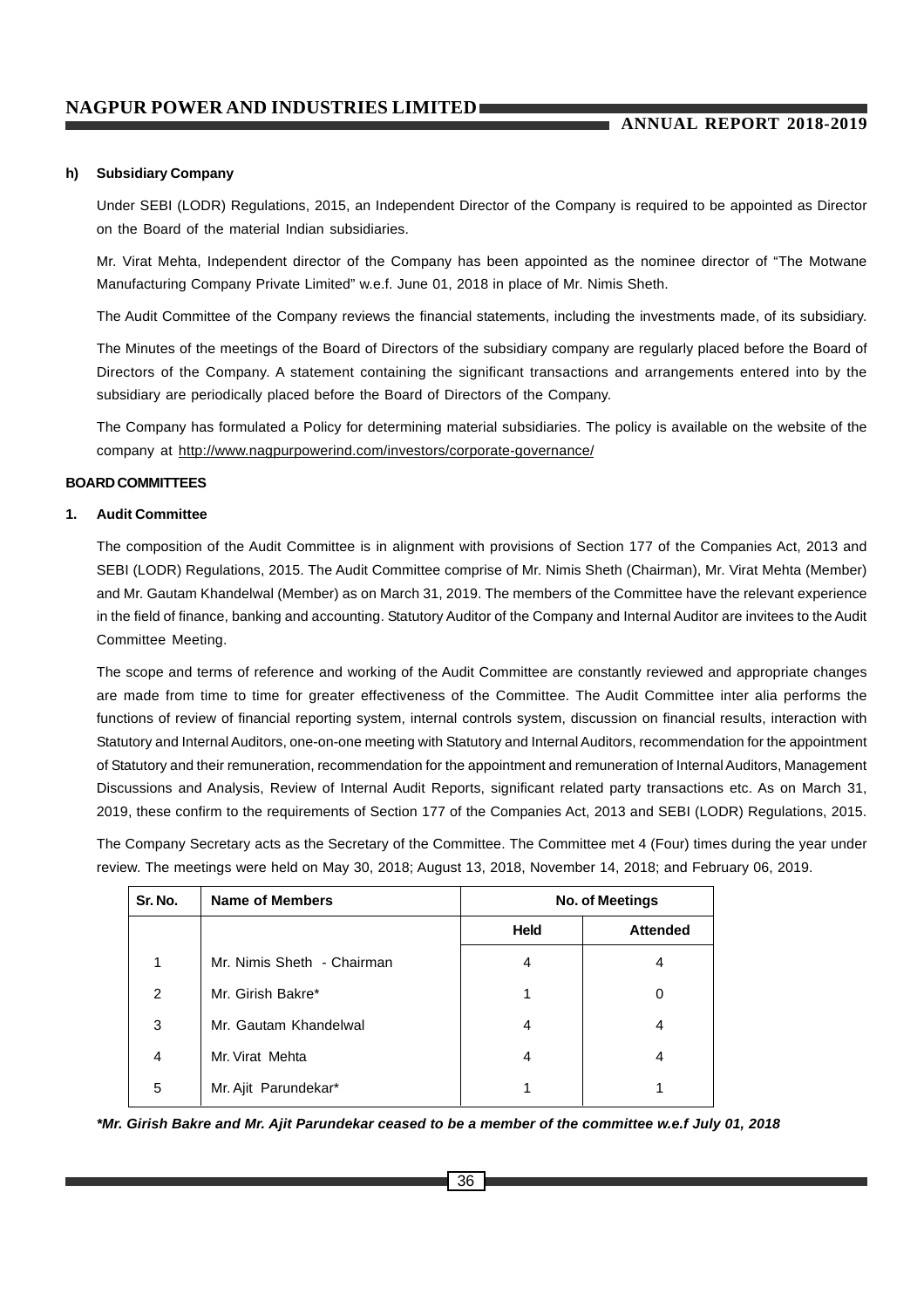# **h) Subsidiary Company**

Under SEBI (LODR) Regulations, 2015, an Independent Director of the Company is required to be appointed as Director on the Board of the material Indian subsidiaries.

Mr. Virat Mehta, Independent director of the Company has been appointed as the nominee director of "The Motwane Manufacturing Company Private Limited" w.e.f. June 01, 2018 in place of Mr. Nimis Sheth.

The Audit Committee of the Company reviews the financial statements, including the investments made, of its subsidiary.

The Minutes of the meetings of the Board of Directors of the subsidiary company are regularly placed before the Board of Directors of the Company. A statement containing the significant transactions and arrangements entered into by the subsidiary are periodically placed before the Board of Directors of the Company.

The Company has formulated a Policy for determining material subsidiaries. The policy is available on the website of the company at http://www.nagpurpowerind.com/investors/corporate-governance/

# **BOARD COMMITTEES**

# **1. Audit Committee**

The composition of the Audit Committee is in alignment with provisions of Section 177 of the Companies Act, 2013 and SEBI (LODR) Regulations, 2015. The Audit Committee comprise of Mr. Nimis Sheth (Chairman), Mr. Virat Mehta (Member) and Mr. Gautam Khandelwal (Member) as on March 31, 2019. The members of the Committee have the relevant experience in the field of finance, banking and accounting. Statutory Auditor of the Company and Internal Auditor are invitees to the Audit Committee Meeting.

The scope and terms of reference and working of the Audit Committee are constantly reviewed and appropriate changes are made from time to time for greater effectiveness of the Committee. The Audit Committee inter alia performs the functions of review of financial reporting system, internal controls system, discussion on financial results, interaction with Statutory and Internal Auditors, one-on-one meeting with Statutory and Internal Auditors, recommendation for the appointment of Statutory and their remuneration, recommendation for the appointment and remuneration of Internal Auditors, Management Discussions and Analysis, Review of Internal Audit Reports, significant related party transactions etc. As on March 31, 2019, these confirm to the requirements of Section 177 of the Companies Act, 2013 and SEBI (LODR) Regulations, 2015.

The Company Secretary acts as the Secretary of the Committee. The Committee met 4 (Four) times during the year under review. The meetings were held on May 30, 2018; August 13, 2018, November 14, 2018; and February 06, 2019.

| Sr. No. | <b>Name of Members</b>     |             | <b>No. of Meetings</b> |
|---------|----------------------------|-------------|------------------------|
|         |                            | <b>Held</b> | <b>Attended</b>        |
| 1       | Mr. Nimis Sheth - Chairman | 4           | 4                      |
| 2       | Mr. Girish Bakre*          |             | 0                      |
| 3       | Mr. Gautam Khandelwal      | 4           | 4                      |
| 4       | Mr. Virat Mehta            | 4           | 4                      |
| 5       | Mr. Ajit Parundekar*       |             |                        |

*\*Mr. Girish Bakre and Mr. Ajit Parundekar ceased to be a member of the committee w.e.f July 01, 2018*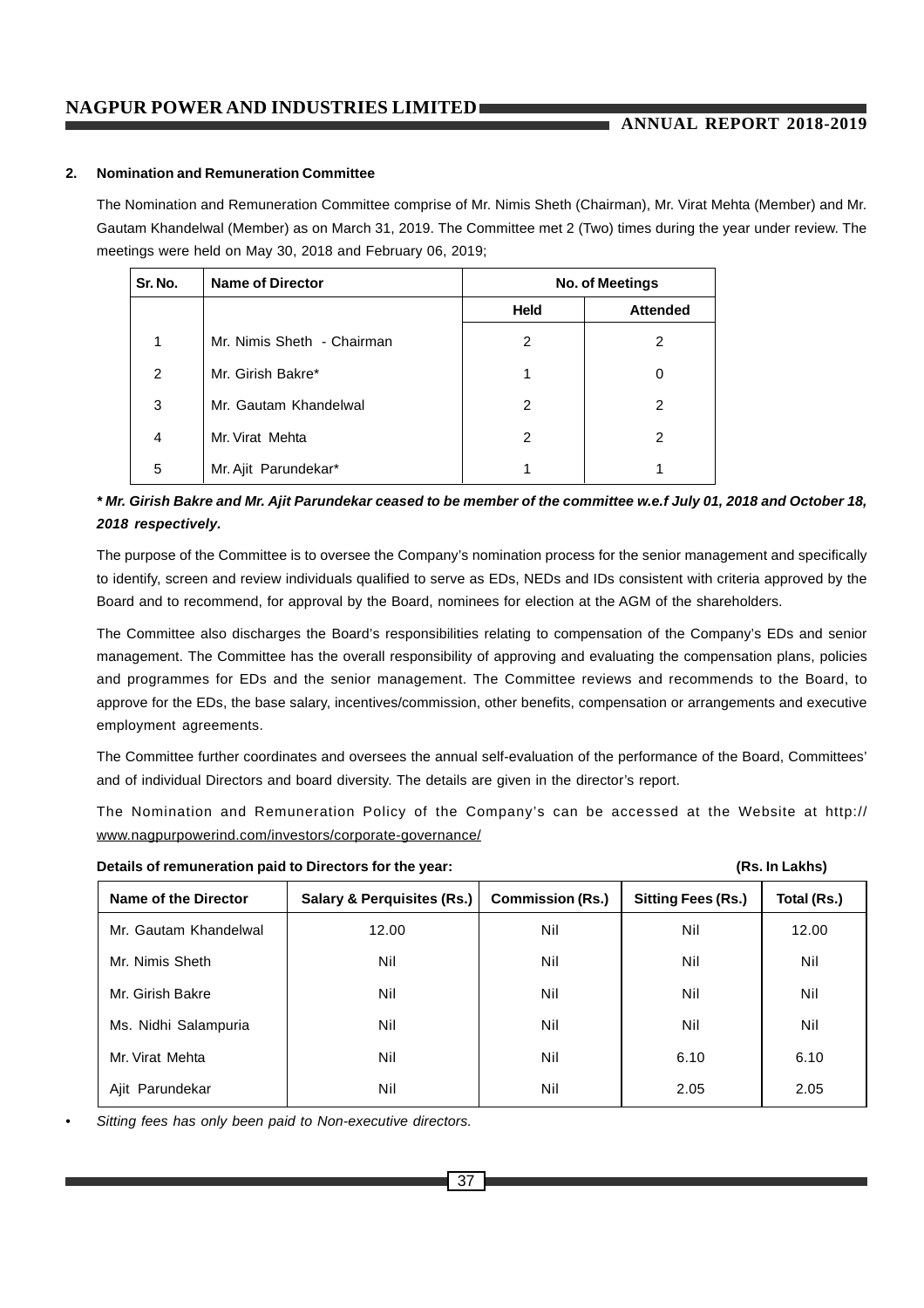# **ANNUAL REPORT 2018-2019**

# **2. Nomination and Remuneration Committee**

The Nomination and Remuneration Committee comprise of Mr. Nimis Sheth (Chairman), Mr. Virat Mehta (Member) and Mr. Gautam Khandelwal (Member) as on March 31, 2019. The Committee met 2 (Two) times during the year under review. The meetings were held on May 30, 2018 and February 06, 2019;

| Sr. No. | <b>Name of Director</b>    |             | <b>No. of Meetings</b> |
|---------|----------------------------|-------------|------------------------|
|         |                            | <b>Held</b> | <b>Attended</b>        |
| 1       | Mr. Nimis Sheth - Chairman | 2           | 2                      |
| 2       | Mr. Girish Bakre*          |             | 0                      |
| 3       | Mr. Gautam Khandelwal      | 2           | 2                      |
| 4       | Mr. Virat Mehta            | 2           | 2                      |
| 5       | Mr. Ajit Parundekar*       |             |                        |

# *\* Mr. Girish Bakre and Mr. Ajit Parundekar ceased to be member of the committee w.e.f July 01, 2018 and October 18, 2018 respectively.*

The purpose of the Committee is to oversee the Company's nomination process for the senior management and specifically to identify, screen and review individuals qualified to serve as EDs, NEDs and IDs consistent with criteria approved by the Board and to recommend, for approval by the Board, nominees for election at the AGM of the shareholders.

The Committee also discharges the Board's responsibilities relating to compensation of the Company's EDs and senior management. The Committee has the overall responsibility of approving and evaluating the compensation plans, policies and programmes for EDs and the senior management. The Committee reviews and recommends to the Board, to approve for the EDs, the base salary, incentives/commission, other benefits, compensation or arrangements and executive employment agreements.

The Committee further coordinates and oversees the annual self-evaluation of the performance of the Board, Committees' and of individual Directors and board diversity. The details are given in the director's report.

The Nomination and Remuneration Policy of the Company's can be accessed at the Website at http:// www.nagpurpowerind.com/investors/corporate-governance/

# **Details of remuneration paid to Directors for the year: (Rs. In Lakhs)**

| Name of the Director  | Salary & Perquisites (Rs.) | <b>Commission (Rs.)</b> | <b>Sitting Fees (Rs.)</b> | Total (Rs.) |
|-----------------------|----------------------------|-------------------------|---------------------------|-------------|
| Mr. Gautam Khandelwal | 12.00                      | Nil                     | Nil                       | 12.00       |
| Mr. Nimis Sheth       | Nil                        | Nil                     | Nil                       | Nil         |
| Mr. Girish Bakre      | Nil                        | Nil                     | Nil                       | Nil         |
| Ms. Nidhi Salampuria  | Nil                        | Nil                     | Nil                       | Nil         |
| Mr. Virat Mehta       | Nil                        | Nil                     | 6.10                      | 6.10        |
| Ajit Parundekar       | Nil                        | Nil                     | 2.05                      | 2.05        |
|                       |                            |                         |                           |             |

• *Sitting fees has only been paid to Non-executive directors.*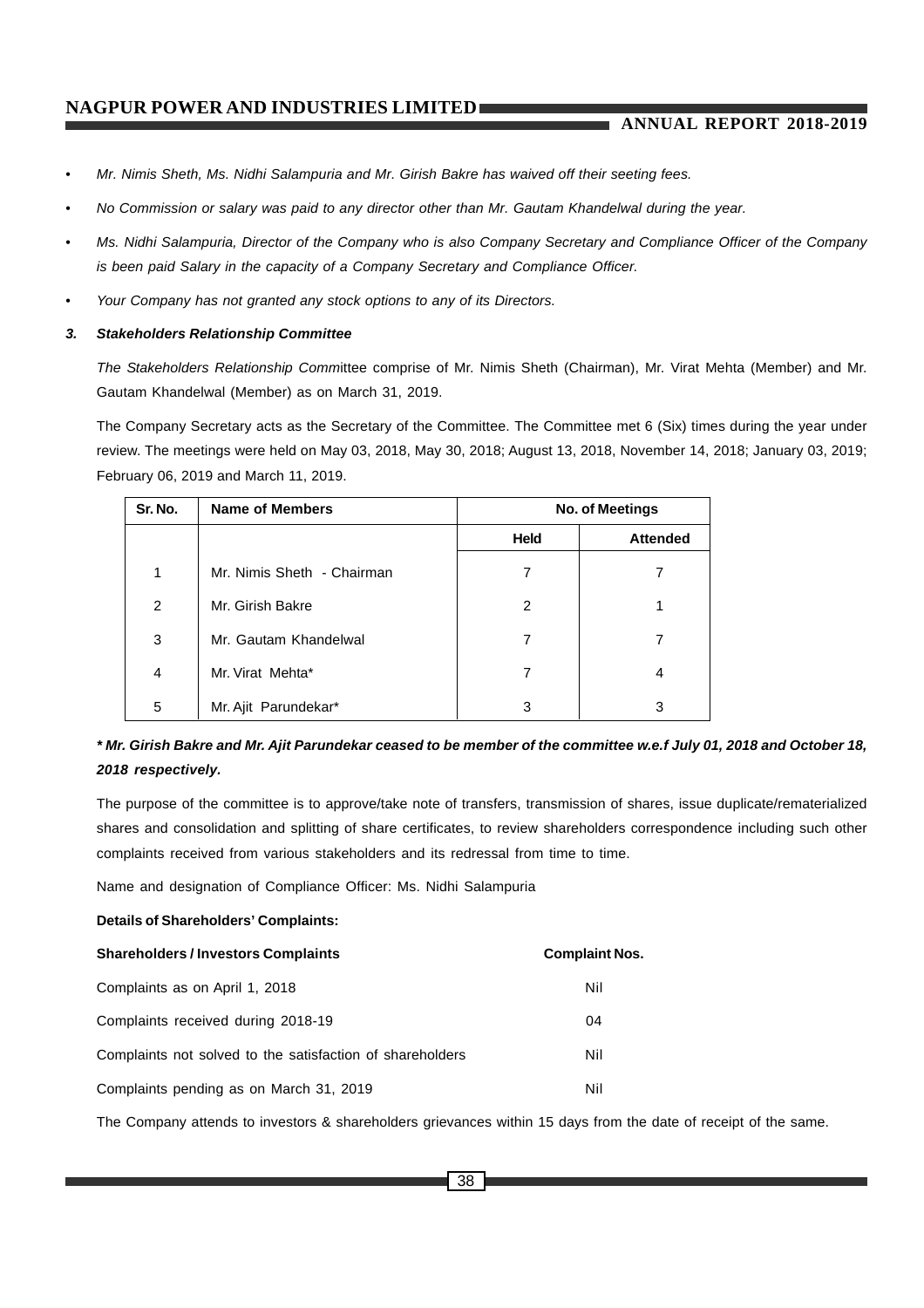# **ANNUAL REPORT 2018-2019**

- *Mr. Nimis Sheth, Ms. Nidhi Salampuria and Mr. Girish Bakre has waived off their seeting fees.*
- *No Commission or salary was paid to any director other than Mr. Gautam Khandelwal during the year.*
- *Ms. Nidhi Salampuria, Director of the Company who is also Company Secretary and Compliance Officer of the Company is been paid Salary in the capacity of a Company Secretary and Compliance Officer.*
- *Your Company has not granted any stock options to any of its Directors.*

#### *3. Stakeholders Relationship Committee*

*The Stakeholders Relationship Comm*ittee comprise of Mr. Nimis Sheth (Chairman), Mr. Virat Mehta (Member) and Mr. Gautam Khandelwal (Member) as on March 31, 2019.

The Company Secretary acts as the Secretary of the Committee. The Committee met 6 (Six) times during the year under review. The meetings were held on May 03, 2018, May 30, 2018; August 13, 2018, November 14, 2018; January 03, 2019; February 06, 2019 and March 11, 2019.

| Sr. No.        | <b>Name of Members</b>     |      | <b>No. of Meetings</b> |
|----------------|----------------------------|------|------------------------|
|                |                            | Held | <b>Attended</b>        |
| 1              | Mr. Nimis Sheth - Chairman | 7    |                        |
| $\overline{2}$ | Mr. Girish Bakre           | 2    |                        |
| 3              | Mr. Gautam Khandelwal      |      |                        |
| 4              | Mr. Virat Mehta*           | 7    | 4                      |
| 5              | Mr. Ajit Parundekar*       | 3    | 3                      |

# *\* Mr. Girish Bakre and Mr. Ajit Parundekar ceased to be member of the committee w.e.f July 01, 2018 and October 18, 2018 respectively.*

The purpose of the committee is to approve/take note of transfers, transmission of shares, issue duplicate/rematerialized shares and consolidation and splitting of share certificates, to review shareholders correspondence including such other complaints received from various stakeholders and its redressal from time to time.

Name and designation of Compliance Officer: Ms. Nidhi Salampuria

#### **Details of Shareholders' Complaints:**

| <b>Shareholders / Investors Complaints</b>                | <b>Complaint Nos.</b> |
|-----------------------------------------------------------|-----------------------|
| Complaints as on April 1, 2018                            | Nil                   |
| Complaints received during 2018-19                        | 04                    |
| Complaints not solved to the satisfaction of shareholders | Nil                   |
| Complaints pending as on March 31, 2019                   | Nil                   |

The Company attends to investors & shareholders grievances within 15 days from the date of receipt of the same.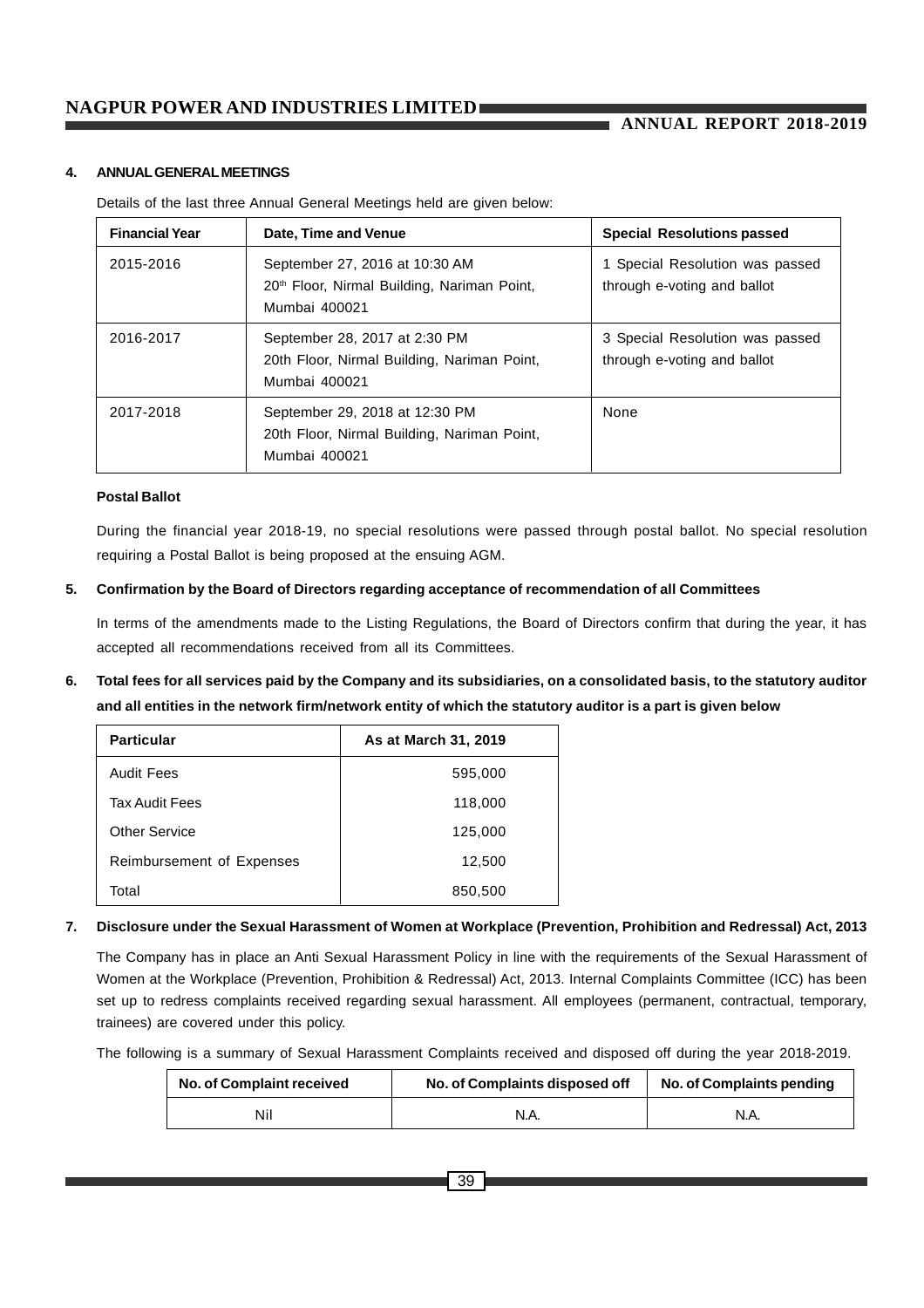**ANNUAL REPORT 2018-2019**

# **4. ANNUAL GENERAL MEETINGS**

| <b>Financial Year</b> | Date, Time and Venue                                                                                       | <b>Special Resolutions passed</b>                              |
|-----------------------|------------------------------------------------------------------------------------------------------------|----------------------------------------------------------------|
| 2015-2016             | September 27, 2016 at 10:30 AM<br>20 <sup>th</sup> Floor, Nirmal Building, Nariman Point,<br>Mumbai 400021 | Special Resolution was passed<br>through e-voting and ballot   |
| 2016-2017             | September 28, 2017 at 2:30 PM<br>20th Floor, Nirmal Building, Nariman Point,<br>Mumbai 400021              | 3 Special Resolution was passed<br>through e-voting and ballot |
| 2017-2018             | September 29, 2018 at 12:30 PM<br>20th Floor, Nirmal Building, Nariman Point,<br>Mumbai 400021             | None                                                           |

Details of the last three Annual General Meetings held are given below:

# **Postal Ballot**

During the financial year 2018-19, no special resolutions were passed through postal ballot. No special resolution requiring a Postal Ballot is being proposed at the ensuing AGM.

# **5. Confirmation by the Board of Directors regarding acceptance of recommendation of all Committees**

In terms of the amendments made to the Listing Regulations, the Board of Directors confirm that during the year, it has accepted all recommendations received from all its Committees.

**6. Total fees for all services paid by the Company and its subsidiaries, on a consolidated basis, to the statutory auditor and all entities in the network firm/network entity of which the statutory auditor is a part is given below**

| <b>Particular</b>         | As at March 31, 2019 |
|---------------------------|----------------------|
| <b>Audit Fees</b>         | 595,000              |
| <b>Tax Audit Fees</b>     | 118,000              |
| Other Service             | 125,000              |
| Reimbursement of Expenses | 12,500               |
| Total                     | 850,500              |

# **7. Disclosure under the Sexual Harassment of Women at Workplace (Prevention, Prohibition and Redressal) Act, 2013**

The Company has in place an Anti Sexual Harassment Policy in line with the requirements of the Sexual Harassment of Women at the Workplace (Prevention, Prohibition & Redressal) Act, 2013. Internal Complaints Committee (ICC) has been set up to redress complaints received regarding sexual harassment. All employees (permanent, contractual, temporary, trainees) are covered under this policy.

The following is a summary of Sexual Harassment Complaints received and disposed off during the year 2018-2019.

| <b>No. of Complaint received</b> |     | No. of Complaints disposed off | No. of Complaints pending |  |
|----------------------------------|-----|--------------------------------|---------------------------|--|
|                                  | Nil | N.A.                           | N.A.                      |  |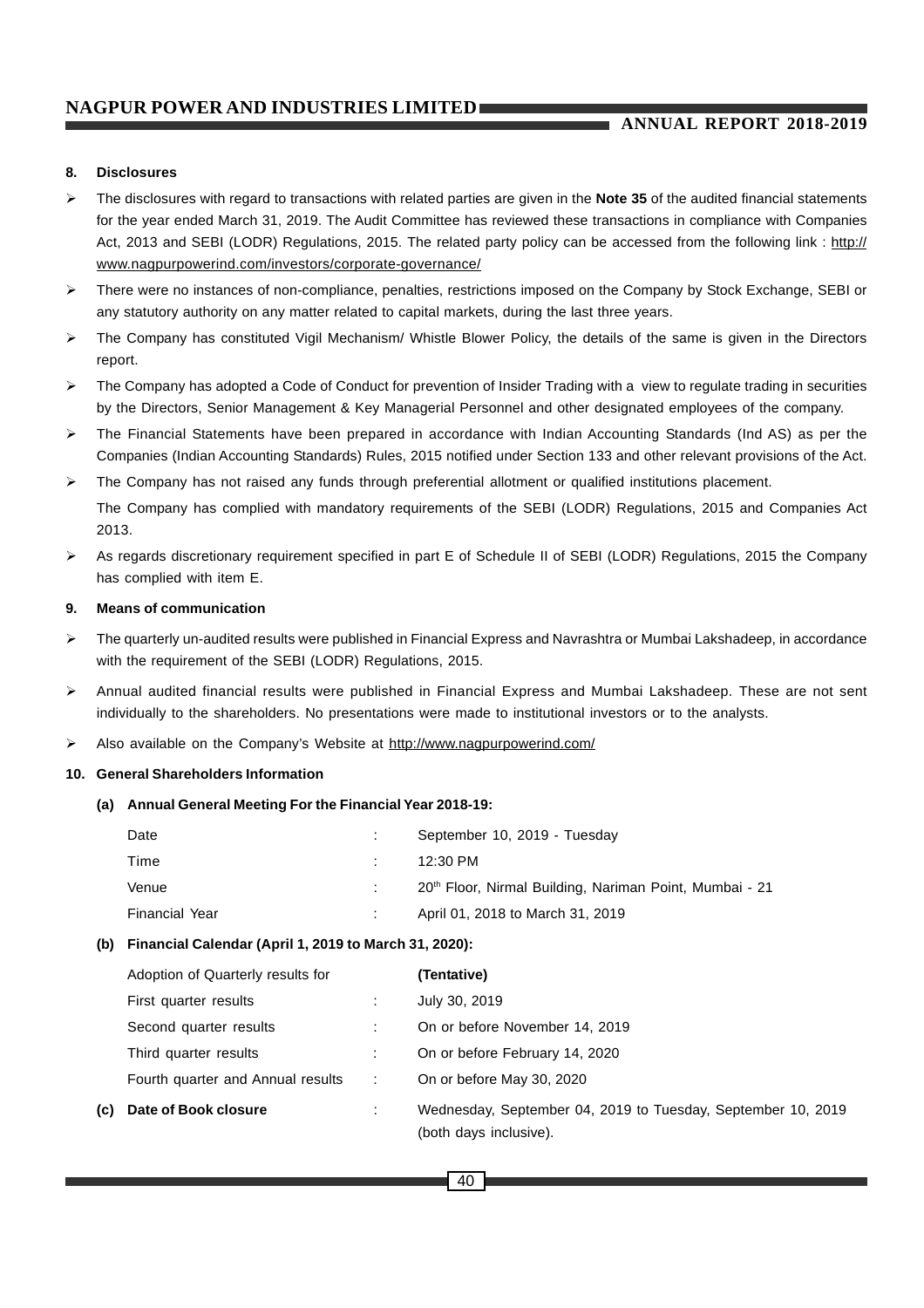# **ANNUAL REPORT 2018-2019**

# **8. Disclosures**

- $\blacktriangleright$  The disclosures with regard to transactions with related parties are given in the **Note 35** of the audited financial statements for the year ended March 31, 2019. The Audit Committee has reviewed these transactions in compliance with Companies Act, 2013 and SEBI (LODR) Regulations, 2015. The related party policy can be accessed from the following link : http:// www.nagpurpowerind.com/investors/corporate-governance/
- $\blacktriangleright$  There were no instances of non-compliance, penalties, restrictions imposed on the Company by Stock Exchange, SEBI or any statutory authority on any matter related to capital markets, during the last three years.
- $\blacktriangleright$  The Company has constituted Vigil Mechanism/ Whistle Blower Policy, the details of the same is given in the Directors report.
- $\blacktriangleright$  The Company has adopted a Code of Conduct for prevention of Insider Trading with a view to regulate trading in securities by the Directors, Senior Management & Key Managerial Personnel and other designated employees of the company.
- $\triangleright$  The Financial Statements have been prepared in accordance with Indian Accounting Standards (Ind AS) as per the Companies (Indian Accounting Standards) Rules, 2015 notified under Section 133 and other relevant provisions of the Act.
- $\blacktriangleright$ The Company has not raised any funds through preferential allotment or qualified institutions placement.

The Company has complied with mandatory requirements of the SEBI (LODR) Regulations, 2015 and Companies Act 2013.

 $\triangleright$  As regards discretionary requirement specified in part E of Schedule II of SEBI (LODR) Regulations, 2015 the Company has complied with item E.

# **9. Means of communication**

- $\blacktriangleright$  The quarterly un-audited results were published in Financial Express and Navrashtra or Mumbai Lakshadeep, in accordance with the requirement of the SEBI (LODR) Regulations, 2015.
- $\blacktriangleright$  Annual audited financial results were published in Financial Express and Mumbai Lakshadeep. These are not sent individually to the shareholders. No presentations were made to institutional investors or to the analysts.
- $\blacktriangleright$ Also available on the Company's Website at http://www.nagpurpowerind.com/

# **10. General Shareholders Information**

## **(a) Annual General Meeting For the Financial Year 2018-19:**

| Date                  | September 10, 2019 - Tuesday                            |
|-----------------------|---------------------------------------------------------|
| Time                  | 12:30 PM                                                |
| Venue                 | 20th Floor, Nirmal Building, Nariman Point, Mumbai - 21 |
| <b>Financial Year</b> | April 01, 2018 to March 31, 2019                        |

## **(b) Financial Calendar (April 1, 2019 to March 31, 2020):**

| Adoption of Quarterly results for |                          | (Tentative)                                                                            |
|-----------------------------------|--------------------------|----------------------------------------------------------------------------------------|
| First quarter results             |                          | July 30, 2019                                                                          |
| Second quarter results            |                          | On or before November 14, 2019                                                         |
| Third quarter results             | ÷                        | On or before February 14, 2020                                                         |
| Fourth quarter and Annual results | $\sim 1000$ km s $^{-1}$ | On or before May 30, 2020                                                              |
| (c) Date of Book closure          | ٠                        | Wednesday, September 04, 2019 to Tuesday, September 10, 2019<br>(both days inclusive). |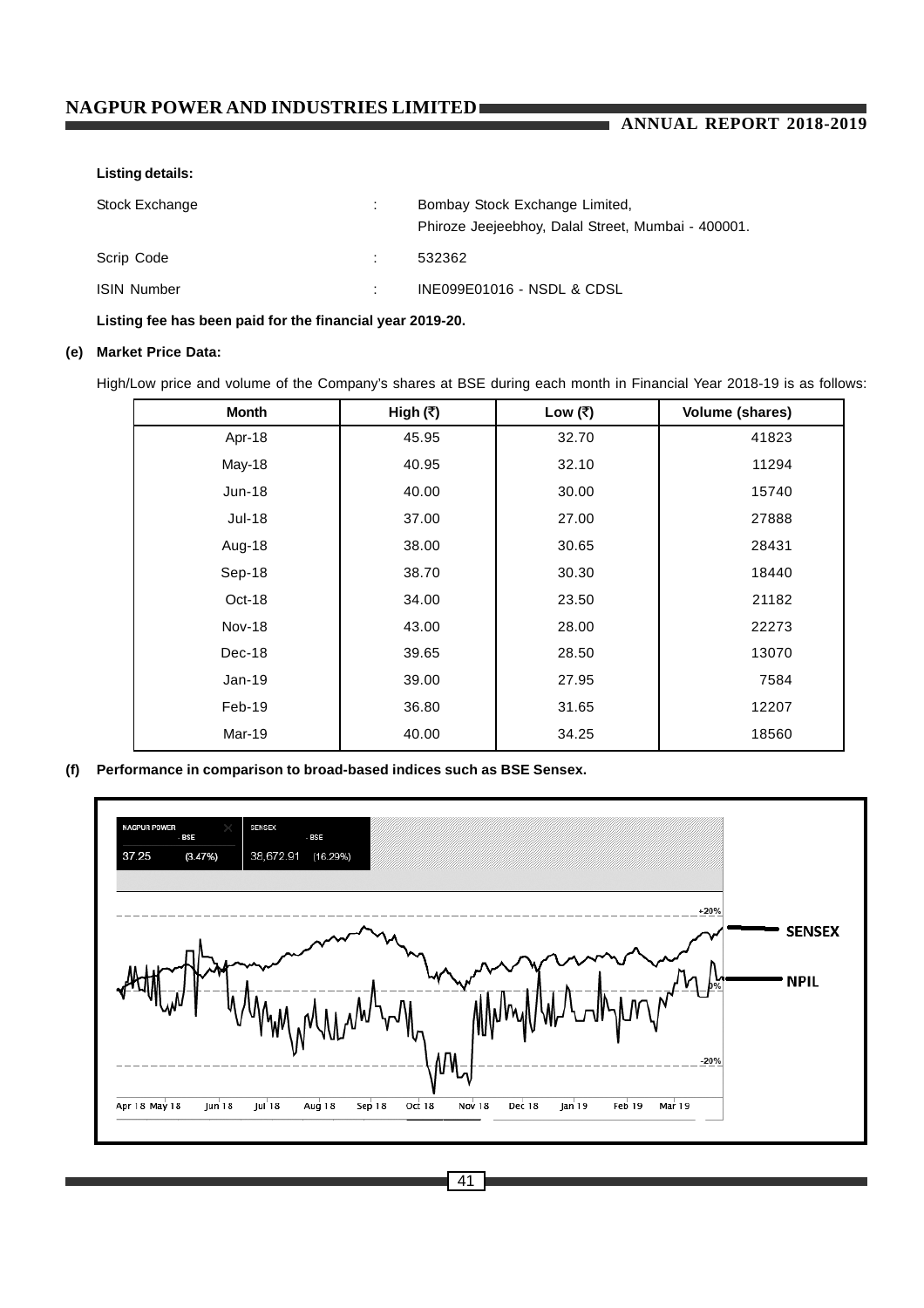# **ANNUAL REPORT 2018-2019**

| <b>Listing details:</b> |                                                                                      |
|-------------------------|--------------------------------------------------------------------------------------|
| Stock Exchange          | Bombay Stock Exchange Limited.<br>Phiroze Jeejeebhoy, Dalal Street, Mumbai - 400001. |
| Scrip Code              | 532362                                                                               |
| <b>ISIN Number</b>      | INE099E01016 - NSDL & CDSL                                                           |

**Listing fee has been paid for the financial year 2019-20.**

# **(e) Market Price Data:**

High/Low price and volume of the Company's shares at BSE during each month in Financial Year 2018-19 is as follows:

| <b>Month</b>  | High (₹) | Low (₹) | <b>Volume (shares)</b> |
|---------------|----------|---------|------------------------|
| Apr-18        | 45.95    | 32.70   | 41823                  |
| May-18        | 40.95    | 32.10   | 11294                  |
| <b>Jun-18</b> | 40.00    | 30.00   | 15740                  |
| <b>Jul-18</b> | 37.00    | 27.00   | 27888                  |
| Aug-18        | 38.00    | 30.65   | 28431                  |
| Sep-18        | 38.70    | 30.30   | 18440                  |
| Oct-18        | 34.00    | 23.50   | 21182                  |
| Nov-18        | 43.00    | 28.00   | 22273                  |
| Dec-18        | 39.65    | 28.50   | 13070                  |
| Jan-19        | 39.00    | 27.95   | 7584                   |
| Feb-19        | 36.80    | 31.65   | 12207                  |
| <b>Mar-19</b> | 40.00    | 34.25   | 18560                  |

# **(f) Performance in comparison to broad-based indices such as BSE Sensex.**

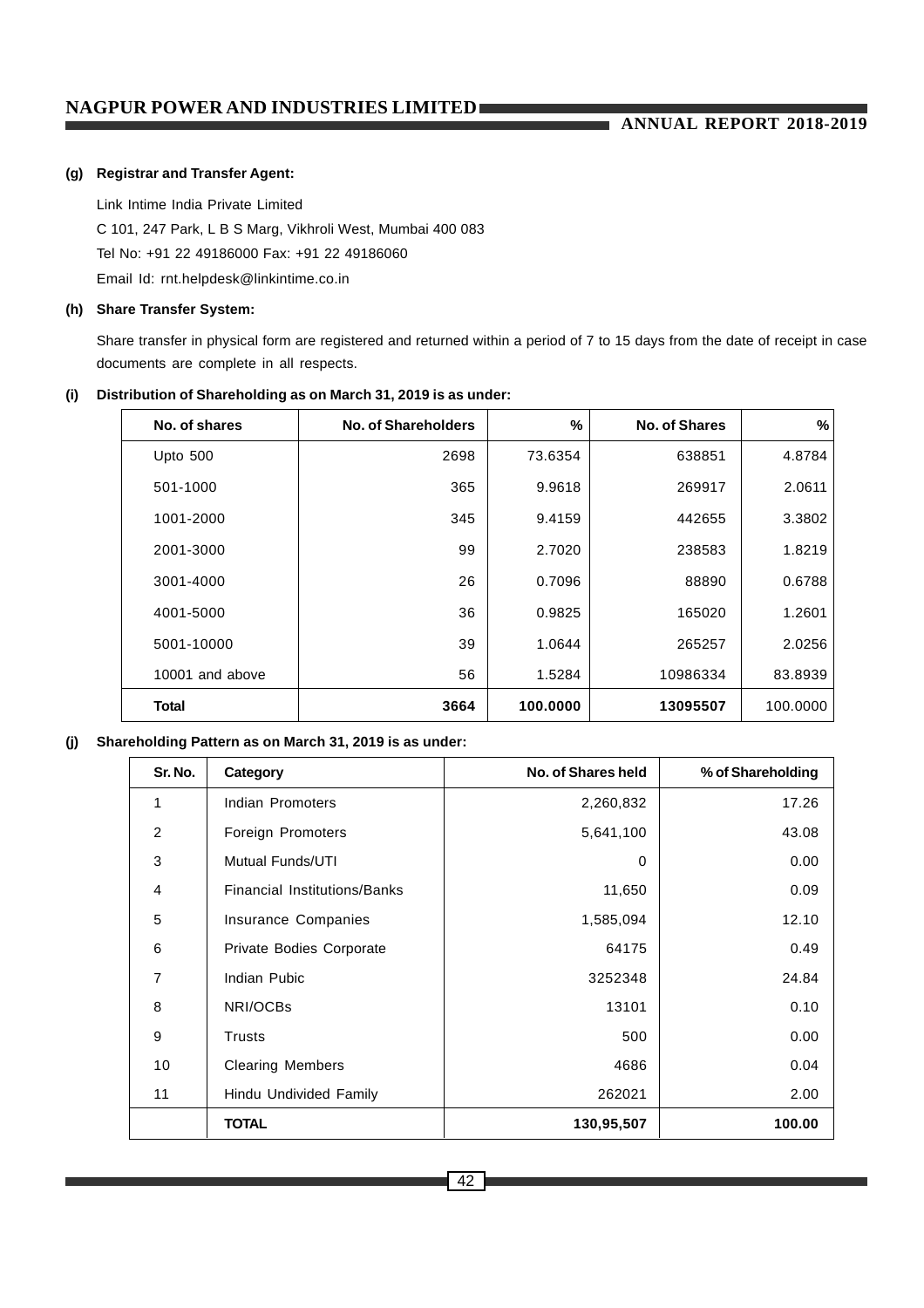# **(g) Registrar and Transfer Agent:**

Link Intime India Private Limited C 101, 247 Park, L B S Marg, Vikhroli West, Mumbai 400 083 Tel No: +91 22 49186000 Fax: +91 22 49186060 Email Id: rnt.helpdesk@linkintime.co.in

# **(h) Share Transfer System:**

Share transfer in physical form are registered and returned within a period of 7 to 15 days from the date of receipt in case documents are complete in all respects.

# **(i) Distribution of Shareholding as on March 31, 2019 is as under:**

| No. of shares   | No. of Shareholders | $\frac{0}{0}$ | No. of Shares | %        |
|-----------------|---------------------|---------------|---------------|----------|
| Upto 500        | 2698                | 73.6354       | 638851        | 4.8784   |
| 501-1000        | 365                 | 9.9618        | 269917        | 2.0611   |
| 1001-2000       | 345                 | 9.4159        | 442655        | 3.3802   |
| 2001-3000       | 99                  | 2.7020        | 238583        | 1.8219   |
| 3001-4000       | 26                  | 0.7096        | 88890         | 0.6788   |
| 4001-5000       | 36                  | 0.9825        | 165020        | 1.2601   |
| 5001-10000      | 39                  | 1.0644        | 265257        | 2.0256   |
| 10001 and above | 56                  | 1.5284        | 10986334      | 83.8939  |
| <b>Total</b>    | 3664                | 100.0000      | 13095507      | 100.0000 |

# **(j) Shareholding Pattern as on March 31, 2019 is as under:**

| Sr. No.        | Category                            | No. of Shares held | % of Shareholding |
|----------------|-------------------------------------|--------------------|-------------------|
| 1              | Indian Promoters                    | 2,260,832          | 17.26             |
| $\overline{2}$ | <b>Foreign Promoters</b>            | 5,641,100          | 43.08             |
| 3              | <b>Mutual Funds/UTI</b>             | 0                  | 0.00              |
| 4              | <b>Financial Institutions/Banks</b> | 11,650             | 0.09              |
| 5              | Insurance Companies                 | 1,585,094          | 12.10             |
| 6              | Private Bodies Corporate            | 64175              | 0.49              |
| 7              | Indian Pubic                        | 3252348            | 24.84             |
| 8              | NRI/OCBs                            | 13101              | 0.10              |
| 9              | <b>Trusts</b>                       | 500                | 0.00              |
| 10             | <b>Clearing Members</b>             | 4686               | 0.04              |
| 11             | Hindu Undivided Family              | 262021             | 2.00              |
|                | <b>TOTAL</b>                        | 130,95,507         | 100.00            |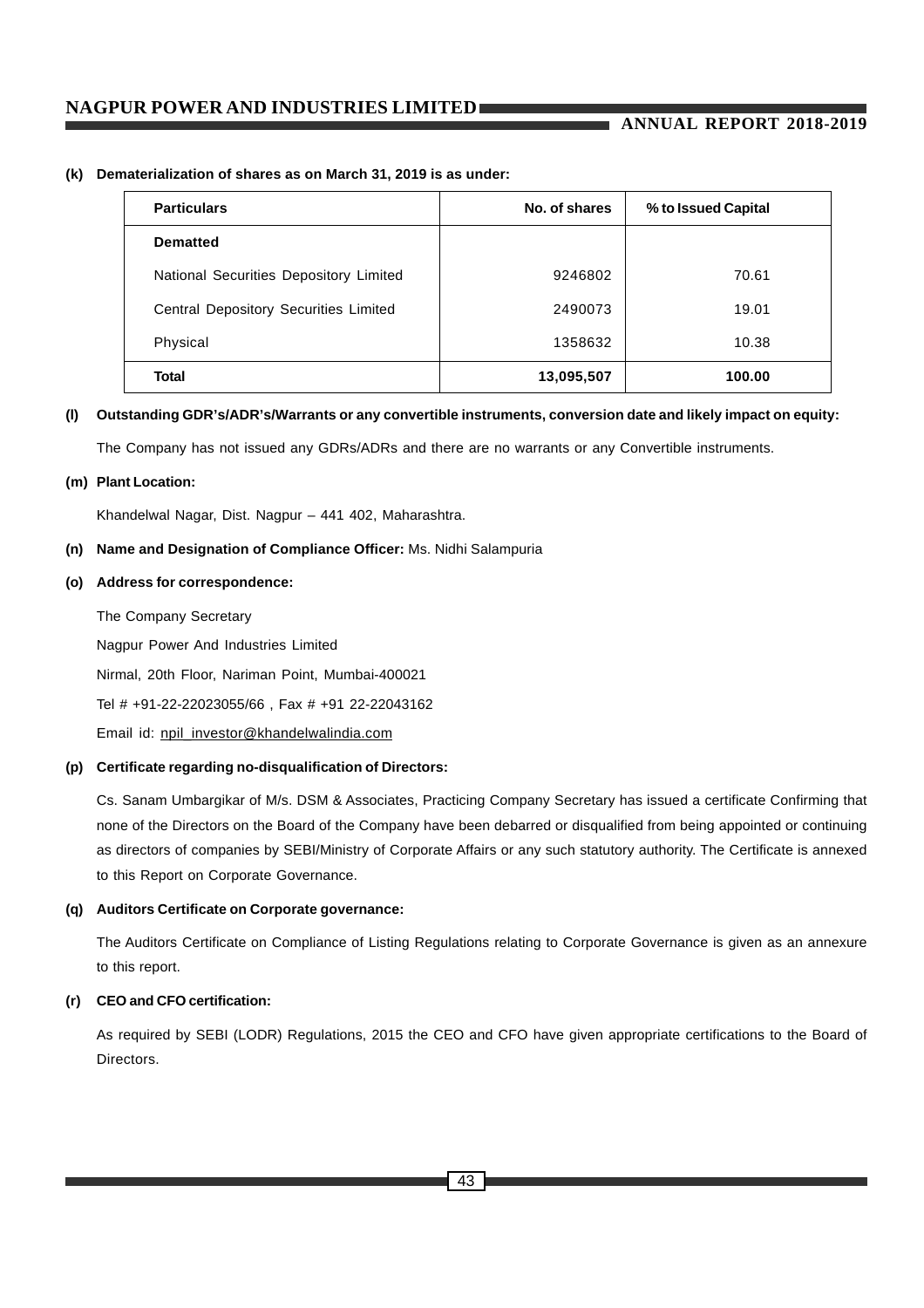# **ANNUAL REPORT 2018-2019**

#### **(k) Dematerialization of shares as on March 31, 2019 is as under:**

| <b>Particulars</b>                           | No. of shares | % to Issued Capital |
|----------------------------------------------|---------------|---------------------|
| <b>Dematted</b>                              |               |                     |
| National Securities Depository Limited       | 9246802       | 70.61               |
| <b>Central Depository Securities Limited</b> | 2490073       | 19.01               |
| Physical                                     | 1358632       | 10.38               |
| Total                                        | 13,095,507    | 100.00              |

# **(l) Outstanding GDR's/ADR's/Warrants or any convertible instruments, conversion date and likely impact on equity:**

The Company has not issued any GDRs/ADRs and there are no warrants or any Convertible instruments.

# **(m) Plant Location:**

Khandelwal Nagar, Dist. Nagpur – 441 402, Maharashtra.

# **(n) Name and Designation of Compliance Officer:** Ms. Nidhi Salampuria

#### **(o) Address for correspondence:**

The Company Secretary

Nagpur Power And Industries Limited

Nirmal, 20th Floor, Nariman Point, Mumbai-400021

Tel # +91-22-22023055/66 , Fax # +91 22-22043162

Email id: npil\_investor@khandelwalindia.com

# **(p) Certificate regarding no-disqualification of Directors:**

Cs. Sanam Umbargikar of M/s. DSM & Associates, Practicing Company Secretary has issued a certificate Confirming that none of the Directors on the Board of the Company have been debarred or disqualified from being appointed or continuing as directors of companies by SEBI/Ministry of Corporate Affairs or any such statutory authority. The Certificate is annexed to this Report on Corporate Governance.

## **(q) Auditors Certificate on Corporate governance:**

The Auditors Certificate on Compliance of Listing Regulations relating to Corporate Governance is given as an annexure to this report.

# **(r) CEO and CFO certification:**

As required by SEBI (LODR) Regulations, 2015 the CEO and CFO have given appropriate certifications to the Board of Directors.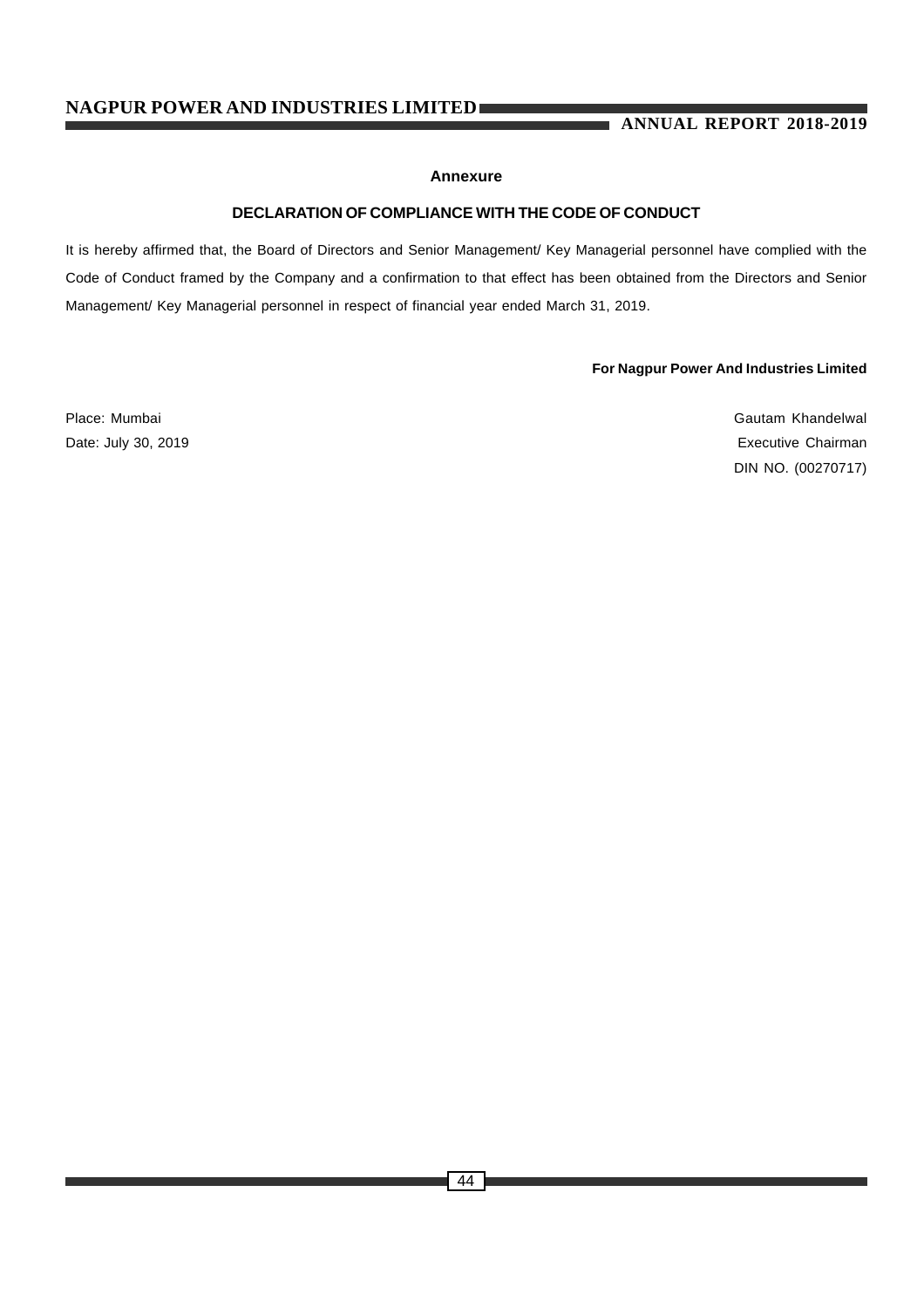# **ANNUAL REPORT 2018-2019**

# **Annexure**

# **DECLARATION OF COMPLIANCE WITH THE CODE OF CONDUCT**

It is hereby affirmed that, the Board of Directors and Senior Management/ Key Managerial personnel have complied with the Code of Conduct framed by the Company and a confirmation to that effect has been obtained from the Directors and Senior Management/ Key Managerial personnel in respect of financial year ended March 31, 2019.

# **For Nagpur Power And Industries Limited**

Place: Mumbai Gautam Khandelwal Gautam Khandelwal Gautam Khandelwal Gautam Khandelwal Gautam Khandelwal Gautam Khandelwal Gautam Gautam Gautam Gautam Gautam Gautam Gautam Gautam Gautam Gautam Gautam Gautam Gautam Gautam Ga Date: July 30, 2019 **Executive Chairman** DIN NO. (00270717)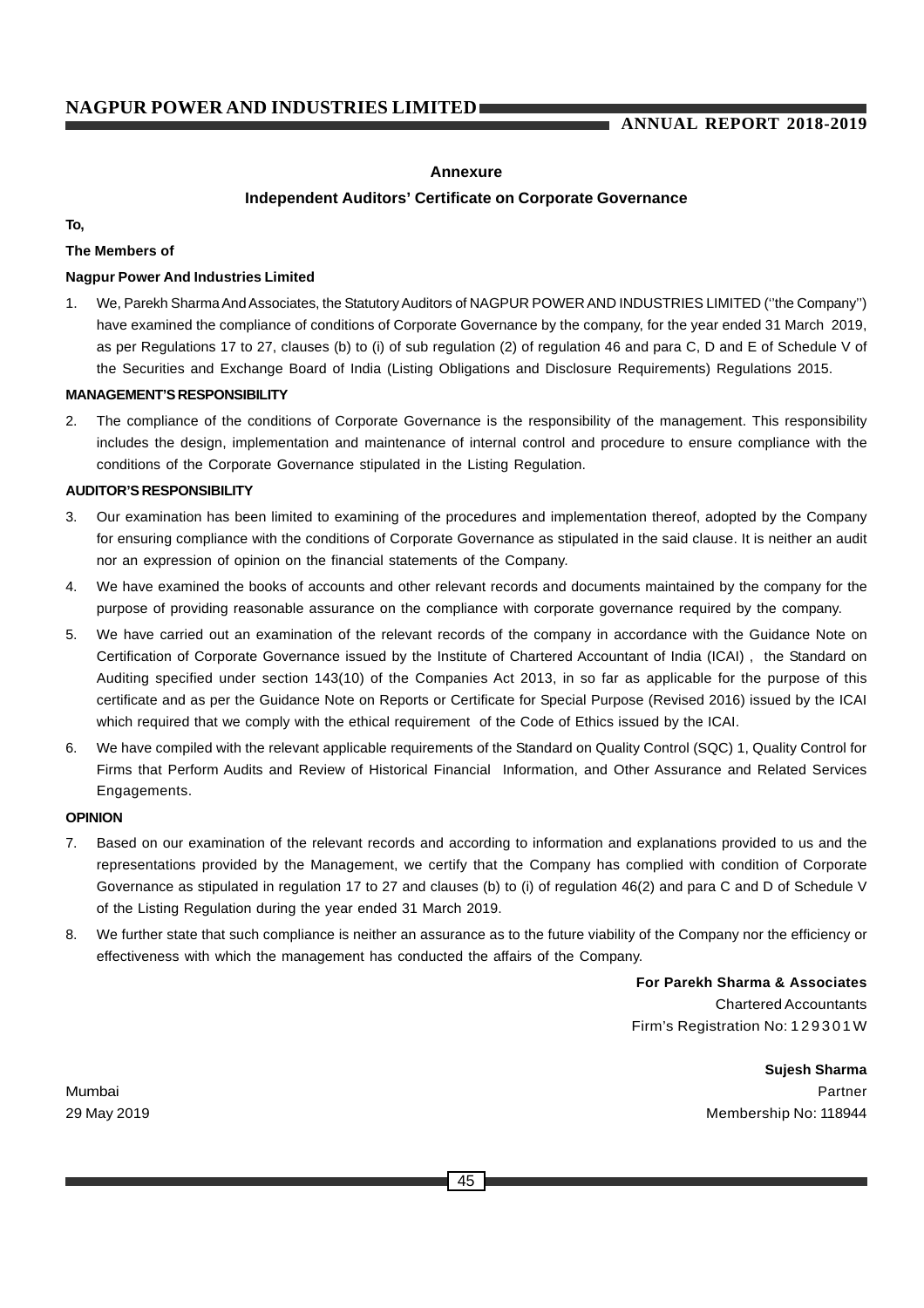# **Annexure**

# **Independent Auditors' Certificate on Corporate Governance**

# **To,**

# **The Members of**

# **Nagpur Power And Industries Limited**

1. We, Parekh Sharma And Associates, the Statutory Auditors of NAGPUR POWER AND INDUSTRIES LIMITED (''the Company'') have examined the compliance of conditions of Corporate Governance by the company, for the year ended 31 March 2019, as per Regulations 17 to 27, clauses (b) to (i) of sub regulation (2) of regulation 46 and para C, D and E of Schedule V of the Securities and Exchange Board of India (Listing Obligations and Disclosure Requirements) Regulations 2015.

# **MANAGEMENT'S RESPONSIBILITY**

2. The compliance of the conditions of Corporate Governance is the responsibility of the management. This responsibility includes the design, implementation and maintenance of internal control and procedure to ensure compliance with the conditions of the Corporate Governance stipulated in the Listing Regulation.

# **AUDITOR'S RESPONSIBILITY**

- 3. Our examination has been limited to examining of the procedures and implementation thereof, adopted by the Company for ensuring compliance with the conditions of Corporate Governance as stipulated in the said clause. It is neither an audit nor an expression of opinion on the financial statements of the Company.
- 4. We have examined the books of accounts and other relevant records and documents maintained by the company for the purpose of providing reasonable assurance on the compliance with corporate governance required by the company.
- 5. We have carried out an examination of the relevant records of the company in accordance with the Guidance Note on Certification of Corporate Governance issued by the Institute of Chartered Accountant of India (ICAI) , the Standard on Auditing specified under section 143(10) of the Companies Act 2013, in so far as applicable for the purpose of this certificate and as per the Guidance Note on Reports or Certificate for Special Purpose (Revised 2016) issued by the ICAI which required that we comply with the ethical requirement of the Code of Ethics issued by the ICAI.
- 6. We have compiled with the relevant applicable requirements of the Standard on Quality Control (SQC) 1, Quality Control for Firms that Perform Audits and Review of Historical Financial Information, and Other Assurance and Related Services Engagements.

# **OPINION**

- 7. Based on our examination of the relevant records and according to information and explanations provided to us and the representations provided by the Management, we certify that the Company has complied with condition of Corporate Governance as stipulated in regulation 17 to 27 and clauses (b) to (i) of regulation 46(2) and para C and D of Schedule V of the Listing Regulation during the year ended 31 March 2019.
- 8. We further state that such compliance is neither an assurance as to the future viability of the Company nor the efficiency or effectiveness with which the management has conducted the affairs of the Company.

**For Parekh Sharma & Associates** Chartered Accountants Firm's Registration No: 1 2 9 3 0 1 W

 **Sujesh Sharma** Mumbai Partner 29 May 2019 Membership No: 118944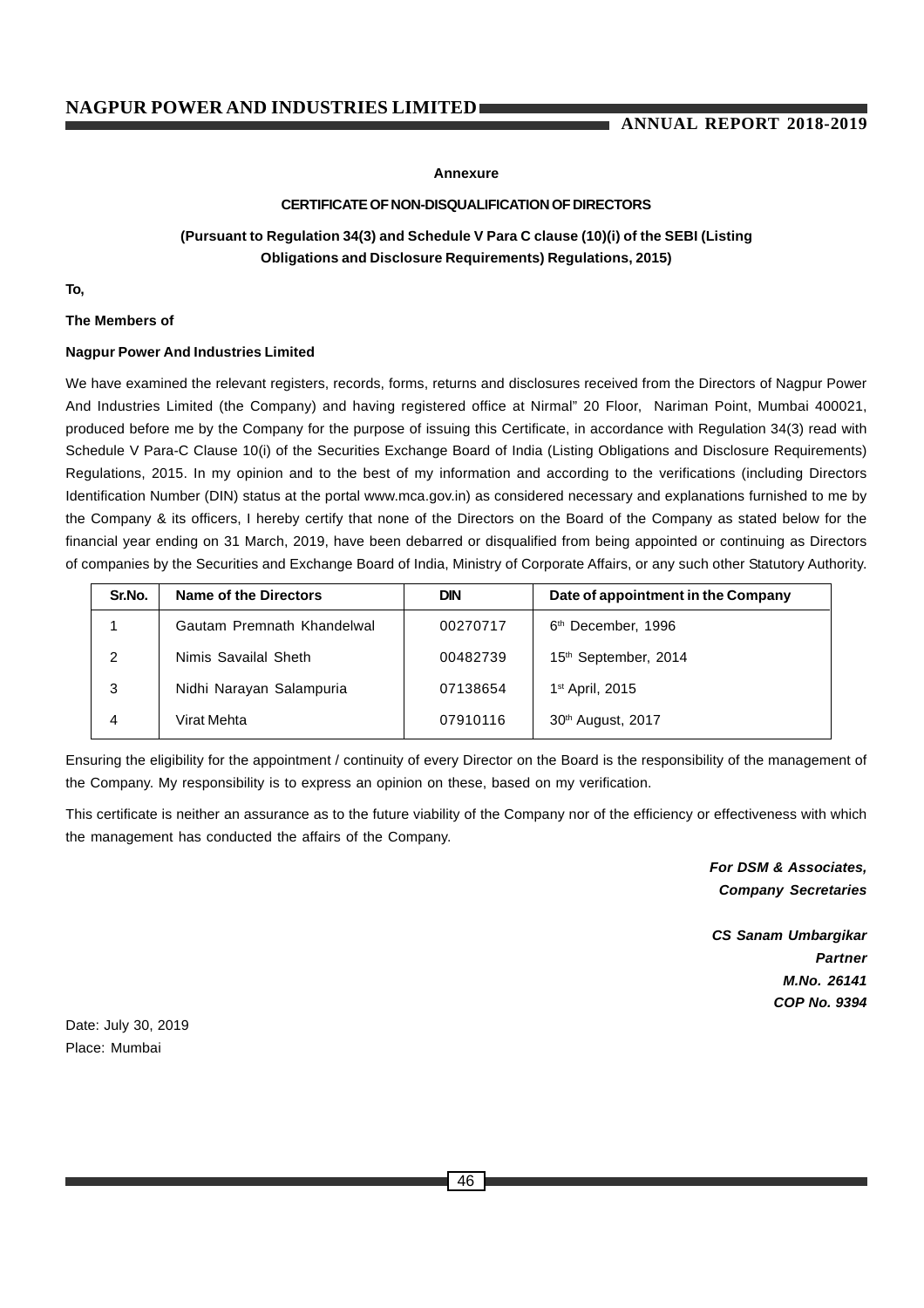# **ANNUAL REPORT 2018-2019**

#### **Annexure**

#### **CERTIFICATE OF NON-DISQUALIFICATION OF DIRECTORS**

# **(Pursuant to Regulation 34(3) and Schedule V Para C clause (10)(i) of the SEBI (Listing Obligations and Disclosure Requirements) Regulations, 2015)**

**To,**

#### **The Members of**

# **Nagpur Power And Industries Limited**

We have examined the relevant registers, records, forms, returns and disclosures received from the Directors of Nagpur Power And Industries Limited (the Company) and having registered office at Nirmal" 20 Floor, Nariman Point, Mumbai 400021, produced before me by the Company for the purpose of issuing this Certificate, in accordance with Regulation 34(3) read with Schedule V Para-C Clause 10(i) of the Securities Exchange Board of India (Listing Obligations and Disclosure Requirements) Regulations, 2015. In my opinion and to the best of my information and according to the verifications (including Directors Identification Number (DIN) status at the portal www.mca.gov.in) as considered necessary and explanations furnished to me by the Company & its officers, I hereby certify that none of the Directors on the Board of the Company as stated below for the financial year ending on 31 March, 2019, have been debarred or disqualified from being appointed or continuing as Directors of companies by the Securities and Exchange Board of India, Ministry of Corporate Affairs, or any such other Statutory Authority.

| Sr.No. | Name of the Directors      | <b>DIN</b> | Date of appointment in the Company |
|--------|----------------------------|------------|------------------------------------|
|        | Gautam Premnath Khandelwal | 00270717   | 6 <sup>th</sup> December, 1996     |
| 2      | Nimis Savailal Sheth       | 00482739   | 15th September, 2014               |
| 3      | Nidhi Narayan Salampuria   | 07138654   | $1st$ April, 2015                  |
| 4      | Virat Mehta                | 07910116   | 30 <sup>th</sup> August, 2017      |

Ensuring the eligibility for the appointment / continuity of every Director on the Board is the responsibility of the management of the Company. My responsibility is to express an opinion on these, based on my verification.

This certificate is neither an assurance as to the future viability of the Company nor of the efficiency or effectiveness with which the management has conducted the affairs of the Company.

> *For DSM & Associates, Company Secretaries*

*CS Sanam Umbargikar Partner M.No. 26141 COP No. 9394*

Date: July 30, 2019 Place: Mumbai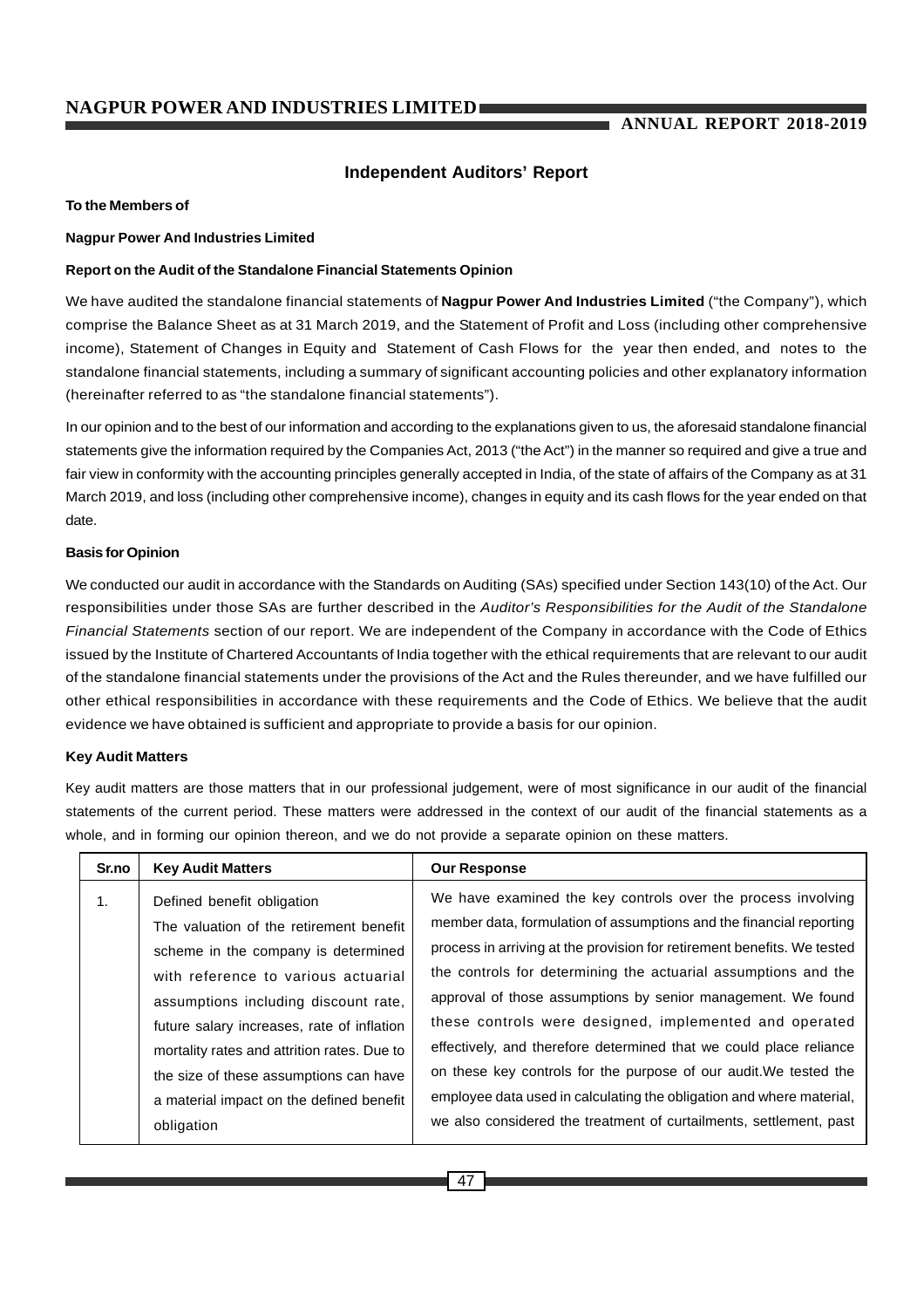# **Independent Auditors' Report**

# **To the Members of**

# **Nagpur Power And Industries Limited**

# **Report on the Audit of the Standalone Financial Statements Opinion**

We have audited the standalone financial statements of **Nagpur Power And Industries Limited** ("the Company"), which comprise the Balance Sheet as at 31 March 2019, and the Statement of Profit and Loss (including other comprehensive income), Statement of Changes in Equity and Statement of Cash Flows for the year then ended, and notes to the standalone financial statements, including a summary of significant accounting policies and other explanatory information (hereinafter referred to as "the standalone financial statements").

In our opinion and to the best of our information and according to the explanations given to us, the aforesaid standalone financial statements give the information required by the Companies Act, 2013 ("the Act") in the manner so required and give a true and fair view in conformity with the accounting principles generally accepted in India, of the state of affairs of the Company as at 31 March 2019, and loss (including other comprehensive income), changes in equity and its cash flows for the year ended on that date.

# **Basis for Opinion**

We conducted our audit in accordance with the Standards on Auditing (SAs) specified under Section 143(10) of the Act. Our responsibilities under those SAs are further described in the *Auditor's Responsibilities for the Audit of the Standalone Financial Statements* section of our report. We are independent of the Company in accordance with the Code of Ethics issued by the Institute of Chartered Accountants of India together with the ethical requirements that are relevant to our audit of the standalone financial statements under the provisions of the Act and the Rules thereunder, and we have fulfilled our other ethical responsibilities in accordance with these requirements and the Code of Ethics. We believe that the audit evidence we have obtained is sufficient and appropriate to provide a basis for our opinion.

## **Key Audit Matters**

Key audit matters are those matters that in our professional judgement, were of most significance in our audit of the financial statements of the current period. These matters were addressed in the context of our audit of the financial statements as a whole, and in forming our opinion thereon, and we do not provide a separate opinion on these matters.

| Sr.no | <b>Key Audit Matters</b>                    | <b>Our Response</b>                                                     |
|-------|---------------------------------------------|-------------------------------------------------------------------------|
| 1.    | Defined benefit obligation                  | We have examined the key controls over the process involving            |
|       | The valuation of the retirement benefit     | member data, formulation of assumptions and the financial reporting     |
|       | scheme in the company is determined         | process in arriving at the provision for retirement benefits. We tested |
|       | with reference to various actuarial         | the controls for determining the actuarial assumptions and the          |
|       | assumptions including discount rate,        | approval of those assumptions by senior management. We found            |
|       | future salary increases, rate of inflation  | these controls were designed, implemented and operated                  |
|       | mortality rates and attrition rates. Due to | effectively, and therefore determined that we could place reliance      |
|       | the size of these assumptions can have      | on these key controls for the purpose of our audit. We tested the       |
|       | a material impact on the defined benefit    | employee data used in calculating the obligation and where material,    |
|       | obligation                                  | we also considered the treatment of curtailments, settlement, past      |
|       |                                             |                                                                         |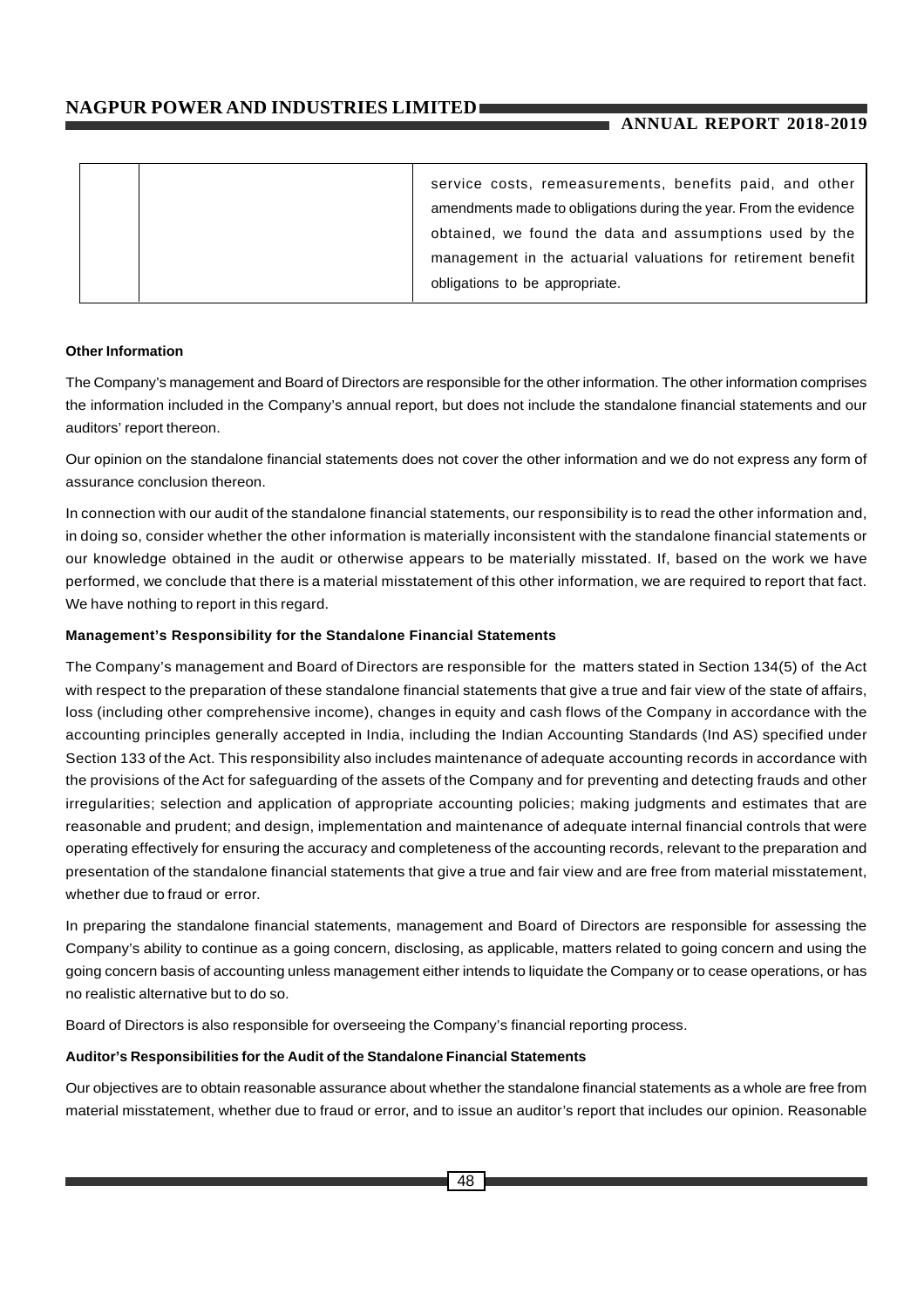# **ANNUAL REPORT 2018-2019**

| service costs, remeasurements, benefits paid, and other           |
|-------------------------------------------------------------------|
| amendments made to obligations during the year. From the evidence |
| obtained, we found the data and assumptions used by the           |
| management in the actuarial valuations for retirement benefit     |
| obligations to be appropriate.                                    |

# **Other Information**

The Company's management and Board of Directors are responsible for the other information. The other information comprises the information included in the Company's annual report, but does not include the standalone financial statements and our auditors' report thereon.

Our opinion on the standalone financial statements does not cover the other information and we do not express any form of assurance conclusion thereon.

In connection with our audit of the standalone financial statements, our responsibility is to read the other information and, in doing so, consider whether the other information is materially inconsistent with the standalone financial statements or our knowledge obtained in the audit or otherwise appears to be materially misstated. If, based on the work we have performed, we conclude that there is a material misstatement of this other information, we are required to report that fact. We have nothing to report in this regard.

# **Management's Responsibility for the Standalone Financial Statements**

The Company's management and Board of Directors are responsible for the matters stated in Section 134(5) of the Act with respect to the preparation of these standalone financial statements that give a true and fair view of the state of affairs, loss (including other comprehensive income), changes in equity and cash flows of the Company in accordance with the accounting principles generally accepted in India, including the Indian Accounting Standards (Ind AS) specified under Section 133 of the Act. This responsibility also includes maintenance of adequate accounting records in accordance with the provisions of the Act for safeguarding of the assets of the Company and for preventing and detecting frauds and other irregularities; selection and application of appropriate accounting policies; making judgments and estimates that are reasonable and prudent; and design, implementation and maintenance of adequate internal financial controls that were operating effectively for ensuring the accuracy and completeness of the accounting records, relevant to the preparation and presentation of the standalone financial statements that give a true and fair view and are free from material misstatement, whether due to fraud or error.

In preparing the standalone financial statements, management and Board of Directors are responsible for assessing the Company's ability to continue as a going concern, disclosing, as applicable, matters related to going concern and using the going concern basis of accounting unless management either intends to liquidate the Company or to cease operations, or has no realistic alternative but to do so.

Board of Directors is also responsible for overseeing the Company's financial reporting process.

# **Auditor's Responsibilities for the Audit of the Standalone Financial Statements**

Our objectives are to obtain reasonable assurance about whether the standalone financial statements as a whole are free from material misstatement, whether due to fraud or error, and to issue an auditor's report that includes our opinion. Reasonable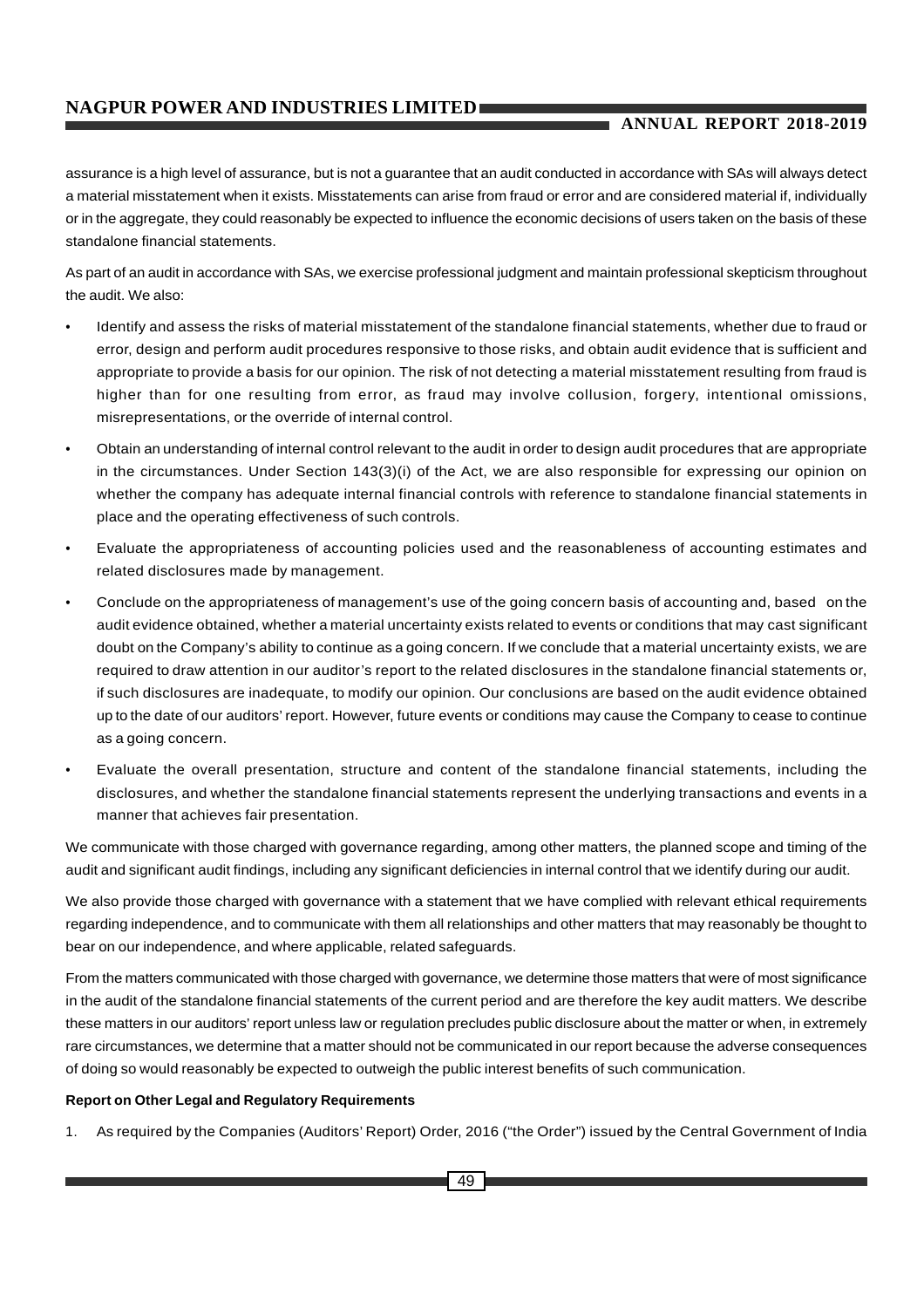# **ANNUAL REPORT 2018-2019**

assurance is a high level of assurance, but is not a guarantee that an audit conducted in accordance with SAs will always detect a material misstatement when it exists. Misstatements can arise from fraud or error and are considered material if, individually or in the aggregate, they could reasonably be expected to influence the economic decisions of users taken on the basis of these standalone financial statements.

As part of an audit in accordance with SAs, we exercise professional judgment and maintain professional skepticism throughout the audit. We also:

- Identify and assess the risks of material misstatement of the standalone financial statements, whether due to fraud or error, design and perform audit procedures responsive to those risks, and obtain audit evidence that is sufficient and appropriate to provide a basis for our opinion. The risk of not detecting a material misstatement resulting from fraud is higher than for one resulting from error, as fraud may involve collusion, forgery, intentional omissions, misrepresentations, or the override of internal control.
- Obtain an understanding of internal control relevant to the audit in order to design audit procedures that are appropriate in the circumstances. Under Section 143(3)(i) of the Act, we are also responsible for expressing our opinion on whether the company has adequate internal financial controls with reference to standalone financial statements in place and the operating effectiveness of such controls.
- Evaluate the appropriateness of accounting policies used and the reasonableness of accounting estimates and related disclosures made by management.
- Conclude on the appropriateness of management's use of the going concern basis of accounting and, based on the audit evidence obtained, whether a material uncertainty exists related to events or conditions that may cast significant doubt on the Company's ability to continue as a going concern. If we conclude that a material uncertainty exists, we are required to draw attention in our auditor's report to the related disclosures in the standalone financial statements or, if such disclosures are inadequate, to modify our opinion. Our conclusions are based on the audit evidence obtained up to the date of our auditors' report. However, future events or conditions may cause the Company to cease to continue as a going concern.
- Evaluate the overall presentation, structure and content of the standalone financial statements, including the disclosures, and whether the standalone financial statements represent the underlying transactions and events in a manner that achieves fair presentation.

We communicate with those charged with governance regarding, among other matters, the planned scope and timing of the audit and significant audit findings, including any significant deficiencies in internal control that we identify during our audit.

We also provide those charged with governance with a statement that we have complied with relevant ethical requirements regarding independence, and to communicate with them all relationships and other matters that may reasonably be thought to bear on our independence, and where applicable, related safeguards.

From the matters communicated with those charged with governance, we determine those matters that were of most significance in the audit of the standalone financial statements of the current period and are therefore the key audit matters. We describe these matters in our auditors' report unless law or regulation precludes public disclosure about the matter or when, in extremely rare circumstances, we determine that a matter should not be communicated in our report because the adverse consequences of doing so would reasonably be expected to outweigh the public interest benefits of such communication.

# **Report on Other Legal and Regulatory Requirements**

1. As required by the Companies (Auditors' Report) Order, 2016 ("the Order") issued by the Central Government of India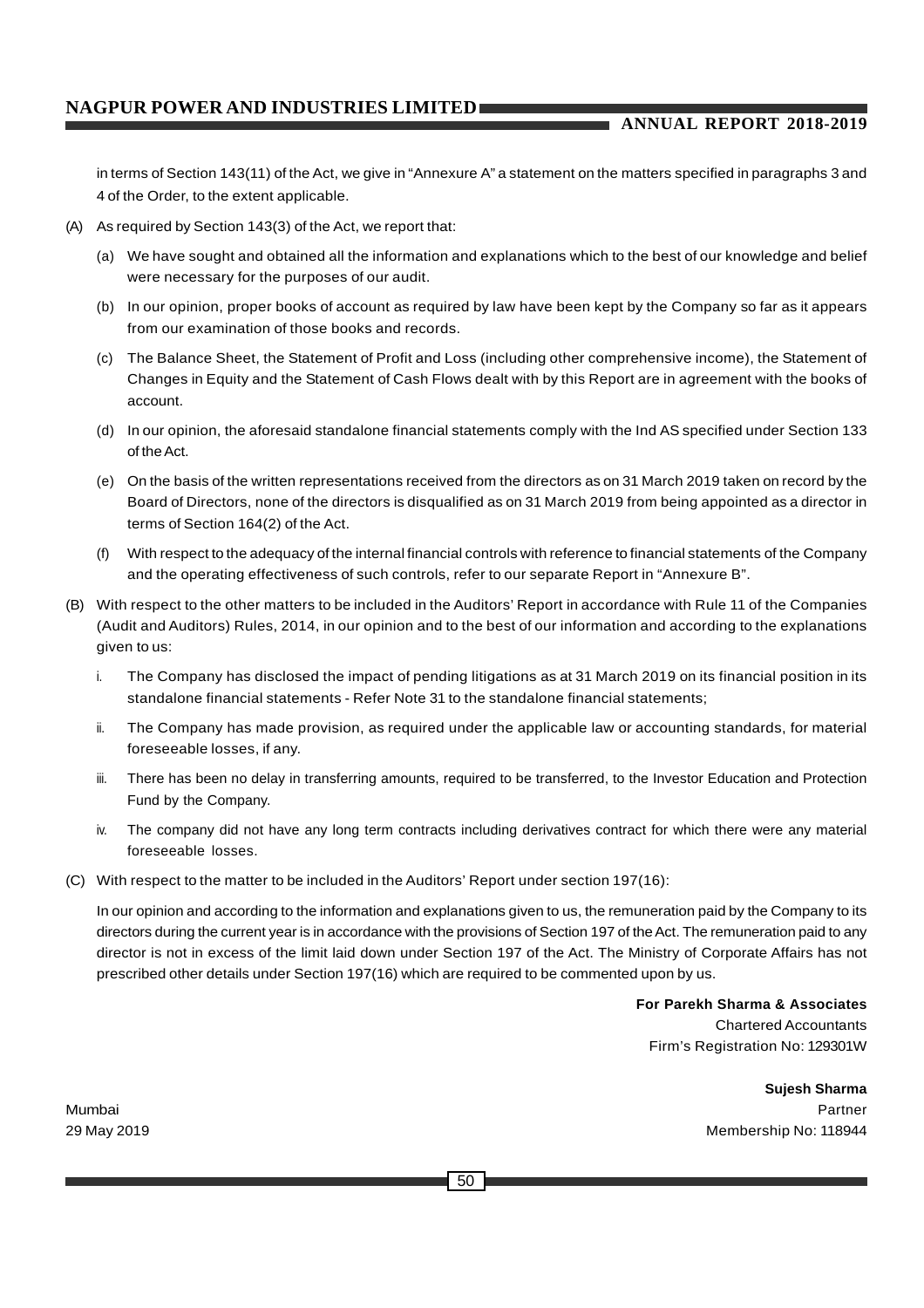# **ANNUAL REPORT 2018-2019**

in terms of Section 143(11) of the Act, we give in "Annexure A" a statement on the matters specified in paragraphs 3 and 4 of the Order, to the extent applicable.

- (A) As required by Section 143(3) of the Act, we report that:
	- (a) We have sought and obtained all the information and explanations which to the best of our knowledge and belief were necessary for the purposes of our audit.
	- (b) In our opinion, proper books of account as required by law have been kept by the Company so far as it appears from our examination of those books and records.
	- (c) The Balance Sheet, the Statement of Profit and Loss (including other comprehensive income), the Statement of Changes in Equity and the Statement of Cash Flows dealt with by this Report are in agreement with the books of account.
	- (d) In our opinion, the aforesaid standalone financial statements comply with the Ind AS specified under Section 133 of the Act.
	- (e) On the basis of the written representations received from the directors as on 31 March 2019 taken on record by the Board of Directors, none of the directors is disqualified as on 31 March 2019 from being appointed as a director in terms of Section 164(2) of the Act.
	- (f) With respect to the adequacy of the internal financial controls with reference to financial statements of the Company and the operating effectiveness of such controls, refer to our separate Report in "Annexure B".
- (B) With respect to the other matters to be included in the Auditors' Report in accordance with Rule 11 of the Companies (Audit and Auditors) Rules, 2014, in our opinion and to the best of our information and according to the explanations given to us:
	- i. The Company has disclosed the impact of pending litigations as at 31 March 2019 on its financial position in its standalone financial statements - Refer Note 31 to the standalone financial statements;
	- ii. The Company has made provision, as required under the applicable law or accounting standards, for material foreseeable losses, if any.
	- iii. There has been no delay in transferring amounts, required to be transferred, to the Investor Education and Protection Fund by the Company.
	- iv. The company did not have any long term contracts including derivatives contract for which there were any material foreseeable losses.
- (C) With respect to the matter to be included in the Auditors' Report under section 197(16):

In our opinion and according to the information and explanations given to us, the remuneration paid by the Company to its directors during the current year is in accordance with the provisions of Section 197 of the Act. The remuneration paid to any director is not in excess of the limit laid down under Section 197 of the Act. The Ministry of Corporate Affairs has not prescribed other details under Section 197(16) which are required to be commented upon by us.

> **For Parekh Sharma & Associates** Chartered Accountants Firm's Registration No: 129301W

 **Sujesh Sharma** Mumbai Partner 29 May 2019 Membership No: 118944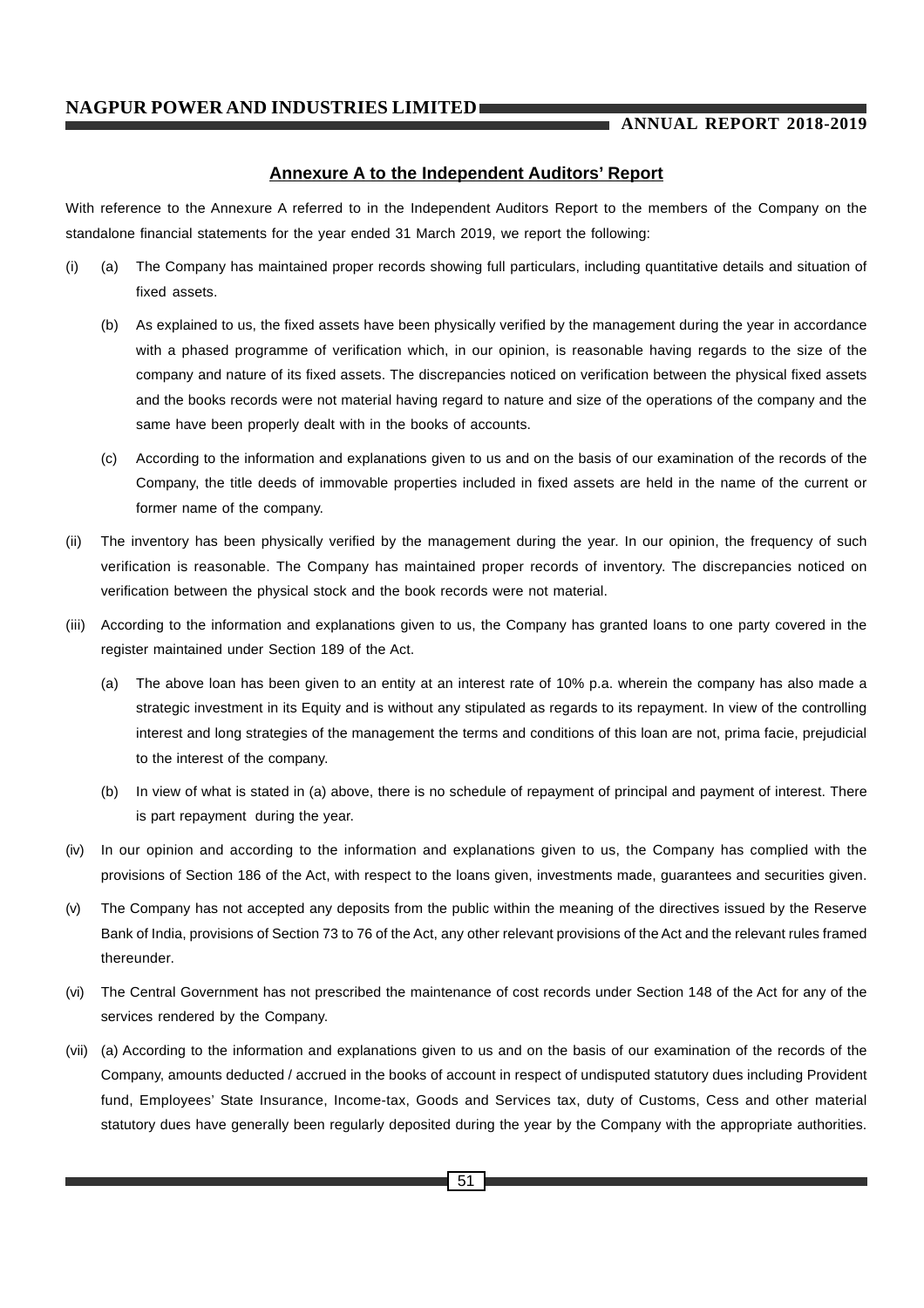# **ANNUAL REPORT 2018-2019**

# **Annexure A to the Independent Auditors' Report**

With reference to the Annexure A referred to in the Independent Auditors Report to the members of the Company on the standalone financial statements for the year ended 31 March 2019, we report the following:

- (i) (a) The Company has maintained proper records showing full particulars, including quantitative details and situation of fixed assets.
	- (b) As explained to us, the fixed assets have been physically verified by the management during the year in accordance with a phased programme of verification which, in our opinion, is reasonable having regards to the size of the company and nature of its fixed assets. The discrepancies noticed on verification between the physical fixed assets and the books records were not material having regard to nature and size of the operations of the company and the same have been properly dealt with in the books of accounts.
	- (c) According to the information and explanations given to us and on the basis of our examination of the records of the Company, the title deeds of immovable properties included in fixed assets are held in the name of the current or former name of the company.
- (ii) The inventory has been physically verified by the management during the year. In our opinion, the frequency of such verification is reasonable. The Company has maintained proper records of inventory. The discrepancies noticed on verification between the physical stock and the book records were not material.
- (iii) According to the information and explanations given to us, the Company has granted loans to one party covered in the register maintained under Section 189 of the Act.
	- (a) The above loan has been given to an entity at an interest rate of 10% p.a. wherein the company has also made a strategic investment in its Equity and is without any stipulated as regards to its repayment. In view of the controlling interest and long strategies of the management the terms and conditions of this loan are not, prima facie, prejudicial to the interest of the company.
	- (b) In view of what is stated in (a) above, there is no schedule of repayment of principal and payment of interest. There is part repayment during the year.
- (iv) In our opinion and according to the information and explanations given to us, the Company has complied with the provisions of Section 186 of the Act, with respect to the loans given, investments made, guarantees and securities given.
- (v) The Company has not accepted any deposits from the public within the meaning of the directives issued by the Reserve Bank of India, provisions of Section 73 to 76 of the Act, any other relevant provisions of the Act and the relevant rules framed thereunder.
- (vi) The Central Government has not prescribed the maintenance of cost records under Section 148 of the Act for any of the services rendered by the Company.
- (vii) (a) According to the information and explanations given to us and on the basis of our examination of the records of the Company, amounts deducted / accrued in the books of account in respect of undisputed statutory dues including Provident fund, Employees' State Insurance, Income-tax, Goods and Services tax, duty of Customs, Cess and other material statutory dues have generally been regularly deposited during the year by the Company with the appropriate authorities.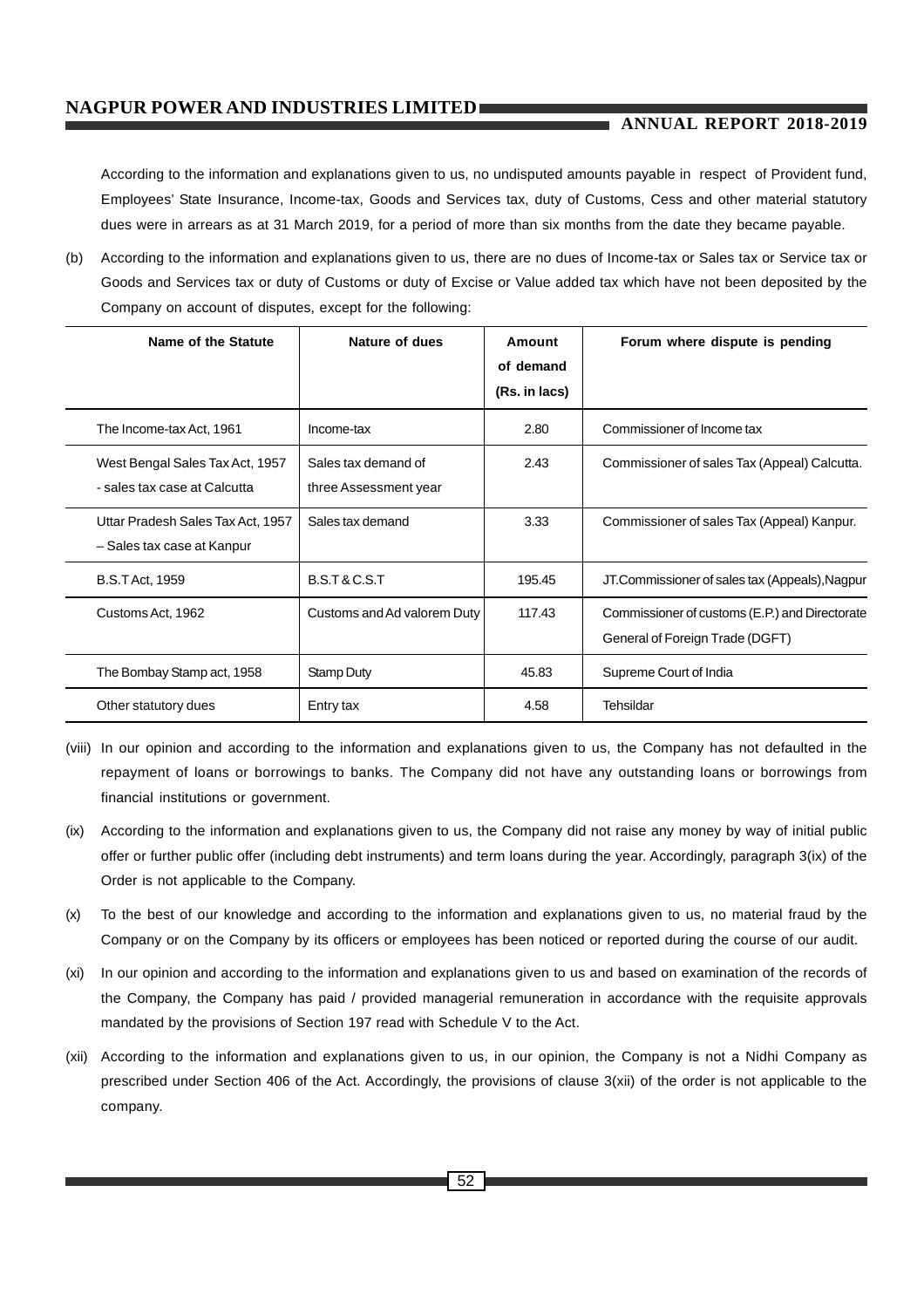# **ANNUAL REPORT 2018-2019**

According to the information and explanations given to us, no undisputed amounts payable in respect of Provident fund, Employees' State Insurance, Income-tax, Goods and Services tax, duty of Customs, Cess and other material statutory dues were in arrears as at 31 March 2019, for a period of more than six months from the date they became payable.

(b) According to the information and explanations given to us, there are no dues of Income-tax or Sales tax or Service tax or Goods and Services tax or duty of Customs or duty of Excise or Value added tax which have not been deposited by the Company on account of disputes, except for the following:

| Name of the Statute                                             | Nature of dues                               | Amount<br>of demand<br>(Rs. in lacs) | Forum where dispute is pending                                                    |
|-----------------------------------------------------------------|----------------------------------------------|--------------------------------------|-----------------------------------------------------------------------------------|
| The Income-tax Act, 1961                                        | Income-tax                                   | 2.80                                 | Commissioner of Income tax                                                        |
| West Bengal Sales Tax Act, 1957<br>- sales tax case at Calcutta | Sales tax demand of<br>three Assessment year | 2.43                                 | Commissioner of sales Tax (Appeal) Calcutta.                                      |
| Uttar Pradesh Sales Tax Act, 1957<br>- Sales tax case at Kanpur | Sales tax demand                             | 3.33                                 | Commissioner of sales Tax (Appeal) Kanpur.                                        |
| <b>B.S.TAct, 1959</b>                                           | B.S.T&C.S.T                                  | 195.45                               | JT. Commissioner of sales tax (Appeals), Nagpur                                   |
| Customs Act, 1962                                               | Customs and Ad valorem Duty                  | 117.43                               | Commissioner of customs (E.P.) and Directorate<br>General of Foreign Trade (DGFT) |
| The Bombay Stamp act, 1958                                      | <b>Stamp Duty</b>                            | 45.83                                | Supreme Court of India                                                            |
| Other statutory dues                                            | Entry tax                                    | 4.58                                 | Tehsildar                                                                         |

- (viii) In our opinion and according to the information and explanations given to us, the Company has not defaulted in the repayment of loans or borrowings to banks. The Company did not have any outstanding loans or borrowings from financial institutions or government.
- (ix) According to the information and explanations given to us, the Company did not raise any money by way of initial public offer or further public offer (including debt instruments) and term loans during the year. Accordingly, paragraph 3(ix) of the Order is not applicable to the Company.
- (x) To the best of our knowledge and according to the information and explanations given to us, no material fraud by the Company or on the Company by its officers or employees has been noticed or reported during the course of our audit.
- (xi) In our opinion and according to the information and explanations given to us and based on examination of the records of the Company, the Company has paid / provided managerial remuneration in accordance with the requisite approvals mandated by the provisions of Section 197 read with Schedule V to the Act.
- (xii) According to the information and explanations given to us, in our opinion, the Company is not a Nidhi Company as prescribed under Section 406 of the Act. Accordingly, the provisions of clause 3(xii) of the order is not applicable to the company.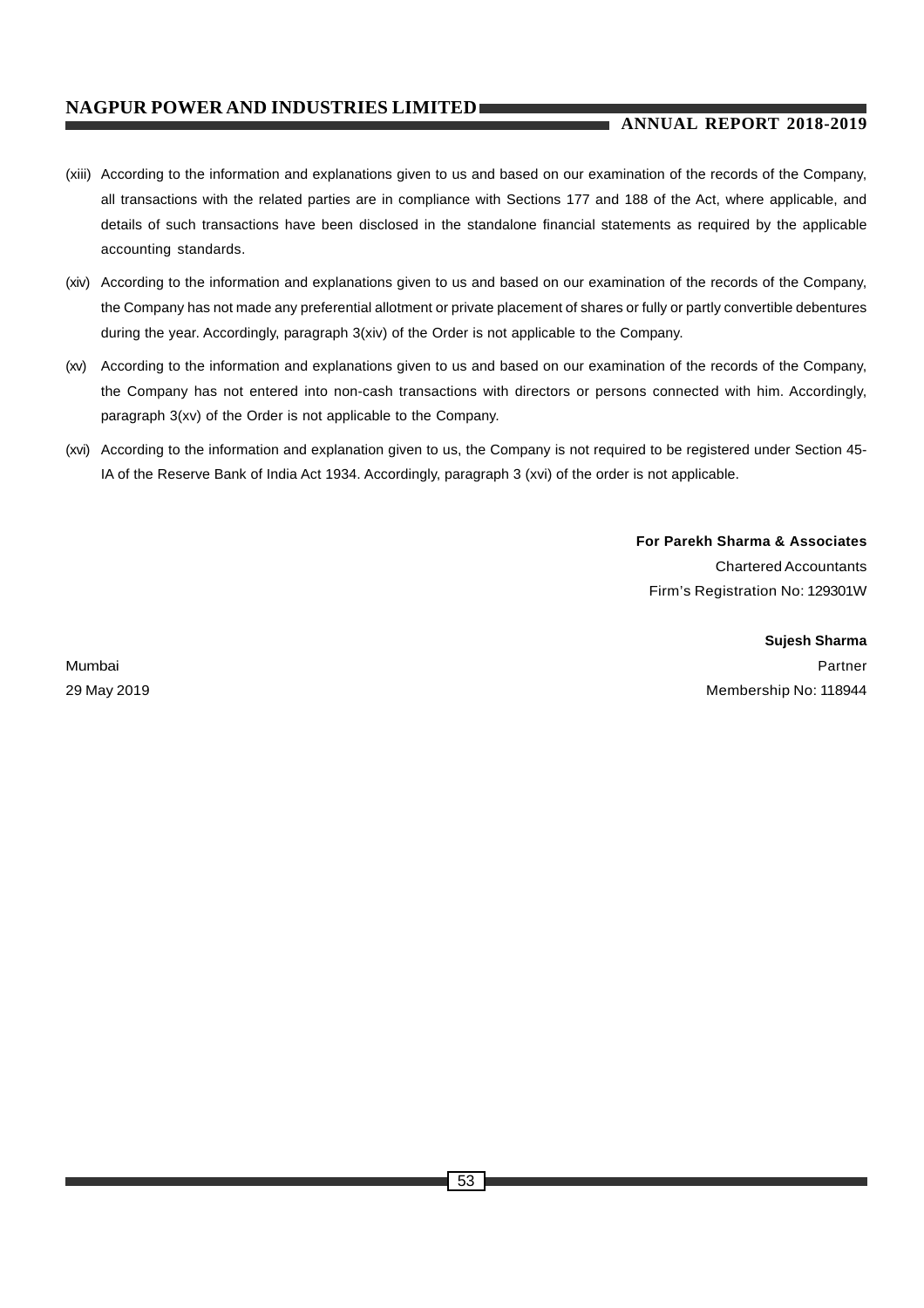# **ANNUAL REPORT 2018-2019**

- (xiii) According to the information and explanations given to us and based on our examination of the records of the Company, all transactions with the related parties are in compliance with Sections 177 and 188 of the Act, where applicable, and details of such transactions have been disclosed in the standalone financial statements as required by the applicable accounting standards.
- (xiv) According to the information and explanations given to us and based on our examination of the records of the Company, the Company has not made any preferential allotment or private placement of shares or fully or partly convertible debentures during the year. Accordingly, paragraph 3(xiv) of the Order is not applicable to the Company.
- (xv) According to the information and explanations given to us and based on our examination of the records of the Company, the Company has not entered into non-cash transactions with directors or persons connected with him. Accordingly, paragraph 3(xv) of the Order is not applicable to the Company.
- (xvi) According to the information and explanation given to us, the Company is not required to be registered under Section 45- IA of the Reserve Bank of India Act 1934. Accordingly, paragraph 3 (xvi) of the order is not applicable.

**For Parekh Sharma & Associates** Chartered Accountants Firm's Registration No: 129301W

 **Sujesh Sharma** Mumbai Partner 29 May 2019 Membership No: 118944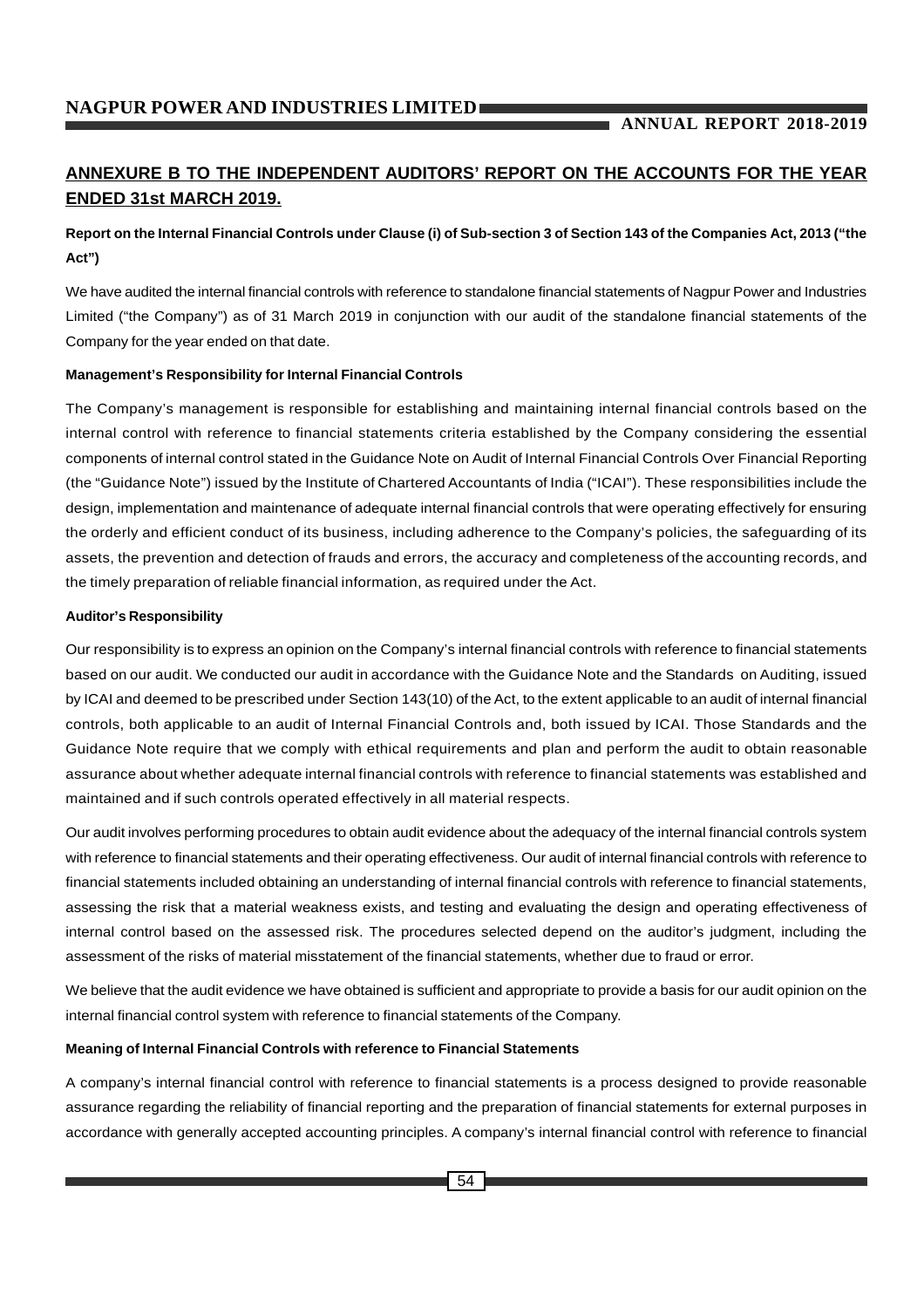# **ANNEXURE B TO THE INDEPENDENT AUDITORS' REPORT ON THE ACCOUNTS FOR THE YEAR ENDED 31st MARCH 2019.**

# **Report on the Internal Financial Controls under Clause (i) of Sub-section 3 of Section 143 of the Companies Act, 2013 ("the Act")**

We have audited the internal financial controls with reference to standalone financial statements of Nagpur Power and Industries Limited ("the Company") as of 31 March 2019 in conjunction with our audit of the standalone financial statements of the Company for the year ended on that date.

# **Management's Responsibility for Internal Financial Controls**

The Company's management is responsible for establishing and maintaining internal financial controls based on the internal control with reference to financial statements criteria established by the Company considering the essential components of internal control stated in the Guidance Note on Audit of Internal Financial Controls Over Financial Reporting (the "Guidance Note") issued by the Institute of Chartered Accountants of India ("ICAI"). These responsibilities include the design, implementation and maintenance of adequate internal financial controls that were operating effectively for ensuring the orderly and efficient conduct of its business, including adherence to the Company's policies, the safeguarding of its assets, the prevention and detection of frauds and errors, the accuracy and completeness of the accounting records, and the timely preparation of reliable financial information, as required under the Act.

# **Auditor's Responsibility**

Our responsibility is to express an opinion on the Company's internal financial controls with reference to financial statements based on our audit. We conducted our audit in accordance with the Guidance Note and the Standards on Auditing, issued by ICAI and deemed to be prescribed under Section 143(10) of the Act, to the extent applicable to an audit of internal financial controls, both applicable to an audit of Internal Financial Controls and, both issued by ICAI. Those Standards and the Guidance Note require that we comply with ethical requirements and plan and perform the audit to obtain reasonable assurance about whether adequate internal financial controls with reference to financial statements was established and maintained and if such controls operated effectively in all material respects.

Our audit involves performing procedures to obtain audit evidence about the adequacy of the internal financial controls system with reference to financial statements and their operating effectiveness. Our audit of internal financial controls with reference to financial statements included obtaining an understanding of internal financial controls with reference to financial statements, assessing the risk that a material weakness exists, and testing and evaluating the design and operating effectiveness of internal control based on the assessed risk. The procedures selected depend on the auditor's judgment, including the assessment of the risks of material misstatement of the financial statements, whether due to fraud or error.

We believe that the audit evidence we have obtained is sufficient and appropriate to provide a basis for our audit opinion on the internal financial control system with reference to financial statements of the Company.

# **Meaning of Internal Financial Controls with reference to Financial Statements**

A company's internal financial control with reference to financial statements is a process designed to provide reasonable assurance regarding the reliability of financial reporting and the preparation of financial statements for external purposes in accordance with generally accepted accounting principles. A company's internal financial control with reference to financial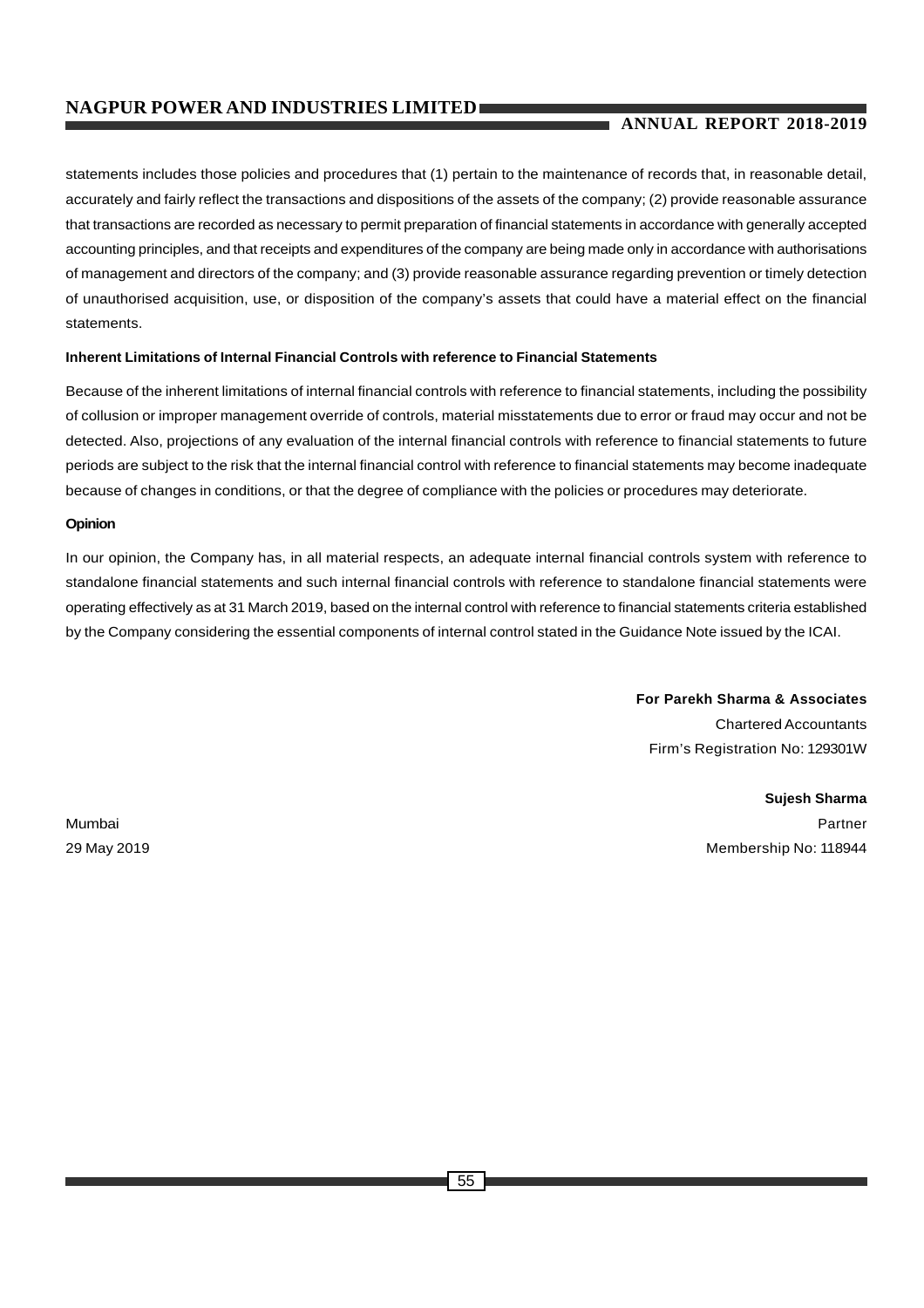# **ANNUAL REPORT 2018-2019**

statements includes those policies and procedures that (1) pertain to the maintenance of records that, in reasonable detail, accurately and fairly reflect the transactions and dispositions of the assets of the company; (2) provide reasonable assurance that transactions are recorded as necessary to permit preparation of financial statements in accordance with generally accepted accounting principles, and that receipts and expenditures of the company are being made only in accordance with authorisations of management and directors of the company; and (3) provide reasonable assurance regarding prevention or timely detection of unauthorised acquisition, use, or disposition of the company's assets that could have a material effect on the financial statements.

# **Inherent Limitations of Internal Financial Controls with reference to Financial Statements**

Because of the inherent limitations of internal financial controls with reference to financial statements, including the possibility of collusion or improper management override of controls, material misstatements due to error or fraud may occur and not be detected. Also, projections of any evaluation of the internal financial controls with reference to financial statements to future periods are subject to the risk that the internal financial control with reference to financial statements may become inadequate because of changes in conditions, or that the degree of compliance with the policies or procedures may deteriorate.

## **Opinion**

In our opinion, the Company has, in all material respects, an adequate internal financial controls system with reference to standalone financial statements and such internal financial controls with reference to standalone financial statements were operating effectively as at 31 March 2019, based on the internal control with reference to financial statements criteria established by the Company considering the essential components of internal control stated in the Guidance Note issued by the ICAI.

> **For Parekh Sharma & Associates** Chartered Accountants Firm's Registration No: 129301W

 **Sujesh Sharma** Mumbai Partner 29 May 2019 Membership No: 118944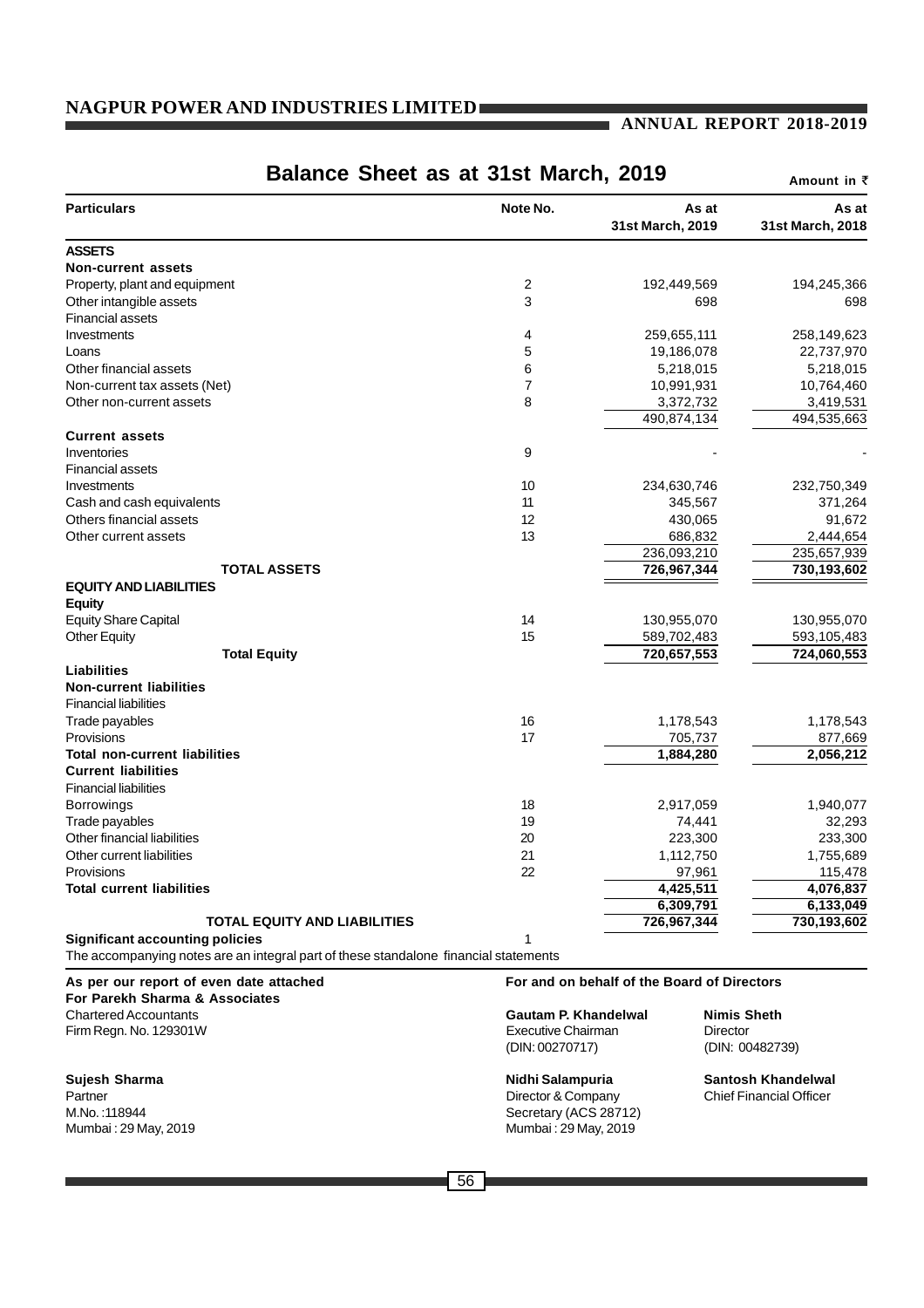# **ANNUAL REPORT 2018-2019**

| Balance Sheet as at 31st March, 2019                                                 |                         |                           |                           |  |
|--------------------------------------------------------------------------------------|-------------------------|---------------------------|---------------------------|--|
| <b>Particulars</b>                                                                   | Note No.                | As at<br>31st March, 2019 | As at<br>31st March, 2018 |  |
| <b>ASSETS</b>                                                                        |                         |                           |                           |  |
| <b>Non-current assets</b>                                                            |                         |                           |                           |  |
| Property, plant and equipment                                                        | $\overline{\mathbf{c}}$ | 192,449,569               | 194,245,366               |  |
| Other intangible assets                                                              | 3                       | 698                       | 698                       |  |
| <b>Financial assets</b>                                                              |                         |                           |                           |  |
| Investments                                                                          | 4                       | 259,655,111               | 258,149,623               |  |
| Loans                                                                                | 5                       | 19,186,078                | 22,737,970                |  |
| Other financial assets                                                               | 6                       | 5,218,015                 | 5,218,015                 |  |
| Non-current tax assets (Net)                                                         | 7                       | 10,991,931                | 10,764,460                |  |
| Other non-current assets                                                             | 8                       | 3,372,732                 | 3,419,531                 |  |
|                                                                                      |                         | 490,874,134               | 494,535,663               |  |
| <b>Current assets</b>                                                                |                         |                           |                           |  |
| Inventories                                                                          | 9                       |                           |                           |  |
| <b>Financial assets</b>                                                              |                         |                           |                           |  |
| Investments                                                                          | 10                      | 234,630,746               | 232,750,349               |  |
| Cash and cash equivalents                                                            | 11                      | 345,567                   | 371,264                   |  |
| Others financial assets                                                              | 12                      | 430,065                   | 91,672                    |  |
| Other current assets                                                                 | 13                      | 686,832                   | 2,444,654                 |  |
|                                                                                      |                         | 236,093,210               | 235,657,939               |  |
| <b>TOTAL ASSETS</b>                                                                  |                         | 726,967,344               | 730,193,602               |  |
| <b>EQUITY AND LIABILITIES</b>                                                        |                         |                           |                           |  |
| <b>Equity</b>                                                                        |                         |                           |                           |  |
| <b>Equity Share Capital</b>                                                          | 14                      | 130,955,070               | 130,955,070               |  |
| <b>Other Equity</b>                                                                  | 15                      | 589,702,483               | 593,105,483               |  |
| <b>Total Equity</b>                                                                  |                         | 720,657,553               | 724,060,553               |  |
| Liabilities                                                                          |                         |                           |                           |  |
| <b>Non-current liabilities</b><br><b>Financial liabilities</b>                       |                         |                           |                           |  |
| Trade payables                                                                       | 16                      | 1,178,543                 | 1,178,543                 |  |
| Provisions                                                                           | 17                      | 705,737                   | 877,669                   |  |
| <b>Total non-current liabilities</b>                                                 |                         | 1,884,280                 | 2,056,212                 |  |
| <b>Current liabilities</b>                                                           |                         |                           |                           |  |
| <b>Financial liabilities</b>                                                         |                         |                           |                           |  |
| <b>Borrowings</b>                                                                    | 18                      | 2,917,059                 | 1,940,077                 |  |
|                                                                                      | 19                      |                           |                           |  |
| Trade payables<br>Other financial liabilities                                        | 20                      | 74,441                    | 32,293                    |  |
|                                                                                      |                         | 223,300                   | 233,300                   |  |
| Other current liabilities                                                            | 21                      | 1,112,750                 | 1,755,689                 |  |
| Provisions                                                                           | 22                      | 97,961                    | 115,478                   |  |
| <b>Total current liabilities</b>                                                     |                         | 4,425,511                 | 4,076,837                 |  |
|                                                                                      |                         | 6,309,791                 | 6,133,049                 |  |
| <b>TOTAL EQUITY AND LIABILITIES</b>                                                  |                         | 726,967,344               | 730,193,602               |  |
| <b>Significant accounting policies</b>                                               | 1                       |                           |                           |  |
| The accompanying notes are an integral part of these standalone financial statements |                         |                           |                           |  |

**Balance Sheet as at 31st March, 2019**

**As per our report of even date attached For and on behalf of the Board of Directors For Parekh Sharma & Associates** Firm Regn. No. 129301W **Executive Chairman** Director Director Director Chairman Director Director (DIN: 00270717)

Partner Director & Company N.No.:118944<br>M.No.:118944 Chief Financial Officers of the Company Secretary (ACS 287

**Gautam P. Khandelwal Nimis Sheth<br>Executive Chairman B. Director** (DIN: 00270717)

M.No. :118944<br>
Mumbai : 29 May, 2019<br>
Mumbai : 29 May, 2019 Mumbai : 29 May, 2019

**Sujesh Sharma Nidhi Salampuria Santosh Khandelwal**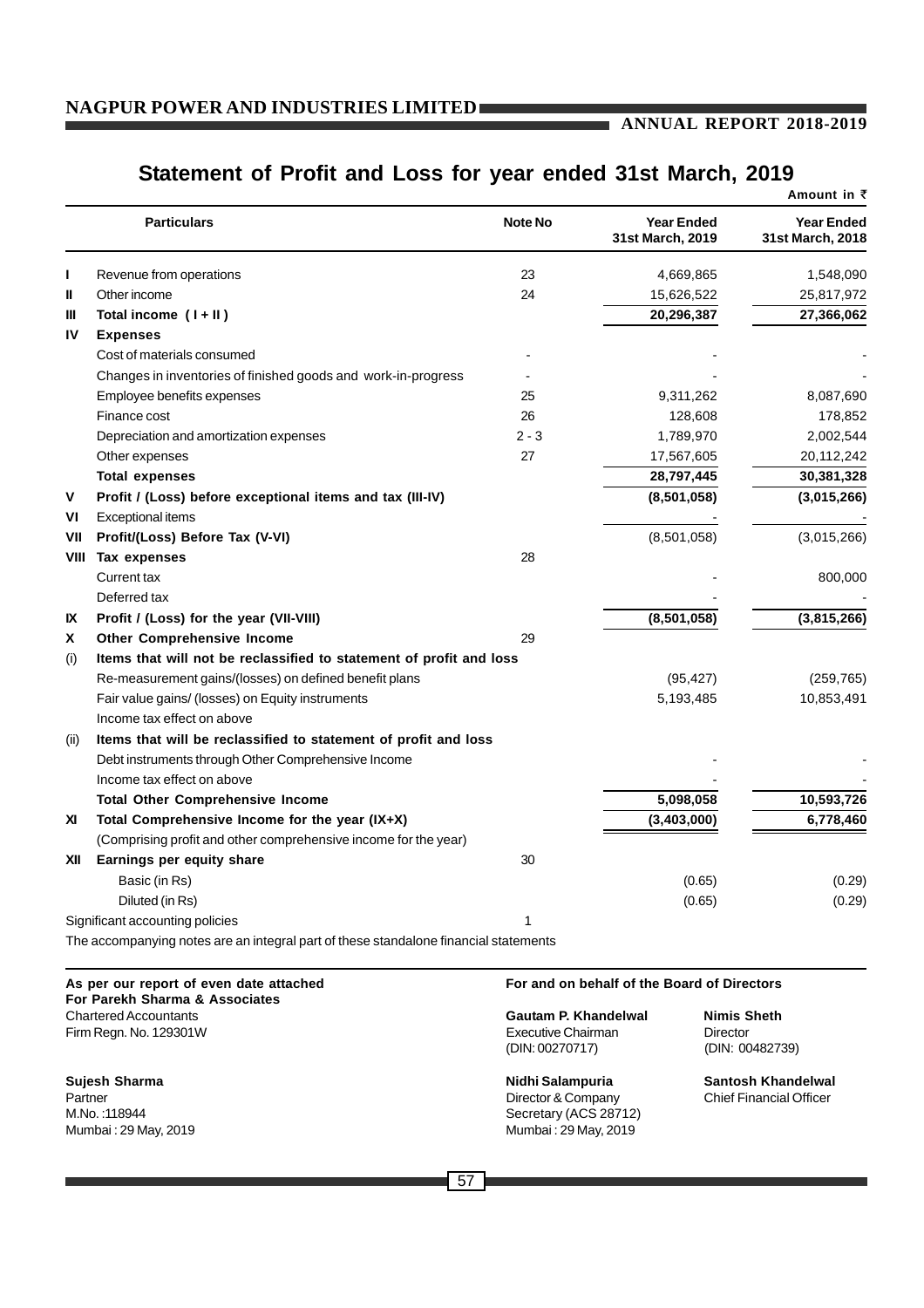# **ANNUAL REPORT 2018-2019**

# **Statement of Profit and Loss for year ended 31st March, 2019**

|      |                                                                                      |                |                                       | Amount in ₹                           |
|------|--------------------------------------------------------------------------------------|----------------|---------------------------------------|---------------------------------------|
|      | <b>Particulars</b>                                                                   | <b>Note No</b> | <b>Year Ended</b><br>31st March, 2019 | <b>Year Ended</b><br>31st March, 2018 |
| ı    | Revenue from operations                                                              | 23             | 4,669,865                             | 1,548,090                             |
| Ш    | Other income                                                                         | 24             | 15,626,522                            | 25,817,972                            |
| Ш    | Total income $(1 + II)$                                                              |                | 20,296,387                            | 27,366,062                            |
| IV   | <b>Expenses</b>                                                                      |                |                                       |                                       |
|      | Cost of materials consumed                                                           |                |                                       |                                       |
|      | Changes in inventories of finished goods and work-in-progress                        |                |                                       |                                       |
|      | Employee benefits expenses                                                           | 25             | 9,311,262                             | 8,087,690                             |
|      | Finance cost                                                                         | 26             | 128,608                               | 178,852                               |
|      | Depreciation and amortization expenses                                               | 2 - 3          | 1,789,970                             | 2,002,544                             |
|      | Other expenses                                                                       | 27             | 17,567,605                            | 20,112,242                            |
|      | <b>Total expenses</b>                                                                |                | 28,797,445                            | 30,381,328                            |
| V    | Profit / (Loss) before exceptional items and tax (III-IV)                            |                | (8,501,058)                           | (3,015,266)                           |
| VI   | Exceptional items                                                                    |                |                                       |                                       |
| VII  | Profit/(Loss) Before Tax (V-VI)                                                      |                | (8,501,058)                           | (3,015,266)                           |
|      | <b>VIII Tax expenses</b>                                                             | 28             |                                       |                                       |
|      | <b>Current tax</b>                                                                   |                |                                       | 800,000                               |
|      | Deferred tax                                                                         |                |                                       |                                       |
| IX   | Profit / (Loss) for the year (VII-VIII)                                              |                | (8,501,058)                           | (3,815,266)                           |
| X    | <b>Other Comprehensive Income</b>                                                    | 29             |                                       |                                       |
| (i)  | Items that will not be reclassified to statement of profit and loss                  |                |                                       |                                       |
|      | Re-measurement gains/(losses) on defined benefit plans                               |                | (95, 427)                             | (259, 765)                            |
|      | Fair value gains/ (losses) on Equity instruments                                     |                | 5,193,485                             | 10,853,491                            |
|      | Income tax effect on above                                                           |                |                                       |                                       |
| (ii) | Items that will be reclassified to statement of profit and loss                      |                |                                       |                                       |
|      | Debt instruments through Other Comprehensive Income                                  |                |                                       |                                       |
|      | Income tax effect on above                                                           |                |                                       |                                       |
|      | <b>Total Other Comprehensive Income</b>                                              |                | 5,098,058                             | 10,593,726                            |
| XI.  | Total Comprehensive Income for the year (IX+X)                                       |                | (3,403,000)                           | 6,778,460                             |
|      | (Comprising profit and other comprehensive income for the year)                      |                |                                       |                                       |
| XII  | Earnings per equity share                                                            | 30             |                                       |                                       |
|      | Basic (in Rs)                                                                        |                | (0.65)                                | (0.29)                                |
|      | Diluted (in Rs)                                                                      |                | (0.65)                                | (0.29)                                |
|      | Significant accounting policies                                                      | 1              |                                       |                                       |
|      | The accompanying notes are an integral part of these standalone financial statements |                |                                       |                                       |

As per our report of even date attached **For and on behalf of the Board of Directors For Parekh Sharma & Associates** Chartered Accountants **Gautam P. Khandelwal Nimis Sheth**

Partner Director & Company Chief Financial Officers of the Director & Company Director & Company Chief Financial Officers of the Director & Company Chief Financial Officers of the Director of the Director of the Director o Mumbai: 29 May, 2019

Firm Regn. No. 129301W **Executive Chairman** Director **Director Executive Chairman** Director **Director DIN:** 00270717) (DIN: 00

**Sujesh Sharma Nidhi Salampuria Santosh Khandelwal** Secretary (ACS 28712)<br>Mumbai : 29 May, 2019

(DIN: 00482739)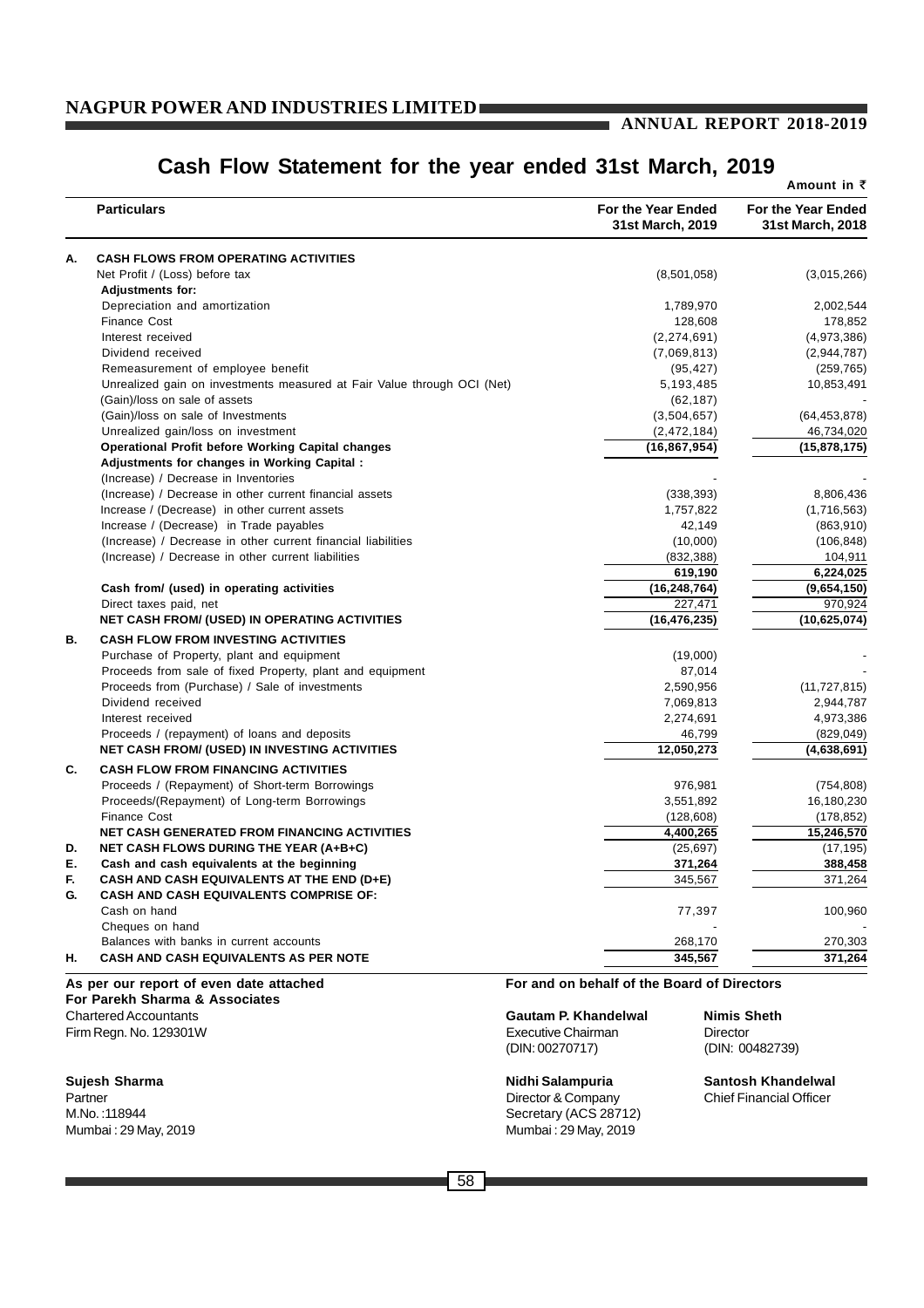# **ANNUAL REPORT 2018-2019**

# **Cash Flow Statement for the year ended 31st March, 2019**

|    |                                                                         |                                        | Amount in ₹                            |
|----|-------------------------------------------------------------------------|----------------------------------------|----------------------------------------|
|    | <b>Particulars</b>                                                      | For the Year Ended<br>31st March, 2019 | For the Year Ended<br>31st March, 2018 |
| А. | <b>CASH FLOWS FROM OPERATING ACTIVITIES</b>                             |                                        |                                        |
|    | Net Profit / (Loss) before tax                                          | (8,501,058)                            | (3,015,266)                            |
|    | <b>Adjustments for:</b>                                                 |                                        |                                        |
|    | Depreciation and amortization                                           | 1,789,970                              | 2,002,544                              |
|    | <b>Finance Cost</b>                                                     | 128,608                                | 178,852                                |
|    | Interest received                                                       | (2, 274, 691)                          | (4,973,386)                            |
|    | Dividend received                                                       | (7,069,813)                            | (2,944,787)                            |
|    | Remeasurement of employee benefit                                       | (95, 427)                              | (259, 765)                             |
|    | Unrealized gain on investments measured at Fair Value through OCI (Net) | 5,193,485                              | 10,853,491                             |
|    | (Gain)/loss on sale of assets                                           | (62, 187)                              |                                        |
|    | (Gain)/loss on sale of Investments                                      | (3,504,657)                            | (64, 453, 878)                         |
|    | Unrealized gain/loss on investment                                      | (2,472,184)                            | 46,734,020                             |
|    | <b>Operational Profit before Working Capital changes</b>                | (16, 867, 954)                         | (15, 878, 175)                         |
|    | Adjustments for changes in Working Capital:                             |                                        |                                        |
|    | (Increase) / Decrease in Inventories                                    |                                        |                                        |
|    | (Increase) / Decrease in other current financial assets                 | (338, 393)                             | 8,806,436                              |
|    | Increase / (Decrease) in other current assets                           | 1,757,822                              | (1,716,563)                            |
|    | Increase / (Decrease) in Trade payables                                 | 42,149                                 | (863,910)                              |
|    | (Increase) / Decrease in other current financial liabilities            | (10,000)                               | (106, 848)                             |
|    | (Increase) / Decrease in other current liabilities                      | (832, 388)                             | 104,911                                |
|    |                                                                         | 619,190                                | 6,224,025                              |
|    | Cash from/ (used) in operating activities                               | (16, 248, 764)                         | (9,654,150)                            |
|    | Direct taxes paid, net                                                  | 227,471                                | 970,924                                |
|    | NET CASH FROM/ (USED) IN OPERATING ACTIVITIES                           | (16, 476, 235)                         | (10,625,074)                           |
| В. | <b>CASH FLOW FROM INVESTING ACTIVITIES</b>                              |                                        |                                        |
|    | Purchase of Property, plant and equipment                               | (19,000)                               |                                        |
|    | Proceeds from sale of fixed Property, plant and equipment               | 87,014                                 |                                        |
|    | Proceeds from (Purchase) / Sale of investments                          | 2,590,956                              | (11, 727, 815)                         |
|    | Dividend received                                                       | 7,069,813                              | 2,944,787                              |
|    | Interest received                                                       | 2,274,691                              | 4,973,386                              |
|    | Proceeds / (repayment) of loans and deposits                            | 46,799                                 | (829, 049)                             |
|    | <b>NET CASH FROM/ (USED) IN INVESTING ACTIVITIES</b>                    | 12,050,273                             | (4,638,691)                            |
| C. | <b>CASH FLOW FROM FINANCING ACTIVITIES</b>                              |                                        |                                        |
|    | Proceeds / (Repayment) of Short-term Borrowings                         | 976,981                                | (754, 808)                             |
|    | Proceeds/(Repayment) of Long-term Borrowings                            | 3,551,892                              | 16,180,230                             |
|    | <b>Finance Cost</b>                                                     | (128, 608)                             | (178, 852)                             |
|    | <b>NET CASH GENERATED FROM FINANCING ACTIVITIES</b>                     | 4,400,265                              | 15,246,570                             |
| D. | <b>NET CASH FLOWS DURING THE YEAR (A+B+C)</b>                           | (25, 697)                              | (17, 195)                              |
| Е. | Cash and cash equivalents at the beginning                              | 371,264                                | 388,458                                |
| F. | CASH AND CASH EQUIVALENTS AT THE END (D+E)                              | 345,567                                | 371,264                                |
| G. | <b>CASH AND CASH EQUIVALENTS COMPRISE OF:</b>                           |                                        |                                        |
|    | Cash on hand                                                            | 77,397                                 | 100,960                                |
|    | Cheques on hand                                                         |                                        |                                        |
|    | Balances with banks in current accounts                                 | 268,170                                | 270,303                                |
| н. | <b>CASH AND CASH EQUIVALENTS AS PER NOTE</b>                            | 345,567                                | 371,264                                |

**As per our report of even date attached For and on behalf of the Board of Directors For Parekh Sharma & Associates** Chartered Accountants **Gautam P. Khandelwal Nimis Sheth** Firm Regn. No. 129301W **Executive Chairman** Director **Director Executive Chairman** Director **Director DIN:** 00270717)

Partner Director & Company Chief Financial Officers of the Director & Company Director & Company Chief Financial Officers of the Director & Company Chief Financial Officers of the Director of the Director of the Director o M.No. :118944<br>
Mumbai : 29 May, 2019<br>
Mumbai : 29 May, 2019

**Sujesh Sharma Nidhi Salampuria Santosh Khandelwal** Mumbai: 29 May, 2019

(DIN: 00482739)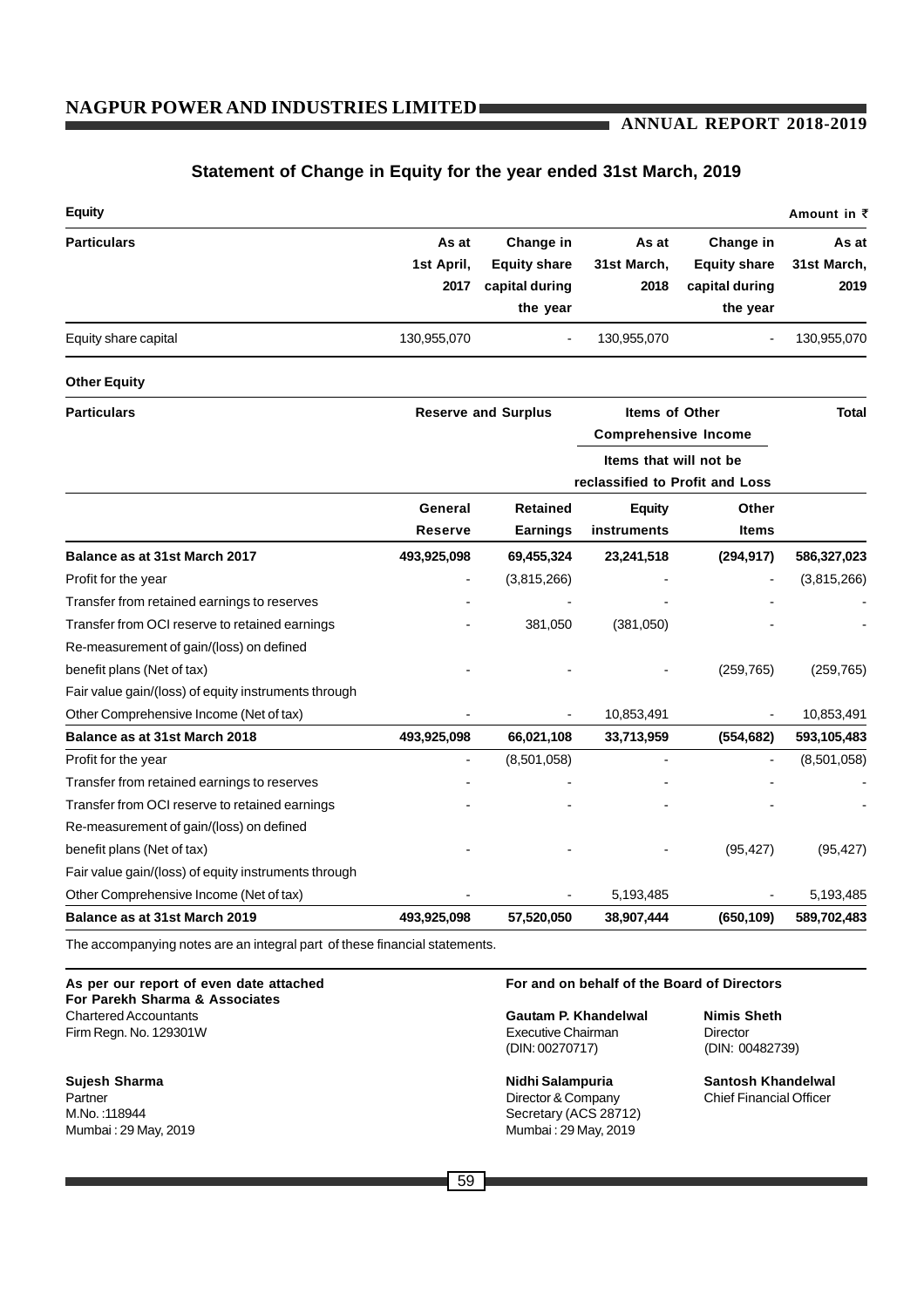# **ANNUAL REPORT 2018-2019**

# **Statement of Change in Equity for the year ended 31st March, 2019**

| <b>Equity</b>                                        |                             |                                                                |                                                                                |                                                                | Amount in ₹                  |
|------------------------------------------------------|-----------------------------|----------------------------------------------------------------|--------------------------------------------------------------------------------|----------------------------------------------------------------|------------------------------|
| <b>Particulars</b>                                   | As at<br>1st April,<br>2017 | Change in<br><b>Equity share</b><br>capital during<br>the year | As at<br>31st March,<br>2018                                                   | Change in<br><b>Equity share</b><br>capital during<br>the year | As at<br>31st March,<br>2019 |
| Equity share capital                                 | 130,955,070                 |                                                                | 130,955,070                                                                    |                                                                | 130,955,070                  |
| <b>Other Equity</b>                                  |                             |                                                                |                                                                                |                                                                |                              |
| <b>Particulars</b>                                   |                             | <b>Reserve and Surplus</b>                                     | <b>Items of Other</b><br><b>Comprehensive Income</b><br>Items that will not be | reclassified to Profit and Loss                                | <b>Total</b>                 |
|                                                      | General                     | <b>Retained</b>                                                | <b>Equity</b>                                                                  | Other                                                          |                              |
|                                                      | <b>Reserve</b>              | <b>Earnings</b>                                                | instruments                                                                    | Items                                                          |                              |
| Balance as at 31st March 2017                        | 493,925,098                 | 69,455,324                                                     | 23,241,518                                                                     | (294, 917)                                                     | 586,327,023                  |
| Profit for the year                                  |                             | (3,815,266)                                                    |                                                                                |                                                                | (3,815,266)                  |
| Transfer from retained earnings to reserves          |                             |                                                                |                                                                                |                                                                |                              |
| Transfer from OCI reserve to retained earnings       |                             | 381,050                                                        | (381,050)                                                                      |                                                                |                              |
| Re-measurement of gain/(loss) on defined             |                             |                                                                |                                                                                |                                                                |                              |
| benefit plans (Net of tax)                           |                             |                                                                |                                                                                | (259, 765)                                                     | (259, 765)                   |
| Fair value gain/(loss) of equity instruments through |                             |                                                                |                                                                                |                                                                |                              |
| Other Comprehensive Income (Net of tax)              |                             |                                                                | 10,853,491                                                                     |                                                                | 10,853,491                   |
| Balance as at 31st March 2018                        | 493,925,098                 | 66,021,108                                                     | 33,713,959                                                                     | (554, 682)                                                     | 593,105,483                  |
| Profit for the year                                  |                             | (8,501,058)                                                    |                                                                                |                                                                | (8,501,058)                  |
| Transfer from retained earnings to reserves          |                             |                                                                |                                                                                |                                                                |                              |
| Transfer from OCI reserve to retained earnings       |                             |                                                                |                                                                                |                                                                |                              |
| Re-measurement of gain/(loss) on defined             |                             |                                                                |                                                                                |                                                                |                              |
| benefit plans (Net of tax)                           |                             |                                                                |                                                                                | (95, 427)                                                      | (95, 427)                    |
| Fair value gain/(loss) of equity instruments through |                             |                                                                |                                                                                |                                                                |                              |
| Other Comprehensive Income (Net of tax)              |                             |                                                                | 5,193,485                                                                      |                                                                | 5,193,485                    |
| Balance as at 31st March 2019                        | 493,925,098                 | 57,520,050                                                     | 38,907,444                                                                     | (650, 109)                                                     | 589,702,483                  |

The accompanying notes are an integral part of these financial statements.

As per our report of even date attached **For and on behalf of the Board of Directors For Parekh Sharma & Associates** Chartered Accountants **Gautam P. Khandelwal Nimis Sheth**

Partner Director & Company Chief Financial Officers of the Director & Company Director & Company Chief Financial Officers of the Director & Company Chief Financial Officers of the Director of the Director of the Director o

Firm Regn. No. 129301W **Executive Chairman** Director **Director Executive Chairman** Director **Director DIN:** 00270717)

**Sujesh Sharma Nidhi Salampuria Santosh Khandelwal** M.No. :118944<br>
Mumbai : 29 May, 2019<br>
Mumbai : 29 May, 2019 Mumbai: 29 May, 2019

(DIN: 00482739)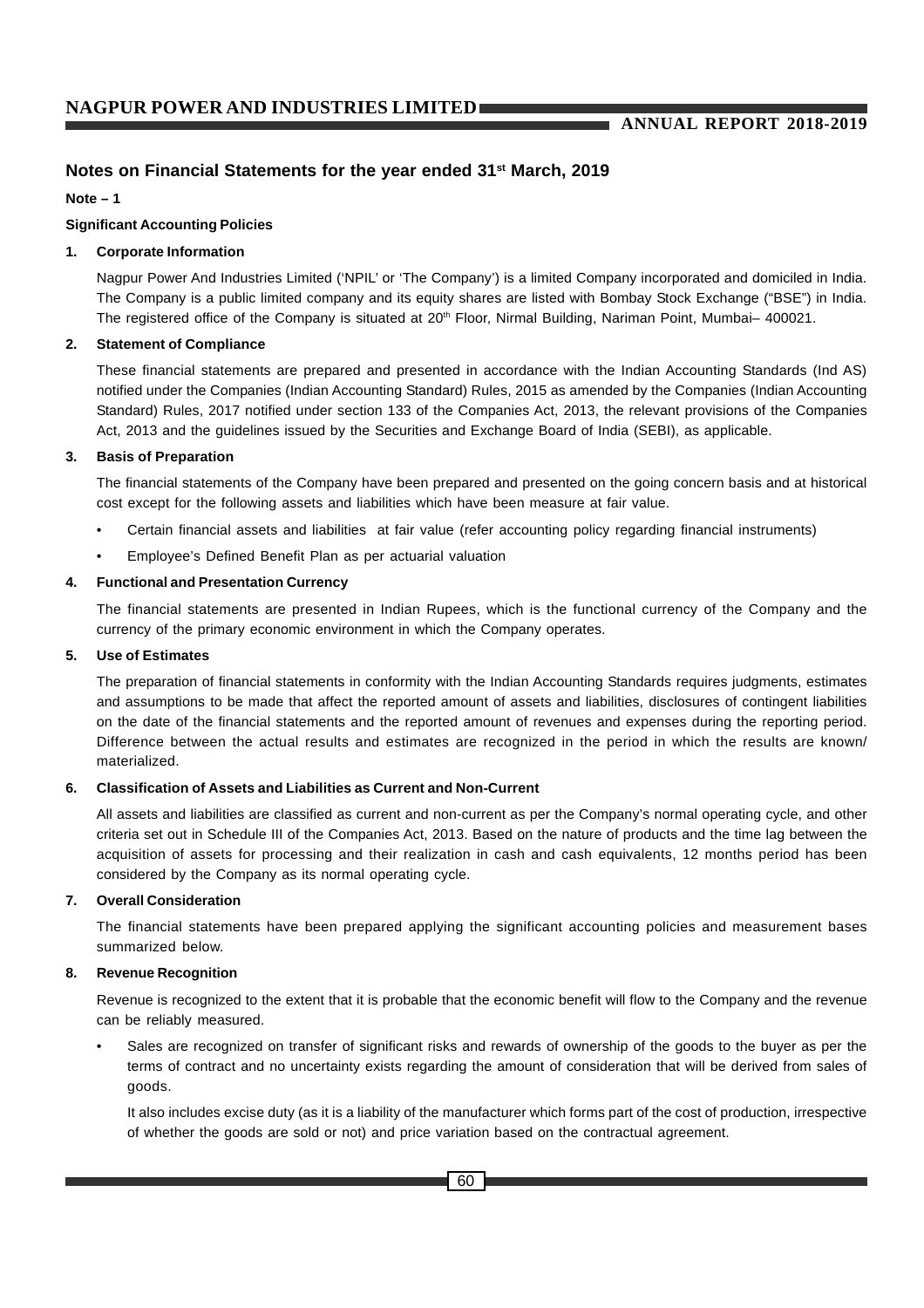# **Notes on Financial Statements for the year ended 31st March, 2019**

# **Note – 1**

# **Significant Accounting Policies**

# **1. Corporate Information**

Nagpur Power And Industries Limited ('NPIL' or 'The Company') is a limited Company incorporated and domiciled in India. The Company is a public limited company and its equity shares are listed with Bombay Stock Exchange ("BSE") in India. The registered office of the Company is situated at 20<sup>th</sup> Floor, Nirmal Building, Nariman Point, Mumbai– 400021.

# **2. Statement of Compliance**

These financial statements are prepared and presented in accordance with the Indian Accounting Standards (Ind AS) notified under the Companies (Indian Accounting Standard) Rules, 2015 as amended by the Companies (Indian Accounting Standard) Rules, 2017 notified under section 133 of the Companies Act, 2013, the relevant provisions of the Companies Act, 2013 and the guidelines issued by the Securities and Exchange Board of India (SEBI), as applicable.

# **3. Basis of Preparation**

The financial statements of the Company have been prepared and presented on the going concern basis and at historical cost except for the following assets and liabilities which have been measure at fair value.

- Certain financial assets and liabilities at fair value (refer accounting policy regarding financial instruments)
- Employee's Defined Benefit Plan as per actuarial valuation

# **4. Functional and Presentation Currency**

The financial statements are presented in Indian Rupees, which is the functional currency of the Company and the currency of the primary economic environment in which the Company operates.

# **5. Use of Estimates**

The preparation of financial statements in conformity with the Indian Accounting Standards requires judgments, estimates and assumptions to be made that affect the reported amount of assets and liabilities, disclosures of contingent liabilities on the date of the financial statements and the reported amount of revenues and expenses during the reporting period. Difference between the actual results and estimates are recognized in the period in which the results are known/ materialized.

# **6. Classification of Assets and Liabilities as Current and Non-Current**

All assets and liabilities are classified as current and non-current as per the Company's normal operating cycle, and other criteria set out in Schedule III of the Companies Act, 2013. Based on the nature of products and the time lag between the acquisition of assets for processing and their realization in cash and cash equivalents, 12 months period has been considered by the Company as its normal operating cycle.

# **7. Overall Consideration**

The financial statements have been prepared applying the significant accounting policies and measurement bases summarized below.

# **8. Revenue Recognition**

Revenue is recognized to the extent that it is probable that the economic benefit will flow to the Company and the revenue can be reliably measured.

Sales are recognized on transfer of significant risks and rewards of ownership of the goods to the buyer as per the terms of contract and no uncertainty exists regarding the amount of consideration that will be derived from sales of goods.

It also includes excise duty (as it is a liability of the manufacturer which forms part of the cost of production, irrespective of whether the goods are sold or not) and price variation based on the contractual agreement.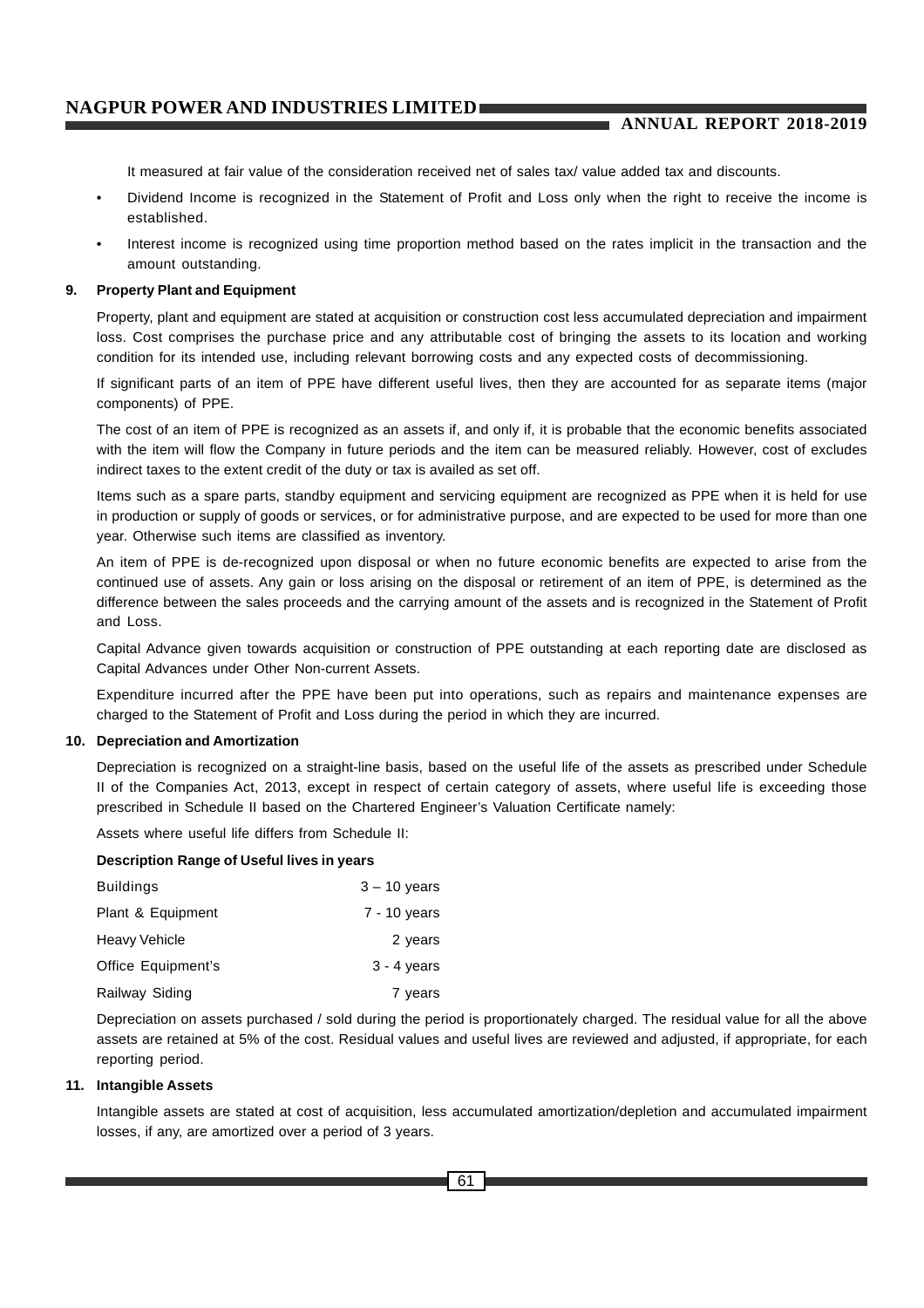# **ANNUAL REPORT 2018-2019**

It measured at fair value of the consideration received net of sales tax/ value added tax and discounts.

- Dividend Income is recognized in the Statement of Profit and Loss only when the right to receive the income is established.
- Interest income is recognized using time proportion method based on the rates implicit in the transaction and the amount outstanding.

# **9. Property Plant and Equipment**

Property, plant and equipment are stated at acquisition or construction cost less accumulated depreciation and impairment loss. Cost comprises the purchase price and any attributable cost of bringing the assets to its location and working condition for its intended use, including relevant borrowing costs and any expected costs of decommissioning.

If significant parts of an item of PPE have different useful lives, then they are accounted for as separate items (major components) of PPE.

The cost of an item of PPE is recognized as an assets if, and only if, it is probable that the economic benefits associated with the item will flow the Company in future periods and the item can be measured reliably. However, cost of excludes indirect taxes to the extent credit of the duty or tax is availed as set off.

Items such as a spare parts, standby equipment and servicing equipment are recognized as PPE when it is held for use in production or supply of goods or services, or for administrative purpose, and are expected to be used for more than one year. Otherwise such items are classified as inventory.

An item of PPE is de-recognized upon disposal or when no future economic benefits are expected to arise from the continued use of assets. Any gain or loss arising on the disposal or retirement of an item of PPE, is determined as the difference between the sales proceeds and the carrying amount of the assets and is recognized in the Statement of Profit and Loss.

Capital Advance given towards acquisition or construction of PPE outstanding at each reporting date are disclosed as Capital Advances under Other Non-current Assets.

Expenditure incurred after the PPE have been put into operations, such as repairs and maintenance expenses are charged to the Statement of Profit and Loss during the period in which they are incurred.

# **10. Depreciation and Amortization**

Depreciation is recognized on a straight-line basis, based on the useful life of the assets as prescribed under Schedule II of the Companies Act, 2013, except in respect of certain category of assets, where useful life is exceeding those prescribed in Schedule II based on the Chartered Engineer's Valuation Certificate namely:

Assets where useful life differs from Schedule II:

#### **Description Range of Useful lives in years**

| <b>Buildings</b>     | $3 - 10$ years |
|----------------------|----------------|
| Plant & Equipment    | $7 - 10$ years |
| <b>Heavy Vehicle</b> | 2 years        |
| Office Equipment's   | $3 - 4$ years  |
| Railway Siding       | 7 years        |

Depreciation on assets purchased / sold during the period is proportionately charged. The residual value for all the above assets are retained at 5% of the cost. Residual values and useful lives are reviewed and adjusted, if appropriate, for each reporting period.

## **11. Intangible Assets**

Intangible assets are stated at cost of acquisition, less accumulated amortization/depletion and accumulated impairment losses, if any, are amortized over a period of 3 years.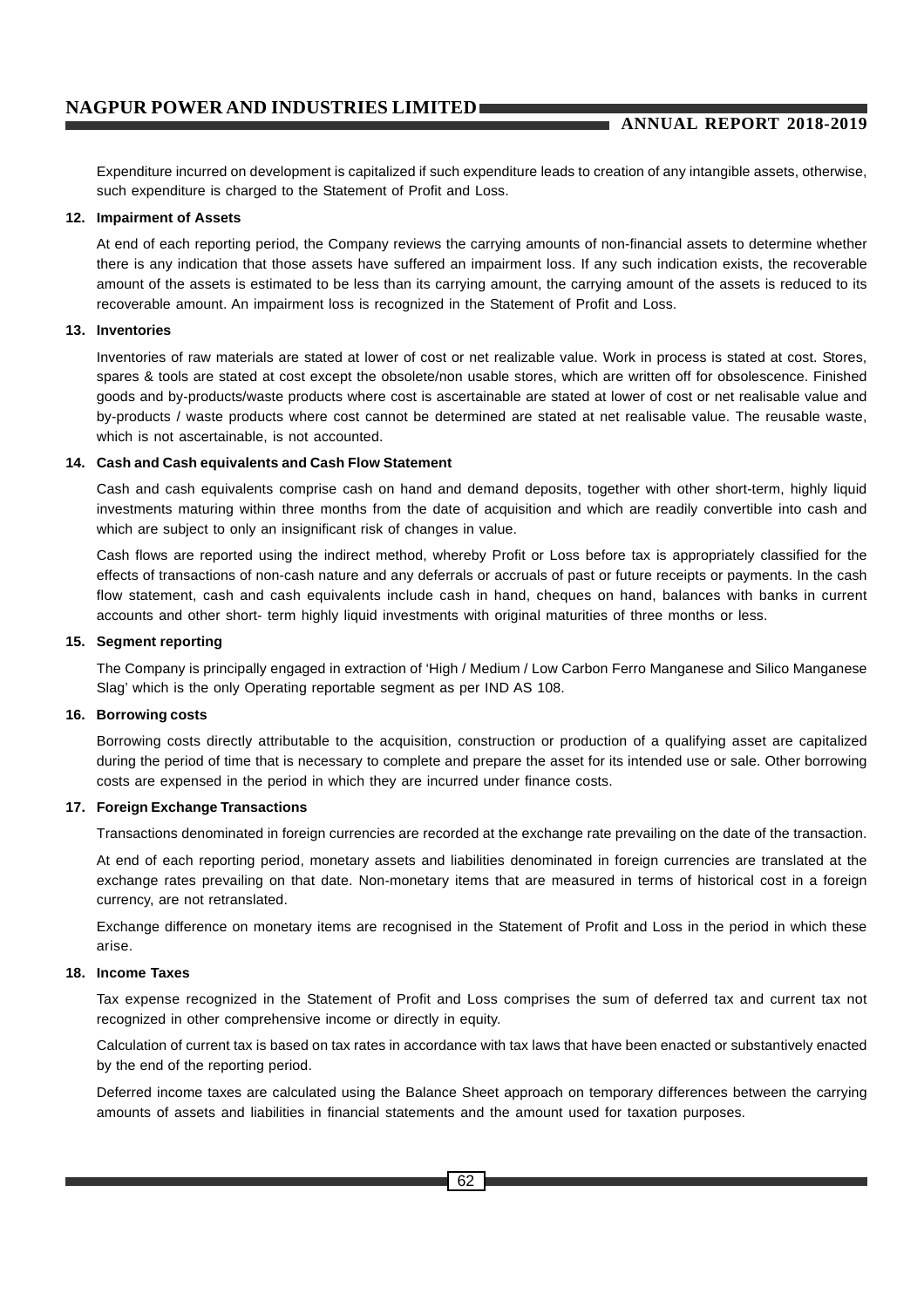Expenditure incurred on development is capitalized if such expenditure leads to creation of any intangible assets, otherwise, such expenditure is charged to the Statement of Profit and Loss.

# **12. Impairment of Assets**

At end of each reporting period, the Company reviews the carrying amounts of non-financial assets to determine whether there is any indication that those assets have suffered an impairment loss. If any such indication exists, the recoverable amount of the assets is estimated to be less than its carrying amount, the carrying amount of the assets is reduced to its recoverable amount. An impairment loss is recognized in the Statement of Profit and Loss.

# **13. Inventories**

Inventories of raw materials are stated at lower of cost or net realizable value. Work in process is stated at cost. Stores, spares & tools are stated at cost except the obsolete/non usable stores, which are written off for obsolescence. Finished goods and by-products/waste products where cost is ascertainable are stated at lower of cost or net realisable value and by-products / waste products where cost cannot be determined are stated at net realisable value. The reusable waste, which is not ascertainable, is not accounted.

# **14. Cash and Cash equivalents and Cash Flow Statement**

Cash and cash equivalents comprise cash on hand and demand deposits, together with other short-term, highly liquid investments maturing within three months from the date of acquisition and which are readily convertible into cash and which are subject to only an insignificant risk of changes in value.

Cash flows are reported using the indirect method, whereby Profit or Loss before tax is appropriately classified for the effects of transactions of non-cash nature and any deferrals or accruals of past or future receipts or payments. In the cash flow statement, cash and cash equivalents include cash in hand, cheques on hand, balances with banks in current accounts and other short- term highly liquid investments with original maturities of three months or less.

# **15. Segment reporting**

The Company is principally engaged in extraction of 'High / Medium / Low Carbon Ferro Manganese and Silico Manganese Slag' which is the only Operating reportable segment as per IND AS 108.

# **16. Borrowing costs**

Borrowing costs directly attributable to the acquisition, construction or production of a qualifying asset are capitalized during the period of time that is necessary to complete and prepare the asset for its intended use or sale. Other borrowing costs are expensed in the period in which they are incurred under finance costs.

# **17. Foreign Exchange Transactions**

Transactions denominated in foreign currencies are recorded at the exchange rate prevailing on the date of the transaction.

At end of each reporting period, monetary assets and liabilities denominated in foreign currencies are translated at the exchange rates prevailing on that date. Non-monetary items that are measured in terms of historical cost in a foreign currency, are not retranslated.

Exchange difference on monetary items are recognised in the Statement of Profit and Loss in the period in which these arise.

# **18. Income Taxes**

Tax expense recognized in the Statement of Profit and Loss comprises the sum of deferred tax and current tax not recognized in other comprehensive income or directly in equity.

Calculation of current tax is based on tax rates in accordance with tax laws that have been enacted or substantively enacted by the end of the reporting period.

Deferred income taxes are calculated using the Balance Sheet approach on temporary differences between the carrying amounts of assets and liabilities in financial statements and the amount used for taxation purposes.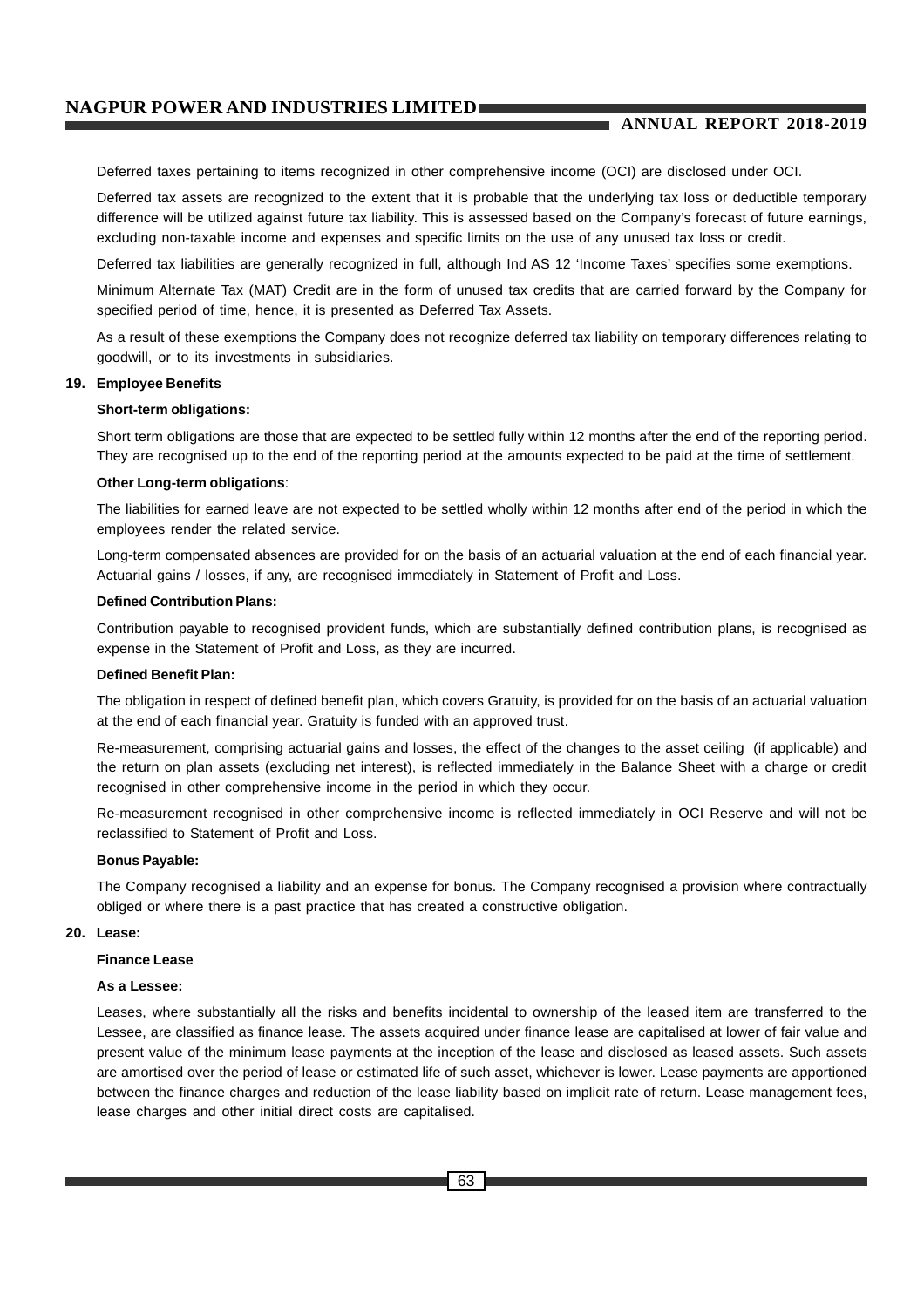# **ANNUAL REPORT 2018-2019**

Deferred taxes pertaining to items recognized in other comprehensive income (OCI) are disclosed under OCI.

Deferred tax assets are recognized to the extent that it is probable that the underlying tax loss or deductible temporary difference will be utilized against future tax liability. This is assessed based on the Company's forecast of future earnings, excluding non-taxable income and expenses and specific limits on the use of any unused tax loss or credit.

Deferred tax liabilities are generally recognized in full, although Ind AS 12 'Income Taxes' specifies some exemptions.

Minimum Alternate Tax (MAT) Credit are in the form of unused tax credits that are carried forward by the Company for specified period of time, hence, it is presented as Deferred Tax Assets.

As a result of these exemptions the Company does not recognize deferred tax liability on temporary differences relating to goodwill, or to its investments in subsidiaries.

# **19. Employee Benefits**

#### **Short-term obligations:**

Short term obligations are those that are expected to be settled fully within 12 months after the end of the reporting period. They are recognised up to the end of the reporting period at the amounts expected to be paid at the time of settlement.

#### **Other Long-term obligations**:

The liabilities for earned leave are not expected to be settled wholly within 12 months after end of the period in which the employees render the related service.

Long-term compensated absences are provided for on the basis of an actuarial valuation at the end of each financial year. Actuarial gains / losses, if any, are recognised immediately in Statement of Profit and Loss.

# **Defined Contribution Plans:**

Contribution payable to recognised provident funds, which are substantially defined contribution plans, is recognised as expense in the Statement of Profit and Loss, as they are incurred.

#### **Defined Benefit Plan:**

The obligation in respect of defined benefit plan, which covers Gratuity, is provided for on the basis of an actuarial valuation at the end of each financial year. Gratuity is funded with an approved trust.

Re-measurement, comprising actuarial gains and losses, the effect of the changes to the asset ceiling (if applicable) and the return on plan assets (excluding net interest), is reflected immediately in the Balance Sheet with a charge or credit recognised in other comprehensive income in the period in which they occur.

Re-measurement recognised in other comprehensive income is reflected immediately in OCI Reserve and will not be reclassified to Statement of Profit and Loss.

# **Bonus Payable:**

The Company recognised a liability and an expense for bonus. The Company recognised a provision where contractually obliged or where there is a past practice that has created a constructive obligation.

### **20. Lease:**

# **Finance Lease**

## **As a Lessee:**

Leases, where substantially all the risks and benefits incidental to ownership of the leased item are transferred to the Lessee, are classified as finance lease. The assets acquired under finance lease are capitalised at lower of fair value and present value of the minimum lease payments at the inception of the lease and disclosed as leased assets. Such assets are amortised over the period of lease or estimated life of such asset, whichever is lower. Lease payments are apportioned between the finance charges and reduction of the lease liability based on implicit rate of return. Lease management fees, lease charges and other initial direct costs are capitalised.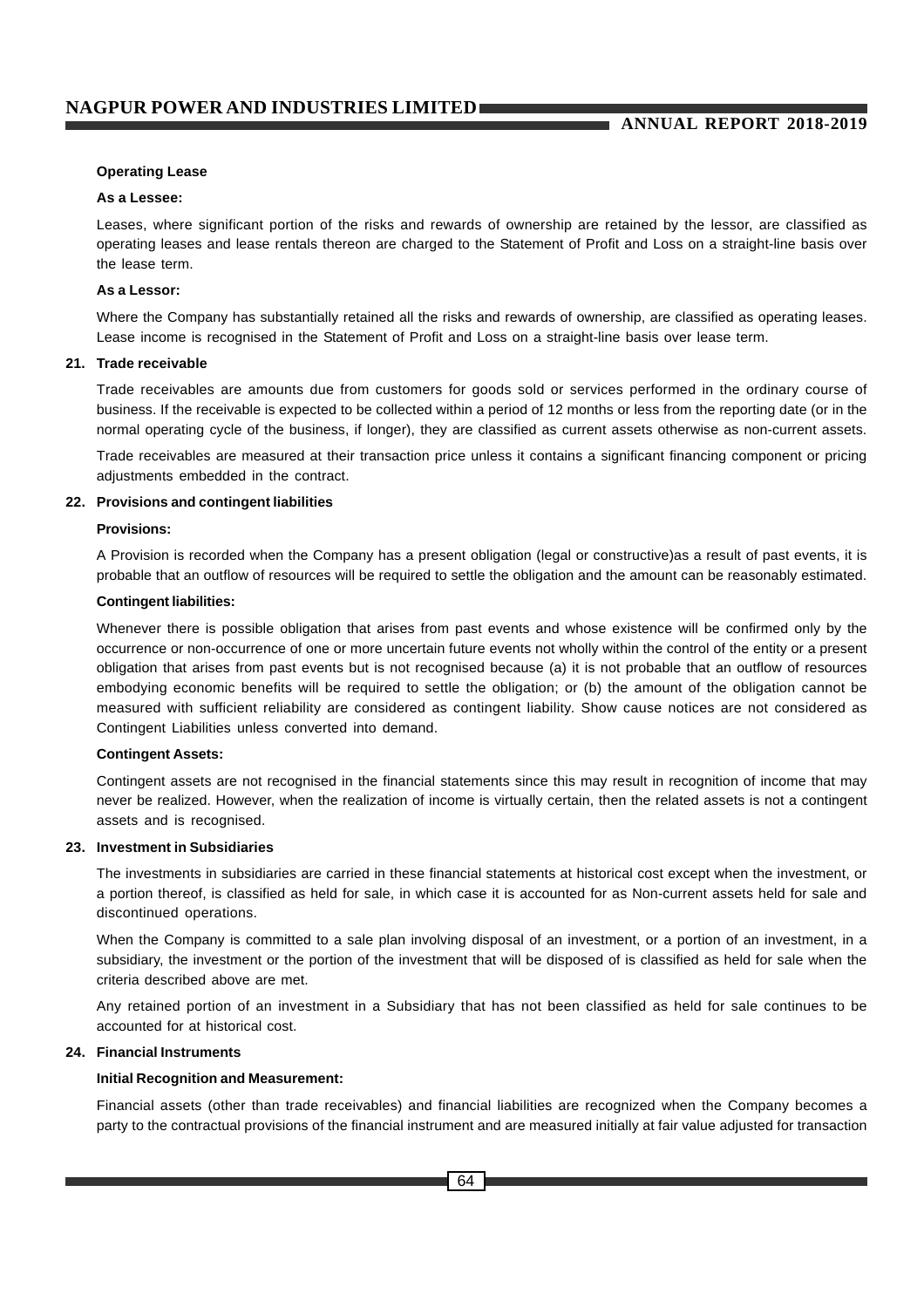# **Operating Lease**

# **As a Lessee:**

Leases, where significant portion of the risks and rewards of ownership are retained by the lessor, are classified as operating leases and lease rentals thereon are charged to the Statement of Profit and Loss on a straight-line basis over the lease term.

# **As a Lessor:**

Where the Company has substantially retained all the risks and rewards of ownership, are classified as operating leases. Lease income is recognised in the Statement of Profit and Loss on a straight-line basis over lease term.

## **21. Trade receivable**

Trade receivables are amounts due from customers for goods sold or services performed in the ordinary course of business. If the receivable is expected to be collected within a period of 12 months or less from the reporting date (or in the normal operating cycle of the business, if longer), they are classified as current assets otherwise as non-current assets.

Trade receivables are measured at their transaction price unless it contains a significant financing component or pricing adjustments embedded in the contract.

# **22. Provisions and contingent liabilities**

## **Provisions:**

A Provision is recorded when the Company has a present obligation (legal or constructive)as a result of past events, it is probable that an outflow of resources will be required to settle the obligation and the amount can be reasonably estimated.

# **Contingent liabilities:**

Whenever there is possible obligation that arises from past events and whose existence will be confirmed only by the occurrence or non-occurrence of one or more uncertain future events not wholly within the control of the entity or a present obligation that arises from past events but is not recognised because (a) it is not probable that an outflow of resources embodying economic benefits will be required to settle the obligation; or (b) the amount of the obligation cannot be measured with sufficient reliability are considered as contingent liability. Show cause notices are not considered as Contingent Liabilities unless converted into demand.

# **Contingent Assets:**

Contingent assets are not recognised in the financial statements since this may result in recognition of income that may never be realized. However, when the realization of income is virtually certain, then the related assets is not a contingent assets and is recognised.

# **23. Investment in Subsidiaries**

The investments in subsidiaries are carried in these financial statements at historical cost except when the investment, or a portion thereof, is classified as held for sale, in which case it is accounted for as Non-current assets held for sale and discontinued operations.

When the Company is committed to a sale plan involving disposal of an investment, or a portion of an investment, in a subsidiary, the investment or the portion of the investment that will be disposed of is classified as held for sale when the criteria described above are met.

Any retained portion of an investment in a Subsidiary that has not been classified as held for sale continues to be accounted for at historical cost.

# **24. Financial Instruments**

## **Initial Recognition and Measurement:**

Financial assets (other than trade receivables) and financial liabilities are recognized when the Company becomes a party to the contractual provisions of the financial instrument and are measured initially at fair value adjusted for transaction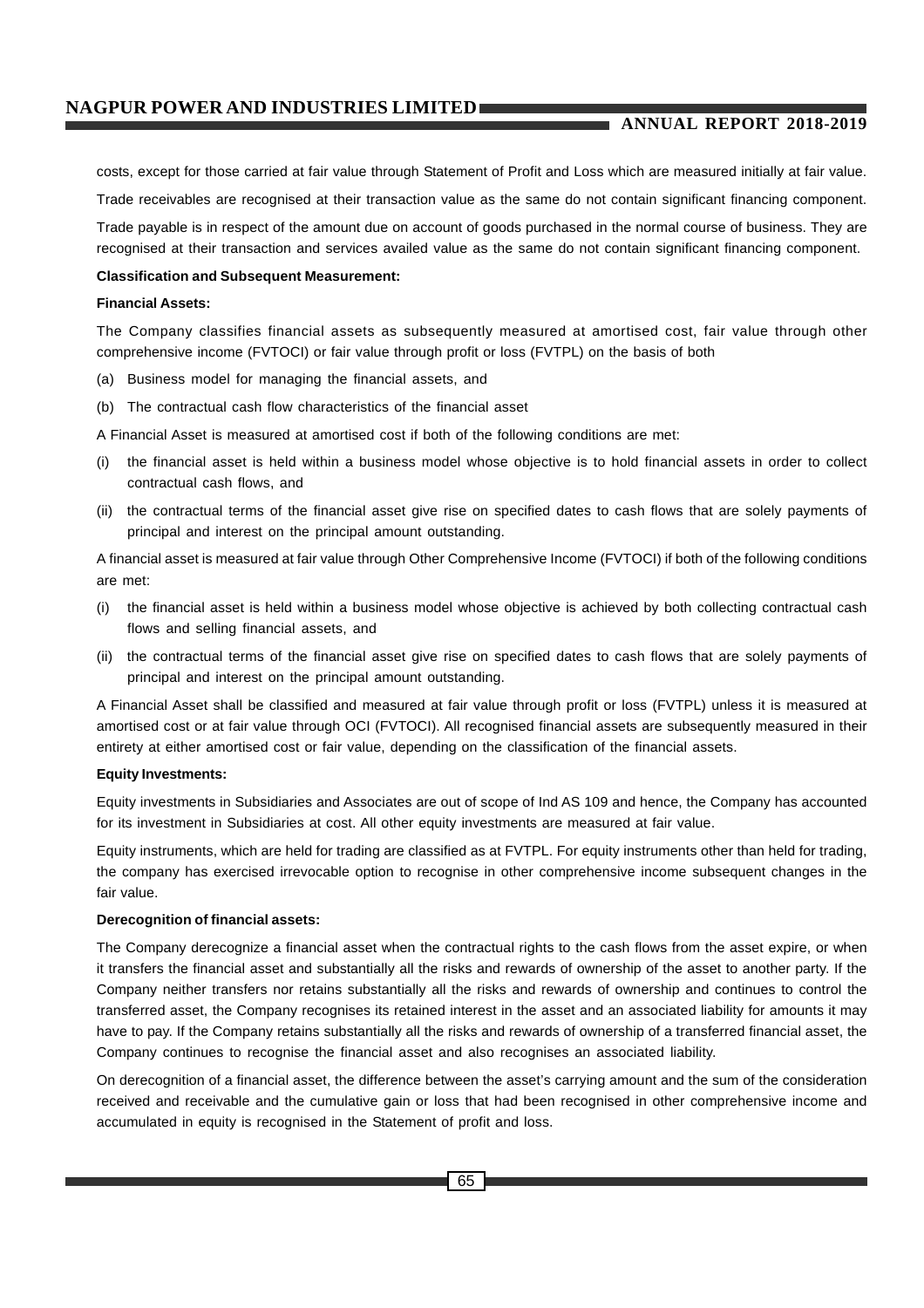# **ANNUAL REPORT 2018-2019**

costs, except for those carried at fair value through Statement of Profit and Loss which are measured initially at fair value.

Trade receivables are recognised at their transaction value as the same do not contain significant financing component. Trade payable is in respect of the amount due on account of goods purchased in the normal course of business. They are recognised at their transaction and services availed value as the same do not contain significant financing component.

## **Classification and Subsequent Measurement:**

#### **Financial Assets:**

The Company classifies financial assets as subsequently measured at amortised cost, fair value through other comprehensive income (FVTOCI) or fair value through profit or loss (FVTPL) on the basis of both

- (a) Business model for managing the financial assets, and
- (b) The contractual cash flow characteristics of the financial asset

A Financial Asset is measured at amortised cost if both of the following conditions are met:

- (i) the financial asset is held within a business model whose objective is to hold financial assets in order to collect contractual cash flows, and
- (ii) the contractual terms of the financial asset give rise on specified dates to cash flows that are solely payments of principal and interest on the principal amount outstanding.

A financial asset is measured at fair value through Other Comprehensive Income (FVTOCI) if both of the following conditions are met:

- (i) the financial asset is held within a business model whose objective is achieved by both collecting contractual cash flows and selling financial assets, and
- (ii) the contractual terms of the financial asset give rise on specified dates to cash flows that are solely payments of principal and interest on the principal amount outstanding.

A Financial Asset shall be classified and measured at fair value through profit or loss (FVTPL) unless it is measured at amortised cost or at fair value through OCI (FVTOCI). All recognised financial assets are subsequently measured in their entirety at either amortised cost or fair value, depending on the classification of the financial assets.

#### **Equity Investments:**

Equity investments in Subsidiaries and Associates are out of scope of Ind AS 109 and hence, the Company has accounted for its investment in Subsidiaries at cost. All other equity investments are measured at fair value.

Equity instruments, which are held for trading are classified as at FVTPL. For equity instruments other than held for trading, the company has exercised irrevocable option to recognise in other comprehensive income subsequent changes in the fair value.

## **Derecognition of financial assets:**

The Company derecognize a financial asset when the contractual rights to the cash flows from the asset expire, or when it transfers the financial asset and substantially all the risks and rewards of ownership of the asset to another party. If the Company neither transfers nor retains substantially all the risks and rewards of ownership and continues to control the transferred asset, the Company recognises its retained interest in the asset and an associated liability for amounts it may have to pay. If the Company retains substantially all the risks and rewards of ownership of a transferred financial asset, the Company continues to recognise the financial asset and also recognises an associated liability.

On derecognition of a financial asset, the difference between the asset's carrying amount and the sum of the consideration received and receivable and the cumulative gain or loss that had been recognised in other comprehensive income and accumulated in equity is recognised in the Statement of profit and loss.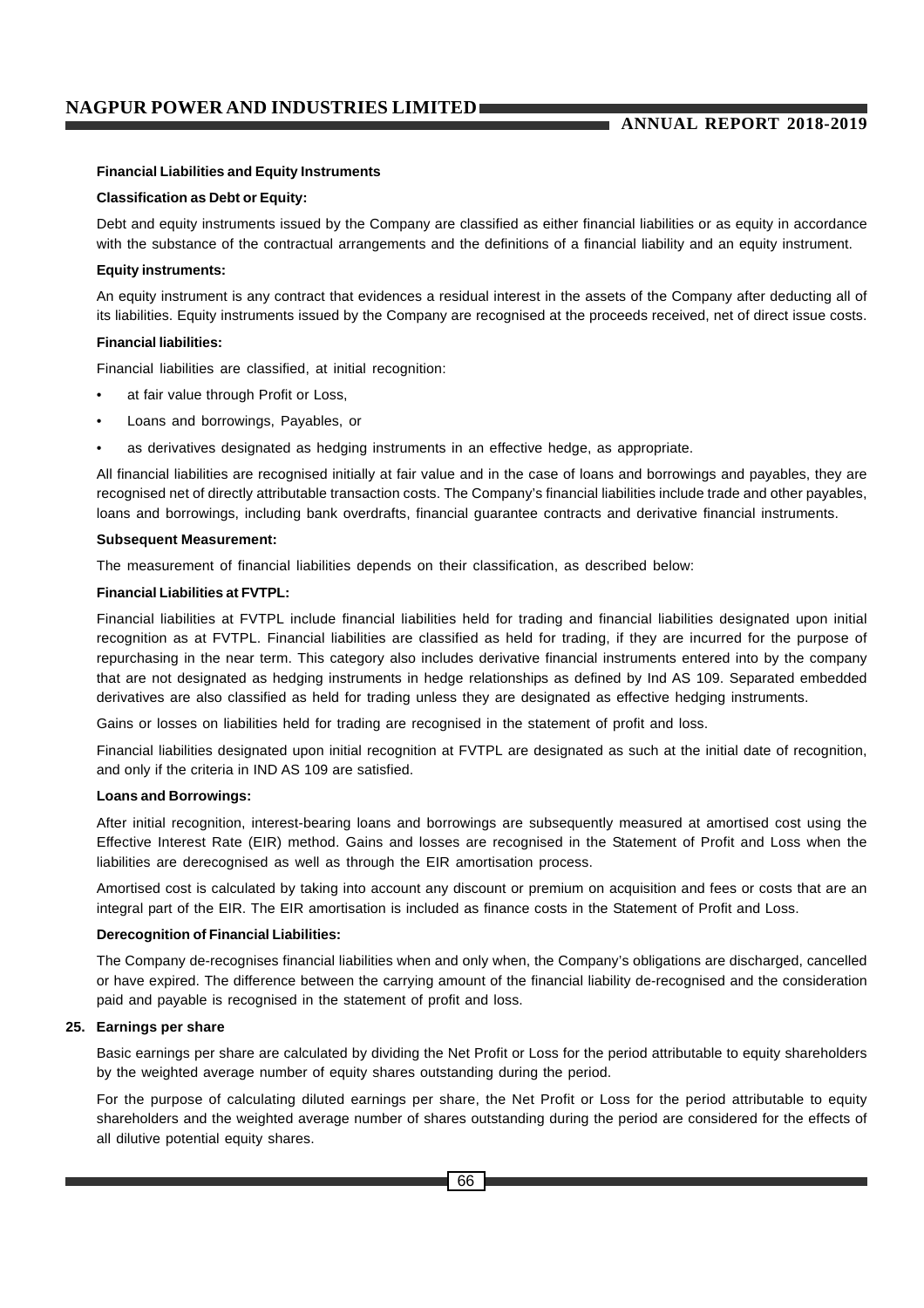# **ANNUAL REPORT 2018-2019**

# **Financial Liabilities and Equity Instruments**

# **Classification as Debt or Equity:**

Debt and equity instruments issued by the Company are classified as either financial liabilities or as equity in accordance with the substance of the contractual arrangements and the definitions of a financial liability and an equity instrument.

## **Equity instruments:**

An equity instrument is any contract that evidences a residual interest in the assets of the Company after deducting all of its liabilities. Equity instruments issued by the Company are recognised at the proceeds received, net of direct issue costs.

# **Financial liabilities:**

Financial liabilities are classified, at initial recognition:

- at fair value through Profit or Loss,
- Loans and borrowings, Payables, or
- as derivatives designated as hedging instruments in an effective hedge, as appropriate.

All financial liabilities are recognised initially at fair value and in the case of loans and borrowings and payables, they are recognised net of directly attributable transaction costs. The Company's financial liabilities include trade and other payables, loans and borrowings, including bank overdrafts, financial guarantee contracts and derivative financial instruments.

## **Subsequent Measurement:**

The measurement of financial liabilities depends on their classification, as described below:

## **Financial Liabilities at FVTPL:**

Financial liabilities at FVTPL include financial liabilities held for trading and financial liabilities designated upon initial recognition as at FVTPL. Financial liabilities are classified as held for trading, if they are incurred for the purpose of repurchasing in the near term. This category also includes derivative financial instruments entered into by the company that are not designated as hedging instruments in hedge relationships as defined by Ind AS 109. Separated embedded derivatives are also classified as held for trading unless they are designated as effective hedging instruments.

Gains or losses on liabilities held for trading are recognised in the statement of profit and loss.

Financial liabilities designated upon initial recognition at FVTPL are designated as such at the initial date of recognition, and only if the criteria in IND AS 109 are satisfied.

## **Loans and Borrowings:**

After initial recognition, interest-bearing loans and borrowings are subsequently measured at amortised cost using the Effective Interest Rate (EIR) method. Gains and losses are recognised in the Statement of Profit and Loss when the liabilities are derecognised as well as through the EIR amortisation process.

Amortised cost is calculated by taking into account any discount or premium on acquisition and fees or costs that are an integral part of the EIR. The EIR amortisation is included as finance costs in the Statement of Profit and Loss.

## **Derecognition of Financial Liabilities:**

The Company de-recognises financial liabilities when and only when, the Company's obligations are discharged, cancelled or have expired. The difference between the carrying amount of the financial liability de-recognised and the consideration paid and payable is recognised in the statement of profit and loss.

# **25. Earnings per share**

Basic earnings per share are calculated by dividing the Net Profit or Loss for the period attributable to equity shareholders by the weighted average number of equity shares outstanding during the period.

For the purpose of calculating diluted earnings per share, the Net Profit or Loss for the period attributable to equity shareholders and the weighted average number of shares outstanding during the period are considered for the effects of all dilutive potential equity shares.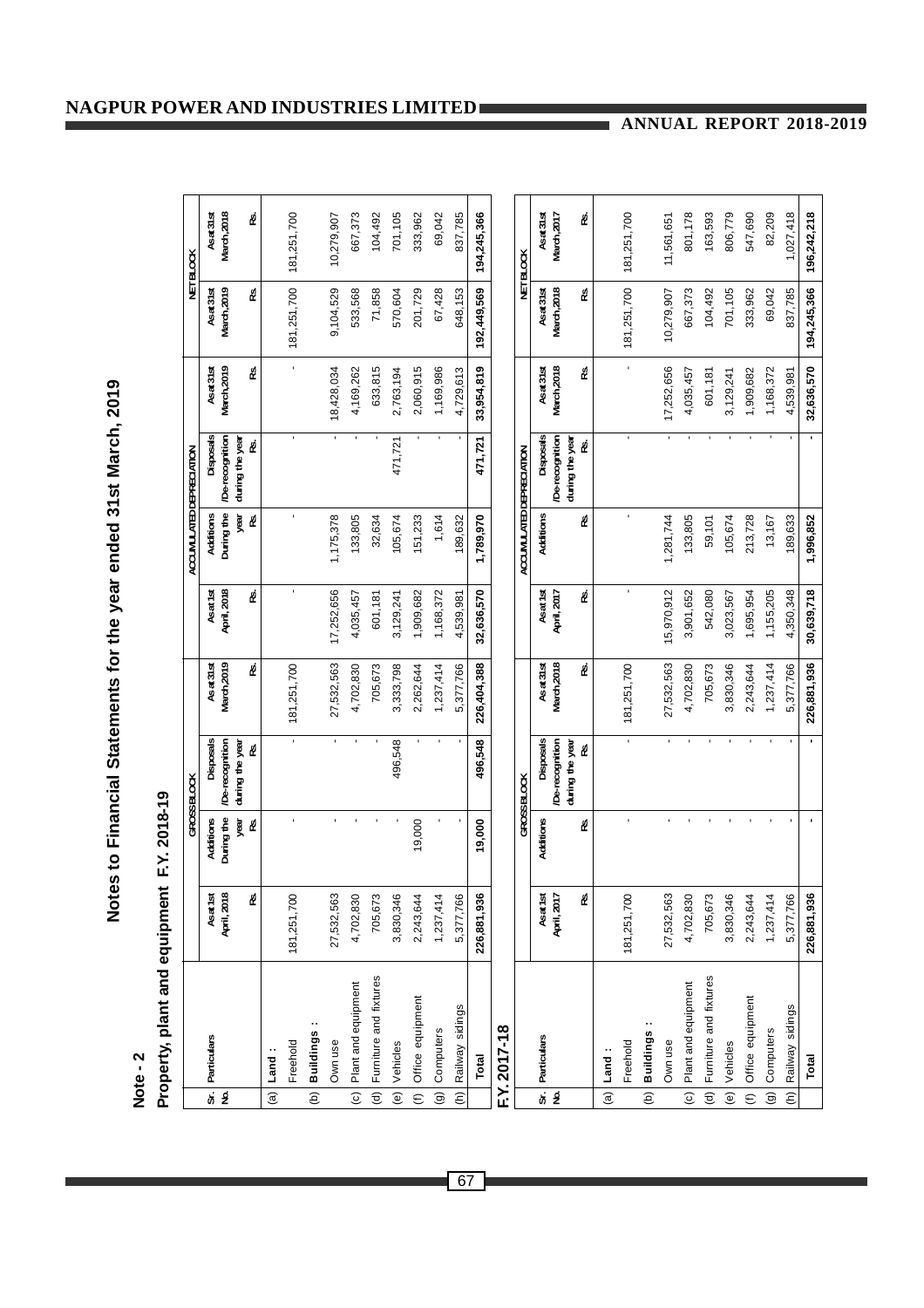Notes to Financial Statements for the year ended 31st March, 2019 **Notes to Financial Statements for the year ended 31st March, 2019**

**Note - 2**

Property, plant and equipment F.Y. 2018-19 **Property, plant and equipment F.Y. 2018-19**

|                      |                        |             |                | <b>GROSS BLOCK</b>     |             |             | ACCUMULATED DEPRECIATION |                        |                      |             | <b>NET BLOCK</b> |  |
|----------------------|------------------------|-------------|----------------|------------------------|-------------|-------------|--------------------------|------------------------|----------------------|-------------|------------------|--|
| _<br>ವ ≗             | Particulars            | As at 1st   | Additions      | <b>Disposals</b>       | As at 31st  | As at 1st   | Additions                | <b>Disposals</b>       | Asat 31st            | As at 31st  | Asat 31st        |  |
|                      |                        | April, 2018 | During the     | /De-recognition        | March, 2019 | April, 2018 | During the               | /De-recognition        | March, 2019          | March, 2019 | March, 2018      |  |
|                      |                        | Ŀ.          | Rs.<br>year    | during the year<br>ŔS. | œ.          | Ľ.          | year<br>Ľ                | during the year<br>Ŀ.  | Rs.                  | <u>జ</u>    | Ľ                |  |
| $\frac{1}{\text{e}}$ | Land:                  |             |                |                        |             |             |                          |                        |                      |             |                  |  |
|                      | Freehold               | 181,251,700 |                |                        | 181,251,700 | ï           | ×                        |                        |                      | 181,251,700 | 181,251,700      |  |
| $\frac{1}{2}$        | Buildings:             |             |                |                        |             |             |                          |                        |                      |             |                  |  |
|                      | Own use                | 27,532,563  |                |                        | 27,532,563  | 17,252,656  | 1,175,378                |                        | 18,428,034           | 9,104,529   | 10,279,907       |  |
| $\overline{c}$       | Plant and equipment    | 4,702,830   |                |                        | 4,702,830   | 4,035,457   | 133,805                  |                        | 4,169,262            | 533,568     | 667,373          |  |
| $\overline{e}$       | Furniture and fixtures | 705,673     |                |                        | 705,673     | 601,181     | 32,634                   |                        | 633,815              | 71,858      | 104,492          |  |
| $\Theta$             | Vehicles               | 3,830,346   |                | 496,548                | 3,333,798   | 3,129,241   | 105,674                  | 471,721                | 2,763,194            | 570,604     | 701,105          |  |
| $\left  \right $     | Office equipment       | 2,243,644   | 19,000         |                        | 2,262,644   | 1,909,682   | 151,233                  |                        | 2,060,915            | 201,729     | 333,962          |  |
| $\overline{a}$       | Computers              | 1,237,414   |                |                        | 1,237,414   | 1,168,372   | 1,614                    |                        | 1,169,986            | 67,428      | 69,042           |  |
| $\frac{1}{2}$        | Railway sidings        | 5,377,766   | $\blacksquare$ |                        | 5,377,766   | 4,539,981   | 189,632                  |                        | 4,729,613            | 648,153     | 837,785          |  |
|                      | Total                  | 226,881,936 | 19,000         | 496,548                | 226,404,388 | 32,636,570  | 1,789,970                | 471,721                | 33,954,819           | 192,449,569 | 194,245,366      |  |
|                      | F.Y. 2017-18           |             |                |                        |             |             |                          |                        |                      |             |                  |  |
|                      |                        |             |                | <b>GROSS BLOCK</b>     |             |             | ACCUMULATED DEPRECIATION |                        |                      |             | <b>NETBLOCK</b>  |  |
|                      | Particulars            | As at 1st   | Additions      | <b>Disposals</b>       | As at 31st  | As at 1st   | Additions                | <b>Disposals</b>       | Asat <sub>31st</sub> | As at 31st  | As at 31st       |  |
| <u>ದ್ದ ತ</u>         |                        | April, 2017 |                | De-recognition         | March, 2018 | April, 2017 |                          | /De-recognition        | March, 2018          | March, 2018 | March, 2017      |  |
|                      |                        | Ľ           | œ.             | during the year<br>Rs. | æ.          | œ.          | ๕                        | during the year<br>RS. | œ.                   | 42          | œ.               |  |
|                      |                        |             |                |                        |             |             |                          |                        |                      |             |                  |  |
| $\overline{a}$       | Land:                  |             |                |                        |             |             |                          |                        |                      |             |                  |  |
|                      | Freehold               | 181,251,700 |                |                        | 181,251,700 |             | ×                        |                        |                      | 181,251,700 | 181,251,700      |  |
| $\frac{1}{2}$        | <b>Buildings</b>       |             |                |                        |             |             |                          |                        |                      |             |                  |  |
|                      | Own use                | 27,532,563  |                |                        | 27,532,563  | 15,970,912  | 1,281,744                |                        | 17,252,656           | 10,279,907  | 11,561,651       |  |
| $\overline{c}$       | Plant and equipment    | 4,702,830   |                |                        | 4,702,830   | 3,901,652   | 133,805                  |                        | 4,035,457            | 667,373     | 801,178          |  |
| $\overline{e}$       | Furniture and fixtures | 705,673     |                |                        | 705,673     | 542,080     | 59,101                   |                        | 601,181              | 104,492     | 163,593          |  |
| (e)                  | Vehicles               | 3,830,346   |                |                        | 3,830,346   | 3,023,567   | 105,674                  |                        | 3,129,241            | 701,105     | 806,779          |  |
| $\left  \right $     | Office equipment       | 2,243,644   |                |                        | 2,243,644   | 1,695,954   | 213,728                  |                        | 1,909,682            | 333,962     | 547,690          |  |
| $\odot$              | Computers              | 1,237,414   |                |                        | 1,237,414   | 1,155,205   | 13,167                   |                        | 1,168,372            | 69,042      | 82,209           |  |
| $\frac{1}{2}$        | Railway sidings        | 5,377,766   |                |                        | 5,377,766   | 4,350,348   | 189,633                  |                        | 4,539,981            | 837,785     | 1,027,418        |  |
|                      | Total                  | 226,881,936 |                |                        | 226,881,936 | 30,639,718  | 1,996,852                |                        | 32,636,570           | 194,245,366 | 196,242,218      |  |

# **NAGPUR POWER AND INDUSTRIES LIMITED**

**ANNUAL REPORT 2018-2019**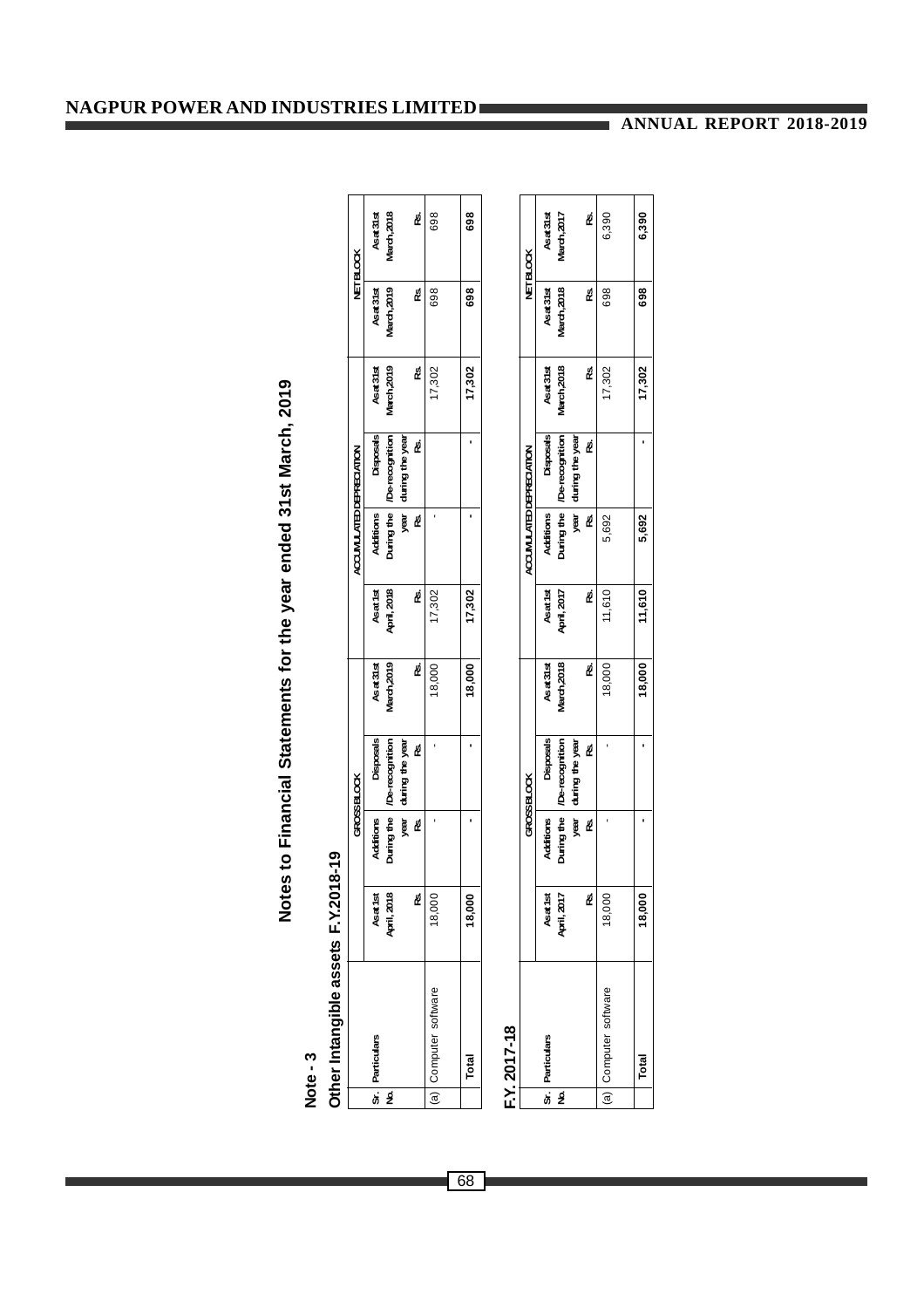| $\ddot{\phantom{a}}$  |
|-----------------------|
|                       |
|                       |
|                       |
|                       |
|                       |
| March<br>í            |
|                       |
|                       |
|                       |
|                       |
|                       |
|                       |
|                       |
|                       |
|                       |
| rended 31st N         |
| year                  |
|                       |
|                       |
| →<br>D<br>D           |
|                       |
|                       |
|                       |
|                       |
|                       |
|                       |
|                       |
|                       |
|                       |
|                       |
| ĺ                     |
|                       |
|                       |
| <b>Statements for</b> |
|                       |
|                       |
|                       |
|                       |
|                       |
|                       |
|                       |
|                       |
| Financial             |
|                       |
|                       |
|                       |
|                       |
|                       |
|                       |
| Notes to F            |

# **Note - 3 Other Intangible assets F.Y.2018-19**

|                |                   |            |             | <b>GROSS BLOCK</b>     |              |             | ACCUMULATED DEPRECIATION |                                                       |                        |             | <b>NETBLOCK</b>           |
|----------------|-------------------|------------|-------------|------------------------|--------------|-------------|--------------------------|-------------------------------------------------------|------------------------|-------------|---------------------------|
|                | Sr. Particulars   | Asat 1st   | Additions   | <b>Disposals</b>       | As at 31st   | As at 1st   |                          |                                                       | Asat 31st              | As at 31st  |                           |
| ş              |                   | pril, 2018 | buring the  | /De-recognition        | Vlarch, 2019 | April, 2018 |                          | Additions   Disposals<br>During the   /De-recognition | March <sub>,2019</sub> | Jarch, 2019 | As at 31st<br>March, 2018 |
|                |                   |            | year<br>Rs. | during the year<br>Rs. |              |             | year<br>Rs.              | during the year                                       |                        |             |                           |
|                |                   | జ          |             |                        | œ.           | RS.         |                          | æ.                                                    | Rs.                    | Ŀ.          | ż                         |
| $\overline{a}$ | Computer software | 18,000     |             |                        | 8,000        | 17,302      |                          |                                                       | 17,302                 | 698         | 698                       |
|                | Total             | 18,000     |             |                        | 18,000       | 17,302      |                          |                                                       | 17,302                 | 698         | 698                       |
|                |                   |            |             |                        |              |             |                          |                                                       |                        |             |                           |

# F.Y. 2017-18 **F.Y. 2017-18**

|   | $\ddot{}}$ : $\ddot{}}$ : $\ddot{}}$ : $\ddot{}}$ : $\ddot{}}$ : $\ddot{}}$ : $\ddot{}}$ : $\ddot{}}$ : $\ddot{}}$ : $\ddot{}}$ : $\ddot{}}$ : $\ddot{}}$ : $\ddot{}}$ : $\ddot{}}$ : $\ddot{}}$ : $\ddot{}}$ : $\ddot{}}$ : $\ddot{}}$ : $\ddot{}}$ : $\ddot{}}$ : $\ddot{}}$ : $\ddot{}}$ : |             |                   |                    |             |             |                                |                              |             |             |                       |  |
|---|-----------------------------------------------------------------------------------------------------------------------------------------------------------------------------------------------------------------------------------------------------------------------------------------------|-------------|-------------------|--------------------|-------------|-------------|--------------------------------|------------------------------|-------------|-------------|-----------------------|--|
|   |                                                                                                                                                                                                                                                                                               |             |                   | <b>GROSS BLOCK</b> |             |             | <b>CCUMULATED DEPRECIATION</b> |                              |             |             | <b>NETBLOCK</b>       |  |
|   | Sr.   Particulars                                                                                                                                                                                                                                                                             | Asat 1st    | kdditions         | <b>Disposals</b>   | As at 31st  | Asat1st     |                                | Additions   Disposals        | Asat 31st   | Asat 31st   | Asat 31st             |  |
| g |                                                                                                                                                                                                                                                                                               | April, 2017 | uring the         | /De-recognition    | March, 2018 | April, 2017 |                                | During the   /De-recognition | March, 2018 | March, 2018 | March <sub>2017</sub> |  |
|   |                                                                                                                                                                                                                                                                                               |             | —<br>ब्रू ४३<br>भ | during the year    |             |             | ण्डा<br>RS                     | during the year              |             |             |                       |  |
|   |                                                                                                                                                                                                                                                                                               | Ľ.          |                   |                    | Rs.         | RS.         |                                | Rs.                          | œ.          | Ľ           | Ľ                     |  |
|   | (a) Computer software                                                                                                                                                                                                                                                                         | 18,000      |                   |                    | 18,000      | 11,610      | 5,692                          |                              | 17,302      | 698         | 6,390                 |  |
|   |                                                                                                                                                                                                                                                                                               |             |                   |                    |             |             |                                |                              |             |             |                       |  |
|   | Total                                                                                                                                                                                                                                                                                         | 18,000      |                   |                    | 18,000      | 11,610      | 5,692                          |                              | 17,302      | 698         | 6,390                 |  |

# **NAGPUR POWER AND INDUSTRIES LIMITED**

# **ANNUAL REPORT 2018-2019**

 $\overline{\phantom{0}}$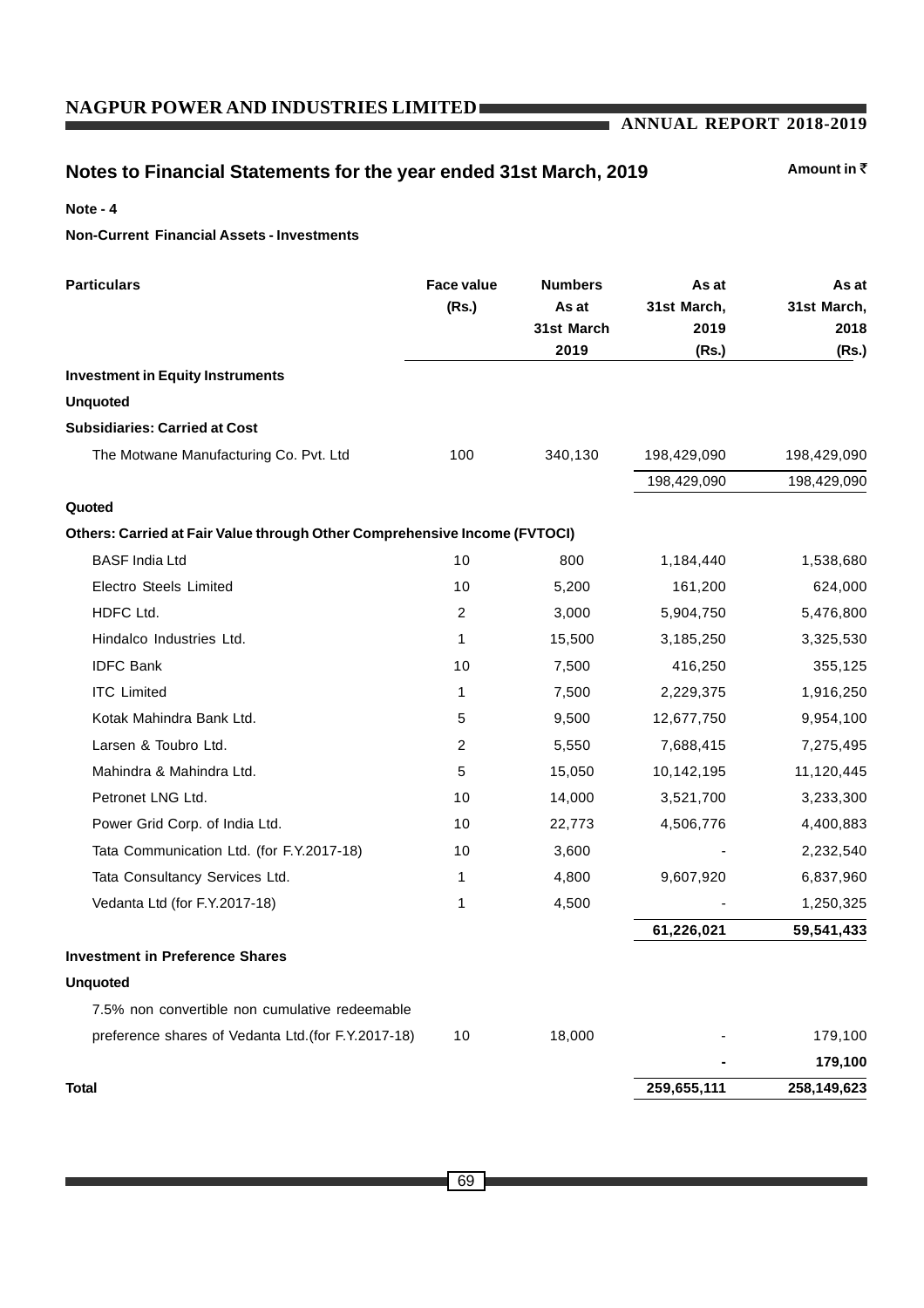# **Notes to Financial Statements for the year ended 31st March, 2019 <b>Amount in ₹**

**ANNUAL REPORT 2018-2019** 

**Note - 4**

**Non-Current Financial Assets - Investments**

| <b>Particulars</b>                                                        | <b>Face value</b><br>(Rs.) | <b>Numbers</b><br>As at<br>31st March<br>2019 | As at<br>31st March,<br>2019<br>(Rs.) | As at<br>31st March,<br>2018<br>(Rs.) |
|---------------------------------------------------------------------------|----------------------------|-----------------------------------------------|---------------------------------------|---------------------------------------|
| <b>Investment in Equity Instruments</b>                                   |                            |                                               |                                       |                                       |
| <b>Unquoted</b>                                                           |                            |                                               |                                       |                                       |
| <b>Subsidiaries: Carried at Cost</b>                                      |                            |                                               |                                       |                                       |
| The Motwane Manufacturing Co. Pvt. Ltd                                    | 100                        | 340,130                                       | 198,429,090                           | 198,429,090                           |
|                                                                           |                            |                                               | 198,429,090                           | 198,429,090                           |
| Quoted                                                                    |                            |                                               |                                       |                                       |
| Others: Carried at Fair Value through Other Comprehensive Income (FVTOCI) |                            |                                               |                                       |                                       |
| <b>BASF India Ltd</b>                                                     | 10                         | 800                                           | 1,184,440                             | 1,538,680                             |
| <b>Electro Steels Limited</b>                                             | 10                         | 5,200                                         | 161,200                               | 624,000                               |
| HDFC Ltd.                                                                 | 2                          | 3,000                                         | 5,904,750                             | 5,476,800                             |
| Hindalco Industries Ltd.                                                  | 1                          | 15,500                                        | 3,185,250                             | 3,325,530                             |
| <b>IDFC Bank</b>                                                          | 10                         | 7,500                                         | 416,250                               | 355,125                               |
| <b>ITC</b> Limited                                                        | 1                          | 7,500                                         | 2,229,375                             | 1,916,250                             |
| Kotak Mahindra Bank Ltd.                                                  | 5                          | 9,500                                         | 12,677,750                            | 9,954,100                             |
| Larsen & Toubro Ltd.                                                      | 2                          | 5,550                                         | 7,688,415                             | 7,275,495                             |
| Mahindra & Mahindra Ltd.                                                  | 5                          | 15,050                                        | 10,142,195                            | 11,120,445                            |
| Petronet LNG Ltd.                                                         | 10                         | 14,000                                        | 3,521,700                             | 3,233,300                             |
| Power Grid Corp. of India Ltd.                                            | 10                         | 22,773                                        | 4,506,776                             | 4,400,883                             |
| Tata Communication Ltd. (for F.Y.2017-18)                                 | 10                         | 3,600                                         |                                       | 2,232,540                             |
| Tata Consultancy Services Ltd.                                            | 1                          | 4,800                                         | 9,607,920                             | 6,837,960                             |
| Vedanta Ltd (for F.Y.2017-18)                                             | 1                          | 4,500                                         |                                       | 1,250,325                             |
|                                                                           |                            |                                               | 61,226,021                            | 59,541,433                            |
| <b>Investment in Preference Shares</b>                                    |                            |                                               |                                       |                                       |
| <b>Unquoted</b>                                                           |                            |                                               |                                       |                                       |
| 7.5% non convertible non cumulative redeemable                            |                            |                                               |                                       |                                       |
| preference shares of Vedanta Ltd. (for F.Y.2017-18)                       | 10                         | 18,000                                        |                                       | 179,100                               |
|                                                                           |                            |                                               |                                       | 179,100                               |
| <b>Total</b>                                                              |                            |                                               | 259,655,111                           | 258,149,623                           |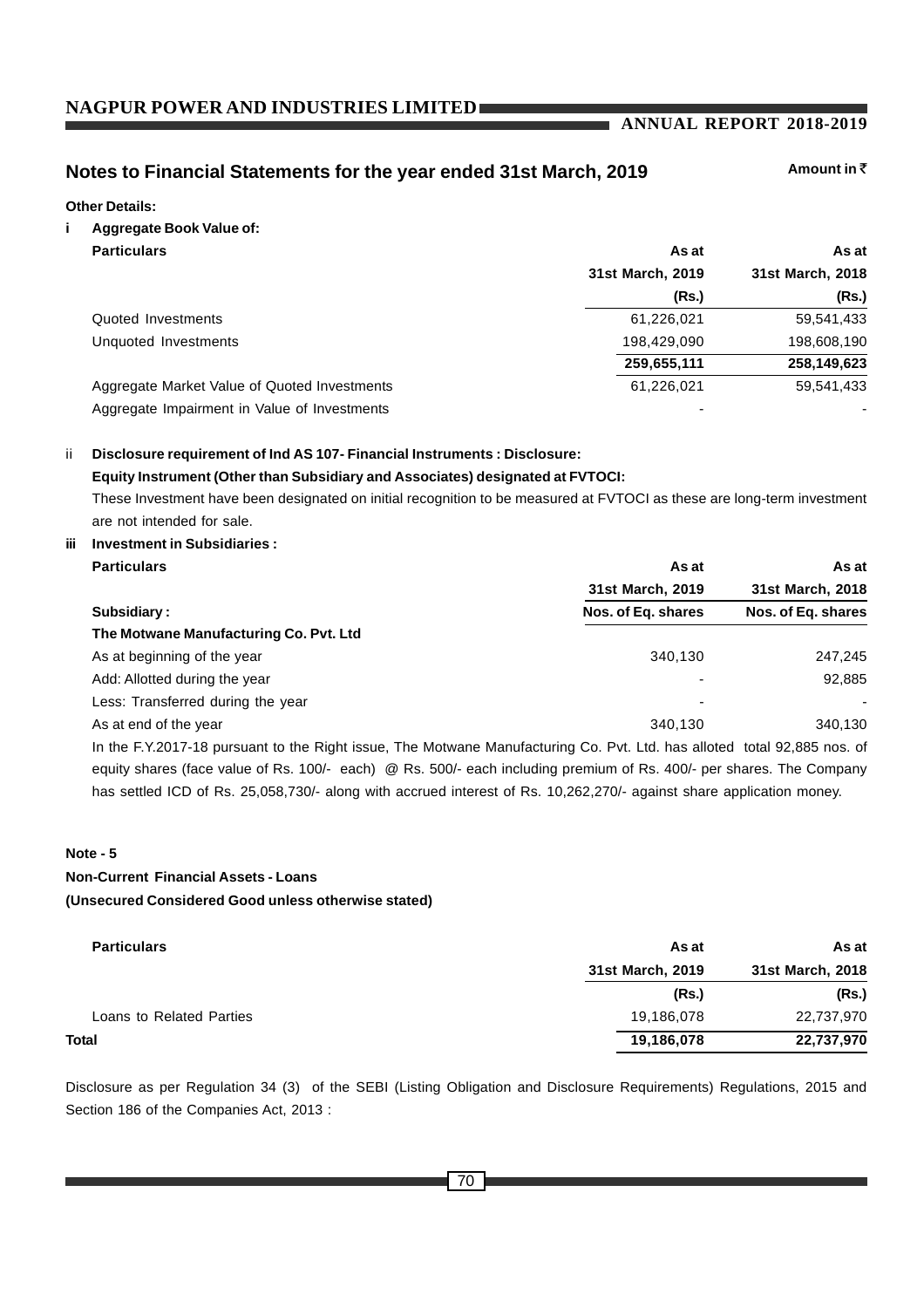# 70

# **NAGPUR POWER AND INDUSTRIES LIMITED**

# **Notes to Financial Statements for the year ended 31st March, 2019 Amount in ₹**

# **Other Details:**

**i Aggregate Book Value of:**

| <b>Particulars</b>                                     | As at            | As at            |
|--------------------------------------------------------|------------------|------------------|
|                                                        | 31st March, 2019 | 31st March, 2018 |
|                                                        | (Rs.)            | (Rs.)            |
| Quoted Investments                                     | 61,226,021       | 59,541,433       |
| Unquoted Investments                                   | 198.429.090      | 198,608,190      |
|                                                        | 259,655,111      | 258,149,623      |
| Aggregate Market Value of Quoted Investments           | 61,226,021       | 59,541,433       |
| A serves sets less since such in Malue, of Investments |                  |                  |

Aggregate Impairment in Value of Investments

# ii **Disclosure requirement of Ind AS 107- Financial Instruments : Disclosure:**

# **Equity Instrument (Other than Subsidiary and Associates) designated at FVTOCI:**

These Investment have been designated on initial recognition to be measured at FVTOCI as these are long-term investment are not intended for sale.

# **iii Investment in Subsidiaries :**

| <b>Particulars</b>                                                                                                       | As at              | As at              |
|--------------------------------------------------------------------------------------------------------------------------|--------------------|--------------------|
|                                                                                                                          | 31st March, 2019   | 31st March, 2018   |
| Subsidiary:                                                                                                              | Nos. of Eq. shares | Nos. of Eq. shares |
| The Motwane Manufacturing Co. Pvt. Ltd                                                                                   |                    |                    |
| As at beginning of the year                                                                                              | 340.130            | 247.245            |
| Add: Allotted during the year                                                                                            |                    | 92,885             |
| Less: Transferred during the year                                                                                        |                    |                    |
| As at end of the year                                                                                                    | 340.130            | 340.130            |
| In the F.Y.2017-18 pursuant to the Right issue, The Motwane Manufacturing Co. Pvt. Ltd. has alloted total 92,885 nos. of |                    |                    |

equity shares (face value of Rs. 100/- each) @ Rs. 500/- each including premium of Rs. 400/- per shares. The Company has settled ICD of Rs. 25,058,730/- along with accrued interest of Rs. 10,262,270/- against share application money.

# **Note - 5**

# **Non-Current Financial Assets - Loans**

# **(Unsecured Considered Good unless otherwise stated)**

| <b>Particulars</b>       | As at            | As at            |
|--------------------------|------------------|------------------|
|                          | 31st March, 2019 | 31st March, 2018 |
|                          | (Rs.)            | (Rs.)            |
| Loans to Related Parties | 19,186,078       | 22,737,970       |
| <b>Total</b>             | 19,186,078       | 22,737,970       |

Disclosure as per Regulation 34 (3) of the SEBI (Listing Obligation and Disclosure Requirements) Regulations, 2015 and Section 186 of the Companies Act, 2013 :

**ANNUAL REPORT 2018-2019**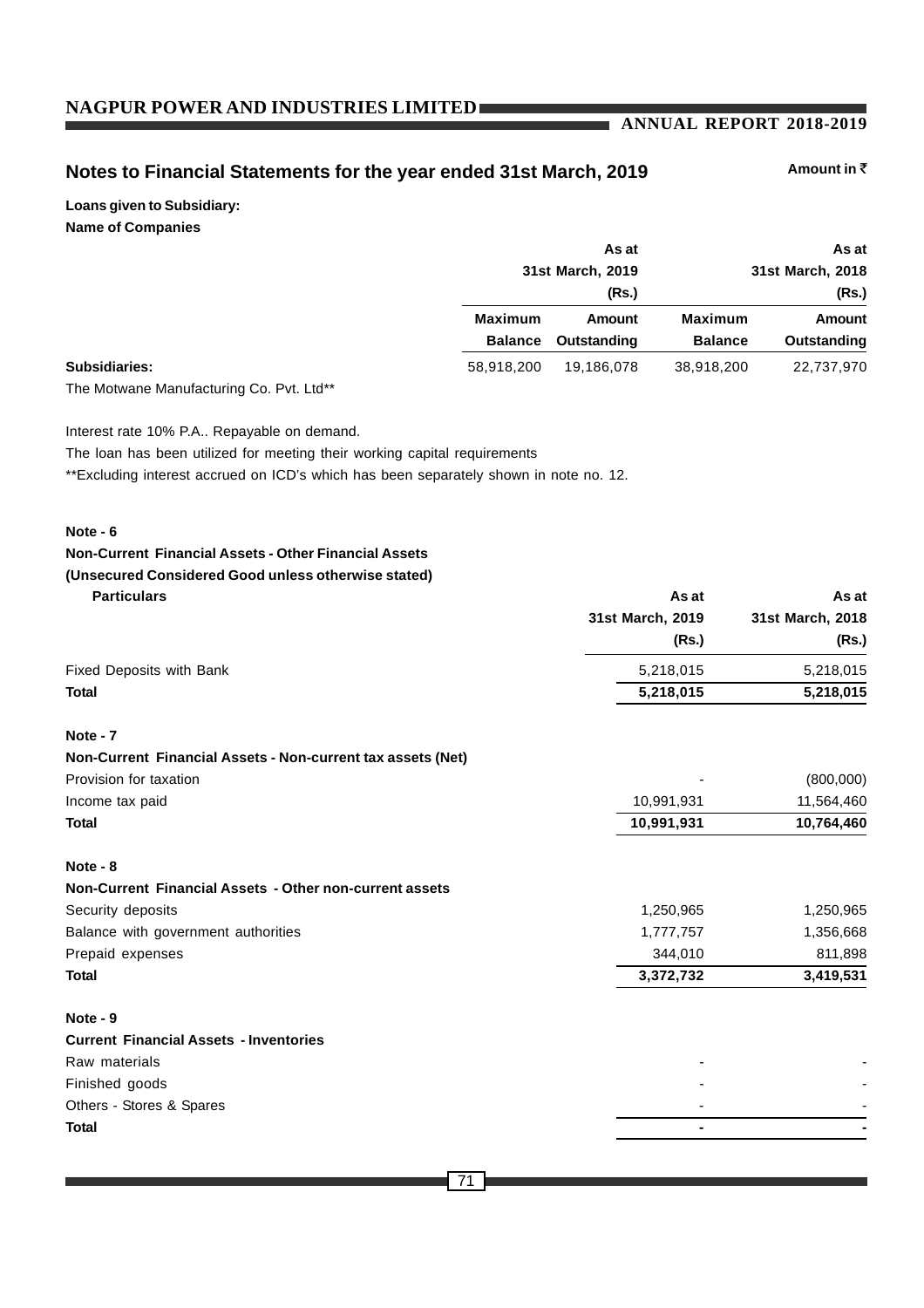## The Motwane Manufacturing Co. Pvt. Ltd\*\*

Interest rate 10% P.A.. Repayable on demand.

**Loans given to Subsidiary: Name of Companies**

The loan has been utilized for meeting their working capital requirements

\*\*Excluding interest accrued on ICD's which has been separately shown in note no. 12.

## **Note - 6**

## **Non-Current Financial Assets - Other Financial Assets**

## **(Unsecured Considered Good unless otherwise stated)**

| Terrorgan called a considered opper annoys omici misc stated) |                  |                  |
|---------------------------------------------------------------|------------------|------------------|
| <b>Particulars</b>                                            | As at            | As at            |
|                                                               | 31st March, 2019 | 31st March, 2018 |
|                                                               | (Rs.)            | (Rs.)            |
| Fixed Deposits with Bank                                      | 5,218,015        | 5,218,015        |
| <b>Total</b>                                                  | 5,218,015        | 5,218,015        |
| Note - 7                                                      |                  |                  |
| Non-Current Financial Assets - Non-current tax assets (Net)   |                  |                  |
| Provision for taxation                                        |                  | (800,000)        |
| Income tax paid                                               | 10,991,931       | 11,564,460       |
| <b>Total</b>                                                  | 10,991,931       | 10,764,460       |
| Note - 8                                                      |                  |                  |
| Non-Current Financial Assets - Other non-current assets       |                  |                  |
| Security deposits                                             | 1,250,965        | 1,250,965        |
| Balance with government authorities                           | 1,777,757        | 1,356,668        |
| Prepaid expenses                                              | 344,010          | 811,898          |
| <b>Total</b>                                                  | 3,372,732        | 3,419,531        |
| Note - 9                                                      |                  |                  |
| <b>Current Financial Assets - Inventories</b>                 |                  |                  |
| Raw materials                                                 |                  |                  |
| Finished goods                                                |                  |                  |
| Others - Stores & Spares                                      |                  |                  |
| <b>Total</b>                                                  |                  |                  |
|                                                               |                  |                  |

**Subsidiaries:** 58,918,200 19,186,078 38,918,200 22,737,970

71

### **NAGPUR POWER AND INDUSTRIES LIMITED ANNUAL REPORT 2018-2019**

# **Notes to Financial Statements for the year ended 31st March, 2019 Amount in ₹**

As at **As at** As at **As at** 

**(Rs.) (Rs.)**

**31st March, 2019 31st March, 2018**

**Maximum Amount Maximum Amount Balance Outstanding Balance Outstanding**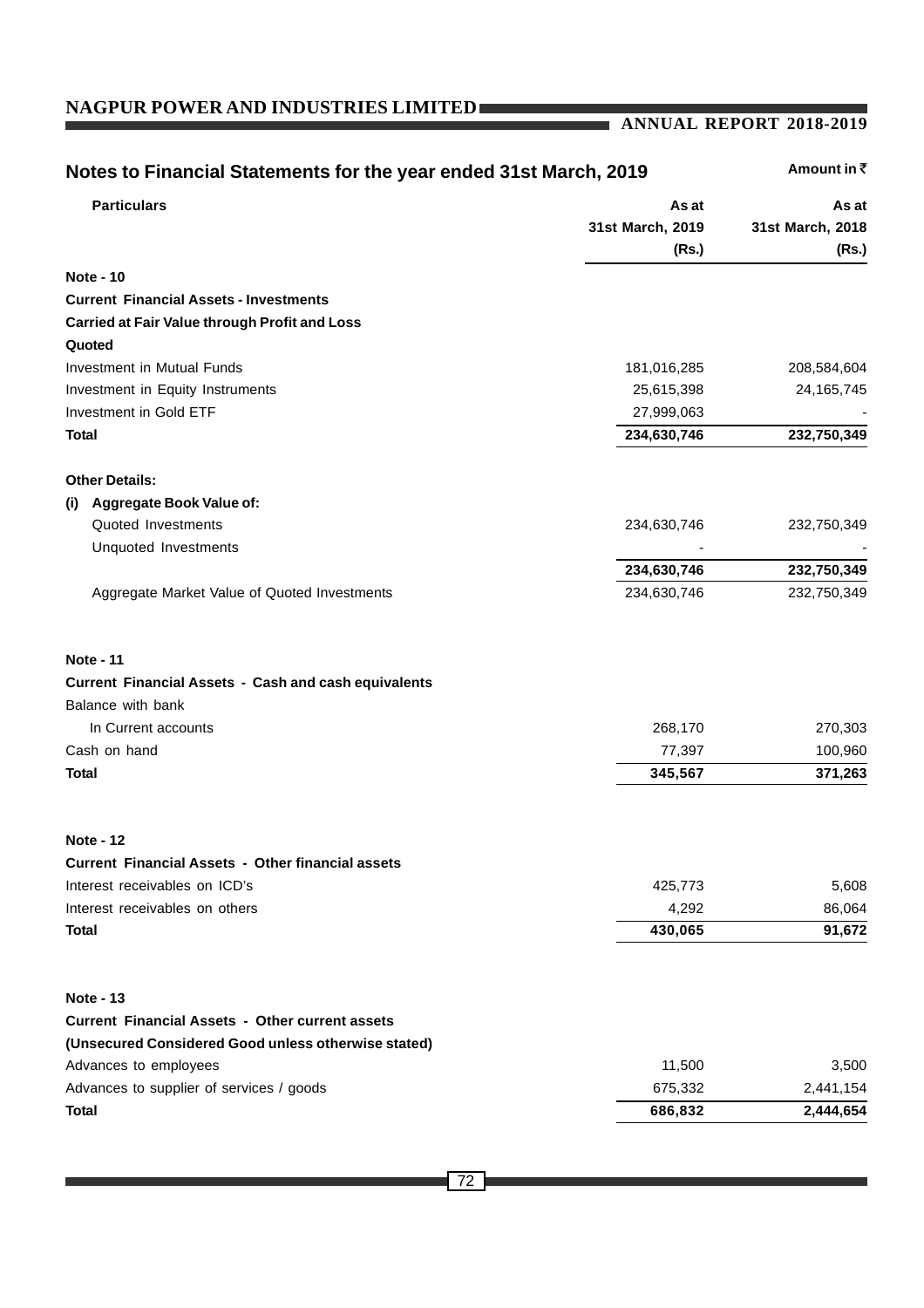## **ANNUAL REPORT 2018-2019**

| Notes to Financial Statements for the year ended 31st March, 2019                             |                           | Amount in ₹               |
|-----------------------------------------------------------------------------------------------|---------------------------|---------------------------|
| <b>Particulars</b>                                                                            | As at<br>31st March, 2019 | As at<br>31st March, 2018 |
|                                                                                               | (Rs.)                     | (Rs.)                     |
| <b>Note - 10</b>                                                                              |                           |                           |
| <b>Current Financial Assets - Investments</b>                                                 |                           |                           |
| <b>Carried at Fair Value through Profit and Loss</b>                                          |                           |                           |
| Quoted                                                                                        |                           |                           |
| Investment in Mutual Funds                                                                    | 181,016,285               | 208,584,604               |
| Investment in Equity Instruments                                                              | 25,615,398                | 24, 165, 745              |
| Investment in Gold ETF                                                                        | 27,999,063                |                           |
| <b>Total</b>                                                                                  | 234,630,746               | 232,750,349               |
| <b>Other Details:</b>                                                                         |                           |                           |
| <b>Aggregate Book Value of:</b><br>(i)                                                        |                           |                           |
| Quoted Investments                                                                            | 234,630,746               | 232,750,349               |
| <b>Unquoted Investments</b>                                                                   |                           |                           |
|                                                                                               | 234,630,746               | 232,750,349               |
| Aggregate Market Value of Quoted Investments                                                  | 234,630,746               | 232,750,349               |
| <b>Note - 11</b><br>Current Financial Assets - Cash and cash equivalents<br>Balance with bank |                           |                           |
| In Current accounts                                                                           | 268,170                   | 270,303                   |
| Cash on hand                                                                                  | 77,397                    | 100,960                   |
| <b>Total</b>                                                                                  | 345,567                   | 371,263                   |
| <b>Note - 12</b>                                                                              |                           |                           |
| Current Financial Assets - Other financial assets                                             |                           |                           |
| Interest receivables on ICD's                                                                 | 425,773                   | 5,608                     |
| Interest receivables on others                                                                | 4,292                     | 86,064                    |
| <b>Total</b>                                                                                  | 430,065                   | 91,672                    |
| <b>Note - 13</b>                                                                              |                           |                           |
| <b>Current Financial Assets - Other current assets</b>                                        |                           |                           |
| (Unsecured Considered Good unless otherwise stated)                                           |                           |                           |
| Advances to employees                                                                         | 11,500                    | 3,500                     |
| Advances to supplier of services / goods                                                      | 675,332                   | 2,441,154                 |
| <b>Total</b>                                                                                  | 686,832                   | 2,444,654                 |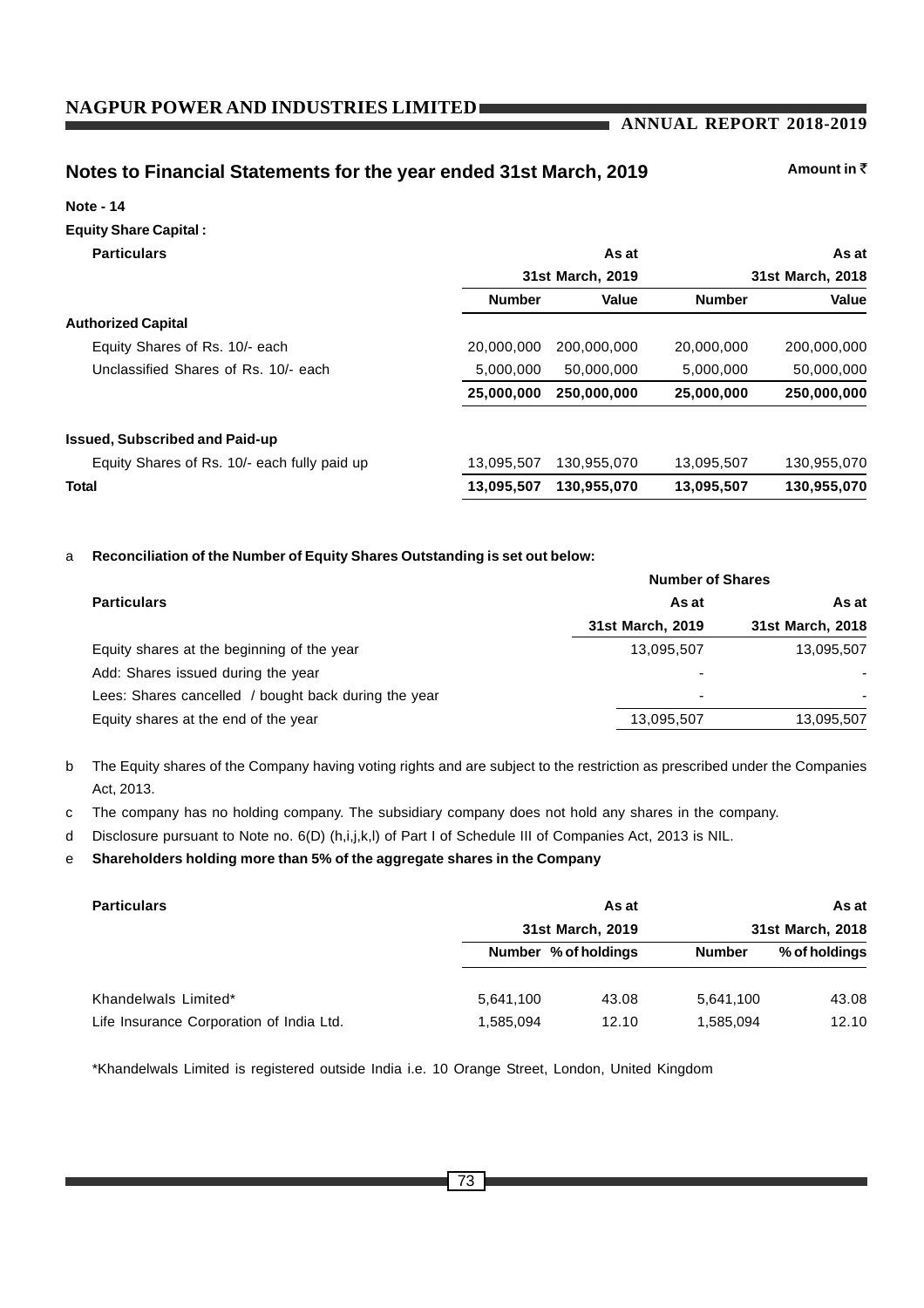a **Reconciliation of the Number of Equity Shares Outstanding is set out below:**

|                  | As at            |
|------------------|------------------|
| 31st March, 2019 | 31st March, 2018 |
| 13,095,507       | 13,095,507       |
|                  |                  |
|                  |                  |
| 13,095,507       | 13,095,507       |
|                  | As at            |

Particulars As at Asset As at Asset As at Asset As at Asset As at Asset As at Asset As at Asset As at Asset As

Equity Shares of Rs. 10/- each 20,000,000 200,000,000 20,000,000 200,000,000 Unclassified Shares of Rs. 10/- each 5,000,000 50,000,000 5,000,000 50,000,000

Equity Shares of Rs. 10/- each fully paid up 13,095,507 130,955,070 13,095,507 130,955,070 **Total 13,095,507 130,955,070 13,095,507 130,955,070**

b The Equity shares of the Company having voting rights and are subject to the restriction as prescribed under the Companies Act, 2013.

c The company has no holding company. The subsidiary company does not hold any shares in the company.

d Disclosure pursuant to Note no. 6(D) (h,i,j,k,l) of Part I of Schedule III of Companies Act, 2013 is NIL.

e **Shareholders holding more than 5% of the aggregate shares in the Company**

| <b>Particulars</b>                       |           | As at                |                  | As at         |  |
|------------------------------------------|-----------|----------------------|------------------|---------------|--|
|                                          |           | 31st March, 2019     | 31st March, 2018 |               |  |
|                                          |           | Number % of holdings | <b>Number</b>    | % of holdings |  |
| Khandelwals Limited*                     | 5,641,100 | 43.08                | 5,641,100        | 43.08         |  |
| Life Insurance Corporation of India Ltd. | 1,585,094 | 12.10                | 1,585,094        | 12.10         |  |

\*Khandelwals Limited is registered outside India i.e. 10 Orange Street, London, United Kingdom

## 73

# **Notes to Financial Statements for the year ended 31st March, 2019 Amount in ₹**

## **NAGPUR POWER AND INDUSTRIES LIMITED**

**Note - 14**

**Equity Share Capital :**

**Authorized Capital**

**Issued, Subscribed and Paid-up**

**ANNUAL REPORT 2018-2019**

**31st March, 2019 31st March, 2018 Number Value Number Value**

**25,000,000 250,000,000 25,000,000 250,000,000**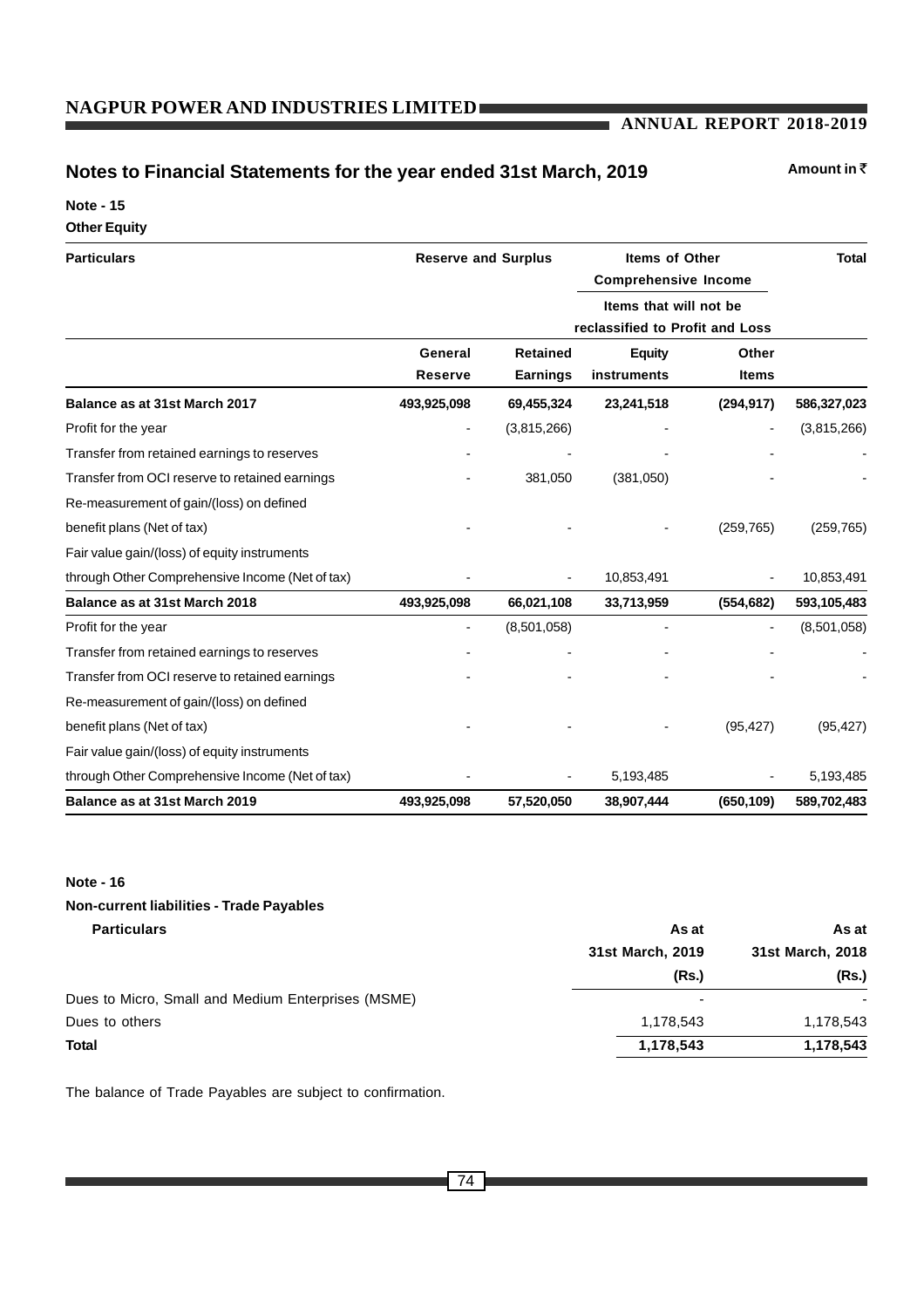## **Notes to Financial Statements for the year ended 31st March, 2019 <b>Amount in ₹**

**ANNUAL REPORT 2018-2019** 

## **Note - 15 Other Equity**

| <b>Particulars</b>                              | <b>Reserve and Surplus</b> |                 | Items of Other                  |              | <b>Total</b> |
|-------------------------------------------------|----------------------------|-----------------|---------------------------------|--------------|--------------|
|                                                 |                            |                 | <b>Comprehensive Income</b>     |              |              |
|                                                 |                            |                 | Items that will not be          |              |              |
|                                                 |                            |                 | reclassified to Profit and Loss |              |              |
|                                                 | General                    | <b>Retained</b> | <b>Equity</b>                   | Other        |              |
|                                                 | <b>Reserve</b>             | <b>Earnings</b> | instruments                     | <b>Items</b> |              |
| Balance as at 31st March 2017                   | 493,925,098                | 69,455,324      | 23,241,518                      | (294, 917)   | 586,327,023  |
| Profit for the year                             |                            | (3,815,266)     |                                 |              | (3,815,266)  |
| Transfer from retained earnings to reserves     |                            |                 |                                 |              |              |
| Transfer from OCI reserve to retained earnings  |                            | 381,050         | (381,050)                       |              |              |
| Re-measurement of gain/(loss) on defined        |                            |                 |                                 |              |              |
| benefit plans (Net of tax)                      |                            |                 |                                 | (259, 765)   | (259, 765)   |
| Fair value gain/(loss) of equity instruments    |                            |                 |                                 |              |              |
| through Other Comprehensive Income (Net of tax) |                            |                 | 10,853,491                      |              | 10,853,491   |
| Balance as at 31st March 2018                   | 493,925,098                | 66,021,108      | 33,713,959                      | (554, 682)   | 593,105,483  |
| Profit for the year                             |                            | (8,501,058)     |                                 |              | (8,501,058)  |
| Transfer from retained earnings to reserves     |                            |                 |                                 |              |              |
| Transfer from OCI reserve to retained earnings  |                            |                 |                                 |              |              |
| Re-measurement of gain/(loss) on defined        |                            |                 |                                 |              |              |
| benefit plans (Net of tax)                      |                            |                 |                                 | (95, 427)    | (95, 427)    |
| Fair value gain/(loss) of equity instruments    |                            |                 |                                 |              |              |
| through Other Comprehensive Income (Net of tax) |                            |                 | 5,193,485                       |              | 5,193,485    |
| Balance as at 31st March 2019                   | 493,925,098                | 57,520,050      | 38,907,444                      | (650, 109)   | 589,702,483  |

# **Note - 16 Non-current liabilities - Trade Payables**

| <b>Particulars</b>                                 | As at            | As at            |
|----------------------------------------------------|------------------|------------------|
|                                                    | 31st March, 2019 | 31st March, 2018 |
|                                                    | (Rs.)            | (Rs.)            |
| Dues to Micro, Small and Medium Enterprises (MSME) | -                | ۰                |
| Dues to others                                     | 1,178,543        | 1,178,543        |
| <b>Total</b>                                       | 1,178,543        | 1,178,543        |
|                                                    |                  |                  |

The balance of Trade Payables are subject to confirmation.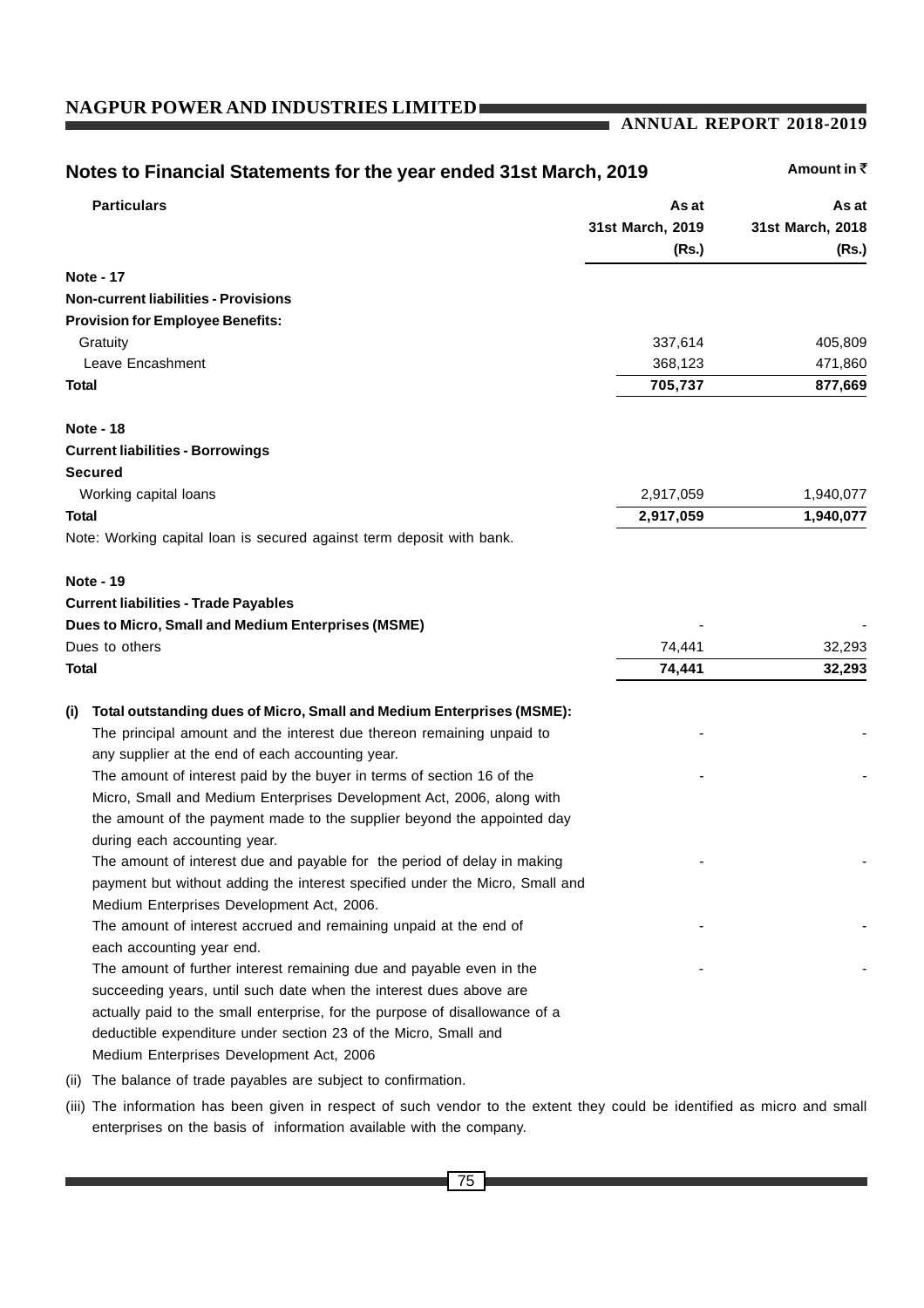## **ANNUAL REPORT 2018-2019**

| Notes to Financial Statements for the year ended 31st March, 2019                                        | Amount in ₹               |                           |
|----------------------------------------------------------------------------------------------------------|---------------------------|---------------------------|
| <b>Particulars</b>                                                                                       | As at<br>31st March, 2019 | As at<br>31st March, 2018 |
|                                                                                                          | (Rs.)                     | (Rs.)                     |
| <b>Note - 17</b>                                                                                         |                           |                           |
| <b>Non-current liabilities - Provisions</b>                                                              |                           |                           |
| <b>Provision for Employee Benefits:</b>                                                                  |                           |                           |
| Gratuity                                                                                                 | 337,614                   | 405,809                   |
| Leave Encashment                                                                                         | 368,123                   | 471,860                   |
| Total                                                                                                    | 705,737                   | 877,669                   |
| <b>Note - 18</b>                                                                                         |                           |                           |
| <b>Current liabilities - Borrowings</b>                                                                  |                           |                           |
| <b>Secured</b>                                                                                           |                           |                           |
| Working capital loans                                                                                    | 2,917,059                 | 1,940,077                 |
| Total                                                                                                    | 2,917,059                 | 1,940,077                 |
| Note: Working capital loan is secured against term deposit with bank.                                    |                           |                           |
| <b>Note - 19</b>                                                                                         |                           |                           |
| <b>Current liabilities - Trade Payables</b><br>Dues to Micro, Small and Medium Enterprises (MSME)        |                           |                           |
| Dues to others                                                                                           | 74,441                    | 32,293                    |
| Total                                                                                                    | 74,441                    | 32,293                    |
|                                                                                                          |                           |                           |
| Total outstanding dues of Micro, Small and Medium Enterprises (MSME):<br>(i)                             |                           |                           |
| The principal amount and the interest due thereon remaining unpaid to                                    |                           |                           |
| any supplier at the end of each accounting year.                                                         |                           |                           |
| The amount of interest paid by the buyer in terms of section 16 of the                                   |                           |                           |
| Micro, Small and Medium Enterprises Development Act, 2006, along with                                    |                           |                           |
| the amount of the payment made to the supplier beyond the appointed day                                  |                           |                           |
| during each accounting year.<br>The amount of interest due and payable for the period of delay in making |                           |                           |
| payment but without adding the interest specified under the Micro, Small and                             |                           |                           |
| Medium Enterprises Development Act, 2006.                                                                |                           |                           |
| The amount of interest accrued and remaining unpaid at the end of                                        |                           |                           |
| each accounting year end.                                                                                |                           |                           |
| The amount of further interest remaining due and payable even in the                                     |                           |                           |
| succeeding years, until such date when the interest dues above are                                       |                           |                           |
| actually paid to the small enterprise, for the purpose of disallowance of a                              |                           |                           |
| deductible expenditure under section 23 of the Micro, Small and                                          |                           |                           |
| Medium Enterprises Development Act, 2006                                                                 |                           |                           |
|                                                                                                          |                           |                           |

- (ii) The balance of trade payables are subject to confirmation.
- (iii) The information has been given in respect of such vendor to the extent they could be identified as micro and small enterprises on the basis of information available with the company.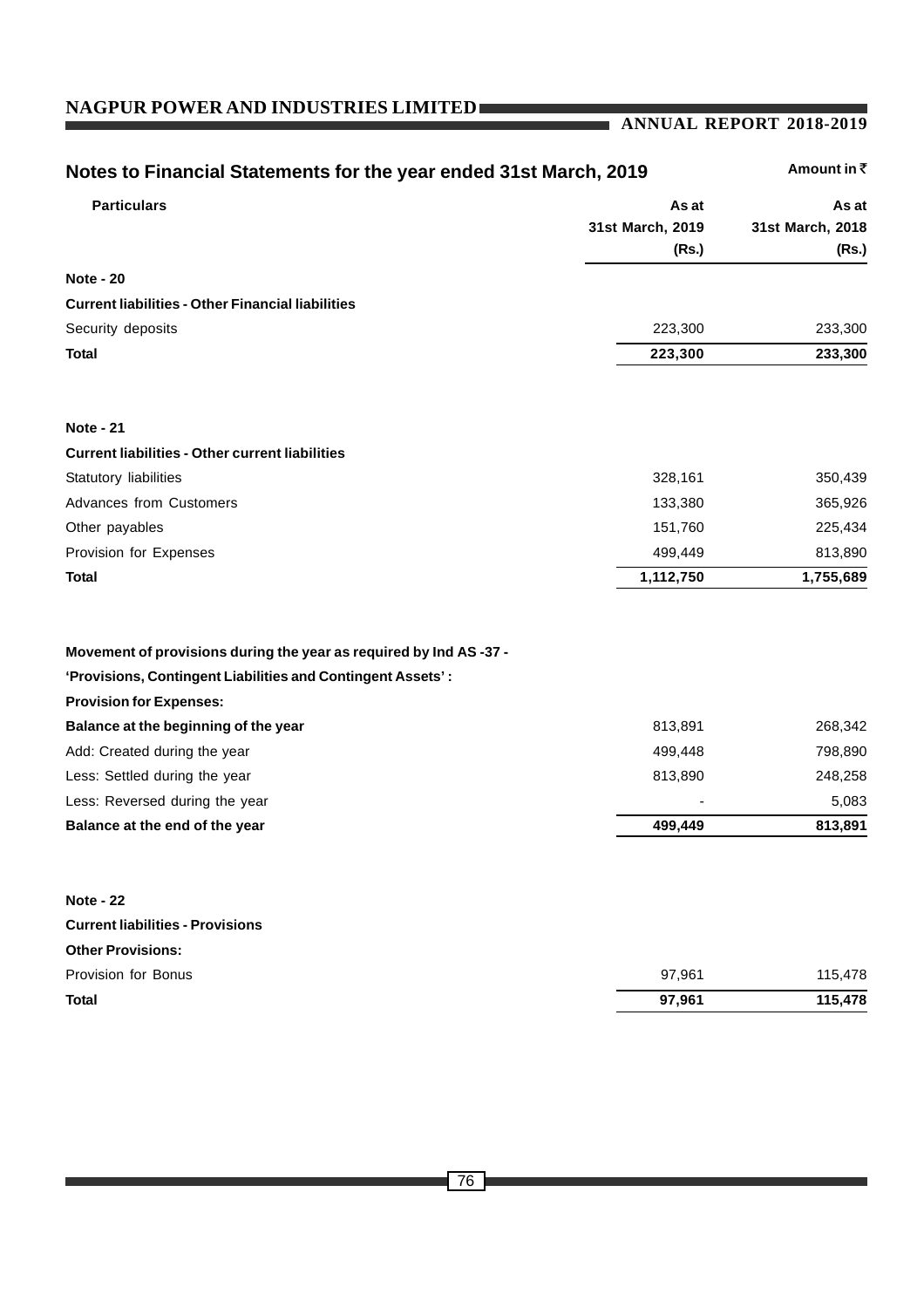## **ANNUAL REPORT 2018-2019**

| Notes to Financial Statements for the year ended 31st March, 2019                                                                | Amount in ₹      |                  |
|----------------------------------------------------------------------------------------------------------------------------------|------------------|------------------|
| <b>Particulars</b>                                                                                                               | As at            | As at            |
|                                                                                                                                  | 31st March, 2019 | 31st March, 2018 |
|                                                                                                                                  | (Rs.)            | (Rs.)            |
| <b>Note - 20</b>                                                                                                                 |                  |                  |
| <b>Current liabilities - Other Financial liabilities</b>                                                                         |                  |                  |
| Security deposits                                                                                                                | 223,300          | 233,300          |
| <b>Total</b>                                                                                                                     | 223,300          | 233,300          |
| <b>Note - 21</b>                                                                                                                 |                  |                  |
| <b>Current liabilities - Other current liabilities</b>                                                                           |                  |                  |
| Statutory liabilities                                                                                                            | 328,161          | 350,439          |
| Advances from Customers                                                                                                          | 133,380          | 365,926          |
| Other payables<br>Provision for Expenses<br><b>Total</b>                                                                         | 151,760          | 225,434          |
|                                                                                                                                  | 499,449          | 813,890          |
|                                                                                                                                  | 1,112,750        | 1,755,689        |
| Movement of provisions during the year as required by Ind AS-37 -<br>'Provisions, Contingent Liabilities and Contingent Assets': |                  |                  |
| <b>Provision for Expenses:</b>                                                                                                   |                  |                  |
| Balance at the beginning of the year                                                                                             | 813,891          | 268,342          |
| Add: Created during the year                                                                                                     | 499,448          | 798,890          |
| Less: Settled during the year                                                                                                    | 813,890          | 248,258          |
| Less: Reversed during the year                                                                                                   |                  | 5,083            |
| Balance at the end of the year                                                                                                   | 499,449          | 813,891          |
|                                                                                                                                  |                  |                  |
| <b>Note - 22</b>                                                                                                                 |                  |                  |
| <b>Current liabilities - Provisions</b>                                                                                          |                  |                  |
| <b>Other Provisions:</b>                                                                                                         |                  |                  |
| Provision for Bonus                                                                                                              | 97,961           | 115,478          |
| <b>Total</b>                                                                                                                     | 97,961           | 115,478          |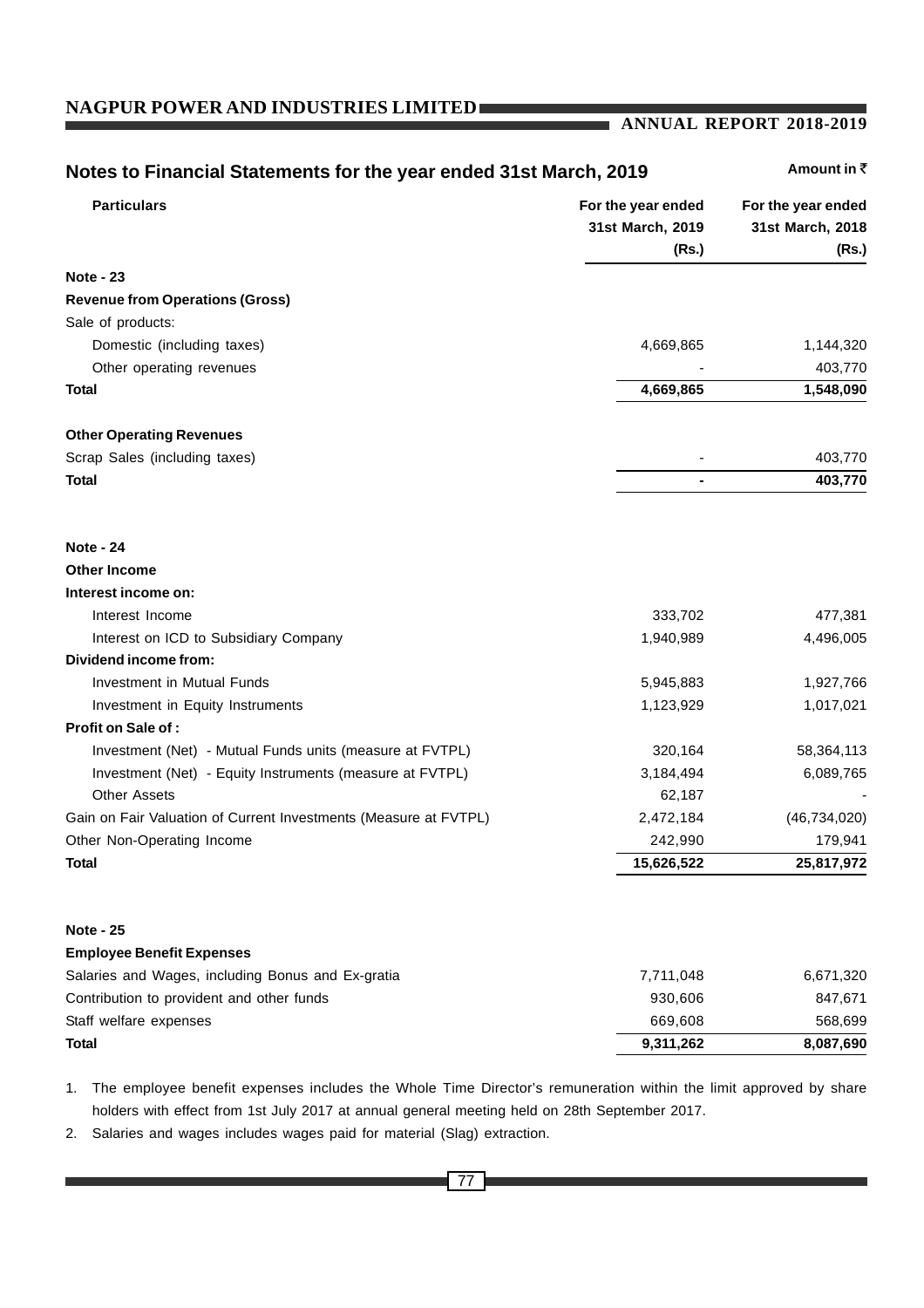## **ANNUAL REPORT 2018-2019**

| Notes to Financial Statements for the year ended 31st March, 2019 |                                        | Amount in ₹                            |
|-------------------------------------------------------------------|----------------------------------------|----------------------------------------|
| <b>Particulars</b>                                                | For the year ended<br>31st March, 2019 | For the year ended<br>31st March, 2018 |
|                                                                   | (Rs.)                                  | (Rs.)                                  |
| <b>Note - 23</b>                                                  |                                        |                                        |
| <b>Revenue from Operations (Gross)</b><br>Sale of products:       |                                        |                                        |
|                                                                   |                                        |                                        |
| Domestic (including taxes)                                        | 4,669,865                              | 1,144,320                              |
| Other operating revenues                                          |                                        | 403,770                                |
| <b>Total</b>                                                      | 4,669,865                              | 1,548,090                              |
| <b>Other Operating Revenues</b>                                   |                                        |                                        |
| Scrap Sales (including taxes)                                     |                                        | 403,770                                |
| <b>Total</b>                                                      |                                        | 403,770                                |
| <b>Note - 24</b>                                                  |                                        |                                        |
| <b>Other Income</b>                                               |                                        |                                        |
| Interest income on:                                               |                                        |                                        |
| Interest Income                                                   | 333,702                                | 477,381                                |
| Interest on ICD to Subsidiary Company                             | 1,940,989                              | 4,496,005                              |
| Dividend income from:                                             |                                        |                                        |
| Investment in Mutual Funds                                        | 5,945,883                              | 1,927,766                              |
| Investment in Equity Instruments                                  | 1,123,929                              | 1,017,021                              |
| Profit on Sale of :                                               |                                        |                                        |
| Investment (Net) - Mutual Funds units (measure at FVTPL)          | 320,164                                | 58,364,113                             |
| Investment (Net) - Equity Instruments (measure at FVTPL)          | 3,184,494                              | 6,089,765                              |
| <b>Other Assets</b>                                               | 62,187                                 |                                        |
| Gain on Fair Valuation of Current Investments (Measure at FVTPL)  | 2,472,184                              | (46, 734, 020)                         |
| Other Non-Operating Income                                        | 242,990                                | 179,941                                |
| <b>Total</b>                                                      | 15,626,522                             | 25,817,972                             |
| <b>Note - 25</b>                                                  |                                        |                                        |
| <b>Employee Benefit Expenses</b>                                  |                                        |                                        |
| Salaries and Wages, including Bonus and Ex-gratia                 | 7,711,048                              | 6,671,320                              |
| Contribution to provident and other funds                         | 930,606                                | 847,671                                |
| Staff welfare expenses                                            | 669,608                                | 568,699                                |
| <b>Total</b>                                                      | 9,311,262                              | 8,087,690                              |
|                                                                   |                                        |                                        |

1. The employee benefit expenses includes the Whole Time Director's remuneration within the limit approved by share holders with effect from 1st July 2017 at annual general meeting held on 28th September 2017.

2. Salaries and wages includes wages paid for material (Slag) extraction.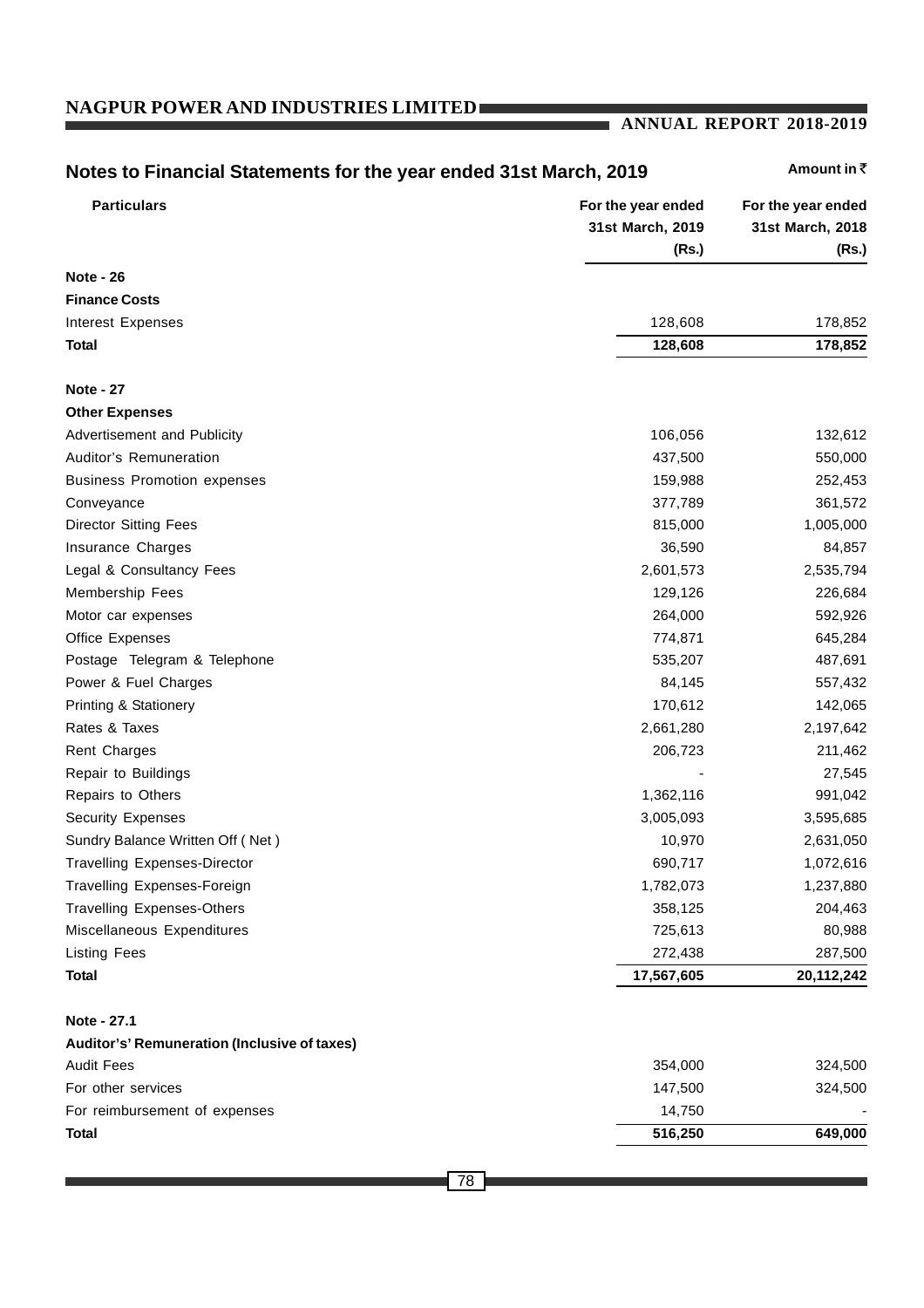## **ANNUAL REPORT 2018-2019**

| Notes to Financial Statements for the year ended 31st March, 2019 |                                        | Amount in $\bar{z}$                    |  |
|-------------------------------------------------------------------|----------------------------------------|----------------------------------------|--|
| <b>Particulars</b>                                                | For the year ended<br>31st March, 2019 | For the year ended<br>31st March, 2018 |  |
|                                                                   | (Rs.)                                  | (Rs.)                                  |  |
| <b>Note - 26</b>                                                  |                                        |                                        |  |
| <b>Finance Costs</b>                                              |                                        |                                        |  |
| Interest Expenses                                                 | 128,608                                | 178,852                                |  |
| <b>Total</b>                                                      | 128,608                                | 178,852                                |  |
| <b>Note - 27</b>                                                  |                                        |                                        |  |
| <b>Other Expenses</b>                                             |                                        |                                        |  |
| Advertisement and Publicity                                       | 106,056                                | 132,612                                |  |
| Auditor's Remuneration                                            | 437,500                                | 550,000                                |  |
| <b>Business Promotion expenses</b>                                | 159,988                                | 252,453                                |  |
| Conveyance                                                        | 377,789                                | 361,572                                |  |
| <b>Director Sitting Fees</b>                                      | 815,000                                | 1,005,000                              |  |
| Insurance Charges                                                 | 36,590                                 | 84,857                                 |  |
| Legal & Consultancy Fees                                          | 2,601,573                              | 2,535,794                              |  |
| Membership Fees                                                   | 129,126                                | 226,684                                |  |
| Motor car expenses                                                | 264,000                                | 592,926                                |  |
| <b>Office Expenses</b>                                            | 774,871                                | 645,284                                |  |
| Postage Telegram & Telephone                                      | 535,207                                | 487,691                                |  |
| Power & Fuel Charges                                              | 84,145                                 | 557,432                                |  |
| <b>Printing &amp; Stationery</b>                                  | 170,612                                | 142,065                                |  |
| Rates & Taxes                                                     | 2,661,280                              | 2,197,642                              |  |
| <b>Rent Charges</b>                                               | 206,723                                | 211,462                                |  |
| Repair to Buildings                                               |                                        | 27,545                                 |  |
| Repairs to Others                                                 | 1,362,116                              | 991,042                                |  |
| <b>Security Expenses</b>                                          | 3,005,093                              | 3,595,685                              |  |
| Sundry Balance Written Off (Net)                                  | 10,970                                 | 2,631,050                              |  |
| <b>Travelling Expenses-Director</b>                               | 690,717                                | 1,072,616                              |  |
| Travelling Expenses-Foreign                                       | 1,782,073                              | 1,237,880                              |  |
| <b>Travelling Expenses-Others</b>                                 | 358,125                                | 204,463                                |  |
| Miscellaneous Expenditures                                        | 725,613                                | 80,988                                 |  |
| <b>Listing Fees</b>                                               | 272,438                                | 287,500                                |  |
| <b>Total</b>                                                      | 17,567,605                             | 20,112,242                             |  |
| Note - 27.1                                                       |                                        |                                        |  |
| Auditor's' Remuneration (Inclusive of taxes)                      |                                        |                                        |  |
| <b>Audit Fees</b>                                                 | 354,000                                | 324,500                                |  |
| For other services                                                | 147,500                                | 324,500                                |  |
| For reimbursement of expenses                                     | 14,750                                 |                                        |  |
| <b>Total</b>                                                      | 516,250                                | 649,000                                |  |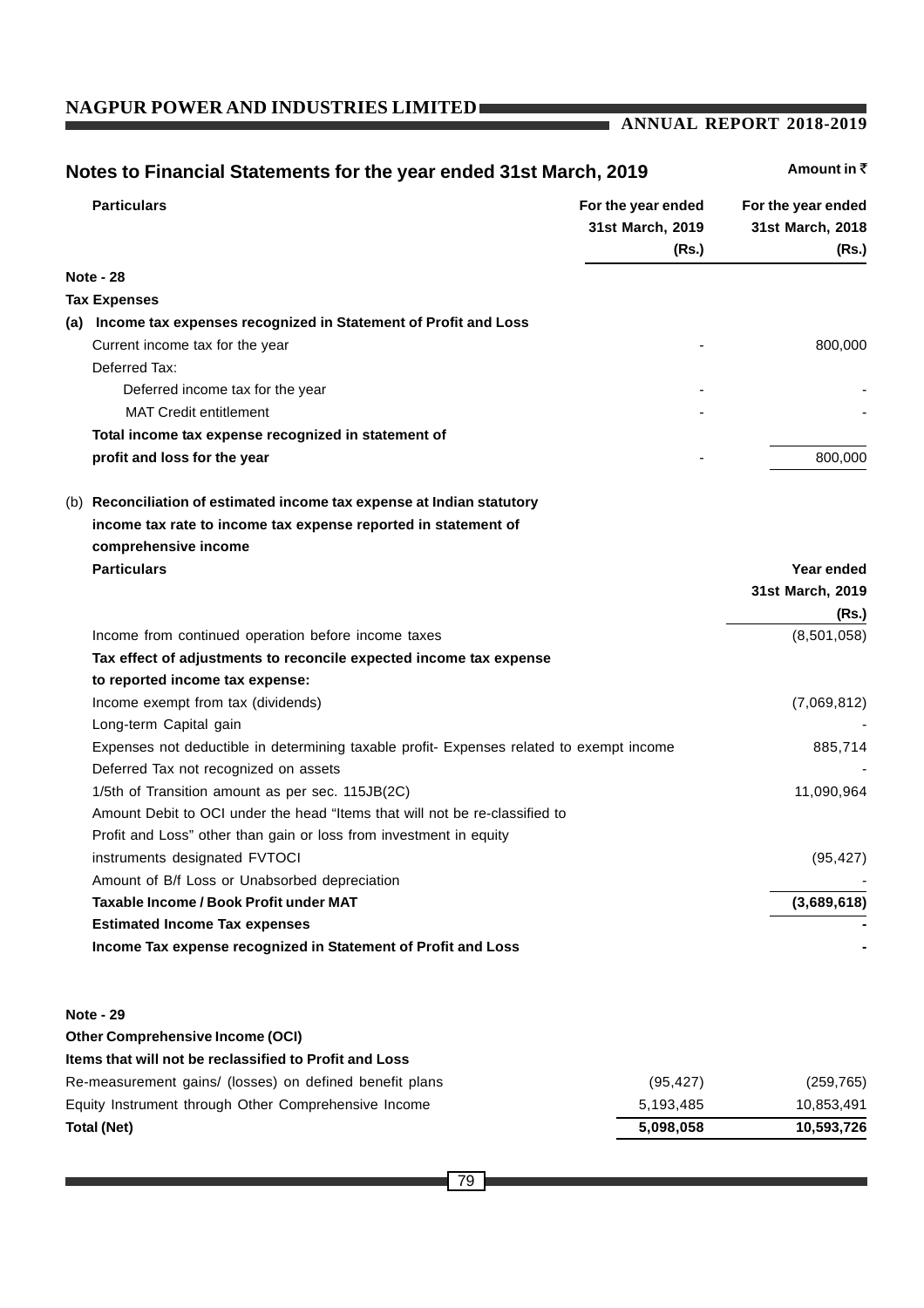## **ANNUAL REPORT 2018-2019**

| Notes to Financial Statements for the year ended 31st March, 2019                         |                                                 | Amount in ₹                                     |
|-------------------------------------------------------------------------------------------|-------------------------------------------------|-------------------------------------------------|
| <b>Particulars</b>                                                                        | For the year ended<br>31st March, 2019<br>(Rs.) | For the year ended<br>31st March, 2018<br>(Rs.) |
| <b>Note - 28</b>                                                                          |                                                 |                                                 |
| <b>Tax Expenses</b>                                                                       |                                                 |                                                 |
| (a) Income tax expenses recognized in Statement of Profit and Loss                        |                                                 |                                                 |
| Current income tax for the year                                                           |                                                 | 800,000                                         |
| Deferred Tax:                                                                             |                                                 |                                                 |
| Deferred income tax for the year                                                          |                                                 |                                                 |
| <b>MAT Credit entitlement</b>                                                             |                                                 |                                                 |
| Total income tax expense recognized in statement of                                       |                                                 |                                                 |
| profit and loss for the year                                                              |                                                 | 800,000                                         |
| (b) Reconciliation of estimated income tax expense at Indian statutory                    |                                                 |                                                 |
| income tax rate to income tax expense reported in statement of                            |                                                 |                                                 |
| comprehensive income                                                                      |                                                 |                                                 |
| <b>Particulars</b>                                                                        |                                                 | <b>Year ended</b>                               |
|                                                                                           |                                                 | 31st March, 2019                                |
|                                                                                           |                                                 | (Rs.)                                           |
| Income from continued operation before income taxes                                       |                                                 | (8,501,058)                                     |
| Tax effect of adjustments to reconcile expected income tax expense                        |                                                 |                                                 |
| to reported income tax expense:                                                           |                                                 |                                                 |
| Income exempt from tax (dividends)                                                        |                                                 | (7,069,812)                                     |
| Long-term Capital gain                                                                    |                                                 |                                                 |
| Expenses not deductible in determining taxable profit- Expenses related to exempt income  |                                                 | 885,714                                         |
| Deferred Tax not recognized on assets<br>1/5th of Transition amount as per sec. 115JB(2C) |                                                 | 11,090,964                                      |
| Amount Debit to OCI under the head "Items that will not be re-classified to               |                                                 |                                                 |
| Profit and Loss" other than gain or loss from investment in equity                        |                                                 |                                                 |
| instruments designated FVTOCI                                                             |                                                 | (95, 427)                                       |
| Amount of B/f Loss or Unabsorbed depreciation                                             |                                                 |                                                 |
| Taxable Income / Book Profit under MAT                                                    |                                                 | (3,689,618)                                     |
| <b>Estimated Income Tax expenses</b>                                                      |                                                 |                                                 |
| Income Tax expense recognized in Statement of Profit and Loss                             |                                                 |                                                 |
|                                                                                           |                                                 |                                                 |
| <b>Note - 29</b>                                                                          |                                                 |                                                 |
| <b>Other Comprehensive Income (OCI)</b>                                                   |                                                 |                                                 |
| Items that will not be reclassified to Profit and Loss                                    |                                                 |                                                 |
| Re-measurement gains/ (losses) on defined benefit plans                                   | (95, 427)                                       | (259, 765)                                      |
| Equity Instrument through Other Comprehensive Income                                      | 5,193,485                                       | 10,853,491                                      |
| <b>Total (Net)</b>                                                                        | 5,098,058                                       | 10,593,726                                      |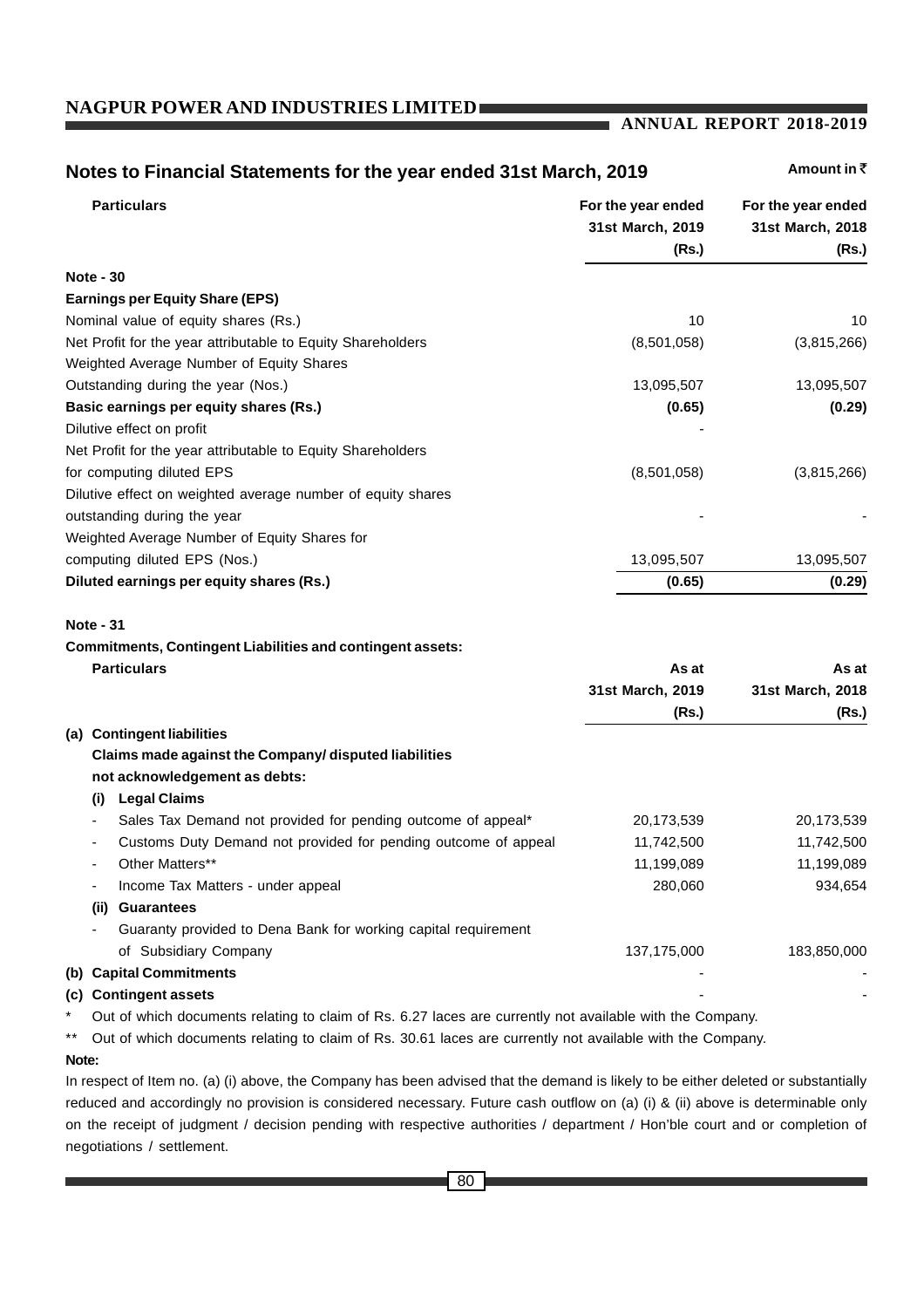## **ANNUAL REPORT 2018-2019**

| Notes to Financial Statements for the year ended 31st March, 2019                                        | Amount in ₹                            |                                        |
|----------------------------------------------------------------------------------------------------------|----------------------------------------|----------------------------------------|
| <b>Particulars</b>                                                                                       | For the year ended<br>31st March, 2019 | For the year ended<br>31st March, 2018 |
|                                                                                                          | (Rs.)                                  | (Rs.)                                  |
| <b>Note - 30</b>                                                                                         |                                        |                                        |
| <b>Earnings per Equity Share (EPS)</b>                                                                   |                                        |                                        |
| Nominal value of equity shares (Rs.)                                                                     | 10                                     | 10                                     |
| Net Profit for the year attributable to Equity Shareholders                                              | (8,501,058)                            | (3,815,266)                            |
| Weighted Average Number of Equity Shares                                                                 |                                        |                                        |
| Outstanding during the year (Nos.)                                                                       | 13,095,507                             | 13,095,507                             |
| Basic earnings per equity shares (Rs.)                                                                   | (0.65)                                 | (0.29)                                 |
| Dilutive effect on profit                                                                                |                                        |                                        |
| Net Profit for the year attributable to Equity Shareholders                                              |                                        |                                        |
| for computing diluted EPS                                                                                | (8,501,058)                            | (3,815,266)                            |
| Dilutive effect on weighted average number of equity shares                                              |                                        |                                        |
| outstanding during the year                                                                              |                                        |                                        |
| Weighted Average Number of Equity Shares for                                                             |                                        |                                        |
| computing diluted EPS (Nos.)                                                                             | 13,095,507                             | 13,095,507                             |
| Diluted earnings per equity shares (Rs.)                                                                 | (0.65)                                 | (0.29)                                 |
| <b>Note - 31</b>                                                                                         |                                        |                                        |
| <b>Commitments, Contingent Liabilities and contingent assets:</b>                                        |                                        |                                        |
| <b>Particulars</b>                                                                                       | As at                                  | As at                                  |
|                                                                                                          | 31st March, 2019                       | 31st March, 2018                       |
|                                                                                                          | (Rs.)                                  | (Rs.)                                  |
| (a) Contingent liabilities                                                                               |                                        |                                        |
| Claims made against the Company/ disputed liabilities                                                    |                                        |                                        |
| not acknowledgement as debts:                                                                            |                                        |                                        |
| <b>Legal Claims</b><br>(i)                                                                               |                                        |                                        |
| Sales Tax Demand not provided for pending outcome of appeal*<br>$\overline{\phantom{a}}$                 | 20,173,539                             | 20,173,539                             |
| Customs Duty Demand not provided for pending outcome of appeal                                           | 11,742,500                             | 11,742,500                             |
| Other Matters**                                                                                          | 11,199,089                             | 11,199,089                             |
| Income Tax Matters - under appeal                                                                        | 280,060                                | 934,654                                |
| (ii) Guarantees                                                                                          |                                        |                                        |
| Guaranty provided to Dena Bank for working capital requirement                                           |                                        |                                        |
| of Subsidiary Company                                                                                    | 137,175,000                            | 183,850,000                            |
| (b) Capital Commitments                                                                                  |                                        |                                        |
| (c) Contingent assets                                                                                    |                                        |                                        |
| Out of which documents relating to claim of Rs. 6.27 laces are currently not available with the Company. |                                        |                                        |

\*\* Out of which documents relating to claim of Rs. 30.61 laces are currently not available with the Company.

#### **Note:**

In respect of Item no. (a) (i) above, the Company has been advised that the demand is likely to be either deleted or substantially reduced and accordingly no provision is considered necessary. Future cash outflow on (a) (i) & (ii) above is determinable only on the receipt of judgment / decision pending with respective authorities / department / Hon'ble court and or completion of negotiations / settlement.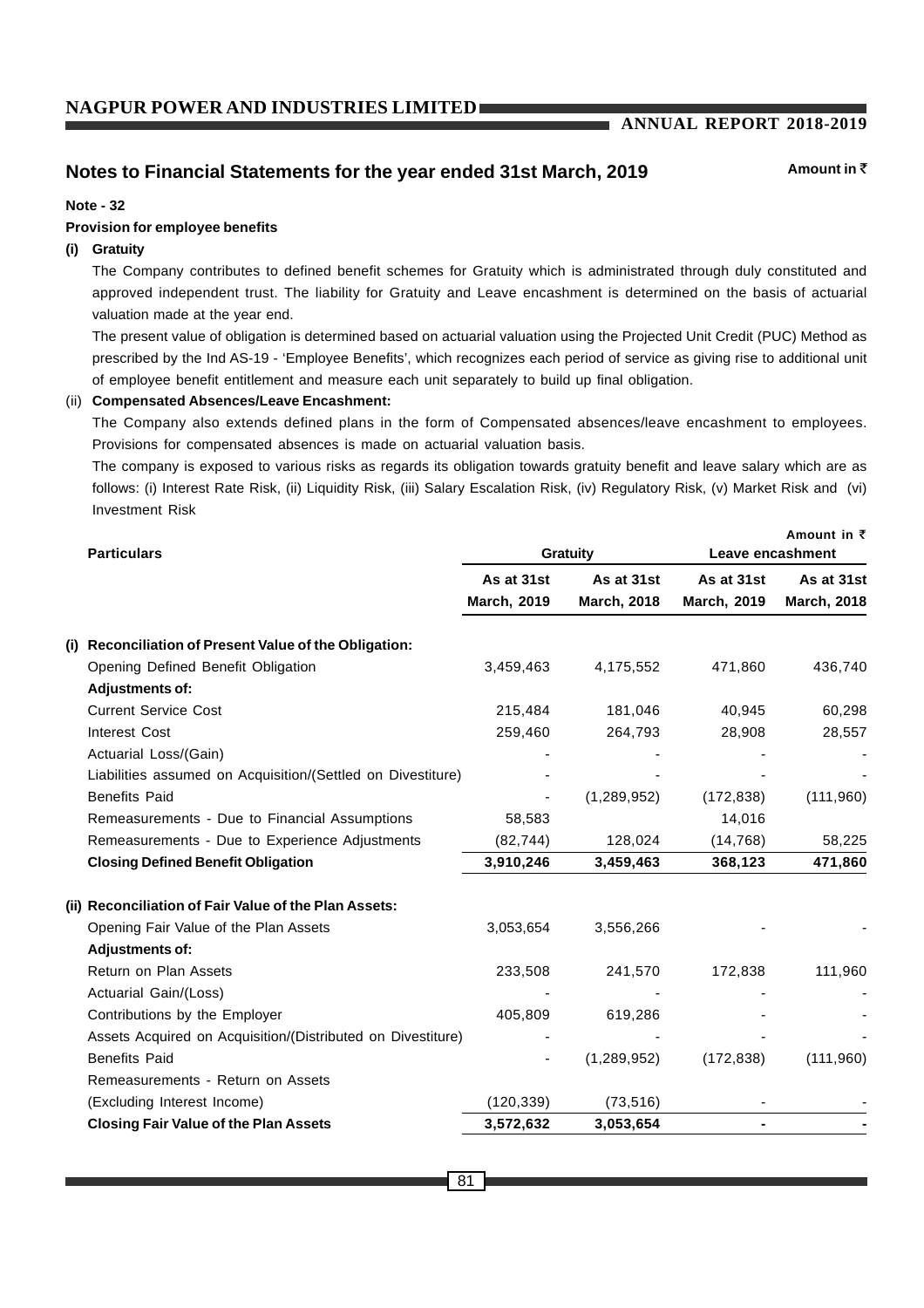## **Notes to Financial Statements for the year ended 31st March, 2019 <b>Amount in ₹**

#### **Note - 32**

### **Provision for employee benefits**

## **(i) Gratuity**

The Company contributes to defined benefit schemes for Gratuity which is administrated through duly constituted and approved independent trust. The liability for Gratuity and Leave encashment is determined on the basis of actuarial valuation made at the year end.

The present value of obligation is determined based on actuarial valuation using the Projected Unit Credit (PUC) Method as prescribed by the Ind AS-19 - 'Employee Benefits', which recognizes each period of service as giving rise to additional unit of employee benefit entitlement and measure each unit separately to build up final obligation.

## (ii) **Compensated Absences/Leave Encashment:**

The Company also extends defined plans in the form of Compensated absences/leave encashment to employees. Provisions for compensated absences is made on actuarial valuation basis.

The company is exposed to various risks as regards its obligation towards gratuity benefit and leave salary which are as follows: (i) Interest Rate Risk, (ii) Liquidity Risk, (iii) Salary Escalation Risk, (iv) Regulatory Risk, (v) Market Risk and (vi) Investment Risk

| <b>Particulars</b>                                          |                    | <b>Gratuity</b>    | Leave encashment   | Amount in $\bar{z}$ |
|-------------------------------------------------------------|--------------------|--------------------|--------------------|---------------------|
|                                                             | As at 31st         | As at 31st         | As at 31st         | As at 31st          |
|                                                             | <b>March, 2019</b> | <b>March, 2018</b> | <b>March, 2019</b> | <b>March, 2018</b>  |
| (i) Reconciliation of Present Value of the Obligation:      |                    |                    |                    |                     |
| Opening Defined Benefit Obligation                          | 3,459,463          | 4,175,552          | 471,860            | 436,740             |
| <b>Adjustments of:</b>                                      |                    |                    |                    |                     |
| <b>Current Service Cost</b>                                 | 215,484            | 181,046            | 40,945             | 60,298              |
| Interest Cost                                               | 259,460            | 264,793            | 28,908             | 28,557              |
| Actuarial Loss/(Gain)                                       |                    |                    |                    |                     |
| Liabilities assumed on Acquisition/(Settled on Divestiture) |                    |                    |                    |                     |
| <b>Benefits Paid</b>                                        |                    | (1,289,952)        | (172, 838)         | (111,960)           |
| Remeasurements - Due to Financial Assumptions               | 58,583             |                    | 14,016             |                     |
| Remeasurements - Due to Experience Adjustments              | (82, 744)          | 128,024            | (14, 768)          | 58,225              |
| <b>Closing Defined Benefit Obligation</b>                   | 3,910,246          | 3,459,463          | 368,123            | 471,860             |
| (ii) Reconciliation of Fair Value of the Plan Assets:       |                    |                    |                    |                     |
| Opening Fair Value of the Plan Assets                       | 3,053,654          | 3,556,266          |                    |                     |
| <b>Adjustments of:</b>                                      |                    |                    |                    |                     |
| Return on Plan Assets                                       | 233,508            | 241,570            | 172,838            | 111,960             |
| Actuarial Gain/(Loss)                                       |                    |                    |                    |                     |
| Contributions by the Employer                               | 405,809            | 619,286            |                    |                     |
| Assets Acquired on Acquisition/(Distributed on Divestiture) |                    |                    |                    |                     |
| <b>Benefits Paid</b>                                        |                    | (1, 289, 952)      | (172, 838)         | (111,960)           |
| Remeasurements - Return on Assets                           |                    |                    |                    |                     |
| (Excluding Interest Income)                                 | (120, 339)         | (73, 516)          |                    |                     |
| <b>Closing Fair Value of the Plan Assets</b>                | 3,572,632          | 3,053,654          |                    |                     |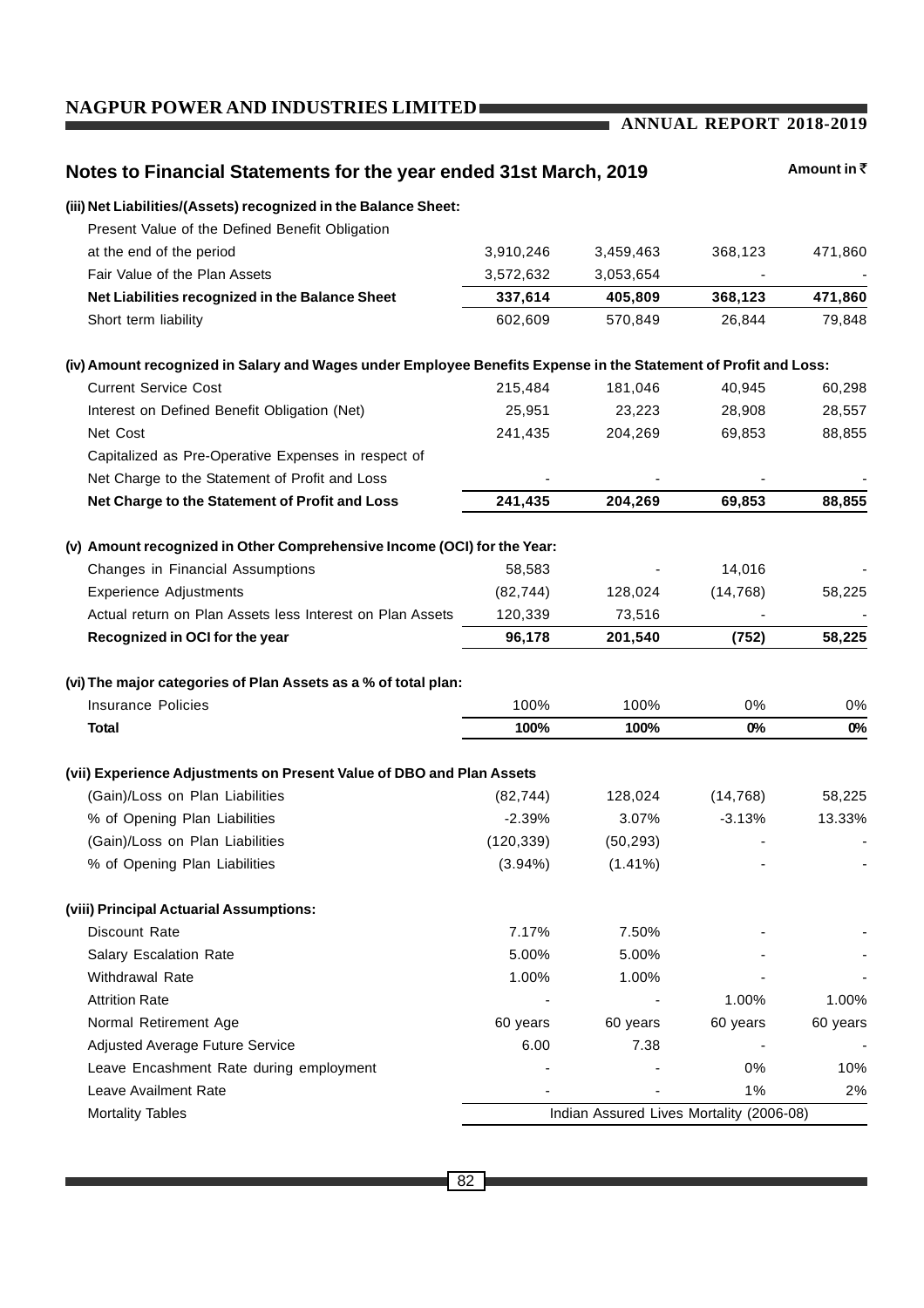**ANNUAL REPORT 2018-2019** 

| Notes to Financial Statements for the year ended 31st March, 2019                                               |                                          |            |           | Amount in ₹ |
|-----------------------------------------------------------------------------------------------------------------|------------------------------------------|------------|-----------|-------------|
| (iii) Net Liabilities/(Assets) recognized in the Balance Sheet:                                                 |                                          |            |           |             |
| Present Value of the Defined Benefit Obligation                                                                 |                                          |            |           |             |
| at the end of the period                                                                                        | 3,910,246                                | 3,459,463  | 368,123   | 471,860     |
| Fair Value of the Plan Assets                                                                                   | 3,572,632                                | 3,053,654  |           |             |
| Net Liabilities recognized in the Balance Sheet                                                                 | 337,614                                  | 405,809    | 368,123   | 471,860     |
| Short term liability                                                                                            | 602,609                                  | 570,849    | 26,844    | 79,848      |
| (iv) Amount recognized in Salary and Wages under Employee Benefits Expense in the Statement of Profit and Loss: |                                          |            |           |             |
| <b>Current Service Cost</b>                                                                                     | 215,484                                  | 181,046    | 40,945    | 60,298      |
| Interest on Defined Benefit Obligation (Net)                                                                    | 25,951                                   | 23,223     | 28,908    | 28,557      |
| Net Cost                                                                                                        | 241,435                                  | 204,269    | 69,853    | 88,855      |
| Capitalized as Pre-Operative Expenses in respect of                                                             |                                          |            |           |             |
| Net Charge to the Statement of Profit and Loss                                                                  |                                          |            |           |             |
| Net Charge to the Statement of Profit and Loss                                                                  | 241,435                                  | 204,269    | 69,853    | 88,855      |
| (v) Amount recognized in Other Comprehensive Income (OCI) for the Year:                                         |                                          |            |           |             |
| Changes in Financial Assumptions                                                                                | 58,583                                   |            | 14,016    |             |
| <b>Experience Adjustments</b>                                                                                   | (82, 744)                                | 128,024    | (14, 768) | 58,225      |
| Actual return on Plan Assets less Interest on Plan Assets                                                       | 120,339                                  | 73,516     |           |             |
| Recognized in OCI for the year                                                                                  | 96,178                                   | 201,540    | (752)     | 58,225      |
|                                                                                                                 |                                          |            |           |             |
| (vi) The major categories of Plan Assets as a % of total plan:<br><b>Insurance Policies</b>                     | 100%                                     | 100%       | 0%        |             |
| <b>Total</b>                                                                                                    | 100%                                     | 100%       | 0%        | 0%<br>0%    |
|                                                                                                                 |                                          |            |           |             |
| (vii) Experience Adjustments on Present Value of DBO and Plan Assets                                            |                                          |            |           |             |
| (Gain)/Loss on Plan Liabilities                                                                                 | (82, 744)                                | 128,024    | (14, 768) | 58,225      |
| % of Opening Plan Liabilities                                                                                   | $-2.39%$                                 | 3.07%      | $-3.13%$  | 13.33%      |
| (Gain)/Loss on Plan Liabilities                                                                                 | (120, 339)                               | (50, 293)  |           |             |
| % of Opening Plan Liabilities                                                                                   | $(3.94\%)$                               | $(1.41\%)$ |           |             |
| (viii) Principal Actuarial Assumptions:                                                                         |                                          |            |           |             |
| Discount Rate                                                                                                   | 7.17%                                    | 7.50%      |           |             |
| Salary Escalation Rate                                                                                          | 5.00%                                    | 5.00%      |           |             |
| Withdrawal Rate                                                                                                 | 1.00%                                    | 1.00%      |           |             |
| <b>Attrition Rate</b>                                                                                           |                                          |            | 1.00%     | 1.00%       |
| Normal Retirement Age                                                                                           | 60 years                                 | 60 years   | 60 years  | 60 years    |
| Adjusted Average Future Service                                                                                 | 6.00                                     | 7.38       |           |             |
| Leave Encashment Rate during employment                                                                         |                                          |            | 0%        | 10%         |
| Leave Availment Rate                                                                                            |                                          |            | 1%        | 2%          |
| <b>Mortality Tables</b>                                                                                         | Indian Assured Lives Mortality (2006-08) |            |           |             |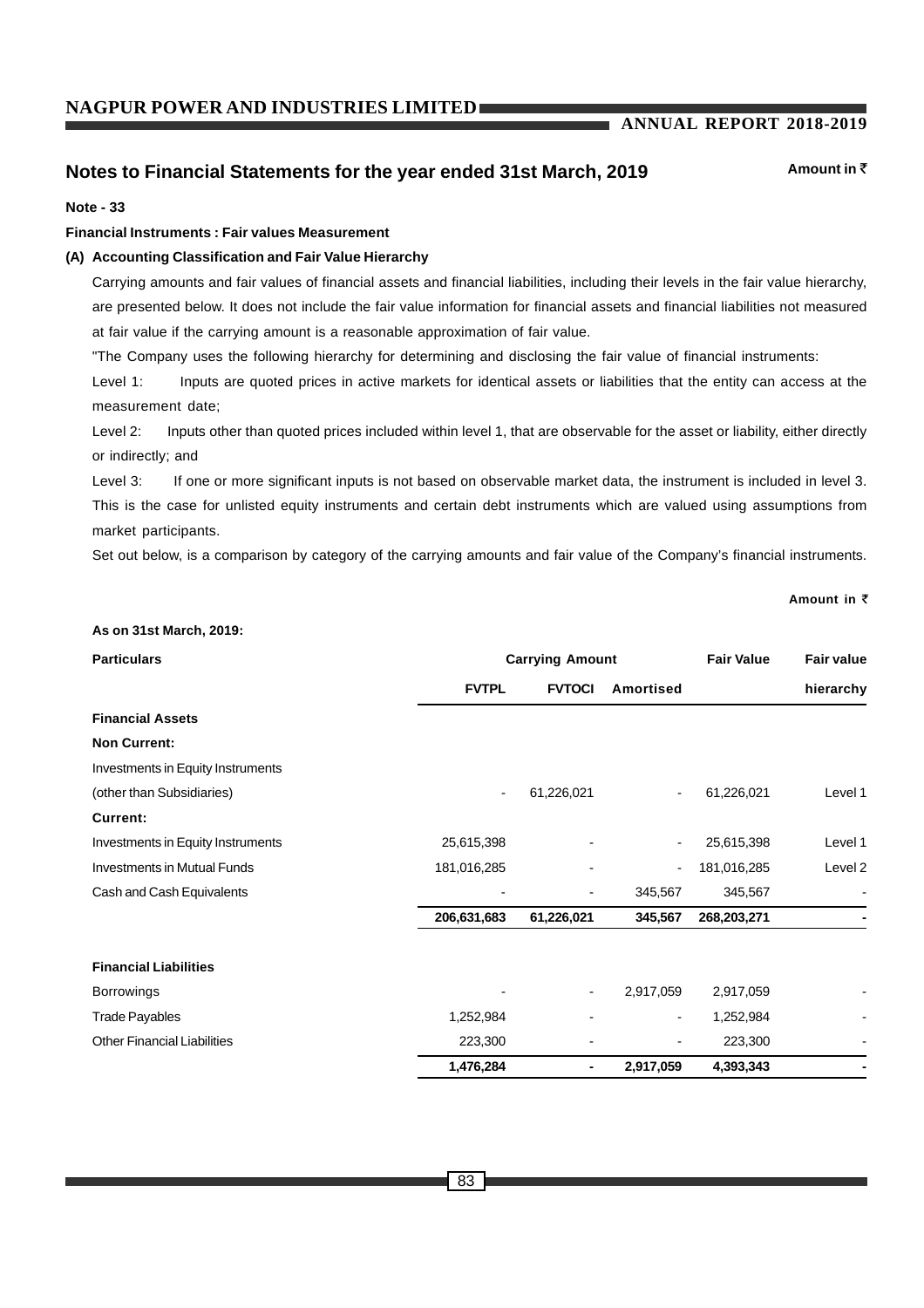## "The Company uses the following hierarchy for determining and disclosing the fair value of financial instruments: Level 1: Inputs are quoted prices in active markets for identical assets or liabilities that the entity can access at the

at fair value if the carrying amount is a reasonable approximation of fair value.

measurement date;

Carrying amounts and fair values of financial assets and financial liabilities, including their levels in the fair value hierarchy, are presented below. It does not include the fair value information for financial assets and financial liabilities not measured

**Notes to Financial Statements for the year ended 31st March, 2019 Amount in ₹** 

Level 2: Inputs other than quoted prices included within level 1, that are observable for the asset or liability, either directly or indirectly; and

Level 3: If one or more significant inputs is not based on observable market data, the instrument is included in level 3. This is the case for unlisted equity instruments and certain debt instruments which are valued using assumptions from market participants.

Set out below, is a comparison by category of the carrying amounts and fair value of the Company's financial instruments.

**Particulars Carrying Amount Fair Value Fair value**

**Amount in ₹** 

#### **As on 31st March, 2019:**

**Note - 33**

|                                    | <b>FVTPL</b> | <b>FVTOCI</b>            | <b>Amortised</b>         |             | hierarchy          |
|------------------------------------|--------------|--------------------------|--------------------------|-------------|--------------------|
| <b>Financial Assets</b>            |              |                          |                          |             |                    |
| <b>Non Current:</b>                |              |                          |                          |             |                    |
| Investments in Equity Instruments  |              |                          |                          |             |                    |
| (other than Subsidiaries)          |              | 61,226,021               | $\overline{\phantom{a}}$ | 61,226,021  | Level 1            |
| <b>Current:</b>                    |              |                          |                          |             |                    |
| Investments in Equity Instruments  | 25,615,398   |                          | $\overline{\phantom{a}}$ | 25,615,398  | Level 1            |
| <b>Investments in Mutual Funds</b> | 181,016,285  |                          | ٠                        | 181,016,285 | Level <sub>2</sub> |
| Cash and Cash Equivalents          |              | -                        | 345,567                  | 345,567     |                    |
|                                    | 206,631,683  | 61,226,021               | 345,567                  | 268,203,271 |                    |
| <b>Financial Liabilities</b>       |              |                          |                          |             |                    |
| <b>Borrowings</b>                  |              | $\overline{\phantom{a}}$ | 2,917,059                | 2,917,059   | $\blacksquare$     |
| <b>Trade Payables</b>              | 1,252,984    |                          | -                        | 1,252,984   |                    |
| <b>Other Financial Liabilities</b> | 223,300      |                          | $\blacksquare$           | 223,300     |                    |
|                                    | 1,476,284    | ۰                        | 2,917,059                | 4,393,343   |                    |

## **NAGPUR POWER AND INDUSTRIES LIMITED**

**Financial Instruments : Fair values Measurement**

**(A) Accounting Classification and Fair Value Hierarchy**

## **ANNUAL REPORT 2018-2019**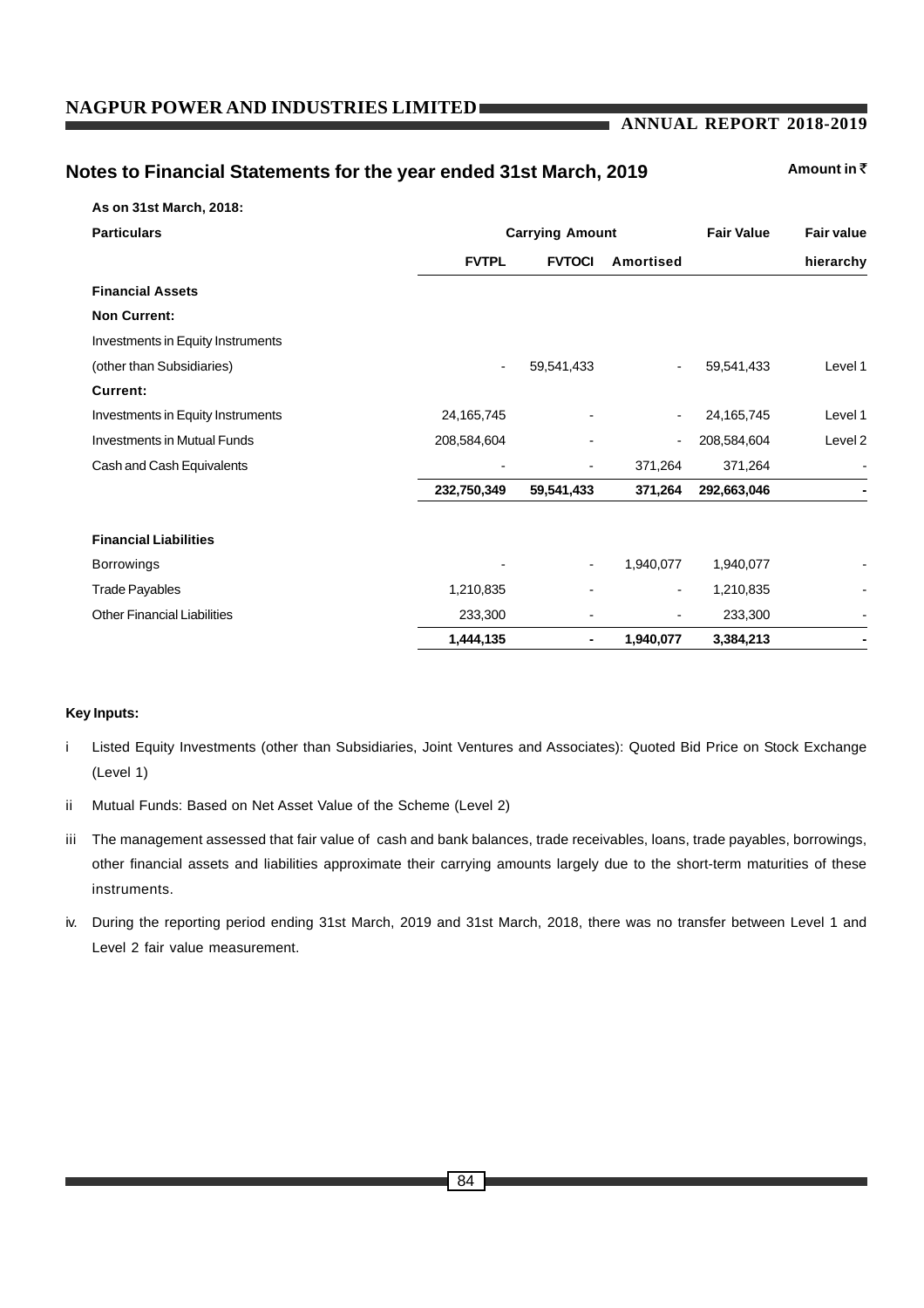## **ANNUAL REPORT 2018-2019**

## **Notes to Financial Statements for the year ended 31st March, 2019 <b>Amount in ₹**

|  |  |  | As on 31st March, 2018: |  |
|--|--|--|-------------------------|--|
|--|--|--|-------------------------|--|

| <b>Particulars</b>                 | <b>Carrying Amount</b> |                | <b>Fair Value</b>            | <b>Fair value</b> |                    |
|------------------------------------|------------------------|----------------|------------------------------|-------------------|--------------------|
|                                    | <b>FVTPL</b>           | <b>FVTOCI</b>  | Amortised                    |                   | hierarchy          |
| <b>Financial Assets</b>            |                        |                |                              |                   |                    |
| <b>Non Current:</b>                |                        |                |                              |                   |                    |
| Investments in Equity Instruments  |                        |                |                              |                   |                    |
| (other than Subsidiaries)          | -                      | 59,541,433     | $\overline{\phantom{a}}$     | 59,541,433        | Level 1            |
| Current:                           |                        |                |                              |                   |                    |
| Investments in Equity Instruments  | 24, 165, 745           |                | $\overline{\phantom{a}}$     | 24, 165, 745      | Level 1            |
| <b>Investments in Mutual Funds</b> | 208,584,604            |                | $\overline{a}$               | 208,584,604       | Level <sub>2</sub> |
| Cash and Cash Equivalents          |                        | $\overline{a}$ | 371,264                      | 371,264           |                    |
|                                    | 232,750,349            | 59,541,433     | 371,264                      | 292,663,046       |                    |
| <b>Financial Liabilities</b>       |                        |                |                              |                   |                    |
| <b>Borrowings</b>                  |                        |                | 1,940,077                    | 1,940,077         |                    |
| <b>Trade Payables</b>              | 1,210,835              |                | ٠                            | 1,210,835         |                    |
| <b>Other Financial Liabilities</b> | 233,300                |                | $\qquad \qquad \blacksquare$ | 233,300           |                    |
|                                    | 1,444,135              | ۰              | 1,940,077                    | 3,384,213         |                    |

## **Key Inputs:**

- i Listed Equity Investments (other than Subsidiaries, Joint Ventures and Associates): Quoted Bid Price on Stock Exchange (Level 1)
- ii Mutual Funds: Based on Net Asset Value of the Scheme (Level 2)
- iii The management assessed that fair value of cash and bank balances, trade receivables, loans, trade payables, borrowings, other financial assets and liabilities approximate their carrying amounts largely due to the short-term maturities of these instruments.
- iv. During the reporting period ending 31st March, 2019 and 31st March, 2018, there was no transfer between Level 1 and Level 2 fair value measurement.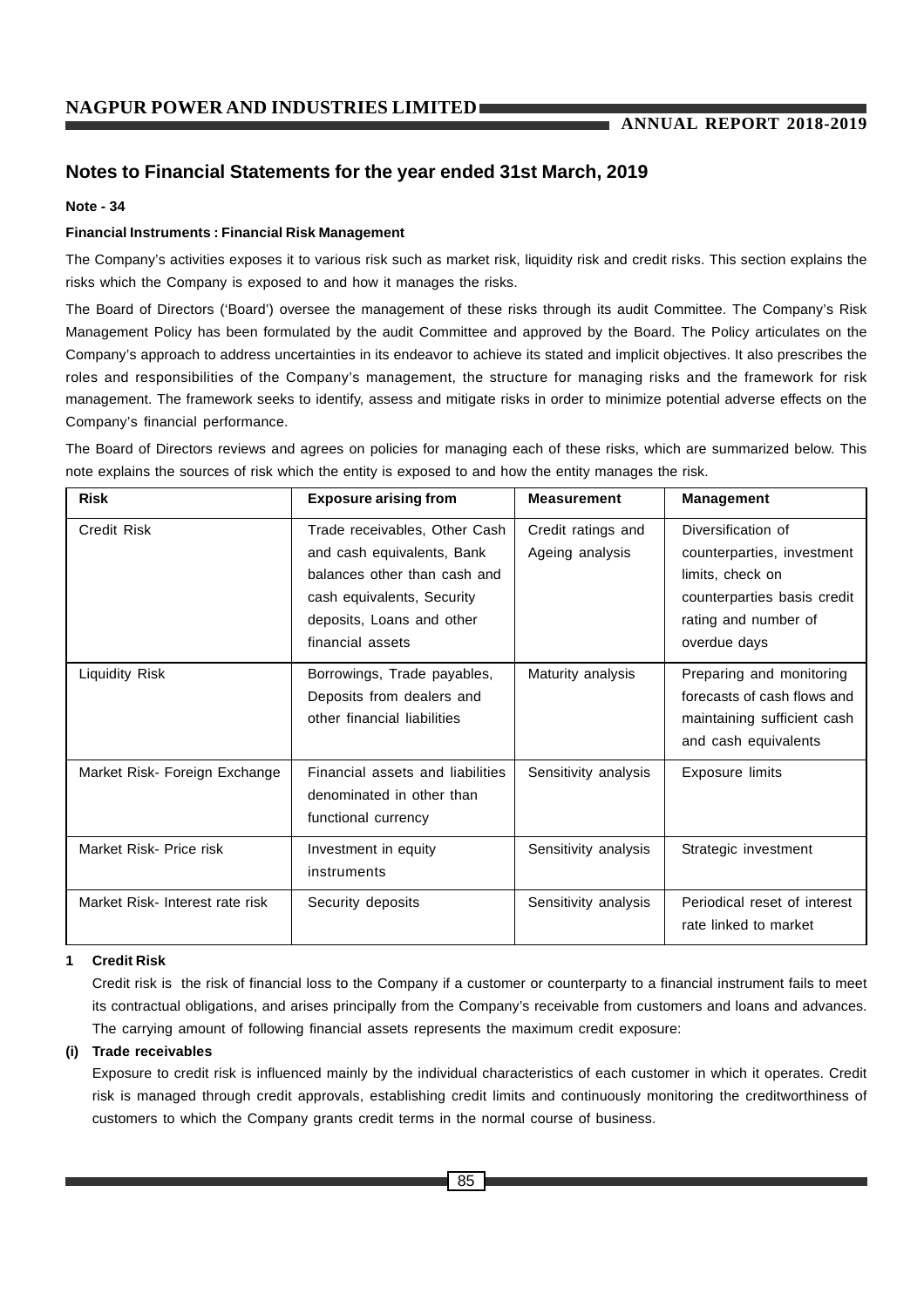## **Notes to Financial Statements for the year ended 31st March, 2019**

## **Note - 34**

## **Financial Instruments : Financial Risk Management**

The Company's activities exposes it to various risk such as market risk, liquidity risk and credit risks. This section explains the risks which the Company is exposed to and how it manages the risks.

The Board of Directors ('Board') oversee the management of these risks through its audit Committee. The Company's Risk Management Policy has been formulated by the audit Committee and approved by the Board. The Policy articulates on the Company's approach to address uncertainties in its endeavor to achieve its stated and implicit objectives. It also prescribes the roles and responsibilities of the Company's management, the structure for managing risks and the framework for risk management. The framework seeks to identify, assess and mitigate risks in order to minimize potential adverse effects on the Company's financial performance.

The Board of Directors reviews and agrees on policies for managing each of these risks, which are summarized below. This note explains the sources of risk which the entity is exposed to and how the entity manages the risk.

| <b>Risk</b>                     | <b>Exposure arising from</b>                                                                                                                                               | <b>Measurement</b>                    | <b>Management</b>                                                                                                                           |
|---------------------------------|----------------------------------------------------------------------------------------------------------------------------------------------------------------------------|---------------------------------------|---------------------------------------------------------------------------------------------------------------------------------------------|
| <b>Credit Risk</b>              | Trade receivables, Other Cash<br>and cash equivalents, Bank<br>balances other than cash and<br>cash equivalents, Security<br>deposits, Loans and other<br>financial assets | Credit ratings and<br>Ageing analysis | Diversification of<br>counterparties, investment<br>limits, check on<br>counterparties basis credit<br>rating and number of<br>overdue days |
| <b>Liquidity Risk</b>           | Borrowings, Trade payables,<br>Deposits from dealers and<br>other financial liabilities                                                                                    | Maturity analysis                     | Preparing and monitoring<br>forecasts of cash flows and<br>maintaining sufficient cash<br>and cash equivalents                              |
| Market Risk- Foreign Exchange   | Financial assets and liabilities<br>denominated in other than<br>functional currency                                                                                       | Sensitivity analysis                  | Exposure limits                                                                                                                             |
| Market Risk- Price risk         | Investment in equity<br>instruments                                                                                                                                        | Sensitivity analysis                  | Strategic investment                                                                                                                        |
| Market Risk- Interest rate risk | Security deposits                                                                                                                                                          | Sensitivity analysis                  | Periodical reset of interest<br>rate linked to market                                                                                       |

## **1 Credit Risk**

Credit risk is the risk of financial loss to the Company if a customer or counterparty to a financial instrument fails to meet its contractual obligations, and arises principally from the Company's receivable from customers and loans and advances. The carrying amount of following financial assets represents the maximum credit exposure:

## **(i) Trade receivables**

Exposure to credit risk is influenced mainly by the individual characteristics of each customer in which it operates. Credit risk is managed through credit approvals, establishing credit limits and continuously monitoring the creditworthiness of customers to which the Company grants credit terms in the normal course of business.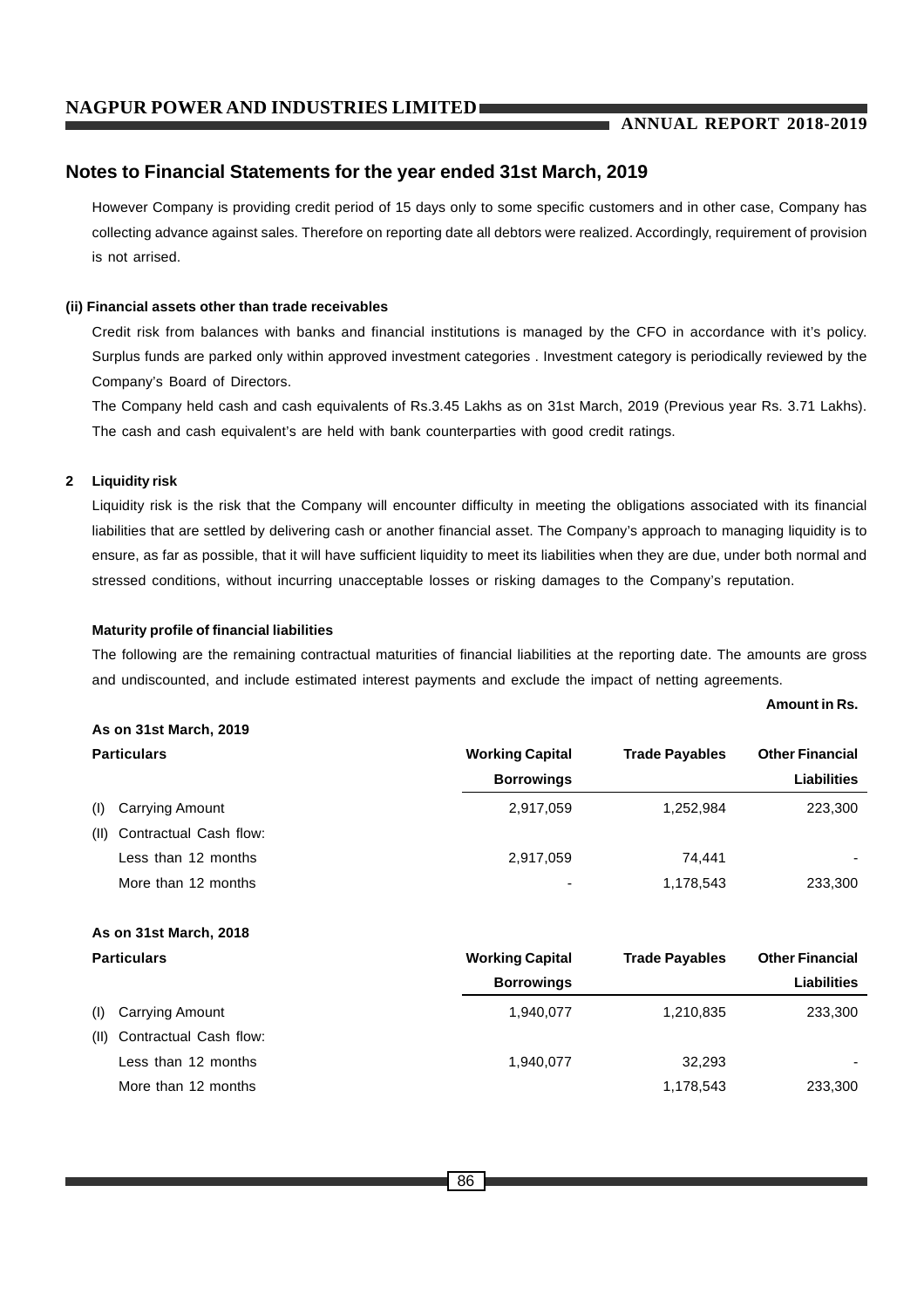## **Notes to Financial Statements for the year ended 31st March, 2019**

However Company is providing credit period of 15 days only to some specific customers and in other case, Company has collecting advance against sales. Therefore on reporting date all debtors were realized. Accordingly, requirement of provision is not arrised.

#### **(ii) Financial assets other than trade receivables**

Credit risk from balances with banks and financial institutions is managed by the CFO in accordance with it's policy. Surplus funds are parked only within approved investment categories . Investment category is periodically reviewed by the Company's Board of Directors.

The Company held cash and cash equivalents of Rs.3.45 Lakhs as on 31st March, 2019 (Previous year Rs. 3.71 Lakhs). The cash and cash equivalent's are held with bank counterparties with good credit ratings.

### **2 Liquidity risk**

Liquidity risk is the risk that the Company will encounter difficulty in meeting the obligations associated with its financial liabilities that are settled by delivering cash or another financial asset. The Company's approach to managing liquidity is to ensure, as far as possible, that it will have sufficient liquidity to meet its liabilities when they are due, under both normal and stressed conditions, without incurring unacceptable losses or risking damages to the Company's reputation.

### **Maturity profile of financial liabilities**

The following are the remaining contractual maturities of financial liabilities at the reporting date. The amounts are gross and undiscounted, and include estimated interest payments and exclude the impact of netting agreements.

| Amount in Rs. |  |
|---------------|--|
|---------------|--|

| <b>Particulars</b>             | <b>Working Capital</b> | <b>Trade Payables</b> | <b>Other Financial</b>   |
|--------------------------------|------------------------|-----------------------|--------------------------|
|                                | <b>Borrowings</b>      |                       | <b>Liabilities</b>       |
| <b>Carrying Amount</b><br>(1)  | 2,917,059              | 1,252,984             | 223,300                  |
| Contractual Cash flow:<br>(II) |                        |                       |                          |
| Less than 12 months            | 2,917,059              | 74.441                | $\overline{\phantom{0}}$ |
| More than 12 months            |                        | 1,178,543             | 233,300                  |
| As on 31st March, 2018         |                        |                       |                          |

| <b>Particulars</b>             | <b>Working Capital</b> | <b>Trade Payables</b> | <b>Other Financial</b> |
|--------------------------------|------------------------|-----------------------|------------------------|
|                                | <b>Borrowings</b>      |                       | <b>Liabilities</b>     |
| Carrying Amount<br>(1)         | 1,940,077              | 1,210,835             | 233,300                |
| Contractual Cash flow:<br>(II) |                        |                       |                        |
| Less than 12 months            | 1,940,077              | 32.293                |                        |
| More than 12 months            |                        | 1,178,543             | 233,300                |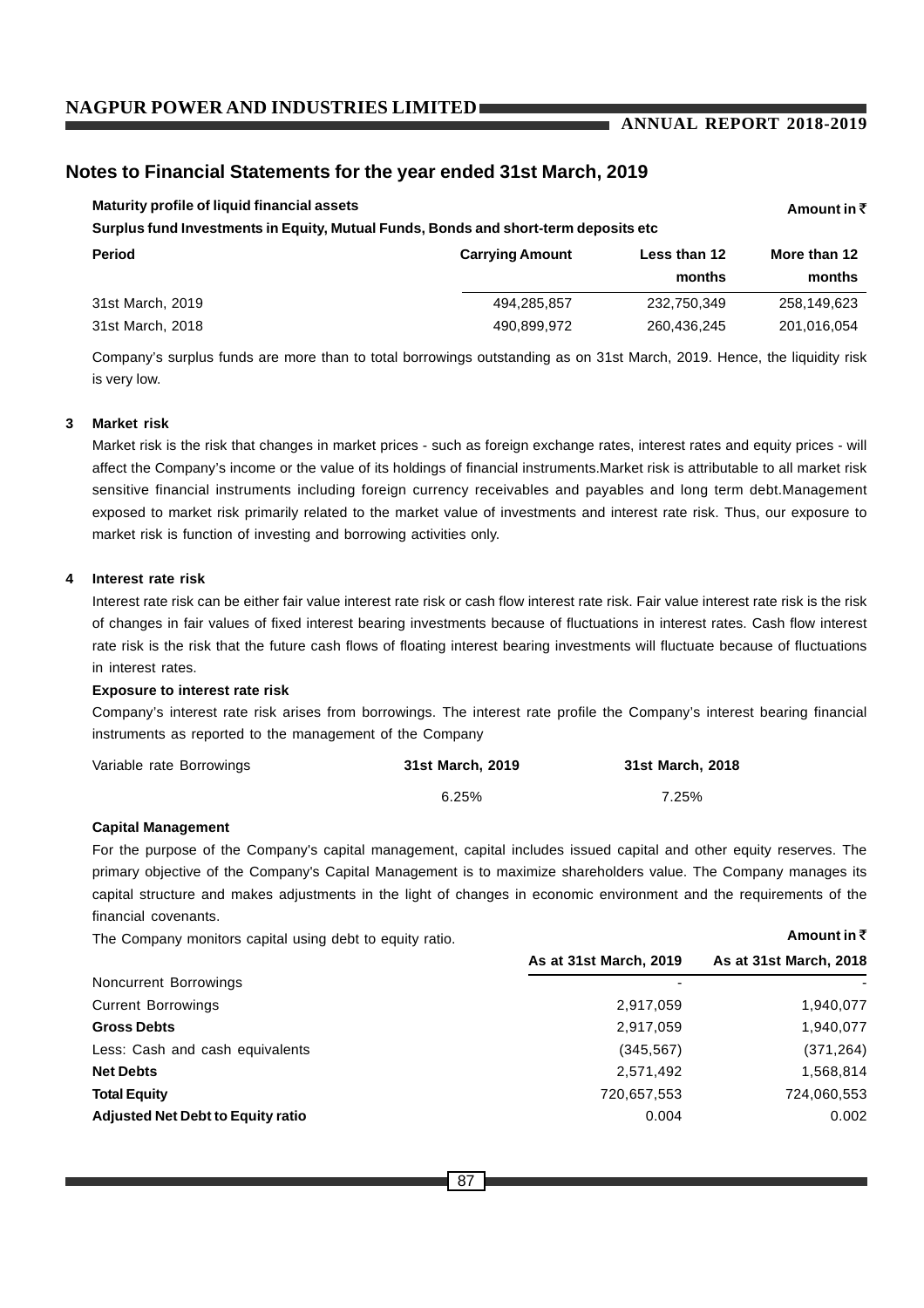**Amount in** `

## **Notes to Financial Statements for the year ended 31st March, 2019**

| Maturity profile of liquid financial assets<br>Surplus fund Investments in Equity, Mutual Funds, Bonds and short-term deposits etc |                        |                        |                        |
|------------------------------------------------------------------------------------------------------------------------------------|------------------------|------------------------|------------------------|
| <b>Period</b>                                                                                                                      | <b>Carrying Amount</b> | Less than 12<br>months | More than 12<br>months |
| 31st March, 2019                                                                                                                   | 494.285.857            | 232.750.349            | 258.149.623            |
| 31st March, 2018                                                                                                                   | 490,899,972            | 260,436,245            | 201,016,054            |

Company's surplus funds are more than to total borrowings outstanding as on 31st March, 2019. Hence, the liquidity risk is very low.

## **3 Market risk**

Market risk is the risk that changes in market prices - such as foreign exchange rates, interest rates and equity prices - will affect the Company's income or the value of its holdings of financial instruments.Market risk is attributable to all market risk sensitive financial instruments including foreign currency receivables and payables and long term debt.Management exposed to market risk primarily related to the market value of investments and interest rate risk. Thus, our exposure to market risk is function of investing and borrowing activities only.

## **4 Interest rate risk**

Interest rate risk can be either fair value interest rate risk or cash flow interest rate risk. Fair value interest rate risk is the risk of changes in fair values of fixed interest bearing investments because of fluctuations in interest rates. Cash flow interest rate risk is the risk that the future cash flows of floating interest bearing investments will fluctuate because of fluctuations in interest rates.

## **Exposure to interest rate risk**

Company's interest rate risk arises from borrowings. The interest rate profile the Company's interest bearing financial instruments as reported to the management of the Company

| Variable rate Borrowings | 31st March, 2019 | 31st March, 2018 |
|--------------------------|------------------|------------------|
|                          | 6.25%            | 7.25%            |

#### **Capital Management**

For the purpose of the Company's capital management, capital includes issued capital and other equity reserves. The primary objective of the Company's Capital Management is to maximize shareholders value. The Company manages its capital structure and makes adjustments in the light of changes in economic environment and the requirements of the financial covenants.

The Company monitors capital using debt to equity ratio.

|                                          | As at 31st March, 2019 | As at 31st March, 2018 |
|------------------------------------------|------------------------|------------------------|
| Noncurrent Borrowings                    |                        |                        |
| <b>Current Borrowings</b>                | 2,917,059              | 1,940,077              |
| <b>Gross Debts</b>                       | 2,917,059              | 1,940,077              |
| Less: Cash and cash equivalents          | (345, 567)             | (371, 264)             |
| <b>Net Debts</b>                         | 2,571,492              | 1,568,814              |
| <b>Total Equity</b>                      | 720,657,553            | 724,060,553            |
| <b>Adjusted Net Debt to Equity ratio</b> | 0.004                  | 0.002                  |
|                                          |                        |                        |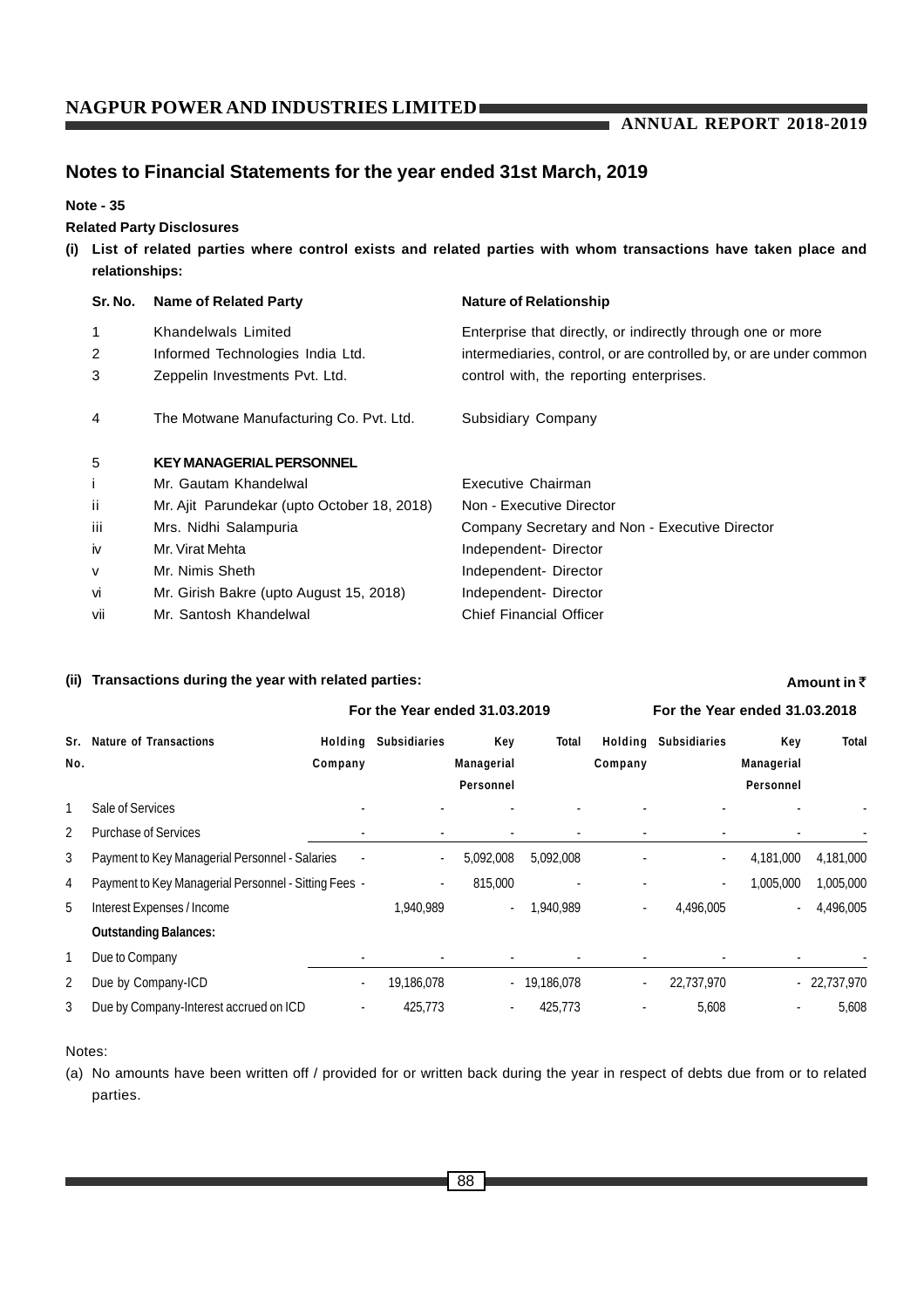## **ANNUAL REPORT 2018-2019**

## **Notes to Financial Statements for the year ended 31st March, 2019**

## **Note - 35**

## **Related Party Disclosures**

**(i) List of related parties where control exists and related parties with whom transactions have taken place and relationships:**

| Sr. No. | <b>Name of Related Party</b>                | <b>Nature of Relationship</b>                                      |
|---------|---------------------------------------------|--------------------------------------------------------------------|
| 1       | Khandelwals Limited                         | Enterprise that directly, or indirectly through one or more        |
| 2       | Informed Technologies India Ltd.            | intermediaries, control, or are controlled by, or are under common |
| 3       | Zeppelin Investments Pvt. Ltd.              | control with, the reporting enterprises.                           |
|         |                                             |                                                                    |
| 4       | The Motwane Manufacturing Co. Pvt. Ltd.     | <b>Subsidiary Company</b>                                          |
| 5       | <b>KEY MANAGERIAL PERSONNEL</b>             |                                                                    |
| i       | Mr. Gautam Khandelwal                       | Executive Chairman                                                 |
| ii.     | Mr. Ajit Parundekar (upto October 18, 2018) | Non - Executive Director                                           |
|         |                                             |                                                                    |
| iii     | Mrs. Nidhi Salampuria                       | Company Secretary and Non - Executive Director                     |
| iv      | Mr. Virat Mehta                             | Independent-Director                                               |
| v       | Mr. Nimis Sheth                             | Independent-Director                                               |
| vi      | Mr. Girish Bakre (upto August 15, 2018)     | Independent-Director                                               |
| vii     | Mr. Santosh Khandelwal                      | <b>Chief Financial Officer</b>                                     |

## **(ii) Transactions during the year with related parties:**

## **Amount in ₹**

|                | For the Year ended 31.03.2019                        |                    |                     |                                |               | For the Year ended 31.03.2018 |              |                                |               |
|----------------|------------------------------------------------------|--------------------|---------------------|--------------------------------|---------------|-------------------------------|--------------|--------------------------------|---------------|
| Sr.<br>No.     | <b>Nature of Transactions</b>                        | Holding<br>Company | <b>Subsidiaries</b> | Key<br>Managerial<br>Personnel | Total         | Holding<br>Company            | Subsidiaries | Key<br>Managerial<br>Personnel | Total         |
|                | Sale of Services                                     |                    |                     |                                |               |                               |              |                                |               |
| $\overline{2}$ | <b>Purchase of Services</b>                          |                    |                     |                                |               |                               |              |                                |               |
| 3              | Payment to Key Managerial Personnel - Salaries       |                    | $\sim$              | 5,092,008                      | 5,092,008     |                               | $\sim$       | 4,181,000                      | 4,181,000     |
| 4              | Payment to Key Managerial Personnel - Sitting Fees - |                    | ٠                   | 815,000                        |               |                               | ٠            | 1,005,000                      | 1,005,000     |
| 5              | Interest Expenses / Income                           |                    | 1,940,989           | $\blacksquare$                 | 1,940,989     | $\sim$                        | 4,496,005    |                                | 4,496,005     |
|                | <b>Outstanding Balances:</b>                         |                    |                     |                                |               |                               |              |                                |               |
|                | Due to Company                                       |                    |                     |                                |               |                               |              |                                |               |
| $\overline{2}$ | Due by Company-ICD                                   |                    | 19,186,078          |                                | $-19,186,078$ |                               | 22,737,970   |                                | $-22,737,970$ |
| 3              | Due by Company-Interest accrued on ICD               |                    | 425,773             | $\sim$                         | 425,773       |                               | 5,608        |                                | 5,608         |

## Notes:

(a) No amounts have been written off / provided for or written back during the year in respect of debts due from or to related parties.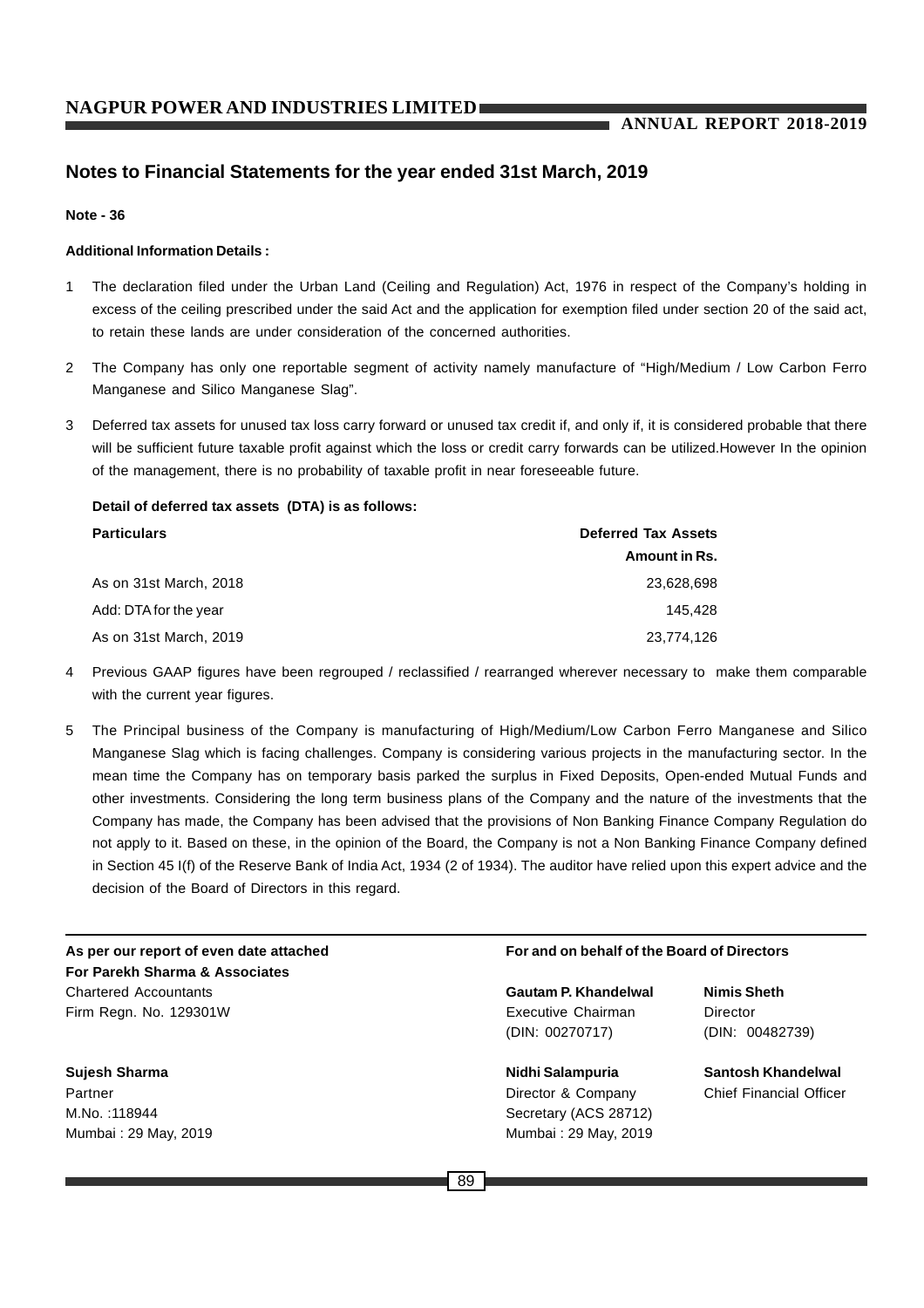## **Notes to Financial Statements for the year ended 31st March, 2019**

### **Note - 36**

## **Additional Information Details :**

- 1 The declaration filed under the Urban Land (Ceiling and Regulation) Act, 1976 in respect of the Company's holding in excess of the ceiling prescribed under the said Act and the application for exemption filed under section 20 of the said act, to retain these lands are under consideration of the concerned authorities.
- 2 The Company has only one reportable segment of activity namely manufacture of "High/Medium / Low Carbon Ferro Manganese and Silico Manganese Slag".
- 3 Deferred tax assets for unused tax loss carry forward or unused tax credit if, and only if, it is considered probable that there will be sufficient future taxable profit against which the loss or credit carry forwards can be utilized.However In the opinion of the management, there is no probability of taxable profit in near foreseeable future.

#### **Detail of deferred tax assets (DTA) is as follows:**

| <b>Particulars</b>     | <b>Deferred Tax Assets</b><br>Amount in Rs. |
|------------------------|---------------------------------------------|
|                        |                                             |
| As on 31st March, 2018 | 23,628,698                                  |
| Add: DTA for the year  | 145.428                                     |
| As on 31st March, 2019 | 23,774,126                                  |

- 4 Previous GAAP figures have been regrouped / reclassified / rearranged wherever necessary to make them comparable with the current year figures.
- 5 The Principal business of the Company is manufacturing of High/Medium/Low Carbon Ferro Manganese and Silico Manganese Slag which is facing challenges. Company is considering various projects in the manufacturing sector. In the mean time the Company has on temporary basis parked the surplus in Fixed Deposits, Open-ended Mutual Funds and other investments. Considering the long term business plans of the Company and the nature of the investments that the Company has made, the Company has been advised that the provisions of Non Banking Finance Company Regulation do not apply to it. Based on these, in the opinion of the Board, the Company is not a Non Banking Finance Company defined in Section 45 I(f) of the Reserve Bank of India Act, 1934 (2 of 1934). The auditor have relied upon this expert advice and the decision of the Board of Directors in this regard.

**For Parekh Sharma & Associates** Chartered Accountants **Gautam P. Khandelwal Nimis Sheth** Firm Regn. No. 129301W Executive Chairman Director

M.No. :118944 Secretary (ACS 28712) Mumbai : 29 May, 2019 Mumbai : 29 May, 2019

## **As per our report of even date attached For and on behalf of the Board of Directors**

(DIN: 00270717) (DIN: 00482739)

**Sujesh Sharma Nidhi Salampuria Santosh Khandelwal** Partner **Partner Chief Financial Officer** Director & Company Chief Financial Officer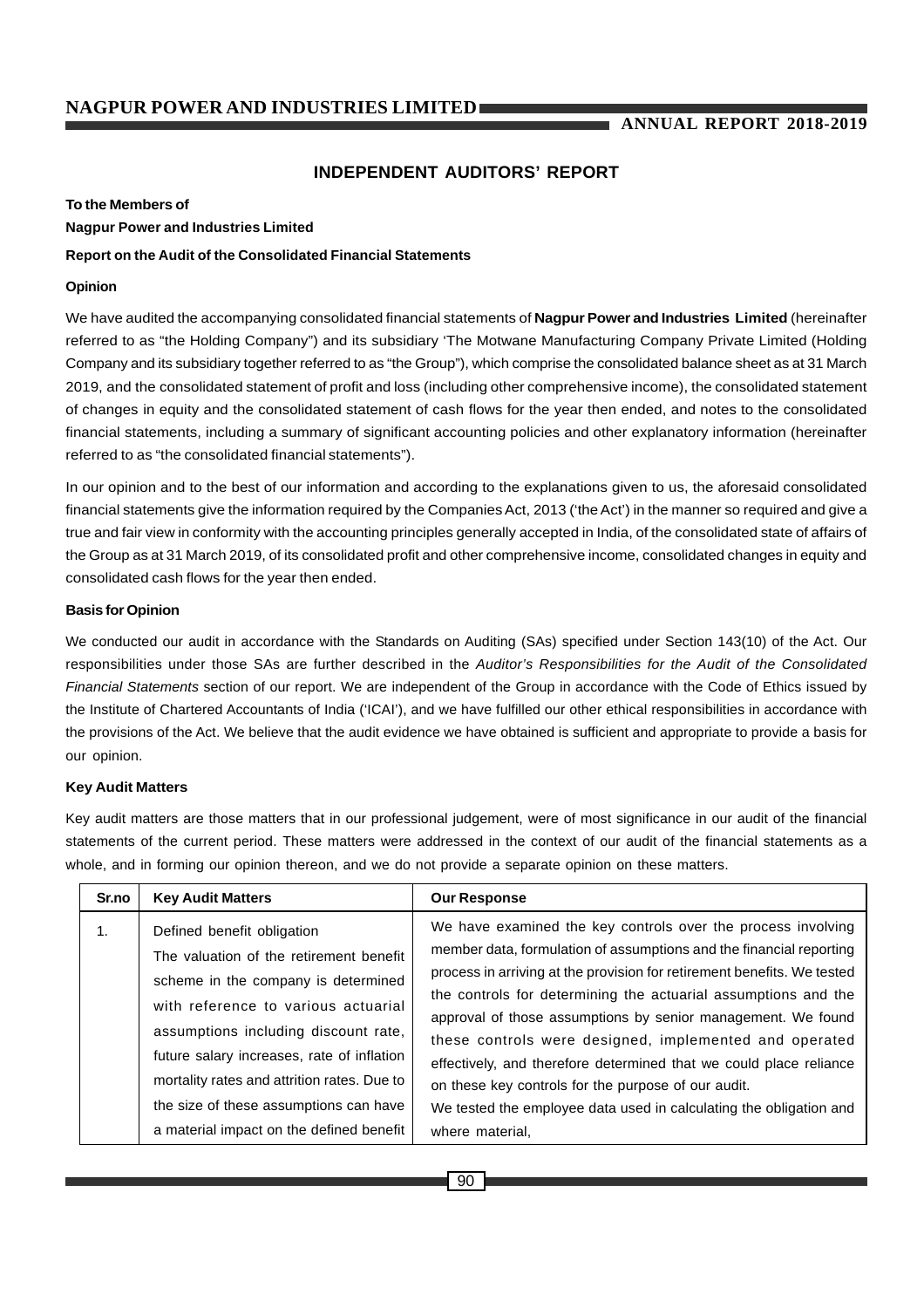## **INDEPENDENT AUDITORS' REPORT**

## **To the Members of**

## **Nagpur Power and Industries Limited**

## **Report on the Audit of the Consolidated Financial Statements**

## **Opinion**

We have audited the accompanying consolidated financial statements of **Nagpur Power and Industries Limited** (hereinafter referred to as "the Holding Company") and its subsidiary 'The Motwane Manufacturing Company Private Limited (Holding Company and its subsidiary together referred to as "the Group"), which comprise the consolidated balance sheet as at 31 March 2019, and the consolidated statement of profit and loss (including other comprehensive income), the consolidated statement of changes in equity and the consolidated statement of cash flows for the year then ended, and notes to the consolidated financial statements, including a summary of significant accounting policies and other explanatory information (hereinafter referred to as "the consolidated financial statements").

In our opinion and to the best of our information and according to the explanations given to us, the aforesaid consolidated financial statements give the information required by the Companies Act, 2013 ('the Act') in the manner so required and give a true and fair view in conformity with the accounting principles generally accepted in India, of the consolidated state of affairs of the Group as at 31 March 2019, of its consolidated profit and other comprehensive income, consolidated changes in equity and consolidated cash flows for the year then ended.

## **Basis for Opinion**

We conducted our audit in accordance with the Standards on Auditing (SAs) specified under Section 143(10) of the Act. Our responsibilities under those SAs are further described in the *Auditor's Responsibilities for the Audit of the Consolidated Financial Statements* section of our report. We are independent of the Group in accordance with the Code of Ethics issued by the Institute of Chartered Accountants of India ('ICAI'), and we have fulfilled our other ethical responsibilities in accordance with the provisions of the Act. We believe that the audit evidence we have obtained is sufficient and appropriate to provide a basis for our opinion.

## **Key Audit Matters**

Key audit matters are those matters that in our professional judgement, were of most significance in our audit of the financial statements of the current period. These matters were addressed in the context of our audit of the financial statements as a whole, and in forming our opinion thereon, and we do not provide a separate opinion on these matters.

| Sr.no | <b>Key Audit Matters</b>                                                                                                                                                                                                                                                                                                                                                       | <b>Our Response</b>                                                                                                                                                                                                                                                                                                                                                                                                                                                                                                                                                                                                              |
|-------|--------------------------------------------------------------------------------------------------------------------------------------------------------------------------------------------------------------------------------------------------------------------------------------------------------------------------------------------------------------------------------|----------------------------------------------------------------------------------------------------------------------------------------------------------------------------------------------------------------------------------------------------------------------------------------------------------------------------------------------------------------------------------------------------------------------------------------------------------------------------------------------------------------------------------------------------------------------------------------------------------------------------------|
| 1.    | Defined benefit obligation<br>The valuation of the retirement benefit<br>scheme in the company is determined<br>with reference to various actuarial<br>assumptions including discount rate,<br>future salary increases, rate of inflation<br>mortality rates and attrition rates. Due to<br>the size of these assumptions can have<br>a material impact on the defined benefit | We have examined the key controls over the process involving<br>member data, formulation of assumptions and the financial reporting<br>process in arriving at the provision for retirement benefits. We tested<br>the controls for determining the actuarial assumptions and the<br>approval of those assumptions by senior management. We found<br>these controls were designed, implemented and operated<br>effectively, and therefore determined that we could place reliance<br>on these key controls for the purpose of our audit.<br>We tested the employee data used in calculating the obligation and<br>where material, |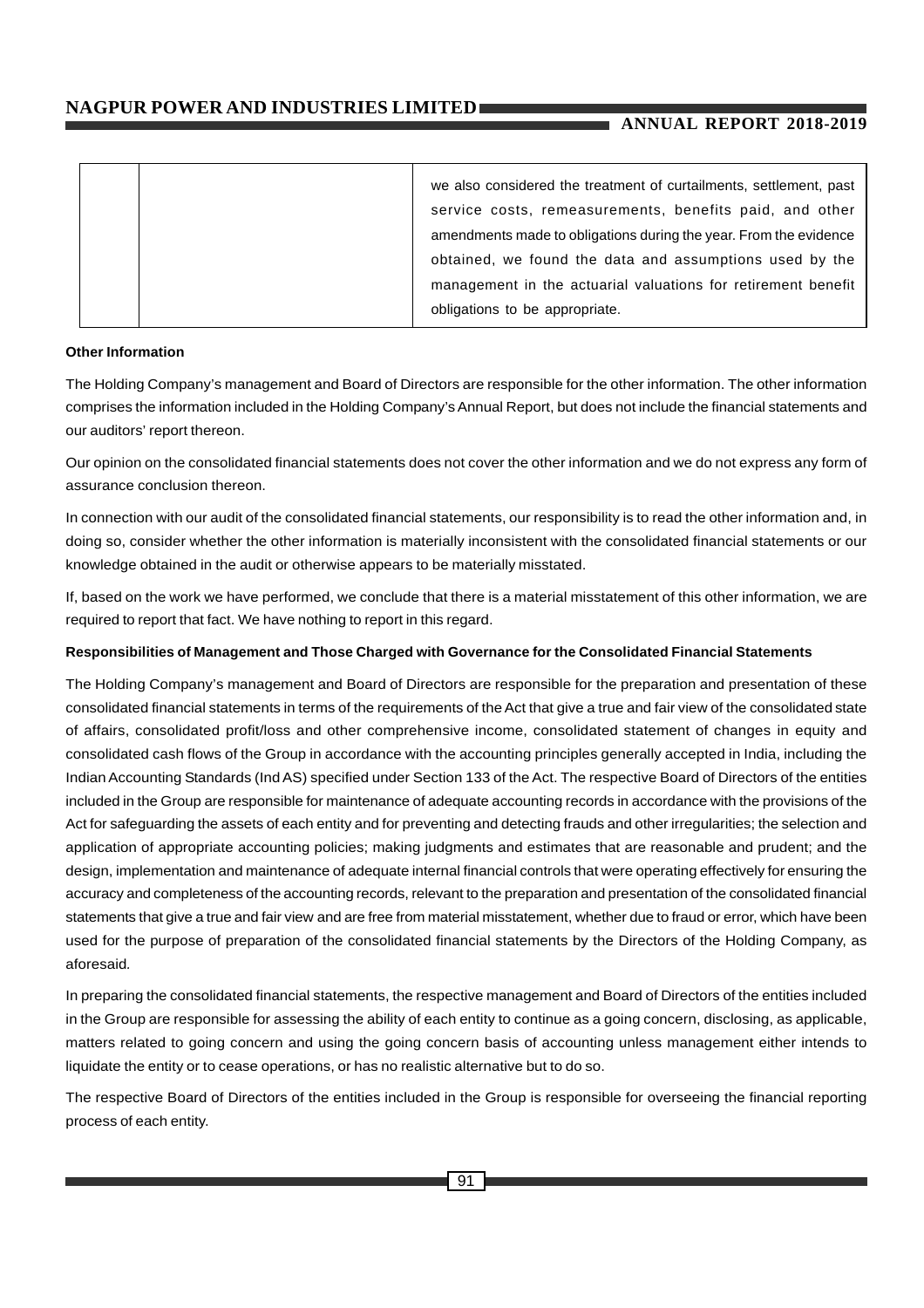## **ANNUAL REPORT 2018-2019**

|  | we also considered the treatment of curtailments, settlement, past |
|--|--------------------------------------------------------------------|
|  | service costs, remeasurements, benefits paid, and other            |
|  | amendments made to obligations during the year. From the evidence  |
|  | obtained, we found the data and assumptions used by the            |
|  | management in the actuarial valuations for retirement benefit      |
|  | obligations to be appropriate.                                     |
|  |                                                                    |

### **Other Information**

The Holding Company's management and Board of Directors are responsible for the other information. The other information comprises the information included in the Holding Company's Annual Report, but does not include the financial statements and our auditors' report thereon.

Our opinion on the consolidated financial statements does not cover the other information and we do not express any form of assurance conclusion thereon.

In connection with our audit of the consolidated financial statements, our responsibility is to read the other information and, in doing so, consider whether the other information is materially inconsistent with the consolidated financial statements or our knowledge obtained in the audit or otherwise appears to be materially misstated.

If, based on the work we have performed, we conclude that there is a material misstatement of this other information, we are required to report that fact. We have nothing to report in this regard.

## **Responsibilities of Management and Those Charged with Governance for the Consolidated Financial Statements**

The Holding Company's management and Board of Directors are responsible for the preparation and presentation of these consolidated financial statements in terms of the requirements of the Act that give a true and fair view of the consolidated state of affairs, consolidated profit/loss and other comprehensive income, consolidated statement of changes in equity and consolidated cash flows of the Group in accordance with the accounting principles generally accepted in India, including the Indian Accounting Standards (Ind AS) specified under Section 133 of the Act. The respective Board of Directors of the entities included in the Group are responsible for maintenance of adequate accounting records in accordance with the provisions of the Act for safeguarding the assets of each entity and for preventing and detecting frauds and other irregularities; the selection and application of appropriate accounting policies; making judgments and estimates that are reasonable and prudent; and the design, implementation and maintenance of adequate internal financial controls that were operating effectively for ensuring the accuracy and completeness of the accounting records, relevant to the preparation and presentation of the consolidated financial statements that give a true and fair view and are free from material misstatement, whether due to fraud or error, which have been used for the purpose of preparation of the consolidated financial statements by the Directors of the Holding Company, as aforesaid*.*

In preparing the consolidated financial statements, the respective management and Board of Directors of the entities included in the Group are responsible for assessing the ability of each entity to continue as a going concern, disclosing, as applicable, matters related to going concern and using the going concern basis of accounting unless management either intends to liquidate the entity or to cease operations, or has no realistic alternative but to do so.

The respective Board of Directors of the entities included in the Group is responsible for overseeing the financial reporting process of each entity.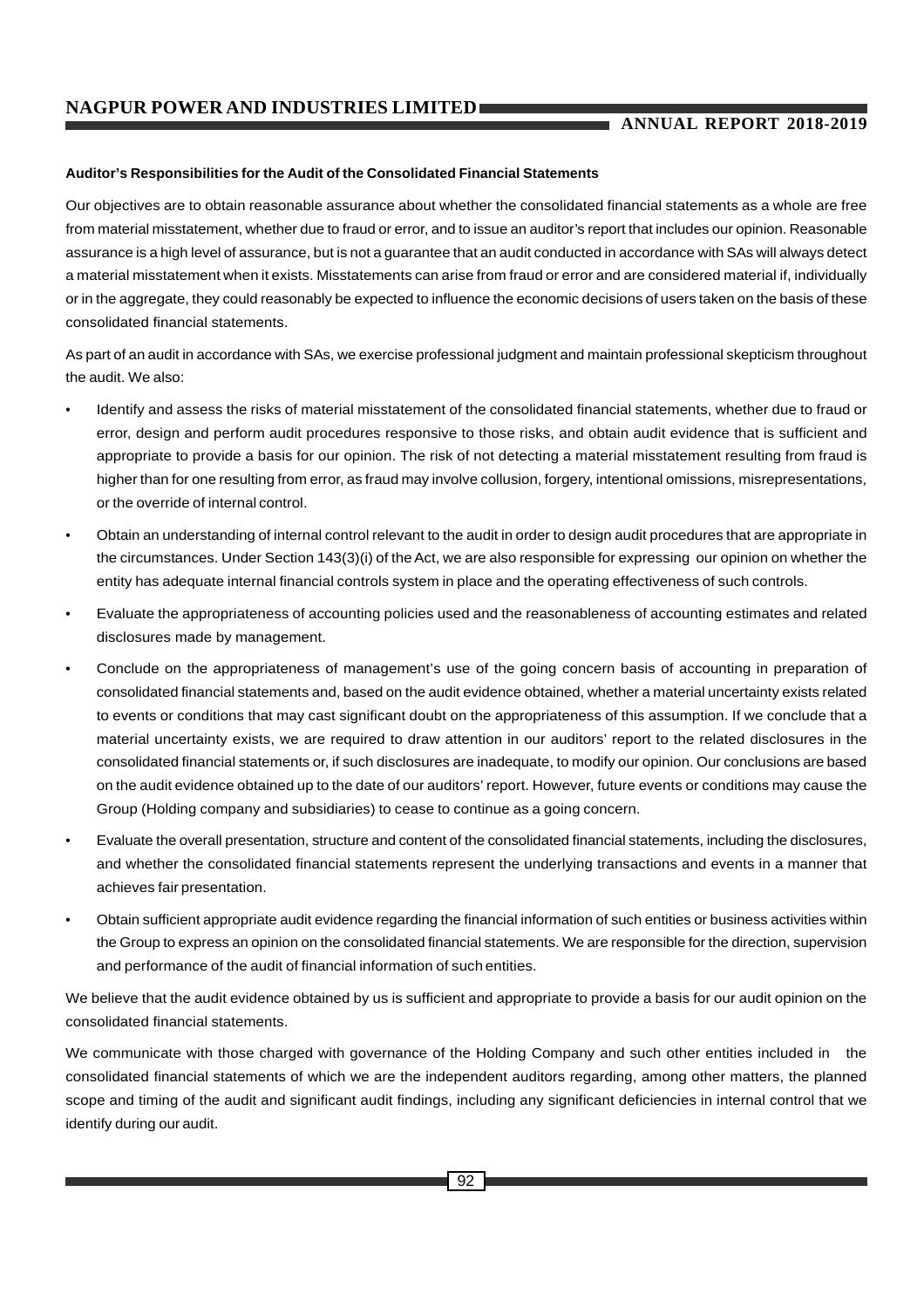### **Auditor's Responsibilities for the Audit of the Consolidated Financial Statements**

Our objectives are to obtain reasonable assurance about whether the consolidated financial statements as a whole are free from material misstatement, whether due to fraud or error, and to issue an auditor's report that includes our opinion. Reasonable assurance is a high level of assurance, but is not a guarantee that an audit conducted in accordance with SAs will always detect a material misstatement when it exists. Misstatements can arise from fraud or error and are considered material if, individually or in the aggregate, they could reasonably be expected to influence the economic decisions of users taken on the basis of these consolidated financial statements.

As part of an audit in accordance with SAs, we exercise professional judgment and maintain professional skepticism throughout the audit. We also:

- Identify and assess the risks of material misstatement of the consolidated financial statements, whether due to fraud or error, design and perform audit procedures responsive to those risks, and obtain audit evidence that is sufficient and appropriate to provide a basis for our opinion. The risk of not detecting a material misstatement resulting from fraud is higher than for one resulting from error, as fraud may involve collusion, forgery, intentional omissions, misrepresentations, or the override of internal control.
- Obtain an understanding of internal control relevant to the audit in order to design audit procedures that are appropriate in the circumstances. Under Section 143(3)(i) of the Act, we are also responsible for expressing our opinion on whether the entity has adequate internal financial controls system in place and the operating effectiveness of such controls.
- Evaluate the appropriateness of accounting policies used and the reasonableness of accounting estimates and related disclosures made by management.
- Conclude on the appropriateness of management's use of the going concern basis of accounting in preparation of consolidated financial statements and, based on the audit evidence obtained, whether a material uncertainty exists related to events or conditions that may cast significant doubt on the appropriateness of this assumption. If we conclude that a material uncertainty exists, we are required to draw attention in our auditors' report to the related disclosures in the consolidated financial statements or, if such disclosures are inadequate, to modify our opinion. Our conclusions are based on the audit evidence obtained up to the date of our auditors' report. However, future events or conditions may cause the Group (Holding company and subsidiaries) to cease to continue as a going concern.
- Evaluate the overall presentation, structure and content of the consolidated financial statements, including the disclosures, and whether the consolidated financial statements represent the underlying transactions and events in a manner that achieves fair presentation.
- Obtain sufficient appropriate audit evidence regarding the financial information of such entities or business activities within the Group to express an opinion on the consolidated financial statements. We are responsible for the direction, supervision and performance of the audit of financial information of such entities.

We believe that the audit evidence obtained by us is sufficient and appropriate to provide a basis for our audit opinion on the consolidated financial statements.

We communicate with those charged with governance of the Holding Company and such other entities included in the consolidated financial statements of which we are the independent auditors regarding, among other matters, the planned scope and timing of the audit and significant audit findings, including any significant deficiencies in internal control that we identify during our audit.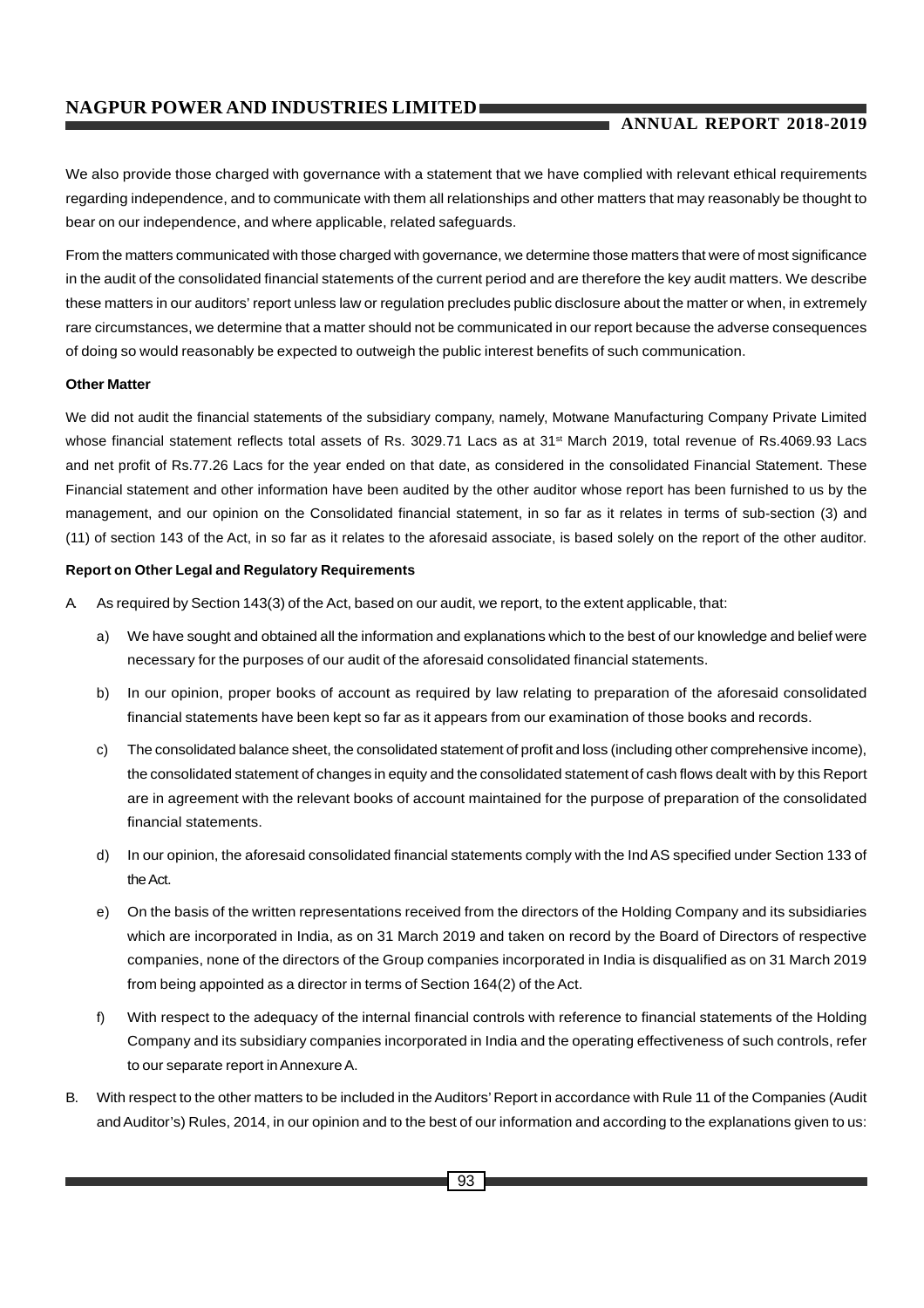## **ANNUAL REPORT 2018-2019**

We also provide those charged with governance with a statement that we have complied with relevant ethical requirements regarding independence, and to communicate with them all relationships and other matters that may reasonably be thought to bear on our independence, and where applicable, related safeguards.

From the matters communicated with those charged with governance, we determine those matters that were of most significance in the audit of the consolidated financial statements of the current period and are therefore the key audit matters. We describe these matters in our auditors' report unless law or regulation precludes public disclosure about the matter or when, in extremely rare circumstances, we determine that a matter should not be communicated in our report because the adverse consequences of doing so would reasonably be expected to outweigh the public interest benefits of such communication.

## **Other Matter**

We did not audit the financial statements of the subsidiary company, namely, Motwane Manufacturing Company Private Limited whose financial statement reflects total assets of Rs. 3029.71 Lacs as at 31<sup>st</sup> March 2019, total revenue of Rs.4069.93 Lacs and net profit of Rs.77.26 Lacs for the year ended on that date, as considered in the consolidated Financial Statement. These Financial statement and other information have been audited by the other auditor whose report has been furnished to us by the management, and our opinion on the Consolidated financial statement, in so far as it relates in terms of sub-section (3) and (11) of section 143 of the Act, in so far as it relates to the aforesaid associate, is based solely on the report of the other auditor.

### **Report on Other Legal and Regulatory Requirements**

- A. As required by Section 143(3) of the Act, based on our audit, we report, to the extent applicable, that:
	- a) We have sought and obtained all the information and explanations which to the best of our knowledge and belief were necessary for the purposes of our audit of the aforesaid consolidated financial statements.
	- b) In our opinion, proper books of account as required by law relating to preparation of the aforesaid consolidated financial statements have been kept so far as it appears from our examination of those books and records.
	- c) The consolidated balance sheet, the consolidated statement of profit and loss (including other comprehensive income), the consolidated statement of changes in equity and the consolidated statement of cash flows dealt with by this Report are in agreement with the relevant books of account maintained for the purpose of preparation of the consolidated financial statements.
	- d) In our opinion, the aforesaid consolidated financial statements comply with the Ind AS specified under Section 133 of the Act.
	- e) On the basis of the written representations received from the directors of the Holding Company and its subsidiaries which are incorporated in India, as on 31 March 2019 and taken on record by the Board of Directors of respective companies, none of the directors of the Group companies incorporated in India is disqualified as on 31 March 2019 from being appointed as a director in terms of Section 164(2) of the Act.
	- f) With respect to the adequacy of the internal financial controls with reference to financial statements of the Holding Company and its subsidiary companies incorporated in India and the operating effectiveness of such controls, refer to our separate report in Annexure A.
- B. With respect to the other matters to be included in the Auditors' Report in accordance with Rule 11 of the Companies (Audit and Auditor's) Rules, 2014, in our opinion and to the best of our information and according to the explanations given to us: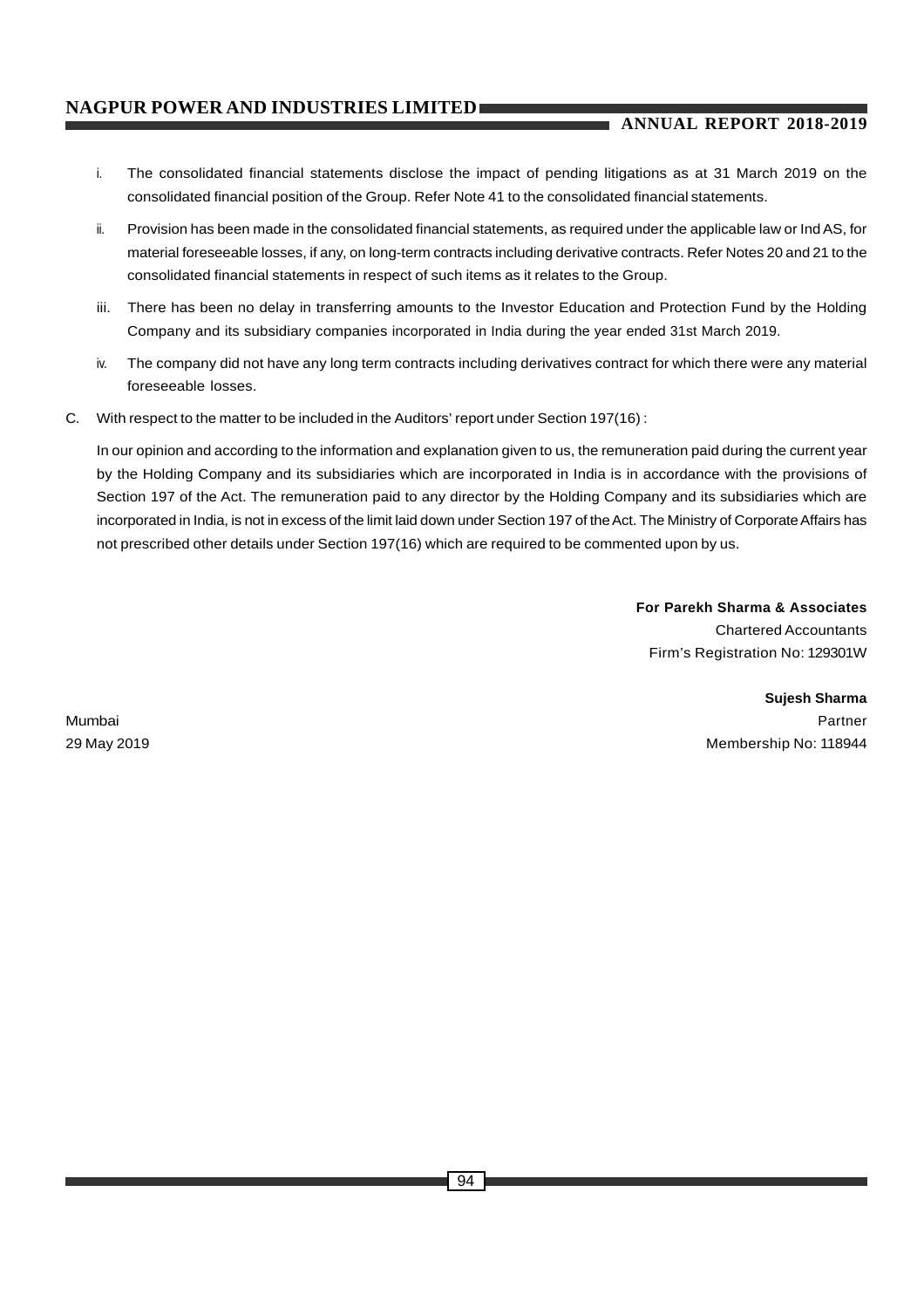## **ANNUAL REPORT 2018-2019**

- i. The consolidated financial statements disclose the impact of pending litigations as at 31 March 2019 on the consolidated financial position of the Group. Refer Note 41 to the consolidated financial statements.
- ii. Provision has been made in the consolidated financial statements, as required under the applicable law or Ind AS, for material foreseeable losses, if any, on long-term contracts including derivative contracts. Refer Notes 20 and 21 to the consolidated financial statements in respect of such items as it relates to the Group.
- iii. There has been no delay in transferring amounts to the Investor Education and Protection Fund by the Holding Company and its subsidiary companies incorporated in India during the year ended 31st March 2019.
- iv. The company did not have any long term contracts including derivatives contract for which there were any material foreseeable losses.
- C. With respect to the matter to be included in the Auditors' report under Section 197(16) :

In our opinion and according to the information and explanation given to us, the remuneration paid during the current year by the Holding Company and its subsidiaries which are incorporated in India is in accordance with the provisions of Section 197 of the Act. The remuneration paid to any director by the Holding Company and its subsidiaries which are incorporated in India, is not in excess of the limit laid down under Section 197 of the Act. The Ministry of Corporate Affairs has not prescribed other details under Section 197(16) which are required to be commented upon by us.

> **For Parekh Sharma & Associates** Chartered Accountants Firm's Registration No: 129301W

 **Sujesh Sharma** Mumbai Partner 29 May 2019 Membership No: 118944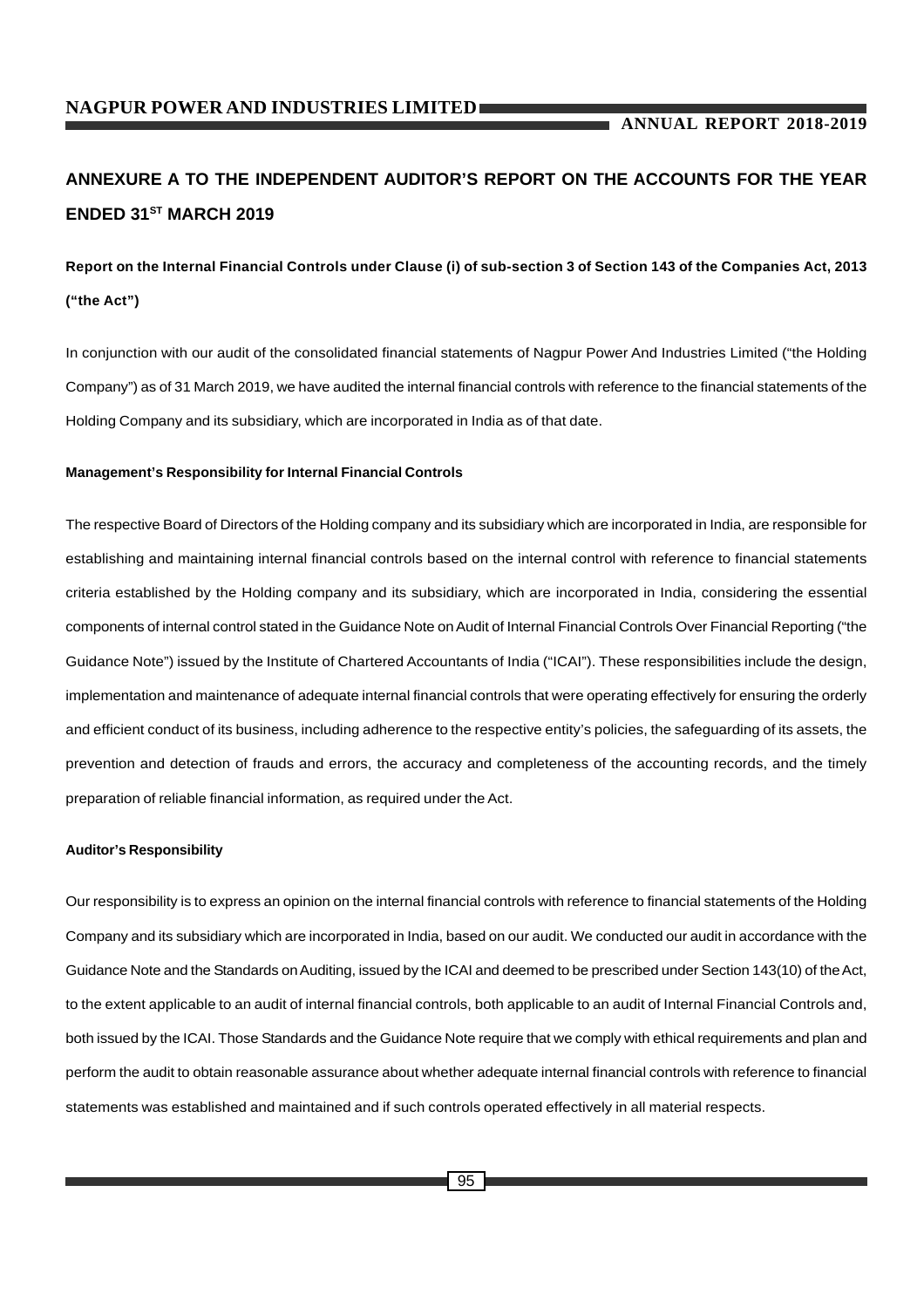## **ANNEXURE A TO THE INDEPENDENT AUDITOR'S REPORT ON THE ACCOUNTS FOR THE YEAR ENDED 31ST MARCH 2019**

## **Report on the Internal Financial Controls under Clause (i) of sub-section 3 of Section 143 of the Companies Act, 2013 ("the Act")**

In conjunction with our audit of the consolidated financial statements of Nagpur Power And Industries Limited ("the Holding Company") as of 31 March 2019, we have audited the internal financial controls with reference to the financial statements of the Holding Company and its subsidiary, which are incorporated in India as of that date.

### **Management's Responsibility for Internal Financial Controls**

The respective Board of Directors of the Holding company and its subsidiary which are incorporated in India, are responsible for establishing and maintaining internal financial controls based on the internal control with reference to financial statements criteria established by the Holding company and its subsidiary, which are incorporated in India, considering the essential components of internal control stated in the Guidance Note on Audit of Internal Financial Controls Over Financial Reporting ("the Guidance Note") issued by the Institute of Chartered Accountants of India ("ICAI"). These responsibilities include the design, implementation and maintenance of adequate internal financial controls that were operating effectively for ensuring the orderly and efficient conduct of its business, including adherence to the respective entity's policies, the safeguarding of its assets, the prevention and detection of frauds and errors, the accuracy and completeness of the accounting records, and the timely preparation of reliable financial information, as required under the Act.

#### **Auditor's Responsibility**

Our responsibility is to express an opinion on the internal financial controls with reference to financial statements of the Holding Company and its subsidiary which are incorporated in India, based on our audit. We conducted our audit in accordance with the Guidance Note and the Standards on Auditing, issued by the ICAI and deemed to be prescribed under Section 143(10) of the Act, to the extent applicable to an audit of internal financial controls, both applicable to an audit of Internal Financial Controls and, both issued by the ICAI. Those Standards and the Guidance Note require that we comply with ethical requirements and plan and perform the audit to obtain reasonable assurance about whether adequate internal financial controls with reference to financial statements was established and maintained and if such controls operated effectively in all material respects.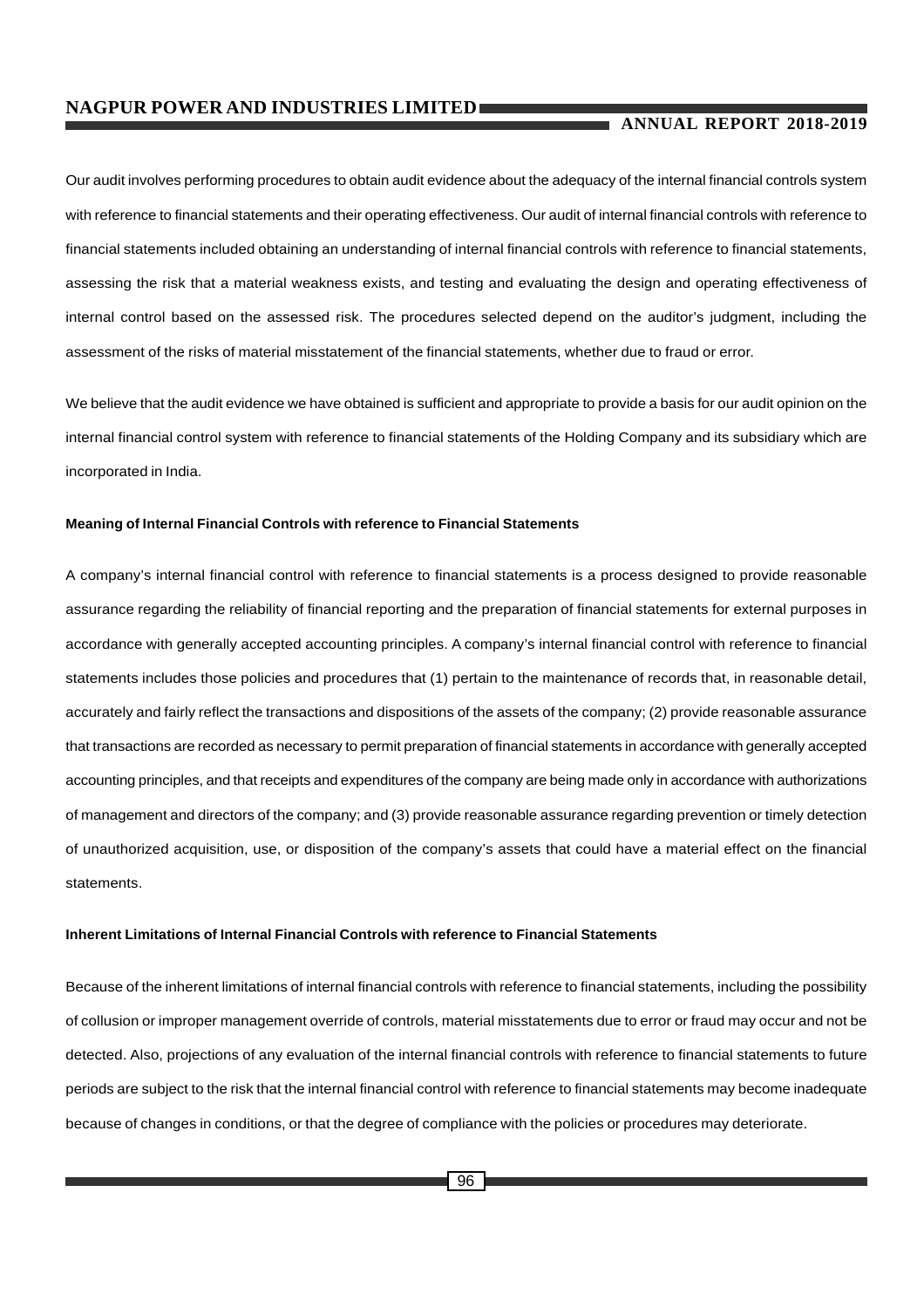### **ANNUAL REPORT 2018-2019**

Our audit involves performing procedures to obtain audit evidence about the adequacy of the internal financial controls system with reference to financial statements and their operating effectiveness. Our audit of internal financial controls with reference to financial statements included obtaining an understanding of internal financial controls with reference to financial statements, assessing the risk that a material weakness exists, and testing and evaluating the design and operating effectiveness of internal control based on the assessed risk. The procedures selected depend on the auditor's judgment, including the assessment of the risks of material misstatement of the financial statements, whether due to fraud or error.

We believe that the audit evidence we have obtained is sufficient and appropriate to provide a basis for our audit opinion on the internal financial control system with reference to financial statements of the Holding Company and its subsidiary which are incorporated in India.

#### **Meaning of Internal Financial Controls with reference to Financial Statements**

A company's internal financial control with reference to financial statements is a process designed to provide reasonable assurance regarding the reliability of financial reporting and the preparation of financial statements for external purposes in accordance with generally accepted accounting principles. A company's internal financial control with reference to financial statements includes those policies and procedures that (1) pertain to the maintenance of records that, in reasonable detail, accurately and fairly reflect the transactions and dispositions of the assets of the company; (2) provide reasonable assurance that transactions are recorded as necessary to permit preparation of financial statements in accordance with generally accepted accounting principles, and that receipts and expenditures of the company are being made only in accordance with authorizations of management and directors of the company; and (3) provide reasonable assurance regarding prevention or timely detection of unauthorized acquisition, use, or disposition of the company's assets that could have a material effect on the financial statements.

#### **Inherent Limitations of Internal Financial Controls with reference to Financial Statements**

Because of the inherent limitations of internal financial controls with reference to financial statements, including the possibility of collusion or improper management override of controls, material misstatements due to error or fraud may occur and not be detected. Also, projections of any evaluation of the internal financial controls with reference to financial statements to future periods are subject to the risk that the internal financial control with reference to financial statements may become inadequate because of changes in conditions, or that the degree of compliance with the policies or procedures may deteriorate.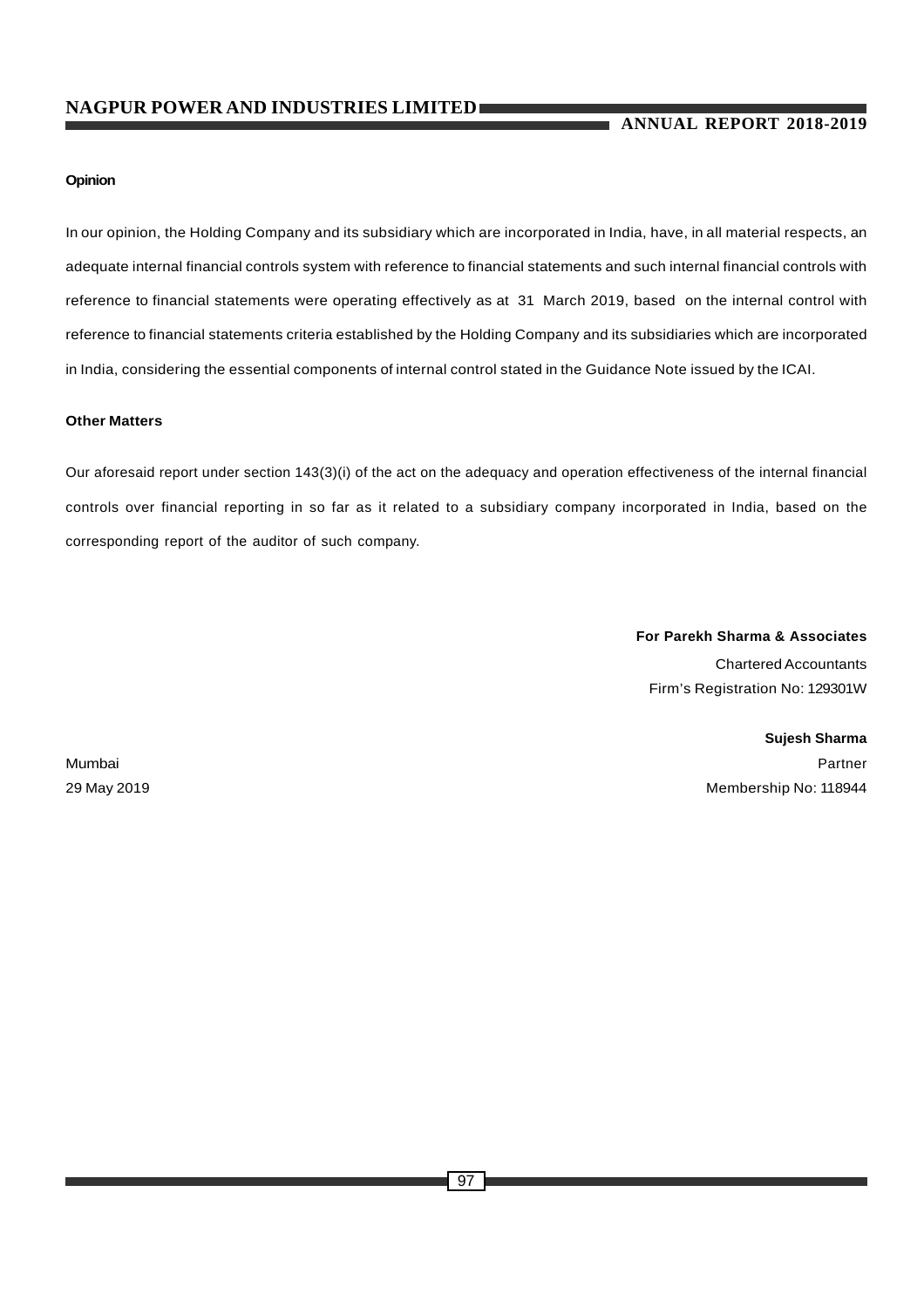## **ANNUAL REPORT 2018-2019**

## **Opinion**

In our opinion, the Holding Company and its subsidiary which are incorporated in India, have, in all material respects, an adequate internal financial controls system with reference to financial statements and such internal financial controls with reference to financial statements were operating effectively as at 31 March 2019, based on the internal control with reference to financial statements criteria established by the Holding Company and its subsidiaries which are incorporated in India, considering the essential components of internal control stated in the Guidance Note issued by the ICAI.

## **Other Matters**

Our aforesaid report under section 143(3)(i) of the act on the adequacy and operation effectiveness of the internal financial controls over financial reporting in so far as it related to a subsidiary company incorporated in India, based on the corresponding report of the auditor of such company.

## **For Parekh Sharma & Associates**

Chartered Accountants Firm's Registration No: 129301W

 **Sujesh Sharma** Mumbai Partner 29 May 2019 Membership No: 118944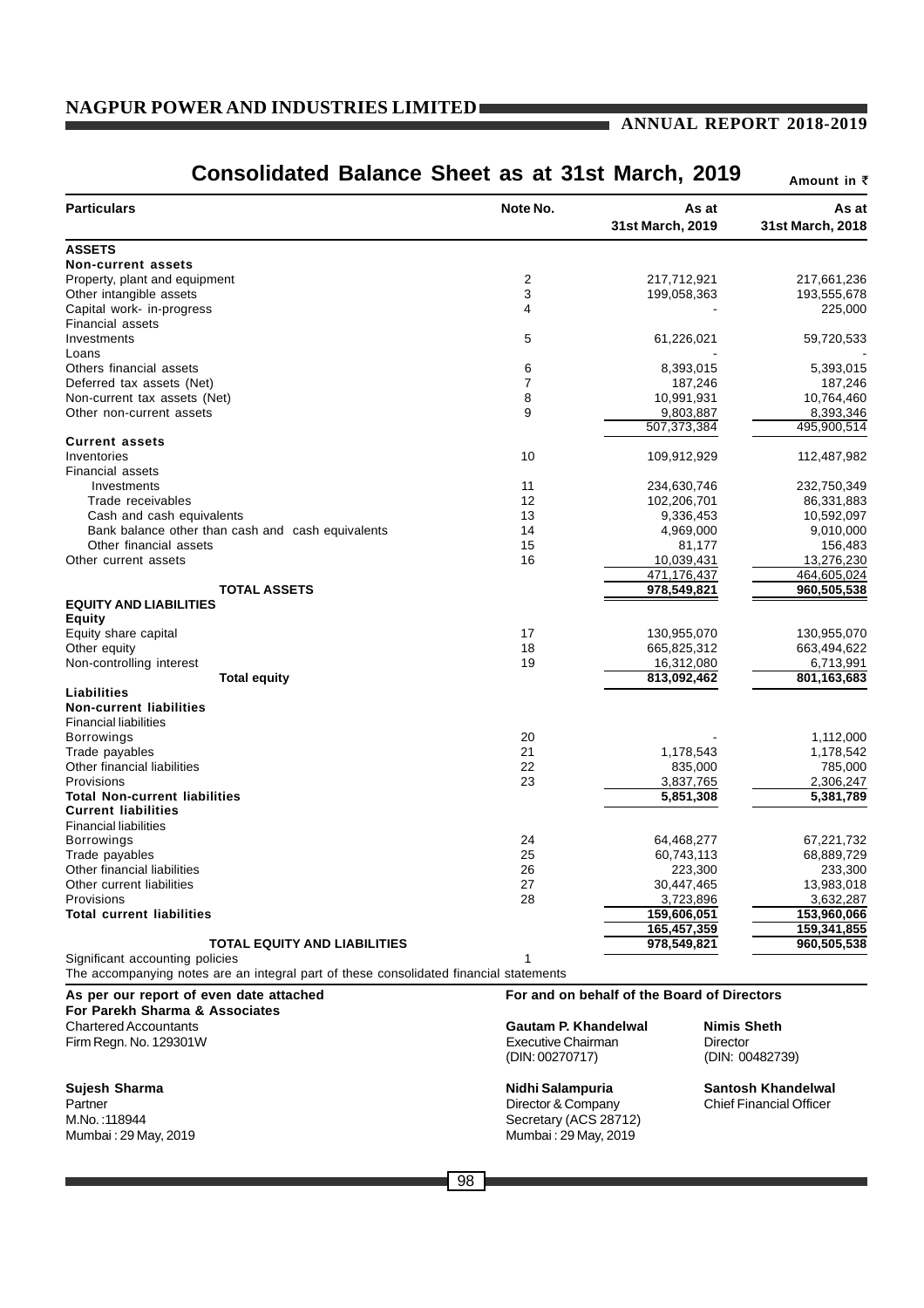## **ANNUAL REPORT 2018-2019**

| Consolidated Balance Sheet as at STSt March, 2019<br>Amount in ₹ |                |                           |                           |  |  |
|------------------------------------------------------------------|----------------|---------------------------|---------------------------|--|--|
| <b>Particulars</b>                                               | Note No.       | As at<br>31st March, 2019 | As at<br>31st March, 2018 |  |  |
| <b>ASSETS</b>                                                    |                |                           |                           |  |  |
| <b>Non-current assets</b>                                        |                |                           |                           |  |  |
| Property, plant and equipment                                    | 2              | 217,712,921               | 217,661,236               |  |  |
| Other intangible assets                                          | 3              | 199,058,363               | 193,555,678               |  |  |
| Capital work- in-progress                                        | 4              |                           | 225,000                   |  |  |
| <b>Financial assets</b>                                          |                |                           |                           |  |  |
| Investments                                                      | 5              | 61,226,021                | 59,720,533                |  |  |
| Loans                                                            |                |                           |                           |  |  |
| Others financial assets                                          | 6              | 8,393,015                 | 5,393,015                 |  |  |
| Deferred tax assets (Net)                                        | $\overline{7}$ | 187,246                   | 187,246                   |  |  |
| Non-current tax assets (Net)                                     | 8              | 10,991,931                | 10,764,460                |  |  |
| Other non-current assets                                         | 9              | 9,803,887                 | 8,393,346                 |  |  |
|                                                                  |                | 507,373,384               | 495,900,514               |  |  |
| <b>Current assets</b>                                            |                |                           |                           |  |  |
| Inventories                                                      | 10             | 109,912,929               | 112,487,982               |  |  |
| <b>Financial assets</b>                                          |                |                           |                           |  |  |
| Investments                                                      | 11             | 234,630,746               | 232,750,349               |  |  |
| Trade receivables                                                | 12             | 102,206,701               | 86,331,883                |  |  |
| Cash and cash equivalents                                        | 13             | 9,336,453                 | 10,592,097                |  |  |
| Bank balance other than cash and cash equivalents                | 14             | 4,969,000                 | 9,010,000                 |  |  |
| Other financial assets                                           | 15             | 81,177                    | 156,483                   |  |  |
| Other current assets                                             | 16             | 10,039,431                | 13,276,230                |  |  |
|                                                                  |                | 471,176,437               | 464,605,024               |  |  |
| <b>TOTAL ASSETS</b>                                              |                | 978,549,821               | 960,505,538               |  |  |
| <b>EQUITY AND LIABILITIES</b>                                    |                |                           |                           |  |  |
| <b>Equity</b>                                                    |                |                           |                           |  |  |
| Equity share capital                                             | 17             | 130,955,070               | 130,955,070               |  |  |
| Other equity                                                     | 18             | 665,825,312               | 663,494,622               |  |  |
| Non-controlling interest                                         | 19             | 16,312,080                | 6,713,991                 |  |  |
| <b>Total equity</b>                                              |                | 813,092,462               | 801,163,683               |  |  |
| <b>Liabilities</b>                                               |                |                           |                           |  |  |
| <b>Non-current liabilities</b>                                   |                |                           |                           |  |  |
| <b>Financial liabilities</b>                                     |                |                           |                           |  |  |
| <b>Borrowings</b>                                                | 20             |                           | 1,112,000                 |  |  |
| Trade payables                                                   | 21             | 1,178,543                 | 1,178,542                 |  |  |
| Other financial liabilities                                      | 22             | 835,000                   | 785,000                   |  |  |
| Provisions                                                       | 23             | 3,837,765                 | 2,306,247                 |  |  |
| <b>Total Non-current liabilities</b>                             |                | 5,851,308                 | 5,381,789                 |  |  |
| <b>Current liabilities</b>                                       |                |                           |                           |  |  |
| <b>Financial liabilities</b>                                     |                |                           |                           |  |  |
| <b>Borrowings</b>                                                | 24             | 64,468,277                | 67,221,732                |  |  |
| Trade payables                                                   | 25             | 60,743,113                | 68,889,729                |  |  |
| Other financial liabilities                                      | 26             | 223,300                   | 233,300                   |  |  |
| Other current liabilities                                        | 27             | 30,447,465                | 13,983,018                |  |  |
| Provisions                                                       | 28             | 3,723,896                 | 3,632,287                 |  |  |
| <b>Total current liabilities</b>                                 |                | 159,606,051               | 153,960,066               |  |  |
|                                                                  |                | 165,457,359               | 159,341,855               |  |  |
| <b>TOTAL EQUITY AND LIABILITIES</b>                              |                | 978,549,821               | 960,505,538               |  |  |
| Significant accounting policies                                  | 1              |                           |                           |  |  |
|                                                                  |                |                           |                           |  |  |

## **Consolidated Balance Sheet as at 31st March, 2019**

The accompanying notes are an integral part of these consolidated financial statements

# As per our report of even date attached **For and on behalf of the Board of Directors For Parekh Sharma & Associates**

Partner Director & Company M.No.:118944<br>M.No.:118944 **Chief Financial Officers** Officers of the Chief Financial Officers of Secretary (ACS 287 Mumbai: 29 May, 2019

Gautam P. Khandelwal Nimis Sheth Firm Regn. No. 129301W **Executive Chairman** Director **Director Executive Chairman** Director **DIN: 00270717** (DIN: 00

Secretary (ACS 28712)<br>Mumbai : 29 May, 2019

(DIN: 00482739)

**Sujesh Sharma Nidhi Salampuria Santosh Khandelwal**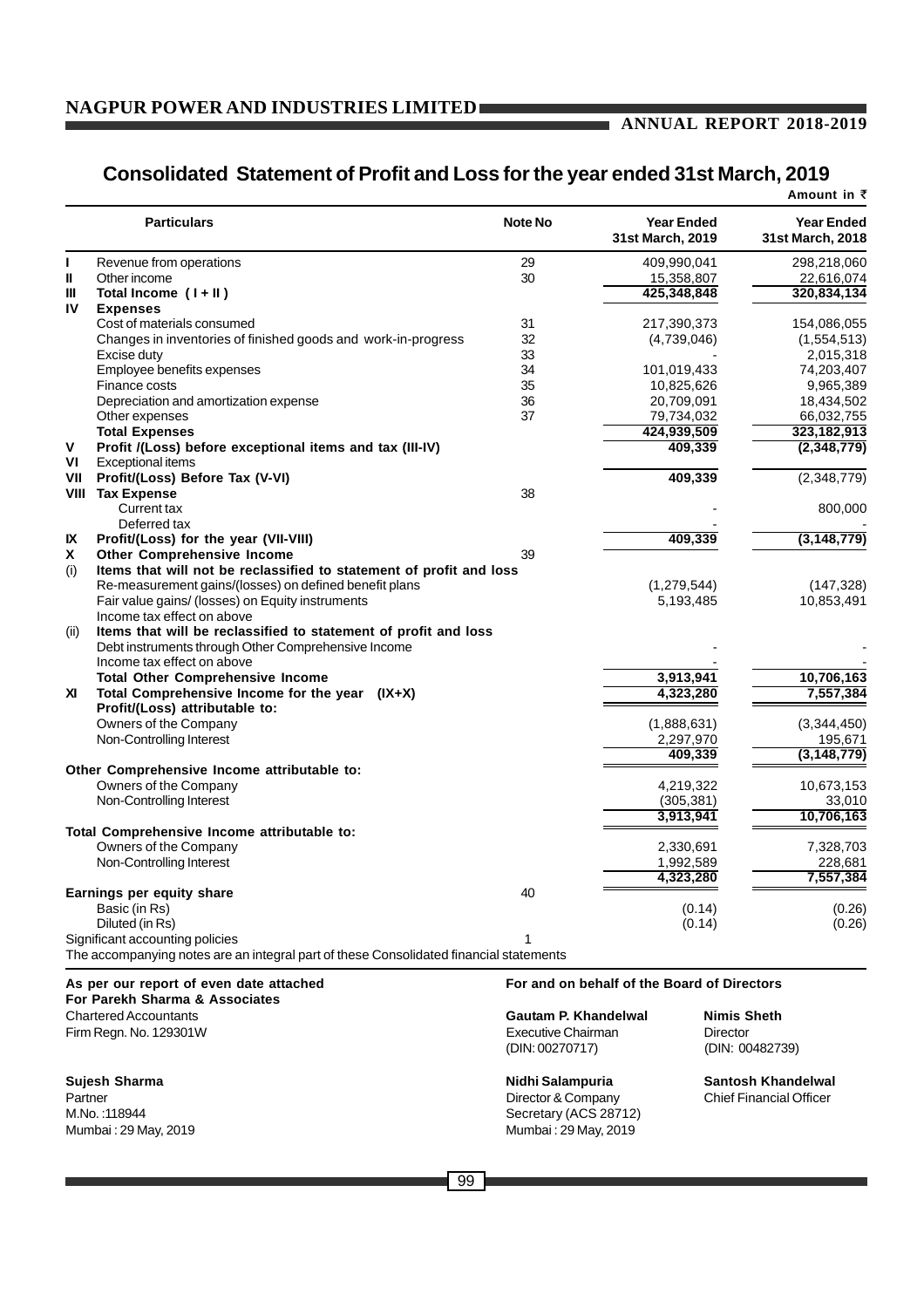## **Consolidated Statement of Profit and Loss for the year ended 31st March, 2019**

|      |                                                                                        |                             |                                             | Amount in $\bar{z}$                   |
|------|----------------------------------------------------------------------------------------|-----------------------------|---------------------------------------------|---------------------------------------|
|      | <b>Particulars</b>                                                                     | <b>Note No</b>              | <b>Year Ended</b><br>31st March, 2019       | <b>Year Ended</b><br>31st March, 2018 |
| L    | Revenue from operations                                                                | 29                          | 409,990,041                                 | 298,218,060                           |
| Ш    | Other income                                                                           | 30                          | 15,358,807                                  | 22,616,074                            |
| Ш    | Total Income $(1 + 11)$                                                                |                             | 425,348,848                                 | 320,834,134                           |
| IV   | <b>Expenses</b>                                                                        |                             |                                             |                                       |
|      | Cost of materials consumed                                                             | 31                          | 217,390,373                                 | 154,086,055                           |
|      | Changes in inventories of finished goods and work-in-progress                          | 32                          | (4,739,046)                                 | (1, 554, 513)                         |
|      | Excise duty                                                                            | 33                          |                                             | 2,015,318                             |
|      | Employee benefits expenses                                                             | 34                          | 101,019,433                                 | 74,203,407                            |
|      | Finance costs                                                                          | 35                          | 10,825,626                                  | 9,965,389                             |
|      | Depreciation and amortization expense                                                  | 36                          | 20,709,091                                  | 18,434,502                            |
|      | Other expenses                                                                         | 37                          | 79,734,032                                  | 66,032,755                            |
|      | <b>Total Expenses</b>                                                                  |                             | 424,939,509                                 | 323, 182, 913                         |
| V    | Profit /(Loss) before exceptional items and tax (III-IV)                               |                             | 409,339                                     | (2,348,779)                           |
| VI   | Exceptional items                                                                      |                             |                                             |                                       |
| VII  | Profit/(Loss) Before Tax (V-VI)                                                        |                             | 409,339                                     | (2,348,779)                           |
|      | <b>VIII Tax Expense</b>                                                                | 38                          |                                             |                                       |
|      | Current tax                                                                            |                             |                                             | 800,000                               |
|      | Deferred tax                                                                           |                             |                                             |                                       |
| IX   | Profit/(Loss) for the year (VII-VIII)                                                  |                             | 409,339                                     | (3, 148, 779)                         |
| X    | <b>Other Comprehensive Income</b>                                                      | 39                          |                                             |                                       |
| (i)  | Items that will not be reclassified to statement of profit and loss                    |                             |                                             |                                       |
|      | Re-measurement gains/(losses) on defined benefit plans                                 |                             | (1, 279, 544)                               | (147, 328)                            |
|      | Fair value gains/ (losses) on Equity instruments                                       |                             | 5,193,485                                   | 10,853,491                            |
|      | Income tax effect on above                                                             |                             |                                             |                                       |
| (ii) | Items that will be reclassified to statement of profit and loss                        |                             |                                             |                                       |
|      | Debt instruments through Other Comprehensive Income                                    |                             |                                             |                                       |
|      | Income tax effect on above                                                             |                             |                                             |                                       |
|      | <b>Total Other Comprehensive Income</b>                                                |                             | 3,913,941                                   | 10,706,163                            |
| XI.  | Total Comprehensive Income for the year (IX+X)                                         |                             | 4,323,280                                   | 7,557,384                             |
|      | Profit/(Loss) attributable to:                                                         |                             |                                             |                                       |
|      | Owners of the Company                                                                  |                             | (1,888,631)                                 | (3,344,450)                           |
|      | Non-Controlling Interest                                                               |                             | 2,297,970                                   | 195,671                               |
|      |                                                                                        |                             | 409,339                                     | (3, 148, 779)                         |
|      | Other Comprehensive Income attributable to:                                            |                             |                                             |                                       |
|      | Owners of the Company                                                                  |                             | 4,219,322                                   | 10,673,153                            |
|      | Non-Controlling Interest                                                               |                             | (305, 381)                                  | 33,010                                |
|      |                                                                                        |                             | 3,913,941                                   | 10,706,163                            |
|      | Total Comprehensive Income attributable to:                                            |                             |                                             |                                       |
|      | Owners of the Company                                                                  |                             | 2,330,691                                   | 7,328,703                             |
|      | Non-Controlling Interest                                                               |                             | 1,992,589                                   | 228,681                               |
|      |                                                                                        |                             | 4,323,280                                   | 7,557,384                             |
|      | Earnings per equity share                                                              | 40                          |                                             |                                       |
|      | Basic (in Rs)                                                                          |                             | (0.14)                                      | (0.26)                                |
|      | Diluted (in Rs)                                                                        |                             | (0.14)                                      | (0.26)                                |
|      | Significant accounting policies                                                        | 1                           |                                             |                                       |
|      | The accompanying notes are an integral part of these Consolidated financial statements |                             |                                             |                                       |
|      | As per our report of even date attached                                                |                             | For and on behalf of the Board of Directors |                                       |
|      | For Parekh Sharma & Associates                                                         |                             |                                             |                                       |
|      | <b>Chartered Accountants</b>                                                           | <b>Gautam P. Khandelwal</b> |                                             | <b>Nimis Sheth</b>                    |
|      | Firm Regn. No. 129301W                                                                 | <b>Executive Chairman</b>   | <b>Director</b>                             |                                       |
|      |                                                                                        | (DIN: 00270717)             |                                             | (DIN: 00482739)                       |

M.No. :118944<br>
Mumbai : 29 May, 2019<br>
Mumbai : 29 May, 2019

(DIN: 00270717)

**Sujesh Sharma Nidhi Salampuria Santosh Khandelwal** Partner Partner (No. 2013)<br>
M.No.:118944<br>
M.No.:118944<br>
M.No.:118944 Mumbai: 29 May, 2019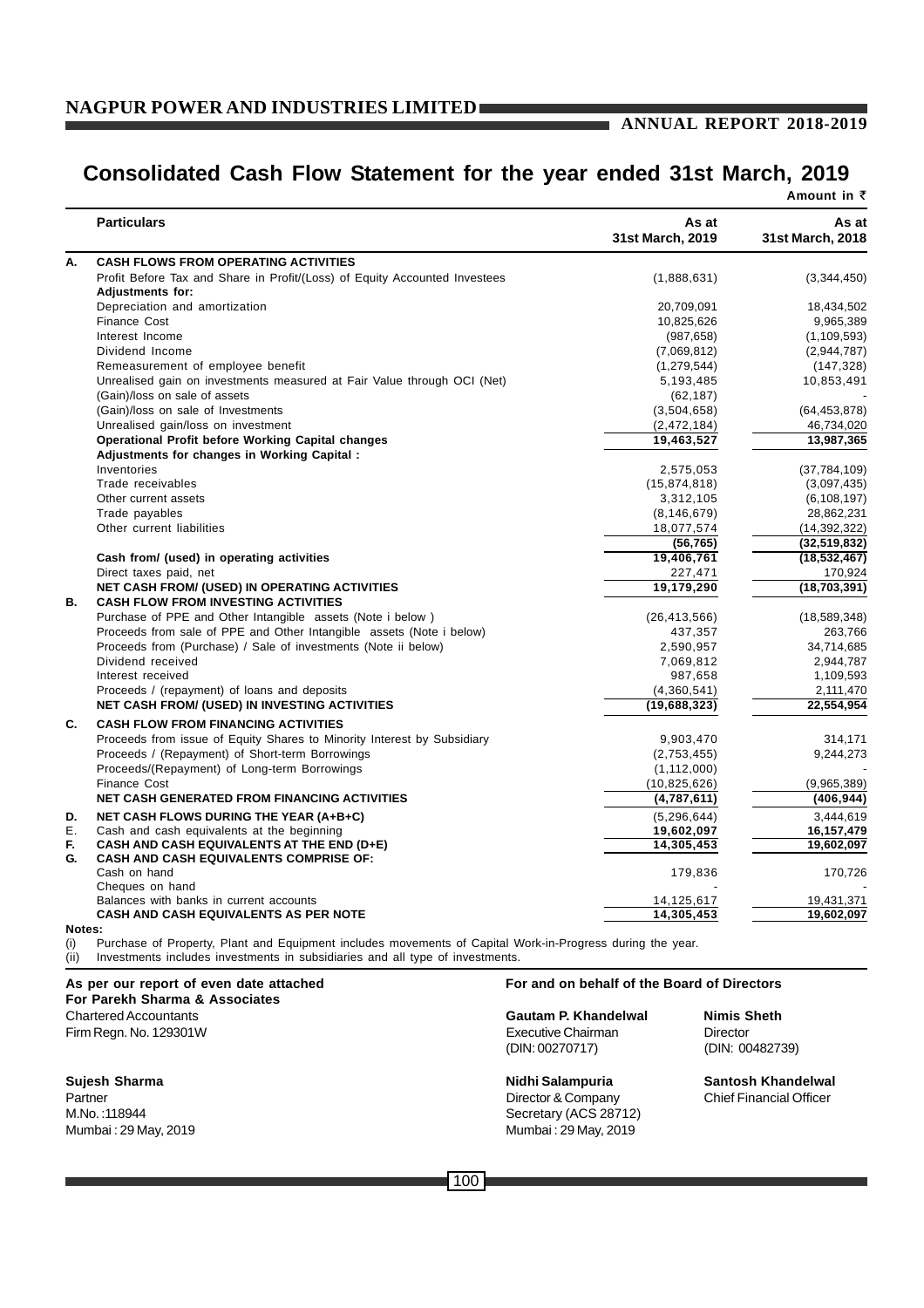## **Consolidated Cash Flow Statement for the year ended 31st March, 2019**

**Amount in** ₹

|        |                                                                                                       |                           | AUVUU UL Y                |
|--------|-------------------------------------------------------------------------------------------------------|---------------------------|---------------------------|
|        | <b>Particulars</b>                                                                                    | As at<br>31st March, 2019 | As at<br>31st March, 2018 |
| А.     | <b>CASH FLOWS FROM OPERATING ACTIVITIES</b>                                                           |                           |                           |
|        | Profit Before Tax and Share in Profit/(Loss) of Equity Accounted Investees<br><b>Adjustments for:</b> | (1,888,631)               | (3,344,450)               |
|        | Depreciation and amortization                                                                         | 20,709,091                | 18,434,502                |
|        | <b>Finance Cost</b>                                                                                   | 10,825,626                | 9,965,389                 |
|        | Interest Income                                                                                       | (987, 658)                | (1, 109, 593)             |
|        | Dividend Income                                                                                       | (7,069,812)               | (2,944,787)               |
|        | Remeasurement of employee benefit                                                                     | (1, 279, 544)             | (147, 328)                |
|        | Unrealised gain on investments measured at Fair Value through OCI (Net)                               | 5,193,485                 | 10,853,491                |
|        | (Gain)/loss on sale of assets                                                                         | (62, 187)                 |                           |
|        | (Gain)/loss on sale of Investments                                                                    | (3,504,658)               | (64, 453, 878)            |
|        | Unrealised gain/loss on investment                                                                    | (2,472,184)               | 46,734,020                |
|        | <b>Operational Profit before Working Capital changes</b>                                              | 19,463,527                | 13,987,365                |
|        | Adjustments for changes in Working Capital:                                                           |                           |                           |
|        | Inventories                                                                                           | 2,575,053                 | (37, 784, 109)            |
|        | Trade receivables                                                                                     | (15, 874, 818)            | (3,097,435)               |
|        | Other current assets                                                                                  | 3,312,105                 | (6, 108, 197)             |
|        | Trade payables                                                                                        | (8, 146, 679)             | 28,862,231                |
|        | Other current liabilities                                                                             | 18,077,574                | (14, 392, 322)            |
|        |                                                                                                       | (56, 765)                 | (32, 519, 832)            |
|        | Cash from/ (used) in operating activities                                                             | 19,406,761                | (18, 532, 467)            |
|        | Direct taxes paid, net                                                                                | 227,471                   | 170,924                   |
|        | NET CASH FROM/ (USED) IN OPERATING ACTIVITIES                                                         | 19,179,290                | (18, 703, 391)            |
| В.     | <b>CASH FLOW FROM INVESTING ACTIVITIES</b>                                                            |                           |                           |
|        | Purchase of PPE and Other Intangible assets (Note i below)                                            | (26, 413, 566)            | (18, 589, 348)            |
|        | Proceeds from sale of PPE and Other Intangible assets (Note i below)                                  | 437,357                   | 263,766                   |
|        | Proceeds from (Purchase) / Sale of investments (Note ii below)                                        | 2,590,957                 | 34,714,685                |
|        | Dividend received                                                                                     | 7,069,812                 | 2,944,787                 |
|        | Interest received                                                                                     | 987,658                   | 1,109,593                 |
|        | Proceeds / (repayment) of loans and deposits                                                          | (4,360,541)               | 2,111,470                 |
|        | <b>NET CASH FROM/ (USED) IN INVESTING ACTIVITIES</b>                                                  | (19,688,323)              | 22,554,954                |
| C.     | <b>CASH FLOW FROM FINANCING ACTIVITIES</b>                                                            |                           |                           |
|        | Proceeds from issue of Equity Shares to Minority Interest by Subsidiary                               | 9,903,470                 | 314,171                   |
|        | Proceeds / (Repayment) of Short-term Borrowings                                                       | (2,753,455)               | 9,244,273                 |
|        | Proceeds/(Repayment) of Long-term Borrowings                                                          | (1, 112, 000)             |                           |
|        | <b>Finance Cost</b>                                                                                   | (10,825,626)              | (9,965,389)               |
|        | <b>NET CASH GENERATED FROM FINANCING ACTIVITIES</b>                                                   | (4,787,611)               | (406, 944)                |
| D.     | <b>NET CASH FLOWS DURING THE YEAR (A+B+C)</b>                                                         | (5, 296, 644)             | 3.444.619                 |
| Е.     | Cash and cash equivalents at the beginning                                                            | 19,602,097                | 16, 157, 479              |
| F.     | CASH AND CASH EQUIVALENTS AT THE END (D+E)                                                            | 14,305,453                | 19,602,097                |
| G.     | <b>CASH AND CASH EQUIVALENTS COMPRISE OF:</b>                                                         |                           |                           |
|        | Cash on hand                                                                                          | 179,836                   | 170,726                   |
|        | Cheques on hand                                                                                       |                           |                           |
|        | Balances with banks in current accounts                                                               | 14,125,617                | 19,431,371                |
|        | <b>CASH AND CASH EQUIVALENTS AS PER NOTE</b>                                                          | 14,305,453                | 19,602,097                |
| Notes: |                                                                                                       |                           |                           |

(i) Purchase of Property, Plant and Equipment includes movements of Capital Work-in-Progress during the year.<br>(ii) Investments includes investments in subsidiaries and all type of investments.

Investments includes investments in subsidiaries and all type of investments.

## As per our report of even date attached **For and on behalf of the Board of Directors For Parekh Sharma & Associates** Chartered Accountants **Gautam P. Khandelwal Nimis Sheth**

Mumbai: 29 May, 2019

Firm Regn. No. 129301W **Executive Chairman** Director **Director Executive Chairman** Director **DIN: 00270717** (DIN: 00

**Sujesh Sharma Nidhi Salampuria Santosh Khandelwal** Partner Director & Company Chief Financial Officer Secretary (ACS 28712)<br>Mumbai : 29 May, 2019

(DIN: 00482739)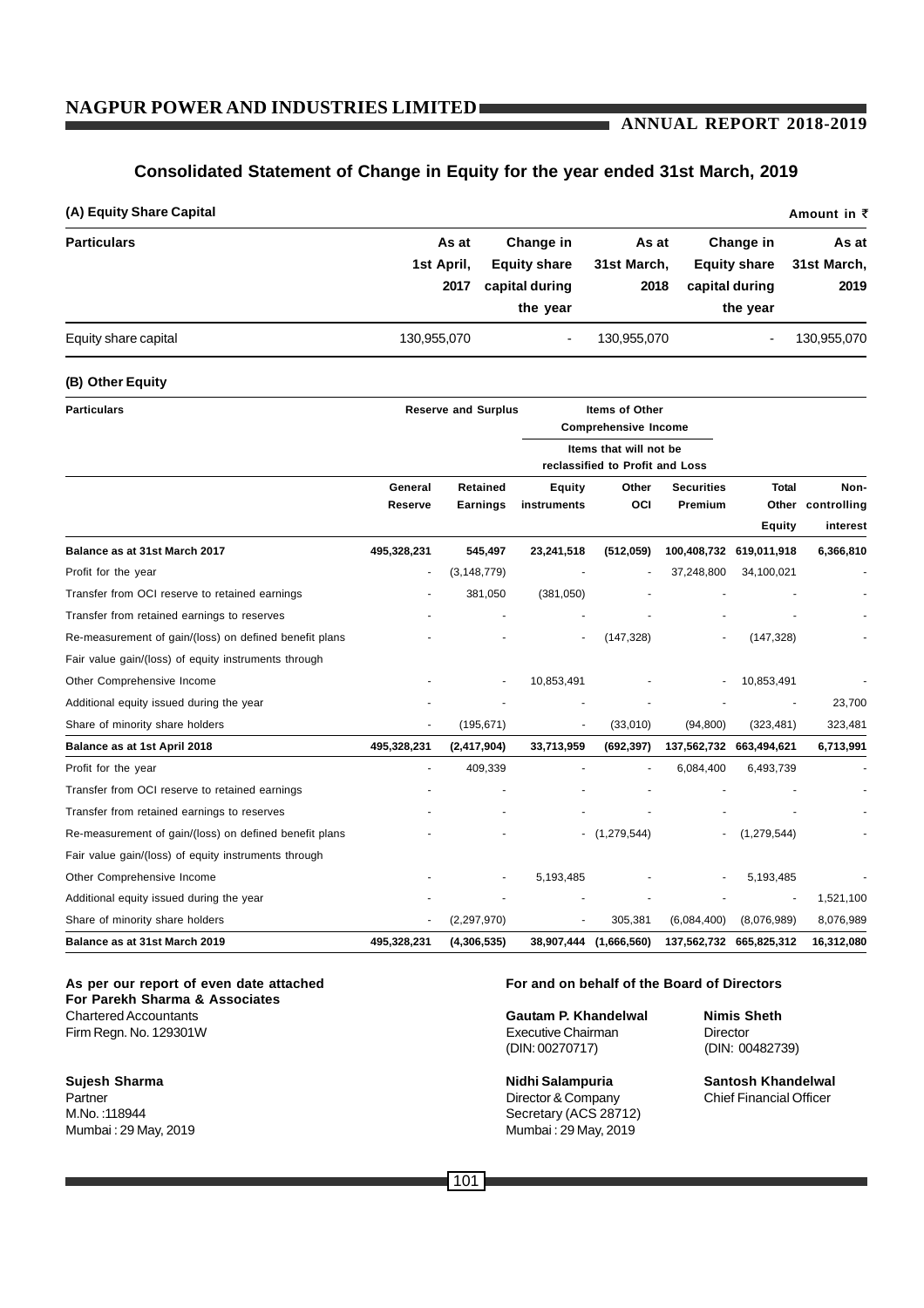## **Consolidated Statement of Change in Equity for the year ended 31st March, 2019**

| (A) Equity Share Capital |                             |                                                                |                                                                                |                                                                | Amount in $\bar{z}$          |
|--------------------------|-----------------------------|----------------------------------------------------------------|--------------------------------------------------------------------------------|----------------------------------------------------------------|------------------------------|
| <b>Particulars</b>       | As at<br>1st April,<br>2017 | Change in<br><b>Equity share</b><br>capital during<br>the year | As at<br>31st March,<br>2018                                                   | Change in<br><b>Equity share</b><br>capital during<br>the year | As at<br>31st March,<br>2019 |
| Equity share capital     | 130,955,070                 | ۰.                                                             | 130,955,070                                                                    |                                                                | 130,955,070                  |
| (B) Other Equity         |                             |                                                                |                                                                                |                                                                |                              |
| <b>Particulars</b>       | <b>Reserve and Surplus</b>  |                                                                | <b>Items of Other</b><br><b>Comprehensive Income</b><br>Items that will not be |                                                                |                              |

|                                                        | reclassified to Profit and Loss |                             |                       |                 |                              |                       |                     |
|--------------------------------------------------------|---------------------------------|-----------------------------|-----------------------|-----------------|------------------------------|-----------------------|---------------------|
|                                                        | General<br><b>Reserve</b>       | Retained<br><b>Earnings</b> | Equity<br>instruments | Other<br>OCI    | <b>Securities</b><br>Premium | <b>Total</b><br>Other | Non-<br>controlling |
|                                                        |                                 |                             |                       |                 |                              | Equity                | interest            |
| Balance as at 31st March 2017                          | 495,328,231                     | 545,497                     | 23,241,518            | (512,059)       | 100,408,732                  | 619,011,918           | 6,366,810           |
| Profit for the year                                    |                                 | (3, 148, 779)               |                       |                 | 37,248,800                   | 34,100,021            |                     |
| Transfer from OCI reserve to retained earnings         |                                 | 381,050                     | (381,050)             |                 |                              |                       |                     |
| Transfer from retained earnings to reserves            |                                 |                             |                       |                 |                              |                       |                     |
| Re-measurement of gain/(loss) on defined benefit plans |                                 |                             | ٠                     | (147, 328)      |                              | (147, 328)            |                     |
| Fair value gain/(loss) of equity instruments through   |                                 |                             |                       |                 |                              |                       |                     |
| Other Comprehensive Income                             |                                 |                             | 10,853,491            |                 |                              | 10,853,491            |                     |
| Additional equity issued during the year               |                                 |                             |                       |                 |                              |                       | 23,700              |
| Share of minority share holders                        |                                 | (195, 671)                  |                       | (33,010)        | (94, 800)                    | (323, 481)            | 323,481             |
| Balance as at 1st April 2018                           | 495,328,231                     | (2,417,904)                 | 33,713,959            | (692, 397)      | 137,562,732                  | 663,494,621           | 6,713,991           |
| Profit for the year                                    |                                 | 409,339                     |                       | $\blacksquare$  | 6,084,400                    | 6,493,739             |                     |
| Transfer from OCI reserve to retained earnings         |                                 |                             |                       |                 |                              |                       |                     |
| Transfer from retained earnings to reserves            |                                 |                             |                       |                 |                              |                       |                     |
| Re-measurement of gain/(loss) on defined benefit plans |                                 |                             |                       | $-$ (1,279,544) |                              | (1, 279, 544)         |                     |
| Fair value gain/(loss) of equity instruments through   |                                 |                             |                       |                 |                              |                       |                     |
| Other Comprehensive Income                             |                                 |                             | 5,193,485             |                 |                              | 5,193,485             |                     |
| Additional equity issued during the year               |                                 |                             |                       |                 |                              |                       | 1,521,100           |
| Share of minority share holders                        |                                 | (2, 297, 970)               |                       | 305,381         | (6,084,400)                  | (8,076,989)           | 8,076,989           |
| Balance as at 31st March 2019                          | 495,328,231                     | (4,306,535)                 | 38.907.444            | (1,666,560)     | 137,562,732                  | 665,825,312           | 16,312,080          |

As per our report of even date attached **For and on behalf of the Board of Directors For Parekh Sharma & Associates** Chartered Accountants **Gautam P. Khandelwal Nimis Sheth**

Partner Director & Company Chief Financial Officers of the Director & Company Director & Company Chief Financial Officers of the Director & Company Chief Financial Officers of the Director of the Director of the Director o

Firm Regn. No. 129301W **Executive Chairman** Director **Director Executive Chairman** Director **Director DIN:** 00270717) (DIN: 00

**Sujesh Sharma Nidhi Salampuria Santosh Khandelwal** M.No. :118944<br>
Mumbai : 29 May, 2019<br>
Mumbai : 29 May, 2019 Mumbai: 29 May, 2019

(DIN: 00482739)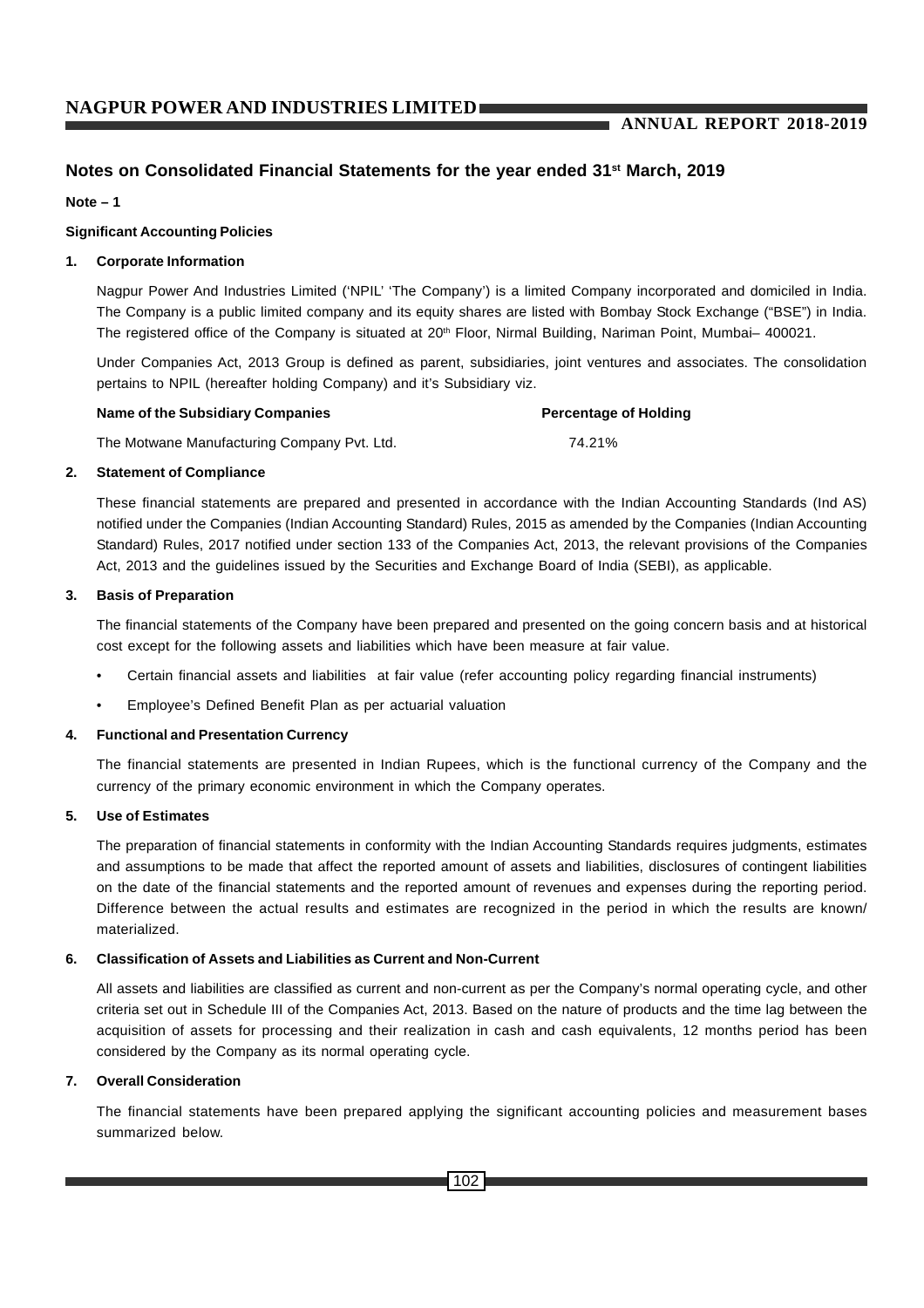## **Notes on Consolidated Financial Statements for the year ended 31st March, 2019**

## **Note – 1**

## **Significant Accounting Policies**

## **1. Corporate Information**

Nagpur Power And Industries Limited ('NPIL' 'The Company') is a limited Company incorporated and domiciled in India. The Company is a public limited company and its equity shares are listed with Bombay Stock Exchange ("BSE") in India. The registered office of the Company is situated at 20<sup>th</sup> Floor, Nirmal Building, Nariman Point, Mumbai– 400021.

Under Companies Act, 2013 Group is defined as parent, subsidiaries, joint ventures and associates. The consolidation pertains to NPIL (hereafter holding Company) and it's Subsidiary viz.

| Name of the Subsidiary Companies            | <b>Percentage of Holding</b> |
|---------------------------------------------|------------------------------|
| The Motwane Manufacturing Company Pvt. Ltd. | 74.21%                       |

## **2. Statement of Compliance**

These financial statements are prepared and presented in accordance with the Indian Accounting Standards (Ind AS) notified under the Companies (Indian Accounting Standard) Rules, 2015 as amended by the Companies (Indian Accounting Standard) Rules, 2017 notified under section 133 of the Companies Act, 2013, the relevant provisions of the Companies Act, 2013 and the guidelines issued by the Securities and Exchange Board of India (SEBI), as applicable.

## **3. Basis of Preparation**

The financial statements of the Company have been prepared and presented on the going concern basis and at historical cost except for the following assets and liabilities which have been measure at fair value.

- Certain financial assets and liabilities at fair value (refer accounting policy regarding financial instruments)
- Employee's Defined Benefit Plan as per actuarial valuation

## **4. Functional and Presentation Currency**

The financial statements are presented in Indian Rupees, which is the functional currency of the Company and the currency of the primary economic environment in which the Company operates.

## **5. Use of Estimates**

The preparation of financial statements in conformity with the Indian Accounting Standards requires judgments, estimates and assumptions to be made that affect the reported amount of assets and liabilities, disclosures of contingent liabilities on the date of the financial statements and the reported amount of revenues and expenses during the reporting period. Difference between the actual results and estimates are recognized in the period in which the results are known/ materialized.

## **6. Classification of Assets and Liabilities as Current and Non-Current**

All assets and liabilities are classified as current and non-current as per the Company's normal operating cycle, and other criteria set out in Schedule III of the Companies Act, 2013. Based on the nature of products and the time lag between the acquisition of assets for processing and their realization in cash and cash equivalents, 12 months period has been considered by the Company as its normal operating cycle.

## **7. Overall Consideration**

The financial statements have been prepared applying the significant accounting policies and measurement bases summarized below.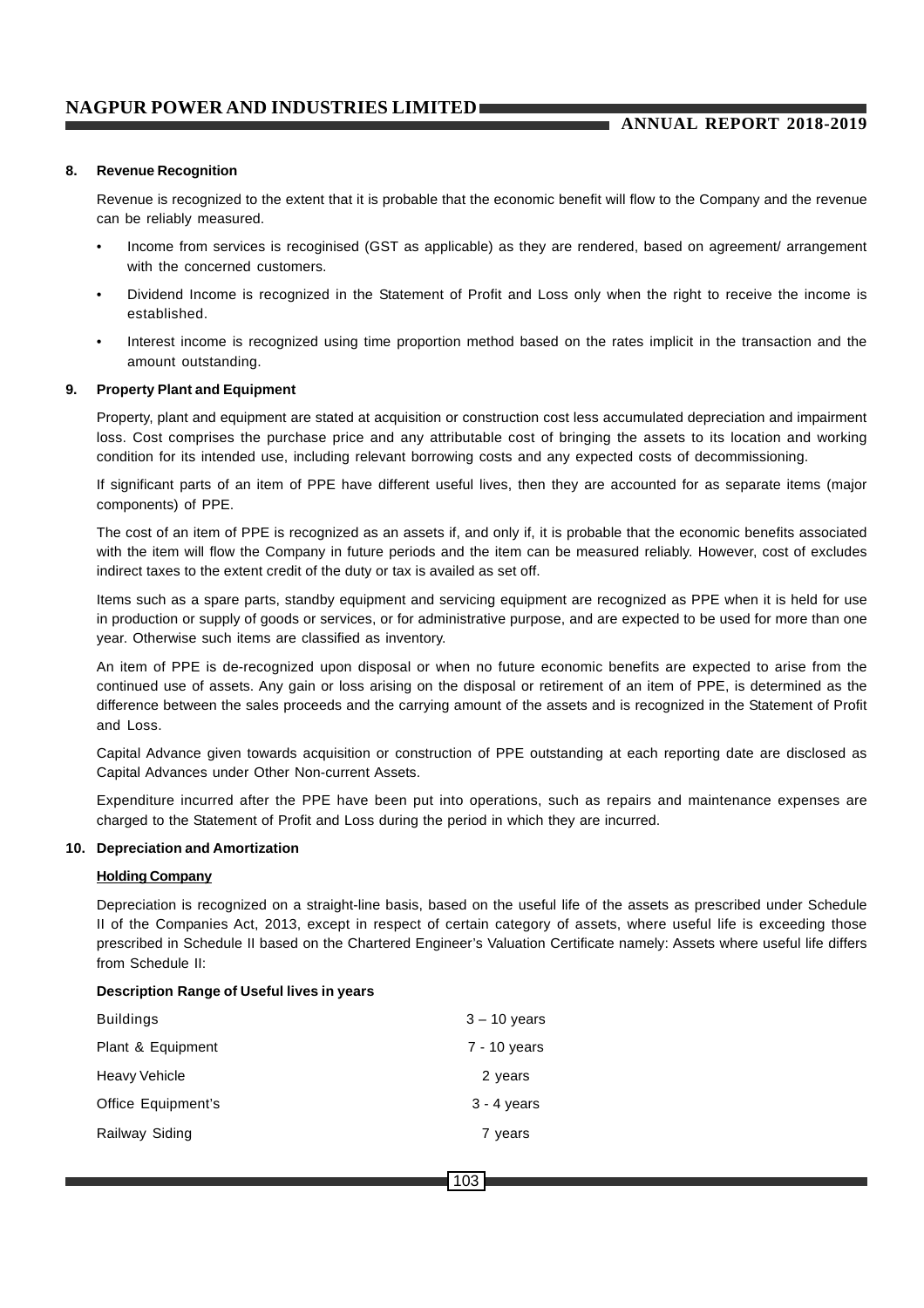## **ANNUAL REPORT 2018-2019**

#### **8. Revenue Recognition**

Revenue is recognized to the extent that it is probable that the economic benefit will flow to the Company and the revenue can be reliably measured.

- Income from services is recoginised (GST as applicable) as they are rendered, based on agreement/ arrangement with the concerned customers.
- Dividend Income is recognized in the Statement of Profit and Loss only when the right to receive the income is established.
- Interest income is recognized using time proportion method based on the rates implicit in the transaction and the amount outstanding.

#### **9. Property Plant and Equipment**

Property, plant and equipment are stated at acquisition or construction cost less accumulated depreciation and impairment loss. Cost comprises the purchase price and any attributable cost of bringing the assets to its location and working condition for its intended use, including relevant borrowing costs and any expected costs of decommissioning.

If significant parts of an item of PPE have different useful lives, then they are accounted for as separate items (major components) of PPE.

The cost of an item of PPE is recognized as an assets if, and only if, it is probable that the economic benefits associated with the item will flow the Company in future periods and the item can be measured reliably. However, cost of excludes indirect taxes to the extent credit of the duty or tax is availed as set off.

Items such as a spare parts, standby equipment and servicing equipment are recognized as PPE when it is held for use in production or supply of goods or services, or for administrative purpose, and are expected to be used for more than one year. Otherwise such items are classified as inventory.

An item of PPE is de-recognized upon disposal or when no future economic benefits are expected to arise from the continued use of assets. Any gain or loss arising on the disposal or retirement of an item of PPE, is determined as the difference between the sales proceeds and the carrying amount of the assets and is recognized in the Statement of Profit and Loss.

Capital Advance given towards acquisition or construction of PPE outstanding at each reporting date are disclosed as Capital Advances under Other Non-current Assets.

Expenditure incurred after the PPE have been put into operations, such as repairs and maintenance expenses are charged to the Statement of Profit and Loss during the period in which they are incurred.

#### **10. Depreciation and Amortization**

#### **Holding Company**

Depreciation is recognized on a straight-line basis, based on the useful life of the assets as prescribed under Schedule II of the Companies Act, 2013, except in respect of certain category of assets, where useful life is exceeding those prescribed in Schedule II based on the Chartered Engineer's Valuation Certificate namely: Assets where useful life differs from Schedule II:

#### **Description Range of Useful lives in years**

| <b>Buildings</b>     | $3 - 10$ years |
|----------------------|----------------|
| Plant & Equipment    | 7 - 10 years   |
| <b>Heavy Vehicle</b> | 2 years        |
| Office Equipment's   | $3 - 4$ years  |
| Railway Siding       | 7 years        |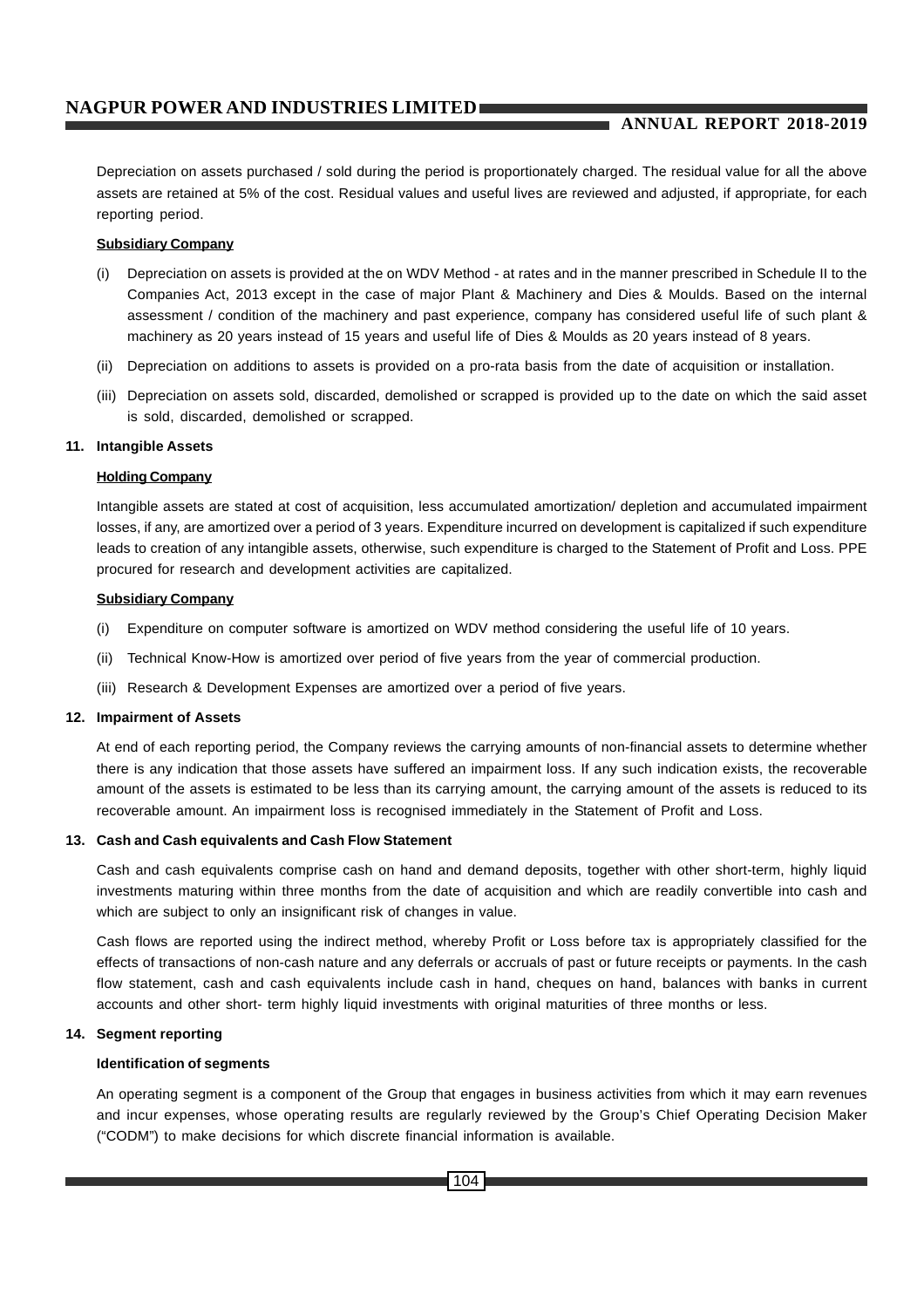Depreciation on assets purchased / sold during the period is proportionately charged. The residual value for all the above assets are retained at 5% of the cost. Residual values and useful lives are reviewed and adjusted, if appropriate, for each reporting period.

### **Subsidiary Company**

- (i) Depreciation on assets is provided at the on WDV Method at rates and in the manner prescribed in Schedule II to the Companies Act, 2013 except in the case of major Plant & Machinery and Dies & Moulds. Based on the internal assessment / condition of the machinery and past experience, company has considered useful life of such plant & machinery as 20 years instead of 15 years and useful life of Dies & Moulds as 20 years instead of 8 years.
- (ii) Depreciation on additions to assets is provided on a pro-rata basis from the date of acquisition or installation.
- (iii) Depreciation on assets sold, discarded, demolished or scrapped is provided up to the date on which the said asset is sold, discarded, demolished or scrapped.

### **11. Intangible Assets**

## **Holding Company**

Intangible assets are stated at cost of acquisition, less accumulated amortization/ depletion and accumulated impairment losses, if any, are amortized over a period of 3 years. Expenditure incurred on development is capitalized if such expenditure leads to creation of any intangible assets, otherwise, such expenditure is charged to the Statement of Profit and Loss. PPE procured for research and development activities are capitalized.

### **Subsidiary Company**

- (i) Expenditure on computer software is amortized on WDV method considering the useful life of 10 years.
- (ii) Technical Know-How is amortized over period of five years from the year of commercial production.
- (iii) Research & Development Expenses are amortized over a period of five years.

#### **12. Impairment of Assets**

At end of each reporting period, the Company reviews the carrying amounts of non-financial assets to determine whether there is any indication that those assets have suffered an impairment loss. If any such indication exists, the recoverable amount of the assets is estimated to be less than its carrying amount, the carrying amount of the assets is reduced to its recoverable amount. An impairment loss is recognised immediately in the Statement of Profit and Loss.

#### **13. Cash and Cash equivalents and Cash Flow Statement**

Cash and cash equivalents comprise cash on hand and demand deposits, together with other short-term, highly liquid investments maturing within three months from the date of acquisition and which are readily convertible into cash and which are subject to only an insignificant risk of changes in value.

Cash flows are reported using the indirect method, whereby Profit or Loss before tax is appropriately classified for the effects of transactions of non-cash nature and any deferrals or accruals of past or future receipts or payments. In the cash flow statement, cash and cash equivalents include cash in hand, cheques on hand, balances with banks in current accounts and other short- term highly liquid investments with original maturities of three months or less.

### **14. Segment reporting**

## **Identification of segments**

An operating segment is a component of the Group that engages in business activities from which it may earn revenues and incur expenses, whose operating results are regularly reviewed by the Group's Chief Operating Decision Maker ("CODM") to make decisions for which discrete financial information is available.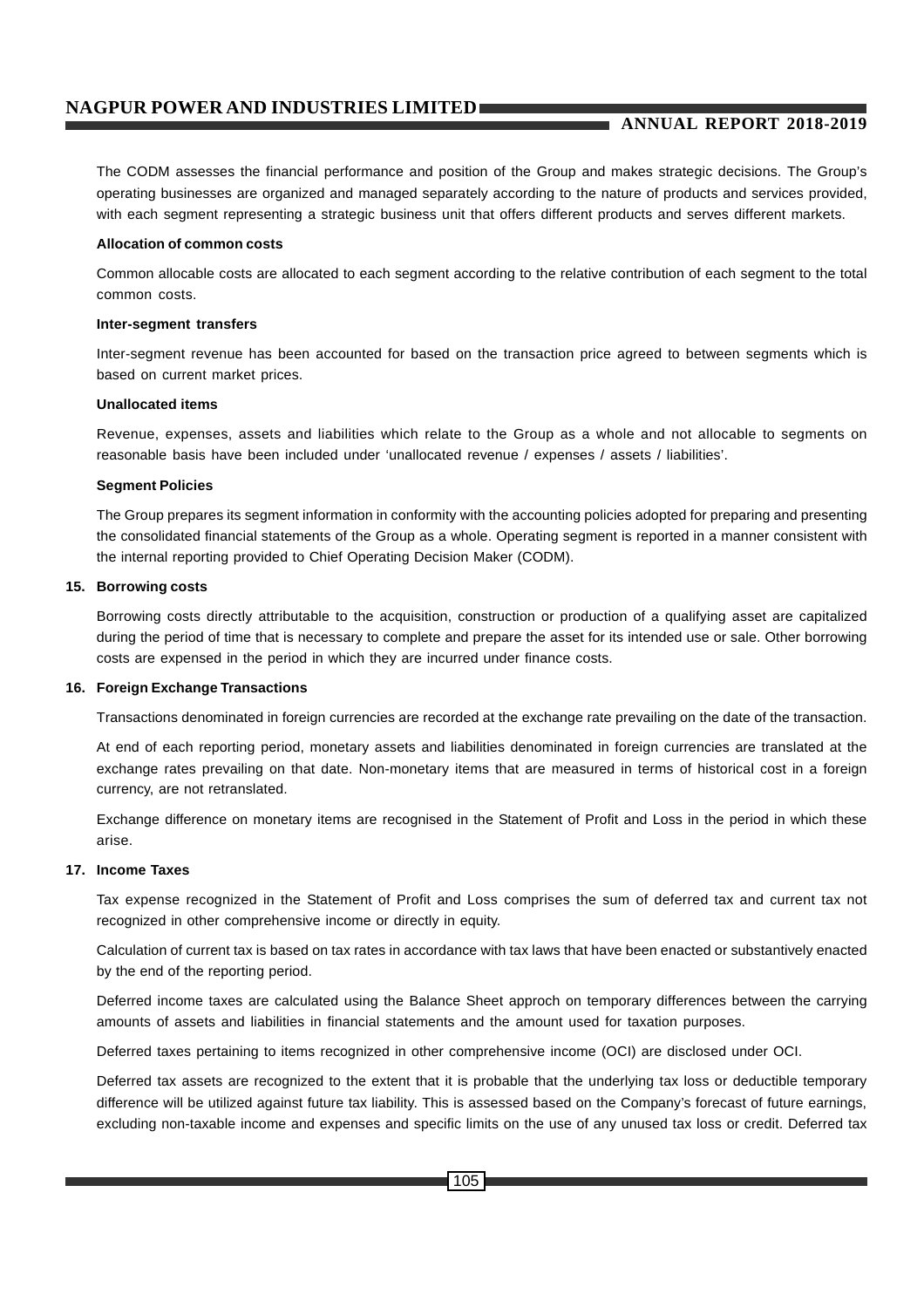## **ANNUAL REPORT 2018-2019**

The CODM assesses the financial performance and position of the Group and makes strategic decisions. The Group's operating businesses are organized and managed separately according to the nature of products and services provided, with each segment representing a strategic business unit that offers different products and serves different markets.

#### **Allocation of common costs**

Common allocable costs are allocated to each segment according to the relative contribution of each segment to the total common costs.

#### **Inter-segment transfers**

Inter-segment revenue has been accounted for based on the transaction price agreed to between segments which is based on current market prices.

#### **Unallocated items**

Revenue, expenses, assets and liabilities which relate to the Group as a whole and not allocable to segments on reasonable basis have been included under 'unallocated revenue / expenses / assets / liabilities'.

#### **Segment Policies**

The Group prepares its segment information in conformity with the accounting policies adopted for preparing and presenting the consolidated financial statements of the Group as a whole. Operating segment is reported in a manner consistent with the internal reporting provided to Chief Operating Decision Maker (CODM).

### **15. Borrowing costs**

Borrowing costs directly attributable to the acquisition, construction or production of a qualifying asset are capitalized during the period of time that is necessary to complete and prepare the asset for its intended use or sale. Other borrowing costs are expensed in the period in which they are incurred under finance costs.

#### **16. Foreign Exchange Transactions**

Transactions denominated in foreign currencies are recorded at the exchange rate prevailing on the date of the transaction.

At end of each reporting period, monetary assets and liabilities denominated in foreign currencies are translated at the exchange rates prevailing on that date. Non-monetary items that are measured in terms of historical cost in a foreign currency, are not retranslated.

Exchange difference on monetary items are recognised in the Statement of Profit and Loss in the period in which these arise.

#### **17. Income Taxes**

Tax expense recognized in the Statement of Profit and Loss comprises the sum of deferred tax and current tax not recognized in other comprehensive income or directly in equity.

Calculation of current tax is based on tax rates in accordance with tax laws that have been enacted or substantively enacted by the end of the reporting period.

Deferred income taxes are calculated using the Balance Sheet approch on temporary differences between the carrying amounts of assets and liabilities in financial statements and the amount used for taxation purposes.

Deferred taxes pertaining to items recognized in other comprehensive income (OCI) are disclosed under OCI.

Deferred tax assets are recognized to the extent that it is probable that the underlying tax loss or deductible temporary difference will be utilized against future tax liability. This is assessed based on the Company's forecast of future earnings, excluding non-taxable income and expenses and specific limits on the use of any unused tax loss or credit. Deferred tax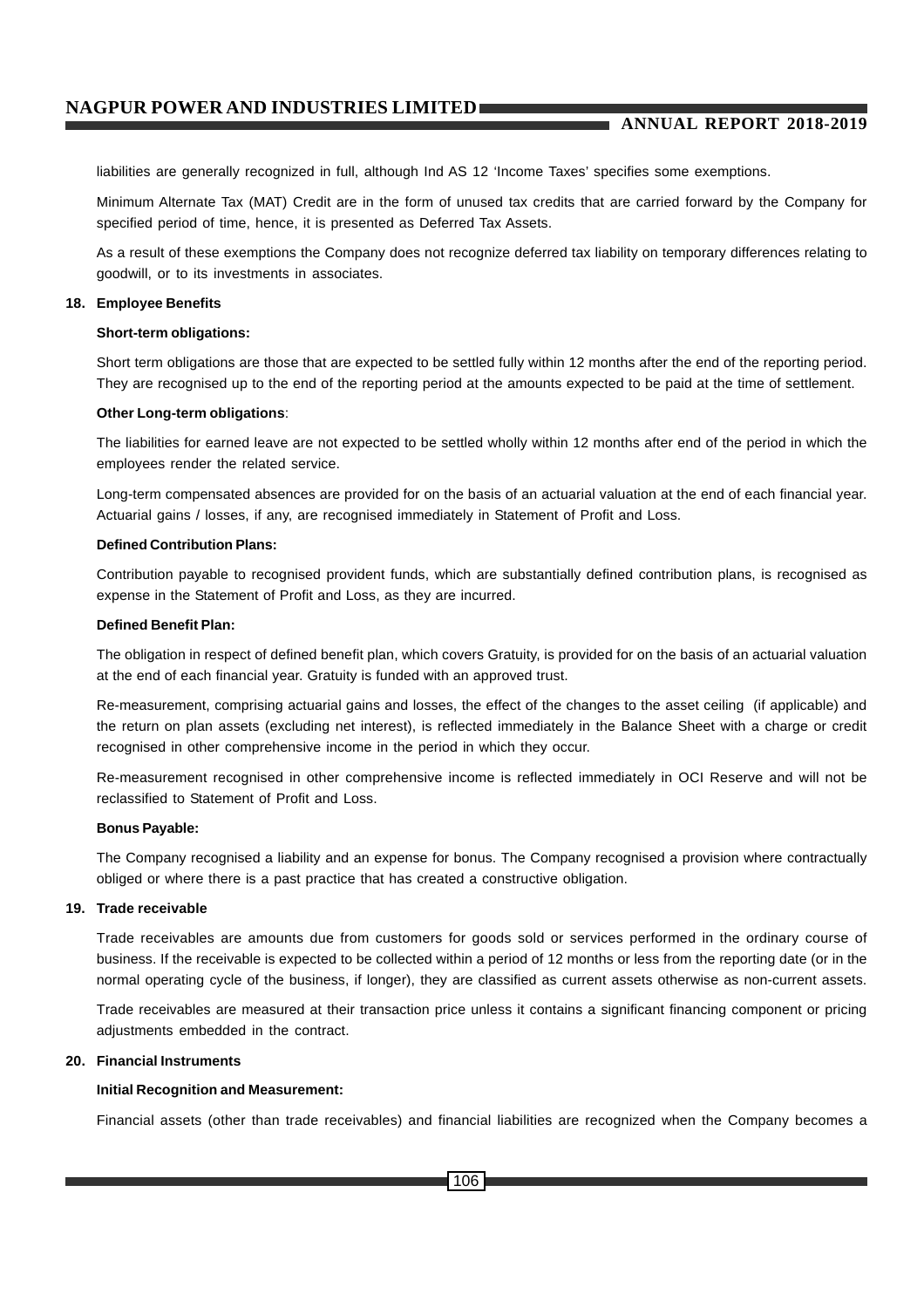## **ANNUAL REPORT 2018-2019**

liabilities are generally recognized in full, although Ind AS 12 'Income Taxes' specifies some exemptions.

Minimum Alternate Tax (MAT) Credit are in the form of unused tax credits that are carried forward by the Company for specified period of time, hence, it is presented as Deferred Tax Assets.

As a result of these exemptions the Company does not recognize deferred tax liability on temporary differences relating to goodwill, or to its investments in associates.

#### **18. Employee Benefits**

#### **Short-term obligations:**

Short term obligations are those that are expected to be settled fully within 12 months after the end of the reporting period. They are recognised up to the end of the reporting period at the amounts expected to be paid at the time of settlement.

#### **Other Long-term obligations**:

The liabilities for earned leave are not expected to be settled wholly within 12 months after end of the period in which the employees render the related service.

Long-term compensated absences are provided for on the basis of an actuarial valuation at the end of each financial year. Actuarial gains / losses, if any, are recognised immediately in Statement of Profit and Loss.

#### **Defined Contribution Plans:**

Contribution payable to recognised provident funds, which are substantially defined contribution plans, is recognised as expense in the Statement of Profit and Loss, as they are incurred.

#### **Defined Benefit Plan:**

The obligation in respect of defined benefit plan, which covers Gratuity, is provided for on the basis of an actuarial valuation at the end of each financial year. Gratuity is funded with an approved trust.

Re-measurement, comprising actuarial gains and losses, the effect of the changes to the asset ceiling (if applicable) and the return on plan assets (excluding net interest), is reflected immediately in the Balance Sheet with a charge or credit recognised in other comprehensive income in the period in which they occur.

Re-measurement recognised in other comprehensive income is reflected immediately in OCI Reserve and will not be reclassified to Statement of Profit and Loss.

#### **Bonus Payable:**

The Company recognised a liability and an expense for bonus. The Company recognised a provision where contractually obliged or where there is a past practice that has created a constructive obligation.

## **19. Trade receivable**

Trade receivables are amounts due from customers for goods sold or services performed in the ordinary course of business. If the receivable is expected to be collected within a period of 12 months or less from the reporting date (or in the normal operating cycle of the business, if longer), they are classified as current assets otherwise as non-current assets.

Trade receivables are measured at their transaction price unless it contains a significant financing component or pricing adjustments embedded in the contract.

### **20. Financial Instruments**

## **Initial Recognition and Measurement:**

Financial assets (other than trade receivables) and financial liabilities are recognized when the Company becomes a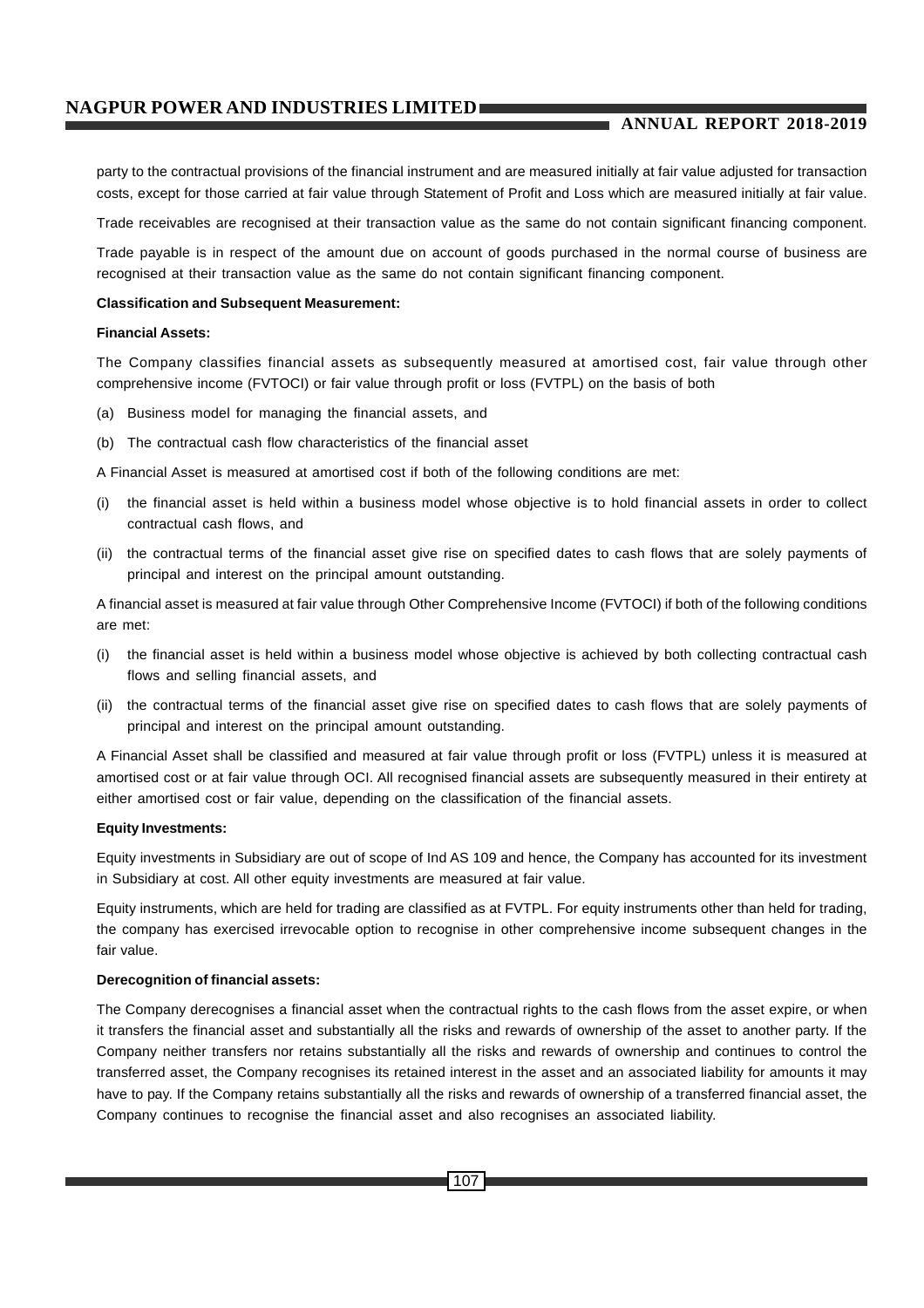#### **ANNUAL REPORT 2018-2019**

party to the contractual provisions of the financial instrument and are measured initially at fair value adjusted for transaction costs, except for those carried at fair value through Statement of Profit and Loss which are measured initially at fair value.

Trade receivables are recognised at their transaction value as the same do not contain significant financing component.

Trade payable is in respect of the amount due on account of goods purchased in the normal course of business are recognised at their transaction value as the same do not contain significant financing component.

#### **Classification and Subsequent Measurement:**

#### **Financial Assets:**

The Company classifies financial assets as subsequently measured at amortised cost, fair value through other comprehensive income (FVTOCI) or fair value through profit or loss (FVTPL) on the basis of both

- (a) Business model for managing the financial assets, and
- (b) The contractual cash flow characteristics of the financial asset

A Financial Asset is measured at amortised cost if both of the following conditions are met:

- (i) the financial asset is held within a business model whose objective is to hold financial assets in order to collect contractual cash flows, and
- (ii) the contractual terms of the financial asset give rise on specified dates to cash flows that are solely payments of principal and interest on the principal amount outstanding.

A financial asset is measured at fair value through Other Comprehensive Income (FVTOCI) if both of the following conditions are met:

- (i) the financial asset is held within a business model whose objective is achieved by both collecting contractual cash flows and selling financial assets, and
- (ii) the contractual terms of the financial asset give rise on specified dates to cash flows that are solely payments of principal and interest on the principal amount outstanding.

A Financial Asset shall be classified and measured at fair value through profit or loss (FVTPL) unless it is measured at amortised cost or at fair value through OCI. All recognised financial assets are subsequently measured in their entirety at either amortised cost or fair value, depending on the classification of the financial assets.

#### **Equity Investments:**

Equity investments in Subsidiary are out of scope of Ind AS 109 and hence, the Company has accounted for its investment in Subsidiary at cost. All other equity investments are measured at fair value.

Equity instruments, which are held for trading are classified as at FVTPL. For equity instruments other than held for trading, the company has exercised irrevocable option to recognise in other comprehensive income subsequent changes in the fair value.

#### **Derecognition of financial assets:**

The Company derecognises a financial asset when the contractual rights to the cash flows from the asset expire, or when it transfers the financial asset and substantially all the risks and rewards of ownership of the asset to another party. If the Company neither transfers nor retains substantially all the risks and rewards of ownership and continues to control the transferred asset, the Company recognises its retained interest in the asset and an associated liability for amounts it may have to pay. If the Company retains substantially all the risks and rewards of ownership of a transferred financial asset, the Company continues to recognise the financial asset and also recognises an associated liability.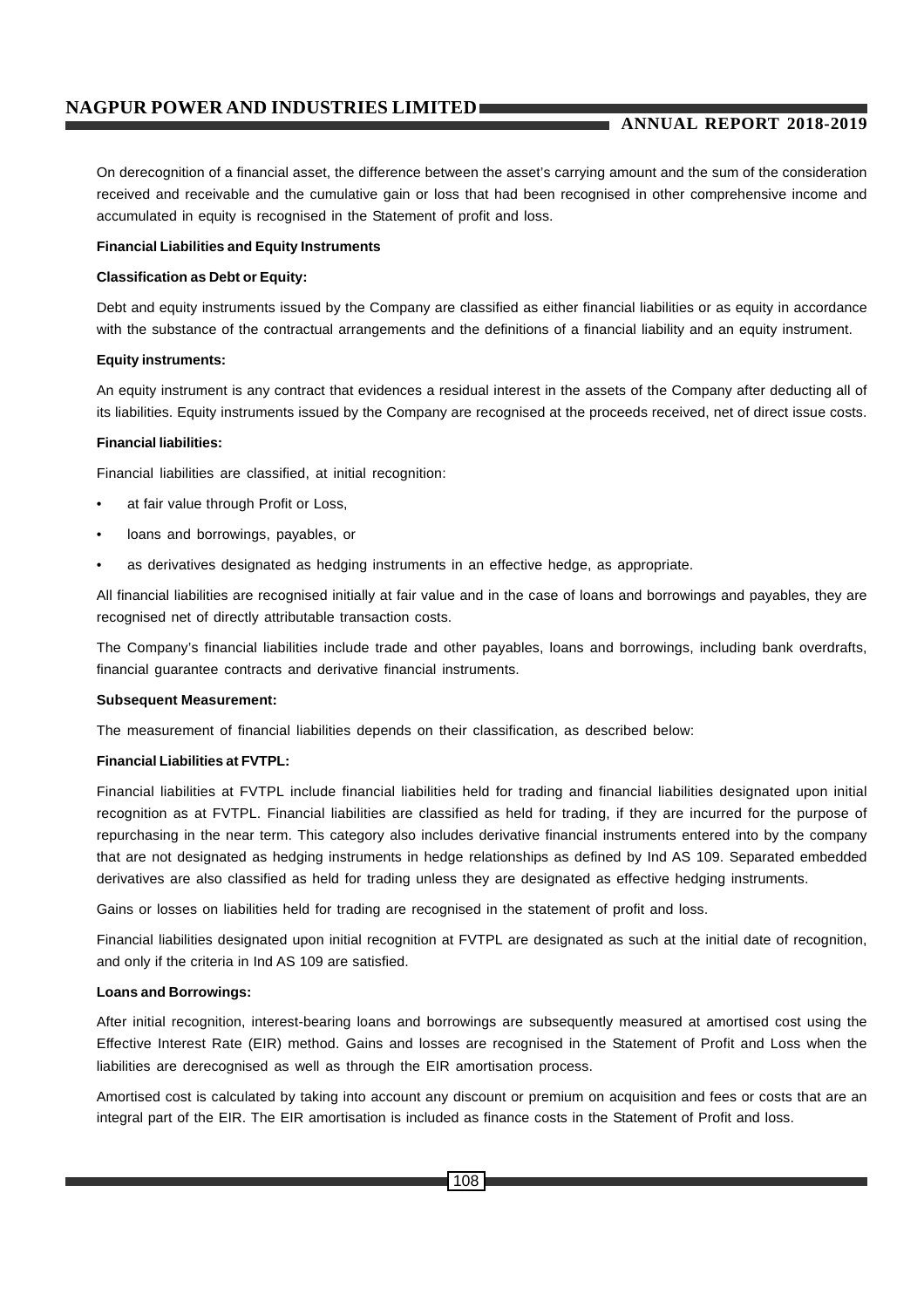# **ANNUAL REPORT 2018-2019**

On derecognition of a financial asset, the difference between the asset's carrying amount and the sum of the consideration received and receivable and the cumulative gain or loss that had been recognised in other comprehensive income and accumulated in equity is recognised in the Statement of profit and loss.

#### **Financial Liabilities and Equity Instruments**

#### **Classification as Debt or Equity:**

Debt and equity instruments issued by the Company are classified as either financial liabilities or as equity in accordance with the substance of the contractual arrangements and the definitions of a financial liability and an equity instrument.

#### **Equity instruments:**

An equity instrument is any contract that evidences a residual interest in the assets of the Company after deducting all of its liabilities. Equity instruments issued by the Company are recognised at the proceeds received, net of direct issue costs.

#### **Financial liabilities:**

Financial liabilities are classified, at initial recognition:

- at fair value through Profit or Loss,
- loans and borrowings, payables, or
- as derivatives designated as hedging instruments in an effective hedge, as appropriate.

All financial liabilities are recognised initially at fair value and in the case of loans and borrowings and payables, they are recognised net of directly attributable transaction costs.

The Company's financial liabilities include trade and other payables, loans and borrowings, including bank overdrafts, financial guarantee contracts and derivative financial instruments.

#### **Subsequent Measurement:**

The measurement of financial liabilities depends on their classification, as described below:

#### **Financial Liabilities at FVTPL:**

Financial liabilities at FVTPL include financial liabilities held for trading and financial liabilities designated upon initial recognition as at FVTPL. Financial liabilities are classified as held for trading, if they are incurred for the purpose of repurchasing in the near term. This category also includes derivative financial instruments entered into by the company that are not designated as hedging instruments in hedge relationships as defined by Ind AS 109. Separated embedded derivatives are also classified as held for trading unless they are designated as effective hedging instruments.

Gains or losses on liabilities held for trading are recognised in the statement of profit and loss.

Financial liabilities designated upon initial recognition at FVTPL are designated as such at the initial date of recognition, and only if the criteria in Ind AS 109 are satisfied.

#### **Loans and Borrowings:**

After initial recognition, interest-bearing loans and borrowings are subsequently measured at amortised cost using the Effective Interest Rate (EIR) method. Gains and losses are recognised in the Statement of Profit and Loss when the liabilities are derecognised as well as through the EIR amortisation process.

Amortised cost is calculated by taking into account any discount or premium on acquisition and fees or costs that are an integral part of the EIR. The EIR amortisation is included as finance costs in the Statement of Profit and loss.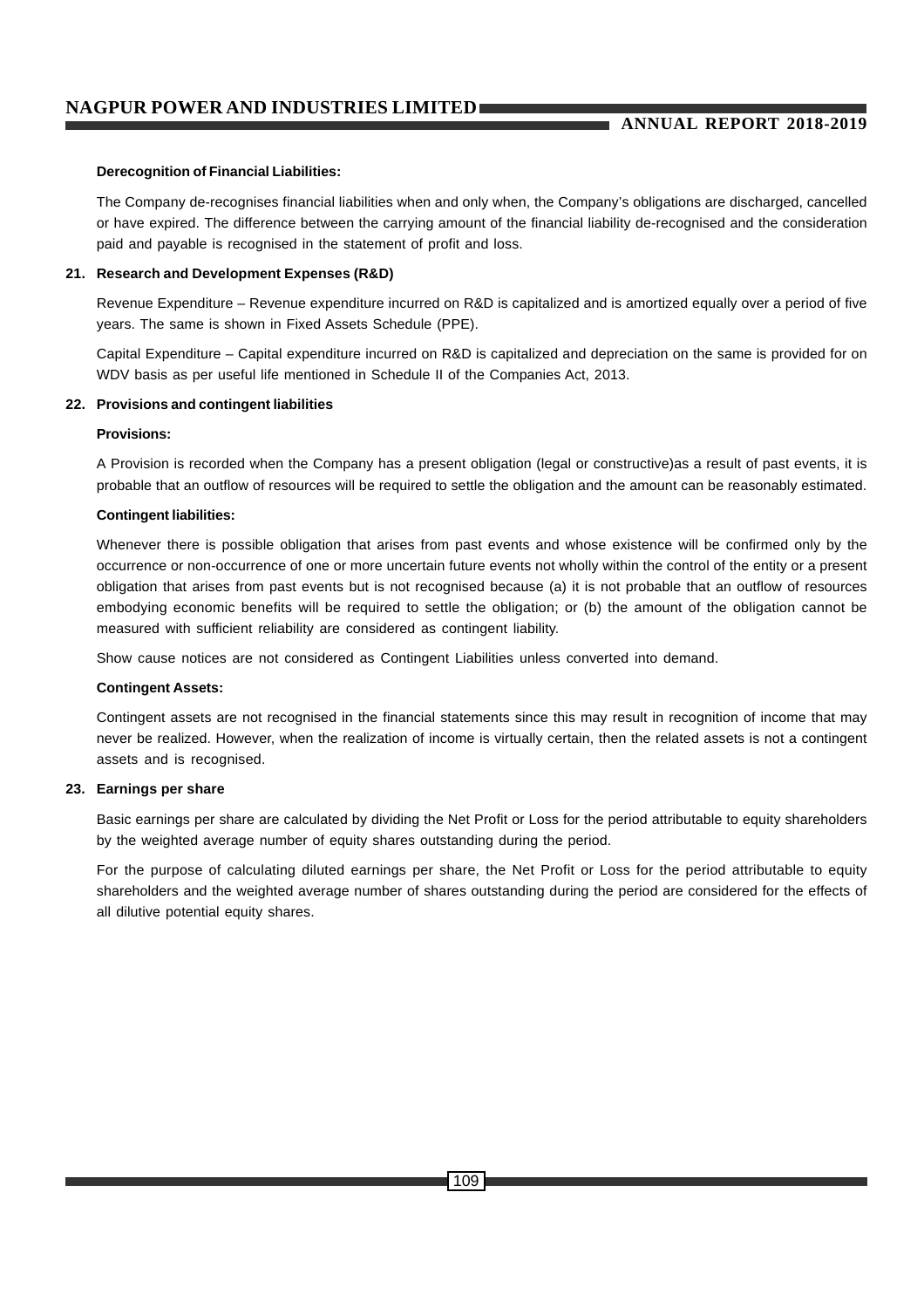#### **ANNUAL REPORT 2018-2019**

#### **Derecognition of Financial Liabilities:**

The Company de-recognises financial liabilities when and only when, the Company's obligations are discharged, cancelled or have expired. The difference between the carrying amount of the financial liability de-recognised and the consideration paid and payable is recognised in the statement of profit and loss.

#### **21. Research and Development Expenses (R&D)**

Revenue Expenditure – Revenue expenditure incurred on R&D is capitalized and is amortized equally over a period of five years. The same is shown in Fixed Assets Schedule (PPE).

Capital Expenditure – Capital expenditure incurred on R&D is capitalized and depreciation on the same is provided for on WDV basis as per useful life mentioned in Schedule II of the Companies Act, 2013.

#### **22. Provisions and contingent liabilities**

#### **Provisions:**

A Provision is recorded when the Company has a present obligation (legal or constructive)as a result of past events, it is probable that an outflow of resources will be required to settle the obligation and the amount can be reasonably estimated.

#### **Contingent liabilities:**

Whenever there is possible obligation that arises from past events and whose existence will be confirmed only by the occurrence or non-occurrence of one or more uncertain future events not wholly within the control of the entity or a present obligation that arises from past events but is not recognised because (a) it is not probable that an outflow of resources embodying economic benefits will be required to settle the obligation; or (b) the amount of the obligation cannot be measured with sufficient reliability are considered as contingent liability.

Show cause notices are not considered as Contingent Liabilities unless converted into demand.

#### **Contingent Assets:**

Contingent assets are not recognised in the financial statements since this may result in recognition of income that may never be realized. However, when the realization of income is virtually certain, then the related assets is not a contingent assets and is recognised.

#### **23. Earnings per share**

Basic earnings per share are calculated by dividing the Net Profit or Loss for the period attributable to equity shareholders by the weighted average number of equity shares outstanding during the period.

For the purpose of calculating diluted earnings per share, the Net Profit or Loss for the period attributable to equity shareholders and the weighted average number of shares outstanding during the period are considered for the effects of all dilutive potential equity shares.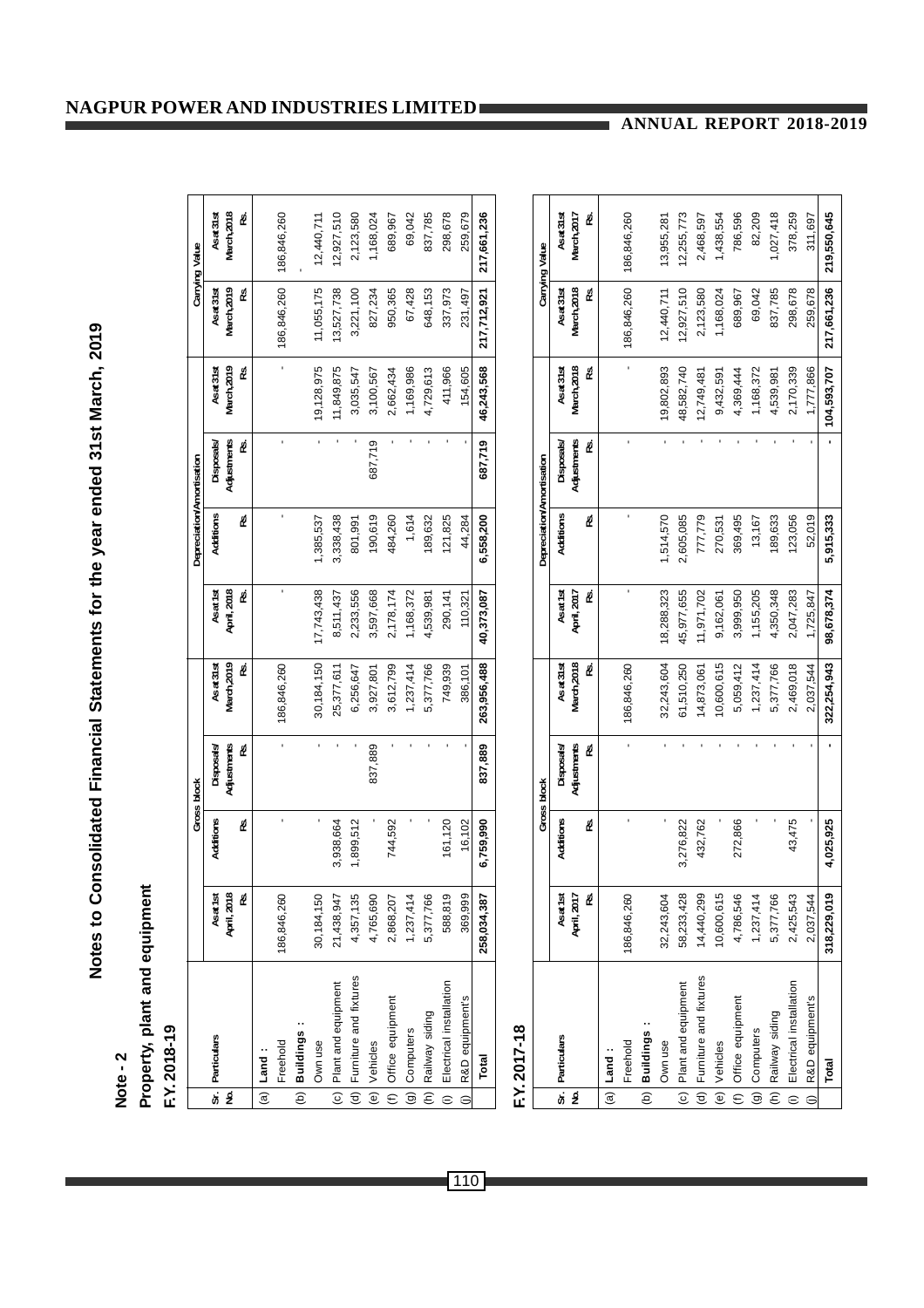Notes to Consolidated Financial Statements for the year ended 31st March, 2019 **Notes to Consolidated Financial Statements for the year ended 31st March, 2019**

**Note - 2**

Property, plant and equipment **Property, plant and equipment**

F.Y. 2018-19 **F.Y. 2018-19**

|   |                             |                        |           | Gross block       |             |             | <b>Depreciation/Amortisation</b> |             |             |             | <b>Carrying Value</b> |
|---|-----------------------------|------------------------|-----------|-------------------|-------------|-------------|----------------------------------|-------------|-------------|-------------|-----------------------|
|   | Sr. Particulars             | Asat 1st               | Additions | <b>Disposals/</b> | Asat31st    | As at 1st   | Additions                        | Disposals   | Asat 31st   | As at 31st  | As at 31st            |
| ġ |                             | $\infty$<br>April, 201 |           | Adjustments       | March, 2019 | April, 2018 |                                  | Adjustments | March, 2019 | March,2019  | March, 2018           |
|   |                             | Ľ                      | Rs.       | œ,                | ě.          | ŔS.         | Rs.                              | œ,          | œ,          | Ľ           | Ŀ.                    |
|   | $(a)$ Land:                 |                        |           |                   |             |             |                                  |             |             |             |                       |
|   | Freehold                    | 186,846,260            | ,         |                   | 186,846,260 | ï           | 1                                | ı           |             | 186,846,260 | 186,846,260           |
|   | (b) Buildings:              |                        |           |                   |             |             |                                  |             |             |             |                       |
|   | Own use                     | 30,184,150             |           |                   | 30,184,150  | 7,743,438   | ,385,537                         |             | 19,128,975  | 11,055,175  | 12,440,711            |
|   | (c) Plant and equipment     | 21,438,947             | 3,938,664 |                   | 25,377,611  | 8,511,437   | 3,338,438                        |             | 11,849,875  | 13,527,738  | 2,927,510             |
|   | (d) Furniture and fixtures  | 4,357,135              | 1,899,512 |                   | 6,256,647   | 2,233,556   | 801,991                          |             | 3,035,547   | 3,221,100   | 2,123,580             |
|   | (e) Vehicles                | 4,765,690              |           | 837,889           | 3,927,801   | 3,597,668   | 190,619                          | 687,719     | 3,100,567   | 827,234     | 1,168,024             |
|   | (f) Office equipment        | 2,868,207              | 744,592   |                   | 3,612,799   | 2,178,174   | 484,260                          |             | 2,662,434   | 950,365     | 689,967               |
|   | (g) Computers               | 1,237,414              |           |                   | 1,237,414   | 1,168,372   | 1,614                            |             | 1,169,986   | 67,428      | 69,042                |
|   | (h) Railway siding          | 5,377,766              |           |                   | 5,377,766   | 4,539,981   | 189,632                          |             | 4,729,613   | 648,153     | 837,785               |
|   | (i) Electrical installation | 588,819                | 161,120   |                   | 749,939     | 290,141     | 121,825                          |             | 411,966     | 337,973     | 298,678               |
|   | (i)   R&D equipment's       | 369,999                | 16,102    |                   | 386,101     | 110,321     | 44,284                           |             | 154,605     | 231,497     | 259,679               |
|   | Total                       | 258,034,387            | 6,759,990 | 837,889           | 263,956,488 | 40,373,087  | 6,558,200                        | 687,719     | 46,243,568  | 217,712,921 | 217,661,236           |
|   |                             |                        |           |                   |             |             |                                  |             |             |             |                       |

# F.Y. 2017-18 **F.Y. 2017-18**

|  | <b>Carrying Value</b>     | As at 31st<br>March, 2017<br>8<br>8     |              | 186,846,260 |                | 13,955,281 | 12,255,773              | 2,468,597                  | 1,438,554    | 786,596              | 82,209<br>69,042 | 1,027,418          | 378,259                 | 311,697         | 219,550,645 |
|--|---------------------------|-----------------------------------------|--------------|-------------|----------------|------------|-------------------------|----------------------------|--------------|----------------------|------------------|--------------------|-------------------------|-----------------|-------------|
|  |                           | March, 2018<br>Asat 31st                |              | 186,846,260 |                | 12,440,711 | 12,927,510              | 2,123,580                  | 1,168,024    | 689,967              |                  | 837,785            | 298,678                 | 259,678         | 217,661,236 |
|  |                           | March, 2018<br>Asat 31st<br>æ.          |              |             |                | 19,802,893 | 48,582,740              | 12,749,481                 | 9,432,591    | 4,369,444            | 1,168,372        | 4,539,981          | 2,170,339               | 1,777,866       | 104,593,707 |
|  | Depreciation/Amortisation | Adjustments<br><b>Disposals</b><br>ŔS.  |              |             |                |            |                         |                            |              |                      |                  |                    |                         |                 |             |
|  |                           | Additions<br>Ŀ.                         |              |             |                | ,514,570   | 2,605,085               | 777,779                    | 270,531      | 369,495              | 13,167           | 189,633            | 123,056                 | 52,019          | 5,915,333   |
|  |                           | As at 1st<br>April, 2017<br>æ.          |              |             |                | 18,288,323 | 45,977,655              | 11,971,702                 | 9,162,061    | 3,999,950            | 1,155,205        | 4,350,348          | 2,047,283               | 1,725,847       | 98,678,374  |
|  |                           | March, 2018<br>Asat31st<br>ŔS.          |              | 186,846,260 |                | 32,243,604 | 61,510,250              | 14,873,061                 | 0,600,615    | 5,059,412            | 1,237,414        | 5,377,766          | 2,469,018               | 2,037,544       | 322,254,943 |
|  | Gross block               | Adjustments<br><b>Disposals/</b><br>ŔS. |              | ,           |                |            |                         |                            |              |                      |                  |                    |                         |                 |             |
|  |                           | Additions<br>ŔS.                        |              | ,           |                | 1          | 3,276,822               | 432,762                    |              | 272,866              |                  |                    | 43,475                  |                 | 4,025,925   |
|  |                           | As at 1st<br>April, 2017<br>≃           |              | 186,846,260 |                | 32,243,604 | 58,233,428              | 14,440,299                 | 0,600,615    | 4,786,546            | 1,237,414        | 5,377,766          | 2,425,543               | 2,037,544       | 318,229,019 |
|  |                           | Sr. Particulars                         | $(a)$ Land : | Freehold    | Buildings:     | Own use    | (c) Plant and equipment | (d) Furniture and fixtures | (e) Vehicles | (f) Office equipment | (g) Computers    | (h) Railway siding | Electrical installation | R&D equipment's | Total       |
|  |                           | g                                       |              |             | $\overline{e}$ |            |                         |                            |              |                      |                  |                    | $\in$                   | $\overline{a}$  |             |

# **NAGPUR POWER AND INDUSTRIES LIMITED**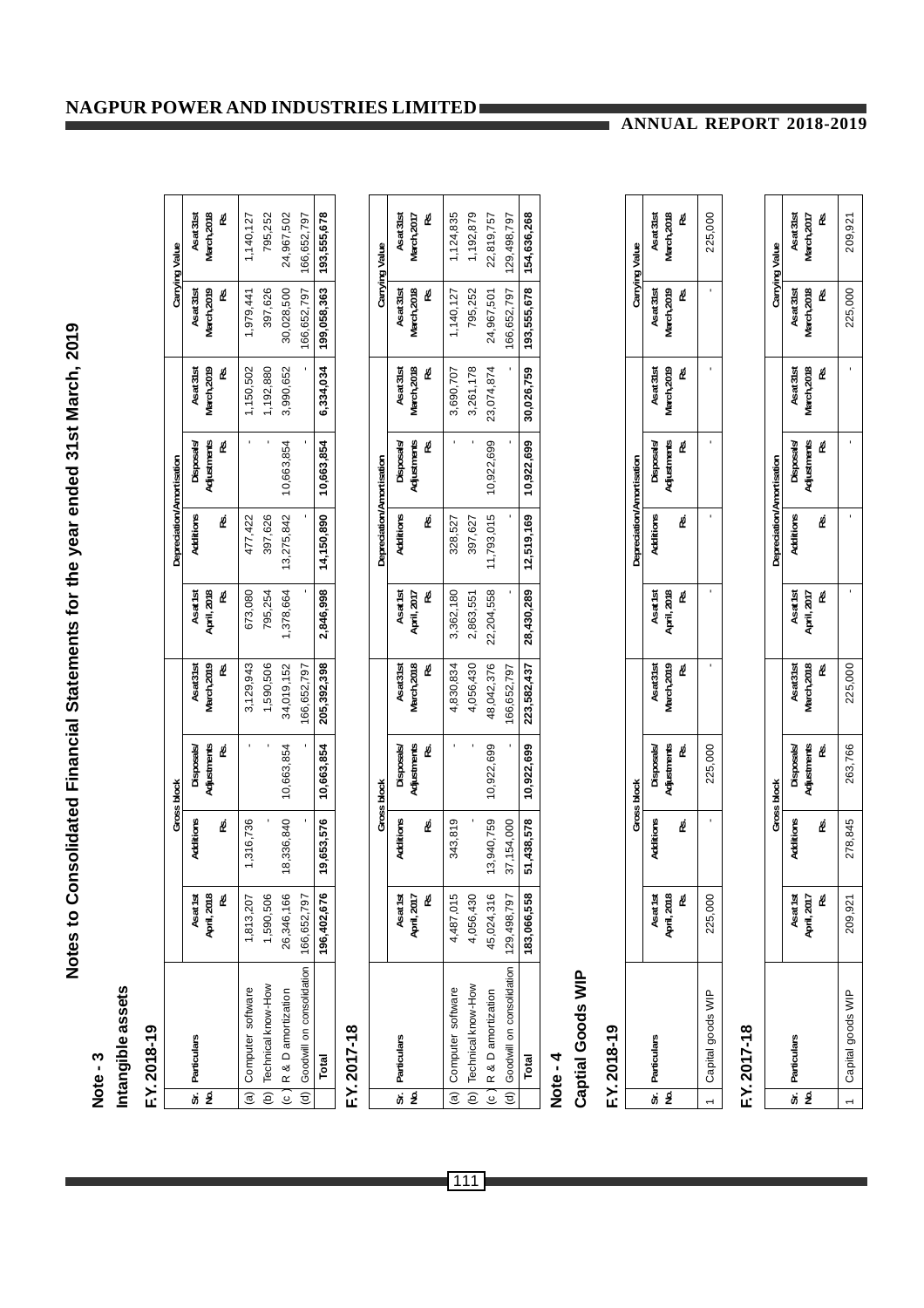Notes to Consolidated Financial Statements for the year ended 31st March, 2019 **Notes to Consolidated Financial Statements for the year ended 31st March, 2019**

**Note - 3**

# Intangible assets **Intangible assets**

# F.Y. 2018-19 **F.Y. 2018-19**

| <b>Carying Value</b>      | Asat 31st<br>Jarch, 2018           | 1,140,127             | 795,252                | 24,967,502             | 166,652,797                                 | 193,555,678  |
|---------------------------|------------------------------------|-----------------------|------------------------|------------------------|---------------------------------------------|--------------|
|                           | Asat 31st<br>March, 2019<br>É.     | ,979,441              | 397,626                | 30,028,500             | 166,652,797                                 | 199,058,363  |
|                           | Asat31st<br>March, 2019<br>ž       | 150,502               | 1,192,880              | 3,990,652              |                                             | 6,334,034    |
|                           | Disposals/<br>Adjustments          |                       |                        | 10,663,854             |                                             | 10,663,854   |
| Depreciation/Amortisation | Additions<br>ŔS.                   | 477,422               | 397,626                | 13,275,842             |                                             | 14,150,890   |
|                           | As at 1st<br>April, 2018           | 673,080               | 795,254                | 1,378,664              |                                             | 2,846,998    |
| Gross block               | Asat31st<br>March, 2019<br>Ľ.      | 3,129,943             | ,590,506               | 34,019,152             | 66,652,797                                  | 1205,392,398 |
|                           | <b>Disposals/</b><br>djustments    |                       |                        | 10,663,854             |                                             | 10.663.854   |
|                           | Additions<br>Ľ                     | 1,316,736             |                        | 18,336,840             |                                             | 19,653,576   |
|                           | Asat <sub>1st</sub><br>April, 2018 | 1,813,207             | ,590,506               | 26,346,166             |                                             | 196,402,676  |
|                           | Sr. Particulars                    | (a) Computer software | (b) Technical know-How | (c) R & D amortization | (d) Goodwill on consolidation   166,652,797 | Total        |
|                           | ş                                  |                       |                        |                        |                                             |              |

# F.Y. 2017-18 **F.Y. 2017-18**

|   |                                           |                        |              | Gross block                      |                                                                                                |                          | Depreciation/Amortisation |                                  |                                        |                                | <b>Carrying Value</b>    |
|---|-------------------------------------------|------------------------|--------------|----------------------------------|------------------------------------------------------------------------------------------------|--------------------------|---------------------------|----------------------------------|----------------------------------------|--------------------------------|--------------------------|
| ġ | Sr. Particulars                           | Asat1st<br>April, 2017 | Additions    | <b>Disposals/</b><br>Adjustments | March, 2018<br>Asat31st<br>Ľ.                                                                  | As at 1st<br>April, 2017 | Additions<br>Ŗ.           | Disposals/<br>Adjustments<br>ŔS. | Asat31st<br>March, 2018<br>ž           | Asat 31st<br>March, 2018<br>Ŗ. | Asat 31st<br>March, 2017 |
|   | (a) Computer software                     | 4,487,015              | 343,819      |                                  | 4,830,834                                                                                      | 3,362,180                | 328,527                   |                                  | 3,690,707                              | 1,140,127                      | 1,124,835                |
|   | (b) Technical know-How                    | 4,056,430              |              |                                  | 4,056,430                                                                                      | 2,863,551                | 397,627                   |                                  | 3,261,178                              | 795,252                        | ,192,879                 |
|   | $(c)$ R & D amortization                  | 45,024,316             | 13,940,759   | 0,922,699                        | 48,042,376                                                                                     | 22,204,558               | 11,793,015                | 10,922,699                       | 23,074,874                             | 24,967,501                     | 22,819,757               |
|   | (d) Goodwill on consolidation 129,498,797 |                        | 37, 154, 000 |                                  | 166,652,797                                                                                    |                          |                           |                                  |                                        | 166,652,797                    | 129,498,797              |
|   | Total                                     | 183,066,558            |              | $51,438,578$   $10,922,699$      | $\begin{array}{ c c c c c c } \hline 223,582,437 & 28,430,289 & 12,519,169 \hline \end{array}$ |                          |                           | 10,922,699                       | 30,026,759   193,555,678   154,636,268 |                                |                          |
|   |                                           |                        |              |                                  |                                                                                                |                          |                           |                                  |                                        |                                |                          |

# **Note - 4**

# **Captial Goods WIP Captial Goods WIP**

# F.Y. 2018-19 **F.Y. 2018-19**

| <b>Carrying Value</b>            | Asat 31st<br><b>March, 2018</b> |     | 225,000           |
|----------------------------------|---------------------------------|-----|-------------------|
|                                  | Asat 31st<br>Vlarch, 2019       | Ŗ.  |                   |
|                                  | Asat31st<br>March, 2019         | Ľ   |                   |
|                                  | Disposals/<br>Adjustments       | Ľ   |                   |
| <b>Depreciation/Amortisation</b> | Additions                       | ks. |                   |
| Gross block                      | As at 1st<br>April, 2018        | ģ   |                   |
|                                  | As at 31st<br>Vlarch, 2019      | Ľ   |                   |
|                                  | <b>Disposals</b><br>djustments  | Rs. | 225,000           |
|                                  | Additions                       | Ľ   |                   |
|                                  | $\frac{11}{2018}$<br>Asat 1s'   | œ,  | 225,000           |
|                                  | ISr.   Particulars              |     | Capital goods WIP |
|                                  |                                 |     |                   |

# F.Y. 2017-18 **F.Y. 2017-18**

|                   |                       |         | Gross block               |                         |                                 | Jepreciation/Amortisation |                                 |                          |                          | Carrying Value           |
|-------------------|-----------------------|---------|---------------------------|-------------------------|---------------------------------|---------------------------|---------------------------------|--------------------------|--------------------------|--------------------------|
| Particulars       | pril, 2017<br>sat 1st | ditions | Disposals/<br>Adjustments | Asat31st<br>larch, 2018 | As at 1st<br><b>April, 2017</b> | Additions                 | djustments<br><b>Disposals/</b> | Vlarch, 2018<br>Asat31st | Asat 31st<br>larch, 2018 | Asat 31st<br>March, 2017 |
|                   | L                     | Ľ       | Ľ                         | Ľ                       | &.                              | ž                         |                                 |                          | Ľ                        | ě                        |
| Capital goods WIP | $209.92^{\circ}$      | 278,845 | 263,766                   | 225,000                 |                                 |                           |                                 |                          | 225,000                  | 209,921                  |

# **NAGPUR POWER AND INDUSTRIES LIMITED**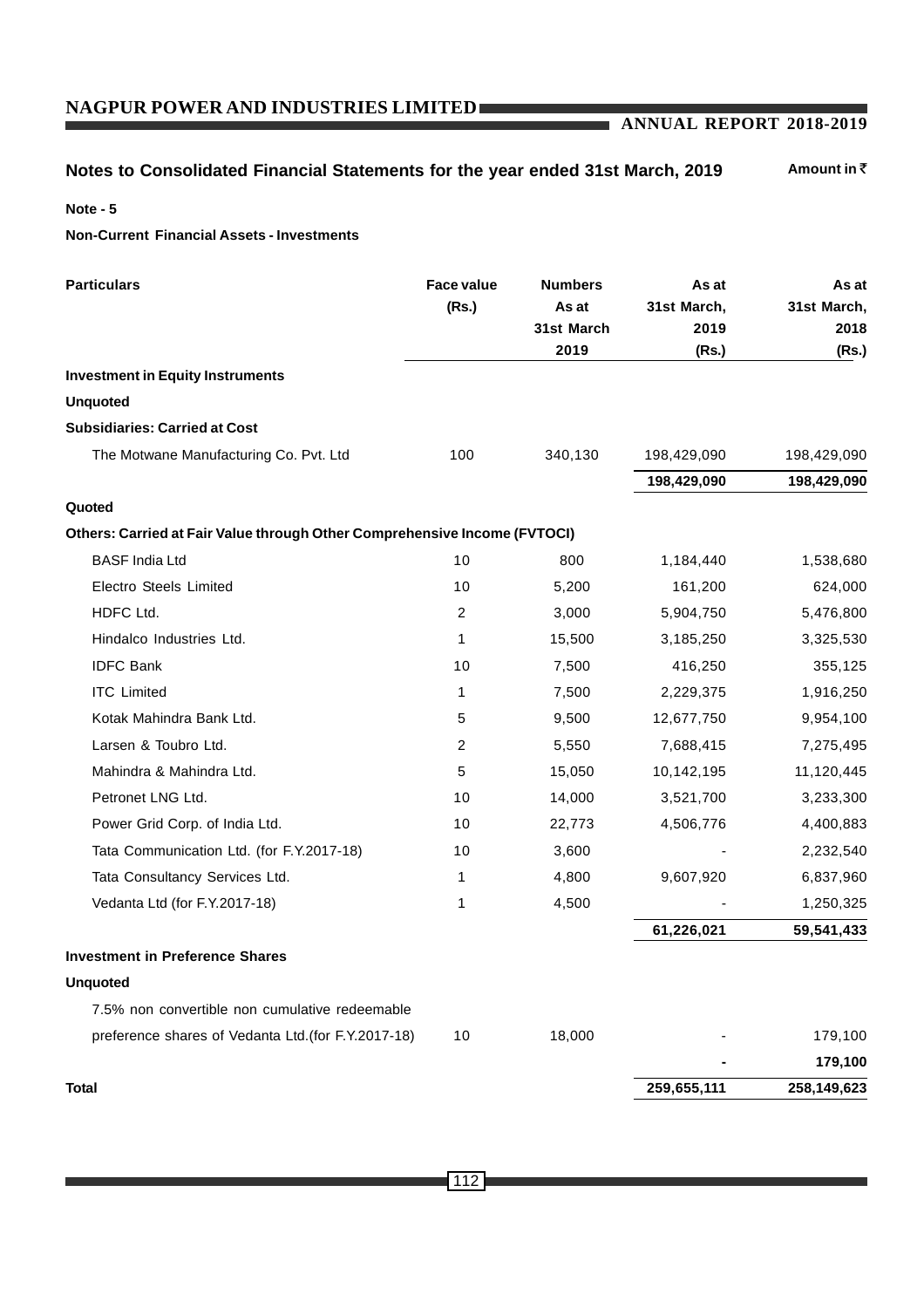# **ANNUAL REPORT 2018-2019**

# Notes to Consolidated Financial Statements for the year ended 31st March, 2019 **Amount in ₹**

**Note - 5**

**Non-Current Financial Assets - Investments**

| <b>Particulars</b>                                                        | <b>Face value</b><br>(Rs.) | <b>Numbers</b><br>As at<br>31st March<br>2019 | As at<br>31st March,<br>2019<br>(Rs.) | As at<br>31st March,<br>2018<br>(Rs.) |
|---------------------------------------------------------------------------|----------------------------|-----------------------------------------------|---------------------------------------|---------------------------------------|
| <b>Investment in Equity Instruments</b>                                   |                            |                                               |                                       |                                       |
| <b>Unquoted</b>                                                           |                            |                                               |                                       |                                       |
| <b>Subsidiaries: Carried at Cost</b>                                      |                            |                                               |                                       |                                       |
| The Motwane Manufacturing Co. Pvt. Ltd                                    | 100                        | 340,130                                       | 198,429,090                           | 198,429,090                           |
|                                                                           |                            |                                               | 198,429,090                           | 198,429,090                           |
| Quoted                                                                    |                            |                                               |                                       |                                       |
| Others: Carried at Fair Value through Other Comprehensive Income (FVTOCI) |                            |                                               |                                       |                                       |
| <b>BASF India Ltd</b>                                                     | 10                         | 800                                           | 1,184,440                             | 1,538,680                             |
| <b>Electro Steels Limited</b>                                             | 10                         | 5,200                                         | 161,200                               | 624,000                               |
| HDFC Ltd.                                                                 | $\overline{c}$             | 3,000                                         | 5,904,750                             | 5,476,800                             |
| Hindalco Industries Ltd.                                                  | 1                          | 15,500                                        | 3,185,250                             | 3,325,530                             |
| <b>IDFC Bank</b>                                                          | 10                         | 7,500                                         | 416,250                               | 355,125                               |
| <b>ITC Limited</b>                                                        | 1                          | 7,500                                         | 2,229,375                             | 1,916,250                             |
| Kotak Mahindra Bank Ltd.                                                  | 5                          | 9,500                                         | 12,677,750                            | 9,954,100                             |
| Larsen & Toubro Ltd.                                                      | $\overline{c}$             | 5,550                                         | 7,688,415                             | 7,275,495                             |
| Mahindra & Mahindra Ltd.                                                  | 5                          | 15,050                                        | 10,142,195                            | 11,120,445                            |
| Petronet LNG Ltd.                                                         | 10                         | 14,000                                        | 3,521,700                             | 3,233,300                             |
| Power Grid Corp. of India Ltd.                                            | 10                         | 22,773                                        | 4,506,776                             | 4,400,883                             |
| Tata Communication Ltd. (for F.Y.2017-18)                                 | 10                         | 3,600                                         |                                       | 2,232,540                             |
| Tata Consultancy Services Ltd.                                            | 1                          | 4,800                                         | 9,607,920                             | 6,837,960                             |
| Vedanta Ltd (for F.Y.2017-18)                                             | 1                          | 4,500                                         |                                       | 1,250,325                             |
|                                                                           |                            |                                               | 61,226,021                            | 59,541,433                            |
| <b>Investment in Preference Shares</b>                                    |                            |                                               |                                       |                                       |
| <b>Unquoted</b>                                                           |                            |                                               |                                       |                                       |
| 7.5% non convertible non cumulative redeemable                            |                            |                                               |                                       |                                       |
| preference shares of Vedanta Ltd.(for F.Y.2017-18)                        | 10                         | 18,000                                        |                                       | 179,100                               |
|                                                                           |                            |                                               |                                       | 179,100                               |
| <b>Total</b>                                                              |                            |                                               | 259,655,111                           | 258,149,623                           |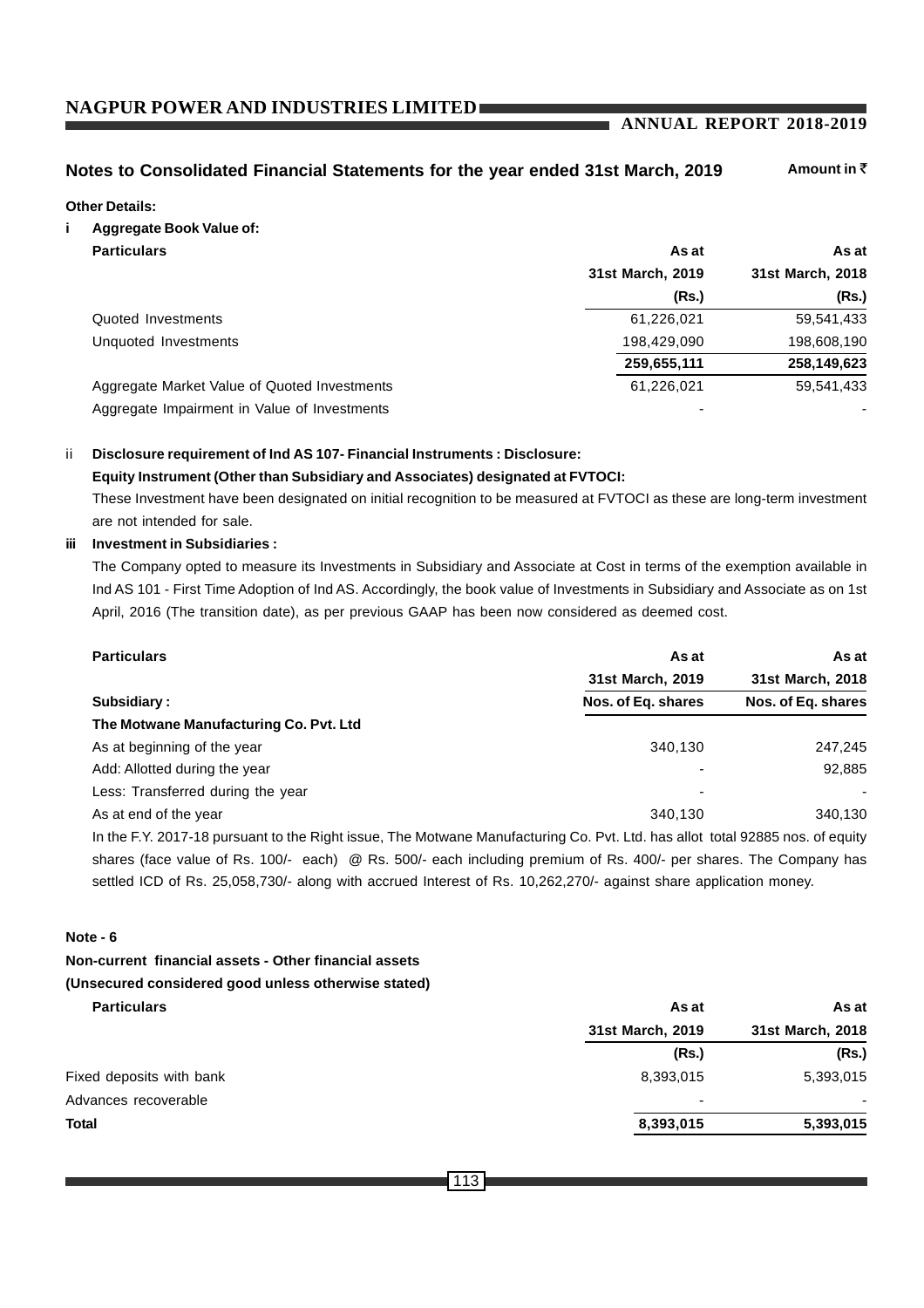### **ANNUAL REPORT 2018-2019**

## **Notes to Consolidated Financial Statements for the year ended 31st March, 2019** Amount in ₹

#### **Other Details:**

**i Aggregate Book Value of:**

| <b>Particulars</b> |  |  |
|--------------------|--|--|

| <b>Particulars</b>                           | As at            | As at            |
|----------------------------------------------|------------------|------------------|
|                                              | 31st March, 2019 | 31st March, 2018 |
|                                              | (Rs.)            | (Rs.)            |
| Quoted Investments                           | 61,226,021       | 59,541,433       |
| Unquoted Investments                         | 198.429.090      | 198,608,190      |
|                                              | 259,655,111      | 258,149,623      |
| Aggregate Market Value of Quoted Investments | 61,226,021       | 59,541,433       |
| Aggregate Impairment in Value of Investments |                  |                  |

ii **Disclosure requirement of Ind AS 107- Financial Instruments : Disclosure:**

# **Equity Instrument (Other than Subsidiary and Associates) designated at FVTOCI:**

These Investment have been designated on initial recognition to be measured at FVTOCI as these are long-term investment are not intended for sale.

#### **iii Investment in Subsidiaries :**

The Company opted to measure its Investments in Subsidiary and Associate at Cost in terms of the exemption available in Ind AS 101 - First Time Adoption of Ind AS. Accordingly, the book value of Investments in Subsidiary and Associate as on 1st April, 2016 (The transition date), as per previous GAAP has been now considered as deemed cost.

| <b>Particulars</b>                                                                                                            | As at              | As at                    |
|-------------------------------------------------------------------------------------------------------------------------------|--------------------|--------------------------|
|                                                                                                                               | 31st March, 2019   | 31st March, 2018         |
| Subsidiary:                                                                                                                   | Nos. of Eq. shares | Nos. of Eq. shares       |
| The Motwane Manufacturing Co. Pvt. Ltd                                                                                        |                    |                          |
| As at beginning of the year                                                                                                   | 340.130            | 247,245                  |
| Add: Allotted during the year                                                                                                 |                    | 92,885                   |
| Less: Transferred during the year                                                                                             | -                  | $\overline{\phantom{a}}$ |
| As at end of the year                                                                                                         | 340.130            | 340,130                  |
| In the E.Y. 2017-18 pursuant to the Right issue. The Motwane Manufacturing Co. Pyt. Ltd. has allot total 92885 nos. of equity |                    |                          |

In the F.Y. 2017-18 pursuant to the Right issue, The Motwane Manufacturing Co. Pvt. Ltd. has allot total 92885 nos. of equity shares (face value of Rs. 100/- each) @ Rs. 500/- each including premium of Rs. 400/- per shares. The Company has settled ICD of Rs. 25,058,730/- along with accrued Interest of Rs. 10,262,270/- against share application money.

#### **Note - 6**

#### **Non-current financial assets - Other financial assets**

#### **(Unsecured considered good unless otherwise stated)**

| <b>Particulars</b>       | As at            | As at            |
|--------------------------|------------------|------------------|
|                          | 31st March, 2019 | 31st March, 2018 |
|                          | (Rs.)            | (Rs.)            |
| Fixed deposits with bank | 8,393,015        | 5,393,015        |
| Advances recoverable     | $\blacksquare$   |                  |
| <b>Total</b>             | 8,393,015        | 5,393,015        |
|                          |                  |                  |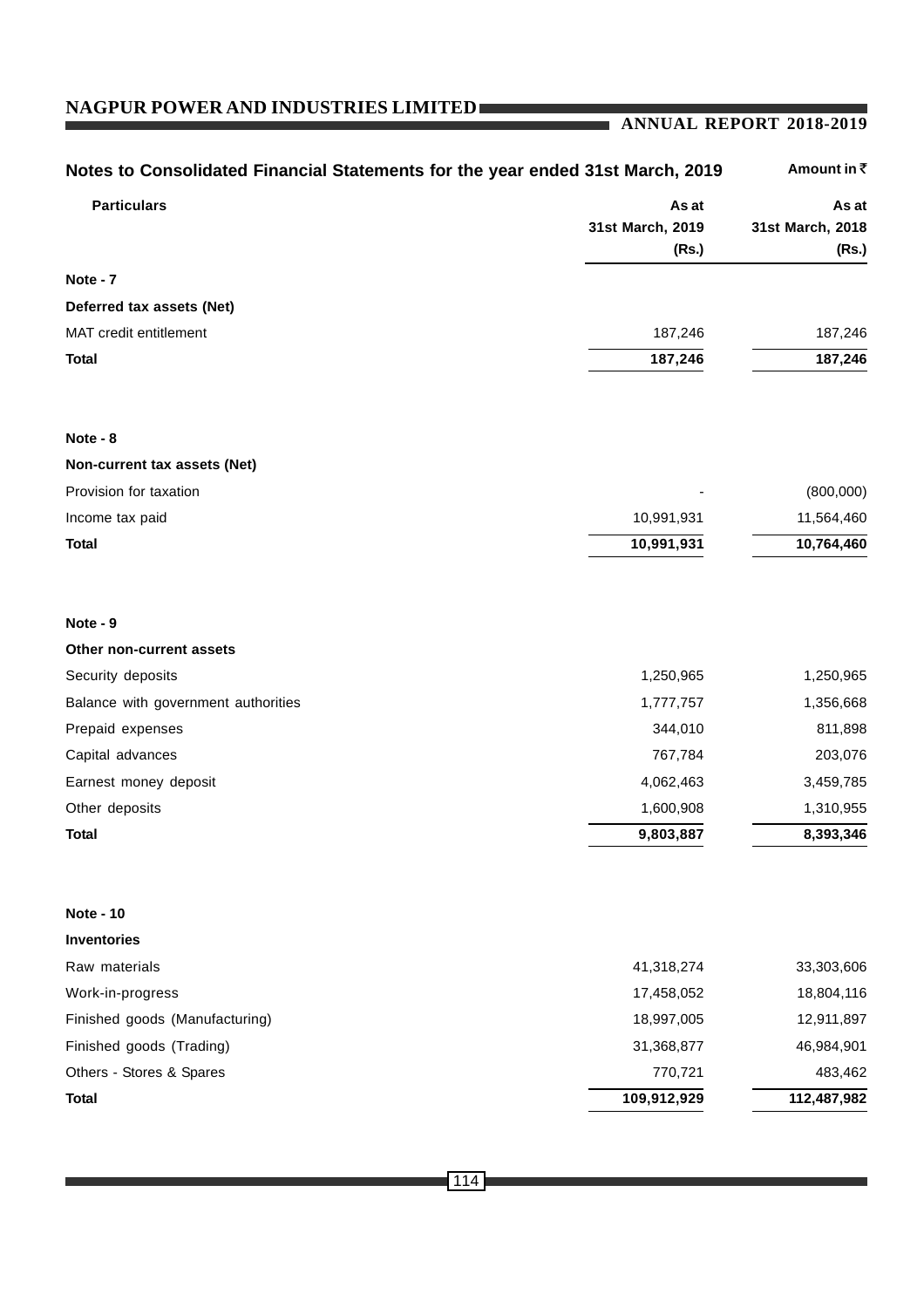| Notes to Consolidated Financial Statements for the year ended 31st March, 2019 |                  | Amount in ₹      |  |
|--------------------------------------------------------------------------------|------------------|------------------|--|
| <b>Particulars</b>                                                             | As at            | As at            |  |
|                                                                                | 31st March, 2019 | 31st March, 2018 |  |
|                                                                                | (Rs.)            | (Rs.)            |  |
| Note - 7                                                                       |                  |                  |  |
| Deferred tax assets (Net)                                                      |                  |                  |  |
| MAT credit entitlement                                                         | 187,246          | 187,246          |  |
| <b>Total</b>                                                                   | 187,246          | 187,246          |  |
| Note - 8                                                                       |                  |                  |  |
| Non-current tax assets (Net)                                                   |                  |                  |  |
| Provision for taxation                                                         |                  | (800,000)        |  |
| Income tax paid                                                                | 10,991,931       | 11,564,460       |  |
| <b>Total</b>                                                                   | 10,991,931       | 10,764,460       |  |
| Note - 9                                                                       |                  |                  |  |
| Other non-current assets                                                       |                  |                  |  |
| Security deposits                                                              | 1,250,965        | 1,250,965        |  |
| Balance with government authorities                                            | 1,777,757        | 1,356,668        |  |
| Prepaid expenses                                                               | 344,010          | 811,898          |  |
| Capital advances                                                               | 767,784          | 203,076          |  |
| Earnest money deposit                                                          | 4,062,463        | 3,459,785        |  |
| Other deposits                                                                 | 1,600,908        | 1,310,955        |  |
| <b>Total</b>                                                                   | 9,803,887        | 8,393,346        |  |
| <b>Note - 10</b>                                                               |                  |                  |  |
| <b>Inventories</b>                                                             |                  |                  |  |
| Raw materials                                                                  | 41,318,274       | 33,303,606       |  |
| Work-in-progress                                                               | 17,458,052       | 18,804,116       |  |
| Finished goods (Manufacturing)                                                 | 18,997,005       | 12,911,897       |  |
| Finished goods (Trading)                                                       | 31,368,877       | 46,984,901       |  |
| Others - Stores & Spares                                                       | 770,721          | 483,462          |  |
| <b>Total</b>                                                                   | 109,912,929      | 112,487,982      |  |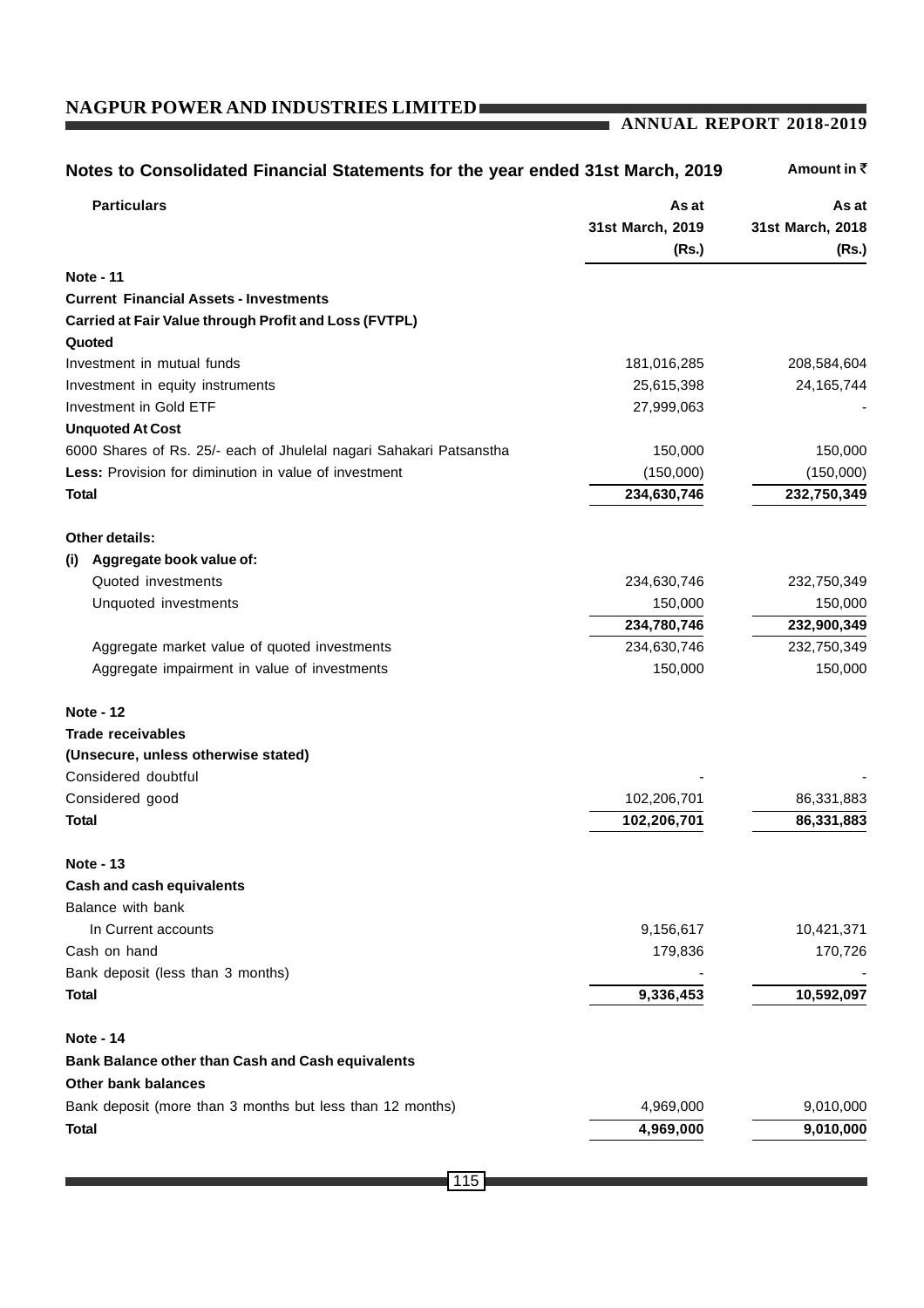| <b>Particulars</b><br>As at<br>As at<br>31st March, 2019<br>31st March, 2018<br>(Rs.)<br>(Rs.)<br><b>Note - 11</b><br><b>Current Financial Assets - Investments</b><br><b>Carried at Fair Value through Profit and Loss (FVTPL)</b><br>Quoted<br>Investment in mutual funds<br>181,016,285<br>208,584,604<br>Investment in equity instruments<br>25,615,398<br>24, 165, 744<br>Investment in Gold ETF<br>27,999,063<br><b>Unquoted At Cost</b><br>6000 Shares of Rs. 25/- each of Jhulelal nagari Sahakari Patsanstha<br>150,000<br>150,000<br>Less: Provision for diminution in value of investment<br>(150,000)<br>(150,000)<br>234,630,746<br>232,750,349<br><b>Total</b><br>Other details:<br>Aggregate book value of:<br>(i)<br>Quoted investments<br>234,630,746<br>232,750,349<br>Unquoted investments<br>150,000<br>150,000<br>234,780,746<br>232,900,349<br>234,630,746<br>232,750,349<br>Aggregate market value of quoted investments<br>150,000<br>150,000<br>Aggregate impairment in value of investments<br><b>Note - 12</b><br><b>Trade receivables</b><br>(Unsecure, unless otherwise stated)<br>Considered doubtful<br>Considered good<br>102,206,701<br>86,331,883<br>102,206,701<br>86,331,883<br><b>Total</b><br><b>Note - 13</b><br><b>Cash and cash equivalents</b><br>Balance with bank<br>In Current accounts<br>9,156,617<br>10,421,371<br>Cash on hand<br>179,836<br>170,726<br>Bank deposit (less than 3 months)<br>9,336,453<br>10,592,097<br><b>Total</b><br><b>Note - 14</b><br>Bank Balance other than Cash and Cash equivalents<br><b>Other bank balances</b><br>Bank deposit (more than 3 months but less than 12 months)<br>4,969,000<br>9,010,000<br>4,969,000<br><b>Total</b><br>9,010,000 | Notes to Consolidated Financial Statements for the year ended 31st March, 2019 | Amount in ₹ |
|-------------------------------------------------------------------------------------------------------------------------------------------------------------------------------------------------------------------------------------------------------------------------------------------------------------------------------------------------------------------------------------------------------------------------------------------------------------------------------------------------------------------------------------------------------------------------------------------------------------------------------------------------------------------------------------------------------------------------------------------------------------------------------------------------------------------------------------------------------------------------------------------------------------------------------------------------------------------------------------------------------------------------------------------------------------------------------------------------------------------------------------------------------------------------------------------------------------------------------------------------------------------------------------------------------------------------------------------------------------------------------------------------------------------------------------------------------------------------------------------------------------------------------------------------------------------------------------------------------------------------------------------------------------------------------------------------------------------------------|--------------------------------------------------------------------------------|-------------|
|                                                                                                                                                                                                                                                                                                                                                                                                                                                                                                                                                                                                                                                                                                                                                                                                                                                                                                                                                                                                                                                                                                                                                                                                                                                                                                                                                                                                                                                                                                                                                                                                                                                                                                                               |                                                                                |             |
|                                                                                                                                                                                                                                                                                                                                                                                                                                                                                                                                                                                                                                                                                                                                                                                                                                                                                                                                                                                                                                                                                                                                                                                                                                                                                                                                                                                                                                                                                                                                                                                                                                                                                                                               |                                                                                |             |
|                                                                                                                                                                                                                                                                                                                                                                                                                                                                                                                                                                                                                                                                                                                                                                                                                                                                                                                                                                                                                                                                                                                                                                                                                                                                                                                                                                                                                                                                                                                                                                                                                                                                                                                               |                                                                                |             |
|                                                                                                                                                                                                                                                                                                                                                                                                                                                                                                                                                                                                                                                                                                                                                                                                                                                                                                                                                                                                                                                                                                                                                                                                                                                                                                                                                                                                                                                                                                                                                                                                                                                                                                                               |                                                                                |             |
|                                                                                                                                                                                                                                                                                                                                                                                                                                                                                                                                                                                                                                                                                                                                                                                                                                                                                                                                                                                                                                                                                                                                                                                                                                                                                                                                                                                                                                                                                                                                                                                                                                                                                                                               |                                                                                |             |
|                                                                                                                                                                                                                                                                                                                                                                                                                                                                                                                                                                                                                                                                                                                                                                                                                                                                                                                                                                                                                                                                                                                                                                                                                                                                                                                                                                                                                                                                                                                                                                                                                                                                                                                               |                                                                                |             |
|                                                                                                                                                                                                                                                                                                                                                                                                                                                                                                                                                                                                                                                                                                                                                                                                                                                                                                                                                                                                                                                                                                                                                                                                                                                                                                                                                                                                                                                                                                                                                                                                                                                                                                                               |                                                                                |             |
|                                                                                                                                                                                                                                                                                                                                                                                                                                                                                                                                                                                                                                                                                                                                                                                                                                                                                                                                                                                                                                                                                                                                                                                                                                                                                                                                                                                                                                                                                                                                                                                                                                                                                                                               |                                                                                |             |
|                                                                                                                                                                                                                                                                                                                                                                                                                                                                                                                                                                                                                                                                                                                                                                                                                                                                                                                                                                                                                                                                                                                                                                                                                                                                                                                                                                                                                                                                                                                                                                                                                                                                                                                               |                                                                                |             |
|                                                                                                                                                                                                                                                                                                                                                                                                                                                                                                                                                                                                                                                                                                                                                                                                                                                                                                                                                                                                                                                                                                                                                                                                                                                                                                                                                                                                                                                                                                                                                                                                                                                                                                                               |                                                                                |             |
|                                                                                                                                                                                                                                                                                                                                                                                                                                                                                                                                                                                                                                                                                                                                                                                                                                                                                                                                                                                                                                                                                                                                                                                                                                                                                                                                                                                                                                                                                                                                                                                                                                                                                                                               |                                                                                |             |
|                                                                                                                                                                                                                                                                                                                                                                                                                                                                                                                                                                                                                                                                                                                                                                                                                                                                                                                                                                                                                                                                                                                                                                                                                                                                                                                                                                                                                                                                                                                                                                                                                                                                                                                               |                                                                                |             |
|                                                                                                                                                                                                                                                                                                                                                                                                                                                                                                                                                                                                                                                                                                                                                                                                                                                                                                                                                                                                                                                                                                                                                                                                                                                                                                                                                                                                                                                                                                                                                                                                                                                                                                                               |                                                                                |             |
|                                                                                                                                                                                                                                                                                                                                                                                                                                                                                                                                                                                                                                                                                                                                                                                                                                                                                                                                                                                                                                                                                                                                                                                                                                                                                                                                                                                                                                                                                                                                                                                                                                                                                                                               |                                                                                |             |
|                                                                                                                                                                                                                                                                                                                                                                                                                                                                                                                                                                                                                                                                                                                                                                                                                                                                                                                                                                                                                                                                                                                                                                                                                                                                                                                                                                                                                                                                                                                                                                                                                                                                                                                               |                                                                                |             |
|                                                                                                                                                                                                                                                                                                                                                                                                                                                                                                                                                                                                                                                                                                                                                                                                                                                                                                                                                                                                                                                                                                                                                                                                                                                                                                                                                                                                                                                                                                                                                                                                                                                                                                                               |                                                                                |             |
|                                                                                                                                                                                                                                                                                                                                                                                                                                                                                                                                                                                                                                                                                                                                                                                                                                                                                                                                                                                                                                                                                                                                                                                                                                                                                                                                                                                                                                                                                                                                                                                                                                                                                                                               |                                                                                |             |
|                                                                                                                                                                                                                                                                                                                                                                                                                                                                                                                                                                                                                                                                                                                                                                                                                                                                                                                                                                                                                                                                                                                                                                                                                                                                                                                                                                                                                                                                                                                                                                                                                                                                                                                               |                                                                                |             |
|                                                                                                                                                                                                                                                                                                                                                                                                                                                                                                                                                                                                                                                                                                                                                                                                                                                                                                                                                                                                                                                                                                                                                                                                                                                                                                                                                                                                                                                                                                                                                                                                                                                                                                                               |                                                                                |             |
|                                                                                                                                                                                                                                                                                                                                                                                                                                                                                                                                                                                                                                                                                                                                                                                                                                                                                                                                                                                                                                                                                                                                                                                                                                                                                                                                                                                                                                                                                                                                                                                                                                                                                                                               |                                                                                |             |
|                                                                                                                                                                                                                                                                                                                                                                                                                                                                                                                                                                                                                                                                                                                                                                                                                                                                                                                                                                                                                                                                                                                                                                                                                                                                                                                                                                                                                                                                                                                                                                                                                                                                                                                               |                                                                                |             |
|                                                                                                                                                                                                                                                                                                                                                                                                                                                                                                                                                                                                                                                                                                                                                                                                                                                                                                                                                                                                                                                                                                                                                                                                                                                                                                                                                                                                                                                                                                                                                                                                                                                                                                                               |                                                                                |             |
|                                                                                                                                                                                                                                                                                                                                                                                                                                                                                                                                                                                                                                                                                                                                                                                                                                                                                                                                                                                                                                                                                                                                                                                                                                                                                                                                                                                                                                                                                                                                                                                                                                                                                                                               |                                                                                |             |
|                                                                                                                                                                                                                                                                                                                                                                                                                                                                                                                                                                                                                                                                                                                                                                                                                                                                                                                                                                                                                                                                                                                                                                                                                                                                                                                                                                                                                                                                                                                                                                                                                                                                                                                               |                                                                                |             |
|                                                                                                                                                                                                                                                                                                                                                                                                                                                                                                                                                                                                                                                                                                                                                                                                                                                                                                                                                                                                                                                                                                                                                                                                                                                                                                                                                                                                                                                                                                                                                                                                                                                                                                                               |                                                                                |             |
|                                                                                                                                                                                                                                                                                                                                                                                                                                                                                                                                                                                                                                                                                                                                                                                                                                                                                                                                                                                                                                                                                                                                                                                                                                                                                                                                                                                                                                                                                                                                                                                                                                                                                                                               |                                                                                |             |
|                                                                                                                                                                                                                                                                                                                                                                                                                                                                                                                                                                                                                                                                                                                                                                                                                                                                                                                                                                                                                                                                                                                                                                                                                                                                                                                                                                                                                                                                                                                                                                                                                                                                                                                               |                                                                                |             |
|                                                                                                                                                                                                                                                                                                                                                                                                                                                                                                                                                                                                                                                                                                                                                                                                                                                                                                                                                                                                                                                                                                                                                                                                                                                                                                                                                                                                                                                                                                                                                                                                                                                                                                                               |                                                                                |             |
|                                                                                                                                                                                                                                                                                                                                                                                                                                                                                                                                                                                                                                                                                                                                                                                                                                                                                                                                                                                                                                                                                                                                                                                                                                                                                                                                                                                                                                                                                                                                                                                                                                                                                                                               |                                                                                |             |
|                                                                                                                                                                                                                                                                                                                                                                                                                                                                                                                                                                                                                                                                                                                                                                                                                                                                                                                                                                                                                                                                                                                                                                                                                                                                                                                                                                                                                                                                                                                                                                                                                                                                                                                               |                                                                                |             |
|                                                                                                                                                                                                                                                                                                                                                                                                                                                                                                                                                                                                                                                                                                                                                                                                                                                                                                                                                                                                                                                                                                                                                                                                                                                                                                                                                                                                                                                                                                                                                                                                                                                                                                                               |                                                                                |             |
|                                                                                                                                                                                                                                                                                                                                                                                                                                                                                                                                                                                                                                                                                                                                                                                                                                                                                                                                                                                                                                                                                                                                                                                                                                                                                                                                                                                                                                                                                                                                                                                                                                                                                                                               |                                                                                |             |
|                                                                                                                                                                                                                                                                                                                                                                                                                                                                                                                                                                                                                                                                                                                                                                                                                                                                                                                                                                                                                                                                                                                                                                                                                                                                                                                                                                                                                                                                                                                                                                                                                                                                                                                               |                                                                                |             |
|                                                                                                                                                                                                                                                                                                                                                                                                                                                                                                                                                                                                                                                                                                                                                                                                                                                                                                                                                                                                                                                                                                                                                                                                                                                                                                                                                                                                                                                                                                                                                                                                                                                                                                                               |                                                                                |             |
|                                                                                                                                                                                                                                                                                                                                                                                                                                                                                                                                                                                                                                                                                                                                                                                                                                                                                                                                                                                                                                                                                                                                                                                                                                                                                                                                                                                                                                                                                                                                                                                                                                                                                                                               |                                                                                |             |
|                                                                                                                                                                                                                                                                                                                                                                                                                                                                                                                                                                                                                                                                                                                                                                                                                                                                                                                                                                                                                                                                                                                                                                                                                                                                                                                                                                                                                                                                                                                                                                                                                                                                                                                               |                                                                                |             |
|                                                                                                                                                                                                                                                                                                                                                                                                                                                                                                                                                                                                                                                                                                                                                                                                                                                                                                                                                                                                                                                                                                                                                                                                                                                                                                                                                                                                                                                                                                                                                                                                                                                                                                                               |                                                                                |             |
|                                                                                                                                                                                                                                                                                                                                                                                                                                                                                                                                                                                                                                                                                                                                                                                                                                                                                                                                                                                                                                                                                                                                                                                                                                                                                                                                                                                                                                                                                                                                                                                                                                                                                                                               |                                                                                |             |
|                                                                                                                                                                                                                                                                                                                                                                                                                                                                                                                                                                                                                                                                                                                                                                                                                                                                                                                                                                                                                                                                                                                                                                                                                                                                                                                                                                                                                                                                                                                                                                                                                                                                                                                               |                                                                                |             |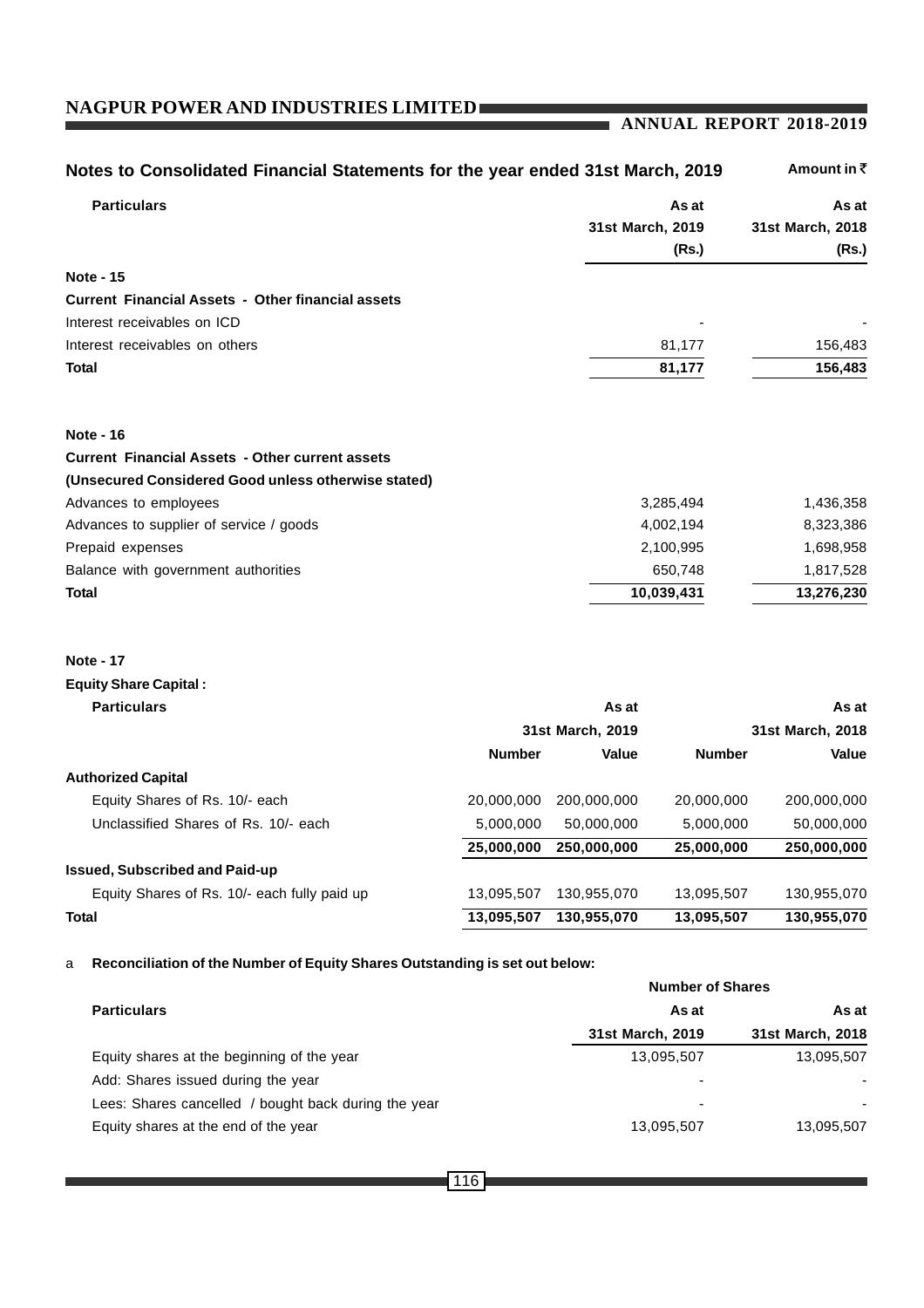# **ANNUAL REPORT 2018-2019**

| Notes to Consolidated Financial Statements for the year ended 31st March, 2019 |                  | Amount in $\bar{z}$ |
|--------------------------------------------------------------------------------|------------------|---------------------|
| <b>Particulars</b>                                                             | As at            | As at               |
|                                                                                | 31st March, 2019 | 31st March, 2018    |
|                                                                                | (Rs.)            | (Rs.)               |
| <b>Note - 15</b>                                                               |                  |                     |
| Current Financial Assets - Other financial assets                              |                  |                     |
| Interest receivables on ICD                                                    |                  |                     |
| Interest receivables on others                                                 | 81,177           | 156,483             |
| <b>Total</b>                                                                   | 81,177           | 156,483             |
| <b>Note - 16</b>                                                               |                  |                     |
| <b>Current Financial Assets - Other current assets</b>                         |                  |                     |
| (Unsecured Considered Good unless otherwise stated)                            |                  |                     |
| Advances to employees                                                          | 3,285,494        | 1,436,358           |
| Advances to supplier of service / goods                                        | 4,002,194        | 8,323,386           |
| Prepaid expenses                                                               | 2,100,995        | 1,698,958           |
| Balance with government authorities                                            | 650,748          | 1,817,528           |
| <b>Total</b>                                                                   | 10,039,431       | 13,276,230          |
| <b>Note - 17</b>                                                               |                  |                     |
| <b>Equity Share Capital:</b>                                                   |                  |                     |
|                                                                                |                  |                     |

| <b>Particulars</b>                           |               | As at            |               | As at            |
|----------------------------------------------|---------------|------------------|---------------|------------------|
|                                              |               | 31st March, 2019 |               | 31st March, 2018 |
|                                              | <b>Number</b> | <b>Value</b>     | <b>Number</b> | Value            |
| <b>Authorized Capital</b>                    |               |                  |               |                  |
| Equity Shares of Rs. 10/- each               | 20,000,000    | 200.000.000      | 20,000,000    | 200.000.000      |
| Unclassified Shares of Rs. 10/- each         | 5.000.000     | 50,000,000       | 5,000,000     | 50,000,000       |
|                                              | 25,000,000    | 250,000,000      | 25,000,000    | 250,000,000      |
| <b>Issued, Subscribed and Paid-up</b>        |               |                  |               |                  |
| Equity Shares of Rs. 10/- each fully paid up | 13.095.507    | 130.955.070      | 13,095,507    | 130,955,070      |
| <b>Total</b>                                 | 13,095,507    | 130,955,070      | 13,095,507    | 130,955,070      |
|                                              |               |                  |               |                  |

#### a **Reconciliation of the Number of Equity Shares Outstanding is set out below:**

| <b>Number of Shares</b>  |                  |
|--------------------------|------------------|
| As at                    | As at            |
| 31st March, 2019         | 31st March, 2018 |
| 13,095,507               | 13,095,507       |
| -                        |                  |
| $\overline{\phantom{0}}$ |                  |
| 13,095,507               | 13,095,507       |
|                          |                  |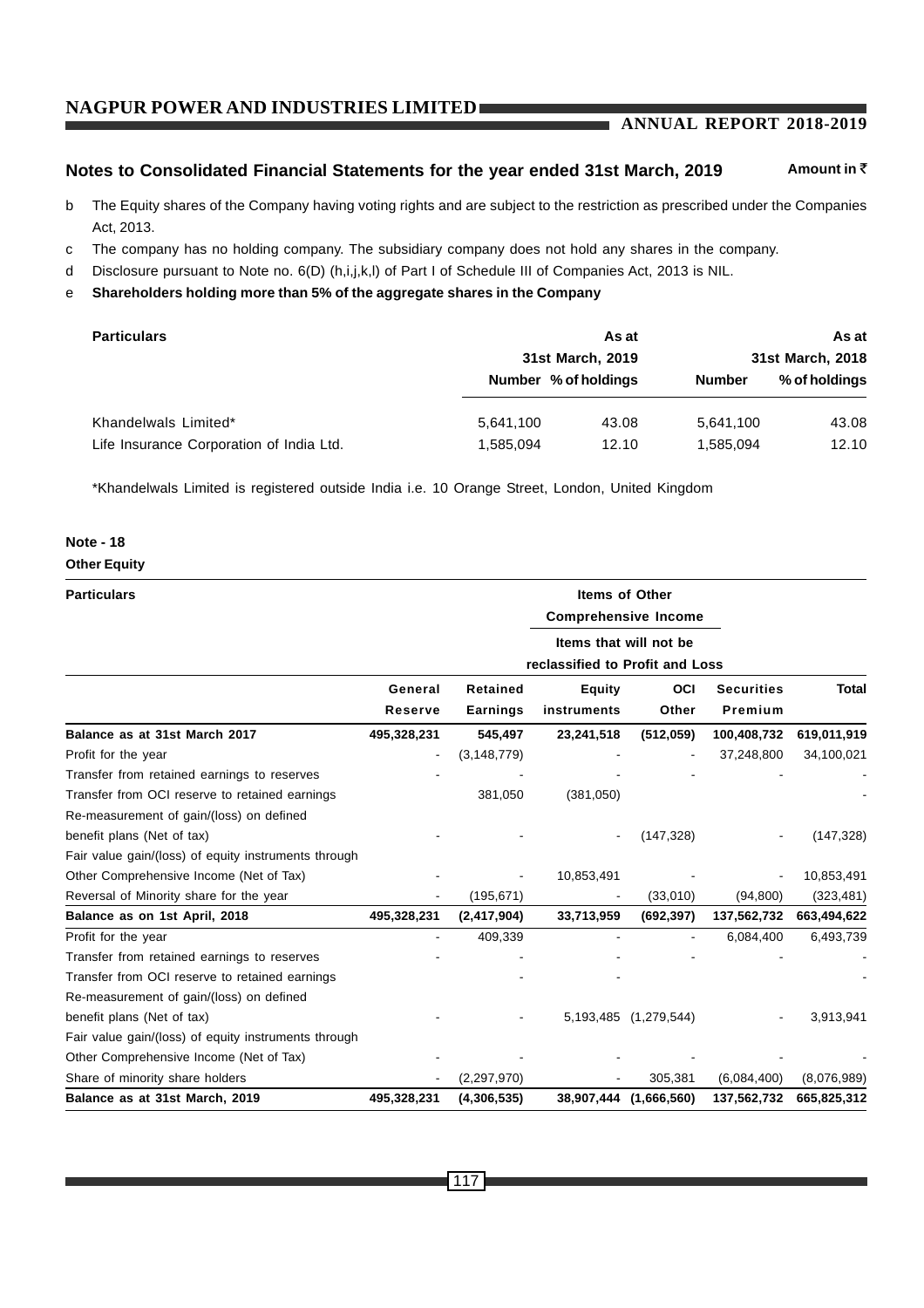# **ANNUAL REPORT 2018-2019**

# Notes to Consolidated Financial Statements for the year ended 31st March, 2019 **Amount in ₹**

- b The Equity shares of the Company having voting rights and are subject to the restriction as prescribed under the Companies Act, 2013.
- c The company has no holding company. The subsidiary company does not hold any shares in the company.
- d Disclosure pursuant to Note no. 6(D) (h,i,j,k,l) of Part I of Schedule III of Companies Act, 2013 is NIL.
- e **Shareholders holding more than 5% of the aggregate shares in the Company**

| <b>Particulars</b>                       |                      | As at            |               | As at            |
|------------------------------------------|----------------------|------------------|---------------|------------------|
|                                          |                      | 31st March, 2019 |               | 31st March, 2018 |
|                                          | Number % of holdings |                  | <b>Number</b> | % of holdings    |
| Khandelwals Limited*                     | 5,641,100            | 43.08            | 5.641.100     | 43.08            |
| Life Insurance Corporation of India Ltd. | 1,585,094            | 12.10            | 1,585,094     | 12.10            |

\*Khandelwals Limited is registered outside India i.e. 10 Orange Street, London, United Kingdom

## **Note - 18 Other Equity**

| <b>Particulars</b>                                   |                |                 | <b>Items of Other</b>           |                        |                   |              |
|------------------------------------------------------|----------------|-----------------|---------------------------------|------------------------|-------------------|--------------|
|                                                      |                |                 | <b>Comprehensive Income</b>     |                        |                   |              |
|                                                      |                |                 | Items that will not be          |                        |                   |              |
|                                                      |                |                 | reclassified to Profit and Loss |                        |                   |              |
|                                                      | General        | <b>Retained</b> | Equity                          | OCI                    | <b>Securities</b> | <b>Total</b> |
|                                                      | <b>Reserve</b> | <b>Earnings</b> | instruments                     | Other                  | Premium           |              |
| Balance as at 31st March 2017                        | 495,328,231    | 545,497         | 23,241,518                      | (512,059)              | 100,408,732       | 619,011,919  |
| Profit for the year                                  |                | (3, 148, 779)   |                                 |                        | 37,248,800        | 34,100,021   |
| Transfer from retained earnings to reserves          |                |                 |                                 |                        |                   |              |
| Transfer from OCI reserve to retained earnings       |                | 381,050         | (381,050)                       |                        |                   |              |
| Re-measurement of gain/(loss) on defined             |                |                 |                                 |                        |                   |              |
| benefit plans (Net of tax)                           |                |                 |                                 | (147, 328)             |                   | (147, 328)   |
| Fair value gain/(loss) of equity instruments through |                |                 |                                 |                        |                   |              |
| Other Comprehensive Income (Net of Tax)              |                |                 | 10,853,491                      |                        |                   | 10,853,491   |
| Reversal of Minority share for the year              |                | (195, 671)      |                                 | (33,010)               | (94, 800)         | (323, 481)   |
| Balance as on 1st April, 2018                        | 495,328,231    | (2, 417, 904)   | 33,713,959                      | (692, 397)             | 137,562,732       | 663,494,622  |
| Profit for the year                                  |                | 409,339         |                                 |                        | 6,084,400         | 6,493,739    |
| Transfer from retained earnings to reserves          |                |                 |                                 |                        |                   |              |
| Transfer from OCI reserve to retained earnings       |                |                 |                                 |                        |                   |              |
| Re-measurement of gain/(loss) on defined             |                |                 |                                 |                        |                   |              |
| benefit plans (Net of tax)                           |                |                 |                                 | 5,193,485 (1,279,544)  |                   | 3,913,941    |
| Fair value gain/(loss) of equity instruments through |                |                 |                                 |                        |                   |              |
| Other Comprehensive Income (Net of Tax)              |                |                 |                                 |                        |                   |              |
| Share of minority share holders                      |                | (2, 297, 970)   |                                 | 305,381                | (6,084,400)       | (8,076,989)  |
| Balance as at 31st March, 2019                       | 495,328,231    | (4,306,535)     |                                 | 38,907,444 (1,666,560) | 137,562,732       | 665,825,312  |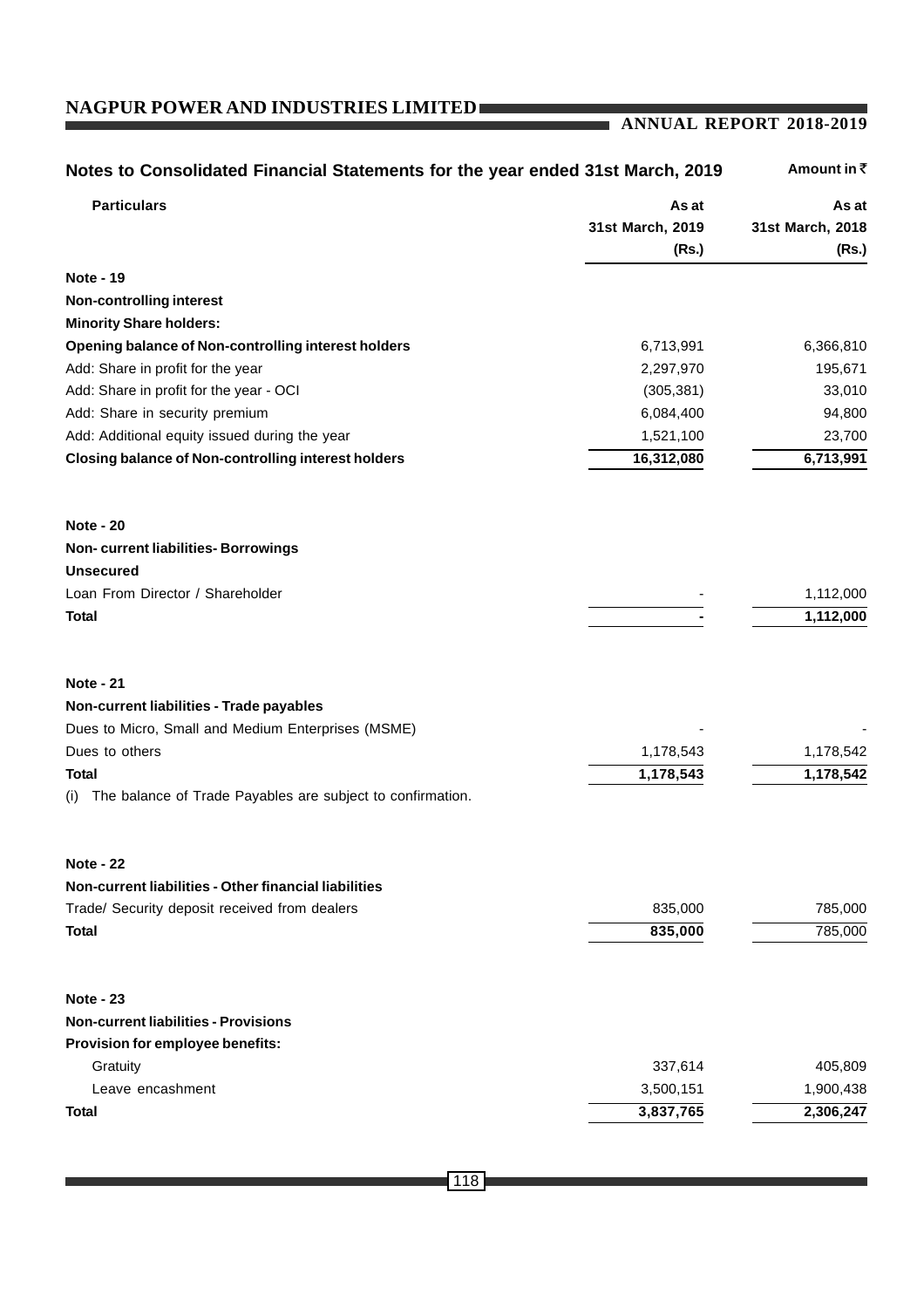| Notes to Consolidated Financial Statements for the year ended 31st March, 2019 |                  | Amount in ₹      |
|--------------------------------------------------------------------------------|------------------|------------------|
| <b>Particulars</b>                                                             | As at            | As at            |
|                                                                                | 31st March, 2019 | 31st March, 2018 |
|                                                                                | (Rs.)            | (Rs.)            |
| <b>Note - 19</b>                                                               |                  |                  |
| <b>Non-controlling interest</b>                                                |                  |                  |
| <b>Minority Share holders:</b>                                                 |                  |                  |
| Opening balance of Non-controlling interest holders                            | 6,713,991        | 6,366,810        |
| Add: Share in profit for the year                                              | 2,297,970        | 195,671          |
| Add: Share in profit for the year - OCI                                        | (305, 381)       | 33,010           |
| Add: Share in security premium                                                 | 6,084,400        | 94,800           |
| Add: Additional equity issued during the year                                  | 1,521,100        | 23,700           |
| <b>Closing balance of Non-controlling interest holders</b>                     | 16,312,080       | 6,713,991        |
| <b>Note - 20</b>                                                               |                  |                  |
| Non- current liabilities- Borrowings                                           |                  |                  |
| <b>Unsecured</b>                                                               |                  |                  |
| Loan From Director / Shareholder                                               |                  | 1,112,000        |
| <b>Total</b>                                                                   |                  | 1,112,000        |
| <b>Note - 21</b>                                                               |                  |                  |
| Non-current liabilities - Trade payables                                       |                  |                  |
| Dues to Micro, Small and Medium Enterprises (MSME)                             |                  |                  |
| Dues to others                                                                 | 1,178,543        | 1,178,542        |
| <b>Total</b>                                                                   | 1,178,543        | 1,178,542        |
| The balance of Trade Payables are subject to confirmation.<br>(1)              |                  |                  |
| <b>Note - 22</b>                                                               |                  |                  |
| Non-current liabilities - Other financial liabilities                          |                  |                  |
| Trade/ Security deposit received from dealers                                  | 835,000          | 785,000          |
| <b>Total</b>                                                                   | 835,000          | 785,000          |
| <b>Note - 23</b>                                                               |                  |                  |
| <b>Non-current liabilities - Provisions</b>                                    |                  |                  |
| Provision for employee benefits:                                               |                  |                  |
| Gratuity                                                                       | 337,614          | 405,809          |
| Leave encashment                                                               | 3,500,151        | 1,900,438        |
| <b>Total</b>                                                                   | 3,837,765        | 2,306,247        |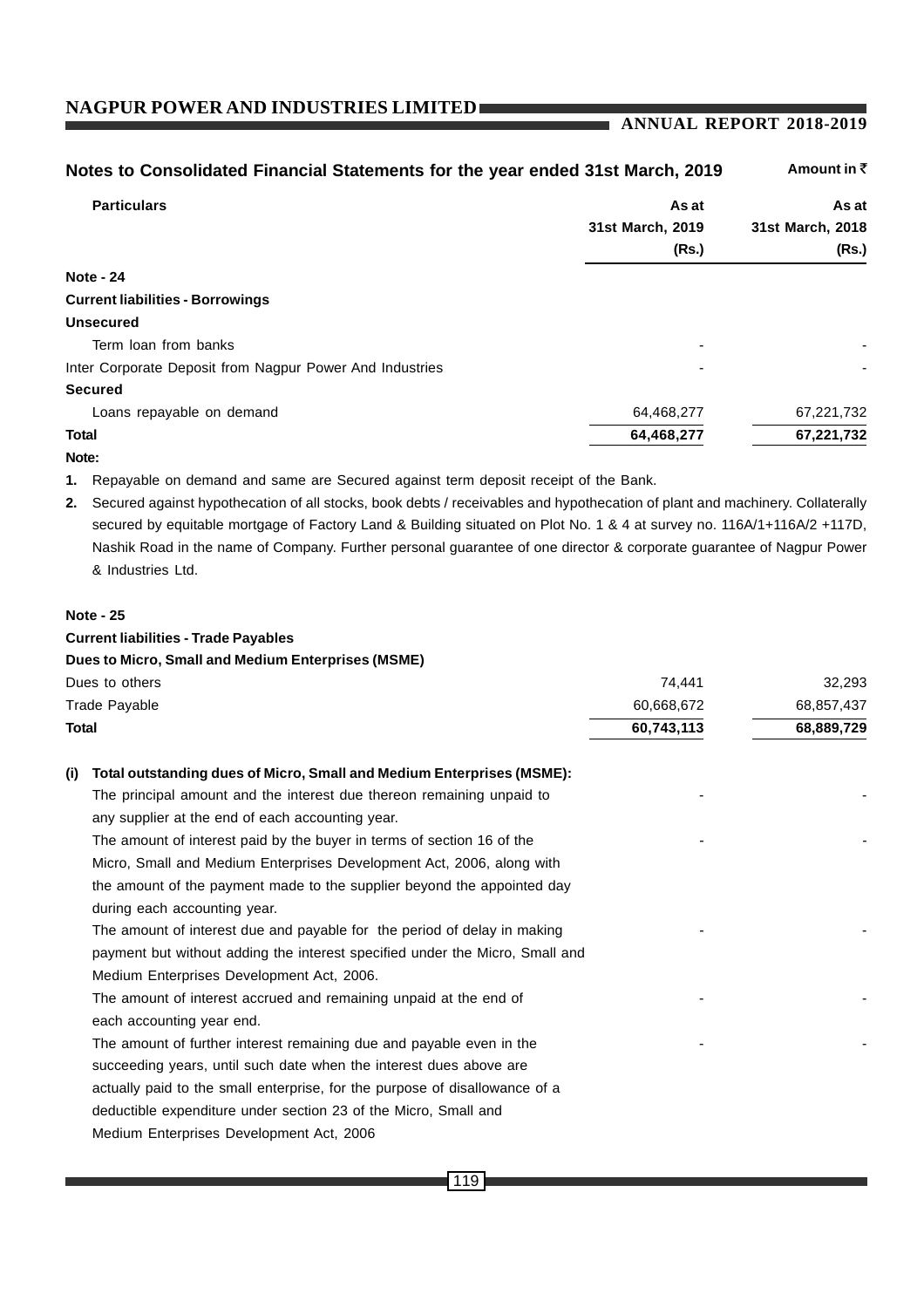# **ANNUAL REPORT 2018-2019**

# **Notes to Consolidated Financial Statements for the year ended 31st March, 2019** Amount in ₹

| <b>Particulars</b>                                       | As at            | As at            |
|----------------------------------------------------------|------------------|------------------|
|                                                          | 31st March, 2019 | 31st March, 2018 |
|                                                          | (Rs.)            | (Rs.)            |
| <b>Note - 24</b>                                         |                  |                  |
| <b>Current liabilities - Borrowings</b>                  |                  |                  |
| <b>Unsecured</b>                                         |                  |                  |
| Term loan from banks                                     |                  | -                |
| Inter Corporate Deposit from Nagpur Power And Industries | -                | $\blacksquare$   |
| <b>Secured</b>                                           |                  |                  |
| Loans repayable on demand                                | 64,468,277       | 67,221,732       |
| <b>Total</b>                                             | 64,468,277       | 67,221,732       |
|                                                          |                  |                  |

#### **Note:**

**1.** Repayable on demand and same are Secured against term deposit receipt of the Bank.

**2.** Secured against hypothecation of all stocks, book debts / receivables and hypothecation of plant and machinery. Collaterally secured by equitable mortgage of Factory Land & Building situated on Plot No. 1 & 4 at survey no. 116A/1+116A/2 +117D, Nashik Road in the name of Company. Further personal guarantee of one director & corporate guarantee of Nagpur Power & Industries Ltd.

#### **Note - 25**

# **Current liabilities - Trade Payables**

#### **Dues to Micro, Small and Medium Enterprises (MSME)**

|       | Dues to others                                                               | 74,441     | 32,293     |
|-------|------------------------------------------------------------------------------|------------|------------|
|       | Trade Payable                                                                | 60,668,672 | 68,857,437 |
| Total |                                                                              | 60,743,113 | 68,889,729 |
| (i)   | Total outstanding dues of Micro, Small and Medium Enterprises (MSME):        |            |            |
|       | The principal amount and the interest due thereon remaining unpaid to        |            |            |
|       | any supplier at the end of each accounting year.                             |            |            |
|       | The amount of interest paid by the buyer in terms of section 16 of the       |            |            |
|       | Micro, Small and Medium Enterprises Development Act, 2006, along with        |            |            |
|       | the amount of the payment made to the supplier beyond the appointed day      |            |            |
|       | during each accounting year.                                                 |            |            |
|       | The amount of interest due and payable for the period of delay in making     |            |            |
|       | payment but without adding the interest specified under the Micro, Small and |            |            |
|       | Medium Enterprises Development Act, 2006.                                    |            |            |
|       | The amount of interest accrued and remaining unpaid at the end of            |            |            |
|       | each accounting year end.                                                    |            |            |
|       | The amount of further interest remaining due and payable even in the         |            |            |
|       | succeeding years, until such date when the interest dues above are           |            |            |
|       | actually paid to the small enterprise, for the purpose of disallowance of a  |            |            |
|       | deductible expenditure under section 23 of the Micro, Small and              |            |            |
|       | Medium Enterprises Development Act, 2006                                     |            |            |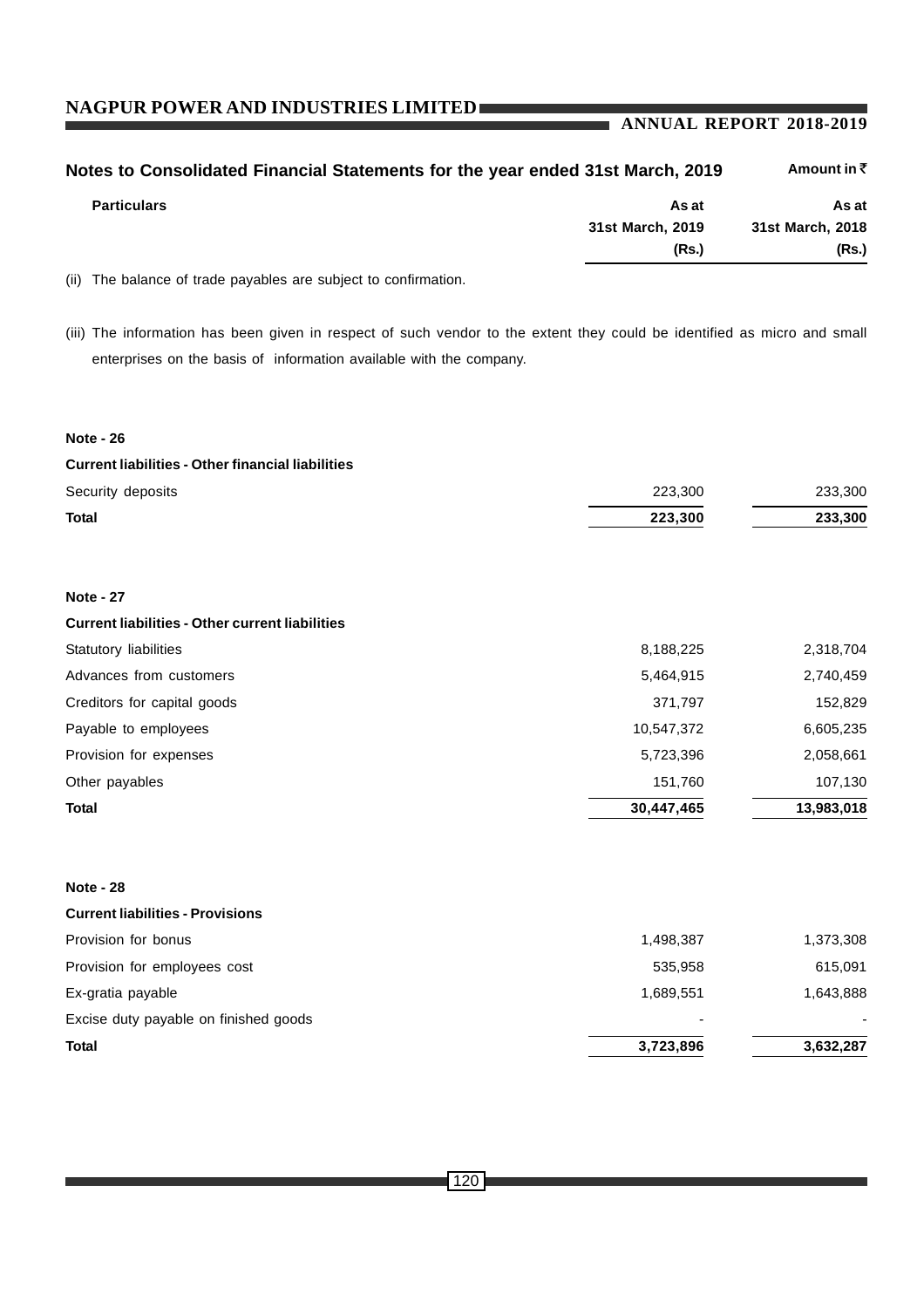# **ANNUAL REPORT 2018-2019**

| Notes to Consolidated Financial Statements for the year ended 31st March, 2019 |                  | Amount in ₹      |
|--------------------------------------------------------------------------------|------------------|------------------|
| <b>Particulars</b>                                                             | As at            | As at            |
|                                                                                | 31st March, 2019 | 31st March, 2018 |
|                                                                                | (Rs.)            | (Rs.)            |

(ii) The balance of trade payables are subject to confirmation.

(iii) The information has been given in respect of such vendor to the extent they could be identified as micro and small enterprises on the basis of information available with the company.

# **Note - 26**

| <b>Current liabilities - Other financial liabilities</b> |         |         |
|----------------------------------------------------------|---------|---------|
| Security deposits                                        | 223,300 | 233,300 |
| <b>Total</b>                                             | 223,300 | 233,300 |
|                                                          |         |         |
|                                                          |         |         |

#### **Note - 27**

**Current liabilities - Other current liabilities**

| <b>Total</b>                | 30,447,465 | 13,983,018 |
|-----------------------------|------------|------------|
| Other payables              | 151.760    | 107,130    |
| Provision for expenses      | 5,723,396  | 2,058,661  |
| Payable to employees        | 10,547,372 | 6,605,235  |
| Creditors for capital goods | 371,797    | 152,829    |
| Advances from customers     | 5,464,915  | 2,740,459  |
| Statutory liabilities       | 8,188,225  | 2,318,704  |

| <b>Note - 28</b>                        |           |           |
|-----------------------------------------|-----------|-----------|
| <b>Current liabilities - Provisions</b> |           |           |
| Provision for bonus                     | 1,498,387 | 1,373,308 |
| Provision for employees cost            | 535,958   | 615,091   |
| Ex-gratia payable                       | 1,689,551 | 1,643,888 |
| Excise duty payable on finished goods   | -         | -         |
| <b>Total</b>                            | 3,723,896 | 3,632,287 |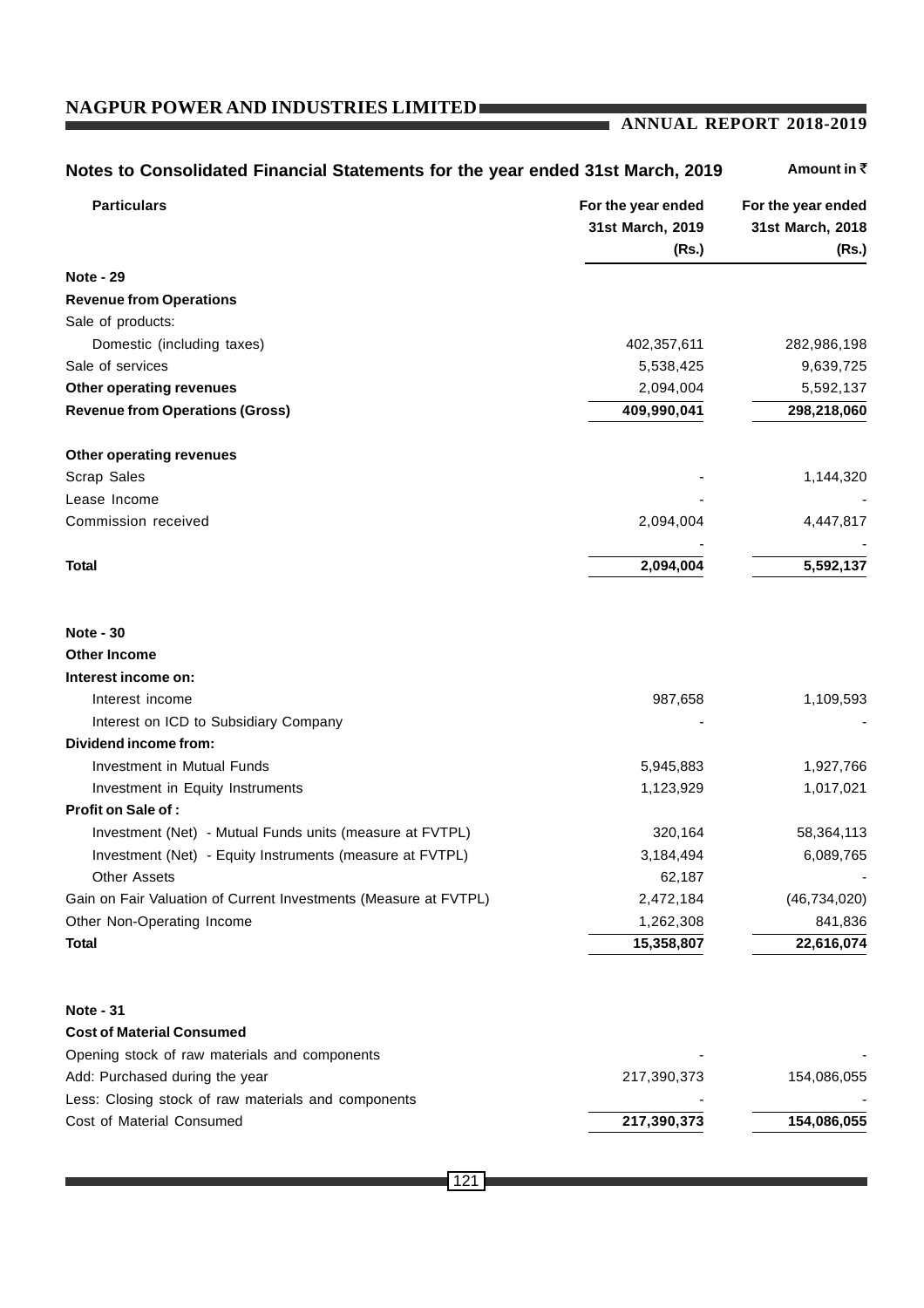| Amount in ₹<br>Notes to Consolidated Financial Statements for the year ended 31st March, 2019 |                                                 |                                                 |  |
|-----------------------------------------------------------------------------------------------|-------------------------------------------------|-------------------------------------------------|--|
| <b>Particulars</b>                                                                            | For the year ended<br>31st March, 2019<br>(Rs.) | For the year ended<br>31st March, 2018<br>(Rs.) |  |
| <b>Note - 29</b>                                                                              |                                                 |                                                 |  |
| <b>Revenue from Operations</b>                                                                |                                                 |                                                 |  |
| Sale of products:                                                                             |                                                 |                                                 |  |
| Domestic (including taxes)                                                                    | 402,357,611                                     | 282,986,198                                     |  |
| Sale of services                                                                              | 5,538,425                                       | 9,639,725                                       |  |
| Other operating revenues                                                                      | 2,094,004                                       | 5,592,137                                       |  |
| <b>Revenue from Operations (Gross)</b>                                                        | 409,990,041                                     | 298,218,060                                     |  |
| Other operating revenues                                                                      |                                                 |                                                 |  |
| Scrap Sales                                                                                   |                                                 | 1,144,320                                       |  |
| Lease Income                                                                                  |                                                 |                                                 |  |
| Commission received                                                                           | 2,094,004                                       | 4,447,817                                       |  |
| <b>Total</b>                                                                                  | 2,094,004                                       | 5,592,137                                       |  |
| <b>Note - 30</b>                                                                              |                                                 |                                                 |  |
| <b>Other Income</b>                                                                           |                                                 |                                                 |  |
| Interest income on:                                                                           |                                                 |                                                 |  |
| Interest income                                                                               | 987,658                                         | 1,109,593                                       |  |
| Interest on ICD to Subsidiary Company                                                         |                                                 |                                                 |  |
| Dividend income from:                                                                         |                                                 |                                                 |  |
| Investment in Mutual Funds                                                                    | 5,945,883                                       | 1,927,766                                       |  |
| Investment in Equity Instruments<br><b>Profit on Sale of:</b>                                 | 1,123,929                                       | 1,017,021                                       |  |
| Investment (Net) - Mutual Funds units (measure at FVTPL)                                      | 320,164                                         | 58,364,113                                      |  |
| Investment (Net) - Equity Instruments (measure at FVTPL)                                      | 3,184,494                                       | 6,089,765                                       |  |
| <b>Other Assets</b>                                                                           | 62,187                                          |                                                 |  |
| Gain on Fair Valuation of Current Investments (Measure at FVTPL)                              | 2,472,184                                       | (46, 734, 020)                                  |  |
| Other Non-Operating Income                                                                    | 1,262,308                                       | 841,836                                         |  |
| <b>Total</b>                                                                                  | 15,358,807                                      | 22,616,074                                      |  |
| <b>Note - 31</b>                                                                              |                                                 |                                                 |  |
| <b>Cost of Material Consumed</b>                                                              |                                                 |                                                 |  |
| Opening stock of raw materials and components                                                 |                                                 |                                                 |  |
| Add: Purchased during the year                                                                | 217,390,373                                     | 154,086,055                                     |  |
| Less: Closing stock of raw materials and components                                           |                                                 |                                                 |  |
| Cost of Material Consumed                                                                     | 217,390,373                                     | 154,086,055                                     |  |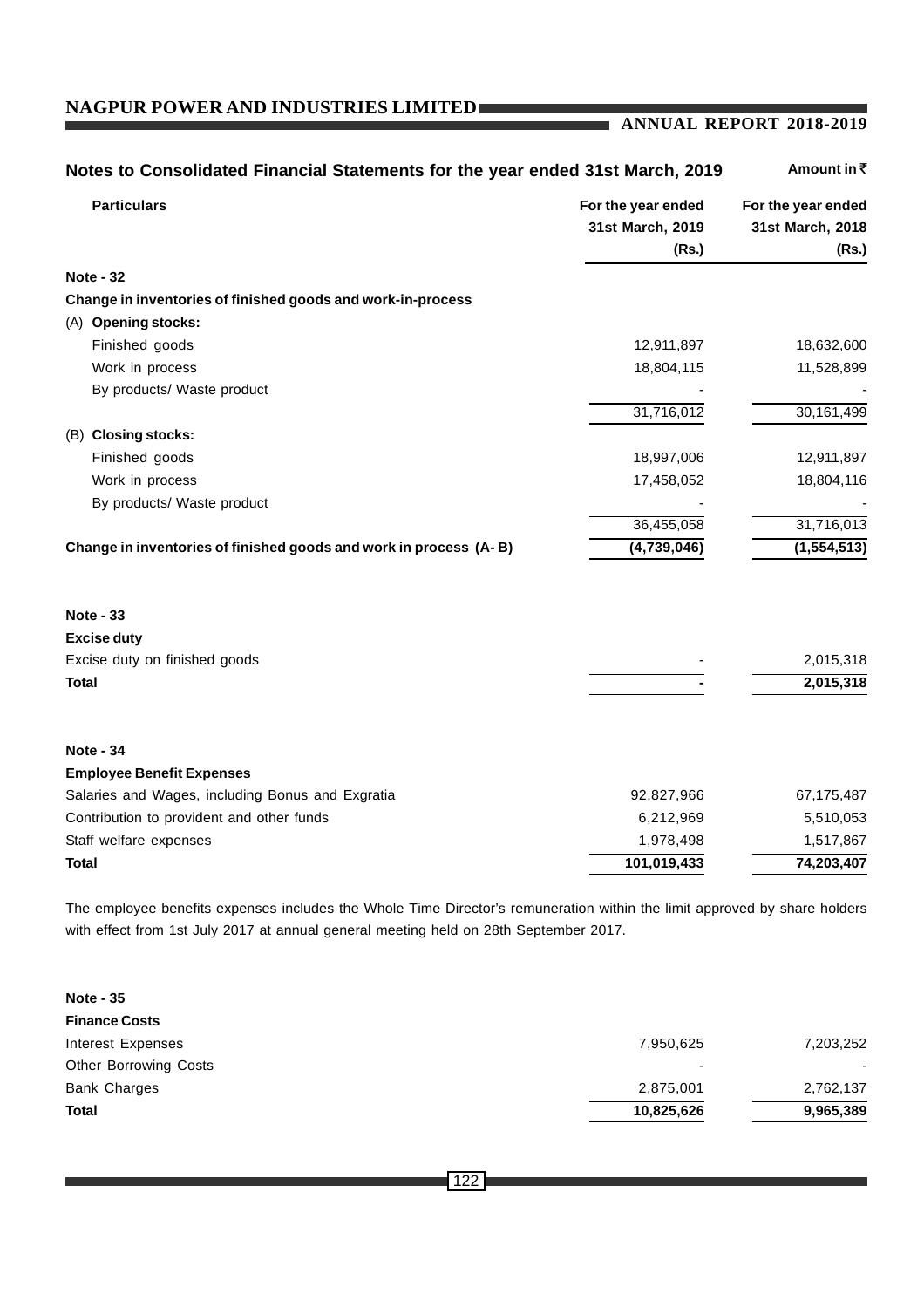# **ANNUAL REPORT 2018-2019**

| Notes to Consolidated Financial Statements for the year ended 31st March, 2019 |                                        | Amount in ₹                            |
|--------------------------------------------------------------------------------|----------------------------------------|----------------------------------------|
| <b>Particulars</b>                                                             | For the year ended<br>31st March, 2019 | For the year ended<br>31st March, 2018 |
|                                                                                | (Rs.)                                  | (Rs.)                                  |
| <b>Note - 32</b>                                                               |                                        |                                        |
| Change in inventories of finished goods and work-in-process                    |                                        |                                        |
| (A) Opening stocks:                                                            |                                        |                                        |
| Finished goods                                                                 | 12,911,897                             | 18,632,600                             |
| Work in process                                                                | 18,804,115                             | 11,528,899                             |
| By products/ Waste product                                                     |                                        |                                        |
|                                                                                | 31,716,012                             | 30,161,499                             |
| (B) Closing stocks:                                                            |                                        |                                        |
| Finished goods                                                                 | 18,997,006                             | 12,911,897                             |
| Work in process                                                                | 17,458,052                             | 18,804,116                             |
| By products/ Waste product                                                     |                                        |                                        |
|                                                                                | 36,455,058                             | 31,716,013                             |
| Change in inventories of finished goods and work in process (A-B)              | (4,739,046)                            | (1, 554, 513)                          |
|                                                                                |                                        |                                        |
| <b>Note - 33</b>                                                               |                                        |                                        |
| <b>Excise duty</b>                                                             |                                        |                                        |
| Excise duty on finished goods                                                  |                                        | 2,015,318                              |
| <b>Total</b>                                                                   |                                        | 2,015,318                              |
|                                                                                |                                        |                                        |
| <b>Note - 34</b>                                                               |                                        |                                        |
| <b>Employee Benefit Expenses</b>                                               |                                        |                                        |
| Salaries and Wages, including Bonus and Exgratia                               | 92,827,966                             | 67,175,487                             |
| Contribution to provident and other funds                                      | 6,212,969                              | 5,510,053                              |
| Staff welfare expenses                                                         | 1,978,498                              | 1,517,867                              |
| <b>Total</b>                                                                   | 101,019,433                            | 74,203,407                             |
|                                                                                |                                        |                                        |

The employee benefits expenses includes the Whole Time Director's remuneration within the limit approved by share holders with effect from 1st July 2017 at annual general meeting held on 28th September 2017.

| <b>Note - 35</b>             |            |           |
|------------------------------|------------|-----------|
| <b>Finance Costs</b>         |            |           |
| Interest Expenses            | 7,950,625  | 7,203,252 |
| <b>Other Borrowing Costs</b> | ٠          | -         |
| <b>Bank Charges</b>          | 2,875,001  | 2,762,137 |
| <b>Total</b>                 | 10,825,626 | 9,965,389 |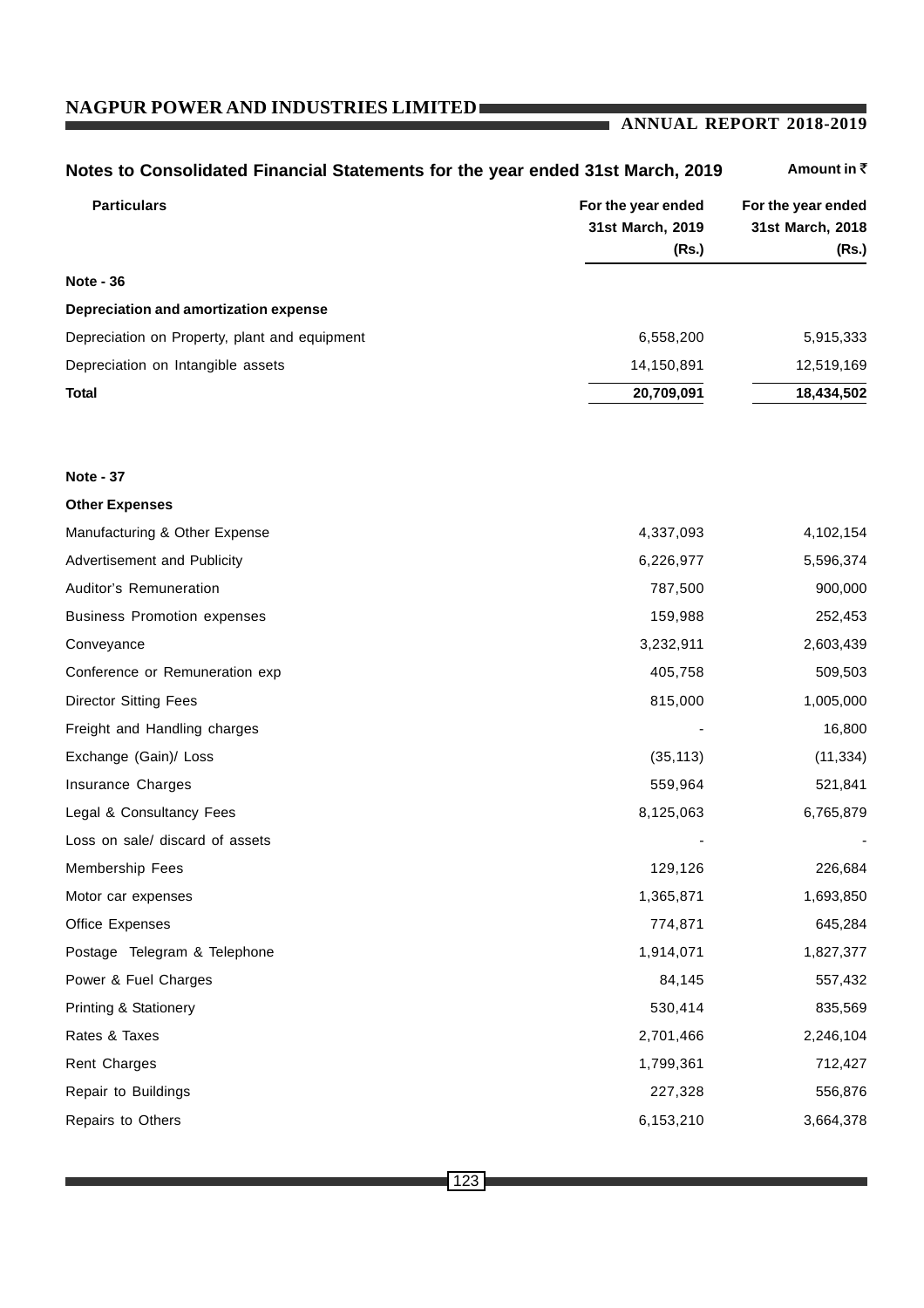| Notes to Consolidated Financial Statements for the year ended 31st March, 2019 |                                                 |                                                 |
|--------------------------------------------------------------------------------|-------------------------------------------------|-------------------------------------------------|
| <b>Particulars</b>                                                             | For the year ended<br>31st March, 2019<br>(Rs.) | For the year ended<br>31st March, 2018<br>(Rs.) |
| <b>Note - 36</b>                                                               |                                                 |                                                 |
| Depreciation and amortization expense                                          |                                                 |                                                 |
| Depreciation on Property, plant and equipment                                  | 6,558,200                                       | 5,915,333                                       |
| Depreciation on Intangible assets                                              | 14,150,891                                      | 12,519,169                                      |
| <b>Total</b>                                                                   | 20,709,091                                      | 18,434,502                                      |
| <b>Note - 37</b>                                                               |                                                 |                                                 |
| <b>Other Expenses</b>                                                          |                                                 |                                                 |
| Manufacturing & Other Expense                                                  | 4,337,093                                       | 4,102,154                                       |
| Advertisement and Publicity                                                    | 6,226,977                                       | 5,596,374                                       |
| Auditor's Remuneration                                                         | 787,500                                         | 900,000                                         |
| <b>Business Promotion expenses</b>                                             | 159,988                                         | 252,453                                         |
| Conveyance                                                                     | 3,232,911                                       | 2,603,439                                       |
| Conference or Remuneration exp                                                 | 405,758                                         | 509,503                                         |
| <b>Director Sitting Fees</b>                                                   | 815,000                                         | 1,005,000                                       |
| Freight and Handling charges                                                   |                                                 | 16,800                                          |
| Exchange (Gain)/ Loss                                                          | (35, 113)                                       | (11, 334)                                       |
| Insurance Charges                                                              | 559,964                                         | 521,841                                         |
| Legal & Consultancy Fees                                                       | 8,125,063                                       | 6,765,879                                       |
| Loss on sale/ discard of assets                                                |                                                 |                                                 |
| Membership Fees                                                                | 129,126                                         | 226,684                                         |
| Motor car expenses                                                             | 1,365,871                                       | 1,693,850                                       |
| Office Expenses                                                                | 774,871                                         | 645,284                                         |
| Postage Telegram & Telephone                                                   | 1,914,071                                       | 1,827,377                                       |
| Power & Fuel Charges                                                           | 84,145                                          | 557,432                                         |
| <b>Printing &amp; Stationery</b>                                               | 530,414                                         | 835,569                                         |
| Rates & Taxes                                                                  | 2,701,466                                       | 2,246,104                                       |
| <b>Rent Charges</b>                                                            | 1,799,361                                       | 712,427                                         |
| Repair to Buildings                                                            | 227,328                                         | 556,876                                         |
| Repairs to Others                                                              | 6,153,210                                       | 3,664,378                                       |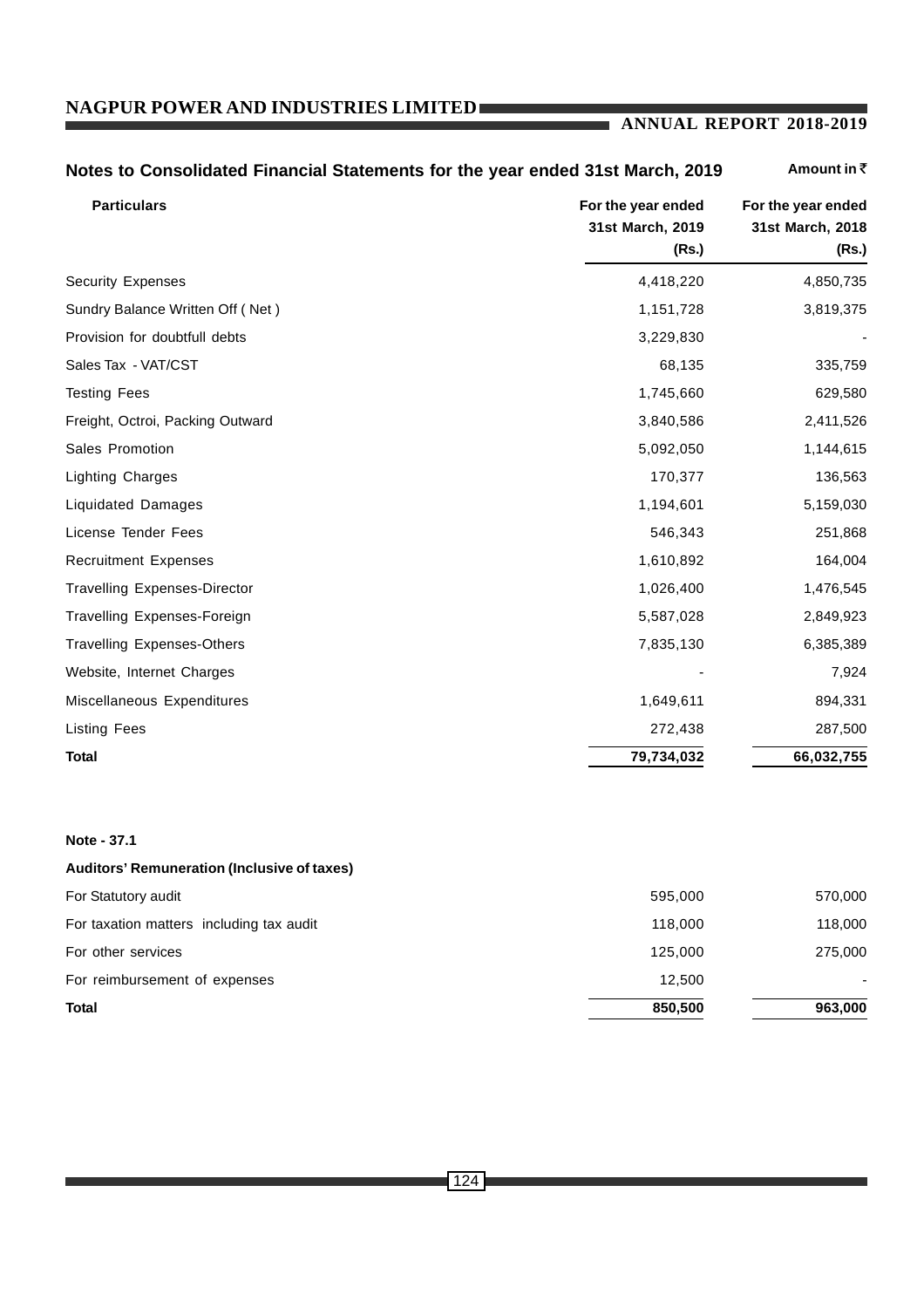# **ANNUAL REPORT 2018-2019**

## Notes to Consolidated Financial Statements for the year ended 31st March, 2019 **Amount in ₹**

| <b>Particulars</b>                  | For the year ended<br>31st March, 2019<br>(Rs.) | For the year ended<br>31st March, 2018<br>(Rs.) |
|-------------------------------------|-------------------------------------------------|-------------------------------------------------|
| <b>Security Expenses</b>            | 4,418,220                                       | 4,850,735                                       |
| Sundry Balance Written Off (Net)    | 1,151,728                                       | 3,819,375                                       |
| Provision for doubtfull debts       | 3,229,830                                       |                                                 |
| Sales Tax - VAT/CST                 | 68,135                                          | 335,759                                         |
| <b>Testing Fees</b>                 | 1,745,660                                       | 629,580                                         |
| Freight, Octroi, Packing Outward    | 3,840,586                                       | 2,411,526                                       |
| Sales Promotion                     | 5,092,050                                       | 1,144,615                                       |
| <b>Lighting Charges</b>             | 170,377                                         | 136,563                                         |
| <b>Liquidated Damages</b>           | 1,194,601                                       | 5,159,030                                       |
| License Tender Fees                 | 546,343                                         | 251,868                                         |
| <b>Recruitment Expenses</b>         | 1,610,892                                       | 164,004                                         |
| <b>Travelling Expenses-Director</b> | 1,026,400                                       | 1,476,545                                       |
| <b>Travelling Expenses-Foreign</b>  | 5,587,028                                       | 2,849,923                                       |
| <b>Travelling Expenses-Others</b>   | 7,835,130                                       | 6,385,389                                       |
| Website, Internet Charges           |                                                 | 7,924                                           |
| Miscellaneous Expenditures          | 1,649,611                                       | 894,331                                         |
| <b>Listing Fees</b>                 | 272,438                                         | 287,500                                         |
| <b>Total</b>                        | 79,734,032                                      | 66,032,755                                      |

# **Note - 37.1**

#### **Auditors' Remuneration (Inclusive of taxes)**

| Total                                    | 850,500 | 963,000 |
|------------------------------------------|---------|---------|
| For reimbursement of expenses            | 12,500  | ۰       |
| For other services                       | 125,000 | 275,000 |
| For taxation matters including tax audit | 118,000 | 118,000 |
| For Statutory audit                      | 595,000 | 570,000 |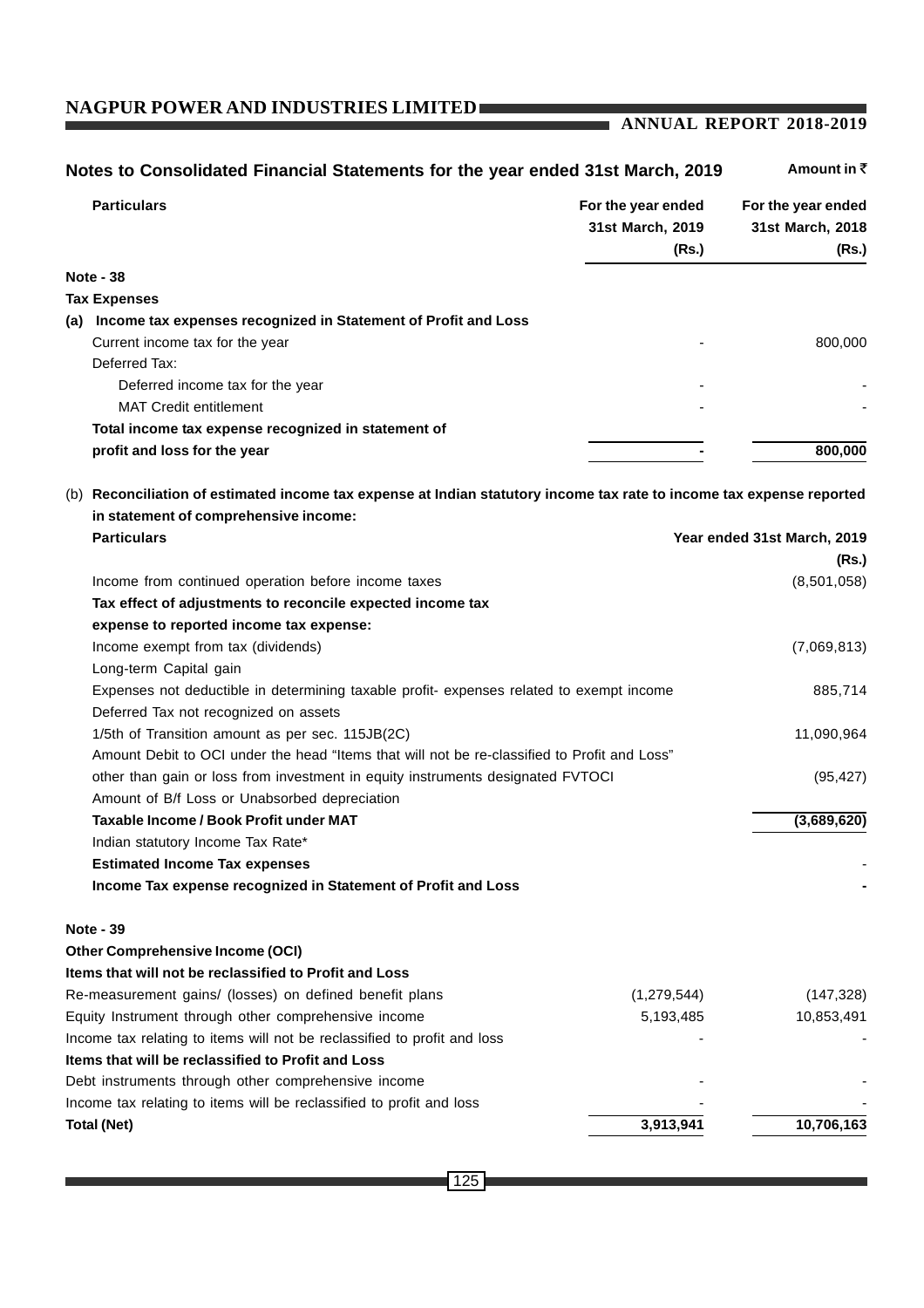| Notes to Consolidated Financial Statements for the year ended 31st March, 2019                                        |                    | Amount in ₹                 |
|-----------------------------------------------------------------------------------------------------------------------|--------------------|-----------------------------|
| <b>Particulars</b>                                                                                                    | For the year ended | For the year ended          |
|                                                                                                                       | 31st March, 2019   | 31st March, 2018            |
|                                                                                                                       | (Rs.)              | (Rs.)                       |
| <b>Note - 38</b>                                                                                                      |                    |                             |
| <b>Tax Expenses</b>                                                                                                   |                    |                             |
| (a) Income tax expenses recognized in Statement of Profit and Loss                                                    |                    |                             |
| Current income tax for the year                                                                                       |                    | 800,000                     |
| Deferred Tax:                                                                                                         |                    |                             |
| Deferred income tax for the year                                                                                      |                    |                             |
| <b>MAT Credit entitlement</b>                                                                                         |                    |                             |
| Total income tax expense recognized in statement of                                                                   |                    |                             |
| profit and loss for the year                                                                                          |                    | 800,000                     |
| (b) Reconciliation of estimated income tax expense at Indian statutory income tax rate to income tax expense reported |                    |                             |
| in statement of comprehensive income:                                                                                 |                    |                             |
| <b>Particulars</b>                                                                                                    |                    | Year ended 31st March, 2019 |
|                                                                                                                       |                    | (Rs.)                       |
| Income from continued operation before income taxes                                                                   |                    | (8,501,058)                 |
| Tax effect of adjustments to reconcile expected income tax                                                            |                    |                             |
| expense to reported income tax expense:                                                                               |                    |                             |
| Income exempt from tax (dividends)                                                                                    |                    | (7,069,813)                 |
| Long-term Capital gain                                                                                                |                    |                             |
| Expenses not deductible in determining taxable profit- expenses related to exempt income                              |                    | 885,714                     |
| Deferred Tax not recognized on assets                                                                                 |                    |                             |
| 1/5th of Transition amount as per sec. 115JB(2C)                                                                      |                    | 11,090,964                  |
| Amount Debit to OCI under the head "Items that will not be re-classified to Profit and Loss"                          |                    |                             |
| other than gain or loss from investment in equity instruments designated FVTOCI                                       |                    | (95, 427)                   |
| Amount of B/f Loss or Unabsorbed depreciation                                                                         |                    |                             |
| Taxable Income / Book Profit under MAT                                                                                |                    | (3,689,620)                 |
| Indian statutory Income Tax Rate*                                                                                     |                    |                             |
| <b>Estimated Income Tax expenses</b>                                                                                  |                    |                             |
| Income Tax expense recognized in Statement of Profit and Loss                                                         |                    |                             |
| <b>Note - 39</b>                                                                                                      |                    |                             |
| <b>Other Comprehensive Income (OCI)</b>                                                                               |                    |                             |
| Items that will not be reclassified to Profit and Loss                                                                |                    |                             |
| Re-measurement gains/ (losses) on defined benefit plans                                                               | (1, 279, 544)      | (147, 328)                  |
| Equity Instrument through other comprehensive income                                                                  | 5,193,485          | 10,853,491                  |
| Income tax relating to items will not be reclassified to profit and loss                                              |                    |                             |
| Items that will be reclassified to Profit and Loss                                                                    |                    |                             |
| Debt instruments through other comprehensive income                                                                   |                    |                             |
| Income tax relating to items will be reclassified to profit and loss                                                  |                    |                             |
| <b>Total (Net)</b>                                                                                                    | 3,913,941          | 10,706,163                  |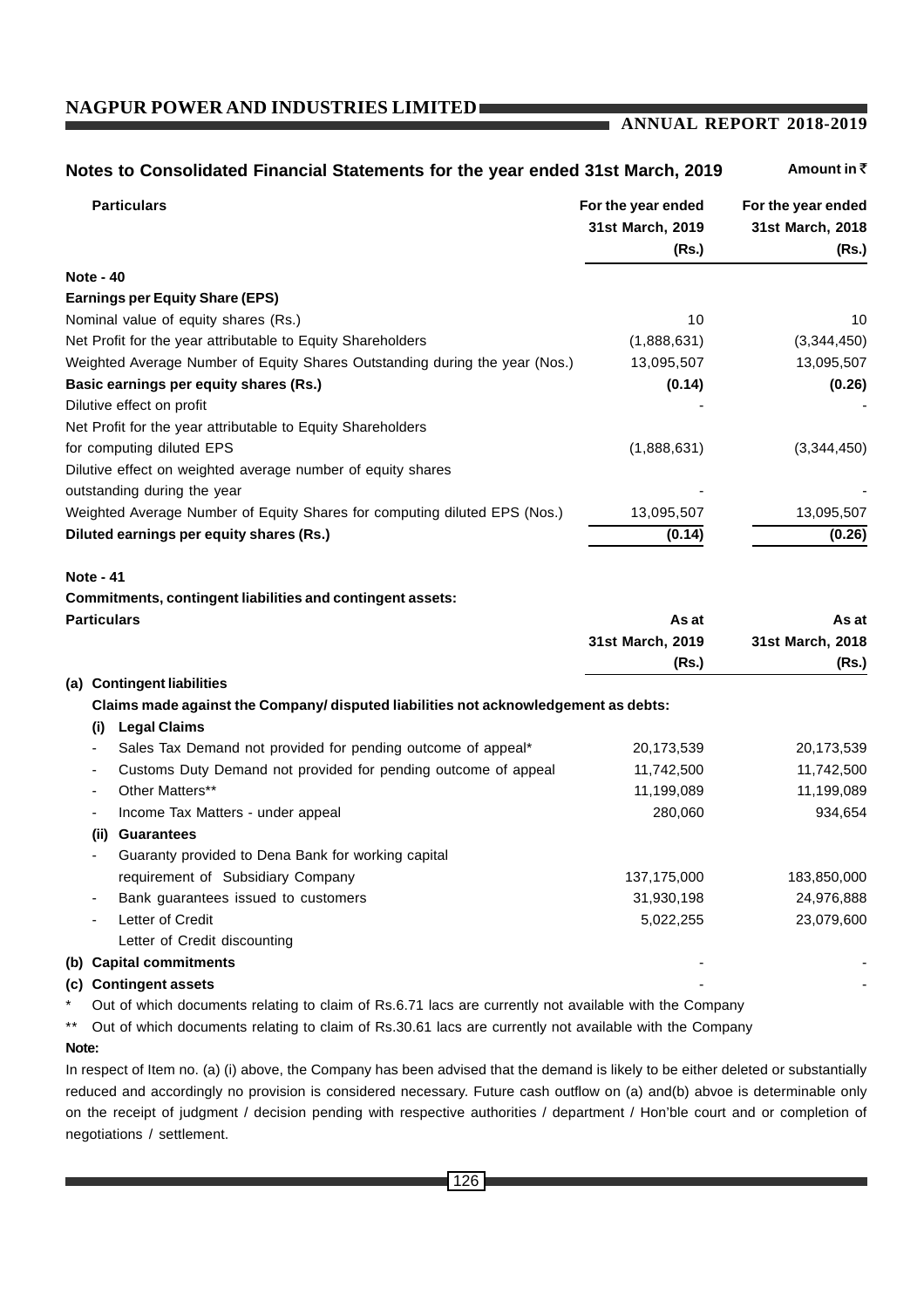# **ANNUAL REPORT 2018-2019**

|                  | Notes to Consolidated Financial Statements for the year ended 31st March, 2019      |                    | Amount in ₹        |
|------------------|-------------------------------------------------------------------------------------|--------------------|--------------------|
|                  | <b>Particulars</b>                                                                  | For the year ended | For the year ended |
|                  |                                                                                     | 31st March, 2019   | 31st March, 2018   |
|                  |                                                                                     | (Rs.)              | (Rs.)              |
| <b>Note - 40</b> |                                                                                     |                    |                    |
|                  | <b>Earnings per Equity Share (EPS)</b>                                              |                    |                    |
|                  | Nominal value of equity shares (Rs.)                                                | 10                 | 10                 |
|                  | Net Profit for the year attributable to Equity Shareholders                         | (1,888,631)        | (3,344,450)        |
|                  | Weighted Average Number of Equity Shares Outstanding during the year (Nos.)         | 13,095,507         | 13,095,507         |
|                  | Basic earnings per equity shares (Rs.)                                              | (0.14)             | (0.26)             |
|                  | Dilutive effect on profit                                                           |                    |                    |
|                  | Net Profit for the year attributable to Equity Shareholders                         |                    |                    |
|                  | for computing diluted EPS                                                           | (1,888,631)        | (3,344,450)        |
|                  | Dilutive effect on weighted average number of equity shares                         |                    |                    |
|                  | outstanding during the year                                                         |                    |                    |
|                  | Weighted Average Number of Equity Shares for computing diluted EPS (Nos.)           | 13,095,507         | 13,095,507         |
|                  | Diluted earnings per equity shares (Rs.)                                            | (0.14)             | (0.26)             |
| <b>Note - 41</b> |                                                                                     |                    |                    |
|                  | Commitments, contingent liabilities and contingent assets:                          |                    |                    |
|                  | <b>Particulars</b>                                                                  | As at              | As at              |
|                  |                                                                                     | 31st March, 2019   | 31st March, 2018   |
|                  |                                                                                     | (Rs.)              | (Rs.)              |
|                  | (a) Contingent liabilities                                                          |                    |                    |
|                  | Claims made against the Company/ disputed liabilities not acknowledgement as debts: |                    |                    |
| (i)              | <b>Legal Claims</b>                                                                 |                    |                    |
|                  | Sales Tax Demand not provided for pending outcome of appeal*                        | 20,173,539         | 20,173,539         |
|                  | Customs Duty Demand not provided for pending outcome of appeal                      | 11,742,500         | 11,742,500         |
|                  | Other Matters**                                                                     | 11,199,089         | 11,199,089         |
|                  | Income Tax Matters - under appeal                                                   | 280,060            | 934,654            |
| (ii)             | <b>Guarantees</b>                                                                   |                    |                    |
|                  | Guaranty provided to Dena Bank for working capital                                  |                    |                    |
|                  | requirement of Subsidiary Company                                                   | 137,175,000        | 183,850,000        |
|                  | Bank guarantees issued to customers                                                 | 31,930,198         | 24,976,888         |
|                  | Letter of Credit                                                                    | 5,022,255          | 23,079,600         |
|                  | Letter of Credit discounting                                                        |                    |                    |
|                  | (b) Capital commitments                                                             |                    |                    |
|                  | (c) Contingent assets                                                               |                    |                    |

Out of which documents relating to claim of Rs.6.71 lacs are currently not available with the Company

\*\* Out of which documents relating to claim of Rs.30.61 lacs are currently not available with the Company

#### **Note:**

In respect of Item no. (a) (i) above, the Company has been advised that the demand is likely to be either deleted or substantially reduced and accordingly no provision is considered necessary. Future cash outflow on (a) and(b) abvoe is determinable only on the receipt of judgment / decision pending with respective authorities / department / Hon'ble court and or completion of negotiations / settlement.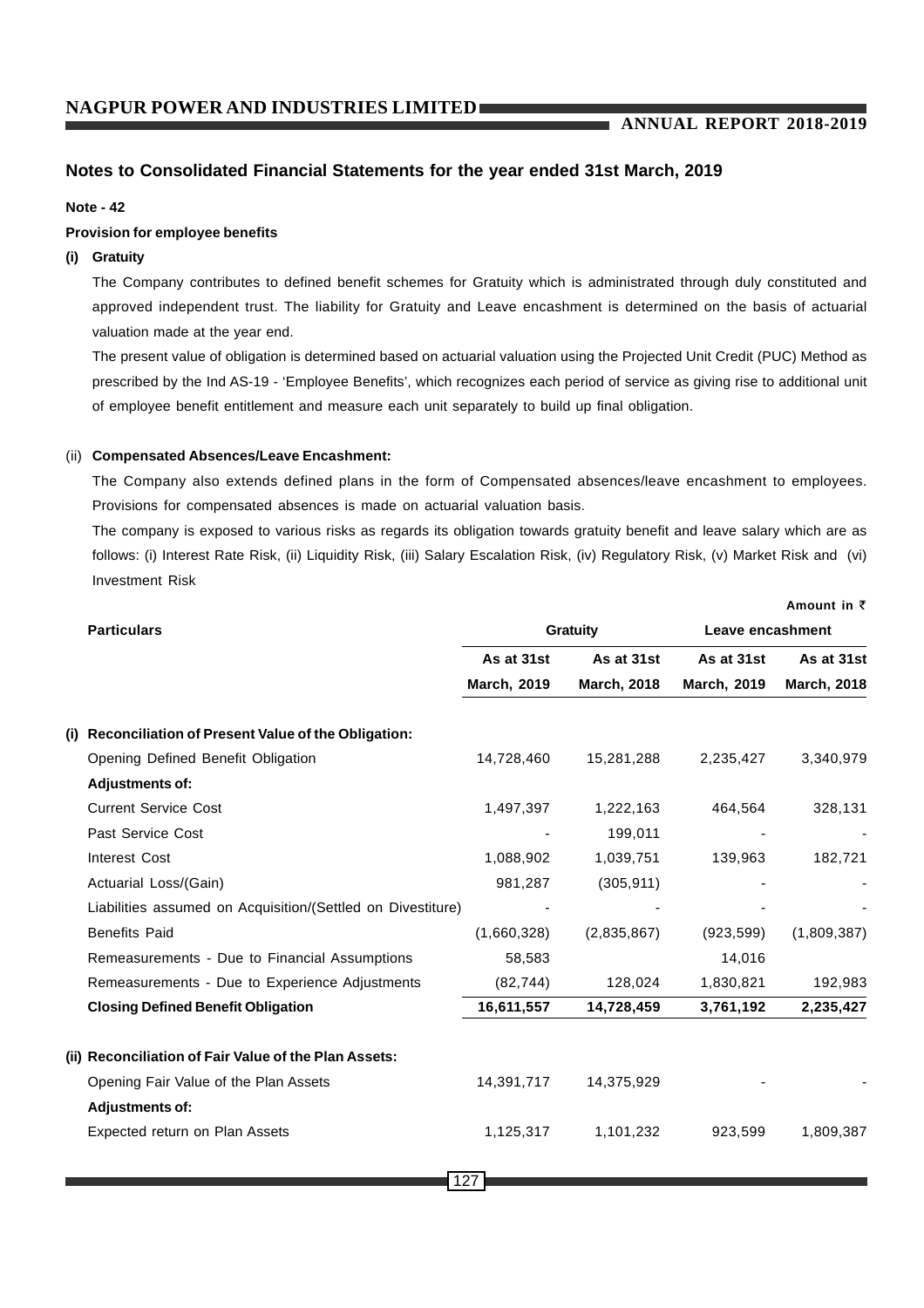#### **Note - 42**

#### **Provision for employee benefits**

#### **(i) Gratuity**

The Company contributes to defined benefit schemes for Gratuity which is administrated through duly constituted and approved independent trust. The liability for Gratuity and Leave encashment is determined on the basis of actuarial valuation made at the year end.

The present value of obligation is determined based on actuarial valuation using the Projected Unit Credit (PUC) Method as prescribed by the Ind AS-19 - 'Employee Benefits', which recognizes each period of service as giving rise to additional unit of employee benefit entitlement and measure each unit separately to build up final obligation.

#### (ii) **Compensated Absences/Leave Encashment:**

The Company also extends defined plans in the form of Compensated absences/leave encashment to employees. Provisions for compensated absences is made on actuarial valuation basis.

The company is exposed to various risks as regards its obligation towards gratuity benefit and leave salary which are as follows: (i) Interest Rate Risk, (ii) Liquidity Risk, (iii) Salary Escalation Risk, (iv) Regulatory Risk, (v) Market Risk and (vi) Investment Risk

|                                                             |                    |                    |                    | Amount in $\bar{z}$ |
|-------------------------------------------------------------|--------------------|--------------------|--------------------|---------------------|
| <b>Particulars</b>                                          |                    | <b>Gratuity</b>    | Leave encashment   |                     |
|                                                             | As at 31st         | As at 31st         | As at 31st         | As at 31st          |
|                                                             | <b>March, 2019</b> | <b>March, 2018</b> | <b>March, 2019</b> | <b>March, 2018</b>  |
| (i) Reconciliation of Present Value of the Obligation:      |                    |                    |                    |                     |
| Opening Defined Benefit Obligation                          | 14,728,460         | 15,281,288         | 2,235,427          | 3,340,979           |
| <b>Adjustments of:</b>                                      |                    |                    |                    |                     |
| <b>Current Service Cost</b>                                 | 1,497,397          | 1,222,163          | 464,564            | 328,131             |
| Past Service Cost                                           |                    | 199,011            |                    |                     |
| Interest Cost                                               | 1,088,902          | 1,039,751          | 139,963            | 182,721             |
| Actuarial Loss/(Gain)                                       | 981,287            | (305, 911)         |                    |                     |
| Liabilities assumed on Acquisition/(Settled on Divestiture) |                    |                    |                    |                     |
| <b>Benefits Paid</b>                                        | (1,660,328)        | (2,835,867)        | (923, 599)         | (1,809,387)         |
| Remeasurements - Due to Financial Assumptions               | 58,583             |                    | 14,016             |                     |
| Remeasurements - Due to Experience Adjustments              | (82, 744)          | 128,024            | 1,830,821          | 192,983             |
| <b>Closing Defined Benefit Obligation</b>                   | 16,611,557         | 14,728,459         | 3,761,192          | 2,235,427           |
| (ii) Reconciliation of Fair Value of the Plan Assets:       |                    |                    |                    |                     |
| Opening Fair Value of the Plan Assets                       | 14,391,717         | 14,375,929         |                    |                     |
| <b>Adjustments of:</b>                                      |                    |                    |                    |                     |
| Expected return on Plan Assets                              | 1,125,317          | 1,101,232          | 923,599            | 1,809,387           |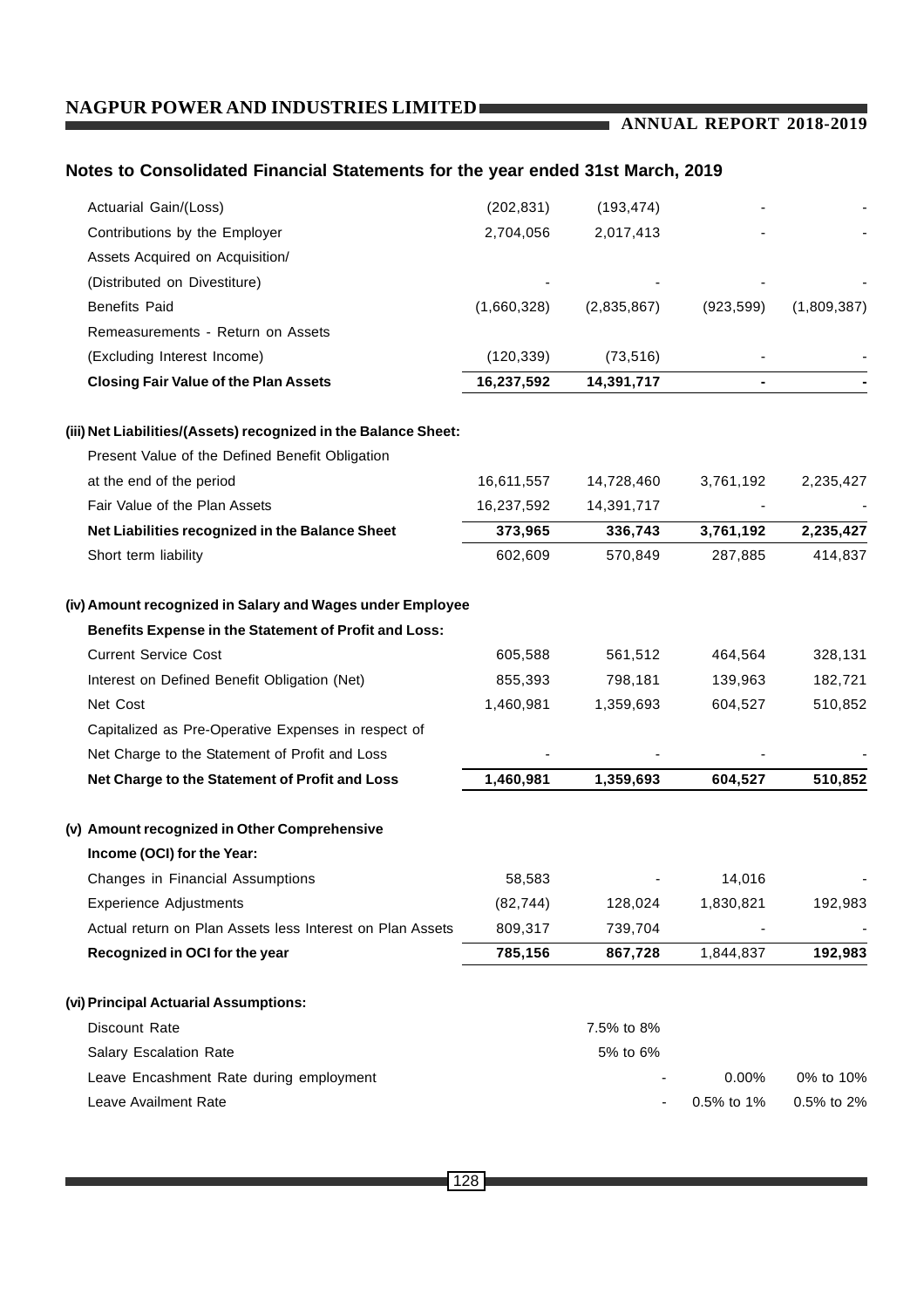# **ANNUAL REPORT 2018-2019**

# **Notes to Consolidated Financial Statements for the year ended 31st March, 2019**

| Actuarial Gain/(Loss)                                           | (202, 831)  | (193, 474)  |            |             |
|-----------------------------------------------------------------|-------------|-------------|------------|-------------|
| Contributions by the Employer                                   | 2,704,056   | 2,017,413   |            |             |
| Assets Acquired on Acquisition/                                 |             |             |            |             |
| (Distributed on Divestiture)                                    |             |             |            |             |
| <b>Benefits Paid</b>                                            | (1,660,328) | (2,835,867) | (923, 599) | (1,809,387) |
| Remeasurements - Return on Assets                               |             |             |            |             |
| (Excluding Interest Income)                                     | (120, 339)  | (73, 516)   |            |             |
| <b>Closing Fair Value of the Plan Assets</b>                    | 16,237,592  | 14,391,717  |            |             |
| (iii) Net Liabilities/(Assets) recognized in the Balance Sheet: |             |             |            |             |
| Present Value of the Defined Benefit Obligation                 |             |             |            |             |
| at the end of the period                                        | 16,611,557  | 14,728,460  | 3,761,192  | 2,235,427   |
| Fair Value of the Plan Assets                                   | 16,237,592  | 14,391,717  |            |             |
| Net Liabilities recognized in the Balance Sheet                 | 373,965     | 336,743     | 3,761,192  | 2,235,427   |
| Short term liability                                            | 602,609     | 570,849     | 287,885    | 414,837     |
| (iv) Amount recognized in Salary and Wages under Employee       |             |             |            |             |
| Benefits Expense in the Statement of Profit and Loss:           |             |             |            |             |
| <b>Current Service Cost</b>                                     | 605,588     | 561,512     | 464,564    | 328,131     |
| Interest on Defined Benefit Obligation (Net)                    | 855,393     | 798,181     | 139,963    | 182,721     |
| Net Cost                                                        | 1,460,981   | 1,359,693   | 604,527    | 510,852     |
| Capitalized as Pre-Operative Expenses in respect of             |             |             |            |             |
| Net Charge to the Statement of Profit and Loss                  |             |             |            |             |
| Net Charge to the Statement of Profit and Loss                  | 1,460,981   | 1,359,693   | 604,527    | 510,852     |
|                                                                 |             |             |            |             |
| (v) Amount recognized in Other Comprehensive                    |             |             |            |             |
| Income (OCI) for the Year:                                      |             |             |            |             |
| Changes in Financial Assumptions                                | 58,583      |             | 14,016     |             |
| <b>Experience Adjustments</b>                                   | (82, 744)   | 128,024     | 1,830,821  | 192,983     |
| Actual return on Plan Assets less Interest on Plan Assets       | 809,317     | 739,704     |            |             |
| Recognized in OCI for the year                                  | 785,156     | 867,728     | 1,844,837  | 192,983     |
| (vi) Principal Actuarial Assumptions:                           |             |             |            |             |
| Discount Rate                                                   |             | 7.5% to 8%  |            |             |
| <b>Salary Escalation Rate</b>                                   |             | 5% to 6%    |            |             |
| Leave Encashment Rate during employment                         |             |             | 0.00%      | 0% to 10%   |
| Leave Availment Rate                                            |             |             | 0.5% to 1% | 0.5% to 2%  |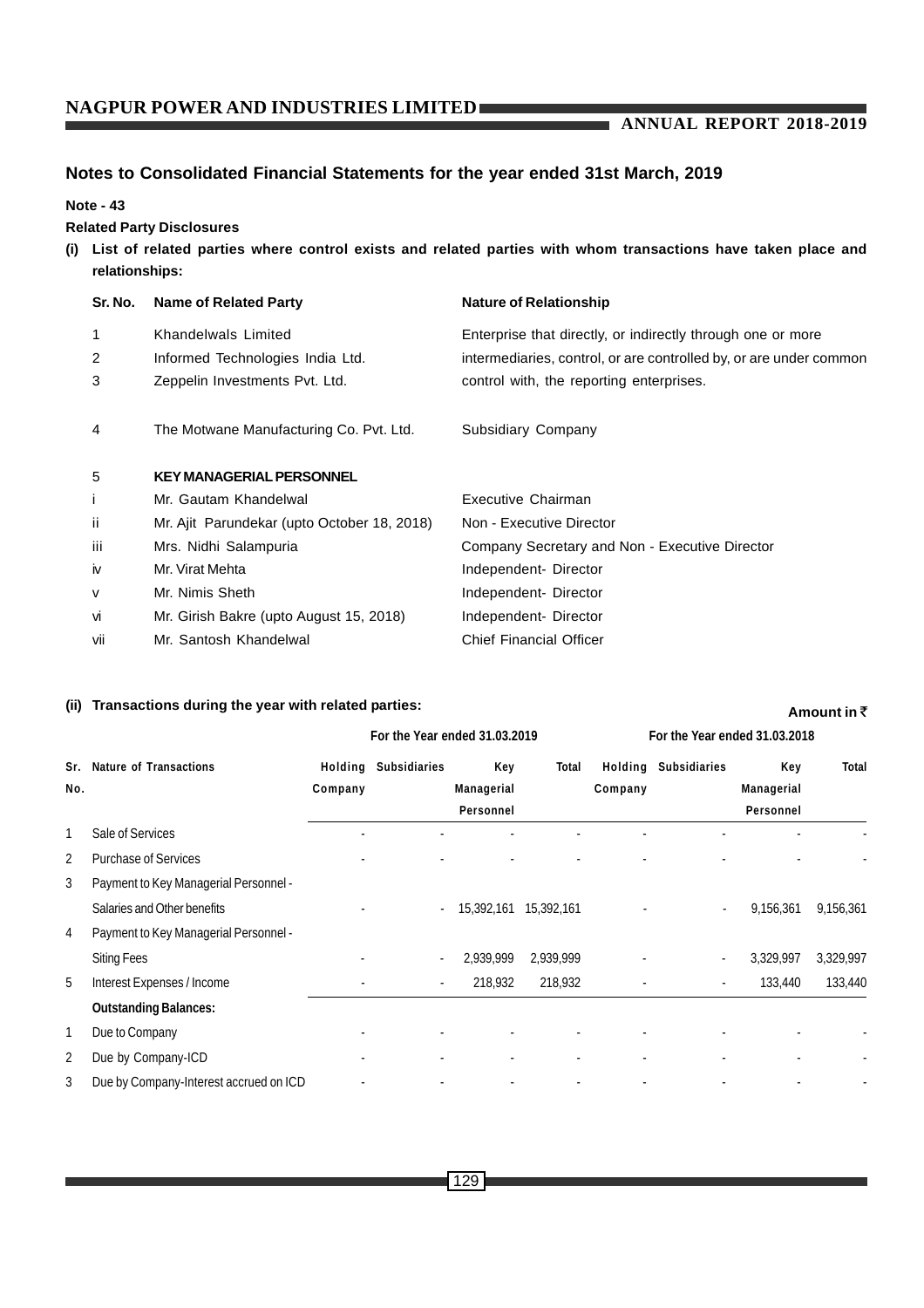# **ANNUAL REPORT 2018-2019**

# **Notes to Consolidated Financial Statements for the year ended 31st March, 2019**

#### **Note - 43**

#### **Related Party Disclosures**

**(i) List of related parties where control exists and related parties with whom transactions have taken place and relationships:**

| Sr. No. | <b>Name of Related Party</b>                | <b>Nature of Relationship</b>                                      |
|---------|---------------------------------------------|--------------------------------------------------------------------|
| 1       | Khandelwals Limited                         | Enterprise that directly, or indirectly through one or more        |
| 2       | Informed Technologies India Ltd.            | intermediaries, control, or are controlled by, or are under common |
| 3       | Zeppelin Investments Pvt. Ltd.              | control with, the reporting enterprises.                           |
|         |                                             |                                                                    |
| 4       | The Motwane Manufacturing Co. Pvt. Ltd.     | Subsidiary Company                                                 |
|         |                                             |                                                                    |
| 5       | <b>KEY MANAGERIAL PERSONNEL</b>             |                                                                    |
| ı       | Mr. Gautam Khandelwal                       | Executive Chairman                                                 |
| ii.     | Mr. Ajit Parundekar (upto October 18, 2018) | Non - Executive Director                                           |
| iii     | Mrs. Nidhi Salampuria                       | Company Secretary and Non - Executive Director                     |
| iv      | Mr. Virat Mehta                             | Independent-Director                                               |
| ۷       | Mr. Nimis Sheth                             | Independent-Director                                               |
| vi      | Mr. Girish Bakre (upto August 15, 2018)     | Independent-Director                                               |
| vii     | Mr. Santosh Khandelwal                      | <b>Chief Financial Officer</b>                                     |

#### **(ii) Transactions during the year with related parties:**

#### **Amount in ₹**

|                |                                        | For the Year ended 31.03.2019 |                      |            | For the Year ended 31.03.2018 |         |                      |            |           |
|----------------|----------------------------------------|-------------------------------|----------------------|------------|-------------------------------|---------|----------------------|------------|-----------|
| Sr.            | <b>Nature of Transactions</b>          |                               | Holding Subsidiaries | Key        | Total                         |         | Holding Subsidiaries | Key        | Total     |
| No.            |                                        | Company                       |                      | Managerial |                               | Company |                      | Managerial |           |
|                |                                        |                               |                      | Personnel  |                               |         |                      | Personnel  |           |
|                | Sale of Services                       |                               |                      |            |                               |         |                      |            |           |
| $\overline{2}$ | <b>Purchase of Services</b>            |                               |                      |            |                               |         |                      |            |           |
| 3              | Payment to Key Managerial Personnel -  |                               |                      |            |                               |         |                      |            |           |
|                | Salaries and Other benefits            |                               | $\blacksquare$       |            | 15,392,161 15,392,161         |         | $\sim$               | 9,156,361  | 9,156,361 |
| 4              | Payment to Key Managerial Personnel -  |                               |                      |            |                               |         |                      |            |           |
|                | <b>Siting Fees</b>                     |                               | $\blacksquare$       | 2,939,999  | 2,939,999                     |         | $\sim$               | 3,329,997  | 3,329,997 |
| 5              | Interest Expenses / Income             |                               | $\sim$               | 218,932    | 218,932                       | $\sim$  | $\sim$               | 133,440    | 133,440   |
|                | <b>Outstanding Balances:</b>           |                               |                      |            |                               |         |                      |            |           |
|                | Due to Company                         |                               |                      |            |                               |         |                      |            |           |
| 2              | Due by Company-ICD                     |                               |                      |            |                               |         |                      |            |           |
| 3              | Due by Company-Interest accrued on ICD |                               |                      |            |                               |         |                      |            |           |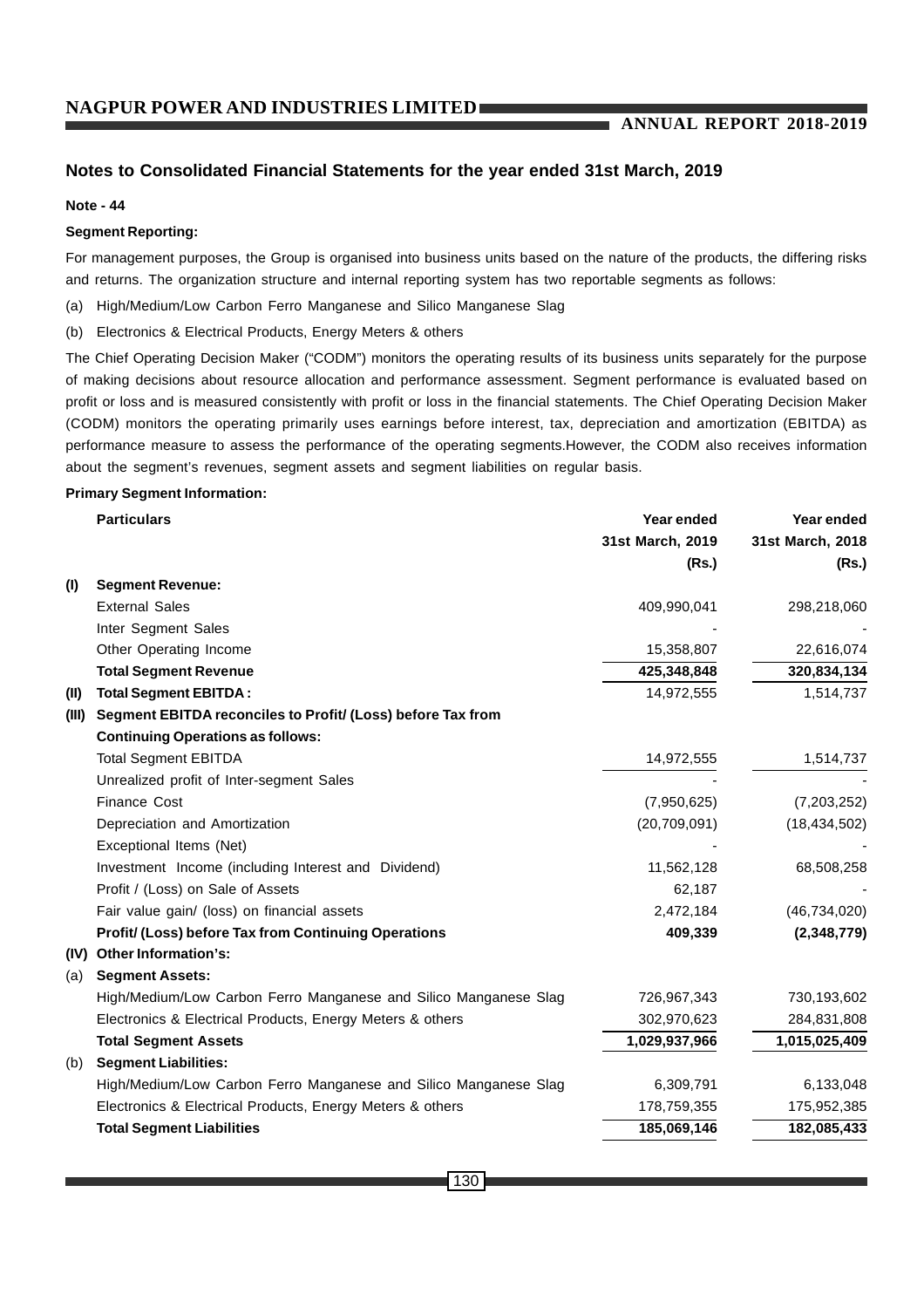#### **Note - 44**

### **Segment Reporting:**

For management purposes, the Group is organised into business units based on the nature of the products, the differing risks and returns. The organization structure and internal reporting system has two reportable segments as follows:

- (a) High/Medium/Low Carbon Ferro Manganese and Silico Manganese Slag
- (b) Electronics & Electrical Products, Energy Meters & others

The Chief Operating Decision Maker ("CODM") monitors the operating results of its business units separately for the purpose of making decisions about resource allocation and performance assessment. Segment performance is evaluated based on profit or loss and is measured consistently with profit or loss in the financial statements. The Chief Operating Decision Maker (CODM) monitors the operating primarily uses earnings before interest, tax, depreciation and amortization (EBITDA) as performance measure to assess the performance of the operating segments.However, the CODM also receives information about the segment's revenues, segment assets and segment liabilities on regular basis.

#### **Primary Segment Information:**

|       | <b>Particulars</b>                                               | Year ended       | Year ended       |
|-------|------------------------------------------------------------------|------------------|------------------|
|       |                                                                  | 31st March, 2019 | 31st March, 2018 |
|       |                                                                  | (Rs.)            | (Rs.)            |
| (1)   | <b>Segment Revenue:</b>                                          |                  |                  |
|       | <b>External Sales</b>                                            | 409,990,041      | 298,218,060      |
|       | Inter Segment Sales                                              |                  |                  |
|       | Other Operating Income                                           | 15,358,807       | 22,616,074       |
|       | <b>Total Segment Revenue</b>                                     | 425,348,848      | 320,834,134      |
| (II)  | <b>Total Segment EBITDA:</b>                                     | 14,972,555       | 1,514,737        |
| (III) | Segment EBITDA reconciles to Profit/ (Loss) before Tax from      |                  |                  |
|       | <b>Continuing Operations as follows:</b>                         |                  |                  |
|       | <b>Total Segment EBITDA</b>                                      | 14,972,555       | 1,514,737        |
|       | Unrealized profit of Inter-segment Sales                         |                  |                  |
|       | <b>Finance Cost</b>                                              | (7,950,625)      | (7,203,252)      |
|       | Depreciation and Amortization                                    | (20, 709, 091)   | (18, 434, 502)   |
|       | Exceptional Items (Net)                                          |                  |                  |
|       | Investment Income (including Interest and Dividend)              | 11,562,128       | 68,508,258       |
|       | Profit / (Loss) on Sale of Assets                                | 62,187           |                  |
|       | Fair value gain/ (loss) on financial assets                      | 2,472,184        | (46, 734, 020)   |
|       | Profit/ (Loss) before Tax from Continuing Operations             | 409,339          | (2,348,779)      |
| (IV)  | Other Information's:                                             |                  |                  |
| (a)   | <b>Segment Assets:</b>                                           |                  |                  |
|       | High/Medium/Low Carbon Ferro Manganese and Silico Manganese Slag | 726,967,343      | 730,193,602      |
|       | Electronics & Electrical Products, Energy Meters & others        | 302,970,623      | 284,831,808      |
|       | <b>Total Segment Assets</b>                                      | 1,029,937,966    | 1,015,025,409    |
| (b)   | <b>Segment Liabilities:</b>                                      |                  |                  |
|       | High/Medium/Low Carbon Ferro Manganese and Silico Manganese Slag | 6,309,791        | 6,133,048        |
|       | Electronics & Electrical Products, Energy Meters & others        | 178,759,355      | 175,952,385      |
|       | <b>Total Segment Liabilities</b>                                 | 185,069,146      | 182,085,433      |
|       |                                                                  |                  |                  |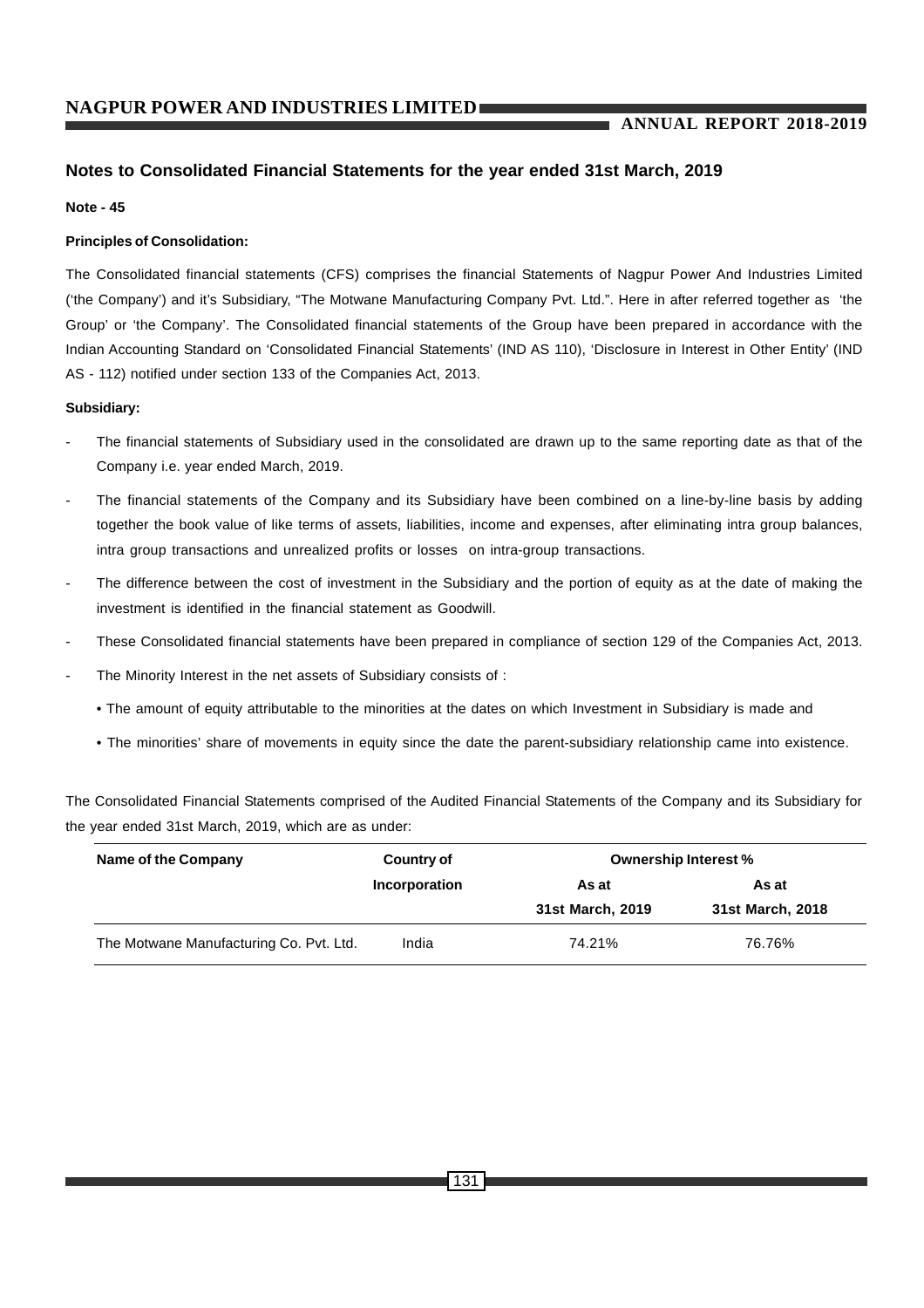#### **Note - 45**

#### **Principles of Consolidation:**

The Consolidated financial statements (CFS) comprises the financial Statements of Nagpur Power And Industries Limited ('the Company') and it's Subsidiary, "The Motwane Manufacturing Company Pvt. Ltd.". Here in after referred together as 'the Group' or 'the Company'. The Consolidated financial statements of the Group have been prepared in accordance with the Indian Accounting Standard on 'Consolidated Financial Statements' (IND AS 110), 'Disclosure in Interest in Other Entity' (IND AS - 112) notified under section 133 of the Companies Act, 2013.

#### **Subsidiary:**

- The financial statements of Subsidiary used in the consolidated are drawn up to the same reporting date as that of the Company i.e. year ended March, 2019.
- The financial statements of the Company and its Subsidiary have been combined on a line-by-line basis by adding together the book value of like terms of assets, liabilities, income and expenses, after eliminating intra group balances, intra group transactions and unrealized profits or losses on intra-group transactions.
- The difference between the cost of investment in the Subsidiary and the portion of equity as at the date of making the investment is identified in the financial statement as Goodwill.
- These Consolidated financial statements have been prepared in compliance of section 129 of the Companies Act, 2013.
- The Minority Interest in the net assets of Subsidiary consists of :
	- The amount of equity attributable to the minorities at the dates on which Investment in Subsidiary is made and
	- The minorities' share of movements in equity since the date the parent-subsidiary relationship came into existence.

The Consolidated Financial Statements comprised of the Audited Financial Statements of the Company and its Subsidiary for the year ended 31st March, 2019, which are as under:

| Name of the Company                     | Country of    | Ownership Interest % |                  |  |
|-----------------------------------------|---------------|----------------------|------------------|--|
|                                         | Incorporation | As at                | As at            |  |
|                                         |               | 31st March, 2019     | 31st March, 2018 |  |
| The Motwane Manufacturing Co. Pvt. Ltd. | India         | 74.21%               | 76.76%           |  |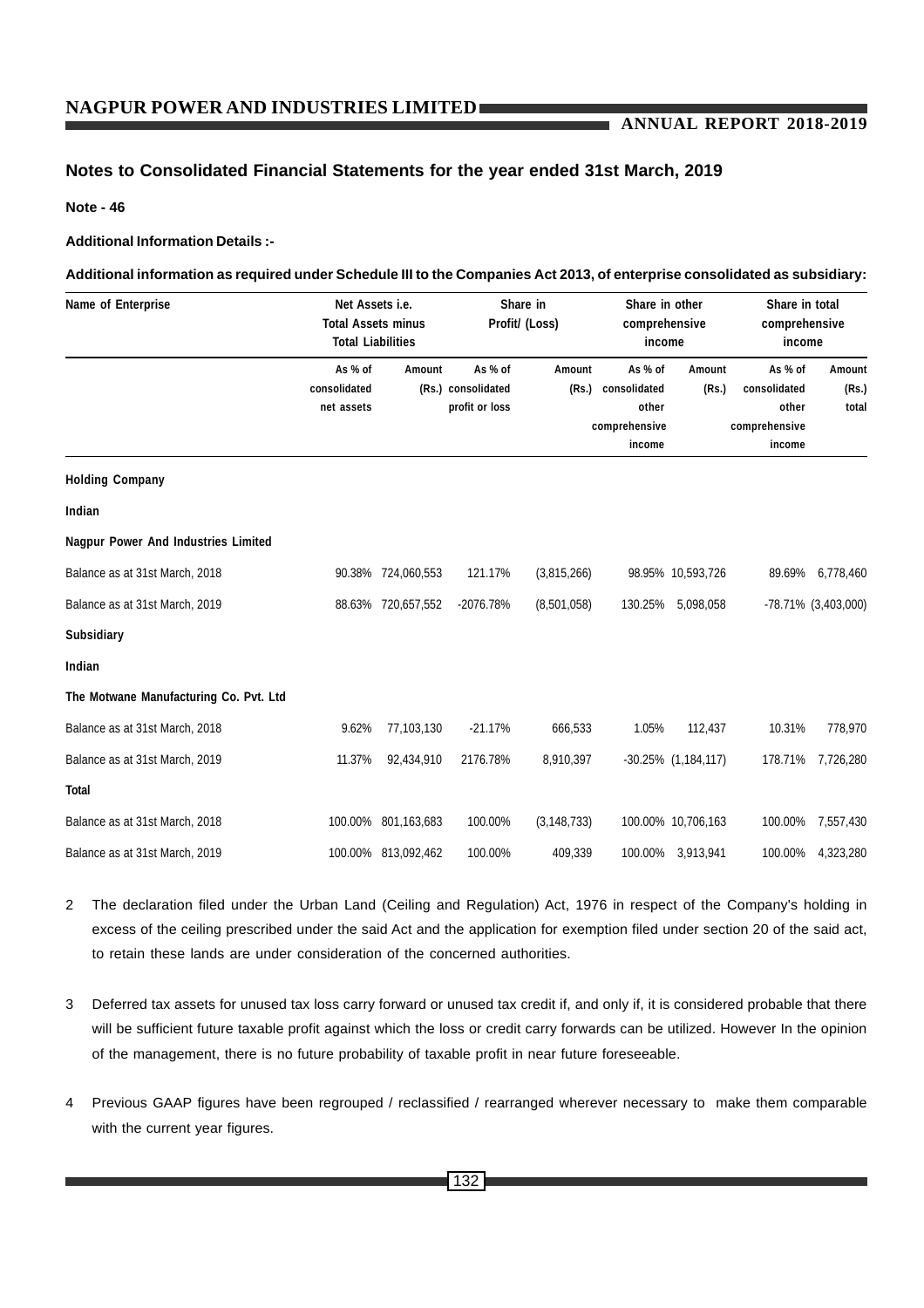#### **Note - 46**

#### **Additional Information Details :-**

#### **Additional information as required under Schedule III to the Companies Act 2013, of enterprise consolidated as subsidiary:**

| Name of Enterprise                         | Net Assets <i>i.e.</i><br><b>Total Assets minus</b><br><b>Total Liabilities</b> |                     |                                                 | Share in<br>Profit/ (Loss) |                                                   | Share in other<br>comprehensive<br>income |                                                   | Share in total<br>comprehensive<br>income |  |
|--------------------------------------------|---------------------------------------------------------------------------------|---------------------|-------------------------------------------------|----------------------------|---------------------------------------------------|-------------------------------------------|---------------------------------------------------|-------------------------------------------|--|
|                                            | As % of<br>consolidated<br>net assets                                           | Amount              | As % of<br>(Rs.) consolidated<br>profit or loss | Amount<br>(Rs.)            | As % of<br>consolidated<br>other<br>comprehensive | Amount<br>(Rs.)                           | As % of<br>consolidated<br>other<br>comprehensive | Amount<br>(Rs.)<br>total                  |  |
|                                            |                                                                                 |                     |                                                 |                            | income                                            |                                           | income                                            |                                           |  |
| <b>Holding Company</b>                     |                                                                                 |                     |                                                 |                            |                                                   |                                           |                                                   |                                           |  |
| Indian                                     |                                                                                 |                     |                                                 |                            |                                                   |                                           |                                                   |                                           |  |
| <b>Nagpur Power And Industries Limited</b> |                                                                                 |                     |                                                 |                            |                                                   |                                           |                                                   |                                           |  |
| Balance as at 31st March, 2018             | 90.38%                                                                          | 724,060,553         | 121.17%                                         | (3,815,266)                |                                                   | 98.95% 10,593,726                         | 89.69%                                            | 6,778,460                                 |  |
| Balance as at 31st March, 2019             |                                                                                 | 88.63% 720,657,552  | -2076.78%                                       | (8,501,058)                | 130.25%                                           | 5,098,058                                 |                                                   | $-78.71\%$ (3,403,000)                    |  |
| Subsidiary                                 |                                                                                 |                     |                                                 |                            |                                                   |                                           |                                                   |                                           |  |
| Indian                                     |                                                                                 |                     |                                                 |                            |                                                   |                                           |                                                   |                                           |  |
| The Motwane Manufacturing Co. Pvt. Ltd     |                                                                                 |                     |                                                 |                            |                                                   |                                           |                                                   |                                           |  |
| Balance as at 31st March, 2018             | 9.62%                                                                           | 77,103,130          | $-21.17%$                                       | 666,533                    | 1.05%                                             | 112,437                                   | 10.31%                                            | 778,970                                   |  |
| Balance as at 31st March, 2019             | 11.37%                                                                          | 92,434,910          | 2176.78%                                        | 8,910,397                  |                                                   | $-30.25\%$ $(1,184,117)$                  | 178.71%                                           | 7,726,280                                 |  |
| <b>Total</b>                               |                                                                                 |                     |                                                 |                            |                                                   |                                           |                                                   |                                           |  |
| Balance as at 31st March, 2018             | 100.00%                                                                         | 801,163,683         | 100.00%                                         | (3, 148, 733)              |                                                   | 100.00% 10,706,163                        | 100.00%                                           | 7,557,430                                 |  |
| Balance as at 31st March, 2019             |                                                                                 | 100.00% 813,092,462 | 100.00%                                         | 409,339                    | 100.00%                                           | 3,913,941                                 | 100.00%                                           | 4,323,280                                 |  |

- 2 The declaration filed under the Urban Land (Ceiling and Regulation) Act, 1976 in respect of the Company's holding in excess of the ceiling prescribed under the said Act and the application for exemption filed under section 20 of the said act, to retain these lands are under consideration of the concerned authorities.
- 3 Deferred tax assets for unused tax loss carry forward or unused tax credit if, and only if, it is considered probable that there will be sufficient future taxable profit against which the loss or credit carry forwards can be utilized. However In the opinion of the management, there is no future probability of taxable profit in near future foreseeable.
- 4 Previous GAAP figures have been regrouped / reclassified / rearranged wherever necessary to make them comparable with the current year figures.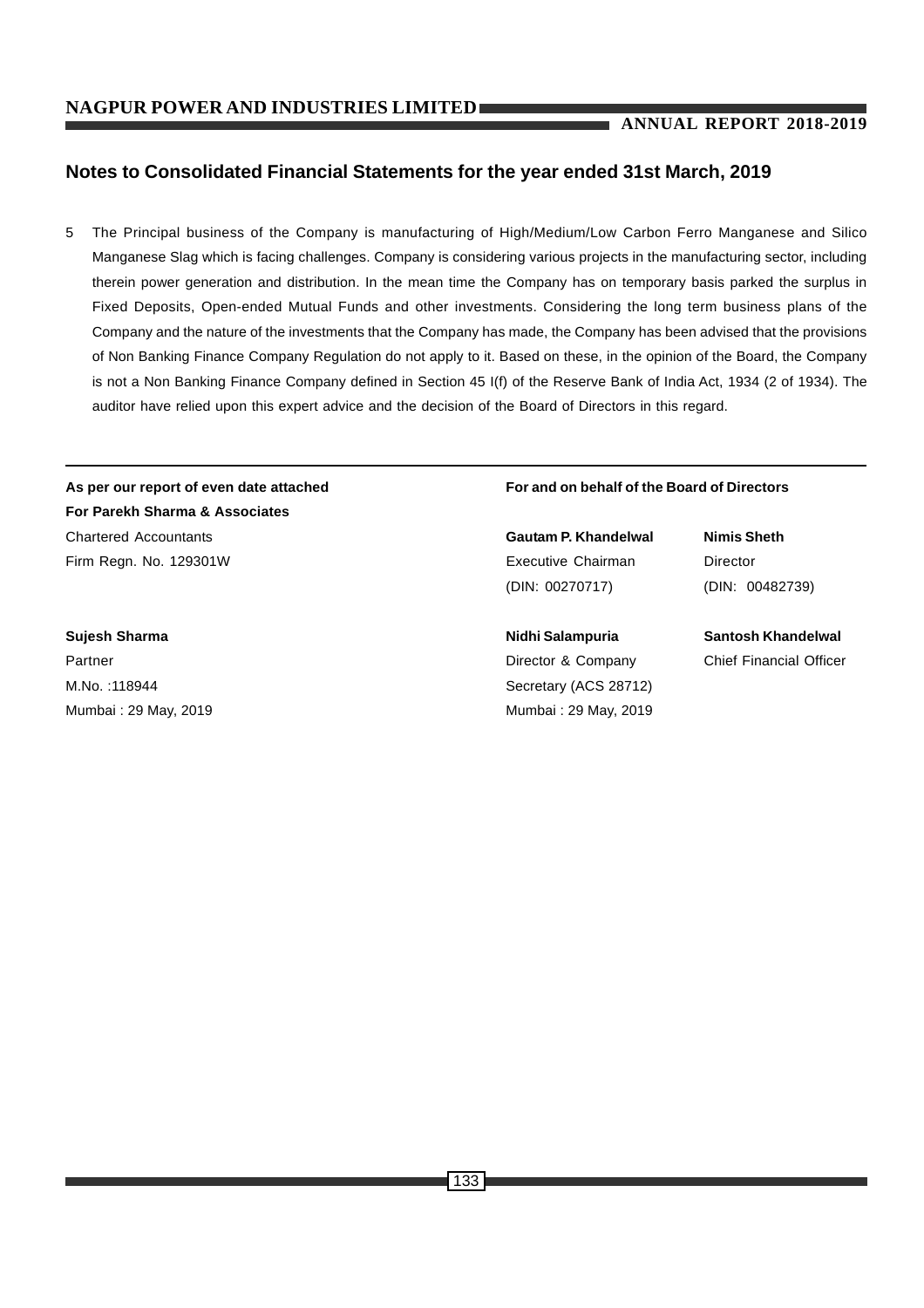# **ANNUAL REPORT 2018-2019**

# **Notes to Consolidated Financial Statements for the year ended 31st March, 2019**

5 The Principal business of the Company is manufacturing of High/Medium/Low Carbon Ferro Manganese and Silico Manganese Slag which is facing challenges. Company is considering various projects in the manufacturing sector, including therein power generation and distribution. In the mean time the Company has on temporary basis parked the surplus in Fixed Deposits, Open-ended Mutual Funds and other investments. Considering the long term business plans of the Company and the nature of the investments that the Company has made, the Company has been advised that the provisions of Non Banking Finance Company Regulation do not apply to it. Based on these, in the opinion of the Board, the Company is not a Non Banking Finance Company defined in Section 45 I(f) of the Reserve Bank of India Act, 1934 (2 of 1934). The auditor have relied upon this expert advice and the decision of the Board of Directors in this regard.

**For Parekh Sharma & Associates** Chartered Accountants **Gautam P. Khandelwal Nimis Sheth** Firm Regn. No. 129301W Executive Chairman Director

Partner **Partner** Chief Financial Officer **Partner** Director & Company Chief Financial Officer M.No. :118944 Secretary (ACS 28712) Mumbai : 29 May, 2019 Mumbai : 29 May, 2019

#### **As per our report of even date attached For and on behalf of the Board of Directors**

(DIN: 00270717) (DIN: 00482739)

**Sujesh Sharma Nidhi Salampuria Santosh Khandelwal**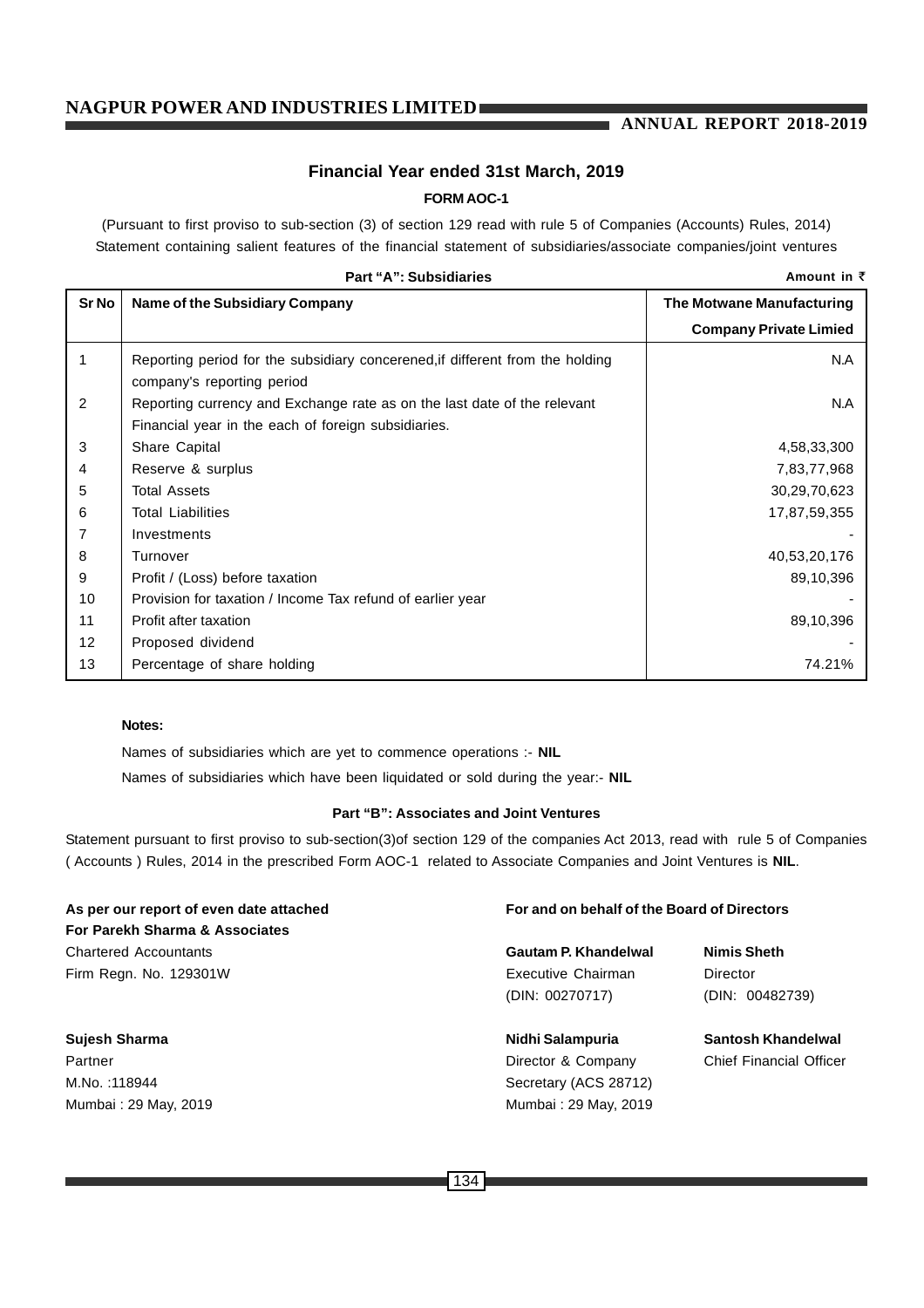### **ANNUAL REPORT 2018-2019**

# **Financial Year ended 31st March, 2019**

#### **FORM AOC-1**

(Pursuant to first proviso to sub-section (3) of section 129 read with rule 5 of Companies (Accounts) Rules, 2014) Statement containing salient features of the financial statement of subsidiaries/associate companies/joint ventures

|       | <b>Part "A": Subsidiaries</b>                                                                               | Amount in ₹                      |
|-------|-------------------------------------------------------------------------------------------------------------|----------------------------------|
| Sr No | <b>Name of the Subsidiary Company</b>                                                                       | <b>The Motwane Manufacturing</b> |
|       |                                                                                                             | <b>Company Private Limied</b>    |
| 1     | Reporting period for the subsidiary concerened, if different from the holding<br>company's reporting period | N.A                              |
| 2     | Reporting currency and Exchange rate as on the last date of the relevant                                    | N.A                              |
|       | Financial year in the each of foreign subsidiaries.                                                         |                                  |
| 3     | Share Capital                                                                                               | 4,58,33,300                      |
| 4     | Reserve & surplus                                                                                           | 7,83,77,968                      |
| 5     | <b>Total Assets</b>                                                                                         | 30,29,70,623                     |
| 6     | <b>Total Liabilities</b>                                                                                    | 17,87,59,355                     |
| 7     | Investments                                                                                                 |                                  |
| 8     | Turnover                                                                                                    | 40,53,20,176                     |
| 9     | Profit / (Loss) before taxation                                                                             | 89,10,396                        |
| 10    | Provision for taxation / Income Tax refund of earlier year                                                  |                                  |
| 11    | Profit after taxation                                                                                       | 89,10,396                        |
| 12    | Proposed dividend                                                                                           |                                  |
| 13    | Percentage of share holding                                                                                 | 74.21%                           |

#### **Notes:**

Names of subsidiaries which are yet to commence operations :- **NIL**

Names of subsidiaries which have been liquidated or sold during the year:- **NIL**

#### **Part "B": Associates and Joint Ventures**

Statement pursuant to first proviso to sub-section(3)of section 129 of the companies Act 2013, read with rule 5 of Companies ( Accounts ) Rules, 2014 in the prescribed Form AOC-1 related to Associate Companies and Joint Ventures is **NIL**.

| As per our report of even date attached | For and on behalf of the Board of Directors |                                |  |  |  |
|-----------------------------------------|---------------------------------------------|--------------------------------|--|--|--|
| For Parekh Sharma & Associates          |                                             |                                |  |  |  |
| <b>Chartered Accountants</b>            | Gautam P. Khandelwal                        | <b>Nimis Sheth</b>             |  |  |  |
| Firm Regn. No. 129301W                  | Executive Chairman                          | Director                       |  |  |  |
|                                         | (DIN: 00270717)                             | (DIN: 00482739)                |  |  |  |
| <b>Sujesh Sharma</b>                    | Nidhi Salampuria                            | Santosh Khandelwal             |  |  |  |
| Partner                                 | Director & Company                          | <b>Chief Financial Officer</b> |  |  |  |
| M.No.: 118944                           | Secretary (ACS 28712)                       |                                |  |  |  |
| Mumbai: 29 May, 2019                    | Mumbai: 29 May, 2019                        |                                |  |  |  |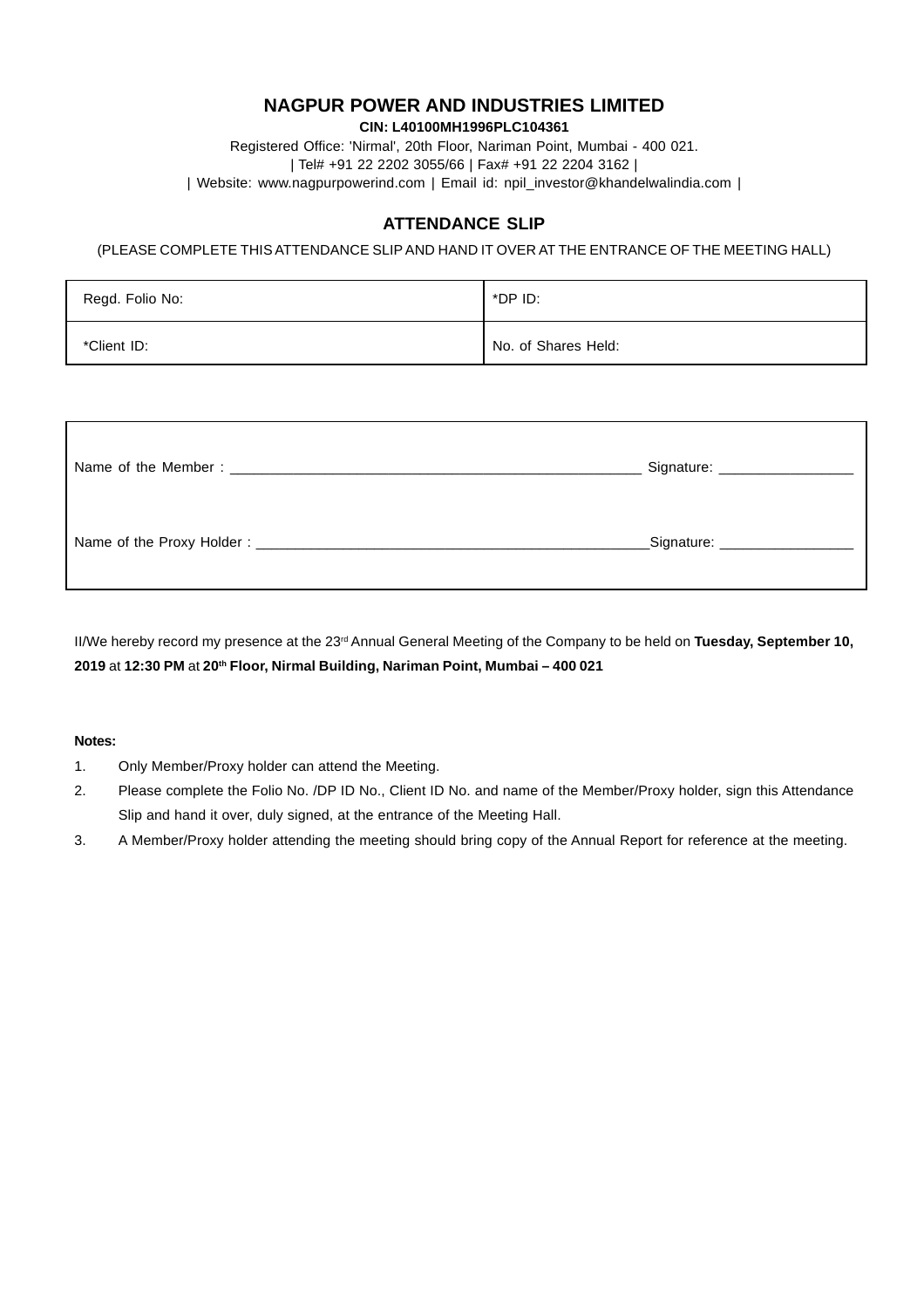**CIN: L40100MH1996PLC104361**

Registered Office: 'Nirmal', 20th Floor, Nariman Point, Mumbai - 400 021. | Tel# +91 22 2202 3055/66 | Fax# +91 22 2204 3162 | | Website: www.nagpurpowerind.com | Email id: npil\_investor@khandelwalindia.com |

#### **ATTENDANCE SLIP**

(PLEASE COMPLETE THIS ATTENDANCE SLIP AND HAND IT OVER AT THE ENTRANCE OF THE MEETING HALL)

| Regd. Folio No: | $*$ DP ID:          |
|-----------------|---------------------|
| *Client ID:     | No. of Shares Held: |

| Signature: ____________________ |
|---------------------------------|
| Signature: ______________       |

II/We hereby record my presence at the 23<sup>rd</sup> Annual General Meeting of the Company to be held on Tuesday, September 10, **2019** at **12:30 PM** at **20th Floor, Nirmal Building, Nariman Point, Mumbai – 400 021**

#### **Notes:**

- 1. Only Member/Proxy holder can attend the Meeting.
- 2. Please complete the Folio No. /DP ID No., Client ID No. and name of the Member/Proxy holder, sign this Attendance Slip and hand it over, duly signed, at the entrance of the Meeting Hall.
- 3. A Member/Proxy holder attending the meeting should bring copy of the Annual Report for reference at the meeting.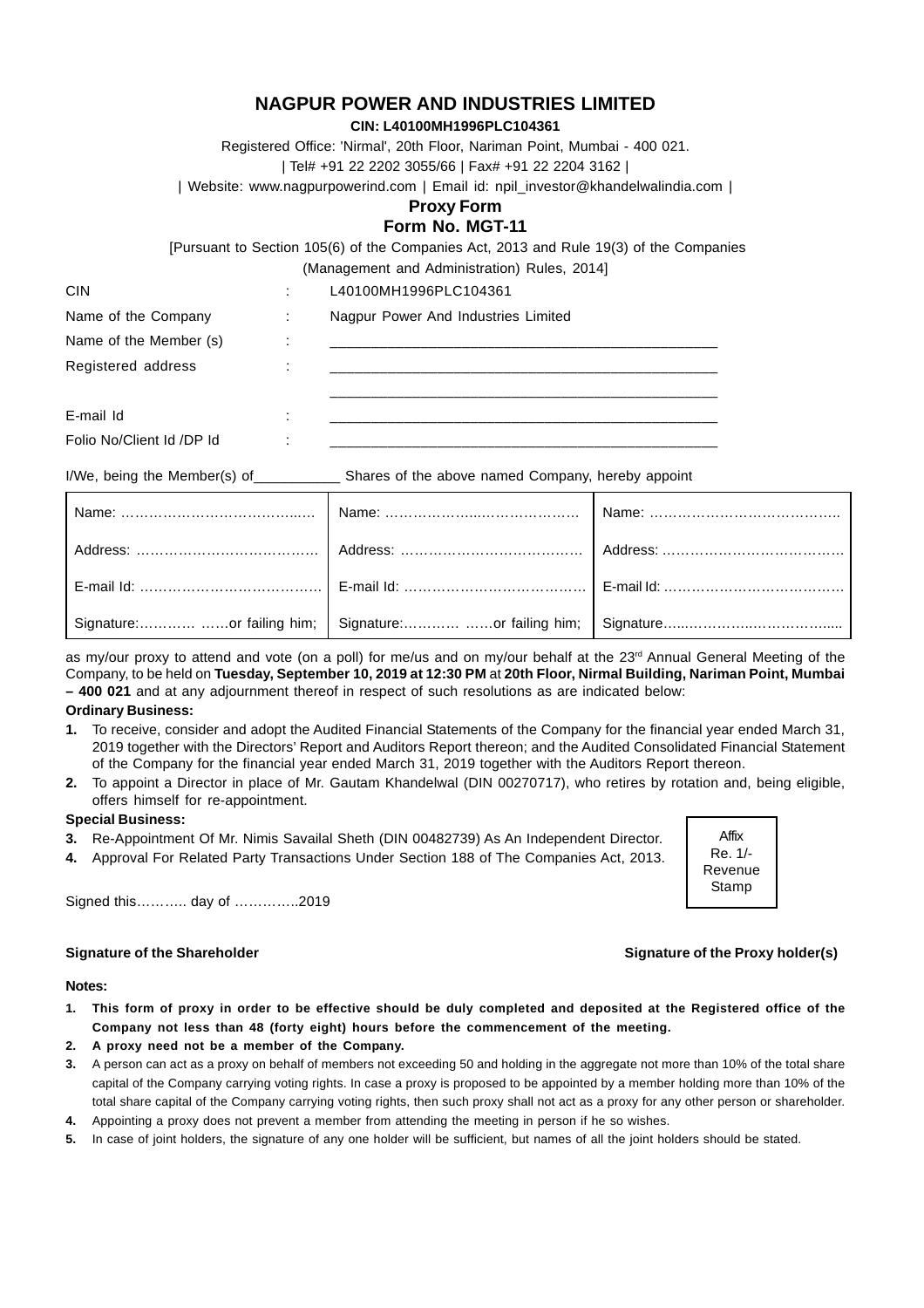**CIN: L40100MH1996PLC104361**

Registered Office: 'Nirmal', 20th Floor, Nariman Point, Mumbai - 400 021.

| Tel# +91 22 2202 3055/66 | Fax# +91 22 2204 3162 |

| Website: www.nagpurpowerind.com | Email id: npil\_investor@khandelwalindia.com |

#### **Proxy Form**

#### **Form No. MGT-11**

[Pursuant to Section 105(6) of the Companies Act, 2013 and Rule 19(3) of the Companies

(Management and Administration) Rules, 2014]

| <b>CIN</b>                |         | L40100MH1996PLC104361               |
|---------------------------|---------|-------------------------------------|
| Name of the Company       |         | Nagpur Power And Industries Limited |
| Name of the Member (s)    | ٠       |                                     |
| Registered address        | ٠       |                                     |
|                           | $\cdot$ |                                     |
| E-mail Id                 |         |                                     |
| Folio No/Client Id /DP Id | $\cdot$ |                                     |

I/We, being the Member(s) of\_\_\_\_\_\_\_\_\_\_\_ Shares of the above named Company, hereby appoint

| E-mail Id: ………………………………………   E-mail Id: …………………………………   E-mail Id: ………………………………… |  |
|----------------------------------------------------------------------------------|--|
|                                                                                  |  |

as my/our proxy to attend and vote (on a poll) for me/us and on my/our behalf at the  $23<sup>rd</sup>$  Annual General Meeting of the Company, to be held on **Tuesday, September 10, 2019 at 12:30 PM** at **20th Floor, Nirmal Building, Nariman Point, Mumbai – 400 021** and at any adjournment thereof in respect of such resolutions as are indicated below:

#### **Ordinary Business:**

- **1.** To receive, consider and adopt the Audited Financial Statements of the Company for the financial year ended March 31, 2019 together with the Directors' Report and Auditors Report thereon; and the Audited Consolidated Financial Statement of the Company for the financial year ended March 31, 2019 together with the Auditors Report thereon.
- **2.** To appoint a Director in place of Mr. Gautam Khandelwal (DIN 00270717), who retires by rotation and, being eligible, offers himself for re-appointment.

#### **Special Business:**

- **3.** Re-Appointment Of Mr. Nimis Savailal Sheth (DIN 00482739) As An Independent Director.
- **4.** Approval For Related Party Transactions Under Section 188 of The Companies Act, 2013.

Signed this……….. day of …………..2019

#### **Signature of the Shareholder State Science State State State State State State State State State State State State State State State State State State State State State State State State State State State State State Stat**

Affix Re. 1/- Revenue Stamp

#### **Notes:**

- **1. This form of proxy in order to be effective should be duly completed and deposited at the Registered office of the Company not less than 48 (forty eight) hours before the commencement of the meeting.**
- **2. A proxy need not be a member of the Company.**
- **3.** A person can act as a proxy on behalf of members not exceeding 50 and holding in the aggregate not more than 10% of the total share capital of the Company carrying voting rights. In case a proxy is proposed to be appointed by a member holding more than 10% of the total share capital of the Company carrying voting rights, then such proxy shall not act as a proxy for any other person or shareholder.
- **4.** Appointing a proxy does not prevent a member from attending the meeting in person if he so wishes.
- **5.** In case of joint holders, the signature of any one holder will be sufficient, but names of all the joint holders should be stated.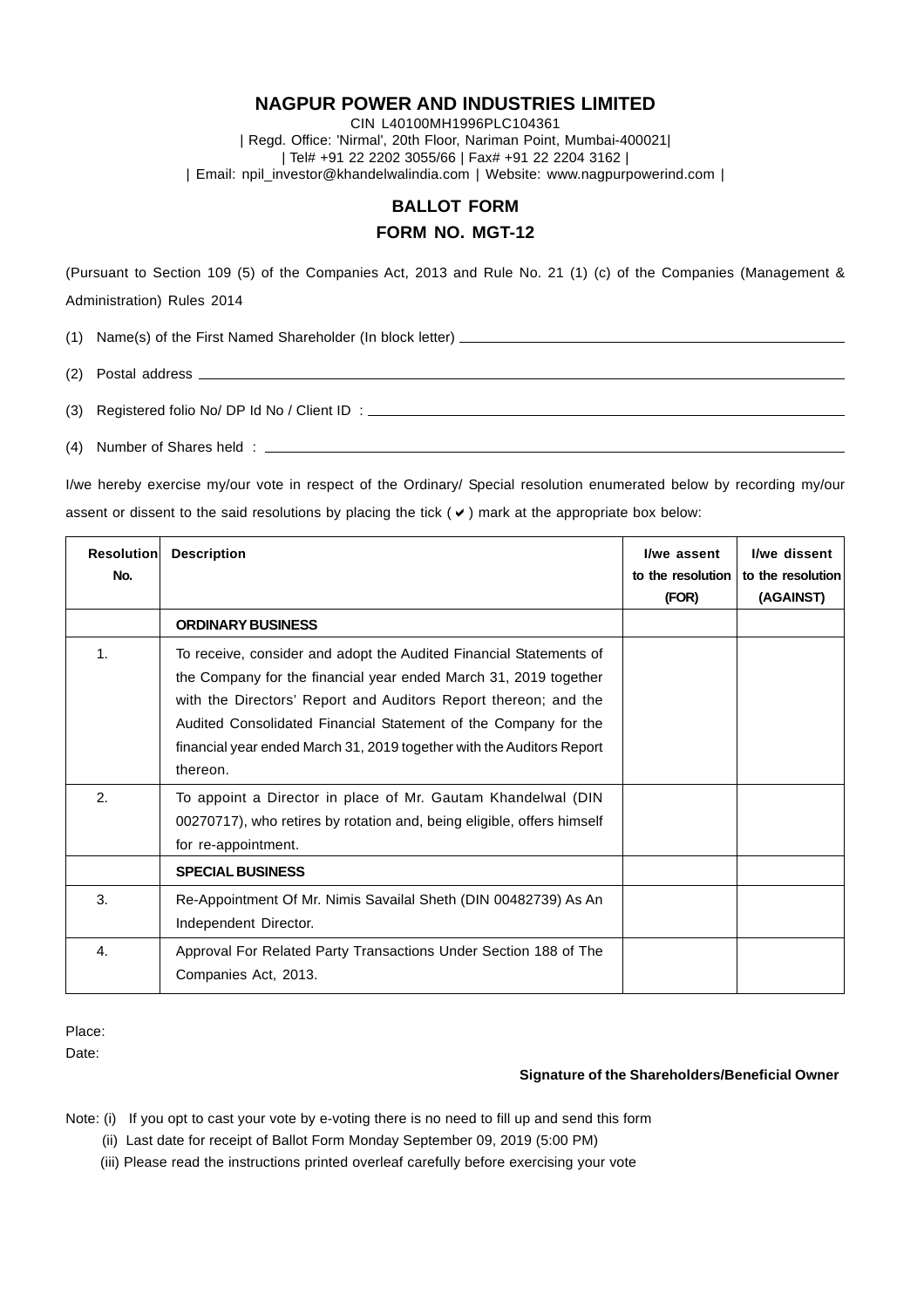CIN L40100MH1996PLC104361 | Regd. Office: 'Nirmal', 20th Floor, Nariman Point, Mumbai-400021| | Tel# +91 22 2202 3055/66 | Fax# +91 22 2204 3162 | | Email: npil\_investor@khandelwalindia.com | Website: www.nagpurpowerind.com |

#### **BALLOT FORM**

#### **FORM NO. MGT-12**

(Pursuant to Section 109 (5) of the Companies Act, 2013 and Rule No. 21 (1) (c) of the Companies (Management & Administration) Rules 2014

(1) Name(s) of the First Named Shareholder (In block letter)

(2) Postal address

(3) Registered folio No/ DP Id No / Client ID :

(4) Number of Shares held :

I/we hereby exercise my/our vote in respect of the Ordinary/ Special resolution enumerated below by recording my/our assent or dissent to the said resolutions by placing the tick ( $\checkmark$ ) mark at the appropriate box below:

| <b>Resolution</b><br>No. | <b>Description</b>                                                                                                                                                                                                                                                                                                                                                | I/we assent<br>to the resolution<br>(FOR) | I/we dissent<br>to the resolution<br>(AGAINST) |
|--------------------------|-------------------------------------------------------------------------------------------------------------------------------------------------------------------------------------------------------------------------------------------------------------------------------------------------------------------------------------------------------------------|-------------------------------------------|------------------------------------------------|
|                          | <b>ORDINARY BUSINESS</b>                                                                                                                                                                                                                                                                                                                                          |                                           |                                                |
| $\mathbf{1}$ .           | To receive, consider and adopt the Audited Financial Statements of<br>the Company for the financial year ended March 31, 2019 together<br>with the Directors' Report and Auditors Report thereon; and the<br>Audited Consolidated Financial Statement of the Company for the<br>financial year ended March 31, 2019 together with the Auditors Report<br>thereon. |                                           |                                                |
| 2.                       | To appoint a Director in place of Mr. Gautam Khandelwal (DIN<br>00270717), who retires by rotation and, being eligible, offers himself<br>for re-appointment.<br><b>SPECIAL BUSINESS</b>                                                                                                                                                                          |                                           |                                                |
| 3.                       | Re-Appointment Of Mr. Nimis Savailal Sheth (DIN 00482739) As An<br>Independent Director.                                                                                                                                                                                                                                                                          |                                           |                                                |
| 4.                       | Approval For Related Party Transactions Under Section 188 of The<br>Companies Act, 2013.                                                                                                                                                                                                                                                                          |                                           |                                                |

Place:

Date:

#### **Signature of the Shareholders/Beneficial Owner**

Note: (i) If you opt to cast your vote by e-voting there is no need to fill up and send this form

- (ii) Last date for receipt of Ballot Form Monday September 09, 2019 (5:00 PM)
- (iii) Please read the instructions printed overleaf carefully before exercising your vote